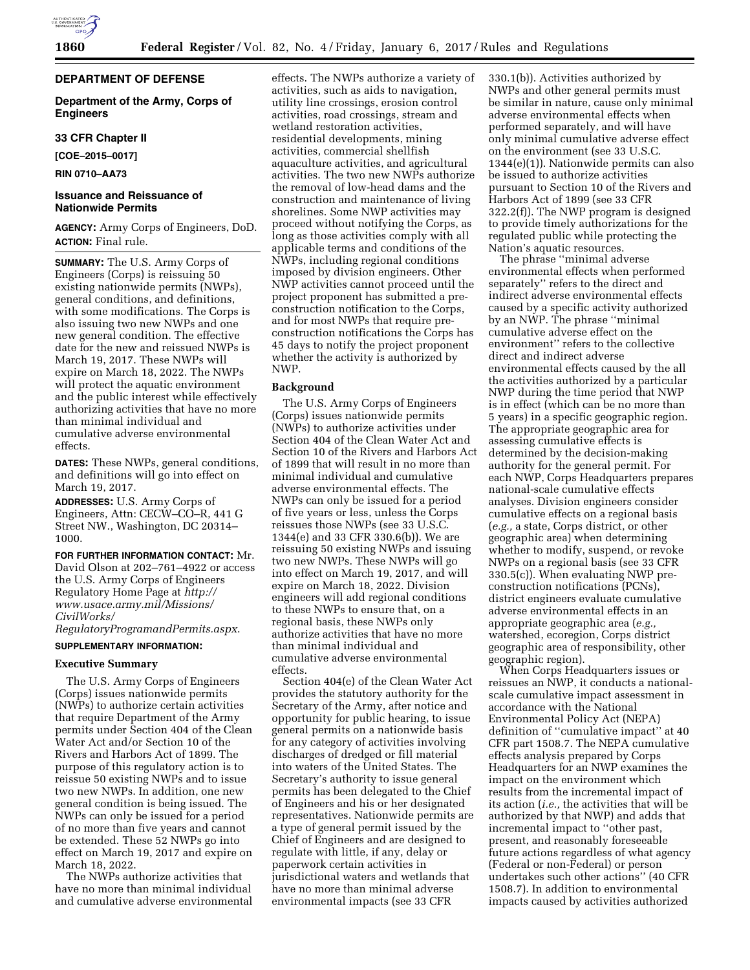# **DEPARTMENT OF DEFENSE**

**Department of the Army, Corps of Engineers** 

## **33 CFR Chapter II**

**[COE–2015–0017]** 

**RIN 0710–AA73** 

# **Issuance and Reissuance of Nationwide Permits**

**AGENCY:** Army Corps of Engineers, DoD. **ACTION:** Final rule.

**SUMMARY:** The U.S. Army Corps of Engineers (Corps) is reissuing 50 existing nationwide permits (NWPs), general conditions, and definitions, with some modifications. The Corps is also issuing two new NWPs and one new general condition. The effective date for the new and reissued NWPs is March 19, 2017. These NWPs will expire on March 18, 2022. The NWPs will protect the aquatic environment and the public interest while effectively authorizing activities that have no more than minimal individual and cumulative adverse environmental effects.

**DATES:** These NWPs, general conditions, and definitions will go into effect on March 19, 2017.

**ADDRESSES:** U.S. Army Corps of Engineers, Attn: CECW–CO–R, 441 G Street NW., Washington, DC 20314– 1000.

**FOR FURTHER INFORMATION CONTACT:** Mr. David Olson at 202–761–4922 or access the U.S. Army Corps of Engineers Regulatory Home Page at *[http://](http://www.usace.army.mil/Missions/CivilWorks/RegulatoryProgramandPermits.aspx) [www.usace.army.mil/Missions/](http://www.usace.army.mil/Missions/CivilWorks/RegulatoryProgramandPermits.aspx) [CivilWorks/](http://www.usace.army.mil/Missions/CivilWorks/RegulatoryProgramandPermits.aspx)*

*[RegulatoryProgramandPermits.aspx](http://www.usace.army.mil/Missions/CivilWorks/RegulatoryProgramandPermits.aspx)*.

## **SUPPLEMENTARY INFORMATION:**

# **Executive Summary**

The U.S. Army Corps of Engineers (Corps) issues nationwide permits (NWPs) to authorize certain activities that require Department of the Army permits under Section 404 of the Clean Water Act and/or Section 10 of the Rivers and Harbors Act of 1899. The purpose of this regulatory action is to reissue 50 existing NWPs and to issue two new NWPs. In addition, one new general condition is being issued. The NWPs can only be issued for a period of no more than five years and cannot be extended. These 52 NWPs go into effect on March 19, 2017 and expire on March 18, 2022.

The NWPs authorize activities that have no more than minimal individual and cumulative adverse environmental

effects. The NWPs authorize a variety of activities, such as aids to navigation, utility line crossings, erosion control activities, road crossings, stream and wetland restoration activities, residential developments, mining activities, commercial shellfish aquaculture activities, and agricultural activities. The two new NWPs authorize the removal of low-head dams and the construction and maintenance of living shorelines. Some NWP activities may proceed without notifying the Corps, as long as those activities comply with all applicable terms and conditions of the NWPs, including regional conditions imposed by division engineers. Other NWP activities cannot proceed until the project proponent has submitted a preconstruction notification to the Corps, and for most NWPs that require preconstruction notifications the Corps has 45 days to notify the project proponent whether the activity is authorized by NWP.

## **Background**

The U.S. Army Corps of Engineers (Corps) issues nationwide permits (NWPs) to authorize activities under Section 404 of the Clean Water Act and Section 10 of the Rivers and Harbors Act of 1899 that will result in no more than minimal individual and cumulative adverse environmental effects. The NWPs can only be issued for a period of five years or less, unless the Corps reissues those NWPs (see 33 U.S.C. 1344(e) and 33 CFR 330.6(b)). We are reissuing 50 existing NWPs and issuing two new NWPs. These NWPs will go into effect on March 19, 2017, and will expire on March 18, 2022. Division engineers will add regional conditions to these NWPs to ensure that, on a regional basis, these NWPs only authorize activities that have no more than minimal individual and cumulative adverse environmental effects.

Section 404(e) of the Clean Water Act provides the statutory authority for the Secretary of the Army, after notice and opportunity for public hearing, to issue general permits on a nationwide basis for any category of activities involving discharges of dredged or fill material into waters of the United States. The Secretary's authority to issue general permits has been delegated to the Chief of Engineers and his or her designated representatives. Nationwide permits are a type of general permit issued by the Chief of Engineers and are designed to regulate with little, if any, delay or paperwork certain activities in jurisdictional waters and wetlands that have no more than minimal adverse environmental impacts (see 33 CFR

330.1(b)). Activities authorized by NWPs and other general permits must be similar in nature, cause only minimal adverse environmental effects when performed separately, and will have only minimal cumulative adverse effect on the environment (see 33 U.S.C. 1344(e)(1)). Nationwide permits can also be issued to authorize activities pursuant to Section 10 of the Rivers and Harbors Act of 1899 (see 33 CFR 322.2(f)). The NWP program is designed to provide timely authorizations for the regulated public while protecting the Nation's aquatic resources.

The phrase ''minimal adverse environmental effects when performed separately'' refers to the direct and indirect adverse environmental effects caused by a specific activity authorized by an NWP. The phrase ''minimal cumulative adverse effect on the environment'' refers to the collective direct and indirect adverse environmental effects caused by the all the activities authorized by a particular NWP during the time period that NWP is in effect (which can be no more than 5 years) in a specific geographic region. The appropriate geographic area for assessing cumulative effects is determined by the decision-making authority for the general permit. For each NWP, Corps Headquarters prepares national-scale cumulative effects analyses. Division engineers consider cumulative effects on a regional basis (*e.g.,* a state, Corps district, or other geographic area) when determining whether to modify, suspend, or revoke NWPs on a regional basis (see 33 CFR 330.5(c)). When evaluating NWP preconstruction notifications (PCNs), district engineers evaluate cumulative adverse environmental effects in an appropriate geographic area (*e.g.,*  watershed, ecoregion, Corps district geographic area of responsibility, other geographic region).

When Corps Headquarters issues or reissues an NWP, it conducts a nationalscale cumulative impact assessment in accordance with the National Environmental Policy Act (NEPA) definition of ''cumulative impact'' at 40 CFR part 1508.7. The NEPA cumulative effects analysis prepared by Corps Headquarters for an NWP examines the impact on the environment which results from the incremental impact of its action (*i.e.,* the activities that will be authorized by that NWP) and adds that incremental impact to ''other past, present, and reasonably foreseeable future actions regardless of what agency (Federal or non-Federal) or person undertakes such other actions'' (40 CFR 1508.7). In addition to environmental impacts caused by activities authorized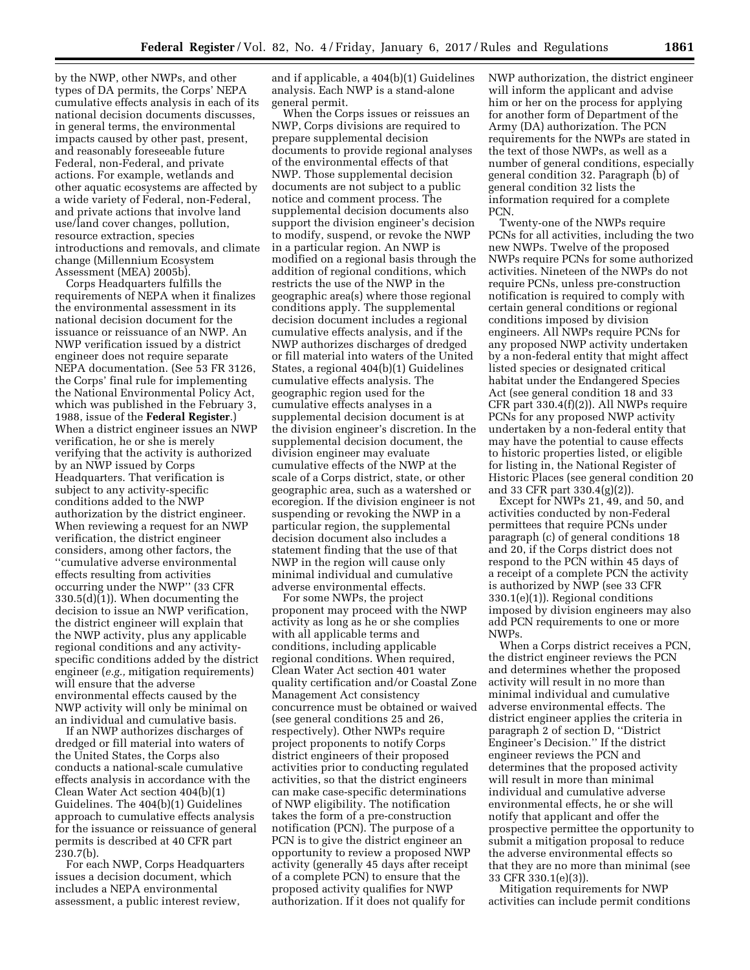by the NWP, other NWPs, and other types of DA permits, the Corps' NEPA cumulative effects analysis in each of its national decision documents discusses, in general terms, the environmental impacts caused by other past, present, and reasonably foreseeable future Federal, non-Federal, and private actions. For example, wetlands and other aquatic ecosystems are affected by a wide variety of Federal, non-Federal, and private actions that involve land use/land cover changes, pollution, resource extraction, species introductions and removals, and climate change (Millennium Ecosystem Assessment (MEA) 2005b).

Corps Headquarters fulfills the requirements of NEPA when it finalizes the environmental assessment in its national decision document for the issuance or reissuance of an NWP. An NWP verification issued by a district engineer does not require separate NEPA documentation. (See 53 FR 3126, the Corps' final rule for implementing the National Environmental Policy Act, which was published in the February 3, 1988, issue of the **Federal Register**.) When a district engineer issues an NWP verification, he or she is merely verifying that the activity is authorized by an NWP issued by Corps Headquarters. That verification is subject to any activity-specific conditions added to the NWP authorization by the district engineer. When reviewing a request for an NWP verification, the district engineer considers, among other factors, the ''cumulative adverse environmental effects resulting from activities occurring under the NWP'' (33 CFR 330.5(d)(1)). When documenting the decision to issue an NWP verification, the district engineer will explain that the NWP activity, plus any applicable regional conditions and any activityspecific conditions added by the district engineer (*e.g.,* mitigation requirements) will ensure that the adverse environmental effects caused by the NWP activity will only be minimal on an individual and cumulative basis.

If an NWP authorizes discharges of dredged or fill material into waters of the United States, the Corps also conducts a national-scale cumulative effects analysis in accordance with the Clean Water Act section 404(b)(1) Guidelines. The 404(b)(1) Guidelines approach to cumulative effects analysis for the issuance or reissuance of general permits is described at 40 CFR part 230.7(b).

For each NWP, Corps Headquarters issues a decision document, which includes a NEPA environmental assessment, a public interest review,

and if applicable, a 404(b)(1) Guidelines analysis. Each NWP is a stand-alone general permit.

When the Corps issues or reissues an NWP, Corps divisions are required to prepare supplemental decision documents to provide regional analyses of the environmental effects of that NWP. Those supplemental decision documents are not subject to a public notice and comment process. The supplemental decision documents also support the division engineer's decision to modify, suspend, or revoke the NWP in a particular region. An NWP is modified on a regional basis through the addition of regional conditions, which restricts the use of the NWP in the geographic area(s) where those regional conditions apply. The supplemental decision document includes a regional cumulative effects analysis, and if the NWP authorizes discharges of dredged or fill material into waters of the United States, a regional 404(b)(1) Guidelines cumulative effects analysis. The geographic region used for the cumulative effects analyses in a supplemental decision document is at the division engineer's discretion. In the supplemental decision document, the division engineer may evaluate cumulative effects of the NWP at the scale of a Corps district, state, or other geographic area, such as a watershed or ecoregion. If the division engineer is not suspending or revoking the NWP in a particular region, the supplemental decision document also includes a statement finding that the use of that NWP in the region will cause only minimal individual and cumulative adverse environmental effects.

For some NWPs, the project proponent may proceed with the NWP activity as long as he or she complies with all applicable terms and conditions, including applicable regional conditions. When required, Clean Water Act section 401 water quality certification and/or Coastal Zone Management Act consistency concurrence must be obtained or waived (see general conditions 25 and 26, respectively). Other NWPs require project proponents to notify Corps district engineers of their proposed activities prior to conducting regulated activities, so that the district engineers can make case-specific determinations of NWP eligibility. The notification takes the form of a pre-construction notification (PCN). The purpose of a PCN is to give the district engineer an opportunity to review a proposed NWP activity (generally 45 days after receipt of a complete PCN) to ensure that the proposed activity qualifies for NWP authorization. If it does not qualify for

NWP authorization, the district engineer will inform the applicant and advise him or her on the process for applying for another form of Department of the Army (DA) authorization. The PCN requirements for the NWPs are stated in the text of those NWPs, as well as a number of general conditions, especially general condition 32. Paragraph (b) of general condition 32 lists the information required for a complete PCN.

Twenty-one of the NWPs require PCNs for all activities, including the two new NWPs. Twelve of the proposed NWPs require PCNs for some authorized activities. Nineteen of the NWPs do not require PCNs, unless pre-construction notification is required to comply with certain general conditions or regional conditions imposed by division engineers. All NWPs require PCNs for any proposed NWP activity undertaken by a non-federal entity that might affect listed species or designated critical habitat under the Endangered Species Act (see general condition 18 and 33 CFR part 330.4(f)(2)). All NWPs require PCNs for any proposed NWP activity undertaken by a non-federal entity that may have the potential to cause effects to historic properties listed, or eligible for listing in, the National Register of Historic Places (see general condition 20 and 33 CFR part 330.4(g)(2)).

Except for NWPs 21, 49, and 50, and activities conducted by non-Federal permittees that require PCNs under paragraph (c) of general conditions 18 and 20, if the Corps district does not respond to the PCN within 45 days of a receipt of a complete PCN the activity is authorized by NWP (see 33 CFR 330.1(e)(1)). Regional conditions imposed by division engineers may also add PCN requirements to one or more NWPs.

When a Corps district receives a PCN, the district engineer reviews the PCN and determines whether the proposed activity will result in no more than minimal individual and cumulative adverse environmental effects. The district engineer applies the criteria in paragraph 2 of section D, ''District Engineer's Decision.'' If the district engineer reviews the PCN and determines that the proposed activity will result in more than minimal individual and cumulative adverse environmental effects, he or she will notify that applicant and offer the prospective permittee the opportunity to submit a mitigation proposal to reduce the adverse environmental effects so that they are no more than minimal (see 33 CFR 330.1(e)(3)).

Mitigation requirements for NWP activities can include permit conditions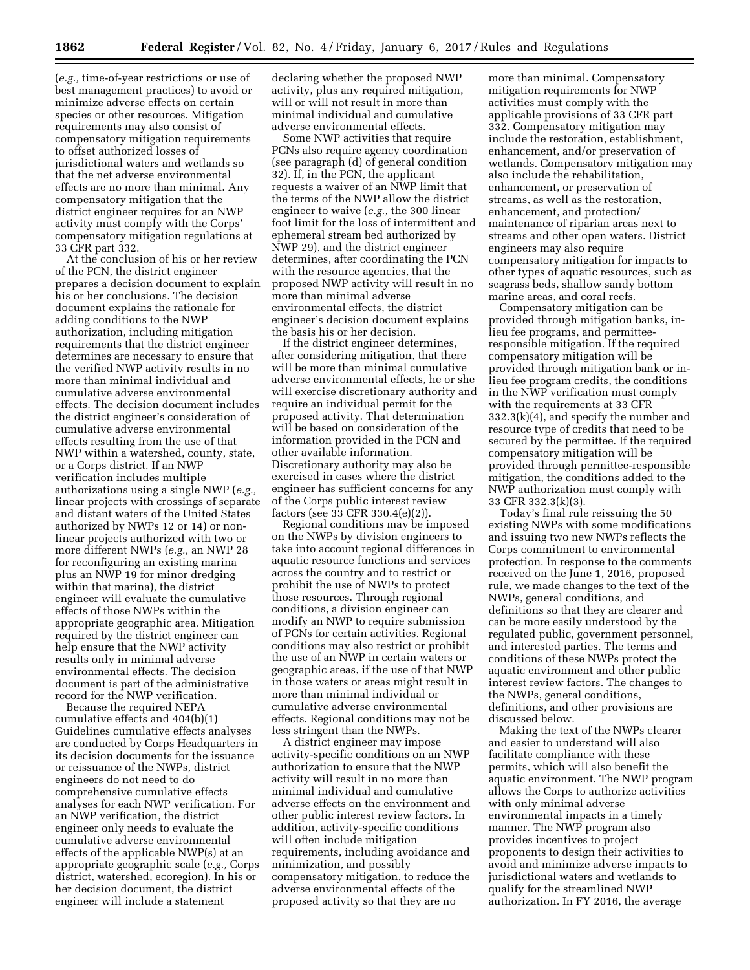(*e.g.,* time-of-year restrictions or use of best management practices) to avoid or minimize adverse effects on certain species or other resources. Mitigation requirements may also consist of compensatory mitigation requirements to offset authorized losses of jurisdictional waters and wetlands so that the net adverse environmental effects are no more than minimal. Any compensatory mitigation that the district engineer requires for an NWP activity must comply with the Corps' compensatory mitigation regulations at 33 CFR part 332.

At the conclusion of his or her review of the PCN, the district engineer prepares a decision document to explain his or her conclusions. The decision document explains the rationale for adding conditions to the NWP authorization, including mitigation requirements that the district engineer determines are necessary to ensure that the verified NWP activity results in no more than minimal individual and cumulative adverse environmental effects. The decision document includes the district engineer's consideration of cumulative adverse environmental effects resulting from the use of that NWP within a watershed, county, state, or a Corps district. If an NWP verification includes multiple authorizations using a single NWP (*e.g.,*  linear projects with crossings of separate and distant waters of the United States authorized by NWPs 12 or 14) or nonlinear projects authorized with two or more different NWPs (*e.g.,* an NWP 28 for reconfiguring an existing marina plus an NWP 19 for minor dredging within that marina), the district engineer will evaluate the cumulative effects of those NWPs within the appropriate geographic area. Mitigation required by the district engineer can help ensure that the NWP activity results only in minimal adverse environmental effects. The decision document is part of the administrative record for the NWP verification.

Because the required NEPA cumulative effects and 404(b)(1) Guidelines cumulative effects analyses are conducted by Corps Headquarters in its decision documents for the issuance or reissuance of the NWPs, district engineers do not need to do comprehensive cumulative effects analyses for each NWP verification. For an NWP verification, the district engineer only needs to evaluate the cumulative adverse environmental effects of the applicable NWP(s) at an appropriate geographic scale (*e.g.,* Corps district, watershed, ecoregion). In his or her decision document, the district engineer will include a statement

declaring whether the proposed NWP activity, plus any required mitigation, will or will not result in more than minimal individual and cumulative adverse environmental effects.

Some NWP activities that require PCNs also require agency coordination (see paragraph (d) of general condition 32). If, in the PCN, the applicant requests a waiver of an NWP limit that the terms of the NWP allow the district engineer to waive (*e.g.,* the 300 linear foot limit for the loss of intermittent and ephemeral stream bed authorized by NWP 29), and the district engineer determines, after coordinating the PCN with the resource agencies, that the proposed NWP activity will result in no more than minimal adverse environmental effects, the district engineer's decision document explains the basis his or her decision.

If the district engineer determines, after considering mitigation, that there will be more than minimal cumulative adverse environmental effects, he or she will exercise discretionary authority and require an individual permit for the proposed activity. That determination will be based on consideration of the information provided in the PCN and other available information. Discretionary authority may also be exercised in cases where the district engineer has sufficient concerns for any of the Corps public interest review factors (see 33 CFR 330.4(e)(2)).

Regional conditions may be imposed on the NWPs by division engineers to take into account regional differences in aquatic resource functions and services across the country and to restrict or prohibit the use of NWPs to protect those resources. Through regional conditions, a division engineer can modify an NWP to require submission of PCNs for certain activities. Regional conditions may also restrict or prohibit the use of an NWP in certain waters or geographic areas, if the use of that NWP in those waters or areas might result in more than minimal individual or cumulative adverse environmental effects. Regional conditions may not be less stringent than the NWPs.

A district engineer may impose activity-specific conditions on an NWP authorization to ensure that the NWP activity will result in no more than minimal individual and cumulative adverse effects on the environment and other public interest review factors. In addition, activity-specific conditions will often include mitigation requirements, including avoidance and minimization, and possibly compensatory mitigation, to reduce the adverse environmental effects of the proposed activity so that they are no

more than minimal. Compensatory mitigation requirements for NWP activities must comply with the applicable provisions of 33 CFR part 332. Compensatory mitigation may include the restoration, establishment, enhancement, and/or preservation of wetlands. Compensatory mitigation may also include the rehabilitation, enhancement, or preservation of streams, as well as the restoration, enhancement, and protection/ maintenance of riparian areas next to streams and other open waters. District engineers may also require compensatory mitigation for impacts to other types of aquatic resources, such as seagrass beds, shallow sandy bottom marine areas, and coral reefs.

Compensatory mitigation can be provided through mitigation banks, inlieu fee programs, and permitteeresponsible mitigation. If the required compensatory mitigation will be provided through mitigation bank or inlieu fee program credits, the conditions in the NWP verification must comply with the requirements at 33 CFR 332.3(k)(4), and specify the number and resource type of credits that need to be secured by the permittee. If the required compensatory mitigation will be provided through permittee-responsible mitigation, the conditions added to the NWP authorization must comply with 33 CFR 332.3(k)(3).

Today's final rule reissuing the 50 existing NWPs with some modifications and issuing two new NWPs reflects the Corps commitment to environmental protection. In response to the comments received on the June 1, 2016, proposed rule, we made changes to the text of the NWPs, general conditions, and definitions so that they are clearer and can be more easily understood by the regulated public, government personnel, and interested parties. The terms and conditions of these NWPs protect the aquatic environment and other public interest review factors. The changes to the NWPs, general conditions, definitions, and other provisions are discussed below.

Making the text of the NWPs clearer and easier to understand will also facilitate compliance with these permits, which will also benefit the aquatic environment. The NWP program allows the Corps to authorize activities with only minimal adverse environmental impacts in a timely manner. The NWP program also provides incentives to project proponents to design their activities to avoid and minimize adverse impacts to jurisdictional waters and wetlands to qualify for the streamlined NWP authorization. In FY 2016, the average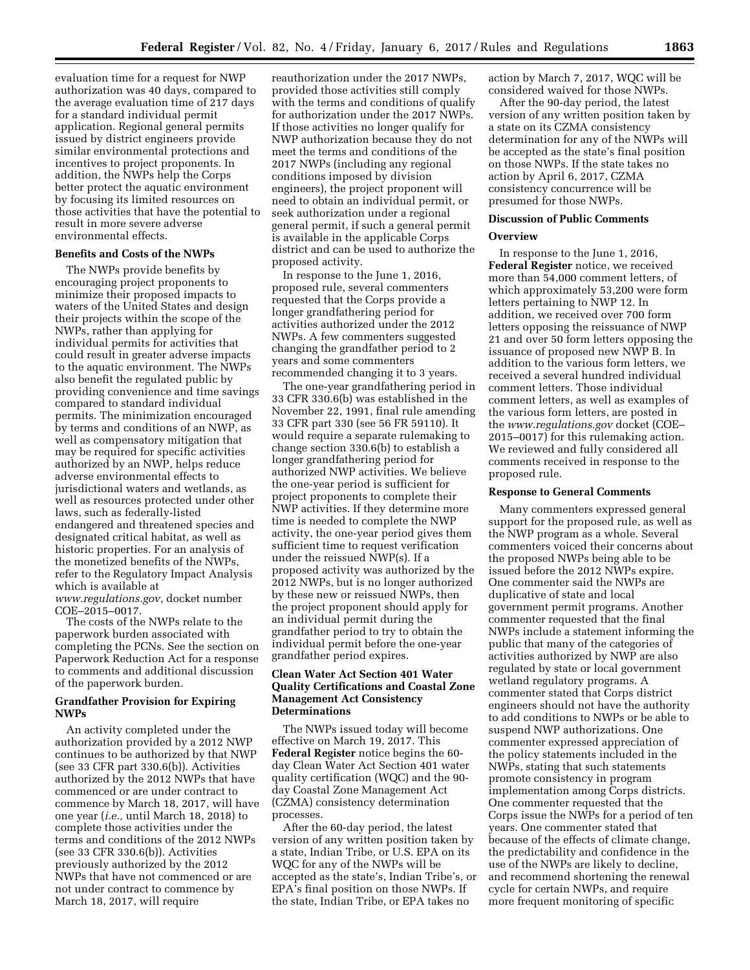evaluation time for a request for NWP authorization was 40 days, compared to the average evaluation time of 217 days for a standard individual permit application. Regional general permits issued by district engineers provide similar environmental protections and incentives to project proponents. In addition, the NWPs help the Corps better protect the aquatic environment by focusing its limited resources on those activities that have the potential to result in more severe adverse environmental effects.

### **Benefits and Costs of the NWPs**

The NWPs provide benefits by encouraging project proponents to minimize their proposed impacts to waters of the United States and design their projects within the scope of the NWPs, rather than applying for individual permits for activities that could result in greater adverse impacts to the aquatic environment. The NWPs also benefit the regulated public by providing convenience and time savings compared to standard individual permits. The minimization encouraged by terms and conditions of an NWP, as well as compensatory mitigation that may be required for specific activities authorized by an NWP, helps reduce adverse environmental effects to jurisdictional waters and wetlands, as well as resources protected under other laws, such as federally-listed endangered and threatened species and designated critical habitat, as well as historic properties. For an analysis of the monetized benefits of the NWPs, refer to the Regulatory Impact Analysis which is available at

*[www.regulations.gov](http://www.regulations.gov)*, docket number COE–2015–0017.

The costs of the NWPs relate to the paperwork burden associated with completing the PCNs. See the section on Paperwork Reduction Act for a response to comments and additional discussion of the paperwork burden.

# **Grandfather Provision for Expiring NWPs**

An activity completed under the authorization provided by a 2012 NWP continues to be authorized by that NWP (see 33 CFR part 330.6(b)). Activities authorized by the 2012 NWPs that have commenced or are under contract to commence by March 18, 2017, will have one year (*i.e.,* until March 18, 2018) to complete those activities under the terms and conditions of the 2012 NWPs (see 33 CFR 330.6(b)). Activities previously authorized by the 2012 NWPs that have not commenced or are not under contract to commence by March 18, 2017, will require

reauthorization under the 2017 NWPs, provided those activities still comply with the terms and conditions of qualify for authorization under the 2017 NWPs. If those activities no longer qualify for NWP authorization because they do not meet the terms and conditions of the 2017 NWPs (including any regional conditions imposed by division engineers), the project proponent will need to obtain an individual permit, or seek authorization under a regional general permit, if such a general permit is available in the applicable Corps district and can be used to authorize the proposed activity.

In response to the June 1, 2016, proposed rule, several commenters requested that the Corps provide a longer grandfathering period for activities authorized under the 2012 NWPs. A few commenters suggested changing the grandfather period to 2 years and some commenters recommended changing it to 3 years.

The one-year grandfathering period in 33 CFR 330.6(b) was established in the November 22, 1991, final rule amending 33 CFR part 330 (see 56 FR 59110). It would require a separate rulemaking to change section 330.6(b) to establish a longer grandfathering period for authorized NWP activities. We believe the one-year period is sufficient for project proponents to complete their NWP activities. If they determine more time is needed to complete the NWP activity, the one-year period gives them sufficient time to request verification under the reissued NWP(s). If a proposed activity was authorized by the 2012 NWPs, but is no longer authorized by these new or reissued NWPs, then the project proponent should apply for an individual permit during the grandfather period to try to obtain the individual permit before the one-year grandfather period expires.

# **Clean Water Act Section 401 Water Quality Certifications and Coastal Zone Management Act Consistency Determinations**

The NWPs issued today will become effective on March 19, 2017. This **Federal Register** notice begins the 60 day Clean Water Act Section 401 water quality certification (WQC) and the 90 day Coastal Zone Management Act (CZMA) consistency determination processes.

After the 60-day period, the latest version of any written position taken by a state, Indian Tribe, or U.S. EPA on its WQC for any of the NWPs will be accepted as the state's, Indian Tribe's, or EPA's final position on those NWPs. If the state, Indian Tribe, or EPA takes no

action by March 7, 2017, WQC will be considered waived for those NWPs.

After the 90-day period, the latest version of any written position taken by a state on its CZMA consistency determination for any of the NWPs will be accepted as the state's final position on those NWPs. If the state takes no action by April 6, 2017, CZMA consistency concurrence will be presumed for those NWPs.

# **Discussion of Public Comments Overview**

In response to the June 1, 2016, **Federal Register** notice, we received more than 54,000 comment letters, of which approximately 53,200 were form letters pertaining to NWP 12. In addition, we received over 700 form letters opposing the reissuance of NWP 21 and over 50 form letters opposing the issuance of proposed new NWP B. In addition to the various form letters, we received a several hundred individual comment letters. Those individual comment letters, as well as examples of the various form letters, are posted in the *[www.regulations.gov](http://www.regulations.gov)* docket (COE– 2015–0017) for this rulemaking action. We reviewed and fully considered all comments received in response to the proposed rule.

#### **Response to General Comments**

Many commenters expressed general support for the proposed rule, as well as the NWP program as a whole. Several commenters voiced their concerns about the proposed NWPs being able to be issued before the 2012 NWPs expire. One commenter said the NWPs are duplicative of state and local government permit programs. Another commenter requested that the final NWPs include a statement informing the public that many of the categories of activities authorized by NWP are also regulated by state or local government wetland regulatory programs. A commenter stated that Corps district engineers should not have the authority to add conditions to NWPs or be able to suspend NWP authorizations. One commenter expressed appreciation of the policy statements included in the NWPs, stating that such statements promote consistency in program implementation among Corps districts. One commenter requested that the Corps issue the NWPs for a period of ten years. One commenter stated that because of the effects of climate change, the predictability and confidence in the use of the NWPs are likely to decline, and recommend shortening the renewal cycle for certain NWPs, and require more frequent monitoring of specific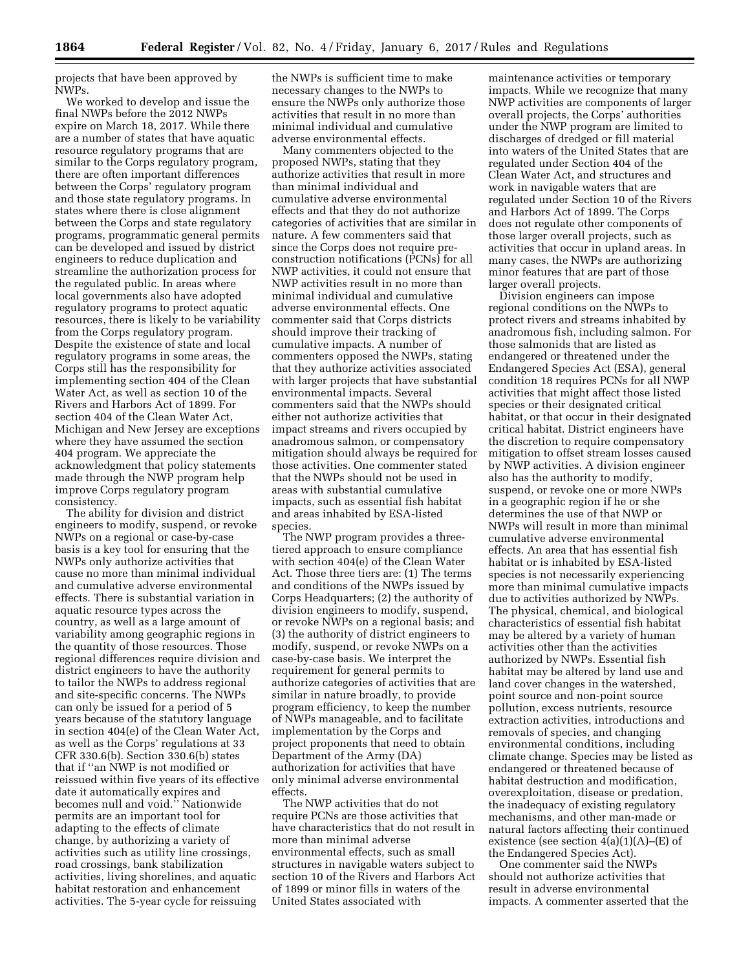projects that have been approved by NWPs.

We worked to develop and issue the final NWPs before the 2012 NWPs expire on March 18, 2017. While there are a number of states that have aquatic resource regulatory programs that are similar to the Corps regulatory program, there are often important differences between the Corps' regulatory program and those state regulatory programs. In states where there is close alignment between the Corps and state regulatory programs, programmatic general permits can be developed and issued by district engineers to reduce duplication and streamline the authorization process for the regulated public. In areas where local governments also have adopted regulatory programs to protect aquatic resources, there is likely to be variability from the Corps regulatory program. Despite the existence of state and local regulatory programs in some areas, the Corps still has the responsibility for implementing section 404 of the Clean Water Act, as well as section 10 of the Rivers and Harbors Act of 1899. For section 404 of the Clean Water Act, Michigan and New Jersey are exceptions where they have assumed the section 404 program. We appreciate the acknowledgment that policy statements made through the NWP program help improve Corps regulatory program consistency.

The ability for division and district engineers to modify, suspend, or revoke NWPs on a regional or case-by-case basis is a key tool for ensuring that the NWPs only authorize activities that cause no more than minimal individual and cumulative adverse environmental effects. There is substantial variation in aquatic resource types across the country, as well as a large amount of variability among geographic regions in the quantity of those resources. Those regional differences require division and district engineers to have the authority to tailor the NWPs to address regional and site-specific concerns. The NWPs can only be issued for a period of 5 years because of the statutory language in section 404(e) of the Clean Water Act, as well as the Corps' regulations at 33 CFR 330.6(b). Section 330.6(b) states that if ''an NWP is not modified or reissued within five years of its effective date it automatically expires and becomes null and void.'' Nationwide permits are an important tool for adapting to the effects of climate change, by authorizing a variety of activities such as utility line crossings, road crossings, bank stabilization activities, living shorelines, and aquatic habitat restoration and enhancement activities. The 5-year cycle for reissuing

the NWPs is sufficient time to make necessary changes to the NWPs to ensure the NWPs only authorize those activities that result in no more than minimal individual and cumulative adverse environmental effects.

Many commenters objected to the proposed NWPs, stating that they authorize activities that result in more than minimal individual and cumulative adverse environmental effects and that they do not authorize categories of activities that are similar in nature. A few commenters said that since the Corps does not require preconstruction notifications (PCNs) for all NWP activities, it could not ensure that NWP activities result in no more than minimal individual and cumulative adverse environmental effects. One commenter said that Corps districts should improve their tracking of cumulative impacts. A number of commenters opposed the NWPs, stating that they authorize activities associated with larger projects that have substantial environmental impacts. Several commenters said that the NWPs should either not authorize activities that impact streams and rivers occupied by anadromous salmon, or compensatory mitigation should always be required for those activities. One commenter stated that the NWPs should not be used in areas with substantial cumulative impacts, such as essential fish habitat and areas inhabited by ESA-listed species.

The NWP program provides a threetiered approach to ensure compliance with section 404(e) of the Clean Water Act. Those three tiers are: (1) The terms and conditions of the NWPs issued by Corps Headquarters; (2) the authority of division engineers to modify, suspend, or revoke NWPs on a regional basis; and (3) the authority of district engineers to modify, suspend, or revoke NWPs on a case-by-case basis. We interpret the requirement for general permits to authorize categories of activities that are similar in nature broadly, to provide program efficiency, to keep the number of NWPs manageable, and to facilitate implementation by the Corps and project proponents that need to obtain Department of the Army (DA) authorization for activities that have only minimal adverse environmental effects.

The NWP activities that do not require PCNs are those activities that have characteristics that do not result in more than minimal adverse environmental effects, such as small structures in navigable waters subject to section 10 of the Rivers and Harbors Act of 1899 or minor fills in waters of the United States associated with

maintenance activities or temporary impacts. While we recognize that many NWP activities are components of larger overall projects, the Corps' authorities under the NWP program are limited to discharges of dredged or fill material into waters of the United States that are regulated under Section 404 of the Clean Water Act, and structures and work in navigable waters that are regulated under Section 10 of the Rivers and Harbors Act of 1899. The Corps does not regulate other components of those larger overall projects, such as activities that occur in upland areas. In many cases, the NWPs are authorizing minor features that are part of those larger overall projects.

Division engineers can impose regional conditions on the NWPs to protect rivers and streams inhabited by anadromous fish, including salmon. For those salmonids that are listed as endangered or threatened under the Endangered Species Act (ESA), general condition 18 requires PCNs for all NWP activities that might affect those listed species or their designated critical habitat, or that occur in their designated critical habitat. District engineers have the discretion to require compensatory mitigation to offset stream losses caused by NWP activities. A division engineer also has the authority to modify, suspend, or revoke one or more NWPs in a geographic region if he or she determines the use of that NWP or NWPs will result in more than minimal cumulative adverse environmental effects. An area that has essential fish habitat or is inhabited by ESA-listed species is not necessarily experiencing more than minimal cumulative impacts due to activities authorized by NWPs. The physical, chemical, and biological characteristics of essential fish habitat may be altered by a variety of human activities other than the activities authorized by NWPs. Essential fish habitat may be altered by land use and land cover changes in the watershed, point source and non-point source pollution, excess nutrients, resource extraction activities, introductions and removals of species, and changing environmental conditions, including climate change. Species may be listed as endangered or threatened because of habitat destruction and modification, overexploitation, disease or predation, the inadequacy of existing regulatory mechanisms, and other man-made or natural factors affecting their continued existence (see section  $\widetilde{4}(a)(1)(A)$ –(E) of the Endangered Species Act).

One commenter said the NWPs should not authorize activities that result in adverse environmental impacts. A commenter asserted that the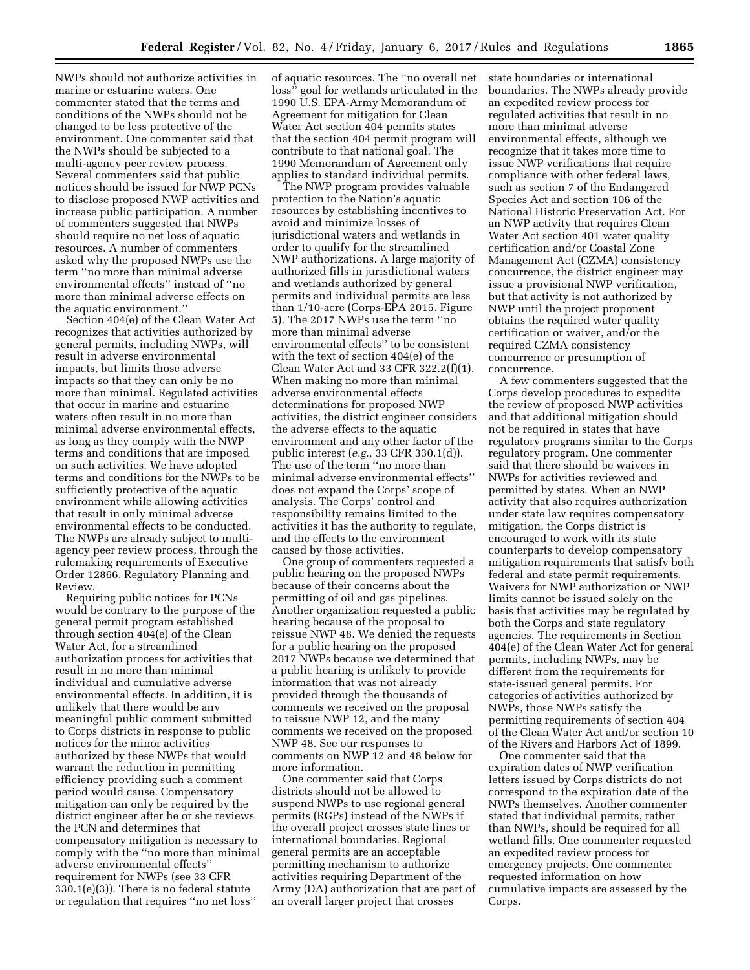NWPs should not authorize activities in marine or estuarine waters. One commenter stated that the terms and conditions of the NWPs should not be changed to be less protective of the environment. One commenter said that the NWPs should be subjected to a multi-agency peer review process. Several commenters said that public notices should be issued for NWP PCNs to disclose proposed NWP activities and increase public participation. A number of commenters suggested that NWPs should require no net loss of aquatic resources. A number of commenters asked why the proposed NWPs use the term ''no more than minimal adverse environmental effects'' instead of ''no more than minimal adverse effects on the aquatic environment.''

Section 404(e) of the Clean Water Act recognizes that activities authorized by general permits, including NWPs, will result in adverse environmental impacts, but limits those adverse impacts so that they can only be no more than minimal. Regulated activities that occur in marine and estuarine waters often result in no more than minimal adverse environmental effects, as long as they comply with the NWP terms and conditions that are imposed on such activities. We have adopted terms and conditions for the NWPs to be sufficiently protective of the aquatic environment while allowing activities that result in only minimal adverse environmental effects to be conducted. The NWPs are already subject to multiagency peer review process, through the rulemaking requirements of Executive Order 12866, Regulatory Planning and Review.

Requiring public notices for PCNs would be contrary to the purpose of the general permit program established through section 404(e) of the Clean Water Act, for a streamlined authorization process for activities that result in no more than minimal individual and cumulative adverse environmental effects. In addition, it is unlikely that there would be any meaningful public comment submitted to Corps districts in response to public notices for the minor activities authorized by these NWPs that would warrant the reduction in permitting efficiency providing such a comment period would cause. Compensatory mitigation can only be required by the district engineer after he or she reviews the PCN and determines that compensatory mitigation is necessary to comply with the ''no more than minimal adverse environmental effects'' requirement for NWPs (see 33 CFR 330.1(e)(3)). There is no federal statute or regulation that requires ''no net loss''

of aquatic resources. The ''no overall net loss'' goal for wetlands articulated in the 1990 U.S. EPA-Army Memorandum of Agreement for mitigation for Clean Water Act section 404 permits states that the section 404 permit program will contribute to that national goal. The 1990 Memorandum of Agreement only applies to standard individual permits.

The NWP program provides valuable protection to the Nation's aquatic resources by establishing incentives to avoid and minimize losses of jurisdictional waters and wetlands in order to qualify for the streamlined NWP authorizations. A large majority of authorized fills in jurisdictional waters and wetlands authorized by general permits and individual permits are less than 1/10-acre (Corps-EPA 2015, Figure 5). The 2017 NWPs use the term ''no more than minimal adverse environmental effects'' to be consistent with the text of section 404(e) of the Clean Water Act and 33 CFR 322.2(f)(1). When making no more than minimal adverse environmental effects determinations for proposed NWP activities, the district engineer considers the adverse effects to the aquatic environment and any other factor of the public interest (*e.g.,* 33 CFR 330.1(d)). The use of the term ''no more than minimal adverse environmental effects'' does not expand the Corps' scope of analysis. The Corps' control and responsibility remains limited to the activities it has the authority to regulate, and the effects to the environment caused by those activities.

One group of commenters requested a public hearing on the proposed NWPs because of their concerns about the permitting of oil and gas pipelines. Another organization requested a public hearing because of the proposal to reissue NWP 48. We denied the requests for a public hearing on the proposed 2017 NWPs because we determined that a public hearing is unlikely to provide information that was not already provided through the thousands of comments we received on the proposal to reissue NWP 12, and the many comments we received on the proposed NWP 48. See our responses to comments on NWP 12 and 48 below for more information.

One commenter said that Corps districts should not be allowed to suspend NWPs to use regional general permits (RGPs) instead of the NWPs if the overall project crosses state lines or international boundaries. Regional general permits are an acceptable permitting mechanism to authorize activities requiring Department of the Army (DA) authorization that are part of an overall larger project that crosses

state boundaries or international boundaries. The NWPs already provide an expedited review process for regulated activities that result in no more than minimal adverse environmental effects, although we recognize that it takes more time to issue NWP verifications that require compliance with other federal laws, such as section 7 of the Endangered Species Act and section 106 of the National Historic Preservation Act. For an NWP activity that requires Clean Water Act section 401 water quality certification and/or Coastal Zone Management Act (CZMA) consistency concurrence, the district engineer may issue a provisional NWP verification, but that activity is not authorized by NWP until the project proponent obtains the required water quality certification or waiver, and/or the required CZMA consistency concurrence or presumption of concurrence.

A few commenters suggested that the Corps develop procedures to expedite the review of proposed NWP activities and that additional mitigation should not be required in states that have regulatory programs similar to the Corps regulatory program. One commenter said that there should be waivers in NWPs for activities reviewed and permitted by states. When an NWP activity that also requires authorization under state law requires compensatory mitigation, the Corps district is encouraged to work with its state counterparts to develop compensatory mitigation requirements that satisfy both federal and state permit requirements. Waivers for NWP authorization or NWP limits cannot be issued solely on the basis that activities may be regulated by both the Corps and state regulatory agencies. The requirements in Section 404(e) of the Clean Water Act for general permits, including NWPs, may be different from the requirements for state-issued general permits. For categories of activities authorized by NWPs, those NWPs satisfy the permitting requirements of section 404 of the Clean Water Act and/or section 10 of the Rivers and Harbors Act of 1899.

One commenter said that the expiration dates of NWP verification letters issued by Corps districts do not correspond to the expiration date of the NWPs themselves. Another commenter stated that individual permits, rather than NWPs, should be required for all wetland fills. One commenter requested an expedited review process for emergency projects. One commenter requested information on how cumulative impacts are assessed by the Corps.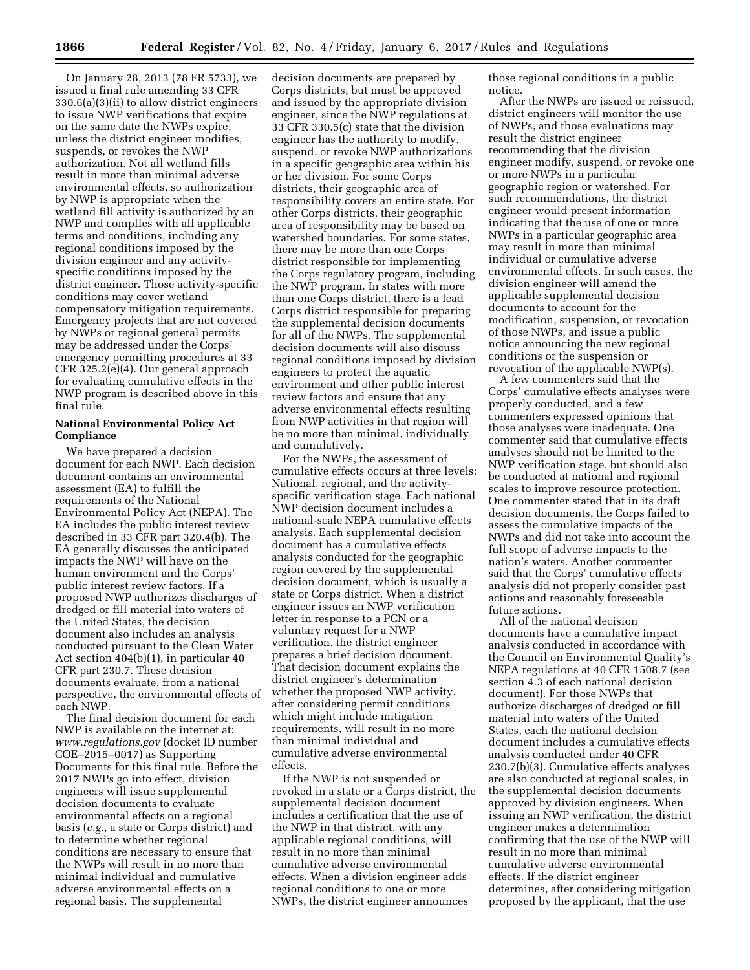On January 28, 2013 (78 FR 5733), we issued a final rule amending 33 CFR 330.6(a)(3)(ii) to allow district engineers to issue NWP verifications that expire on the same date the NWPs expire, unless the district engineer modifies, suspends, or revokes the NWP authorization. Not all wetland fills result in more than minimal adverse environmental effects, so authorization by NWP is appropriate when the wetland fill activity is authorized by an NWP and complies with all applicable terms and conditions, including any regional conditions imposed by the division engineer and any activityspecific conditions imposed by the district engineer. Those activity-specific conditions may cover wetland compensatory mitigation requirements. Emergency projects that are not covered by NWPs or regional general permits may be addressed under the Corps' emergency permitting procedures at 33 CFR 325.2(e)(4). Our general approach for evaluating cumulative effects in the NWP program is described above in this final rule.

# **National Environmental Policy Act Compliance**

We have prepared a decision document for each NWP. Each decision document contains an environmental assessment (EA) to fulfill the requirements of the National Environmental Policy Act (NEPA). The EA includes the public interest review described in 33 CFR part 320.4(b). The EA generally discusses the anticipated impacts the NWP will have on the human environment and the Corps' public interest review factors. If a proposed NWP authorizes discharges of dredged or fill material into waters of the United States, the decision document also includes an analysis conducted pursuant to the Clean Water Act section 404(b)(1), in particular 40 CFR part 230.7. These decision documents evaluate, from a national perspective, the environmental effects of each NWP.

The final decision document for each NWP is available on the internet at: *[www.regulations.gov](http://www.regulations.gov)* (docket ID number COE–2015–0017) as Supporting Documents for this final rule. Before the 2017 NWPs go into effect, division engineers will issue supplemental decision documents to evaluate environmental effects on a regional basis (*e.g.,* a state or Corps district) and to determine whether regional conditions are necessary to ensure that the NWPs will result in no more than minimal individual and cumulative adverse environmental effects on a regional basis. The supplemental

decision documents are prepared by Corps districts, but must be approved and issued by the appropriate division engineer, since the NWP regulations at 33 CFR 330.5(c) state that the division engineer has the authority to modify, suspend, or revoke NWP authorizations in a specific geographic area within his or her division. For some Corps districts, their geographic area of responsibility covers an entire state. For other Corps districts, their geographic area of responsibility may be based on watershed boundaries. For some states, there may be more than one Corps district responsible for implementing the Corps regulatory program, including the NWP program. In states with more than one Corps district, there is a lead Corps district responsible for preparing the supplemental decision documents for all of the NWPs. The supplemental decision documents will also discuss regional conditions imposed by division engineers to protect the aquatic environment and other public interest review factors and ensure that any adverse environmental effects resulting from NWP activities in that region will be no more than minimal, individually and cumulatively.

For the NWPs, the assessment of cumulative effects occurs at three levels: National, regional, and the activityspecific verification stage. Each national NWP decision document includes a national-scale NEPA cumulative effects analysis. Each supplemental decision document has a cumulative effects analysis conducted for the geographic region covered by the supplemental decision document, which is usually a state or Corps district. When a district engineer issues an NWP verification letter in response to a PCN or a voluntary request for a NWP verification, the district engineer prepares a brief decision document. That decision document explains the district engineer's determination whether the proposed NWP activity, after considering permit conditions which might include mitigation requirements, will result in no more than minimal individual and cumulative adverse environmental effects.

If the NWP is not suspended or revoked in a state or a Corps district, the supplemental decision document includes a certification that the use of the NWP in that district, with any applicable regional conditions, will result in no more than minimal cumulative adverse environmental effects. When a division engineer adds regional conditions to one or more NWPs, the district engineer announces

those regional conditions in a public notice.

After the NWPs are issued or reissued, district engineers will monitor the use of NWPs, and those evaluations may result the district engineer recommending that the division engineer modify, suspend, or revoke one or more NWPs in a particular geographic region or watershed. For such recommendations, the district engineer would present information indicating that the use of one or more NWPs in a particular geographic area may result in more than minimal individual or cumulative adverse environmental effects. In such cases, the division engineer will amend the applicable supplemental decision documents to account for the modification, suspension, or revocation of those NWPs, and issue a public notice announcing the new regional conditions or the suspension or revocation of the applicable NWP(s).

A few commenters said that the Corps' cumulative effects analyses were properly conducted, and a few commenters expressed opinions that those analyses were inadequate. One commenter said that cumulative effects analyses should not be limited to the NWP verification stage, but should also be conducted at national and regional scales to improve resource protection. One commenter stated that in its draft decision documents, the Corps failed to assess the cumulative impacts of the NWPs and did not take into account the full scope of adverse impacts to the nation's waters. Another commenter said that the Corps' cumulative effects analysis did not properly consider past actions and reasonably foreseeable future actions.

All of the national decision documents have a cumulative impact analysis conducted in accordance with the Council on Environmental Quality's NEPA regulations at 40 CFR 1508.7 (see section 4.3 of each national decision document). For those NWPs that authorize discharges of dredged or fill material into waters of the United States, each the national decision document includes a cumulative effects analysis conducted under 40 CFR 230.7(b)(3). Cumulative effects analyses are also conducted at regional scales, in the supplemental decision documents approved by division engineers. When issuing an NWP verification, the district engineer makes a determination confirming that the use of the NWP will result in no more than minimal cumulative adverse environmental effects. If the district engineer determines, after considering mitigation proposed by the applicant, that the use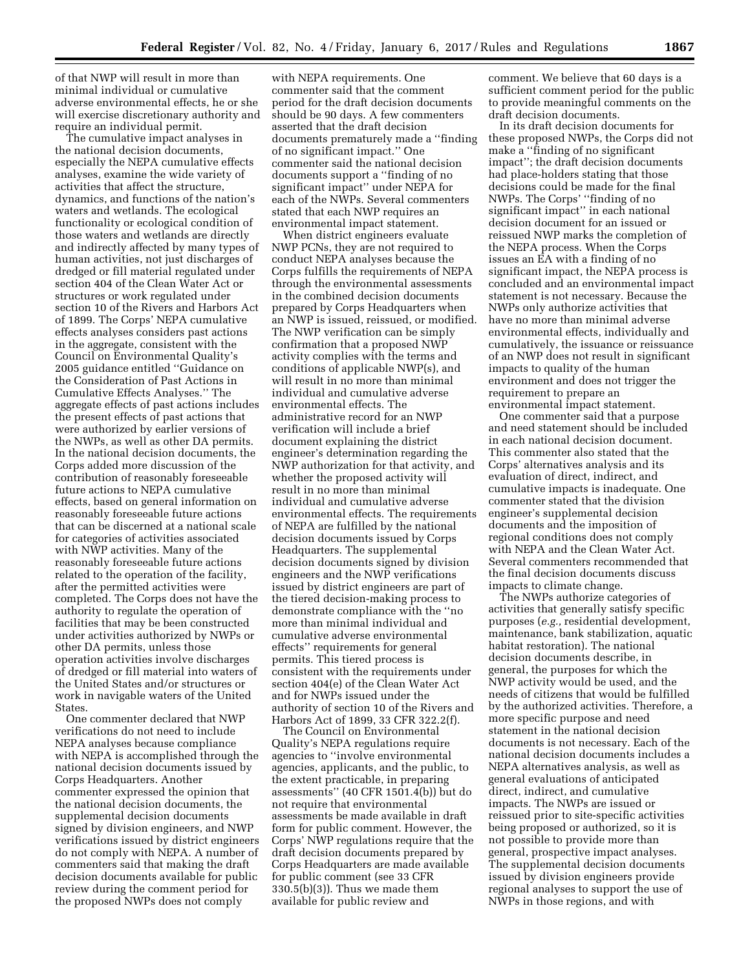of that NWP will result in more than minimal individual or cumulative adverse environmental effects, he or she will exercise discretionary authority and require an individual permit.

The cumulative impact analyses in the national decision documents, especially the NEPA cumulative effects analyses, examine the wide variety of activities that affect the structure, dynamics, and functions of the nation's waters and wetlands. The ecological functionality or ecological condition of those waters and wetlands are directly and indirectly affected by many types of human activities, not just discharges of dredged or fill material regulated under section 404 of the Clean Water Act or structures or work regulated under section 10 of the Rivers and Harbors Act of 1899. The Corps' NEPA cumulative effects analyses considers past actions in the aggregate, consistent with the Council on Environmental Quality's 2005 guidance entitled ''Guidance on the Consideration of Past Actions in Cumulative Effects Analyses.'' The aggregate effects of past actions includes the present effects of past actions that were authorized by earlier versions of the NWPs, as well as other DA permits. In the national decision documents, the Corps added more discussion of the contribution of reasonably foreseeable future actions to NEPA cumulative effects, based on general information on reasonably foreseeable future actions that can be discerned at a national scale for categories of activities associated with NWP activities. Many of the reasonably foreseeable future actions related to the operation of the facility, after the permitted activities were completed. The Corps does not have the authority to regulate the operation of facilities that may be been constructed under activities authorized by NWPs or other DA permits, unless those operation activities involve discharges of dredged or fill material into waters of the United States and/or structures or work in navigable waters of the United States.

One commenter declared that NWP verifications do not need to include NEPA analyses because compliance with NEPA is accomplished through the national decision documents issued by Corps Headquarters. Another commenter expressed the opinion that the national decision documents, the supplemental decision documents signed by division engineers, and NWP verifications issued by district engineers do not comply with NEPA. A number of commenters said that making the draft decision documents available for public review during the comment period for the proposed NWPs does not comply

with NEPA requirements. One commenter said that the comment period for the draft decision documents should be 90 days. A few commenters asserted that the draft decision documents prematurely made a ''finding of no significant impact.'' One commenter said the national decision documents support a ''finding of no significant impact'' under NEPA for each of the NWPs. Several commenters stated that each NWP requires an environmental impact statement.

When district engineers evaluate NWP PCNs, they are not required to conduct NEPA analyses because the Corps fulfills the requirements of NEPA through the environmental assessments in the combined decision documents prepared by Corps Headquarters when an NWP is issued, reissued, or modified. The NWP verification can be simply confirmation that a proposed NWP activity complies with the terms and conditions of applicable NWP(s), and will result in no more than minimal individual and cumulative adverse environmental effects. The administrative record for an NWP verification will include a brief document explaining the district engineer's determination regarding the NWP authorization for that activity, and whether the proposed activity will result in no more than minimal individual and cumulative adverse environmental effects. The requirements of NEPA are fulfilled by the national decision documents issued by Corps Headquarters. The supplemental decision documents signed by division engineers and the NWP verifications issued by district engineers are part of the tiered decision-making process to demonstrate compliance with the ''no more than minimal individual and cumulative adverse environmental effects'' requirements for general permits. This tiered process is consistent with the requirements under section 404(e) of the Clean Water Act and for NWPs issued under the authority of section 10 of the Rivers and Harbors Act of 1899, 33 CFR 322.2(f).

The Council on Environmental Quality's NEPA regulations require agencies to ''involve environmental agencies, applicants, and the public, to the extent practicable, in preparing assessments'' (40 CFR 1501.4(b)) but do not require that environmental assessments be made available in draft form for public comment. However, the Corps' NWP regulations require that the draft decision documents prepared by Corps Headquarters are made available for public comment (see 33 CFR 330.5(b)(3)). Thus we made them available for public review and

comment. We believe that 60 days is a sufficient comment period for the public to provide meaningful comments on the draft decision documents.

In its draft decision documents for these proposed NWPs, the Corps did not make a ''finding of no significant impact''; the draft decision documents had place-holders stating that those decisions could be made for the final NWPs. The Corps' ''finding of no significant impact" in each national decision document for an issued or reissued NWP marks the completion of the NEPA process. When the Corps issues an EA with a finding of no significant impact, the NEPA process is concluded and an environmental impact statement is not necessary. Because the NWPs only authorize activities that have no more than minimal adverse environmental effects, individually and cumulatively, the issuance or reissuance of an NWP does not result in significant impacts to quality of the human environment and does not trigger the requirement to prepare an environmental impact statement.

One commenter said that a purpose and need statement should be included in each national decision document. This commenter also stated that the Corps' alternatives analysis and its evaluation of direct, indirect, and cumulative impacts is inadequate. One commenter stated that the division engineer's supplemental decision documents and the imposition of regional conditions does not comply with NEPA and the Clean Water Act. Several commenters recommended that the final decision documents discuss impacts to climate change.

The NWPs authorize categories of activities that generally satisfy specific purposes (*e.g.,* residential development, maintenance, bank stabilization, aquatic habitat restoration). The national decision documents describe, in general, the purposes for which the NWP activity would be used, and the needs of citizens that would be fulfilled by the authorized activities. Therefore, a more specific purpose and need statement in the national decision documents is not necessary. Each of the national decision documents includes a NEPA alternatives analysis, as well as general evaluations of anticipated direct, indirect, and cumulative impacts. The NWPs are issued or reissued prior to site-specific activities being proposed or authorized, so it is not possible to provide more than general, prospective impact analyses. The supplemental decision documents issued by division engineers provide regional analyses to support the use of NWPs in those regions, and with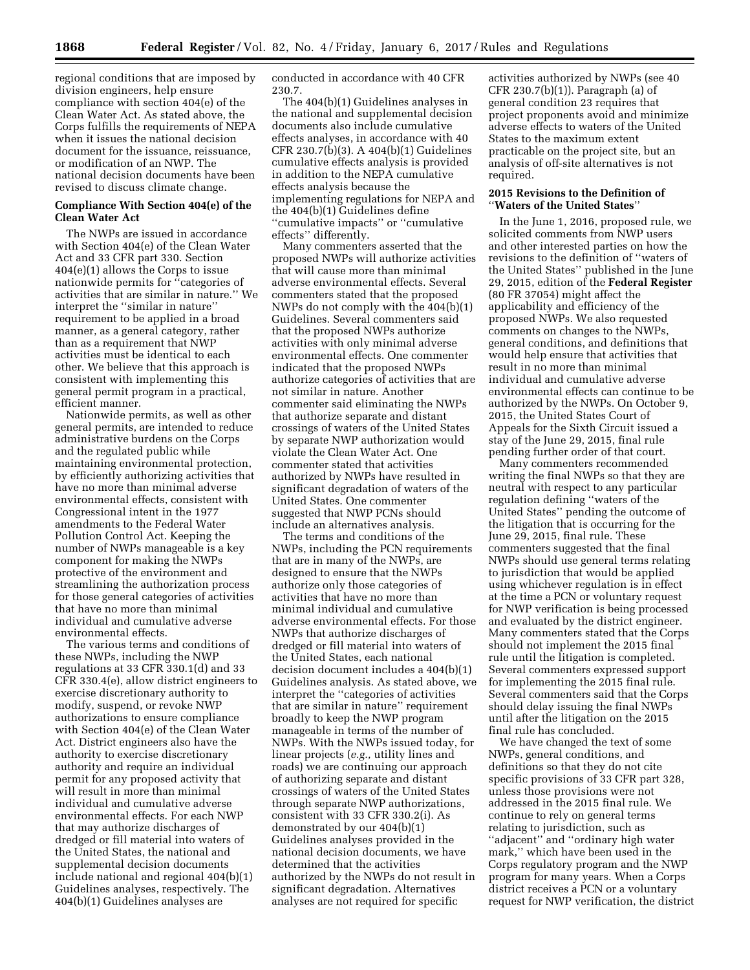regional conditions that are imposed by division engineers, help ensure compliance with section 404(e) of the Clean Water Act. As stated above, the Corps fulfills the requirements of NEPA when it issues the national decision document for the issuance, reissuance, or modification of an NWP. The national decision documents have been revised to discuss climate change.

### **Compliance With Section 404(e) of the Clean Water Act**

The NWPs are issued in accordance with Section 404(e) of the Clean Water Act and 33 CFR part 330. Section 404(e)(1) allows the Corps to issue nationwide permits for ''categories of activities that are similar in nature.'' We interpret the ''similar in nature'' requirement to be applied in a broad manner, as a general category, rather than as a requirement that NWP activities must be identical to each other. We believe that this approach is consistent with implementing this general permit program in a practical, efficient manner.

Nationwide permits, as well as other general permits, are intended to reduce administrative burdens on the Corps and the regulated public while maintaining environmental protection, by efficiently authorizing activities that have no more than minimal adverse environmental effects, consistent with Congressional intent in the 1977 amendments to the Federal Water Pollution Control Act. Keeping the number of NWPs manageable is a key component for making the NWPs protective of the environment and streamlining the authorization process for those general categories of activities that have no more than minimal individual and cumulative adverse environmental effects.

The various terms and conditions of these NWPs, including the NWP regulations at 33 CFR 330.1(d) and 33 CFR 330.4(e), allow district engineers to exercise discretionary authority to modify, suspend, or revoke NWP authorizations to ensure compliance with Section 404(e) of the Clean Water Act. District engineers also have the authority to exercise discretionary authority and require an individual permit for any proposed activity that will result in more than minimal individual and cumulative adverse environmental effects. For each NWP that may authorize discharges of dredged or fill material into waters of the United States, the national and supplemental decision documents include national and regional 404(b)(1) Guidelines analyses, respectively. The 404(b)(1) Guidelines analyses are

conducted in accordance with 40 CFR 230.7.

The 404(b)(1) Guidelines analyses in the national and supplemental decision documents also include cumulative effects analyses, in accordance with 40 CFR 230.7(b)(3). A 404(b)(1) Guidelines cumulative effects analysis is provided in addition to the NEPA cumulative effects analysis because the implementing regulations for NEPA and the 404(b)(1) Guidelines define ''cumulative impacts'' or ''cumulative effects'' differently.

Many commenters asserted that the proposed NWPs will authorize activities that will cause more than minimal adverse environmental effects. Several commenters stated that the proposed NWPs do not comply with the 404(b)(1) Guidelines. Several commenters said that the proposed NWPs authorize activities with only minimal adverse environmental effects. One commenter indicated that the proposed NWPs authorize categories of activities that are not similar in nature. Another commenter said eliminating the NWPs that authorize separate and distant crossings of waters of the United States by separate NWP authorization would violate the Clean Water Act. One commenter stated that activities authorized by NWPs have resulted in significant degradation of waters of the United States. One commenter suggested that NWP PCNs should include an alternatives analysis.

The terms and conditions of the NWPs, including the PCN requirements that are in many of the NWPs, are designed to ensure that the NWPs authorize only those categories of activities that have no more than minimal individual and cumulative adverse environmental effects. For those NWPs that authorize discharges of dredged or fill material into waters of the United States, each national decision document includes a 404(b)(1) Guidelines analysis. As stated above, we interpret the ''categories of activities that are similar in nature'' requirement broadly to keep the NWP program manageable in terms of the number of NWPs. With the NWPs issued today, for linear projects (*e.g.,* utility lines and roads) we are continuing our approach of authorizing separate and distant crossings of waters of the United States through separate NWP authorizations, consistent with 33 CFR 330.2(i). As demonstrated by our 404(b)(1) Guidelines analyses provided in the national decision documents, we have determined that the activities authorized by the NWPs do not result in significant degradation. Alternatives analyses are not required for specific

activities authorized by NWPs (see 40 CFR 230.7(b)(1)). Paragraph (a) of general condition 23 requires that project proponents avoid and minimize adverse effects to waters of the United States to the maximum extent practicable on the project site, but an analysis of off-site alternatives is not required.

# **2015 Revisions to the Definition of**  ''**Waters of the United States**''

In the June 1, 2016, proposed rule, we solicited comments from NWP users and other interested parties on how the revisions to the definition of ''waters of the United States'' published in the June 29, 2015, edition of the **Federal Register**  (80 FR 37054) might affect the applicability and efficiency of the proposed NWPs. We also requested comments on changes to the NWPs, general conditions, and definitions that would help ensure that activities that result in no more than minimal individual and cumulative adverse environmental effects can continue to be authorized by the NWPs. On October 9, 2015, the United States Court of Appeals for the Sixth Circuit issued a stay of the June 29, 2015, final rule pending further order of that court.

Many commenters recommended writing the final NWPs so that they are neutral with respect to any particular regulation defining ''waters of the United States'' pending the outcome of the litigation that is occurring for the June 29, 2015, final rule. These commenters suggested that the final NWPs should use general terms relating to jurisdiction that would be applied using whichever regulation is in effect at the time a PCN or voluntary request for NWP verification is being processed and evaluated by the district engineer. Many commenters stated that the Corps should not implement the 2015 final rule until the litigation is completed. Several commenters expressed support for implementing the 2015 final rule. Several commenters said that the Corps should delay issuing the final NWPs until after the litigation on the 2015 final rule has concluded.

We have changed the text of some NWPs, general conditions, and definitions so that they do not cite specific provisions of 33 CFR part 328, unless those provisions were not addressed in the 2015 final rule. We continue to rely on general terms relating to jurisdiction, such as ''adjacent'' and ''ordinary high water mark,'' which have been used in the Corps regulatory program and the NWP program for many years. When a Corps district receives a PCN or a voluntary request for NWP verification, the district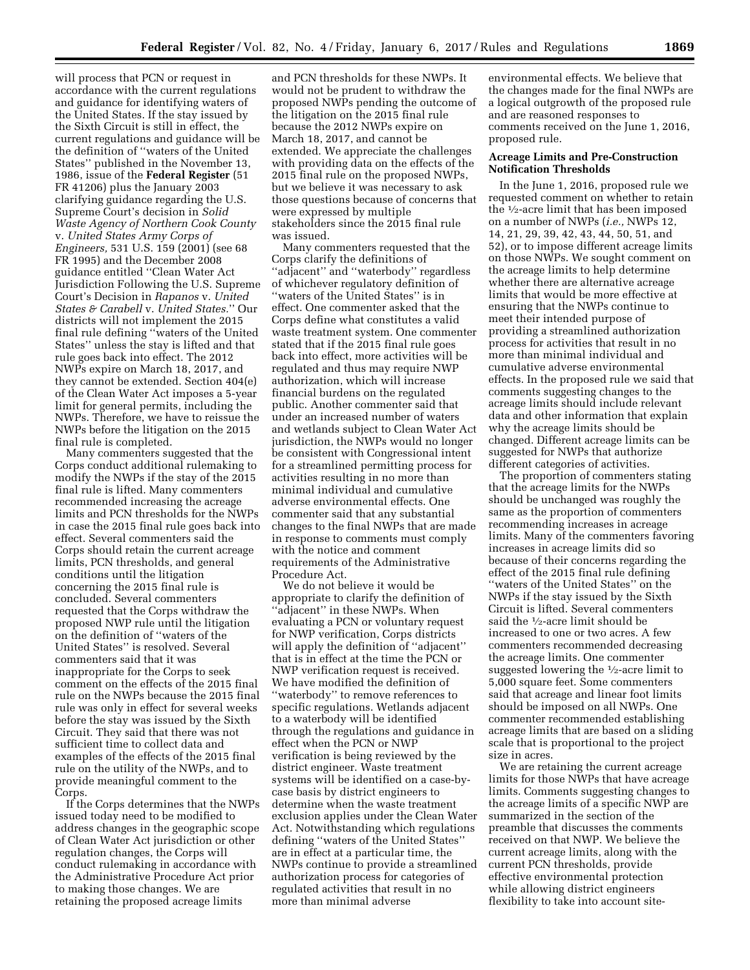will process that PCN or request in accordance with the current regulations and guidance for identifying waters of the United States. If the stay issued by the Sixth Circuit is still in effect, the current regulations and guidance will be the definition of ''waters of the United States'' published in the November 13, 1986, issue of the **Federal Register** (51 FR 41206) plus the January 2003 clarifying guidance regarding the U.S. Supreme Court's decision in *Solid Waste Agency of Northern Cook County*  v. *United States Army Corps of Engineers,* 531 U.S. 159 (2001) (see 68 FR 1995) and the December 2008 guidance entitled ''Clean Water Act Jurisdiction Following the U.S. Supreme Court's Decision in *Rapanos* v. *United States & Carabell* v. *United States.*'' Our districts will not implement the 2015 final rule defining ''waters of the United States'' unless the stay is lifted and that rule goes back into effect. The 2012 NWPs expire on March 18, 2017, and they cannot be extended. Section 404(e) of the Clean Water Act imposes a 5-year limit for general permits, including the NWPs. Therefore, we have to reissue the NWPs before the litigation on the 2015 final rule is completed.

Many commenters suggested that the Corps conduct additional rulemaking to modify the NWPs if the stay of the 2015 final rule is lifted. Many commenters recommended increasing the acreage limits and PCN thresholds for the NWPs in case the 2015 final rule goes back into effect. Several commenters said the Corps should retain the current acreage limits, PCN thresholds, and general conditions until the litigation concerning the 2015 final rule is concluded. Several commenters requested that the Corps withdraw the proposed NWP rule until the litigation on the definition of ''waters of the United States'' is resolved. Several commenters said that it was inappropriate for the Corps to seek comment on the effects of the 2015 final rule on the NWPs because the 2015 final rule was only in effect for several weeks before the stay was issued by the Sixth Circuit. They said that there was not sufficient time to collect data and examples of the effects of the 2015 final rule on the utility of the NWPs, and to provide meaningful comment to the Corps.

If the Corps determines that the NWPs issued today need to be modified to address changes in the geographic scope of Clean Water Act jurisdiction or other regulation changes, the Corps will conduct rulemaking in accordance with the Administrative Procedure Act prior to making those changes. We are retaining the proposed acreage limits

and PCN thresholds for these NWPs. It would not be prudent to withdraw the proposed NWPs pending the outcome of the litigation on the 2015 final rule because the 2012 NWPs expire on March 18, 2017, and cannot be extended. We appreciate the challenges with providing data on the effects of the 2015 final rule on the proposed NWPs, but we believe it was necessary to ask those questions because of concerns that were expressed by multiple stakeholders since the 2015 final rule was issued.

Many commenters requested that the Corps clarify the definitions of ''adjacent'' and ''waterbody'' regardless of whichever regulatory definition of ''waters of the United States'' is in effect. One commenter asked that the Corps define what constitutes a valid waste treatment system. One commenter stated that if the 2015 final rule goes back into effect, more activities will be regulated and thus may require NWP authorization, which will increase financial burdens on the regulated public. Another commenter said that under an increased number of waters and wetlands subject to Clean Water Act jurisdiction, the NWPs would no longer be consistent with Congressional intent for a streamlined permitting process for activities resulting in no more than minimal individual and cumulative adverse environmental effects. One commenter said that any substantial changes to the final NWPs that are made in response to comments must comply with the notice and comment requirements of the Administrative Procedure Act.

We do not believe it would be appropriate to clarify the definition of ''adjacent'' in these NWPs. When evaluating a PCN or voluntary request for NWP verification, Corps districts will apply the definition of ''adjacent'' that is in effect at the time the PCN or NWP verification request is received. We have modified the definition of ''waterbody'' to remove references to specific regulations. Wetlands adjacent to a waterbody will be identified through the regulations and guidance in effect when the PCN or NWP verification is being reviewed by the district engineer. Waste treatment systems will be identified on a case-bycase basis by district engineers to determine when the waste treatment exclusion applies under the Clean Water Act. Notwithstanding which regulations defining ''waters of the United States'' are in effect at a particular time, the NWPs continue to provide a streamlined authorization process for categories of regulated activities that result in no more than minimal adverse

environmental effects. We believe that the changes made for the final NWPs are a logical outgrowth of the proposed rule and are reasoned responses to comments received on the June 1, 2016, proposed rule.

#### **Acreage Limits and Pre-Construction Notification Thresholds**

In the June 1, 2016, proposed rule we requested comment on whether to retain the 1⁄2-acre limit that has been imposed on a number of NWPs (*i.e.,* NWPs 12, 14, 21, 29, 39, 42, 43, 44, 50, 51, and 52), or to impose different acreage limits on those NWPs. We sought comment on the acreage limits to help determine whether there are alternative acreage limits that would be more effective at ensuring that the NWPs continue to meet their intended purpose of providing a streamlined authorization process for activities that result in no more than minimal individual and cumulative adverse environmental effects. In the proposed rule we said that comments suggesting changes to the acreage limits should include relevant data and other information that explain why the acreage limits should be changed. Different acreage limits can be suggested for NWPs that authorize different categories of activities.

The proportion of commenters stating that the acreage limits for the NWPs should be unchanged was roughly the same as the proportion of commenters recommending increases in acreage limits. Many of the commenters favoring increases in acreage limits did so because of their concerns regarding the effect of the 2015 final rule defining ''waters of the United States'' on the NWPs if the stay issued by the Sixth Circuit is lifted. Several commenters said the 1/2-acre limit should be increased to one or two acres. A few commenters recommended decreasing the acreage limits. One commenter suggested lowering the 1⁄2-acre limit to 5,000 square feet. Some commenters said that acreage and linear foot limits should be imposed on all NWPs. One commenter recommended establishing acreage limits that are based on a sliding scale that is proportional to the project size in acres.

We are retaining the current acreage limits for those NWPs that have acreage limits. Comments suggesting changes to the acreage limits of a specific NWP are summarized in the section of the preamble that discusses the comments received on that NWP. We believe the current acreage limits, along with the current PCN thresholds, provide effective environmental protection while allowing district engineers flexibility to take into account site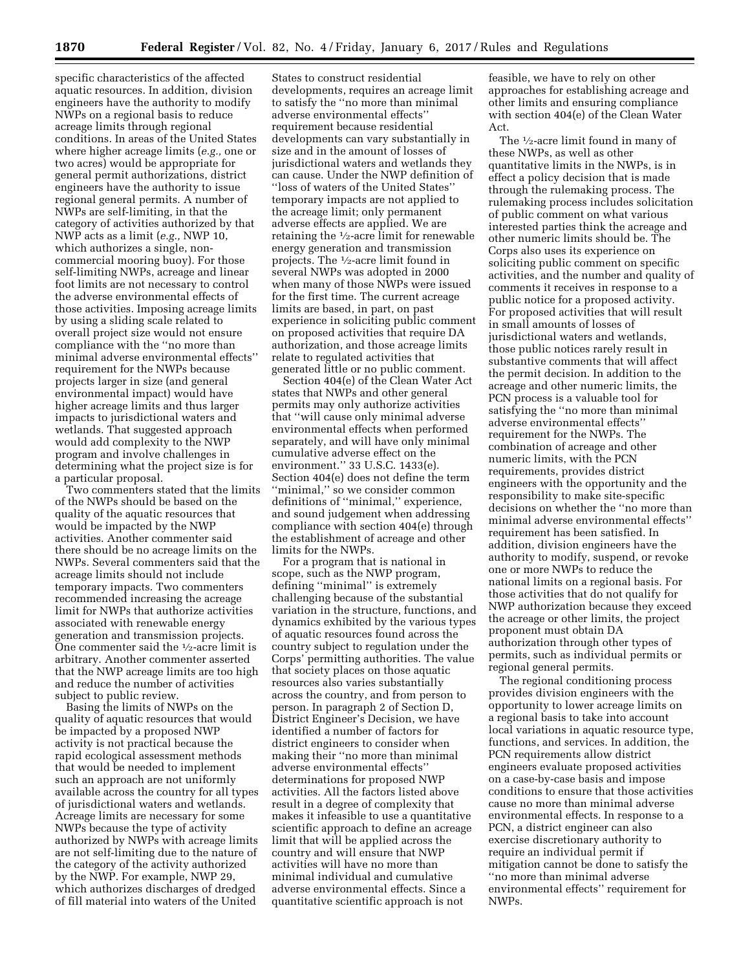specific characteristics of the affected aquatic resources. In addition, division engineers have the authority to modify NWPs on a regional basis to reduce acreage limits through regional conditions. In areas of the United States where higher acreage limits (*e.g.,* one or two acres) would be appropriate for general permit authorizations, district engineers have the authority to issue regional general permits. A number of NWPs are self-limiting, in that the category of activities authorized by that NWP acts as a limit (*e.g.,* NWP 10, which authorizes a single, noncommercial mooring buoy). For those self-limiting NWPs, acreage and linear foot limits are not necessary to control the adverse environmental effects of those activities. Imposing acreage limits by using a sliding scale related to overall project size would not ensure compliance with the ''no more than minimal adverse environmental effects'' requirement for the NWPs because projects larger in size (and general environmental impact) would have higher acreage limits and thus larger impacts to jurisdictional waters and wetlands. That suggested approach would add complexity to the NWP program and involve challenges in determining what the project size is for a particular proposal.

Two commenters stated that the limits of the NWPs should be based on the quality of the aquatic resources that would be impacted by the NWP activities. Another commenter said there should be no acreage limits on the NWPs. Several commenters said that the acreage limits should not include temporary impacts. Two commenters recommended increasing the acreage limit for NWPs that authorize activities associated with renewable energy generation and transmission projects. One commenter said the 1⁄2-acre limit is arbitrary. Another commenter asserted that the NWP acreage limits are too high and reduce the number of activities subject to public review.

Basing the limits of NWPs on the quality of aquatic resources that would be impacted by a proposed NWP activity is not practical because the rapid ecological assessment methods that would be needed to implement such an approach are not uniformly available across the country for all types of jurisdictional waters and wetlands. Acreage limits are necessary for some NWPs because the type of activity authorized by NWPs with acreage limits are not self-limiting due to the nature of the category of the activity authorized by the NWP. For example, NWP 29, which authorizes discharges of dredged of fill material into waters of the United

States to construct residential developments, requires an acreage limit to satisfy the ''no more than minimal adverse environmental effects'' requirement because residential developments can vary substantially in size and in the amount of losses of jurisdictional waters and wetlands they can cause. Under the NWP definition of ''loss of waters of the United States'' temporary impacts are not applied to the acreage limit; only permanent adverse effects are applied. We are retaining the 1⁄2-acre limit for renewable energy generation and transmission projects. The 1⁄2-acre limit found in several NWPs was adopted in 2000 when many of those NWPs were issued for the first time. The current acreage limits are based, in part, on past experience in soliciting public comment on proposed activities that require DA authorization, and those acreage limits relate to regulated activities that generated little or no public comment.

Section 404(e) of the Clean Water Act states that NWPs and other general permits may only authorize activities that ''will cause only minimal adverse environmental effects when performed separately, and will have only minimal cumulative adverse effect on the environment.'' 33 U.S.C. 1433(e). Section 404(e) does not define the term ''minimal,'' so we consider common definitions of ''minimal,'' experience, and sound judgement when addressing compliance with section 404(e) through the establishment of acreage and other limits for the NWPs.

For a program that is national in scope, such as the NWP program, defining ''minimal'' is extremely challenging because of the substantial variation in the structure, functions, and dynamics exhibited by the various types of aquatic resources found across the country subject to regulation under the Corps' permitting authorities. The value that society places on those aquatic resources also varies substantially across the country, and from person to person. In paragraph 2 of Section D, District Engineer's Decision, we have identified a number of factors for district engineers to consider when making their ''no more than minimal adverse environmental effects'' determinations for proposed NWP activities. All the factors listed above result in a degree of complexity that makes it infeasible to use a quantitative scientific approach to define an acreage limit that will be applied across the country and will ensure that NWP activities will have no more than minimal individual and cumulative adverse environmental effects. Since a quantitative scientific approach is not

feasible, we have to rely on other approaches for establishing acreage and other limits and ensuring compliance with section 404(e) of the Clean Water Act.

The <sup>1</sup>/<sub>2</sub>-acre limit found in many of these NWPs, as well as other quantitative limits in the NWPs, is in effect a policy decision that is made through the rulemaking process. The rulemaking process includes solicitation of public comment on what various interested parties think the acreage and other numeric limits should be. The Corps also uses its experience on soliciting public comment on specific activities, and the number and quality of comments it receives in response to a public notice for a proposed activity. For proposed activities that will result in small amounts of losses of jurisdictional waters and wetlands, those public notices rarely result in substantive comments that will affect the permit decision. In addition to the acreage and other numeric limits, the PCN process is a valuable tool for satisfying the ''no more than minimal adverse environmental effects'' requirement for the NWPs. The combination of acreage and other numeric limits, with the PCN requirements, provides district engineers with the opportunity and the responsibility to make site-specific decisions on whether the ''no more than minimal adverse environmental effects'' requirement has been satisfied. In addition, division engineers have the authority to modify, suspend, or revoke one or more NWPs to reduce the national limits on a regional basis. For those activities that do not qualify for NWP authorization because they exceed the acreage or other limits, the project proponent must obtain DA authorization through other types of permits, such as individual permits or regional general permits.

The regional conditioning process provides division engineers with the opportunity to lower acreage limits on a regional basis to take into account local variations in aquatic resource type, functions, and services. In addition, the PCN requirements allow district engineers evaluate proposed activities on a case-by-case basis and impose conditions to ensure that those activities cause no more than minimal adverse environmental effects. In response to a PCN, a district engineer can also exercise discretionary authority to require an individual permit if mitigation cannot be done to satisfy the ''no more than minimal adverse environmental effects'' requirement for NWPs.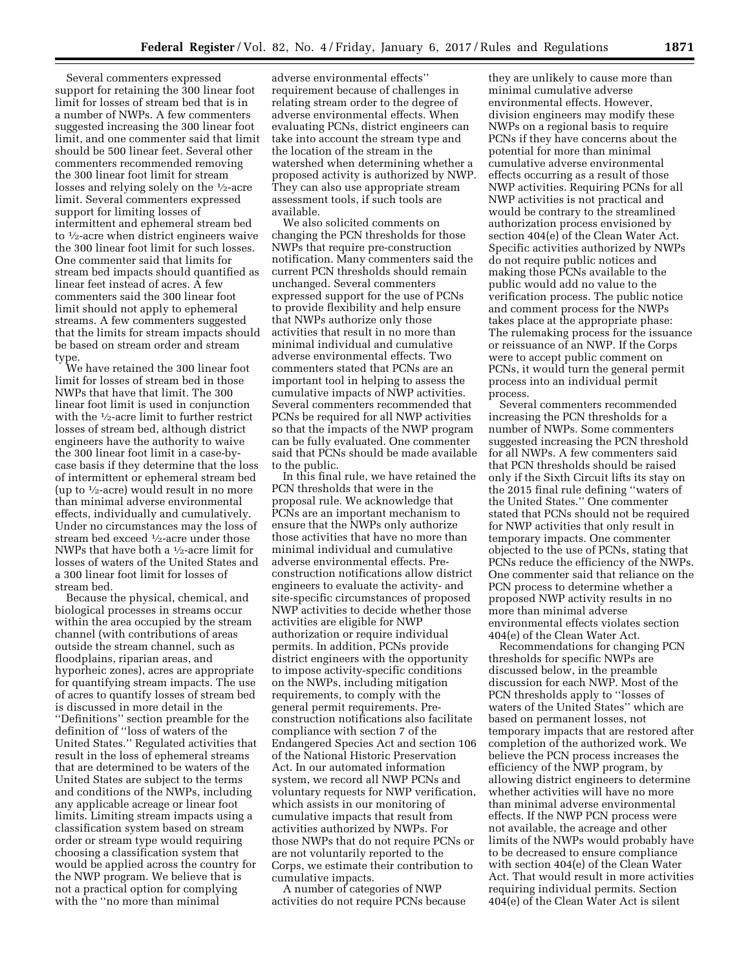Several commenters expressed support for retaining the 300 linear foot limit for losses of stream bed that is in a number of NWPs. A few commenters suggested increasing the 300 linear foot limit, and one commenter said that limit should be 500 linear feet. Several other commenters recommended removing the 300 linear foot limit for stream losses and relying solely on the 1⁄2-acre limit. Several commenters expressed support for limiting losses of intermittent and ephemeral stream bed to 1⁄2-acre when district engineers waive the 300 linear foot limit for such losses. One commenter said that limits for stream bed impacts should quantified as linear feet instead of acres. A few commenters said the 300 linear foot limit should not apply to ephemeral streams. A few commenters suggested that the limits for stream impacts should be based on stream order and stream type.

We have retained the 300 linear foot limit for losses of stream bed in those NWPs that have that limit. The 300 linear foot limit is used in conjunction with the <sup>1</sup>/<sub>2</sub>-acre limit to further restrict losses of stream bed, although district engineers have the authority to waive the 300 linear foot limit in a case-bycase basis if they determine that the loss of intermittent or ephemeral stream bed (up to 1⁄2-acre) would result in no more than minimal adverse environmental effects, individually and cumulatively. Under no circumstances may the loss of stream bed exceed 1⁄2-acre under those NWPs that have both a 1⁄2-acre limit for losses of waters of the United States and a 300 linear foot limit for losses of stream bed.

Because the physical, chemical, and biological processes in streams occur within the area occupied by the stream channel (with contributions of areas outside the stream channel, such as floodplains, riparian areas, and hyporheic zones), acres are appropriate for quantifying stream impacts. The use of acres to quantify losses of stream bed is discussed in more detail in the ''Definitions'' section preamble for the definition of ''loss of waters of the United States.'' Regulated activities that result in the loss of ephemeral streams that are determined to be waters of the United States are subject to the terms and conditions of the NWPs, including any applicable acreage or linear foot limits. Limiting stream impacts using a classification system based on stream order or stream type would requiring choosing a classification system that would be applied across the country for the NWP program. We believe that is not a practical option for complying with the ''no more than minimal

adverse environmental effects'' requirement because of challenges in relating stream order to the degree of adverse environmental effects. When evaluating PCNs, district engineers can take into account the stream type and the location of the stream in the watershed when determining whether a proposed activity is authorized by NWP. They can also use appropriate stream assessment tools, if such tools are available.

We also solicited comments on changing the PCN thresholds for those NWPs that require pre-construction notification. Many commenters said the current PCN thresholds should remain unchanged. Several commenters expressed support for the use of PCNs to provide flexibility and help ensure that NWPs authorize only those activities that result in no more than minimal individual and cumulative adverse environmental effects. Two commenters stated that PCNs are an important tool in helping to assess the cumulative impacts of NWP activities. Several commenters recommended that PCNs be required for all NWP activities so that the impacts of the NWP program can be fully evaluated. One commenter said that PCNs should be made available to the public.

In this final rule, we have retained the PCN thresholds that were in the proposal rule. We acknowledge that PCNs are an important mechanism to ensure that the NWPs only authorize those activities that have no more than minimal individual and cumulative adverse environmental effects. Preconstruction notifications allow district engineers to evaluate the activity- and site-specific circumstances of proposed NWP activities to decide whether those activities are eligible for NWP authorization or require individual permits. In addition, PCNs provide district engineers with the opportunity to impose activity-specific conditions on the NWPs, including mitigation requirements, to comply with the general permit requirements. Preconstruction notifications also facilitate compliance with section 7 of the Endangered Species Act and section 106 of the National Historic Preservation Act. In our automated information system, we record all NWP PCNs and voluntary requests for NWP verification, which assists in our monitoring of cumulative impacts that result from activities authorized by NWPs. For those NWPs that do not require PCNs or are not voluntarily reported to the Corps, we estimate their contribution to cumulative impacts.

A number of categories of NWP activities do not require PCNs because

they are unlikely to cause more than minimal cumulative adverse environmental effects. However, division engineers may modify these NWPs on a regional basis to require PCNs if they have concerns about the potential for more than minimal cumulative adverse environmental effects occurring as a result of those NWP activities. Requiring PCNs for all NWP activities is not practical and would be contrary to the streamlined authorization process envisioned by section 404(e) of the Clean Water Act. Specific activities authorized by NWPs do not require public notices and making those PCNs available to the public would add no value to the verification process. The public notice and comment process for the NWPs takes place at the appropriate phase: The rulemaking process for the issuance or reissuance of an NWP. If the Corps were to accept public comment on PCNs, it would turn the general permit process into an individual permit process.

Several commenters recommended increasing the PCN thresholds for a number of NWPs. Some commenters suggested increasing the PCN threshold for all NWPs. A few commenters said that PCN thresholds should be raised only if the Sixth Circuit lifts its stay on the 2015 final rule defining ''waters of the United States.'' One commenter stated that PCNs should not be required for NWP activities that only result in temporary impacts. One commenter objected to the use of PCNs, stating that PCNs reduce the efficiency of the NWPs. One commenter said that reliance on the PCN process to determine whether a proposed NWP activity results in no more than minimal adverse environmental effects violates section 404(e) of the Clean Water Act.

Recommendations for changing PCN thresholds for specific NWPs are discussed below, in the preamble discussion for each NWP. Most of the PCN thresholds apply to ''losses of waters of the United States'' which are based on permanent losses, not temporary impacts that are restored after completion of the authorized work. We believe the PCN process increases the efficiency of the NWP program, by allowing district engineers to determine whether activities will have no more than minimal adverse environmental effects. If the NWP PCN process were not available, the acreage and other limits of the NWPs would probably have to be decreased to ensure compliance with section 404(e) of the Clean Water Act. That would result in more activities requiring individual permits. Section 404(e) of the Clean Water Act is silent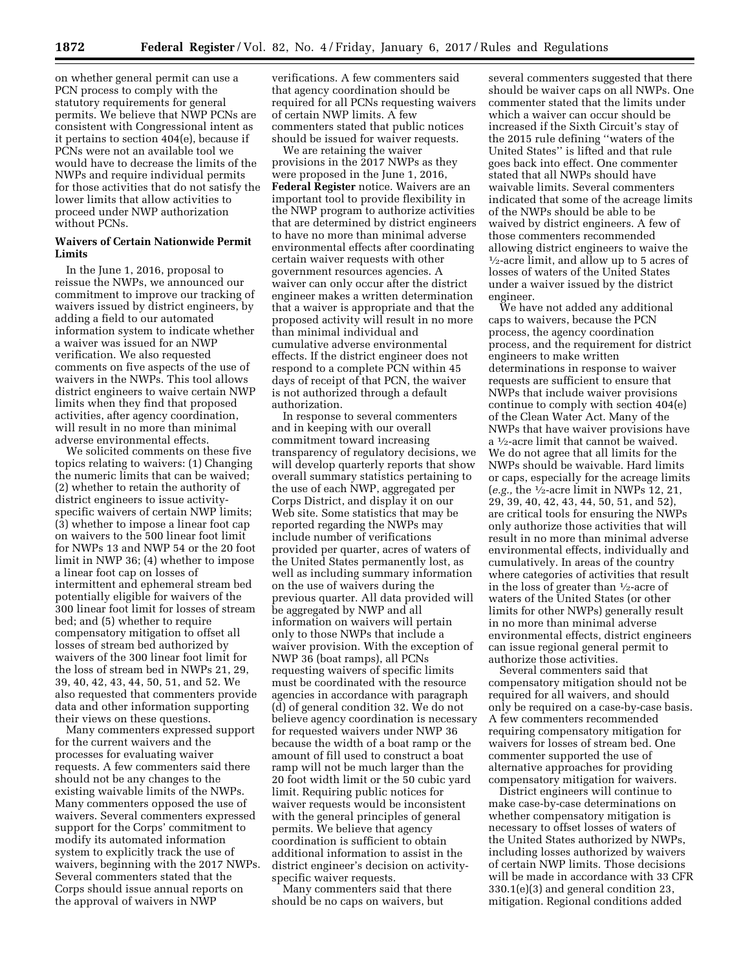on whether general permit can use a PCN process to comply with the statutory requirements for general permits. We believe that NWP PCNs are consistent with Congressional intent as it pertains to section 404(e), because if PCNs were not an available tool we would have to decrease the limits of the NWPs and require individual permits for those activities that do not satisfy the lower limits that allow activities to proceed under NWP authorization without PCNs.

# **Waivers of Certain Nationwide Permit Limits**

In the June 1, 2016, proposal to reissue the NWPs, we announced our commitment to improve our tracking of waivers issued by district engineers, by adding a field to our automated information system to indicate whether a waiver was issued for an NWP verification. We also requested comments on five aspects of the use of waivers in the NWPs. This tool allows district engineers to waive certain NWP limits when they find that proposed activities, after agency coordination, will result in no more than minimal adverse environmental effects.

We solicited comments on these five topics relating to waivers: (1) Changing the numeric limits that can be waived; (2) whether to retain the authority of district engineers to issue activityspecific waivers of certain NWP limits; (3) whether to impose a linear foot cap on waivers to the 500 linear foot limit for NWPs 13 and NWP 54 or the 20 foot limit in NWP 36; (4) whether to impose a linear foot cap on losses of intermittent and ephemeral stream bed potentially eligible for waivers of the 300 linear foot limit for losses of stream bed; and (5) whether to require compensatory mitigation to offset all losses of stream bed authorized by waivers of the 300 linear foot limit for the loss of stream bed in NWPs 21, 29, 39, 40, 42, 43, 44, 50, 51, and 52. We also requested that commenters provide data and other information supporting their views on these questions.

Many commenters expressed support for the current waivers and the processes for evaluating waiver requests. A few commenters said there should not be any changes to the existing waivable limits of the NWPs. Many commenters opposed the use of waivers. Several commenters expressed support for the Corps' commitment to modify its automated information system to explicitly track the use of waivers, beginning with the 2017 NWPs. Several commenters stated that the Corps should issue annual reports on the approval of waivers in NWP

verifications. A few commenters said that agency coordination should be required for all PCNs requesting waivers of certain NWP limits. A few commenters stated that public notices should be issued for waiver requests.

We are retaining the waiver provisions in the 2017 NWPs as they were proposed in the June 1, 2016, **Federal Register** notice. Waivers are an important tool to provide flexibility in the NWP program to authorize activities that are determined by district engineers to have no more than minimal adverse environmental effects after coordinating certain waiver requests with other government resources agencies. A waiver can only occur after the district engineer makes a written determination that a waiver is appropriate and that the proposed activity will result in no more than minimal individual and cumulative adverse environmental effects. If the district engineer does not respond to a complete PCN within 45 days of receipt of that PCN, the waiver is not authorized through a default authorization.

In response to several commenters and in keeping with our overall commitment toward increasing transparency of regulatory decisions, we will develop quarterly reports that show overall summary statistics pertaining to the use of each NWP, aggregated per Corps District, and display it on our Web site. Some statistics that may be reported regarding the NWPs may include number of verifications provided per quarter, acres of waters of the United States permanently lost, as well as including summary information on the use of waivers during the previous quarter. All data provided will be aggregated by NWP and all information on waivers will pertain only to those NWPs that include a waiver provision. With the exception of NWP 36 (boat ramps), all PCNs requesting waivers of specific limits must be coordinated with the resource agencies in accordance with paragraph (d) of general condition 32. We do not believe agency coordination is necessary for requested waivers under NWP 36 because the width of a boat ramp or the amount of fill used to construct a boat ramp will not be much larger than the 20 foot width limit or the 50 cubic yard limit. Requiring public notices for waiver requests would be inconsistent with the general principles of general permits. We believe that agency coordination is sufficient to obtain additional information to assist in the district engineer's decision on activityspecific waiver requests.

Many commenters said that there should be no caps on waivers, but

several commenters suggested that there should be waiver caps on all NWPs. One commenter stated that the limits under which a waiver can occur should be increased if the Sixth Circuit's stay of the 2015 rule defining ''waters of the United States'' is lifted and that rule goes back into effect. One commenter stated that all NWPs should have waivable limits. Several commenters indicated that some of the acreage limits of the NWPs should be able to be waived by district engineers. A few of those commenters recommended allowing district engineers to waive the  $\frac{1}{2}$ -acre limit, and allow up to 5 acres of losses of waters of the United States under a waiver issued by the district engineer.

We have not added any additional caps to waivers, because the PCN process, the agency coordination process, and the requirement for district engineers to make written determinations in response to waiver requests are sufficient to ensure that NWPs that include waiver provisions continue to comply with section 404(e) of the Clean Water Act. Many of the NWPs that have waiver provisions have a 1⁄2-acre limit that cannot be waived. We do not agree that all limits for the NWPs should be waivable. Hard limits or caps, especially for the acreage limits (*e.g.,* the 1⁄2-acre limit in NWPs 12, 21, 29, 39, 40, 42, 43, 44, 50, 51, and 52), are critical tools for ensuring the NWPs only authorize those activities that will result in no more than minimal adverse environmental effects, individually and cumulatively. In areas of the country where categories of activities that result in the loss of greater than 1⁄2-acre of waters of the United States (or other limits for other NWPs) generally result in no more than minimal adverse environmental effects, district engineers can issue regional general permit to authorize those activities.

Several commenters said that compensatory mitigation should not be required for all waivers, and should only be required on a case-by-case basis. A few commenters recommended requiring compensatory mitigation for waivers for losses of stream bed. One commenter supported the use of alternative approaches for providing compensatory mitigation for waivers.

District engineers will continue to make case-by-case determinations on whether compensatory mitigation is necessary to offset losses of waters of the United States authorized by NWPs, including losses authorized by waivers of certain NWP limits. Those decisions will be made in accordance with 33 CFR 330.1(e)(3) and general condition 23, mitigation. Regional conditions added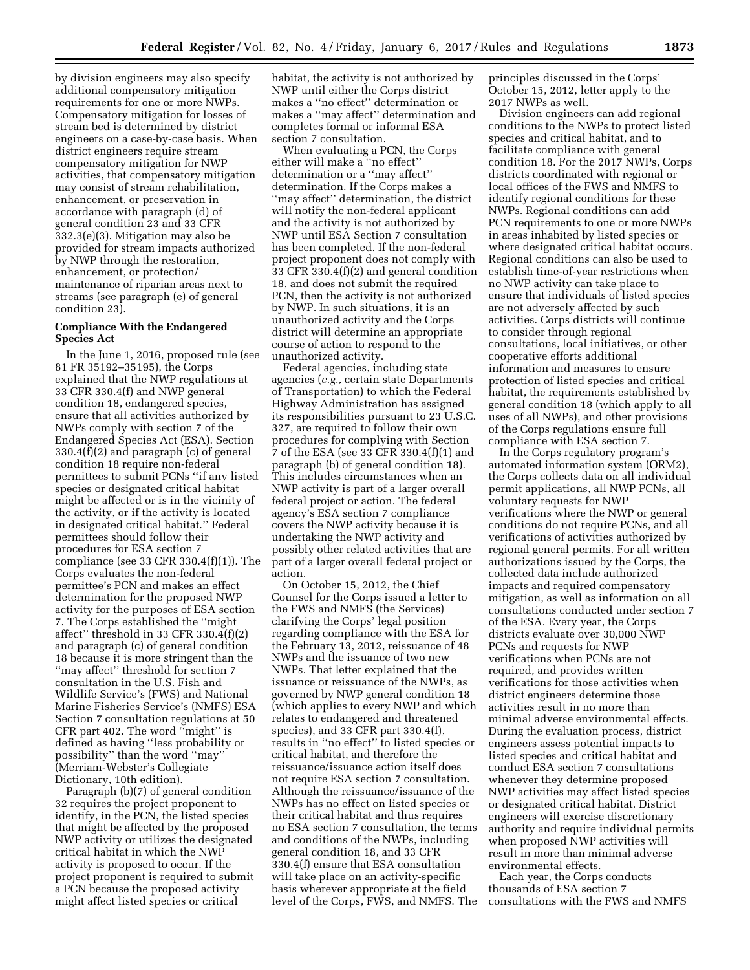by division engineers may also specify additional compensatory mitigation requirements for one or more NWPs. Compensatory mitigation for losses of stream bed is determined by district engineers on a case-by-case basis. When district engineers require stream compensatory mitigation for NWP activities, that compensatory mitigation may consist of stream rehabilitation, enhancement, or preservation in accordance with paragraph (d) of general condition 23 and 33 CFR 332.3(e)(3). Mitigation may also be provided for stream impacts authorized by NWP through the restoration, enhancement, or protection/ maintenance of riparian areas next to streams (see paragraph (e) of general condition 23).

# **Compliance With the Endangered Species Act**

In the June 1, 2016, proposed rule (see 81 FR 35192–35195), the Corps explained that the NWP regulations at 33 CFR 330.4(f) and NWP general condition 18, endangered species, ensure that all activities authorized by NWPs comply with section 7 of the Endangered Species Act (ESA). Section 330.4(f)(2) and paragraph (c) of general condition 18 require non-federal permittees to submit PCNs ''if any listed species or designated critical habitat might be affected or is in the vicinity of the activity, or if the activity is located in designated critical habitat.'' Federal permittees should follow their procedures for ESA section 7 compliance (see 33 CFR 330.4(f)(1)). The Corps evaluates the non-federal permittee's PCN and makes an effect determination for the proposed NWP activity for the purposes of ESA section 7. The Corps established the ''might affect'' threshold in 33 CFR 330.4(f)(2) and paragraph (c) of general condition 18 because it is more stringent than the ''may affect'' threshold for section 7 consultation in the U.S. Fish and Wildlife Service's (FWS) and National Marine Fisheries Service's (NMFS) ESA Section 7 consultation regulations at 50 CFR part 402. The word ''might'' is defined as having ''less probability or possibility'' than the word ''may'' (Merriam-Webster's Collegiate Dictionary, 10th edition).

Paragraph (b)(7) of general condition 32 requires the project proponent to identify, in the PCN, the listed species that might be affected by the proposed NWP activity or utilizes the designated critical habitat in which the NWP activity is proposed to occur. If the project proponent is required to submit a PCN because the proposed activity might affect listed species or critical

habitat, the activity is not authorized by NWP until either the Corps district makes a ''no effect'' determination or makes a ''may affect'' determination and completes formal or informal ESA section 7 consultation.

When evaluating a PCN, the Corps either will make a ''no effect'' determination or a ''may affect'' determination. If the Corps makes a ''may affect'' determination, the district will notify the non-federal applicant and the activity is not authorized by NWP until ESA Section 7 consultation has been completed. If the non-federal project proponent does not comply with 33 CFR 330.4(f)(2) and general condition 18, and does not submit the required PCN, then the activity is not authorized by NWP. In such situations, it is an unauthorized activity and the Corps district will determine an appropriate course of action to respond to the unauthorized activity.

Federal agencies, including state agencies (*e.g.,* certain state Departments of Transportation) to which the Federal Highway Administration has assigned its responsibilities pursuant to 23 U.S.C. 327, are required to follow their own procedures for complying with Section 7 of the ESA (see 33 CFR 330.4(f)(1) and paragraph (b) of general condition 18). This includes circumstances when an NWP activity is part of a larger overall federal project or action. The federal agency's ESA section 7 compliance covers the NWP activity because it is undertaking the NWP activity and possibly other related activities that are part of a larger overall federal project or action.

On October 15, 2012, the Chief Counsel for the Corps issued a letter to the FWS and NMFS (the Services) clarifying the Corps' legal position regarding compliance with the ESA for the February 13, 2012, reissuance of 48 NWPs and the issuance of two new NWPs. That letter explained that the issuance or reissuance of the NWPs, as governed by NWP general condition 18 (which applies to every NWP and which relates to endangered and threatened species), and 33 CFR part 330.4(f), results in ''no effect'' to listed species or critical habitat, and therefore the reissuance/issuance action itself does not require ESA section 7 consultation. Although the reissuance/issuance of the NWPs has no effect on listed species or their critical habitat and thus requires no ESA section 7 consultation, the terms and conditions of the NWPs, including general condition 18, and 33 CFR 330.4(f) ensure that ESA consultation will take place on an activity-specific basis wherever appropriate at the field level of the Corps, FWS, and NMFS. The principles discussed in the Corps' October 15, 2012, letter apply to the 2017 NWPs as well.

Division engineers can add regional conditions to the NWPs to protect listed species and critical habitat, and to facilitate compliance with general condition 18. For the 2017 NWPs, Corps districts coordinated with regional or local offices of the FWS and NMFS to identify regional conditions for these NWPs. Regional conditions can add PCN requirements to one or more NWPs in areas inhabited by listed species or where designated critical habitat occurs. Regional conditions can also be used to establish time-of-year restrictions when no NWP activity can take place to ensure that individuals of listed species are not adversely affected by such activities. Corps districts will continue to consider through regional consultations, local initiatives, or other cooperative efforts additional information and measures to ensure protection of listed species and critical habitat, the requirements established by general condition 18 (which apply to all uses of all NWPs), and other provisions of the Corps regulations ensure full compliance with ESA section 7.

In the Corps regulatory program's automated information system (ORM2), the Corps collects data on all individual permit applications, all NWP PCNs, all voluntary requests for NWP verifications where the NWP or general conditions do not require PCNs, and all verifications of activities authorized by regional general permits. For all written authorizations issued by the Corps, the collected data include authorized impacts and required compensatory mitigation, as well as information on all consultations conducted under section 7 of the ESA. Every year, the Corps districts evaluate over 30,000 NWP PCNs and requests for NWP verifications when PCNs are not required, and provides written verifications for those activities when district engineers determine those activities result in no more than minimal adverse environmental effects. During the evaluation process, district engineers assess potential impacts to listed species and critical habitat and conduct ESA section 7 consultations whenever they determine proposed NWP activities may affect listed species or designated critical habitat. District engineers will exercise discretionary authority and require individual permits when proposed NWP activities will result in more than minimal adverse environmental effects.

Each year, the Corps conducts thousands of ESA section 7 consultations with the FWS and NMFS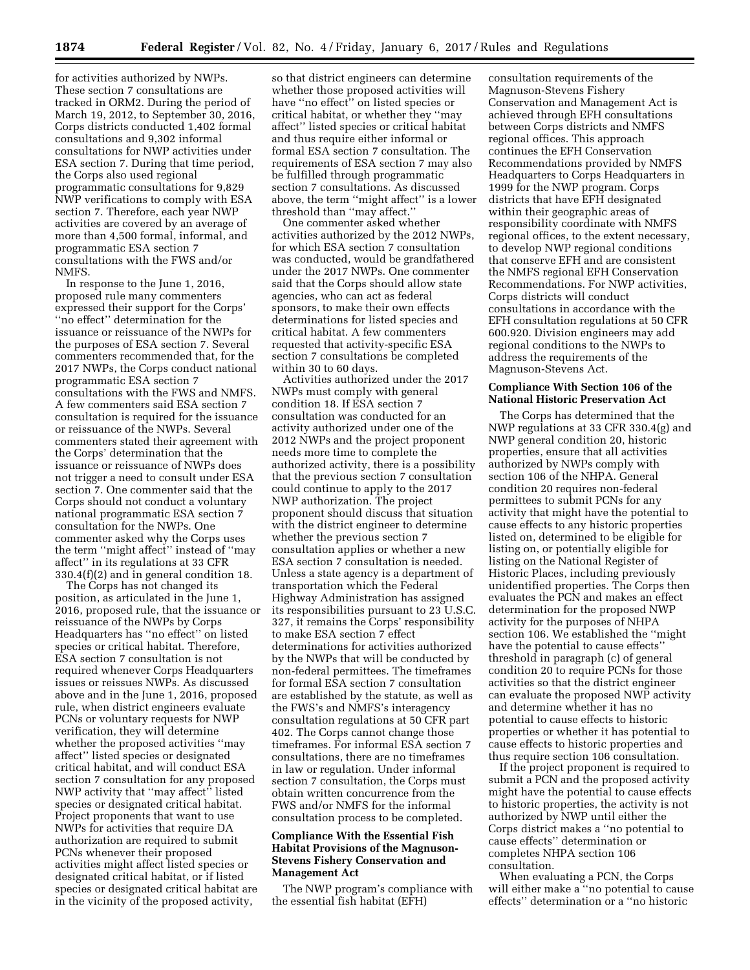for activities authorized by NWPs. These section 7 consultations are tracked in ORM2. During the period of March 19, 2012, to September 30, 2016, Corps districts conducted 1,402 formal consultations and 9,302 informal consultations for NWP activities under ESA section 7. During that time period, the Corps also used regional programmatic consultations for 9,829 NWP verifications to comply with ESA section 7. Therefore, each year NWP activities are covered by an average of more than 4,500 formal, informal, and programmatic ESA section 7 consultations with the FWS and/or NMFS.

In response to the June 1, 2016, proposed rule many commenters expressed their support for the Corps' ''no effect'' determination for the issuance or reissuance of the NWPs for the purposes of ESA section 7. Several commenters recommended that, for the 2017 NWPs, the Corps conduct national programmatic ESA section 7 consultations with the FWS and NMFS. A few commenters said ESA section 7 consultation is required for the issuance or reissuance of the NWPs. Several commenters stated their agreement with the Corps' determination that the issuance or reissuance of NWPs does not trigger a need to consult under ESA section 7. One commenter said that the Corps should not conduct a voluntary national programmatic ESA section 7 consultation for the NWPs. One commenter asked why the Corps uses the term ''might affect'' instead of ''may affect'' in its regulations at 33 CFR 330.4(f)(2) and in general condition 18.

The Corps has not changed its position, as articulated in the June 1, 2016, proposed rule, that the issuance or reissuance of the NWPs by Corps Headquarters has ''no effect'' on listed species or critical habitat. Therefore, ESA section 7 consultation is not required whenever Corps Headquarters issues or reissues NWPs. As discussed above and in the June 1, 2016, proposed rule, when district engineers evaluate PCNs or voluntary requests for NWP verification, they will determine whether the proposed activities ''may affect'' listed species or designated critical habitat, and will conduct ESA section 7 consultation for any proposed NWP activity that ''may affect'' listed species or designated critical habitat. Project proponents that want to use NWPs for activities that require DA authorization are required to submit PCNs whenever their proposed activities might affect listed species or designated critical habitat, or if listed species or designated critical habitat are in the vicinity of the proposed activity,

so that district engineers can determine whether those proposed activities will have ''no effect'' on listed species or critical habitat, or whether they ''may affect'' listed species or critical habitat and thus require either informal or formal ESA section 7 consultation. The requirements of ESA section 7 may also be fulfilled through programmatic section 7 consultations. As discussed above, the term ''might affect'' is a lower threshold than ''may affect.''

One commenter asked whether activities authorized by the 2012 NWPs, for which ESA section 7 consultation was conducted, would be grandfathered under the 2017 NWPs. One commenter said that the Corps should allow state agencies, who can act as federal sponsors, to make their own effects determinations for listed species and critical habitat. A few commenters requested that activity-specific ESA section 7 consultations be completed within 30 to 60 days.

Activities authorized under the 2017 NWPs must comply with general condition 18. If ESA section 7 consultation was conducted for an activity authorized under one of the 2012 NWPs and the project proponent needs more time to complete the authorized activity, there is a possibility that the previous section 7 consultation could continue to apply to the 2017 NWP authorization. The project proponent should discuss that situation with the district engineer to determine whether the previous section 7 consultation applies or whether a new ESA section 7 consultation is needed. Unless a state agency is a department of transportation which the Federal Highway Administration has assigned its responsibilities pursuant to 23 U.S.C. 327, it remains the Corps' responsibility to make ESA section 7 effect determinations for activities authorized by the NWPs that will be conducted by non-federal permittees. The timeframes for formal ESA section 7 consultation are established by the statute, as well as the FWS's and NMFS's interagency consultation regulations at 50 CFR part 402. The Corps cannot change those timeframes. For informal ESA section 7 consultations, there are no timeframes in law or regulation. Under informal section 7 consultation, the Corps must obtain written concurrence from the FWS and/or NMFS for the informal consultation process to be completed.

# **Compliance With the Essential Fish Habitat Provisions of the Magnuson-Stevens Fishery Conservation and Management Act**

The NWP program's compliance with the essential fish habitat (EFH)

consultation requirements of the Magnuson-Stevens Fishery Conservation and Management Act is achieved through EFH consultations between Corps districts and NMFS regional offices. This approach continues the EFH Conservation Recommendations provided by NMFS Headquarters to Corps Headquarters in 1999 for the NWP program. Corps districts that have EFH designated within their geographic areas of responsibility coordinate with NMFS regional offices, to the extent necessary, to develop NWP regional conditions that conserve EFH and are consistent the NMFS regional EFH Conservation Recommendations. For NWP activities, Corps districts will conduct consultations in accordance with the EFH consultation regulations at 50 CFR 600.920. Division engineers may add regional conditions to the NWPs to address the requirements of the Magnuson-Stevens Act.

## **Compliance With Section 106 of the National Historic Preservation Act**

The Corps has determined that the NWP regulations at 33 CFR 330.4(g) and NWP general condition 20, historic properties, ensure that all activities authorized by NWPs comply with section 106 of the NHPA. General condition 20 requires non-federal permittees to submit PCNs for any activity that might have the potential to cause effects to any historic properties listed on, determined to be eligible for listing on, or potentially eligible for listing on the National Register of Historic Places, including previously unidentified properties. The Corps then evaluates the PCN and makes an effect determination for the proposed NWP activity for the purposes of NHPA section 106. We established the ''might have the potential to cause effects'' threshold in paragraph (c) of general condition 20 to require PCNs for those activities so that the district engineer can evaluate the proposed NWP activity and determine whether it has no potential to cause effects to historic properties or whether it has potential to cause effects to historic properties and thus require section 106 consultation.

If the project proponent is required to submit a PCN and the proposed activity might have the potential to cause effects to historic properties, the activity is not authorized by NWP until either the Corps district makes a ''no potential to cause effects'' determination or completes NHPA section 106 consultation.

When evaluating a PCN, the Corps will either make a ''no potential to cause effects'' determination or a ''no historic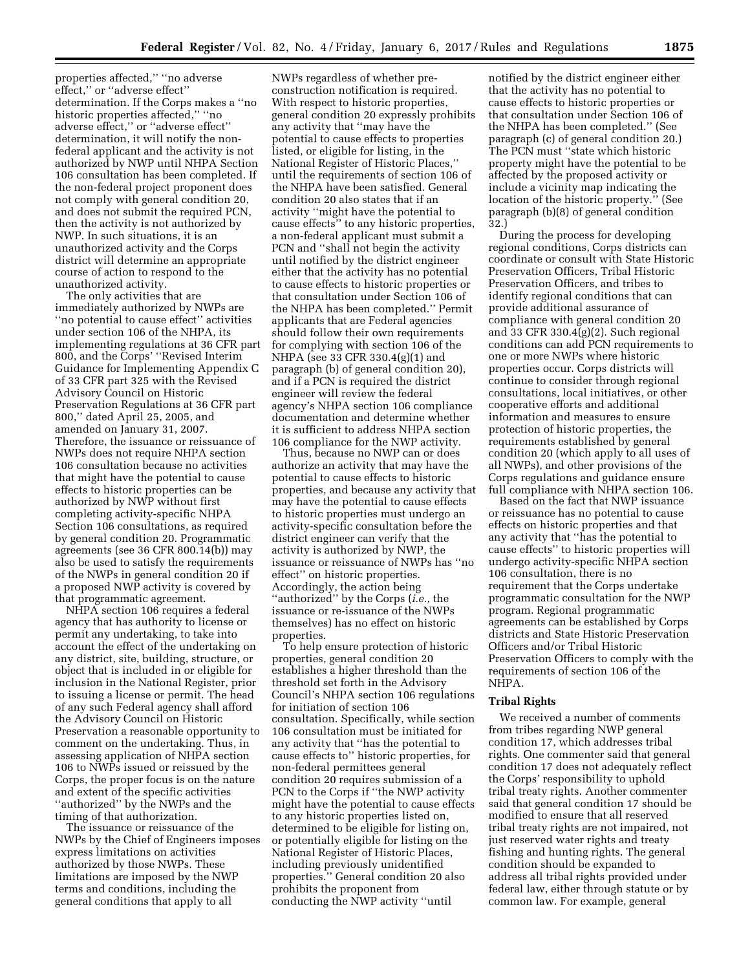properties affected,'' ''no adverse effect,'' or ''adverse effect'' determination. If the Corps makes a ''no historic properties affected,'' ''no adverse effect,'' or ''adverse effect'' determination, it will notify the nonfederal applicant and the activity is not authorized by NWP until NHPA Section 106 consultation has been completed. If the non-federal project proponent does not comply with general condition 20, and does not submit the required PCN, then the activity is not authorized by NWP. In such situations, it is an unauthorized activity and the Corps district will determine an appropriate course of action to respond to the unauthorized activity.

The only activities that are immediately authorized by NWPs are ''no potential to cause effect'' activities under section 106 of the NHPA, its implementing regulations at 36 CFR part 800, and the Corps' ''Revised Interim Guidance for Implementing Appendix C of 33 CFR part 325 with the Revised Advisory Council on Historic Preservation Regulations at 36 CFR part 800,'' dated April 25, 2005, and amended on January 31, 2007. Therefore, the issuance or reissuance of NWPs does not require NHPA section 106 consultation because no activities that might have the potential to cause effects to historic properties can be authorized by NWP without first completing activity-specific NHPA Section 106 consultations, as required by general condition 20. Programmatic agreements (see 36 CFR 800.14(b)) may also be used to satisfy the requirements of the NWPs in general condition 20 if a proposed NWP activity is covered by that programmatic agreement.

NHPA section 106 requires a federal agency that has authority to license or permit any undertaking, to take into account the effect of the undertaking on any district, site, building, structure, or object that is included in or eligible for inclusion in the National Register, prior to issuing a license or permit. The head of any such Federal agency shall afford the Advisory Council on Historic Preservation a reasonable opportunity to comment on the undertaking. Thus, in assessing application of NHPA section 106 to NWPs issued or reissued by the Corps, the proper focus is on the nature and extent of the specific activities ''authorized'' by the NWPs and the timing of that authorization.

The issuance or reissuance of the NWPs by the Chief of Engineers imposes express limitations on activities authorized by those NWPs. These limitations are imposed by the NWP terms and conditions, including the general conditions that apply to all

NWPs regardless of whether preconstruction notification is required. With respect to historic properties, general condition 20 expressly prohibits any activity that ''may have the potential to cause effects to properties listed, or eligible for listing, in the National Register of Historic Places,'' until the requirements of section 106 of the NHPA have been satisfied. General condition 20 also states that if an activity ''might have the potential to cause effects'' to any historic properties, a non-federal applicant must submit a PCN and ''shall not begin the activity until notified by the district engineer either that the activity has no potential to cause effects to historic properties or that consultation under Section 106 of the NHPA has been completed.'' Permit applicants that are Federal agencies should follow their own requirements for complying with section 106 of the NHPA (see 33 CFR 330.4(g)(1) and paragraph (b) of general condition 20), and if a PCN is required the district engineer will review the federal agency's NHPA section 106 compliance documentation and determine whether it is sufficient to address NHPA section 106 compliance for the NWP activity.

Thus, because no NWP can or does authorize an activity that may have the potential to cause effects to historic properties, and because any activity that may have the potential to cause effects to historic properties must undergo an activity-specific consultation before the district engineer can verify that the activity is authorized by NWP, the issuance or reissuance of NWPs has ''no effect'' on historic properties. Accordingly, the action being ''authorized'' by the Corps (*i.e.,* the issuance or re-issuance of the NWPs themselves) has no effect on historic properties.

To help ensure protection of historic properties, general condition 20 establishes a higher threshold than the threshold set forth in the Advisory Council's NHPA section 106 regulations for initiation of section 106 consultation. Specifically, while section 106 consultation must be initiated for any activity that ''has the potential to cause effects to'' historic properties, for non-federal permittees general condition 20 requires submission of a PCN to the Corps if ''the NWP activity might have the potential to cause effects to any historic properties listed on, determined to be eligible for listing on, or potentially eligible for listing on the National Register of Historic Places, including previously unidentified properties.'' General condition 20 also prohibits the proponent from conducting the NWP activity ''until

notified by the district engineer either that the activity has no potential to cause effects to historic properties or that consultation under Section 106 of the NHPA has been completed.'' (See paragraph (c) of general condition 20.) The PCN must ''state which historic property might have the potential to be affected by the proposed activity or include a vicinity map indicating the location of the historic property." (See paragraph (b)(8) of general condition 32.)

During the process for developing regional conditions, Corps districts can coordinate or consult with State Historic Preservation Officers, Tribal Historic Preservation Officers, and tribes to identify regional conditions that can provide additional assurance of compliance with general condition 20 and 33 CFR 330.4(g)(2). Such regional conditions can add PCN requirements to one or more NWPs where historic properties occur. Corps districts will continue to consider through regional consultations, local initiatives, or other cooperative efforts and additional information and measures to ensure protection of historic properties, the requirements established by general condition 20 (which apply to all uses of all NWPs), and other provisions of the Corps regulations and guidance ensure full compliance with NHPA section 106.

Based on the fact that NWP issuance or reissuance has no potential to cause effects on historic properties and that any activity that ''has the potential to cause effects'' to historic properties will undergo activity-specific NHPA section 106 consultation, there is no requirement that the Corps undertake programmatic consultation for the NWP program. Regional programmatic agreements can be established by Corps districts and State Historic Preservation Officers and/or Tribal Historic Preservation Officers to comply with the requirements of section 106 of the NHPA.

#### **Tribal Rights**

We received a number of comments from tribes regarding NWP general condition 17, which addresses tribal rights. One commenter said that general condition 17 does not adequately reflect the Corps' responsibility to uphold tribal treaty rights. Another commenter said that general condition 17 should be modified to ensure that all reserved tribal treaty rights are not impaired, not just reserved water rights and treaty fishing and hunting rights. The general condition should be expanded to address all tribal rights provided under federal law, either through statute or by common law. For example, general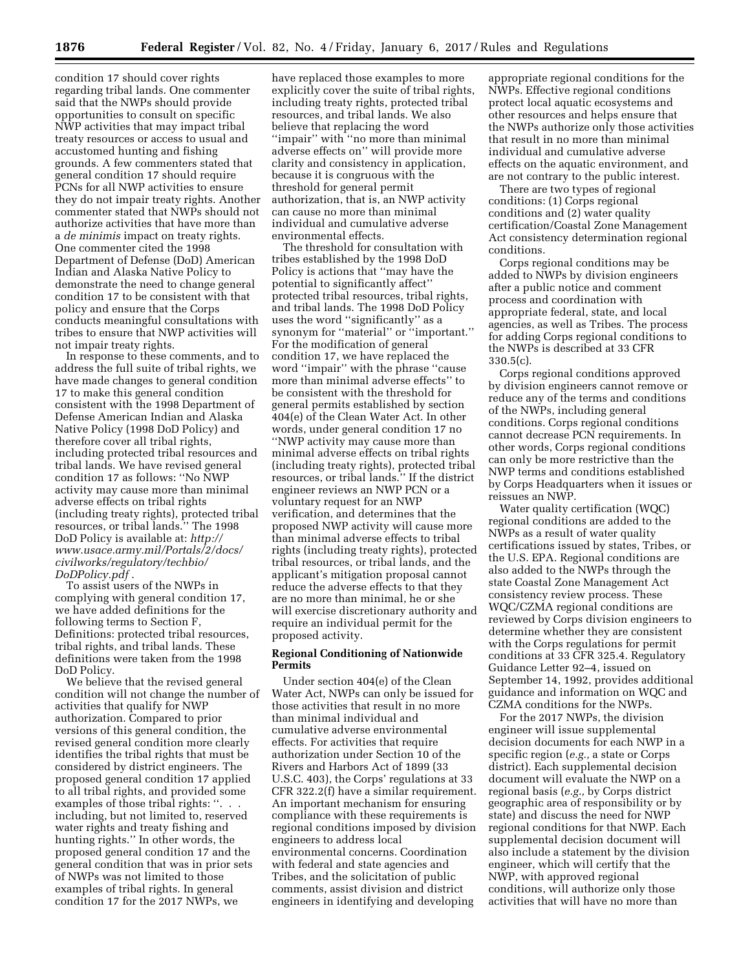condition 17 should cover rights regarding tribal lands. One commenter said that the NWPs should provide opportunities to consult on specific NWP activities that may impact tribal treaty resources or access to usual and accustomed hunting and fishing grounds. A few commenters stated that general condition 17 should require PCNs for all NWP activities to ensure they do not impair treaty rights. Another commenter stated that NWPs should not authorize activities that have more than a *de minimis* impact on treaty rights. One commenter cited the 1998 Department of Defense (DoD) American Indian and Alaska Native Policy to demonstrate the need to change general condition 17 to be consistent with that policy and ensure that the Corps conducts meaningful consultations with tribes to ensure that NWP activities will not impair treaty rights.

In response to these comments, and to address the full suite of tribal rights, we have made changes to general condition 17 to make this general condition consistent with the 1998 Department of Defense American Indian and Alaska Native Policy (1998 DoD Policy) and therefore cover all tribal rights, including protected tribal resources and tribal lands. We have revised general condition 17 as follows: ''No NWP activity may cause more than minimal adverse effects on tribal rights (including treaty rights), protected tribal resources, or tribal lands.'' The 1998 DoD Policy is available at: *[http://](http://www.usace.army.mil/Portals/2/docs/civilworks/regulatory/techbio/DoDPolicy.pdf) [www.usace.army.mil/Portals/2/docs/](http://www.usace.army.mil/Portals/2/docs/civilworks/regulatory/techbio/DoDPolicy.pdf) [civilworks/regulatory/techbio/](http://www.usace.army.mil/Portals/2/docs/civilworks/regulatory/techbio/DoDPolicy.pdf) [DoDPolicy.pdf](http://www.usace.army.mil/Portals/2/docs/civilworks/regulatory/techbio/DoDPolicy.pdf)* .

To assist users of the NWPs in complying with general condition 17, we have added definitions for the following terms to Section F, Definitions: protected tribal resources, tribal rights, and tribal lands. These definitions were taken from the 1998 DoD Policy.

We believe that the revised general condition will not change the number of activities that qualify for NWP authorization. Compared to prior versions of this general condition, the revised general condition more clearly identifies the tribal rights that must be considered by district engineers. The proposed general condition 17 applied to all tribal rights, and provided some examples of those tribal rights: "... including, but not limited to, reserved water rights and treaty fishing and hunting rights.'' In other words, the proposed general condition 17 and the general condition that was in prior sets of NWPs was not limited to those examples of tribal rights. In general condition 17 for the 2017 NWPs, we

have replaced those examples to more explicitly cover the suite of tribal rights, including treaty rights, protected tribal resources, and tribal lands. We also believe that replacing the word ''impair'' with ''no more than minimal adverse effects on'' will provide more clarity and consistency in application, because it is congruous with the threshold for general permit authorization, that is, an NWP activity can cause no more than minimal individual and cumulative adverse environmental effects.

The threshold for consultation with tribes established by the 1998 DoD Policy is actions that ''may have the potential to significantly affect'' protected tribal resources, tribal rights, and tribal lands. The 1998 DoD Policy uses the word ''significantly'' as a synonym for ''material'' or ''important.'' For the modification of general condition 17, we have replaced the word ''impair'' with the phrase ''cause more than minimal adverse effects'' to be consistent with the threshold for general permits established by section 404(e) of the Clean Water Act. In other words, under general condition 17 no ''NWP activity may cause more than minimal adverse effects on tribal rights (including treaty rights), protected tribal resources, or tribal lands.'' If the district engineer reviews an NWP PCN or a voluntary request for an NWP verification, and determines that the proposed NWP activity will cause more than minimal adverse effects to tribal rights (including treaty rights), protected tribal resources, or tribal lands, and the applicant's mitigation proposal cannot reduce the adverse effects to that they are no more than minimal, he or she will exercise discretionary authority and require an individual permit for the proposed activity.

# **Regional Conditioning of Nationwide Permits**

Under section 404(e) of the Clean Water Act, NWPs can only be issued for those activities that result in no more than minimal individual and cumulative adverse environmental effects. For activities that require authorization under Section 10 of the Rivers and Harbors Act of 1899 (33 U.S.C. 403), the Corps' regulations at 33 CFR 322.2(f) have a similar requirement. An important mechanism for ensuring compliance with these requirements is regional conditions imposed by division engineers to address local environmental concerns. Coordination with federal and state agencies and Tribes, and the solicitation of public comments, assist division and district engineers in identifying and developing

appropriate regional conditions for the NWPs. Effective regional conditions protect local aquatic ecosystems and other resources and helps ensure that the NWPs authorize only those activities that result in no more than minimal individual and cumulative adverse effects on the aquatic environment, and are not contrary to the public interest.

There are two types of regional conditions: (1) Corps regional conditions and (2) water quality certification/Coastal Zone Management Act consistency determination regional conditions.

Corps regional conditions may be added to NWPs by division engineers after a public notice and comment process and coordination with appropriate federal, state, and local agencies, as well as Tribes. The process for adding Corps regional conditions to the NWPs is described at 33 CFR 330.5(c).

Corps regional conditions approved by division engineers cannot remove or reduce any of the terms and conditions of the NWPs, including general conditions. Corps regional conditions cannot decrease PCN requirements. In other words, Corps regional conditions can only be more restrictive than the NWP terms and conditions established by Corps Headquarters when it issues or reissues an NWP.

Water quality certification (WQC) regional conditions are added to the NWPs as a result of water quality certifications issued by states, Tribes, or the U.S. EPA. Regional conditions are also added to the NWPs through the state Coastal Zone Management Act consistency review process. These WQC/CZMA regional conditions are reviewed by Corps division engineers to determine whether they are consistent with the Corps regulations for permit conditions at 33 CFR 325.4. Regulatory Guidance Letter 92–4, issued on September 14, 1992, provides additional guidance and information on WQC and CZMA conditions for the NWPs.

For the 2017 NWPs, the division engineer will issue supplemental decision documents for each NWP in a specific region (*e.g.,* a state or Corps district). Each supplemental decision document will evaluate the NWP on a regional basis (*e.g.,* by Corps district geographic area of responsibility or by state) and discuss the need for NWP regional conditions for that NWP. Each supplemental decision document will also include a statement by the division engineer, which will certify that the NWP, with approved regional conditions, will authorize only those activities that will have no more than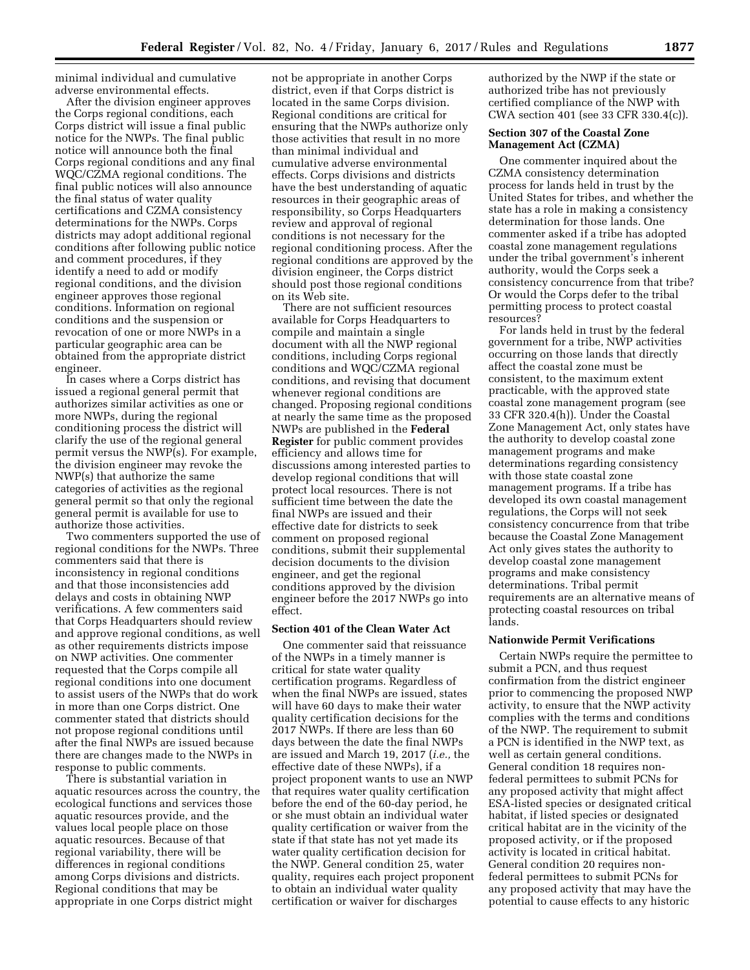minimal individual and cumulative adverse environmental effects.

After the division engineer approves the Corps regional conditions, each Corps district will issue a final public notice for the NWPs. The final public notice will announce both the final Corps regional conditions and any final WQC/CZMA regional conditions. The final public notices will also announce the final status of water quality certifications and CZMA consistency determinations for the NWPs. Corps districts may adopt additional regional conditions after following public notice and comment procedures, if they identify a need to add or modify regional conditions, and the division engineer approves those regional conditions. Information on regional conditions and the suspension or revocation of one or more NWPs in a particular geographic area can be obtained from the appropriate district engineer.

In cases where a Corps district has issued a regional general permit that authorizes similar activities as one or more NWPs, during the regional conditioning process the district will clarify the use of the regional general permit versus the NWP(s). For example, the division engineer may revoke the NWP(s) that authorize the same categories of activities as the regional general permit so that only the regional general permit is available for use to authorize those activities.

Two commenters supported the use of regional conditions for the NWPs. Three commenters said that there is inconsistency in regional conditions and that those inconsistencies add delays and costs in obtaining NWP verifications. A few commenters said that Corps Headquarters should review and approve regional conditions, as well as other requirements districts impose on NWP activities. One commenter requested that the Corps compile all regional conditions into one document to assist users of the NWPs that do work in more than one Corps district. One commenter stated that districts should not propose regional conditions until after the final NWPs are issued because there are changes made to the NWPs in response to public comments.

There is substantial variation in aquatic resources across the country, the ecological functions and services those aquatic resources provide, and the values local people place on those aquatic resources. Because of that regional variability, there will be differences in regional conditions among Corps divisions and districts. Regional conditions that may be appropriate in one Corps district might

not be appropriate in another Corps district, even if that Corps district is located in the same Corps division. Regional conditions are critical for ensuring that the NWPs authorize only those activities that result in no more than minimal individual and cumulative adverse environmental effects. Corps divisions and districts have the best understanding of aquatic resources in their geographic areas of responsibility, so Corps Headquarters review and approval of regional conditions is not necessary for the regional conditioning process. After the regional conditions are approved by the division engineer, the Corps district should post those regional conditions on its Web site.

There are not sufficient resources available for Corps Headquarters to compile and maintain a single document with all the NWP regional conditions, including Corps regional conditions and WQC/CZMA regional conditions, and revising that document whenever regional conditions are changed. Proposing regional conditions at nearly the same time as the proposed NWPs are published in the **Federal Register** for public comment provides efficiency and allows time for discussions among interested parties to develop regional conditions that will protect local resources. There is not sufficient time between the date the final NWPs are issued and their effective date for districts to seek comment on proposed regional conditions, submit their supplemental decision documents to the division engineer, and get the regional conditions approved by the division engineer before the 2017 NWPs go into effect.

#### **Section 401 of the Clean Water Act**

One commenter said that reissuance of the NWPs in a timely manner is critical for state water quality certification programs. Regardless of when the final NWPs are issued, states will have 60 days to make their water quality certification decisions for the 2017 NWPs. If there are less than 60 days between the date the final NWPs are issued and March 19, 2017 (*i.e.,* the effective date of these NWPs), if a project proponent wants to use an NWP that requires water quality certification before the end of the 60-day period, he or she must obtain an individual water quality certification or waiver from the state if that state has not yet made its water quality certification decision for the NWP. General condition 25, water quality, requires each project proponent to obtain an individual water quality certification or waiver for discharges

authorized by the NWP if the state or authorized tribe has not previously certified compliance of the NWP with CWA section 401 (see 33 CFR 330.4(c)).

# **Section 307 of the Coastal Zone Management Act (CZMA)**

One commenter inquired about the CZMA consistency determination process for lands held in trust by the United States for tribes, and whether the state has a role in making a consistency determination for those lands. One commenter asked if a tribe has adopted coastal zone management regulations under the tribal government's inherent authority, would the Corps seek a consistency concurrence from that tribe? Or would the Corps defer to the tribal permitting process to protect coastal resources?

For lands held in trust by the federal government for a tribe, NWP activities occurring on those lands that directly affect the coastal zone must be consistent, to the maximum extent practicable, with the approved state coastal zone management program (see 33 CFR 320.4(h)). Under the Coastal Zone Management Act, only states have the authority to develop coastal zone management programs and make determinations regarding consistency with those state coastal zone management programs. If a tribe has developed its own coastal management regulations, the Corps will not seek consistency concurrence from that tribe because the Coastal Zone Management Act only gives states the authority to develop coastal zone management programs and make consistency determinations. Tribal permit requirements are an alternative means of protecting coastal resources on tribal lands.

### **Nationwide Permit Verifications**

Certain NWPs require the permittee to submit a PCN, and thus request confirmation from the district engineer prior to commencing the proposed NWP activity, to ensure that the NWP activity complies with the terms and conditions of the NWP. The requirement to submit a PCN is identified in the NWP text, as well as certain general conditions. General condition 18 requires nonfederal permittees to submit PCNs for any proposed activity that might affect ESA-listed species or designated critical habitat, if listed species or designated critical habitat are in the vicinity of the proposed activity, or if the proposed activity is located in critical habitat. General condition 20 requires nonfederal permittees to submit PCNs for any proposed activity that may have the potential to cause effects to any historic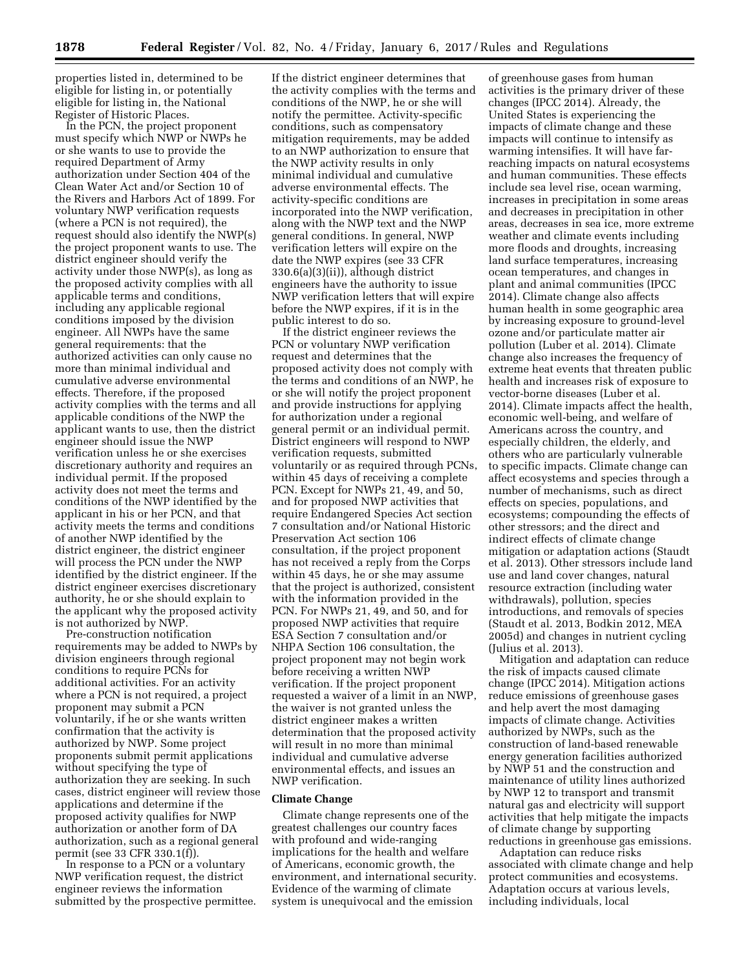properties listed in, determined to be eligible for listing in, or potentially eligible for listing in, the National Register of Historic Places.

In the PCN, the project proponent must specify which NWP or NWPs he or she wants to use to provide the required Department of Army authorization under Section 404 of the Clean Water Act and/or Section 10 of the Rivers and Harbors Act of 1899. For voluntary NWP verification requests (where a PCN is not required), the request should also identify the NWP(s) the project proponent wants to use. The district engineer should verify the activity under those NWP(s), as long as the proposed activity complies with all applicable terms and conditions, including any applicable regional conditions imposed by the division engineer. All NWPs have the same general requirements: that the authorized activities can only cause no more than minimal individual and cumulative adverse environmental effects. Therefore, if the proposed activity complies with the terms and all applicable conditions of the NWP the applicant wants to use, then the district engineer should issue the NWP verification unless he or she exercises discretionary authority and requires an individual permit. If the proposed activity does not meet the terms and conditions of the NWP identified by the applicant in his or her PCN, and that activity meets the terms and conditions of another NWP identified by the district engineer, the district engineer will process the PCN under the NWP identified by the district engineer. If the district engineer exercises discretionary authority, he or she should explain to the applicant why the proposed activity is not authorized by NWP.

Pre-construction notification requirements may be added to NWPs by division engineers through regional conditions to require PCNs for additional activities. For an activity where a PCN is not required, a project proponent may submit a PCN voluntarily, if he or she wants written confirmation that the activity is authorized by NWP. Some project proponents submit permit applications without specifying the type of authorization they are seeking. In such cases, district engineer will review those applications and determine if the proposed activity qualifies for NWP authorization or another form of DA authorization, such as a regional general permit (see 33 CFR 330.1(f)).

In response to a PCN or a voluntary NWP verification request, the district engineer reviews the information submitted by the prospective permittee.

If the district engineer determines that the activity complies with the terms and conditions of the NWP, he or she will notify the permittee. Activity-specific conditions, such as compensatory mitigation requirements, may be added to an NWP authorization to ensure that the NWP activity results in only minimal individual and cumulative adverse environmental effects. The activity-specific conditions are incorporated into the NWP verification, along with the NWP text and the NWP general conditions. In general, NWP verification letters will expire on the date the NWP expires (see 33 CFR 330.6(a)(3)(ii)), although district engineers have the authority to issue NWP verification letters that will expire before the NWP expires, if it is in the public interest to do so.

If the district engineer reviews the PCN or voluntary NWP verification request and determines that the proposed activity does not comply with the terms and conditions of an NWP, he or she will notify the project proponent and provide instructions for applying for authorization under a regional general permit or an individual permit. District engineers will respond to NWP verification requests, submitted voluntarily or as required through PCNs, within 45 days of receiving a complete PCN. Except for NWPs 21, 49, and 50, and for proposed NWP activities that require Endangered Species Act section 7 consultation and/or National Historic Preservation Act section 106 consultation, if the project proponent has not received a reply from the Corps within 45 days, he or she may assume that the project is authorized, consistent with the information provided in the PCN. For NWPs 21, 49, and 50, and for proposed NWP activities that require ESA Section 7 consultation and/or NHPA Section 106 consultation, the project proponent may not begin work before receiving a written NWP verification. If the project proponent requested a waiver of a limit in an NWP, the waiver is not granted unless the district engineer makes a written determination that the proposed activity will result in no more than minimal individual and cumulative adverse environmental effects, and issues an NWP verification.

## **Climate Change**

Climate change represents one of the greatest challenges our country faces with profound and wide-ranging implications for the health and welfare of Americans, economic growth, the environment, and international security. Evidence of the warming of climate system is unequivocal and the emission

of greenhouse gases from human activities is the primary driver of these changes (IPCC 2014). Already, the United States is experiencing the impacts of climate change and these impacts will continue to intensify as warming intensifies. It will have farreaching impacts on natural ecosystems and human communities. These effects include sea level rise, ocean warming, increases in precipitation in some areas and decreases in precipitation in other areas, decreases in sea ice, more extreme weather and climate events including more floods and droughts, increasing land surface temperatures, increasing ocean temperatures, and changes in plant and animal communities (IPCC 2014). Climate change also affects human health in some geographic area by increasing exposure to ground-level ozone and/or particulate matter air pollution (Luber et al. 2014). Climate change also increases the frequency of extreme heat events that threaten public health and increases risk of exposure to vector-borne diseases (Luber et al. 2014). Climate impacts affect the health, economic well-being, and welfare of Americans across the country, and especially children, the elderly, and others who are particularly vulnerable to specific impacts. Climate change can affect ecosystems and species through a number of mechanisms, such as direct effects on species, populations, and ecosystems; compounding the effects of other stressors; and the direct and indirect effects of climate change mitigation or adaptation actions (Staudt et al. 2013). Other stressors include land use and land cover changes, natural resource extraction (including water withdrawals), pollution, species introductions, and removals of species (Staudt et al. 2013, Bodkin 2012, MEA 2005d) and changes in nutrient cycling (Julius et al. 2013).

Mitigation and adaptation can reduce the risk of impacts caused climate change (IPCC 2014). Mitigation actions reduce emissions of greenhouse gases and help avert the most damaging impacts of climate change. Activities authorized by NWPs, such as the construction of land-based renewable energy generation facilities authorized by NWP 51 and the construction and maintenance of utility lines authorized by NWP 12 to transport and transmit natural gas and electricity will support activities that help mitigate the impacts of climate change by supporting reductions in greenhouse gas emissions.

Adaptation can reduce risks associated with climate change and help protect communities and ecosystems. Adaptation occurs at various levels, including individuals, local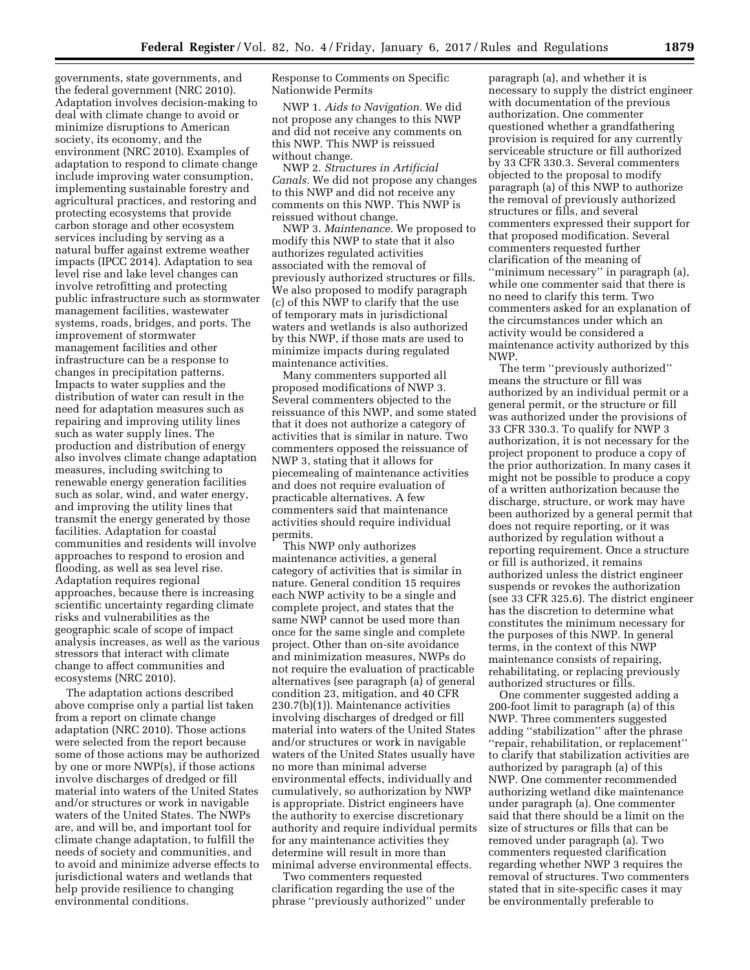governments, state governments, and the federal government (NRC 2010). Adaptation involves decision-making to deal with climate change to avoid or minimize disruptions to American society, its economy, and the environment (NRC 2010). Examples of adaptation to respond to climate change include improving water consumption, implementing sustainable forestry and agricultural practices, and restoring and protecting ecosystems that provide carbon storage and other ecosystem services including by serving as a natural buffer against extreme weather impacts (IPCC 2014). Adaptation to sea level rise and lake level changes can involve retrofitting and protecting public infrastructure such as stormwater management facilities, wastewater systems, roads, bridges, and ports. The improvement of stormwater management facilities and other infrastructure can be a response to changes in precipitation patterns. Impacts to water supplies and the distribution of water can result in the need for adaptation measures such as repairing and improving utility lines such as water supply lines. The production and distribution of energy also involves climate change adaptation measures, including switching to renewable energy generation facilities such as solar, wind, and water energy, and improving the utility lines that transmit the energy generated by those facilities. Adaptation for coastal communities and residents will involve approaches to respond to erosion and flooding, as well as sea level rise. Adaptation requires regional approaches, because there is increasing scientific uncertainty regarding climate risks and vulnerabilities as the geographic scale of scope of impact analysis increases, as well as the various stressors that interact with climate change to affect communities and ecosystems (NRC 2010).

The adaptation actions described above comprise only a partial list taken from a report on climate change adaptation (NRC 2010). Those actions were selected from the report because some of those actions may be authorized by one or more NWP(s), if those actions involve discharges of dredged or fill material into waters of the United States and/or structures or work in navigable waters of the United States. The NWPs are, and will be, and important tool for climate change adaptation, to fulfill the needs of society and communities, and to avoid and minimize adverse effects to jurisdictional waters and wetlands that help provide resilience to changing environmental conditions.

Response to Comments on Specific Nationwide Permits

NWP 1. *Aids to Navigation.* We did not propose any changes to this NWP and did not receive any comments on this NWP. This NWP is reissued without change.

NWP 2. *Structures in Artificial Canals.* We did not propose any changes to this NWP and did not receive any comments on this NWP. This NWP is reissued without change.

NWP 3. *Maintenance.* We proposed to modify this NWP to state that it also authorizes regulated activities associated with the removal of previously authorized structures or fills. We also proposed to modify paragraph (c) of this NWP to clarify that the use of temporary mats in jurisdictional waters and wetlands is also authorized by this NWP, if those mats are used to minimize impacts during regulated maintenance activities.

Many commenters supported all proposed modifications of NWP 3. Several commenters objected to the reissuance of this NWP, and some stated that it does not authorize a category of activities that is similar in nature. Two commenters opposed the reissuance of NWP 3, stating that it allows for piecemealing of maintenance activities and does not require evaluation of practicable alternatives. A few commenters said that maintenance activities should require individual permits.

This NWP only authorizes maintenance activities, a general category of activities that is similar in nature. General condition 15 requires each NWP activity to be a single and complete project, and states that the same NWP cannot be used more than once for the same single and complete project. Other than on-site avoidance and minimization measures, NWPs do not require the evaluation of practicable alternatives (see paragraph (a) of general condition 23, mitigation, and 40 CFR 230.7(b)(1)). Maintenance activities involving discharges of dredged or fill material into waters of the United States and/or structures or work in navigable waters of the United States usually have no more than minimal adverse environmental effects, individually and cumulatively, so authorization by NWP is appropriate. District engineers have the authority to exercise discretionary authority and require individual permits for any maintenance activities they determine will result in more than minimal adverse environmental effects.

Two commenters requested clarification regarding the use of the phrase ''previously authorized'' under

paragraph (a), and whether it is necessary to supply the district engineer with documentation of the previous authorization. One commenter questioned whether a grandfathering provision is required for any currently serviceable structure or fill authorized by 33 CFR 330.3. Several commenters objected to the proposal to modify paragraph (a) of this NWP to authorize the removal of previously authorized structures or fills, and several commenters expressed their support for that proposed modification. Several commenters requested further clarification of the meaning of ''minimum necessary'' in paragraph (a), while one commenter said that there is no need to clarify this term. Two commenters asked for an explanation of the circumstances under which an activity would be considered a maintenance activity authorized by this NWP.

The term ''previously authorized'' means the structure or fill was authorized by an individual permit or a general permit, or the structure or fill was authorized under the provisions of 33 CFR 330.3. To qualify for NWP 3 authorization, it is not necessary for the project proponent to produce a copy of the prior authorization. In many cases it might not be possible to produce a copy of a written authorization because the discharge, structure, or work may have been authorized by a general permit that does not require reporting, or it was authorized by regulation without a reporting requirement. Once a structure or fill is authorized, it remains authorized unless the district engineer suspends or revokes the authorization (see 33 CFR 325.6). The district engineer has the discretion to determine what constitutes the minimum necessary for the purposes of this NWP. In general terms, in the context of this NWP maintenance consists of repairing, rehabilitating, or replacing previously authorized structures or fills.

One commenter suggested adding a 200-foot limit to paragraph (a) of this NWP. Three commenters suggested adding ''stabilization'' after the phrase ''repair, rehabilitation, or replacement'' to clarify that stabilization activities are authorized by paragraph (a) of this NWP. One commenter recommended authorizing wetland dike maintenance under paragraph (a). One commenter said that there should be a limit on the size of structures or fills that can be removed under paragraph (a). Two commenters requested clarification regarding whether NWP 3 requires the removal of structures. Two commenters stated that in site-specific cases it may be environmentally preferable to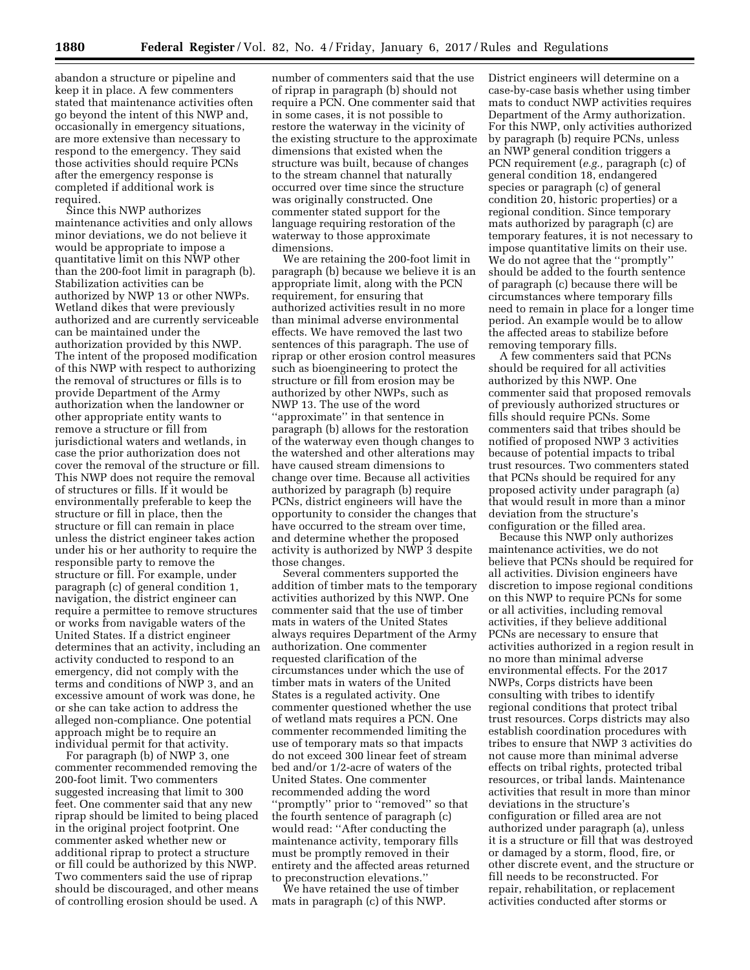abandon a structure or pipeline and keep it in place. A few commenters stated that maintenance activities often go beyond the intent of this NWP and, occasionally in emergency situations, are more extensive than necessary to respond to the emergency. They said those activities should require PCNs after the emergency response is completed if additional work is required.

Since this NWP authorizes maintenance activities and only allows minor deviations, we do not believe it would be appropriate to impose a quantitative limit on this NWP other than the 200-foot limit in paragraph (b). Stabilization activities can be authorized by NWP 13 or other NWPs. Wetland dikes that were previously authorized and are currently serviceable can be maintained under the authorization provided by this NWP. The intent of the proposed modification of this NWP with respect to authorizing the removal of structures or fills is to provide Department of the Army authorization when the landowner or other appropriate entity wants to remove a structure or fill from jurisdictional waters and wetlands, in case the prior authorization does not cover the removal of the structure or fill. This NWP does not require the removal of structures or fills. If it would be environmentally preferable to keep the structure or fill in place, then the structure or fill can remain in place unless the district engineer takes action under his or her authority to require the responsible party to remove the structure or fill. For example, under paragraph (c) of general condition 1, navigation, the district engineer can require a permittee to remove structures or works from navigable waters of the United States. If a district engineer determines that an activity, including an activity conducted to respond to an emergency, did not comply with the terms and conditions of NWP 3, and an excessive amount of work was done, he or she can take action to address the alleged non-compliance. One potential approach might be to require an individual permit for that activity.

For paragraph (b) of NWP 3, one commenter recommended removing the 200-foot limit. Two commenters suggested increasing that limit to 300 feet. One commenter said that any new riprap should be limited to being placed in the original project footprint. One commenter asked whether new or additional riprap to protect a structure or fill could be authorized by this NWP. Two commenters said the use of riprap should be discouraged, and other means of controlling erosion should be used. A

number of commenters said that the use of riprap in paragraph (b) should not require a PCN. One commenter said that in some cases, it is not possible to restore the waterway in the vicinity of the existing structure to the approximate dimensions that existed when the structure was built, because of changes to the stream channel that naturally occurred over time since the structure was originally constructed. One commenter stated support for the language requiring restoration of the waterway to those approximate dimensions.

We are retaining the 200-foot limit in paragraph (b) because we believe it is an appropriate limit, along with the PCN requirement, for ensuring that authorized activities result in no more than minimal adverse environmental effects. We have removed the last two sentences of this paragraph. The use of riprap or other erosion control measures such as bioengineering to protect the structure or fill from erosion may be authorized by other NWPs, such as NWP 13. The use of the word ''approximate'' in that sentence in paragraph (b) allows for the restoration of the waterway even though changes to the watershed and other alterations may have caused stream dimensions to change over time. Because all activities authorized by paragraph (b) require PCNs, district engineers will have the opportunity to consider the changes that have occurred to the stream over time, and determine whether the proposed activity is authorized by NWP 3 despite those changes.

Several commenters supported the addition of timber mats to the temporary activities authorized by this NWP. One commenter said that the use of timber mats in waters of the United States always requires Department of the Army authorization. One commenter requested clarification of the circumstances under which the use of timber mats in waters of the United States is a regulated activity. One commenter questioned whether the use of wetland mats requires a PCN. One commenter recommended limiting the use of temporary mats so that impacts do not exceed 300 linear feet of stream bed and/or 1/2-acre of waters of the United States. One commenter recommended adding the word ''promptly'' prior to ''removed'' so that the fourth sentence of paragraph (c) would read: ''After conducting the maintenance activity, temporary fills must be promptly removed in their entirety and the affected areas returned to preconstruction elevations.''

We have retained the use of timber mats in paragraph (c) of this NWP.

District engineers will determine on a case-by-case basis whether using timber mats to conduct NWP activities requires Department of the Army authorization. For this NWP, only activities authorized by paragraph (b) require PCNs, unless an NWP general condition triggers a PCN requirement (*e.g.,* paragraph (c) of general condition 18, endangered species or paragraph (c) of general condition 20, historic properties) or a regional condition. Since temporary mats authorized by paragraph (c) are temporary features, it is not necessary to impose quantitative limits on their use. We do not agree that the ''promptly'' should be added to the fourth sentence of paragraph (c) because there will be circumstances where temporary fills need to remain in place for a longer time period. An example would be to allow the affected areas to stabilize before removing temporary fills.

A few commenters said that PCNs should be required for all activities authorized by this NWP. One commenter said that proposed removals of previously authorized structures or fills should require PCNs. Some commenters said that tribes should be notified of proposed NWP 3 activities because of potential impacts to tribal trust resources. Two commenters stated that PCNs should be required for any proposed activity under paragraph (a) that would result in more than a minor deviation from the structure's configuration or the filled area.

Because this NWP only authorizes maintenance activities, we do not believe that PCNs should be required for all activities. Division engineers have discretion to impose regional conditions on this NWP to require PCNs for some or all activities, including removal activities, if they believe additional PCNs are necessary to ensure that activities authorized in a region result in no more than minimal adverse environmental effects. For the 2017 NWPs, Corps districts have been consulting with tribes to identify regional conditions that protect tribal trust resources. Corps districts may also establish coordination procedures with tribes to ensure that NWP 3 activities do not cause more than minimal adverse effects on tribal rights, protected tribal resources, or tribal lands. Maintenance activities that result in more than minor deviations in the structure's configuration or filled area are not authorized under paragraph (a), unless it is a structure or fill that was destroyed or damaged by a storm, flood, fire, or other discrete event, and the structure or fill needs to be reconstructed. For repair, rehabilitation, or replacement activities conducted after storms or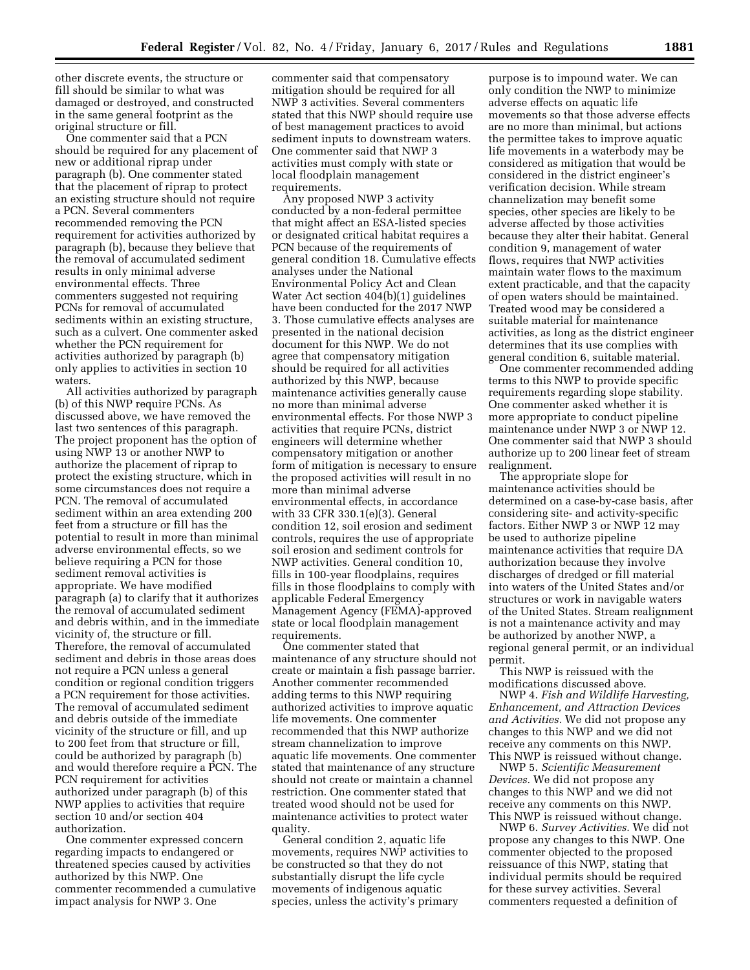other discrete events, the structure or fill should be similar to what was damaged or destroyed, and constructed in the same general footprint as the original structure or fill.

One commenter said that a PCN should be required for any placement of new or additional riprap under paragraph (b). One commenter stated that the placement of riprap to protect an existing structure should not require a PCN. Several commenters recommended removing the PCN requirement for activities authorized by paragraph (b), because they believe that the removal of accumulated sediment results in only minimal adverse environmental effects. Three commenters suggested not requiring PCNs for removal of accumulated sediments within an existing structure, such as a culvert. One commenter asked whether the PCN requirement for activities authorized by paragraph (b) only applies to activities in section 10 waters.

All activities authorized by paragraph (b) of this NWP require PCNs. As discussed above, we have removed the last two sentences of this paragraph. The project proponent has the option of using NWP 13 or another NWP to authorize the placement of riprap to protect the existing structure, which in some circumstances does not require a PCN. The removal of accumulated sediment within an area extending 200 feet from a structure or fill has the potential to result in more than minimal adverse environmental effects, so we believe requiring a PCN for those sediment removal activities is appropriate. We have modified paragraph (a) to clarify that it authorizes the removal of accumulated sediment and debris within, and in the immediate vicinity of, the structure or fill. Therefore, the removal of accumulated sediment and debris in those areas does not require a PCN unless a general condition or regional condition triggers a PCN requirement for those activities. The removal of accumulated sediment and debris outside of the immediate vicinity of the structure or fill, and up to 200 feet from that structure or fill, could be authorized by paragraph (b) and would therefore require a PCN. The PCN requirement for activities authorized under paragraph (b) of this NWP applies to activities that require section 10 and/or section 404 authorization.

One commenter expressed concern regarding impacts to endangered or threatened species caused by activities authorized by this NWP. One commenter recommended a cumulative impact analysis for NWP 3. One

commenter said that compensatory mitigation should be required for all NWP 3 activities. Several commenters stated that this NWP should require use of best management practices to avoid sediment inputs to downstream waters. One commenter said that NWP 3 activities must comply with state or local floodplain management requirements.

Any proposed NWP 3 activity conducted by a non-federal permittee that might affect an ESA-listed species or designated critical habitat requires a PCN because of the requirements of general condition 18. Cumulative effects analyses under the National Environmental Policy Act and Clean Water Act section 404(b)(1) guidelines have been conducted for the 2017 NWP 3. Those cumulative effects analyses are presented in the national decision document for this NWP. We do not agree that compensatory mitigation should be required for all activities authorized by this NWP, because maintenance activities generally cause no more than minimal adverse environmental effects. For those NWP 3 activities that require PCNs, district engineers will determine whether compensatory mitigation or another form of mitigation is necessary to ensure the proposed activities will result in no more than minimal adverse environmental effects, in accordance with 33 CFR 330.1(e)(3). General condition 12, soil erosion and sediment controls, requires the use of appropriate soil erosion and sediment controls for NWP activities. General condition 10, fills in 100-year floodplains, requires fills in those floodplains to comply with applicable Federal Emergency Management Agency (FEMA)-approved state or local floodplain management requirements.

One commenter stated that maintenance of any structure should not create or maintain a fish passage barrier. Another commenter recommended adding terms to this NWP requiring authorized activities to improve aquatic life movements. One commenter recommended that this NWP authorize stream channelization to improve aquatic life movements. One commenter stated that maintenance of any structure should not create or maintain a channel restriction. One commenter stated that treated wood should not be used for maintenance activities to protect water quality.

General condition 2, aquatic life movements, requires NWP activities to be constructed so that they do not substantially disrupt the life cycle movements of indigenous aquatic species, unless the activity's primary

purpose is to impound water. We can only condition the NWP to minimize adverse effects on aquatic life movements so that those adverse effects are no more than minimal, but actions the permittee takes to improve aquatic life movements in a waterbody may be considered as mitigation that would be considered in the district engineer's verification decision. While stream channelization may benefit some species, other species are likely to be adverse affected by those activities because they alter their habitat. General condition 9, management of water flows, requires that NWP activities maintain water flows to the maximum extent practicable, and that the capacity of open waters should be maintained. Treated wood may be considered a suitable material for maintenance activities, as long as the district engineer determines that its use complies with general condition 6, suitable material.

One commenter recommended adding terms to this NWP to provide specific requirements regarding slope stability. One commenter asked whether it is more appropriate to conduct pipeline maintenance under NWP 3 or NWP 12. One commenter said that NWP 3 should authorize up to 200 linear feet of stream realignment.

The appropriate slope for maintenance activities should be determined on a case-by-case basis, after considering site- and activity-specific factors. Either NWP 3 or NWP 12 may be used to authorize pipeline maintenance activities that require DA authorization because they involve discharges of dredged or fill material into waters of the United States and/or structures or work in navigable waters of the United States. Stream realignment is not a maintenance activity and may be authorized by another NWP, a regional general permit, or an individual permit.

This NWP is reissued with the modifications discussed above.

NWP 4. *Fish and Wildlife Harvesting, Enhancement, and Attraction Devices and Activities.* We did not propose any changes to this NWP and we did not receive any comments on this NWP. This NWP is reissued without change.

NWP 5. *Scientific Measurement Devices.* We did not propose any changes to this NWP and we did not receive any comments on this NWP. This NWP is reissued without change.

NWP 6. *Survey Activities.* We did not propose any changes to this NWP. One commenter objected to the proposed reissuance of this NWP, stating that individual permits should be required for these survey activities. Several commenters requested a definition of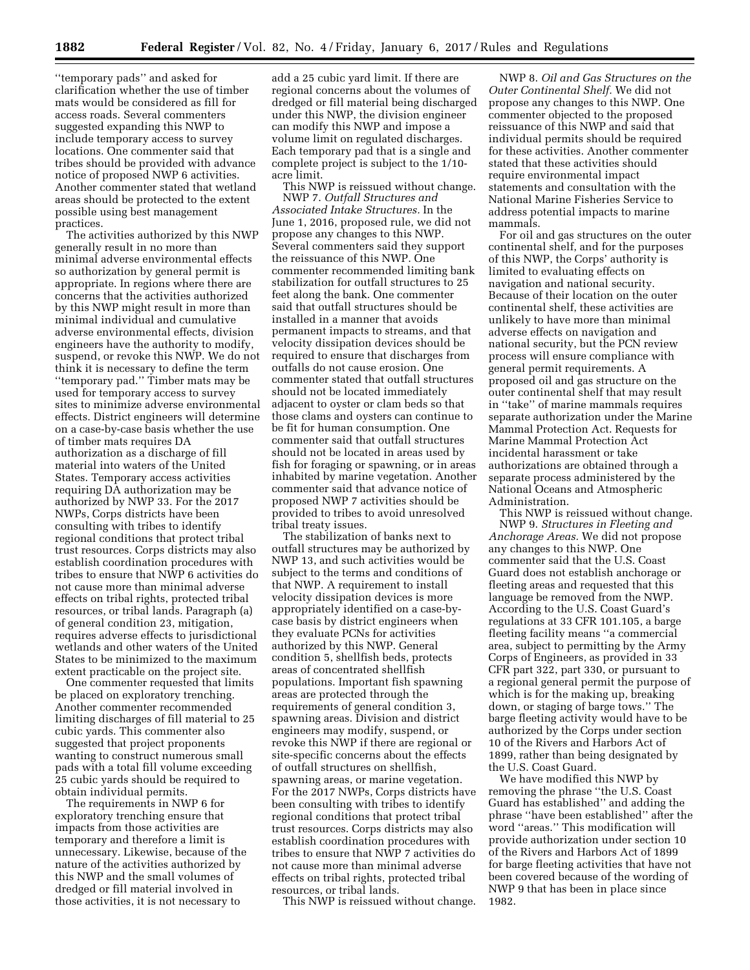''temporary pads'' and asked for clarification whether the use of timber mats would be considered as fill for access roads. Several commenters suggested expanding this NWP to include temporary access to survey locations. One commenter said that tribes should be provided with advance notice of proposed NWP 6 activities. Another commenter stated that wetland areas should be protected to the extent possible using best management practices.

The activities authorized by this NWP generally result in no more than minimal adverse environmental effects so authorization by general permit is appropriate. In regions where there are concerns that the activities authorized by this NWP might result in more than minimal individual and cumulative adverse environmental effects, division engineers have the authority to modify, suspend, or revoke this NWP. We do not think it is necessary to define the term ''temporary pad.'' Timber mats may be used for temporary access to survey sites to minimize adverse environmental effects. District engineers will determine on a case-by-case basis whether the use of timber mats requires DA authorization as a discharge of fill material into waters of the United States. Temporary access activities requiring DA authorization may be authorized by NWP 33. For the 2017 NWPs, Corps districts have been consulting with tribes to identify regional conditions that protect tribal trust resources. Corps districts may also establish coordination procedures with tribes to ensure that NWP 6 activities do not cause more than minimal adverse effects on tribal rights, protected tribal resources, or tribal lands. Paragraph (a) of general condition 23, mitigation, requires adverse effects to jurisdictional wetlands and other waters of the United States to be minimized to the maximum extent practicable on the project site.

One commenter requested that limits be placed on exploratory trenching. Another commenter recommended limiting discharges of fill material to 25 cubic yards. This commenter also suggested that project proponents wanting to construct numerous small pads with a total fill volume exceeding 25 cubic yards should be required to obtain individual permits.

The requirements in NWP 6 for exploratory trenching ensure that impacts from those activities are temporary and therefore a limit is unnecessary. Likewise, because of the nature of the activities authorized by this NWP and the small volumes of dredged or fill material involved in those activities, it is not necessary to

add a 25 cubic yard limit. If there are regional concerns about the volumes of dredged or fill material being discharged under this NWP, the division engineer can modify this NWP and impose a volume limit on regulated discharges. Each temporary pad that is a single and complete project is subject to the 1/10 acre limit.

This NWP is reissued without change. NWP 7. *Outfall Structures and Associated Intake Structures.* In the June 1, 2016, proposed rule, we did not propose any changes to this NWP. Several commenters said they support the reissuance of this NWP. One commenter recommended limiting bank stabilization for outfall structures to 25 feet along the bank. One commenter said that outfall structures should be installed in a manner that avoids permanent impacts to streams, and that velocity dissipation devices should be required to ensure that discharges from outfalls do not cause erosion. One commenter stated that outfall structures should not be located immediately adjacent to oyster or clam beds so that those clams and oysters can continue to be fit for human consumption. One commenter said that outfall structures should not be located in areas used by fish for foraging or spawning, or in areas inhabited by marine vegetation. Another commenter said that advance notice of proposed NWP 7 activities should be provided to tribes to avoid unresolved tribal treaty issues.

The stabilization of banks next to outfall structures may be authorized by NWP 13, and such activities would be subject to the terms and conditions of that NWP. A requirement to install velocity dissipation devices is more appropriately identified on a case-bycase basis by district engineers when they evaluate PCNs for activities authorized by this NWP. General condition 5, shellfish beds, protects areas of concentrated shellfish populations. Important fish spawning areas are protected through the requirements of general condition 3, spawning areas. Division and district engineers may modify, suspend, or revoke this NWP if there are regional or site-specific concerns about the effects of outfall structures on shellfish, spawning areas, or marine vegetation. For the 2017 NWPs, Corps districts have been consulting with tribes to identify regional conditions that protect tribal trust resources. Corps districts may also establish coordination procedures with tribes to ensure that NWP 7 activities do not cause more than minimal adverse effects on tribal rights, protected tribal resources, or tribal lands.

This NWP is reissued without change.

NWP 8. *Oil and Gas Structures on the Outer Continental Shelf.* We did not propose any changes to this NWP. One commenter objected to the proposed reissuance of this NWP and said that individual permits should be required for these activities. Another commenter stated that these activities should require environmental impact statements and consultation with the National Marine Fisheries Service to address potential impacts to marine mammals.

For oil and gas structures on the outer continental shelf, and for the purposes of this NWP, the Corps' authority is limited to evaluating effects on navigation and national security. Because of their location on the outer continental shelf, these activities are unlikely to have more than minimal adverse effects on navigation and national security, but the PCN review process will ensure compliance with general permit requirements. A proposed oil and gas structure on the outer continental shelf that may result in ''take'' of marine mammals requires separate authorization under the Marine Mammal Protection Act. Requests for Marine Mammal Protection Act incidental harassment or take authorizations are obtained through a separate process administered by the National Oceans and Atmospheric Administration.

This NWP is reissued without change. NWP 9. *Structures in Fleeting and Anchorage Areas.* We did not propose any changes to this NWP. One commenter said that the U.S. Coast Guard does not establish anchorage or fleeting areas and requested that this language be removed from the NWP. According to the U.S. Coast Guard's regulations at 33 CFR 101.105, a barge fleeting facility means ''a commercial area, subject to permitting by the Army Corps of Engineers, as provided in 33 CFR part 322, part 330, or pursuant to a regional general permit the purpose of which is for the making up, breaking down, or staging of barge tows.'' The barge fleeting activity would have to be authorized by the Corps under section 10 of the Rivers and Harbors Act of 1899, rather than being designated by the U.S. Coast Guard.

We have modified this NWP by removing the phrase ''the U.S. Coast Guard has established'' and adding the phrase ''have been established'' after the word ''areas.'' This modification will provide authorization under section 10 of the Rivers and Harbors Act of 1899 for barge fleeting activities that have not been covered because of the wording of NWP 9 that has been in place since 1982.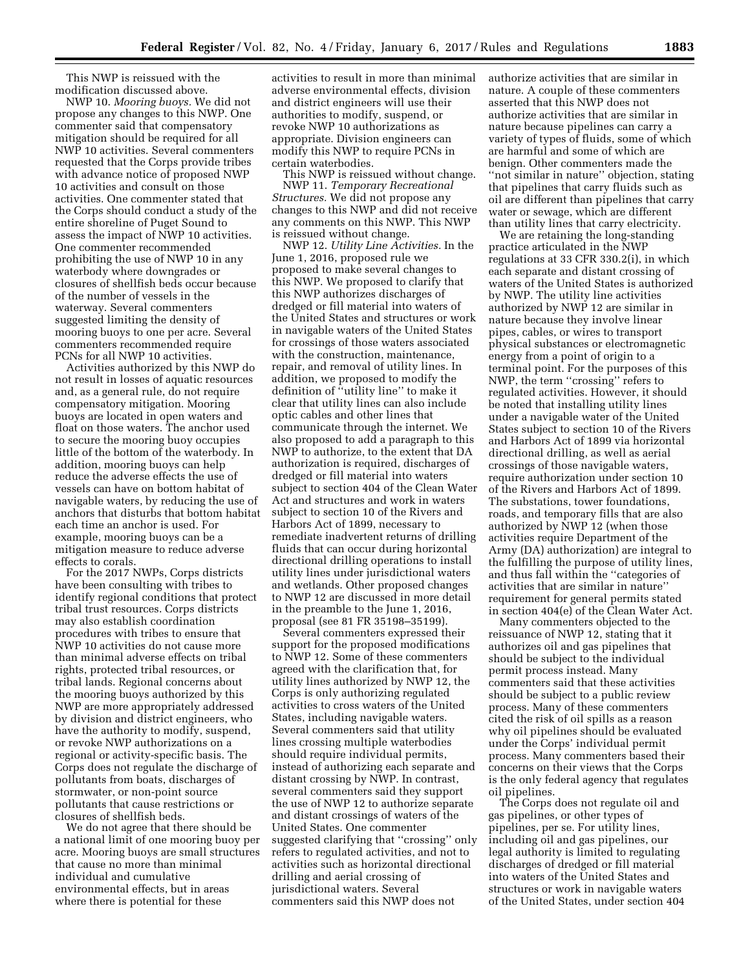This NWP is reissued with the modification discussed above.

NWP 10. *Mooring buoys.* We did not propose any changes to this NWP. One commenter said that compensatory mitigation should be required for all NWP 10 activities. Several commenters requested that the Corps provide tribes with advance notice of proposed NWP 10 activities and consult on those activities. One commenter stated that the Corps should conduct a study of the entire shoreline of Puget Sound to assess the impact of NWP 10 activities. One commenter recommended prohibiting the use of NWP 10 in any waterbody where downgrades or closures of shellfish beds occur because of the number of vessels in the waterway. Several commenters suggested limiting the density of mooring buoys to one per acre. Several commenters recommended require PCNs for all NWP 10 activities.

Activities authorized by this NWP do not result in losses of aquatic resources and, as a general rule, do not require compensatory mitigation. Mooring buoys are located in open waters and float on those waters. The anchor used to secure the mooring buoy occupies little of the bottom of the waterbody. In addition, mooring buoys can help reduce the adverse effects the use of vessels can have on bottom habitat of navigable waters, by reducing the use of anchors that disturbs that bottom habitat each time an anchor is used. For example, mooring buoys can be a mitigation measure to reduce adverse effects to corals.

For the 2017 NWPs, Corps districts have been consulting with tribes to identify regional conditions that protect tribal trust resources. Corps districts may also establish coordination procedures with tribes to ensure that NWP 10 activities do not cause more than minimal adverse effects on tribal rights, protected tribal resources, or tribal lands. Regional concerns about the mooring buoys authorized by this NWP are more appropriately addressed by division and district engineers, who have the authority to modify, suspend, or revoke NWP authorizations on a regional or activity-specific basis. The Corps does not regulate the discharge of pollutants from boats, discharges of stormwater, or non-point source pollutants that cause restrictions or closures of shellfish beds.

We do not agree that there should be a national limit of one mooring buoy per acre. Mooring buoys are small structures that cause no more than minimal individual and cumulative environmental effects, but in areas where there is potential for these

activities to result in more than minimal adverse environmental effects, division and district engineers will use their authorities to modify, suspend, or revoke NWP 10 authorizations as appropriate. Division engineers can modify this NWP to require PCNs in certain waterbodies.

This NWP is reissued without change. NWP 11. *Temporary Recreational Structures.* We did not propose any changes to this NWP and did not receive any comments on this NWP. This NWP is reissued without change.

NWP 12. *Utility Line Activities.* In the June 1, 2016, proposed rule we proposed to make several changes to this NWP. We proposed to clarify that this NWP authorizes discharges of dredged or fill material into waters of the United States and structures or work in navigable waters of the United States for crossings of those waters associated with the construction, maintenance, repair, and removal of utility lines. In addition, we proposed to modify the definition of ''utility line'' to make it clear that utility lines can also include optic cables and other lines that communicate through the internet. We also proposed to add a paragraph to this NWP to authorize, to the extent that DA authorization is required, discharges of dredged or fill material into waters subject to section 404 of the Clean Water Act and structures and work in waters subject to section 10 of the Rivers and Harbors Act of 1899, necessary to remediate inadvertent returns of drilling fluids that can occur during horizontal directional drilling operations to install utility lines under jurisdictional waters and wetlands. Other proposed changes to NWP 12 are discussed in more detail in the preamble to the June 1, 2016, proposal (see 81 FR 35198–35199).

Several commenters expressed their support for the proposed modifications to NWP 12. Some of these commenters agreed with the clarification that, for utility lines authorized by NWP 12, the Corps is only authorizing regulated activities to cross waters of the United States, including navigable waters. Several commenters said that utility lines crossing multiple waterbodies should require individual permits, instead of authorizing each separate and distant crossing by NWP. In contrast, several commenters said they support the use of NWP 12 to authorize separate and distant crossings of waters of the United States. One commenter suggested clarifying that ''crossing'' only refers to regulated activities, and not to activities such as horizontal directional drilling and aerial crossing of jurisdictional waters. Several commenters said this NWP does not

authorize activities that are similar in nature. A couple of these commenters asserted that this NWP does not authorize activities that are similar in nature because pipelines can carry a variety of types of fluids, some of which are harmful and some of which are benign. Other commenters made the "not similar in nature" objection, stating that pipelines that carry fluids such as oil are different than pipelines that carry water or sewage, which are different than utility lines that carry electricity.

We are retaining the long-standing practice articulated in the NWP regulations at 33 CFR 330.2(i), in which each separate and distant crossing of waters of the United States is authorized by NWP. The utility line activities authorized by NWP 12 are similar in nature because they involve linear pipes, cables, or wires to transport physical substances or electromagnetic energy from a point of origin to a terminal point. For the purposes of this NWP, the term ''crossing'' refers to regulated activities. However, it should be noted that installing utility lines under a navigable water of the United States subject to section 10 of the Rivers and Harbors Act of 1899 via horizontal directional drilling, as well as aerial crossings of those navigable waters, require authorization under section 10 of the Rivers and Harbors Act of 1899. The substations, tower foundations, roads, and temporary fills that are also authorized by NWP 12 (when those activities require Department of the Army (DA) authorization) are integral to the fulfilling the purpose of utility lines, and thus fall within the ''categories of activities that are similar in nature'' requirement for general permits stated in section 404(e) of the Clean Water Act.

Many commenters objected to the reissuance of NWP 12, stating that it authorizes oil and gas pipelines that should be subject to the individual permit process instead. Many commenters said that these activities should be subject to a public review process. Many of these commenters cited the risk of oil spills as a reason why oil pipelines should be evaluated under the Corps' individual permit process. Many commenters based their concerns on their views that the Corps is the only federal agency that regulates oil pipelines.

The Corps does not regulate oil and gas pipelines, or other types of pipelines, per se. For utility lines, including oil and gas pipelines, our legal authority is limited to regulating discharges of dredged or fill material into waters of the United States and structures or work in navigable waters of the United States, under section 404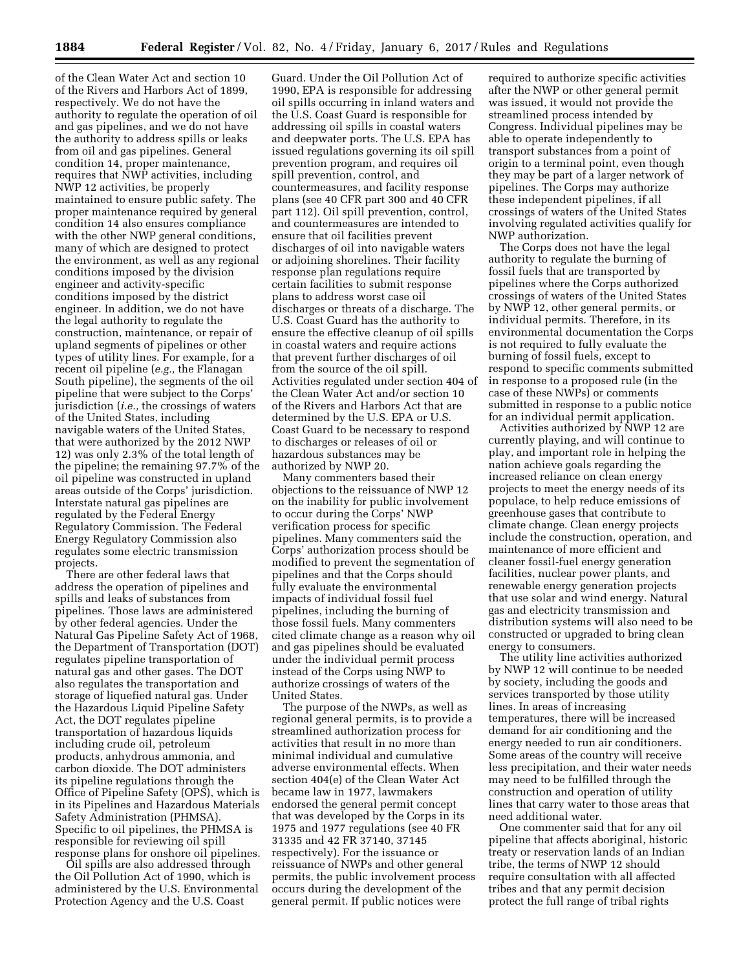of the Clean Water Act and section 10 of the Rivers and Harbors Act of 1899, respectively. We do not have the authority to regulate the operation of oil and gas pipelines, and we do not have the authority to address spills or leaks from oil and gas pipelines. General condition 14, proper maintenance, requires that NWP activities, including NWP 12 activities, be properly maintained to ensure public safety. The proper maintenance required by general condition 14 also ensures compliance with the other NWP general conditions, many of which are designed to protect the environment, as well as any regional conditions imposed by the division engineer and activity-specific conditions imposed by the district engineer. In addition, we do not have the legal authority to regulate the construction, maintenance, or repair of upland segments of pipelines or other types of utility lines. For example, for a recent oil pipeline (*e.g.,* the Flanagan South pipeline), the segments of the oil pipeline that were subject to the Corps' jurisdiction (*i.e.,* the crossings of waters of the United States, including navigable waters of the United States, that were authorized by the 2012 NWP 12) was only 2.3% of the total length of the pipeline; the remaining 97.7% of the oil pipeline was constructed in upland areas outside of the Corps' jurisdiction. Interstate natural gas pipelines are regulated by the Federal Energy Regulatory Commission. The Federal Energy Regulatory Commission also regulates some electric transmission projects.

There are other federal laws that address the operation of pipelines and spills and leaks of substances from pipelines. Those laws are administered by other federal agencies. Under the Natural Gas Pipeline Safety Act of 1968, the Department of Transportation (DOT) regulates pipeline transportation of natural gas and other gases. The DOT also regulates the transportation and storage of liquefied natural gas. Under the Hazardous Liquid Pipeline Safety Act, the DOT regulates pipeline transportation of hazardous liquids including crude oil, petroleum products, anhydrous ammonia, and carbon dioxide. The DOT administers its pipeline regulations through the Office of Pipeline Safety (OPS), which is in its Pipelines and Hazardous Materials Safety Administration (PHMSA). Specific to oil pipelines, the PHMSA is responsible for reviewing oil spill response plans for onshore oil pipelines.

Oil spills are also addressed through the Oil Pollution Act of 1990, which is administered by the U.S. Environmental Protection Agency and the U.S. Coast

Guard. Under the Oil Pollution Act of 1990, EPA is responsible for addressing oil spills occurring in inland waters and the U.S. Coast Guard is responsible for addressing oil spills in coastal waters and deepwater ports. The U.S. EPA has issued regulations governing its oil spill prevention program, and requires oil spill prevention, control, and countermeasures, and facility response plans (see 40 CFR part 300 and 40 CFR part 112). Oil spill prevention, control, and countermeasures are intended to ensure that oil facilities prevent discharges of oil into navigable waters or adjoining shorelines. Their facility response plan regulations require certain facilities to submit response plans to address worst case oil discharges or threats of a discharge. The U.S. Coast Guard has the authority to ensure the effective cleanup of oil spills in coastal waters and require actions that prevent further discharges of oil from the source of the oil spill. Activities regulated under section 404 of the Clean Water Act and/or section 10 of the Rivers and Harbors Act that are determined by the U.S. EPA or U.S. Coast Guard to be necessary to respond to discharges or releases of oil or hazardous substances may be authorized by NWP 20.

Many commenters based their objections to the reissuance of NWP 12 on the inability for public involvement to occur during the Corps' NWP verification process for specific pipelines. Many commenters said the Corps' authorization process should be modified to prevent the segmentation of pipelines and that the Corps should fully evaluate the environmental impacts of individual fossil fuel pipelines, including the burning of those fossil fuels. Many commenters cited climate change as a reason why oil and gas pipelines should be evaluated under the individual permit process instead of the Corps using NWP to authorize crossings of waters of the United States.

The purpose of the NWPs, as well as regional general permits, is to provide a streamlined authorization process for activities that result in no more than minimal individual and cumulative adverse environmental effects. When section 404(e) of the Clean Water Act became law in 1977, lawmakers endorsed the general permit concept that was developed by the Corps in its 1975 and 1977 regulations (see 40 FR 31335 and 42 FR 37140, 37145 respectively). For the issuance or reissuance of NWPs and other general permits, the public involvement process occurs during the development of the general permit. If public notices were

required to authorize specific activities after the NWP or other general permit was issued, it would not provide the streamlined process intended by Congress. Individual pipelines may be able to operate independently to transport substances from a point of origin to a terminal point, even though they may be part of a larger network of pipelines. The Corps may authorize these independent pipelines, if all crossings of waters of the United States involving regulated activities qualify for NWP authorization.

The Corps does not have the legal authority to regulate the burning of fossil fuels that are transported by pipelines where the Corps authorized crossings of waters of the United States by NWP 12, other general permits, or individual permits. Therefore, in its environmental documentation the Corps is not required to fully evaluate the burning of fossil fuels, except to respond to specific comments submitted in response to a proposed rule (in the case of these NWPs) or comments submitted in response to a public notice for an individual permit application.

Activities authorized by NWP 12 are currently playing, and will continue to play, and important role in helping the nation achieve goals regarding the increased reliance on clean energy projects to meet the energy needs of its populace, to help reduce emissions of greenhouse gases that contribute to climate change. Clean energy projects include the construction, operation, and maintenance of more efficient and cleaner fossil-fuel energy generation facilities, nuclear power plants, and renewable energy generation projects that use solar and wind energy. Natural gas and electricity transmission and distribution systems will also need to be constructed or upgraded to bring clean energy to consumers.

The utility line activities authorized by NWP 12 will continue to be needed by society, including the goods and services transported by those utility lines. In areas of increasing temperatures, there will be increased demand for air conditioning and the energy needed to run air conditioners. Some areas of the country will receive less precipitation, and their water needs may need to be fulfilled through the construction and operation of utility lines that carry water to those areas that need additional water.

One commenter said that for any oil pipeline that affects aboriginal, historic treaty or reservation lands of an Indian tribe, the terms of NWP 12 should require consultation with all affected tribes and that any permit decision protect the full range of tribal rights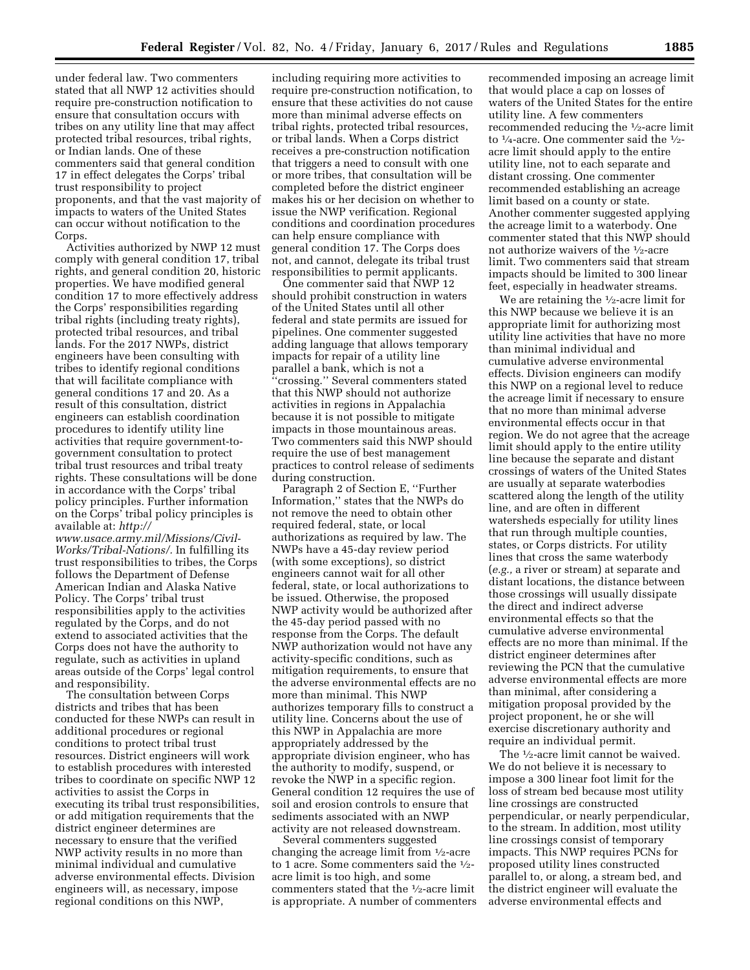under federal law. Two commenters stated that all NWP 12 activities should require pre-construction notification to ensure that consultation occurs with tribes on any utility line that may affect protected tribal resources, tribal rights, or Indian lands. One of these commenters said that general condition 17 in effect delegates the Corps' tribal trust responsibility to project proponents, and that the vast majority of impacts to waters of the United States can occur without notification to the Corps.

Activities authorized by NWP 12 must comply with general condition 17, tribal rights, and general condition 20, historic properties. We have modified general condition 17 to more effectively address the Corps' responsibilities regarding tribal rights (including treaty rights), protected tribal resources, and tribal lands. For the 2017 NWPs, district engineers have been consulting with tribes to identify regional conditions that will facilitate compliance with general conditions 17 and 20. As a result of this consultation, district engineers can establish coordination procedures to identify utility line activities that require government-togovernment consultation to protect tribal trust resources and tribal treaty rights. These consultations will be done in accordance with the Corps' tribal policy principles. Further information on the Corps' tribal policy principles is available at: *[http://](http://www.usace.army.mil/Missions/Civil-Works/Tribal-Nations/)*

*[www.usace.army.mil/Missions/Civil-](http://www.usace.army.mil/Missions/Civil-Works/Tribal-Nations/)[Works/Tribal-Nations/.](http://www.usace.army.mil/Missions/Civil-Works/Tribal-Nations/)* In fulfilling its trust responsibilities to tribes, the Corps follows the Department of Defense American Indian and Alaska Native Policy. The Corps' tribal trust responsibilities apply to the activities regulated by the Corps, and do not extend to associated activities that the Corps does not have the authority to regulate, such as activities in upland areas outside of the Corps' legal control and responsibility.

The consultation between Corps districts and tribes that has been conducted for these NWPs can result in additional procedures or regional conditions to protect tribal trust resources. District engineers will work to establish procedures with interested tribes to coordinate on specific NWP 12 activities to assist the Corps in executing its tribal trust responsibilities, or add mitigation requirements that the district engineer determines are necessary to ensure that the verified NWP activity results in no more than minimal individual and cumulative adverse environmental effects. Division engineers will, as necessary, impose regional conditions on this NWP,

including requiring more activities to require pre-construction notification, to ensure that these activities do not cause more than minimal adverse effects on tribal rights, protected tribal resources, or tribal lands. When a Corps district receives a pre-construction notification that triggers a need to consult with one or more tribes, that consultation will be completed before the district engineer makes his or her decision on whether to issue the NWP verification. Regional conditions and coordination procedures can help ensure compliance with general condition 17. The Corps does not, and cannot, delegate its tribal trust responsibilities to permit applicants.

One commenter said that NWP 12 should prohibit construction in waters of the United States until all other federal and state permits are issued for pipelines. One commenter suggested adding language that allows temporary impacts for repair of a utility line parallel a bank, which is not a ''crossing.'' Several commenters stated that this NWP should not authorize activities in regions in Appalachia because it is not possible to mitigate impacts in those mountainous areas. Two commenters said this NWP should require the use of best management practices to control release of sediments during construction.

Paragraph 2 of Section E, ''Further Information,'' states that the NWPs do not remove the need to obtain other required federal, state, or local authorizations as required by law. The NWPs have a 45-day review period (with some exceptions), so district engineers cannot wait for all other federal, state, or local authorizations to be issued. Otherwise, the proposed NWP activity would be authorized after the 45-day period passed with no response from the Corps. The default NWP authorization would not have any activity-specific conditions, such as mitigation requirements, to ensure that the adverse environmental effects are no more than minimal. This NWP authorizes temporary fills to construct a utility line. Concerns about the use of this NWP in Appalachia are more appropriately addressed by the appropriate division engineer, who has the authority to modify, suspend, or revoke the NWP in a specific region. General condition 12 requires the use of soil and erosion controls to ensure that sediments associated with an NWP activity are not released downstream.

Several commenters suggested changing the acreage limit from 1⁄2-acre to 1 acre. Some commenters said the 1⁄2 acre limit is too high, and some commenters stated that the 1⁄2-acre limit is appropriate. A number of commenters recommended imposing an acreage limit that would place a cap on losses of waters of the United States for the entire utility line. A few commenters recommended reducing the 1⁄2-acre limit to  $\frac{1}{4}$ -acre. One commenter said the  $\frac{1}{2}$ acre limit should apply to the entire utility line, not to each separate and distant crossing. One commenter recommended establishing an acreage limit based on a county or state. Another commenter suggested applying the acreage limit to a waterbody. One commenter stated that this NWP should not authorize waivers of the 1/2-acre limit. Two commenters said that stream impacts should be limited to 300 linear feet, especially in headwater streams.

We are retaining the <sup>1</sup>/2-acre limit for this NWP because we believe it is an appropriate limit for authorizing most utility line activities that have no more than minimal individual and cumulative adverse environmental effects. Division engineers can modify this NWP on a regional level to reduce the acreage limit if necessary to ensure that no more than minimal adverse environmental effects occur in that region. We do not agree that the acreage limit should apply to the entire utility line because the separate and distant crossings of waters of the United States are usually at separate waterbodies scattered along the length of the utility line, and are often in different watersheds especially for utility lines that run through multiple counties, states, or Corps districts. For utility lines that cross the same waterbody (*e.g.,* a river or stream) at separate and distant locations, the distance between those crossings will usually dissipate the direct and indirect adverse environmental effects so that the cumulative adverse environmental effects are no more than minimal. If the district engineer determines after reviewing the PCN that the cumulative adverse environmental effects are more than minimal, after considering a mitigation proposal provided by the project proponent, he or she will exercise discretionary authority and require an individual permit.

The 1⁄2-acre limit cannot be waived. We do not believe it is necessary to impose a 300 linear foot limit for the loss of stream bed because most utility line crossings are constructed perpendicular, or nearly perpendicular, to the stream. In addition, most utility line crossings consist of temporary impacts. This NWP requires PCNs for proposed utility lines constructed parallel to, or along, a stream bed, and the district engineer will evaluate the adverse environmental effects and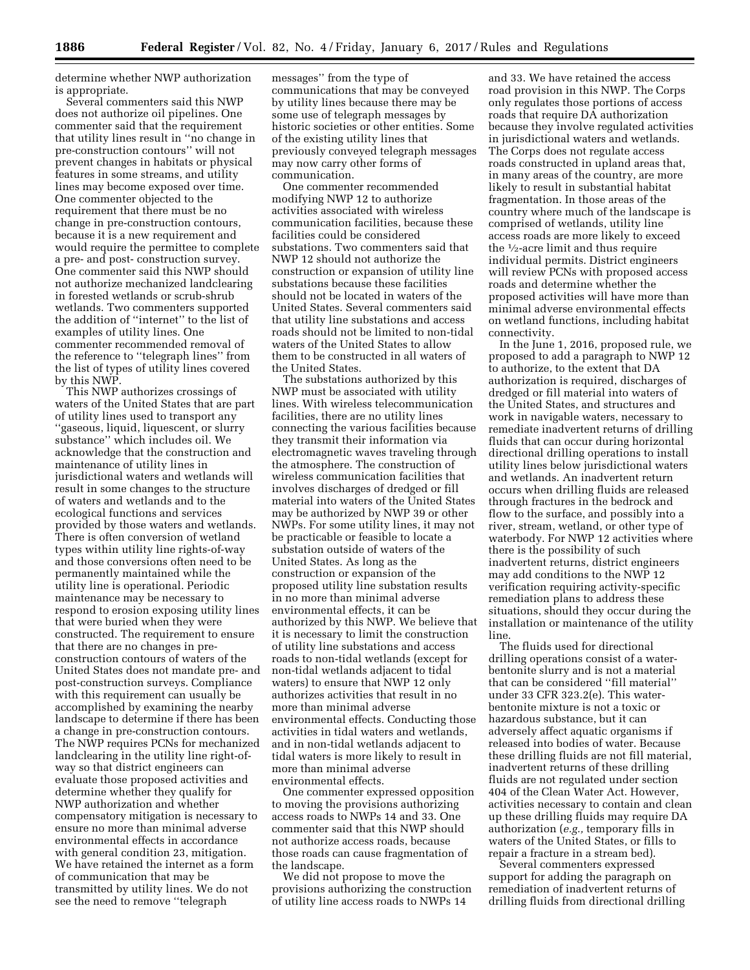determine whether NWP authorization is appropriate.

Several commenters said this NWP does not authorize oil pipelines. One commenter said that the requirement that utility lines result in ''no change in pre-construction contours'' will not prevent changes in habitats or physical features in some streams, and utility lines may become exposed over time. One commenter objected to the requirement that there must be no change in pre-construction contours, because it is a new requirement and would require the permittee to complete a pre- and post- construction survey. One commenter said this NWP should not authorize mechanized landclearing in forested wetlands or scrub-shrub wetlands. Two commenters supported the addition of ''internet'' to the list of examples of utility lines. One commenter recommended removal of the reference to ''telegraph lines'' from the list of types of utility lines covered by this NWP.

This NWP authorizes crossings of waters of the United States that are part of utility lines used to transport any ''gaseous, liquid, liquescent, or slurry substance'' which includes oil. We acknowledge that the construction and maintenance of utility lines in jurisdictional waters and wetlands will result in some changes to the structure of waters and wetlands and to the ecological functions and services provided by those waters and wetlands. There is often conversion of wetland types within utility line rights-of-way and those conversions often need to be permanently maintained while the utility line is operational. Periodic maintenance may be necessary to respond to erosion exposing utility lines that were buried when they were constructed. The requirement to ensure that there are no changes in preconstruction contours of waters of the United States does not mandate pre- and post-construction surveys. Compliance with this requirement can usually be accomplished by examining the nearby landscape to determine if there has been a change in pre-construction contours. The NWP requires PCNs for mechanized landclearing in the utility line right-ofway so that district engineers can evaluate those proposed activities and determine whether they qualify for NWP authorization and whether compensatory mitigation is necessary to ensure no more than minimal adverse environmental effects in accordance with general condition 23, mitigation. We have retained the internet as a form of communication that may be transmitted by utility lines. We do not see the need to remove ''telegraph

messages'' from the type of communications that may be conveyed by utility lines because there may be some use of telegraph messages by historic societies or other entities. Some of the existing utility lines that previously conveyed telegraph messages may now carry other forms of communication.

One commenter recommended modifying NWP 12 to authorize activities associated with wireless communication facilities, because these facilities could be considered substations. Two commenters said that NWP 12 should not authorize the construction or expansion of utility line substations because these facilities should not be located in waters of the United States. Several commenters said that utility line substations and access roads should not be limited to non-tidal waters of the United States to allow them to be constructed in all waters of the United States.

The substations authorized by this NWP must be associated with utility lines. With wireless telecommunication facilities, there are no utility lines connecting the various facilities because they transmit their information via electromagnetic waves traveling through the atmosphere. The construction of wireless communication facilities that involves discharges of dredged or fill material into waters of the United States may be authorized by NWP 39 or other NWPs. For some utility lines, it may not be practicable or feasible to locate a substation outside of waters of the United States. As long as the construction or expansion of the proposed utility line substation results in no more than minimal adverse environmental effects, it can be authorized by this NWP. We believe that it is necessary to limit the construction of utility line substations and access roads to non-tidal wetlands (except for non-tidal wetlands adjacent to tidal waters) to ensure that NWP 12 only authorizes activities that result in no more than minimal adverse environmental effects. Conducting those activities in tidal waters and wetlands, and in non-tidal wetlands adjacent to tidal waters is more likely to result in more than minimal adverse environmental effects.

One commenter expressed opposition to moving the provisions authorizing access roads to NWPs 14 and 33. One commenter said that this NWP should not authorize access roads, because those roads can cause fragmentation of the landscape.

We did not propose to move the provisions authorizing the construction of utility line access roads to NWPs 14

and 33. We have retained the access road provision in this NWP. The Corps only regulates those portions of access roads that require DA authorization because they involve regulated activities in jurisdictional waters and wetlands. The Corps does not regulate access roads constructed in upland areas that, in many areas of the country, are more likely to result in substantial habitat fragmentation. In those areas of the country where much of the landscape is comprised of wetlands, utility line access roads are more likely to exceed the 1⁄2-acre limit and thus require individual permits. District engineers will review PCNs with proposed access roads and determine whether the proposed activities will have more than minimal adverse environmental effects on wetland functions, including habitat connectivity.

In the June 1, 2016, proposed rule, we proposed to add a paragraph to NWP 12 to authorize, to the extent that DA authorization is required, discharges of dredged or fill material into waters of the United States, and structures and work in navigable waters, necessary to remediate inadvertent returns of drilling fluids that can occur during horizontal directional drilling operations to install utility lines below jurisdictional waters and wetlands. An inadvertent return occurs when drilling fluids are released through fractures in the bedrock and flow to the surface, and possibly into a river, stream, wetland, or other type of waterbody. For NWP 12 activities where there is the possibility of such inadvertent returns, district engineers may add conditions to the NWP 12 verification requiring activity-specific remediation plans to address these situations, should they occur during the installation or maintenance of the utility line.

The fluids used for directional drilling operations consist of a waterbentonite slurry and is not a material that can be considered ''fill material'' under 33 CFR 323.2(e). This waterbentonite mixture is not a toxic or hazardous substance, but it can adversely affect aquatic organisms if released into bodies of water. Because these drilling fluids are not fill material, inadvertent returns of these drilling fluids are not regulated under section 404 of the Clean Water Act. However, activities necessary to contain and clean up these drilling fluids may require DA authorization (*e.g.,* temporary fills in waters of the United States, or fills to repair a fracture in a stream bed).

Several commenters expressed support for adding the paragraph on remediation of inadvertent returns of drilling fluids from directional drilling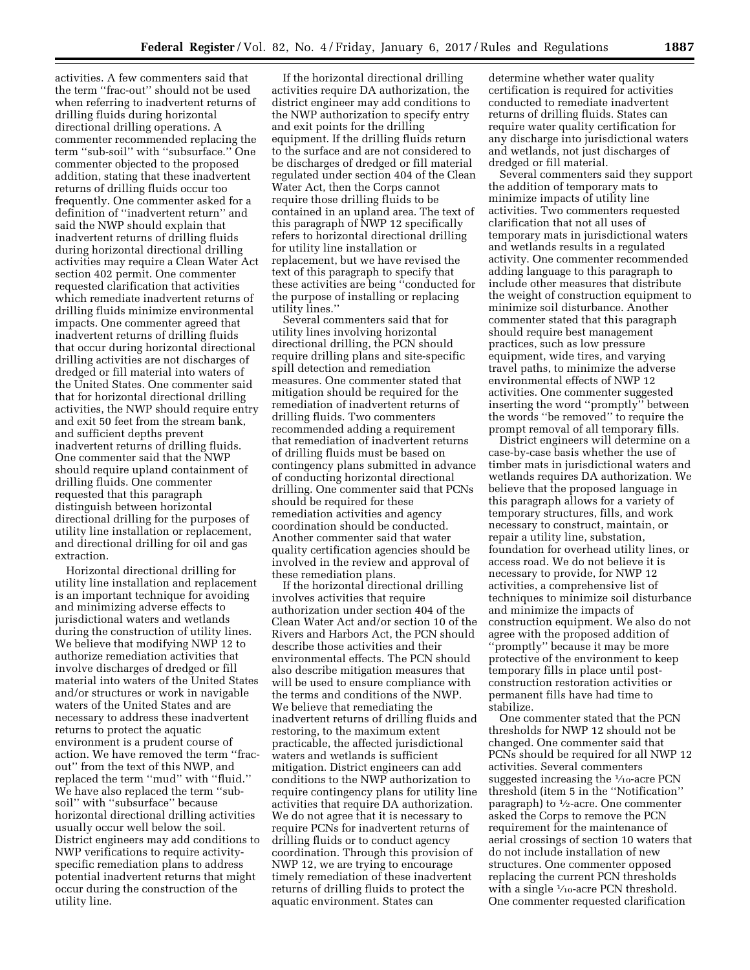activities. A few commenters said that the term ''frac-out'' should not be used when referring to inadvertent returns of drilling fluids during horizontal directional drilling operations. A commenter recommended replacing the term ''sub-soil'' with ''subsurface.'' One commenter objected to the proposed addition, stating that these inadvertent returns of drilling fluids occur too frequently. One commenter asked for a definition of ''inadvertent return'' and said the NWP should explain that inadvertent returns of drilling fluids during horizontal directional drilling activities may require a Clean Water Act section 402 permit. One commenter requested clarification that activities which remediate inadvertent returns of drilling fluids minimize environmental impacts. One commenter agreed that inadvertent returns of drilling fluids that occur during horizontal directional drilling activities are not discharges of dredged or fill material into waters of the United States. One commenter said that for horizontal directional drilling activities, the NWP should require entry and exit 50 feet from the stream bank, and sufficient depths prevent inadvertent returns of drilling fluids. One commenter said that the NWP should require upland containment of drilling fluids. One commenter requested that this paragraph distinguish between horizontal directional drilling for the purposes of utility line installation or replacement, and directional drilling for oil and gas extraction.

Horizontal directional drilling for utility line installation and replacement is an important technique for avoiding and minimizing adverse effects to jurisdictional waters and wetlands during the construction of utility lines. We believe that modifying NWP 12 to authorize remediation activities that involve discharges of dredged or fill material into waters of the United States and/or structures or work in navigable waters of the United States and are necessary to address these inadvertent returns to protect the aquatic environment is a prudent course of action. We have removed the term ''fracout'' from the text of this NWP, and replaced the term ''mud'' with ''fluid.'' We have also replaced the term ''subsoil'' with ''subsurface'' because horizontal directional drilling activities usually occur well below the soil. District engineers may add conditions to NWP verifications to require activityspecific remediation plans to address potential inadvertent returns that might occur during the construction of the utility line.

If the horizontal directional drilling activities require DA authorization, the district engineer may add conditions to the NWP authorization to specify entry and exit points for the drilling equipment. If the drilling fluids return to the surface and are not considered to be discharges of dredged or fill material regulated under section 404 of the Clean Water Act, then the Corps cannot require those drilling fluids to be contained in an upland area. The text of this paragraph of NWP 12 specifically refers to horizontal directional drilling for utility line installation or replacement, but we have revised the text of this paragraph to specify that these activities are being ''conducted for the purpose of installing or replacing utility lines.''

Several commenters said that for utility lines involving horizontal directional drilling, the PCN should require drilling plans and site-specific spill detection and remediation measures. One commenter stated that mitigation should be required for the remediation of inadvertent returns of drilling fluids. Two commenters recommended adding a requirement that remediation of inadvertent returns of drilling fluids must be based on contingency plans submitted in advance of conducting horizontal directional drilling. One commenter said that PCNs should be required for these remediation activities and agency coordination should be conducted. Another commenter said that water quality certification agencies should be involved in the review and approval of these remediation plans.

If the horizontal directional drilling involves activities that require authorization under section 404 of the Clean Water Act and/or section 10 of the Rivers and Harbors Act, the PCN should describe those activities and their environmental effects. The PCN should also describe mitigation measures that will be used to ensure compliance with the terms and conditions of the NWP. We believe that remediating the inadvertent returns of drilling fluids and restoring, to the maximum extent practicable, the affected jurisdictional waters and wetlands is sufficient mitigation. District engineers can add conditions to the NWP authorization to require contingency plans for utility line activities that require DA authorization. We do not agree that it is necessary to require PCNs for inadvertent returns of drilling fluids or to conduct agency coordination. Through this provision of NWP 12, we are trying to encourage timely remediation of these inadvertent returns of drilling fluids to protect the aquatic environment. States can

determine whether water quality certification is required for activities conducted to remediate inadvertent returns of drilling fluids. States can require water quality certification for any discharge into jurisdictional waters and wetlands, not just discharges of dredged or fill material.

Several commenters said they support the addition of temporary mats to minimize impacts of utility line activities. Two commenters requested clarification that not all uses of temporary mats in jurisdictional waters and wetlands results in a regulated activity. One commenter recommended adding language to this paragraph to include other measures that distribute the weight of construction equipment to minimize soil disturbance. Another commenter stated that this paragraph should require best management practices, such as low pressure equipment, wide tires, and varying travel paths, to minimize the adverse environmental effects of NWP 12 activities. One commenter suggested inserting the word ''promptly'' between the words ''be removed'' to require the prompt removal of all temporary fills.

District engineers will determine on a case-by-case basis whether the use of timber mats in jurisdictional waters and wetlands requires DA authorization. We believe that the proposed language in this paragraph allows for a variety of temporary structures, fills, and work necessary to construct, maintain, or repair a utility line, substation, foundation for overhead utility lines, or access road. We do not believe it is necessary to provide, for NWP 12 activities, a comprehensive list of techniques to minimize soil disturbance and minimize the impacts of construction equipment. We also do not agree with the proposed addition of ''promptly'' because it may be more protective of the environment to keep temporary fills in place until postconstruction restoration activities or permanent fills have had time to stabilize.

One commenter stated that the PCN thresholds for NWP 12 should not be changed. One commenter said that PCNs should be required for all NWP 12 activities. Several commenters suggested increasing the  $\frac{1}{10}$ -acre PCN threshold (item 5 in the ''Notification'' paragraph) to 1⁄2-acre. One commenter asked the Corps to remove the PCN requirement for the maintenance of aerial crossings of section 10 waters that do not include installation of new structures. One commenter opposed replacing the current PCN thresholds with a single  $\frac{1}{10}$ -acre PCN threshold. One commenter requested clarification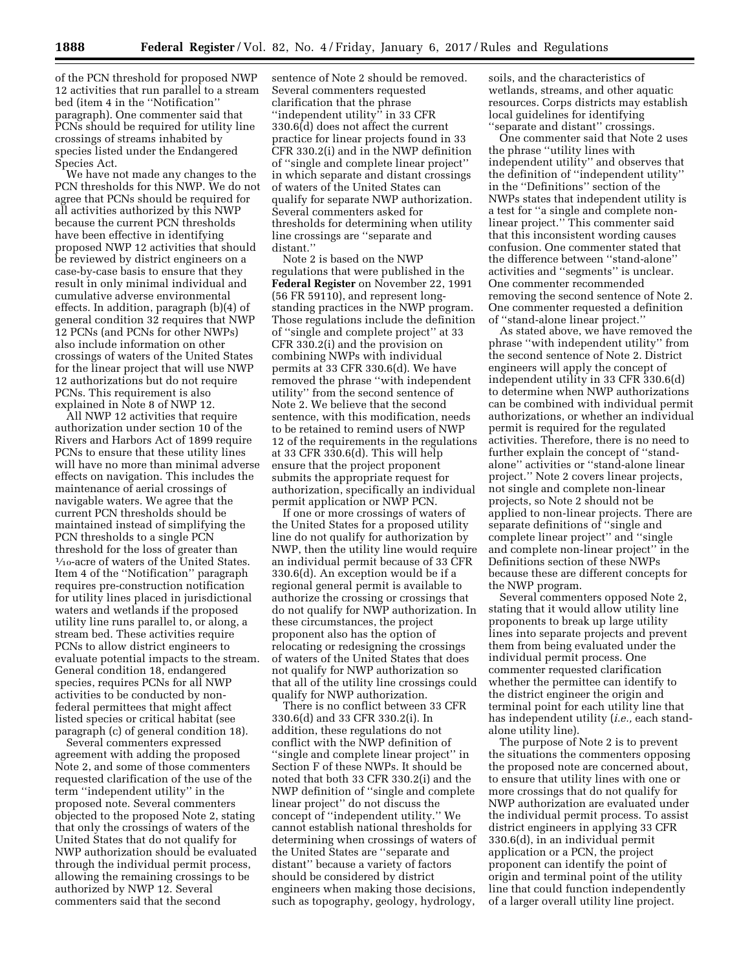of the PCN threshold for proposed NWP 12 activities that run parallel to a stream bed (item 4 in the ''Notification'' paragraph). One commenter said that PCNs should be required for utility line crossings of streams inhabited by species listed under the Endangered Species Act.

We have not made any changes to the PCN thresholds for this NWP. We do not agree that PCNs should be required for all activities authorized by this NWP because the current PCN thresholds have been effective in identifying proposed NWP 12 activities that should be reviewed by district engineers on a case-by-case basis to ensure that they result in only minimal individual and cumulative adverse environmental effects. In addition, paragraph (b)(4) of general condition 32 requires that NWP 12 PCNs (and PCNs for other NWPs) also include information on other crossings of waters of the United States for the linear project that will use NWP 12 authorizations but do not require PCNs. This requirement is also explained in Note 8 of NWP 12.

All NWP 12 activities that require authorization under section 10 of the Rivers and Harbors Act of 1899 require PCNs to ensure that these utility lines will have no more than minimal adverse effects on navigation. This includes the maintenance of aerial crossings of navigable waters. We agree that the current PCN thresholds should be maintained instead of simplifying the PCN thresholds to a single PCN threshold for the loss of greater than 1⁄10-acre of waters of the United States. Item 4 of the ''Notification'' paragraph requires pre-construction notification for utility lines placed in jurisdictional waters and wetlands if the proposed utility line runs parallel to, or along, a stream bed. These activities require PCNs to allow district engineers to evaluate potential impacts to the stream. General condition 18, endangered species, requires PCNs for all NWP activities to be conducted by nonfederal permittees that might affect listed species or critical habitat (see paragraph (c) of general condition 18).

Several commenters expressed agreement with adding the proposed Note 2, and some of those commenters requested clarification of the use of the term ''independent utility'' in the proposed note. Several commenters objected to the proposed Note 2, stating that only the crossings of waters of the United States that do not qualify for NWP authorization should be evaluated through the individual permit process, allowing the remaining crossings to be authorized by NWP 12. Several commenters said that the second

sentence of Note 2 should be removed. Several commenters requested clarification that the phrase "independent utility" in 33 CFR 330.6(d) does not affect the current practice for linear projects found in 33 CFR 330.2(i) and in the NWP definition of ''single and complete linear project'' in which separate and distant crossings of waters of the United States can qualify for separate NWP authorization. Several commenters asked for thresholds for determining when utility line crossings are ''separate and distant.''

Note 2 is based on the NWP regulations that were published in the **Federal Register** on November 22, 1991 (56 FR 59110), and represent longstanding practices in the NWP program. Those regulations include the definition of ''single and complete project'' at 33 CFR 330.2(i) and the provision on combining NWPs with individual permits at 33 CFR 330.6(d). We have removed the phrase ''with independent utility'' from the second sentence of Note 2. We believe that the second sentence, with this modification, needs to be retained to remind users of NWP 12 of the requirements in the regulations at 33 CFR 330.6(d). This will help ensure that the project proponent submits the appropriate request for authorization, specifically an individual permit application or NWP PCN.

If one or more crossings of waters of the United States for a proposed utility line do not qualify for authorization by NWP, then the utility line would require an individual permit because of 33 CFR 330.6(d). An exception would be if a regional general permit is available to authorize the crossing or crossings that do not qualify for NWP authorization. In these circumstances, the project proponent also has the option of relocating or redesigning the crossings of waters of the United States that does not qualify for NWP authorization so that all of the utility line crossings could qualify for NWP authorization.

There is no conflict between 33 CFR 330.6(d) and 33 CFR 330.2(i). In addition, these regulations do not conflict with the NWP definition of ''single and complete linear project'' in Section F of these NWPs. It should be noted that both 33 CFR 330.2(i) and the NWP definition of ''single and complete linear project'' do not discuss the concept of ''independent utility.'' We cannot establish national thresholds for determining when crossings of waters of the United States are ''separate and distant'' because a variety of factors should be considered by district engineers when making those decisions, such as topography, geology, hydrology,

soils, and the characteristics of wetlands, streams, and other aquatic resources. Corps districts may establish local guidelines for identifying ''separate and distant'' crossings.

One commenter said that Note 2 uses the phrase ''utility lines with independent utility'' and observes that the definition of ''independent utility'' in the ''Definitions'' section of the NWPs states that independent utility is a test for ''a single and complete nonlinear project.'' This commenter said that this inconsistent wording causes confusion. One commenter stated that the difference between ''stand-alone'' activities and ''segments'' is unclear. One commenter recommended removing the second sentence of Note 2. One commenter requested a definition of ''stand-alone linear project.''

As stated above, we have removed the phrase ''with independent utility'' from the second sentence of Note 2. District engineers will apply the concept of independent utility in 33 CFR 330.6(d) to determine when NWP authorizations can be combined with individual permit authorizations, or whether an individual permit is required for the regulated activities. Therefore, there is no need to further explain the concept of ''standalone'' activities or ''stand-alone linear project.'' Note 2 covers linear projects, not single and complete non-linear projects, so Note 2 should not be applied to non-linear projects. There are separate definitions of ''single and complete linear project'' and ''single and complete non-linear project'' in the Definitions section of these NWPs because these are different concepts for the NWP program.

Several commenters opposed Note 2, stating that it would allow utility line proponents to break up large utility lines into separate projects and prevent them from being evaluated under the individual permit process. One commenter requested clarification whether the permittee can identify to the district engineer the origin and terminal point for each utility line that has independent utility (*i.e.,* each standalone utility line).

The purpose of Note 2 is to prevent the situations the commenters opposing the proposed note are concerned about, to ensure that utility lines with one or more crossings that do not qualify for NWP authorization are evaluated under the individual permit process. To assist district engineers in applying 33 CFR 330.6(d), in an individual permit application or a PCN, the project proponent can identify the point of origin and terminal point of the utility line that could function independently of a larger overall utility line project.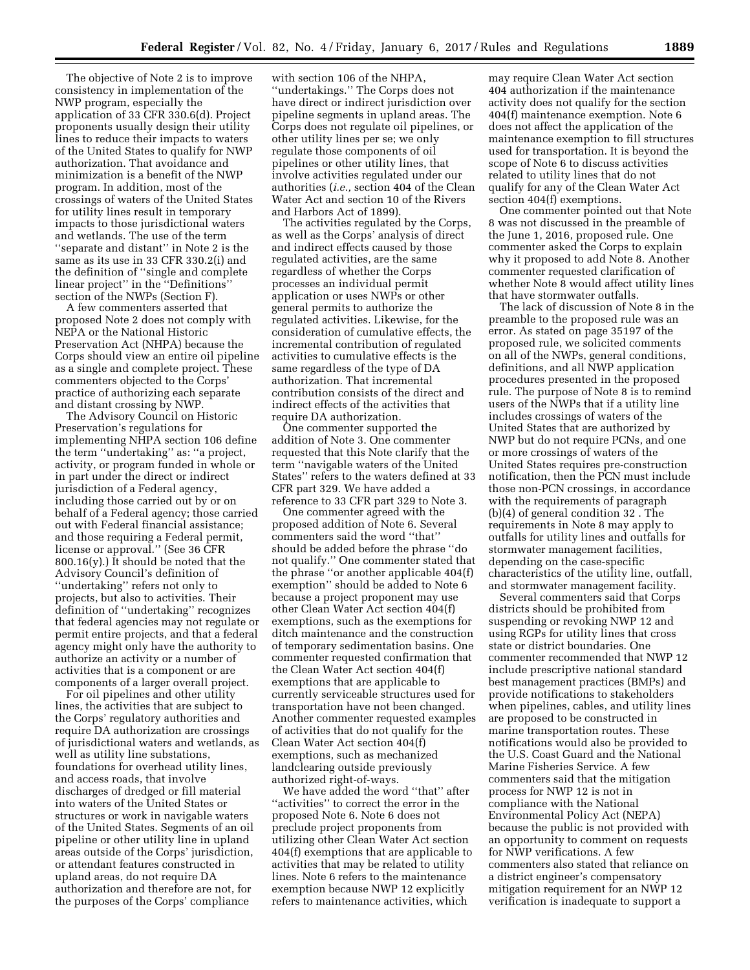The objective of Note 2 is to improve consistency in implementation of the NWP program, especially the application of 33 CFR 330.6(d). Project proponents usually design their utility lines to reduce their impacts to waters of the United States to qualify for NWP authorization. That avoidance and minimization is a benefit of the NWP program. In addition, most of the crossings of waters of the United States for utility lines result in temporary impacts to those jurisdictional waters and wetlands. The use of the term ''separate and distant'' in Note 2 is the same as its use in 33 CFR 330.2(i) and the definition of ''single and complete linear project'' in the ''Definitions'' section of the NWPs (Section F).

A few commenters asserted that proposed Note 2 does not comply with NEPA or the National Historic Preservation Act (NHPA) because the Corps should view an entire oil pipeline as a single and complete project. These commenters objected to the Corps' practice of authorizing each separate and distant crossing by NWP.

The Advisory Council on Historic Preservation's regulations for implementing NHPA section 106 define the term ''undertaking'' as: ''a project, activity, or program funded in whole or in part under the direct or indirect jurisdiction of a Federal agency, including those carried out by or on behalf of a Federal agency; those carried out with Federal financial assistance; and those requiring a Federal permit, license or approval." (See 36 CFR  $800.16(y)$ .) It should be noted that the Advisory Council's definition of ''undertaking'' refers not only to projects, but also to activities. Their definition of ''undertaking'' recognizes that federal agencies may not regulate or permit entire projects, and that a federal agency might only have the authority to authorize an activity or a number of activities that is a component or are components of a larger overall project.

For oil pipelines and other utility lines, the activities that are subject to the Corps' regulatory authorities and require DA authorization are crossings of jurisdictional waters and wetlands, as well as utility line substations, foundations for overhead utility lines, and access roads, that involve discharges of dredged or fill material into waters of the United States or structures or work in navigable waters of the United States. Segments of an oil pipeline or other utility line in upland areas outside of the Corps' jurisdiction, or attendant features constructed in upland areas, do not require DA authorization and therefore are not, for the purposes of the Corps' compliance

with section 106 of the NHPA, ''undertakings.'' The Corps does not have direct or indirect jurisdiction over pipeline segments in upland areas. The Corps does not regulate oil pipelines, or other utility lines per se; we only regulate those components of oil pipelines or other utility lines, that involve activities regulated under our authorities (*i.e.,* section 404 of the Clean Water Act and section 10 of the Rivers and Harbors Act of 1899).

The activities regulated by the Corps, as well as the Corps' analysis of direct and indirect effects caused by those regulated activities, are the same regardless of whether the Corps processes an individual permit application or uses NWPs or other general permits to authorize the regulated activities. Likewise, for the consideration of cumulative effects, the incremental contribution of regulated activities to cumulative effects is the same regardless of the type of DA authorization. That incremental contribution consists of the direct and indirect effects of the activities that require DA authorization.

One commenter supported the addition of Note 3. One commenter requested that this Note clarify that the term ''navigable waters of the United States'' refers to the waters defined at 33 CFR part 329. We have added a reference to 33 CFR part 329 to Note 3.

One commenter agreed with the proposed addition of Note 6. Several commenters said the word ''that'' should be added before the phrase ''do not qualify.'' One commenter stated that the phrase ''or another applicable 404(f) exemption'' should be added to Note 6 because a project proponent may use other Clean Water Act section 404(f) exemptions, such as the exemptions for ditch maintenance and the construction of temporary sedimentation basins. One commenter requested confirmation that the Clean Water Act section 404(f) exemptions that are applicable to currently serviceable structures used for transportation have not been changed. Another commenter requested examples of activities that do not qualify for the Clean Water Act section 404(f) exemptions, such as mechanized landclearing outside previously authorized right-of-ways.

We have added the word ''that'' after ''activities'' to correct the error in the proposed Note 6. Note 6 does not preclude project proponents from utilizing other Clean Water Act section 404(f) exemptions that are applicable to activities that may be related to utility lines. Note 6 refers to the maintenance exemption because NWP 12 explicitly refers to maintenance activities, which

may require Clean Water Act section 404 authorization if the maintenance activity does not qualify for the section 404(f) maintenance exemption. Note 6 does not affect the application of the maintenance exemption to fill structures used for transportation. It is beyond the scope of Note 6 to discuss activities related to utility lines that do not qualify for any of the Clean Water Act section 404(f) exemptions.

One commenter pointed out that Note 8 was not discussed in the preamble of the June 1, 2016, proposed rule. One commenter asked the Corps to explain why it proposed to add Note 8. Another commenter requested clarification of whether Note 8 would affect utility lines that have stormwater outfalls.

The lack of discussion of Note 8 in the preamble to the proposed rule was an error. As stated on page 35197 of the proposed rule, we solicited comments on all of the NWPs, general conditions, definitions, and all NWP application procedures presented in the proposed rule. The purpose of Note 8 is to remind users of the NWPs that if a utility line includes crossings of waters of the United States that are authorized by NWP but do not require PCNs, and one or more crossings of waters of the United States requires pre-construction notification, then the PCN must include those non-PCN crossings, in accordance with the requirements of paragraph (b)(4) of general condition 32 . The requirements in Note 8 may apply to outfalls for utility lines and outfalls for stormwater management facilities, depending on the case-specific characteristics of the utility line, outfall, and stormwater management facility.

Several commenters said that Corps districts should be prohibited from suspending or revoking NWP 12 and using RGPs for utility lines that cross state or district boundaries. One commenter recommended that NWP 12 include prescriptive national standard best management practices (BMPs) and provide notifications to stakeholders when pipelines, cables, and utility lines are proposed to be constructed in marine transportation routes. These notifications would also be provided to the U.S. Coast Guard and the National Marine Fisheries Service. A few commenters said that the mitigation process for NWP 12 is not in compliance with the National Environmental Policy Act (NEPA) because the public is not provided with an opportunity to comment on requests for NWP verifications. A few commenters also stated that reliance on a district engineer's compensatory mitigation requirement for an NWP 12 verification is inadequate to support a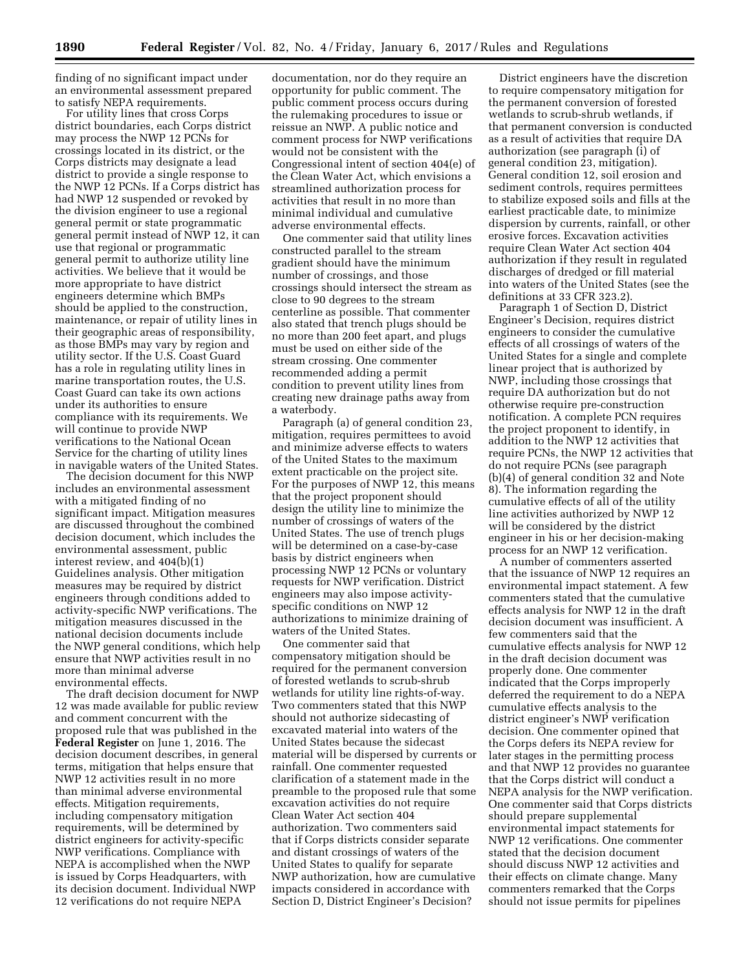finding of no significant impact under an environmental assessment prepared to satisfy NEPA requirements.

For utility lines that cross Corps district boundaries, each Corps district may process the NWP 12 PCNs for crossings located in its district, or the Corps districts may designate a lead district to provide a single response to the NWP 12 PCNs. If a Corps district has had NWP 12 suspended or revoked by the division engineer to use a regional general permit or state programmatic general permit instead of NWP 12, it can use that regional or programmatic general permit to authorize utility line activities. We believe that it would be more appropriate to have district engineers determine which BMPs should be applied to the construction, maintenance, or repair of utility lines in their geographic areas of responsibility, as those BMPs may vary by region and utility sector. If the U.S. Coast Guard has a role in regulating utility lines in marine transportation routes, the U.S. Coast Guard can take its own actions under its authorities to ensure compliance with its requirements. We will continue to provide NWP verifications to the National Ocean Service for the charting of utility lines in navigable waters of the United States.

The decision document for this NWP includes an environmental assessment with a mitigated finding of no significant impact. Mitigation measures are discussed throughout the combined decision document, which includes the environmental assessment, public interest review, and 404(b)(1) Guidelines analysis. Other mitigation measures may be required by district engineers through conditions added to activity-specific NWP verifications. The mitigation measures discussed in the national decision documents include the NWP general conditions, which help ensure that NWP activities result in no more than minimal adverse environmental effects.

The draft decision document for NWP 12 was made available for public review and comment concurrent with the proposed rule that was published in the **Federal Register** on June 1, 2016. The decision document describes, in general terms, mitigation that helps ensure that NWP 12 activities result in no more than minimal adverse environmental effects. Mitigation requirements, including compensatory mitigation requirements, will be determined by district engineers for activity-specific NWP verifications. Compliance with NEPA is accomplished when the NWP is issued by Corps Headquarters, with its decision document. Individual NWP 12 verifications do not require NEPA

documentation, nor do they require an opportunity for public comment. The public comment process occurs during the rulemaking procedures to issue or reissue an NWP. A public notice and comment process for NWP verifications would not be consistent with the Congressional intent of section 404(e) of the Clean Water Act, which envisions a streamlined authorization process for activities that result in no more than minimal individual and cumulative adverse environmental effects.

One commenter said that utility lines constructed parallel to the stream gradient should have the minimum number of crossings, and those crossings should intersect the stream as close to 90 degrees to the stream centerline as possible. That commenter also stated that trench plugs should be no more than 200 feet apart, and plugs must be used on either side of the stream crossing. One commenter recommended adding a permit condition to prevent utility lines from creating new drainage paths away from a waterbody.

Paragraph (a) of general condition 23, mitigation, requires permittees to avoid and minimize adverse effects to waters of the United States to the maximum extent practicable on the project site. For the purposes of NWP 12, this means that the project proponent should design the utility line to minimize the number of crossings of waters of the United States. The use of trench plugs will be determined on a case-by-case basis by district engineers when processing NWP 12 PCNs or voluntary requests for NWP verification. District engineers may also impose activityspecific conditions on NWP 12 authorizations to minimize draining of waters of the United States.

One commenter said that compensatory mitigation should be required for the permanent conversion of forested wetlands to scrub-shrub wetlands for utility line rights-of-way. Two commenters stated that this NWP should not authorize sidecasting of excavated material into waters of the United States because the sidecast material will be dispersed by currents or rainfall. One commenter requested clarification of a statement made in the preamble to the proposed rule that some excavation activities do not require Clean Water Act section 404 authorization. Two commenters said that if Corps districts consider separate and distant crossings of waters of the United States to qualify for separate NWP authorization, how are cumulative impacts considered in accordance with Section D, District Engineer's Decision?

District engineers have the discretion to require compensatory mitigation for the permanent conversion of forested wetlands to scrub-shrub wetlands, if that permanent conversion is conducted as a result of activities that require DA authorization (see paragraph (i) of general condition 23, mitigation). General condition 12, soil erosion and sediment controls, requires permittees to stabilize exposed soils and fills at the earliest practicable date, to minimize dispersion by currents, rainfall, or other erosive forces. Excavation activities require Clean Water Act section 404 authorization if they result in regulated discharges of dredged or fill material into waters of the United States (see the definitions at 33 CFR 323.2).

Paragraph 1 of Section D, District Engineer's Decision, requires district engineers to consider the cumulative effects of all crossings of waters of the United States for a single and complete linear project that is authorized by NWP, including those crossings that require DA authorization but do not otherwise require pre-construction notification. A complete PCN requires the project proponent to identify, in addition to the NWP 12 activities that require PCNs, the NWP 12 activities that do not require PCNs (see paragraph (b)(4) of general condition 32 and Note 8). The information regarding the cumulative effects of all of the utility line activities authorized by NWP 12 will be considered by the district engineer in his or her decision-making process for an NWP 12 verification.

A number of commenters asserted that the issuance of NWP 12 requires an environmental impact statement. A few commenters stated that the cumulative effects analysis for NWP 12 in the draft decision document was insufficient. A few commenters said that the cumulative effects analysis for NWP 12 in the draft decision document was properly done. One commenter indicated that the Corps improperly deferred the requirement to do a NEPA cumulative effects analysis to the district engineer's NWP verification decision. One commenter opined that the Corps defers its NEPA review for later stages in the permitting process and that NWP 12 provides no guarantee that the Corps district will conduct a NEPA analysis for the NWP verification. One commenter said that Corps districts should prepare supplemental environmental impact statements for NWP 12 verifications. One commenter stated that the decision document should discuss NWP 12 activities and their effects on climate change. Many commenters remarked that the Corps should not issue permits for pipelines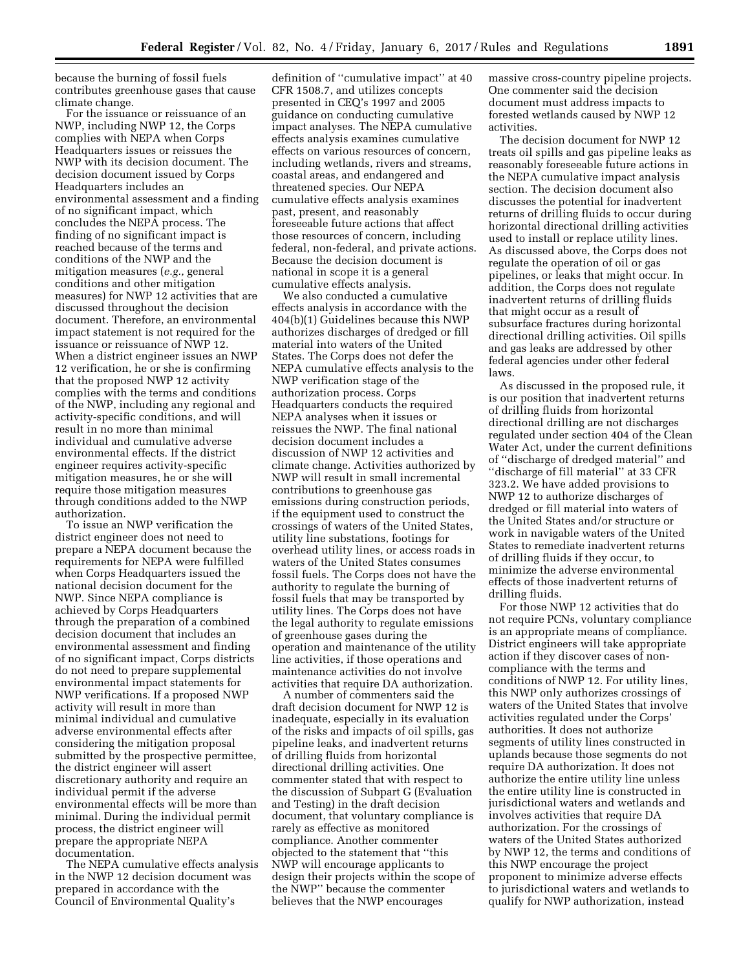because the burning of fossil fuels contributes greenhouse gases that cause climate change.

For the issuance or reissuance of an NWP, including NWP 12, the Corps complies with NEPA when Corps Headquarters issues or reissues the NWP with its decision document. The decision document issued by Corps Headquarters includes an environmental assessment and a finding of no significant impact, which concludes the NEPA process. The finding of no significant impact is reached because of the terms and conditions of the NWP and the mitigation measures (*e.g.,* general conditions and other mitigation measures) for NWP 12 activities that are discussed throughout the decision document. Therefore, an environmental impact statement is not required for the issuance or reissuance of NWP 12. When a district engineer issues an NWP 12 verification, he or she is confirming that the proposed NWP 12 activity complies with the terms and conditions of the NWP, including any regional and activity-specific conditions, and will result in no more than minimal individual and cumulative adverse environmental effects. If the district engineer requires activity-specific mitigation measures, he or she will require those mitigation measures through conditions added to the NWP authorization.

To issue an NWP verification the district engineer does not need to prepare a NEPA document because the requirements for NEPA were fulfilled when Corps Headquarters issued the national decision document for the NWP. Since NEPA compliance is achieved by Corps Headquarters through the preparation of a combined decision document that includes an environmental assessment and finding of no significant impact, Corps districts do not need to prepare supplemental environmental impact statements for NWP verifications. If a proposed NWP activity will result in more than minimal individual and cumulative adverse environmental effects after considering the mitigation proposal submitted by the prospective permittee, the district engineer will assert discretionary authority and require an individual permit if the adverse environmental effects will be more than minimal. During the individual permit process, the district engineer will prepare the appropriate NEPA documentation.

The NEPA cumulative effects analysis in the NWP 12 decision document was prepared in accordance with the Council of Environmental Quality's

definition of ''cumulative impact'' at 40 CFR 1508.7, and utilizes concepts presented in CEQ's 1997 and 2005 guidance on conducting cumulative impact analyses. The NEPA cumulative effects analysis examines cumulative effects on various resources of concern, including wetlands, rivers and streams, coastal areas, and endangered and threatened species. Our NEPA cumulative effects analysis examines past, present, and reasonably foreseeable future actions that affect those resources of concern, including federal, non-federal, and private actions. Because the decision document is national in scope it is a general cumulative effects analysis.

We also conducted a cumulative effects analysis in accordance with the 404(b)(1) Guidelines because this NWP authorizes discharges of dredged or fill material into waters of the United States. The Corps does not defer the NEPA cumulative effects analysis to the NWP verification stage of the authorization process. Corps Headquarters conducts the required NEPA analyses when it issues or reissues the NWP. The final national decision document includes a discussion of NWP 12 activities and climate change. Activities authorized by NWP will result in small incremental contributions to greenhouse gas emissions during construction periods, if the equipment used to construct the crossings of waters of the United States, utility line substations, footings for overhead utility lines, or access roads in waters of the United States consumes fossil fuels. The Corps does not have the authority to regulate the burning of fossil fuels that may be transported by utility lines. The Corps does not have the legal authority to regulate emissions of greenhouse gases during the operation and maintenance of the utility line activities, if those operations and maintenance activities do not involve activities that require DA authorization.

A number of commenters said the draft decision document for NWP 12 is inadequate, especially in its evaluation of the risks and impacts of oil spills, gas pipeline leaks, and inadvertent returns of drilling fluids from horizontal directional drilling activities. One commenter stated that with respect to the discussion of Subpart G (Evaluation and Testing) in the draft decision document, that voluntary compliance is rarely as effective as monitored compliance. Another commenter objected to the statement that ''this NWP will encourage applicants to design their projects within the scope of the NWP'' because the commenter believes that the NWP encourages

massive cross-country pipeline projects. One commenter said the decision document must address impacts to forested wetlands caused by NWP 12 activities.

The decision document for NWP 12 treats oil spills and gas pipeline leaks as reasonably foreseeable future actions in the NEPA cumulative impact analysis section. The decision document also discusses the potential for inadvertent returns of drilling fluids to occur during horizontal directional drilling activities used to install or replace utility lines. As discussed above, the Corps does not regulate the operation of oil or gas pipelines, or leaks that might occur. In addition, the Corps does not regulate inadvertent returns of drilling fluids that might occur as a result of subsurface fractures during horizontal directional drilling activities. Oil spills and gas leaks are addressed by other federal agencies under other federal laws.

As discussed in the proposed rule, it is our position that inadvertent returns of drilling fluids from horizontal directional drilling are not discharges regulated under section 404 of the Clean Water Act, under the current definitions of ''discharge of dredged material'' and ''discharge of fill material'' at 33 CFR 323.2. We have added provisions to NWP 12 to authorize discharges of dredged or fill material into waters of the United States and/or structure or work in navigable waters of the United States to remediate inadvertent returns of drilling fluids if they occur, to minimize the adverse environmental effects of those inadvertent returns of drilling fluids.

For those NWP 12 activities that do not require PCNs, voluntary compliance is an appropriate means of compliance. District engineers will take appropriate action if they discover cases of noncompliance with the terms and conditions of NWP 12. For utility lines, this NWP only authorizes crossings of waters of the United States that involve activities regulated under the Corps' authorities. It does not authorize segments of utility lines constructed in uplands because those segments do not require DA authorization. It does not authorize the entire utility line unless the entire utility line is constructed in jurisdictional waters and wetlands and involves activities that require DA authorization. For the crossings of waters of the United States authorized by NWP 12, the terms and conditions of this NWP encourage the project proponent to minimize adverse effects to jurisdictional waters and wetlands to qualify for NWP authorization, instead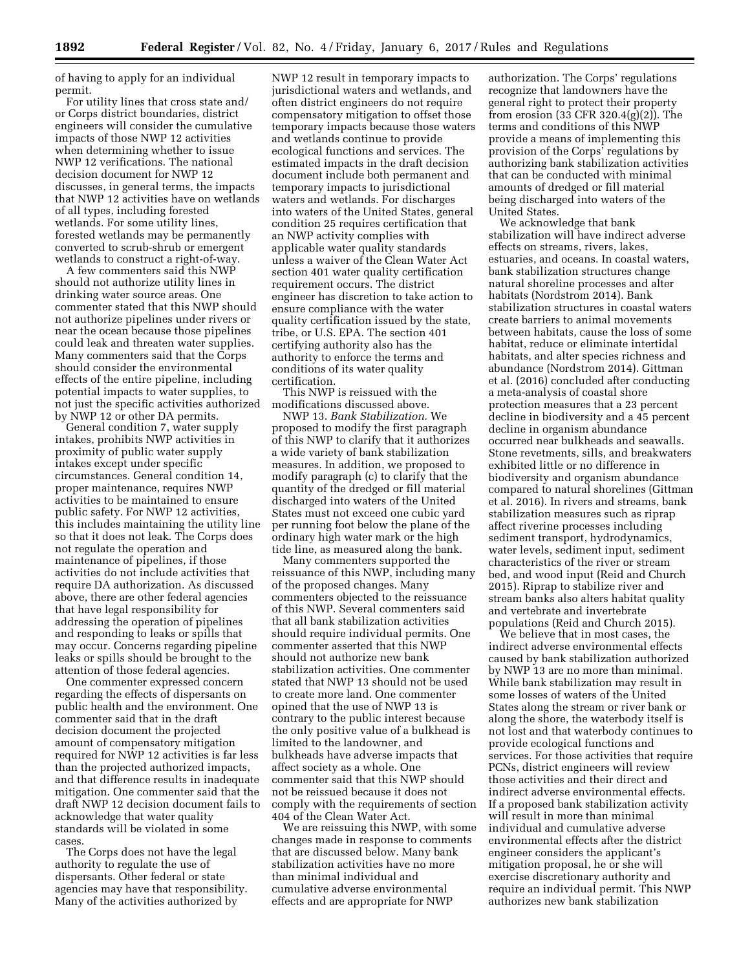of having to apply for an individual permit.

For utility lines that cross state and/ or Corps district boundaries, district engineers will consider the cumulative impacts of those NWP 12 activities when determining whether to issue NWP 12 verifications. The national decision document for NWP 12 discusses, in general terms, the impacts that NWP 12 activities have on wetlands of all types, including forested wetlands. For some utility lines, forested wetlands may be permanently converted to scrub-shrub or emergent wetlands to construct a right-of-way.

A few commenters said this NWP should not authorize utility lines in drinking water source areas. One commenter stated that this NWP should not authorize pipelines under rivers or near the ocean because those pipelines could leak and threaten water supplies. Many commenters said that the Corps should consider the environmental effects of the entire pipeline, including potential impacts to water supplies, to not just the specific activities authorized by NWP 12 or other DA permits.

General condition 7, water supply intakes, prohibits NWP activities in proximity of public water supply intakes except under specific circumstances. General condition 14, proper maintenance, requires NWP activities to be maintained to ensure public safety. For NWP 12 activities, this includes maintaining the utility line so that it does not leak. The Corps does not regulate the operation and maintenance of pipelines, if those activities do not include activities that require DA authorization. As discussed above, there are other federal agencies that have legal responsibility for addressing the operation of pipelines and responding to leaks or spills that may occur. Concerns regarding pipeline leaks or spills should be brought to the attention of those federal agencies.

One commenter expressed concern regarding the effects of dispersants on public health and the environment. One commenter said that in the draft decision document the projected amount of compensatory mitigation required for NWP 12 activities is far less than the projected authorized impacts, and that difference results in inadequate mitigation. One commenter said that the draft NWP 12 decision document fails to acknowledge that water quality standards will be violated in some cases.

The Corps does not have the legal authority to regulate the use of dispersants. Other federal or state agencies may have that responsibility. Many of the activities authorized by

NWP 12 result in temporary impacts to jurisdictional waters and wetlands, and often district engineers do not require compensatory mitigation to offset those temporary impacts because those waters and wetlands continue to provide ecological functions and services. The estimated impacts in the draft decision document include both permanent and temporary impacts to jurisdictional waters and wetlands. For discharges into waters of the United States, general condition 25 requires certification that an NWP activity complies with applicable water quality standards unless a waiver of the Clean Water Act section 401 water quality certification requirement occurs. The district engineer has discretion to take action to ensure compliance with the water quality certification issued by the state, tribe, or U.S. EPA. The section 401 certifying authority also has the authority to enforce the terms and conditions of its water quality certification.

This NWP is reissued with the modifications discussed above.

NWP 13. *Bank Stabilization.* We proposed to modify the first paragraph of this NWP to clarify that it authorizes a wide variety of bank stabilization measures. In addition, we proposed to modify paragraph (c) to clarify that the quantity of the dredged or fill material discharged into waters of the United States must not exceed one cubic yard per running foot below the plane of the ordinary high water mark or the high tide line, as measured along the bank.

Many commenters supported the reissuance of this NWP, including many of the proposed changes. Many commenters objected to the reissuance of this NWP. Several commenters said that all bank stabilization activities should require individual permits. One commenter asserted that this NWP should not authorize new bank stabilization activities. One commenter stated that NWP 13 should not be used to create more land. One commenter opined that the use of NWP 13 is contrary to the public interest because the only positive value of a bulkhead is limited to the landowner, and bulkheads have adverse impacts that affect society as a whole. One commenter said that this NWP should not be reissued because it does not comply with the requirements of section 404 of the Clean Water Act.

We are reissuing this NWP, with some changes made in response to comments that are discussed below. Many bank stabilization activities have no more than minimal individual and cumulative adverse environmental effects and are appropriate for NWP

authorization. The Corps' regulations recognize that landowners have the general right to protect their property from erosion (33 CFR 320.4(g)(2)). The terms and conditions of this NWP provide a means of implementing this provision of the Corps' regulations by authorizing bank stabilization activities that can be conducted with minimal amounts of dredged or fill material being discharged into waters of the United States.

We acknowledge that bank stabilization will have indirect adverse effects on streams, rivers, lakes, estuaries, and oceans. In coastal waters, bank stabilization structures change natural shoreline processes and alter habitats (Nordstrom 2014). Bank stabilization structures in coastal waters create barriers to animal movements between habitats, cause the loss of some habitat, reduce or eliminate intertidal habitats, and alter species richness and abundance (Nordstrom 2014). Gittman et al. (2016) concluded after conducting a meta-analysis of coastal shore protection measures that a 23 percent decline in biodiversity and a 45 percent decline in organism abundance occurred near bulkheads and seawalls. Stone revetments, sills, and breakwaters exhibited little or no difference in biodiversity and organism abundance compared to natural shorelines (Gittman et al. 2016). In rivers and streams, bank stabilization measures such as riprap affect riverine processes including sediment transport, hydrodynamics, water levels, sediment input, sediment characteristics of the river or stream bed, and wood input (Reid and Church 2015). Riprap to stabilize river and stream banks also alters habitat quality and vertebrate and invertebrate populations (Reid and Church 2015).

We believe that in most cases, the indirect adverse environmental effects caused by bank stabilization authorized by NWP 13 are no more than minimal. While bank stabilization may result in some losses of waters of the United States along the stream or river bank or along the shore, the waterbody itself is not lost and that waterbody continues to provide ecological functions and services. For those activities that require PCNs, district engineers will review those activities and their direct and indirect adverse environmental effects. If a proposed bank stabilization activity will result in more than minimal individual and cumulative adverse environmental effects after the district engineer considers the applicant's mitigation proposal, he or she will exercise discretionary authority and require an individual permit. This NWP authorizes new bank stabilization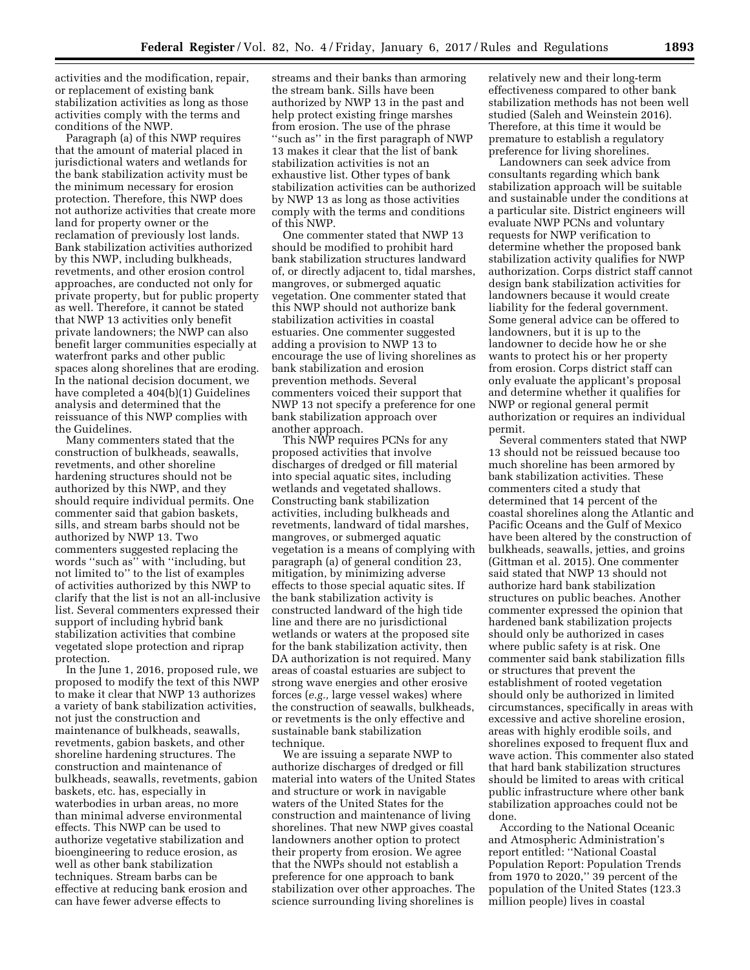activities and the modification, repair, or replacement of existing bank stabilization activities as long as those activities comply with the terms and conditions of the NWP.

Paragraph (a) of this NWP requires that the amount of material placed in jurisdictional waters and wetlands for the bank stabilization activity must be the minimum necessary for erosion protection. Therefore, this NWP does not authorize activities that create more land for property owner or the reclamation of previously lost lands. Bank stabilization activities authorized by this NWP, including bulkheads, revetments, and other erosion control approaches, are conducted not only for private property, but for public property as well. Therefore, it cannot be stated that NWP 13 activities only benefit private landowners; the NWP can also benefit larger communities especially at waterfront parks and other public spaces along shorelines that are eroding. In the national decision document, we have completed a 404(b)(1) Guidelines analysis and determined that the reissuance of this NWP complies with the Guidelines.

Many commenters stated that the construction of bulkheads, seawalls, revetments, and other shoreline hardening structures should not be authorized by this NWP, and they should require individual permits. One commenter said that gabion baskets, sills, and stream barbs should not be authorized by NWP 13. Two commenters suggested replacing the words ''such as'' with ''including, but not limited to'' to the list of examples of activities authorized by this NWP to clarify that the list is not an all-inclusive list. Several commenters expressed their support of including hybrid bank stabilization activities that combine vegetated slope protection and riprap protection.

In the June 1, 2016, proposed rule, we proposed to modify the text of this NWP to make it clear that NWP 13 authorizes a variety of bank stabilization activities, not just the construction and maintenance of bulkheads, seawalls, revetments, gabion baskets, and other shoreline hardening structures. The construction and maintenance of bulkheads, seawalls, revetments, gabion baskets, etc. has, especially in waterbodies in urban areas, no more than minimal adverse environmental effects. This NWP can be used to authorize vegetative stabilization and bioengineering to reduce erosion, as well as other bank stabilization techniques. Stream barbs can be effective at reducing bank erosion and can have fewer adverse effects to

streams and their banks than armoring the stream bank. Sills have been authorized by NWP 13 in the past and help protect existing fringe marshes from erosion. The use of the phrase ''such as'' in the first paragraph of NWP 13 makes it clear that the list of bank stabilization activities is not an exhaustive list. Other types of bank stabilization activities can be authorized by NWP 13 as long as those activities comply with the terms and conditions of this NWP.

One commenter stated that NWP 13 should be modified to prohibit hard bank stabilization structures landward of, or directly adjacent to, tidal marshes, mangroves, or submerged aquatic vegetation. One commenter stated that this NWP should not authorize bank stabilization activities in coastal estuaries. One commenter suggested adding a provision to NWP 13 to encourage the use of living shorelines as bank stabilization and erosion prevention methods. Several commenters voiced their support that NWP 13 not specify a preference for one bank stabilization approach over another approach.

This NWP requires PCNs for any proposed activities that involve discharges of dredged or fill material into special aquatic sites, including wetlands and vegetated shallows. Constructing bank stabilization activities, including bulkheads and revetments, landward of tidal marshes, mangroves, or submerged aquatic vegetation is a means of complying with paragraph (a) of general condition 23, mitigation, by minimizing adverse effects to those special aquatic sites. If the bank stabilization activity is constructed landward of the high tide line and there are no jurisdictional wetlands or waters at the proposed site for the bank stabilization activity, then DA authorization is not required. Many areas of coastal estuaries are subject to strong wave energies and other erosive forces (*e.g.,* large vessel wakes) where the construction of seawalls, bulkheads, or revetments is the only effective and sustainable bank stabilization technique.

We are issuing a separate NWP to authorize discharges of dredged or fill material into waters of the United States and structure or work in navigable waters of the United States for the construction and maintenance of living shorelines. That new NWP gives coastal landowners another option to protect their property from erosion. We agree that the NWPs should not establish a preference for one approach to bank stabilization over other approaches. The science surrounding living shorelines is

relatively new and their long-term effectiveness compared to other bank stabilization methods has not been well studied (Saleh and Weinstein 2016). Therefore, at this time it would be premature to establish a regulatory preference for living shorelines.

Landowners can seek advice from consultants regarding which bank stabilization approach will be suitable and sustainable under the conditions at a particular site. District engineers will evaluate NWP PCNs and voluntary requests for NWP verification to determine whether the proposed bank stabilization activity qualifies for NWP authorization. Corps district staff cannot design bank stabilization activities for landowners because it would create liability for the federal government. Some general advice can be offered to landowners, but it is up to the landowner to decide how he or she wants to protect his or her property from erosion. Corps district staff can only evaluate the applicant's proposal and determine whether it qualifies for NWP or regional general permit authorization or requires an individual permit.

Several commenters stated that NWP 13 should not be reissued because too much shoreline has been armored by bank stabilization activities. These commenters cited a study that determined that 14 percent of the coastal shorelines along the Atlantic and Pacific Oceans and the Gulf of Mexico have been altered by the construction of bulkheads, seawalls, jetties, and groins (Gittman et al. 2015). One commenter said stated that NWP 13 should not authorize hard bank stabilization structures on public beaches. Another commenter expressed the opinion that hardened bank stabilization projects should only be authorized in cases where public safety is at risk. One commenter said bank stabilization fills or structures that prevent the establishment of rooted vegetation should only be authorized in limited circumstances, specifically in areas with excessive and active shoreline erosion, areas with highly erodible soils, and shorelines exposed to frequent flux and wave action. This commenter also stated that hard bank stabilization structures should be limited to areas with critical public infrastructure where other bank stabilization approaches could not be done.

According to the National Oceanic and Atmospheric Administration's report entitled: ''National Coastal Population Report: Population Trends from 1970 to 2020,'' 39 percent of the population of the United States (123.3 million people) lives in coastal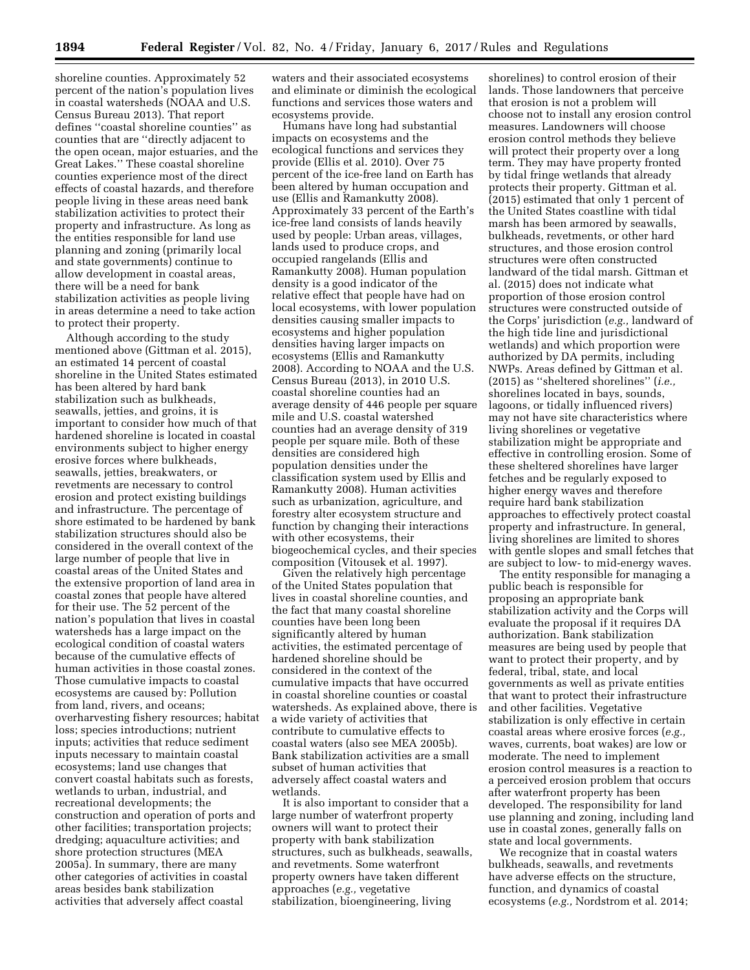shoreline counties. Approximately 52 percent of the nation's population lives in coastal watersheds (NOAA and U.S. Census Bureau 2013). That report defines ''coastal shoreline counties'' as counties that are ''directly adjacent to the open ocean, major estuaries, and the Great Lakes.'' These coastal shoreline counties experience most of the direct effects of coastal hazards, and therefore people living in these areas need bank stabilization activities to protect their property and infrastructure. As long as the entities responsible for land use planning and zoning (primarily local and state governments) continue to allow development in coastal areas, there will be a need for bank stabilization activities as people living in areas determine a need to take action to protect their property.

Although according to the study mentioned above (Gittman et al. 2015), an estimated 14 percent of coastal shoreline in the United States estimated has been altered by hard bank stabilization such as bulkheads, seawalls, jetties, and groins, it is important to consider how much of that hardened shoreline is located in coastal environments subject to higher energy erosive forces where bulkheads, seawalls, jetties, breakwaters, or revetments are necessary to control erosion and protect existing buildings and infrastructure. The percentage of shore estimated to be hardened by bank stabilization structures should also be considered in the overall context of the large number of people that live in coastal areas of the United States and the extensive proportion of land area in coastal zones that people have altered for their use. The 52 percent of the nation's population that lives in coastal watersheds has a large impact on the ecological condition of coastal waters because of the cumulative effects of human activities in those coastal zones. Those cumulative impacts to coastal ecosystems are caused by: Pollution from land, rivers, and oceans; overharvesting fishery resources; habitat loss; species introductions; nutrient inputs; activities that reduce sediment inputs necessary to maintain coastal ecosystems; land use changes that convert coastal habitats such as forests, wetlands to urban, industrial, and recreational developments; the construction and operation of ports and other facilities; transportation projects; dredging; aquaculture activities; and shore protection structures (MEA 2005a). In summary, there are many other categories of activities in coastal areas besides bank stabilization activities that adversely affect coastal

waters and their associated ecosystems and eliminate or diminish the ecological functions and services those waters and ecosystems provide.

Humans have long had substantial impacts on ecosystems and the ecological functions and services they provide (Ellis et al. 2010). Over 75 percent of the ice-free land on Earth has been altered by human occupation and use (Ellis and Ramankutty 2008). Approximately 33 percent of the Earth's ice-free land consists of lands heavily used by people: Urban areas, villages, lands used to produce crops, and occupied rangelands (Ellis and Ramankutty 2008). Human population density is a good indicator of the relative effect that people have had on local ecosystems, with lower population densities causing smaller impacts to ecosystems and higher population densities having larger impacts on ecosystems (Ellis and Ramankutty 2008). According to NOAA and the U.S. Census Bureau (2013), in 2010 U.S. coastal shoreline counties had an average density of 446 people per square mile and U.S. coastal watershed counties had an average density of 319 people per square mile. Both of these densities are considered high population densities under the classification system used by Ellis and Ramankutty 2008). Human activities such as urbanization, agriculture, and forestry alter ecosystem structure and function by changing their interactions with other ecosystems, their biogeochemical cycles, and their species composition (Vitousek et al. 1997).

Given the relatively high percentage of the United States population that lives in coastal shoreline counties, and the fact that many coastal shoreline counties have been long been significantly altered by human activities, the estimated percentage of hardened shoreline should be considered in the context of the cumulative impacts that have occurred in coastal shoreline counties or coastal watersheds. As explained above, there is a wide variety of activities that contribute to cumulative effects to coastal waters (also see MEA 2005b). Bank stabilization activities are a small subset of human activities that adversely affect coastal waters and wetlands.

It is also important to consider that a large number of waterfront property owners will want to protect their property with bank stabilization structures, such as bulkheads, seawalls, and revetments. Some waterfront property owners have taken different approaches (*e.g.,* vegetative stabilization, bioengineering, living

shorelines) to control erosion of their lands. Those landowners that perceive that erosion is not a problem will choose not to install any erosion control measures. Landowners will choose erosion control methods they believe will protect their property over a long term. They may have property fronted by tidal fringe wetlands that already protects their property. Gittman et al. (2015) estimated that only 1 percent of the United States coastline with tidal marsh has been armored by seawalls, bulkheads, revetments, or other hard structures, and those erosion control structures were often constructed landward of the tidal marsh. Gittman et al. (2015) does not indicate what proportion of those erosion control structures were constructed outside of the Corps' jurisdiction (*e.g.,* landward of the high tide line and jurisdictional wetlands) and which proportion were authorized by DA permits, including NWPs. Areas defined by Gittman et al. (2015) as ''sheltered shorelines'' (*i.e.,*  shorelines located in bays, sounds, lagoons, or tidally influenced rivers) may not have site characteristics where living shorelines or vegetative stabilization might be appropriate and effective in controlling erosion. Some of these sheltered shorelines have larger fetches and be regularly exposed to higher energy waves and therefore require hard bank stabilization approaches to effectively protect coastal property and infrastructure. In general, living shorelines are limited to shores with gentle slopes and small fetches that are subject to low- to mid-energy waves.

The entity responsible for managing a public beach is responsible for proposing an appropriate bank stabilization activity and the Corps will evaluate the proposal if it requires DA authorization. Bank stabilization measures are being used by people that want to protect their property, and by federal, tribal, state, and local governments as well as private entities that want to protect their infrastructure and other facilities. Vegetative stabilization is only effective in certain coastal areas where erosive forces (*e.g.,*  waves, currents, boat wakes) are low or moderate. The need to implement erosion control measures is a reaction to a perceived erosion problem that occurs after waterfront property has been developed. The responsibility for land use planning and zoning, including land use in coastal zones, generally falls on state and local governments.

We recognize that in coastal waters bulkheads, seawalls, and revetments have adverse effects on the structure, function, and dynamics of coastal ecosystems (*e.g.,* Nordstrom et al. 2014;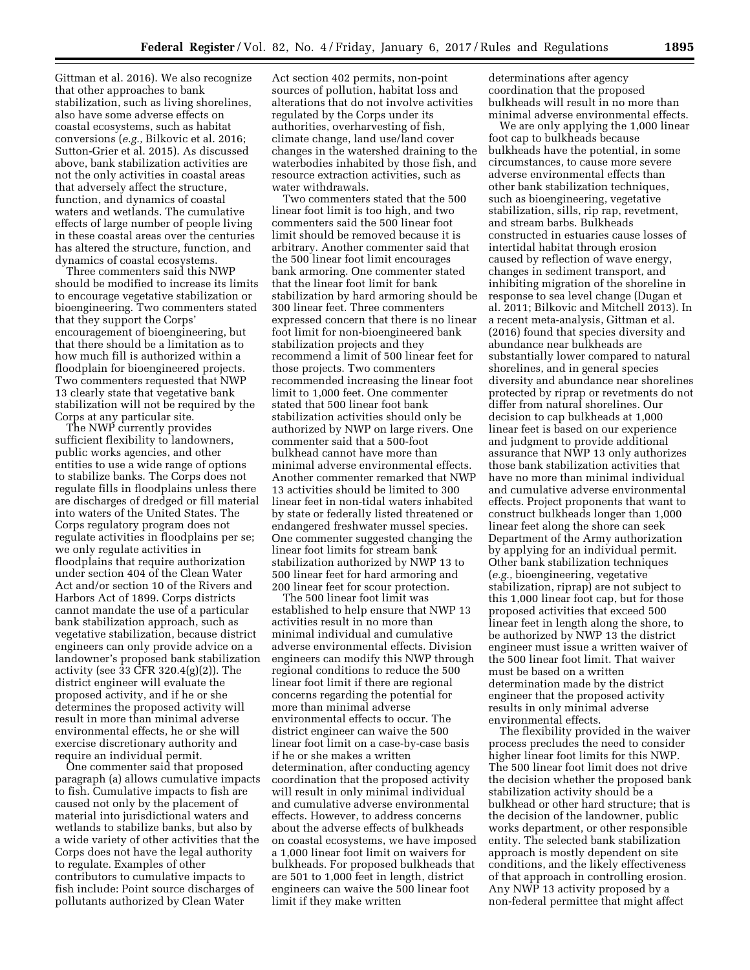Gittman et al. 2016). We also recognize that other approaches to bank stabilization, such as living shorelines, also have some adverse effects on coastal ecosystems, such as habitat conversions (*e.g.,* Bilkovic et al. 2016; Sutton-Grier et al. 2015). As discussed above, bank stabilization activities are not the only activities in coastal areas that adversely affect the structure, function, and dynamics of coastal waters and wetlands. The cumulative effects of large number of people living in these coastal areas over the centuries has altered the structure, function, and dynamics of coastal ecosystems.

Three commenters said this NWP should be modified to increase its limits to encourage vegetative stabilization or bioengineering. Two commenters stated that they support the Corps' encouragement of bioengineering, but that there should be a limitation as to how much fill is authorized within a floodplain for bioengineered projects. Two commenters requested that NWP 13 clearly state that vegetative bank stabilization will not be required by the Corps at any particular site.

The NWP currently provides sufficient flexibility to landowners, public works agencies, and other entities to use a wide range of options to stabilize banks. The Corps does not regulate fills in floodplains unless there are discharges of dredged or fill material into waters of the United States. The Corps regulatory program does not regulate activities in floodplains per se; we only regulate activities in floodplains that require authorization under section 404 of the Clean Water Act and/or section 10 of the Rivers and Harbors Act of 1899. Corps districts cannot mandate the use of a particular bank stabilization approach, such as vegetative stabilization, because district engineers can only provide advice on a landowner's proposed bank stabilization activity (see 33 CFR 320.4(g)(2)). The district engineer will evaluate the proposed activity, and if he or she determines the proposed activity will result in more than minimal adverse environmental effects, he or she will exercise discretionary authority and require an individual permit.

One commenter said that proposed paragraph (a) allows cumulative impacts to fish. Cumulative impacts to fish are caused not only by the placement of material into jurisdictional waters and wetlands to stabilize banks, but also by a wide variety of other activities that the Corps does not have the legal authority to regulate. Examples of other contributors to cumulative impacts to fish include: Point source discharges of pollutants authorized by Clean Water

Act section 402 permits, non-point sources of pollution, habitat loss and alterations that do not involve activities regulated by the Corps under its authorities, overharvesting of fish, climate change, land use/land cover changes in the watershed draining to the waterbodies inhabited by those fish, and resource extraction activities, such as water withdrawals.

Two commenters stated that the 500 linear foot limit is too high, and two commenters said the 500 linear foot limit should be removed because it is arbitrary. Another commenter said that the 500 linear foot limit encourages bank armoring. One commenter stated that the linear foot limit for bank stabilization by hard armoring should be 300 linear feet. Three commenters expressed concern that there is no linear foot limit for non-bioengineered bank stabilization projects and they recommend a limit of 500 linear feet for those projects. Two commenters recommended increasing the linear foot limit to 1,000 feet. One commenter stated that 500 linear foot bank stabilization activities should only be authorized by NWP on large rivers. One commenter said that a 500-foot bulkhead cannot have more than minimal adverse environmental effects. Another commenter remarked that NWP 13 activities should be limited to 300 linear feet in non-tidal waters inhabited by state or federally listed threatened or endangered freshwater mussel species. One commenter suggested changing the linear foot limits for stream bank stabilization authorized by NWP 13 to 500 linear feet for hard armoring and 200 linear feet for scour protection.

The 500 linear foot limit was established to help ensure that NWP 13 activities result in no more than minimal individual and cumulative adverse environmental effects. Division engineers can modify this NWP through regional conditions to reduce the 500 linear foot limit if there are regional concerns regarding the potential for more than minimal adverse environmental effects to occur. The district engineer can waive the 500 linear foot limit on a case-by-case basis if he or she makes a written determination, after conducting agency coordination that the proposed activity will result in only minimal individual and cumulative adverse environmental effects. However, to address concerns about the adverse effects of bulkheads on coastal ecosystems, we have imposed a 1,000 linear foot limit on waivers for bulkheads. For proposed bulkheads that are 501 to 1,000 feet in length, district engineers can waive the 500 linear foot limit if they make written

determinations after agency coordination that the proposed bulkheads will result in no more than minimal adverse environmental effects.

We are only applying the 1,000 linear foot cap to bulkheads because bulkheads have the potential, in some circumstances, to cause more severe adverse environmental effects than other bank stabilization techniques, such as bioengineering, vegetative stabilization, sills, rip rap, revetment, and stream barbs. Bulkheads constructed in estuaries cause losses of intertidal habitat through erosion caused by reflection of wave energy, changes in sediment transport, and inhibiting migration of the shoreline in response to sea level change (Dugan et al. 2011; Bilkovic and Mitchell 2013). In a recent meta-analysis, Gittman et al. (2016) found that species diversity and abundance near bulkheads are substantially lower compared to natural shorelines, and in general species diversity and abundance near shorelines protected by riprap or revetments do not differ from natural shorelines. Our decision to cap bulkheads at 1,000 linear feet is based on our experience and judgment to provide additional assurance that NWP 13 only authorizes those bank stabilization activities that have no more than minimal individual and cumulative adverse environmental effects. Project proponents that want to construct bulkheads longer than 1,000 linear feet along the shore can seek Department of the Army authorization by applying for an individual permit. Other bank stabilization techniques (*e.g.,* bioengineering, vegetative stabilization, riprap) are not subject to this 1,000 linear foot cap, but for those proposed activities that exceed 500 linear feet in length along the shore, to be authorized by NWP 13 the district engineer must issue a written waiver of the 500 linear foot limit. That waiver must be based on a written determination made by the district engineer that the proposed activity results in only minimal adverse environmental effects.

The flexibility provided in the waiver process precludes the need to consider higher linear foot limits for this NWP. The 500 linear foot limit does not drive the decision whether the proposed bank stabilization activity should be a bulkhead or other hard structure; that is the decision of the landowner, public works department, or other responsible entity. The selected bank stabilization approach is mostly dependent on site conditions, and the likely effectiveness of that approach in controlling erosion. Any NWP 13 activity proposed by a non-federal permittee that might affect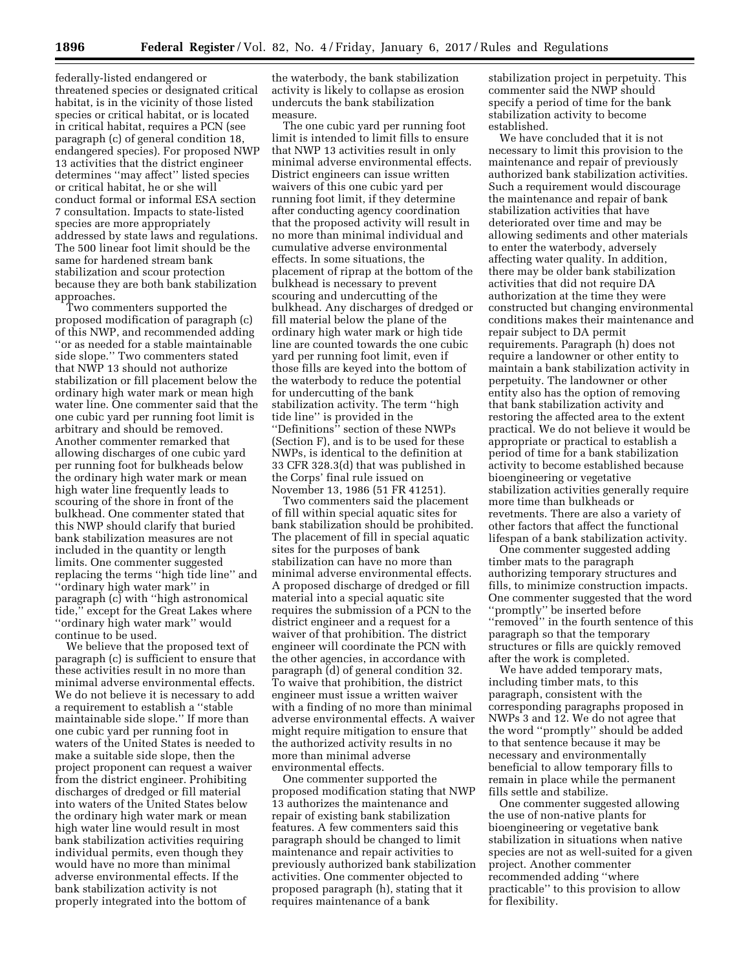federally-listed endangered or threatened species or designated critical habitat, is in the vicinity of those listed species or critical habitat, or is located in critical habitat, requires a PCN (see paragraph (c) of general condition 18, endangered species). For proposed NWP 13 activities that the district engineer determines ''may affect'' listed species or critical habitat, he or she will conduct formal or informal ESA section 7 consultation. Impacts to state-listed species are more appropriately addressed by state laws and regulations. The 500 linear foot limit should be the same for hardened stream bank stabilization and scour protection because they are both bank stabilization approaches.

Two commenters supported the proposed modification of paragraph (c) of this NWP, and recommended adding ''or as needed for a stable maintainable side slope.'' Two commenters stated that NWP 13 should not authorize stabilization or fill placement below the ordinary high water mark or mean high water line. One commenter said that the one cubic yard per running foot limit is arbitrary and should be removed. Another commenter remarked that allowing discharges of one cubic yard per running foot for bulkheads below the ordinary high water mark or mean high water line frequently leads to scouring of the shore in front of the bulkhead. One commenter stated that this NWP should clarify that buried bank stabilization measures are not included in the quantity or length limits. One commenter suggested replacing the terms ''high tide line'' and ''ordinary high water mark'' in paragraph (c) with ''high astronomical tide,'' except for the Great Lakes where ''ordinary high water mark'' would continue to be used.

We believe that the proposed text of paragraph (c) is sufficient to ensure that these activities result in no more than minimal adverse environmental effects. We do not believe it is necessary to add a requirement to establish a ''stable maintainable side slope.'' If more than one cubic yard per running foot in waters of the United States is needed to make a suitable side slope, then the project proponent can request a waiver from the district engineer. Prohibiting discharges of dredged or fill material into waters of the United States below the ordinary high water mark or mean high water line would result in most bank stabilization activities requiring individual permits, even though they would have no more than minimal adverse environmental effects. If the bank stabilization activity is not properly integrated into the bottom of

the waterbody, the bank stabilization activity is likely to collapse as erosion undercuts the bank stabilization measure.

The one cubic yard per running foot limit is intended to limit fills to ensure that NWP 13 activities result in only minimal adverse environmental effects. District engineers can issue written waivers of this one cubic yard per running foot limit, if they determine after conducting agency coordination that the proposed activity will result in no more than minimal individual and cumulative adverse environmental effects. In some situations, the placement of riprap at the bottom of the bulkhead is necessary to prevent scouring and undercutting of the bulkhead. Any discharges of dredged or fill material below the plane of the ordinary high water mark or high tide line are counted towards the one cubic yard per running foot limit, even if those fills are keyed into the bottom of the waterbody to reduce the potential for undercutting of the bank stabilization activity. The term ''high tide line'' is provided in the ''Definitions'' section of these NWPs (Section F), and is to be used for these NWPs, is identical to the definition at 33 CFR 328.3(d) that was published in the Corps' final rule issued on November 13, 1986 (51 FR 41251).

Two commenters said the placement of fill within special aquatic sites for bank stabilization should be prohibited. The placement of fill in special aquatic sites for the purposes of bank stabilization can have no more than minimal adverse environmental effects. A proposed discharge of dredged or fill material into a special aquatic site requires the submission of a PCN to the district engineer and a request for a waiver of that prohibition. The district engineer will coordinate the PCN with the other agencies, in accordance with paragraph (d) of general condition 32. To waive that prohibition, the district engineer must issue a written waiver with a finding of no more than minimal adverse environmental effects. A waiver might require mitigation to ensure that the authorized activity results in no more than minimal adverse environmental effects.

One commenter supported the proposed modification stating that NWP 13 authorizes the maintenance and repair of existing bank stabilization features. A few commenters said this paragraph should be changed to limit maintenance and repair activities to previously authorized bank stabilization activities. One commenter objected to proposed paragraph (h), stating that it requires maintenance of a bank

stabilization project in perpetuity. This commenter said the NWP should specify a period of time for the bank stabilization activity to become established.

We have concluded that it is not necessary to limit this provision to the maintenance and repair of previously authorized bank stabilization activities. Such a requirement would discourage the maintenance and repair of bank stabilization activities that have deteriorated over time and may be allowing sediments and other materials to enter the waterbody, adversely affecting water quality. In addition, there may be older bank stabilization activities that did not require DA authorization at the time they were constructed but changing environmental conditions makes their maintenance and repair subject to DA permit requirements. Paragraph (h) does not require a landowner or other entity to maintain a bank stabilization activity in perpetuity. The landowner or other entity also has the option of removing that bank stabilization activity and restoring the affected area to the extent practical. We do not believe it would be appropriate or practical to establish a period of time for a bank stabilization activity to become established because bioengineering or vegetative stabilization activities generally require more time than bulkheads or revetments. There are also a variety of other factors that affect the functional lifespan of a bank stabilization activity.

One commenter suggested adding timber mats to the paragraph authorizing temporary structures and fills, to minimize construction impacts. One commenter suggested that the word ''promptly'' be inserted before "removed" in the fourth sentence of this paragraph so that the temporary structures or fills are quickly removed after the work is completed.

We have added temporary mats, including timber mats, to this paragraph, consistent with the corresponding paragraphs proposed in NWPs 3 and 12. We do not agree that the word ''promptly'' should be added to that sentence because it may be necessary and environmentally beneficial to allow temporary fills to remain in place while the permanent fills settle and stabilize.

One commenter suggested allowing the use of non-native plants for bioengineering or vegetative bank stabilization in situations when native species are not as well-suited for a given project. Another commenter recommended adding ''where practicable'' to this provision to allow for flexibility.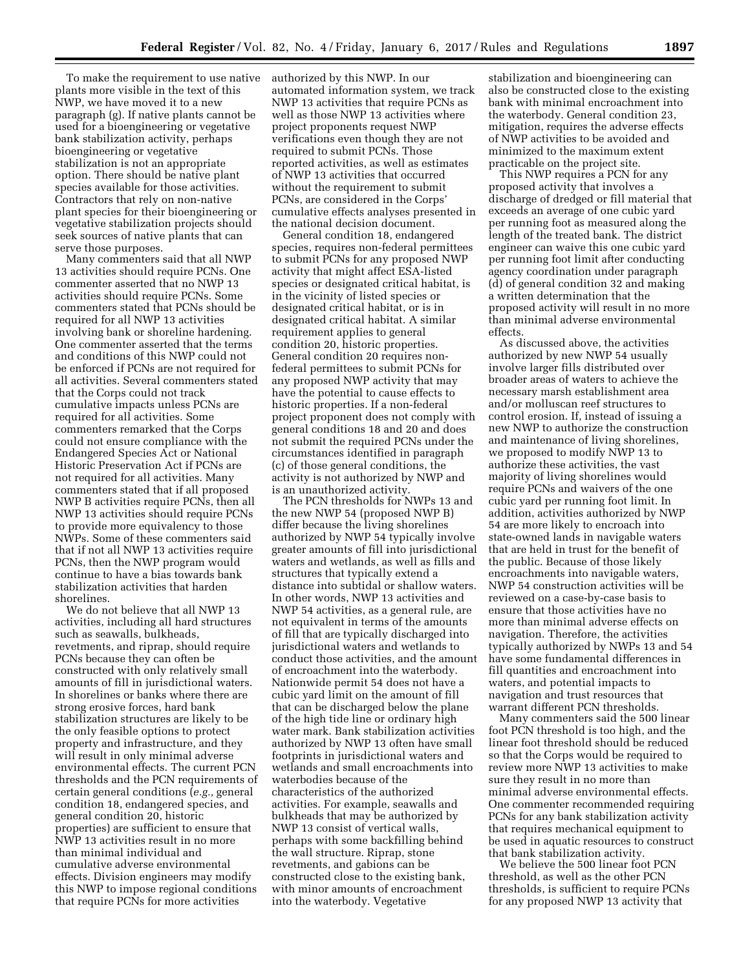To make the requirement to use native plants more visible in the text of this NWP, we have moved it to a new paragraph (g). If native plants cannot be used for a bioengineering or vegetative bank stabilization activity, perhaps bioengineering or vegetative stabilization is not an appropriate option. There should be native plant species available for those activities. Contractors that rely on non-native plant species for their bioengineering or vegetative stabilization projects should seek sources of native plants that can serve those purposes.

Many commenters said that all NWP 13 activities should require PCNs. One commenter asserted that no NWP 13 activities should require PCNs. Some commenters stated that PCNs should be required for all NWP 13 activities involving bank or shoreline hardening. One commenter asserted that the terms and conditions of this NWP could not be enforced if PCNs are not required for all activities. Several commenters stated that the Corps could not track cumulative impacts unless PCNs are required for all activities. Some commenters remarked that the Corps could not ensure compliance with the Endangered Species Act or National Historic Preservation Act if PCNs are not required for all activities. Many commenters stated that if all proposed NWP B activities require PCNs, then all NWP 13 activities should require PCNs to provide more equivalency to those NWPs. Some of these commenters said that if not all NWP 13 activities require PCNs, then the NWP program would continue to have a bias towards bank stabilization activities that harden shorelines.

We do not believe that all NWP 13 activities, including all hard structures such as seawalls, bulkheads, revetments, and riprap, should require PCNs because they can often be constructed with only relatively small amounts of fill in jurisdictional waters. In shorelines or banks where there are strong erosive forces, hard bank stabilization structures are likely to be the only feasible options to protect property and infrastructure, and they will result in only minimal adverse environmental effects. The current PCN thresholds and the PCN requirements of certain general conditions (*e.g.,* general condition 18, endangered species, and general condition 20, historic properties) are sufficient to ensure that NWP 13 activities result in no more than minimal individual and cumulative adverse environmental effects. Division engineers may modify this NWP to impose regional conditions that require PCNs for more activities

authorized by this NWP. In our automated information system, we track NWP 13 activities that require PCNs as well as those NWP 13 activities where project proponents request NWP verifications even though they are not required to submit PCNs. Those reported activities, as well as estimates of NWP 13 activities that occurred without the requirement to submit PCNs, are considered in the Corps' cumulative effects analyses presented in the national decision document.

General condition 18, endangered species, requires non-federal permittees to submit PCNs for any proposed NWP activity that might affect ESA-listed species or designated critical habitat, is in the vicinity of listed species or designated critical habitat, or is in designated critical habitat. A similar requirement applies to general condition 20, historic properties. General condition 20 requires nonfederal permittees to submit PCNs for any proposed NWP activity that may have the potential to cause effects to historic properties. If a non-federal project proponent does not comply with general conditions 18 and 20 and does not submit the required PCNs under the circumstances identified in paragraph (c) of those general conditions, the activity is not authorized by NWP and is an unauthorized activity.

The PCN thresholds for NWPs 13 and the new NWP 54 (proposed NWP B) differ because the living shorelines authorized by NWP 54 typically involve greater amounts of fill into jurisdictional waters and wetlands, as well as fills and structures that typically extend a distance into subtidal or shallow waters. In other words, NWP 13 activities and NWP 54 activities, as a general rule, are not equivalent in terms of the amounts of fill that are typically discharged into jurisdictional waters and wetlands to conduct those activities, and the amount of encroachment into the waterbody. Nationwide permit 54 does not have a cubic yard limit on the amount of fill that can be discharged below the plane of the high tide line or ordinary high water mark. Bank stabilization activities authorized by NWP 13 often have small footprints in jurisdictional waters and wetlands and small encroachments into waterbodies because of the characteristics of the authorized activities. For example, seawalls and bulkheads that may be authorized by NWP 13 consist of vertical walls, perhaps with some backfilling behind the wall structure. Riprap, stone revetments, and gabions can be constructed close to the existing bank, with minor amounts of encroachment into the waterbody. Vegetative

stabilization and bioengineering can also be constructed close to the existing bank with minimal encroachment into the waterbody. General condition 23, mitigation, requires the adverse effects of NWP activities to be avoided and minimized to the maximum extent practicable on the project site.

This NWP requires a PCN for any proposed activity that involves a discharge of dredged or fill material that exceeds an average of one cubic yard per running foot as measured along the length of the treated bank. The district engineer can waive this one cubic yard per running foot limit after conducting agency coordination under paragraph (d) of general condition 32 and making a written determination that the proposed activity will result in no more than minimal adverse environmental effects.

As discussed above, the activities authorized by new NWP 54 usually involve larger fills distributed over broader areas of waters to achieve the necessary marsh establishment area and/or molluscan reef structures to control erosion. If, instead of issuing a new NWP to authorize the construction and maintenance of living shorelines, we proposed to modify NWP 13 to authorize these activities, the vast majority of living shorelines would require PCNs and waivers of the one cubic yard per running foot limit. In addition, activities authorized by NWP 54 are more likely to encroach into state-owned lands in navigable waters that are held in trust for the benefit of the public. Because of those likely encroachments into navigable waters, NWP 54 construction activities will be reviewed on a case-by-case basis to ensure that those activities have no more than minimal adverse effects on navigation. Therefore, the activities typically authorized by NWPs 13 and 54 have some fundamental differences in fill quantities and encroachment into waters, and potential impacts to navigation and trust resources that warrant different PCN thresholds.

Many commenters said the 500 linear foot PCN threshold is too high, and the linear foot threshold should be reduced so that the Corps would be required to review more NWP 13 activities to make sure they result in no more than minimal adverse environmental effects. One commenter recommended requiring PCNs for any bank stabilization activity that requires mechanical equipment to be used in aquatic resources to construct that bank stabilization activity.

We believe the 500 linear foot PCN threshold, as well as the other PCN thresholds, is sufficient to require PCNs for any proposed NWP 13 activity that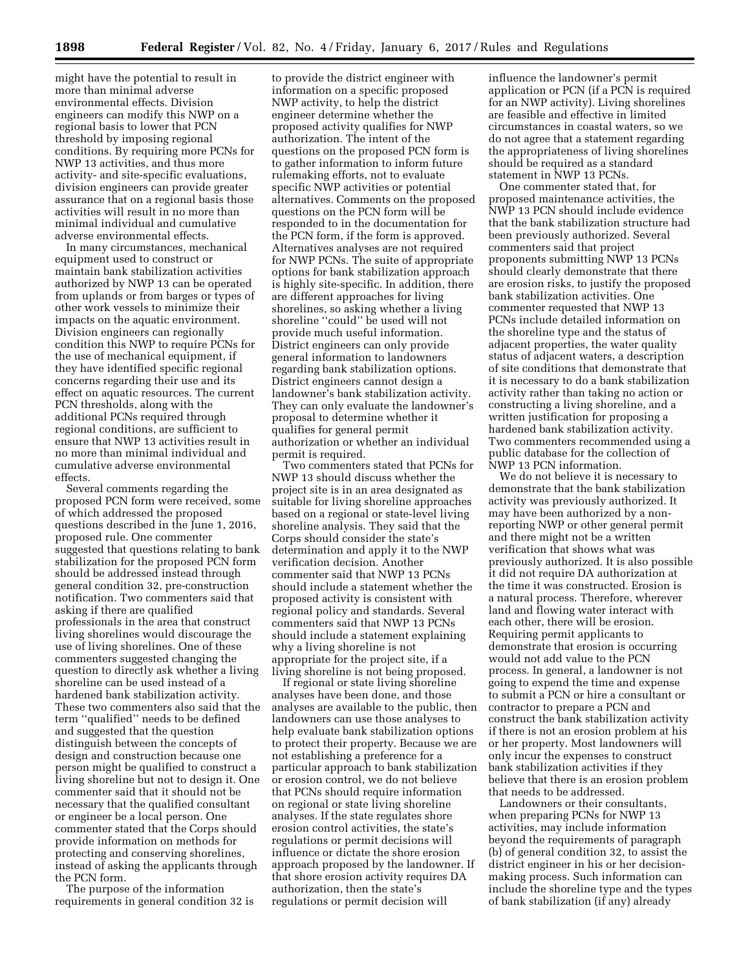might have the potential to result in more than minimal adverse environmental effects. Division engineers can modify this NWP on a regional basis to lower that PCN threshold by imposing regional conditions. By requiring more PCNs for NWP 13 activities, and thus more activity- and site-specific evaluations, division engineers can provide greater assurance that on a regional basis those activities will result in no more than minimal individual and cumulative adverse environmental effects.

In many circumstances, mechanical equipment used to construct or maintain bank stabilization activities authorized by NWP 13 can be operated from uplands or from barges or types of other work vessels to minimize their impacts on the aquatic environment. Division engineers can regionally condition this NWP to require PCNs for the use of mechanical equipment, if they have identified specific regional concerns regarding their use and its effect on aquatic resources. The current PCN thresholds, along with the additional PCNs required through regional conditions, are sufficient to ensure that NWP 13 activities result in no more than minimal individual and cumulative adverse environmental effects.

Several comments regarding the proposed PCN form were received, some of which addressed the proposed questions described in the June 1, 2016, proposed rule. One commenter suggested that questions relating to bank stabilization for the proposed PCN form should be addressed instead through general condition 32, pre-construction notification. Two commenters said that asking if there are qualified professionals in the area that construct living shorelines would discourage the use of living shorelines. One of these commenters suggested changing the question to directly ask whether a living shoreline can be used instead of a hardened bank stabilization activity. These two commenters also said that the term ''qualified'' needs to be defined and suggested that the question distinguish between the concepts of design and construction because one person might be qualified to construct a living shoreline but not to design it. One commenter said that it should not be necessary that the qualified consultant or engineer be a local person. One commenter stated that the Corps should provide information on methods for protecting and conserving shorelines, instead of asking the applicants through the PCN form.

The purpose of the information requirements in general condition 32 is

to provide the district engineer with information on a specific proposed NWP activity, to help the district engineer determine whether the proposed activity qualifies for NWP authorization. The intent of the questions on the proposed PCN form is to gather information to inform future rulemaking efforts, not to evaluate specific NWP activities or potential alternatives. Comments on the proposed questions on the PCN form will be responded to in the documentation for the PCN form, if the form is approved. Alternatives analyses are not required for NWP PCNs. The suite of appropriate options for bank stabilization approach is highly site-specific. In addition, there are different approaches for living shorelines, so asking whether a living shoreline ''could'' be used will not provide much useful information. District engineers can only provide general information to landowners regarding bank stabilization options. District engineers cannot design a landowner's bank stabilization activity. They can only evaluate the landowner's proposal to determine whether it qualifies for general permit authorization or whether an individual permit is required.

Two commenters stated that PCNs for NWP 13 should discuss whether the project site is in an area designated as suitable for living shoreline approaches based on a regional or state-level living shoreline analysis. They said that the Corps should consider the state's determination and apply it to the NWP verification decision. Another commenter said that NWP 13 PCNs should include a statement whether the proposed activity is consistent with regional policy and standards. Several commenters said that NWP 13 PCNs should include a statement explaining why a living shoreline is not appropriate for the project site, if a living shoreline is not being proposed.

If regional or state living shoreline analyses have been done, and those analyses are available to the public, then landowners can use those analyses to help evaluate bank stabilization options to protect their property. Because we are not establishing a preference for a particular approach to bank stabilization or erosion control, we do not believe that PCNs should require information on regional or state living shoreline analyses. If the state regulates shore erosion control activities, the state's regulations or permit decisions will influence or dictate the shore erosion approach proposed by the landowner. If that shore erosion activity requires DA authorization, then the state's regulations or permit decision will

influence the landowner's permit application or PCN (if a PCN is required for an NWP activity). Living shorelines are feasible and effective in limited circumstances in coastal waters, so we do not agree that a statement regarding the appropriateness of living shorelines should be required as a standard statement in NWP 13 PCNs.

One commenter stated that, for proposed maintenance activities, the NWP 13 PCN should include evidence that the bank stabilization structure had been previously authorized. Several commenters said that project proponents submitting NWP 13 PCNs should clearly demonstrate that there are erosion risks, to justify the proposed bank stabilization activities. One commenter requested that NWP 13 PCNs include detailed information on the shoreline type and the status of adjacent properties, the water quality status of adjacent waters, a description of site conditions that demonstrate that it is necessary to do a bank stabilization activity rather than taking no action or constructing a living shoreline, and a written justification for proposing a hardened bank stabilization activity. Two commenters recommended using a public database for the collection of NWP 13 PCN information.

We do not believe it is necessary to demonstrate that the bank stabilization activity was previously authorized. It may have been authorized by a nonreporting NWP or other general permit and there might not be a written verification that shows what was previously authorized. It is also possible it did not require DA authorization at the time it was constructed. Erosion is a natural process. Therefore, wherever land and flowing water interact with each other, there will be erosion. Requiring permit applicants to demonstrate that erosion is occurring would not add value to the PCN process. In general, a landowner is not going to expend the time and expense to submit a PCN or hire a consultant or contractor to prepare a PCN and construct the bank stabilization activity if there is not an erosion problem at his or her property. Most landowners will only incur the expenses to construct bank stabilization activities if they believe that there is an erosion problem that needs to be addressed.

Landowners or their consultants, when preparing PCNs for NWP 13 activities, may include information beyond the requirements of paragraph (b) of general condition 32, to assist the district engineer in his or her decisionmaking process. Such information can include the shoreline type and the types of bank stabilization (if any) already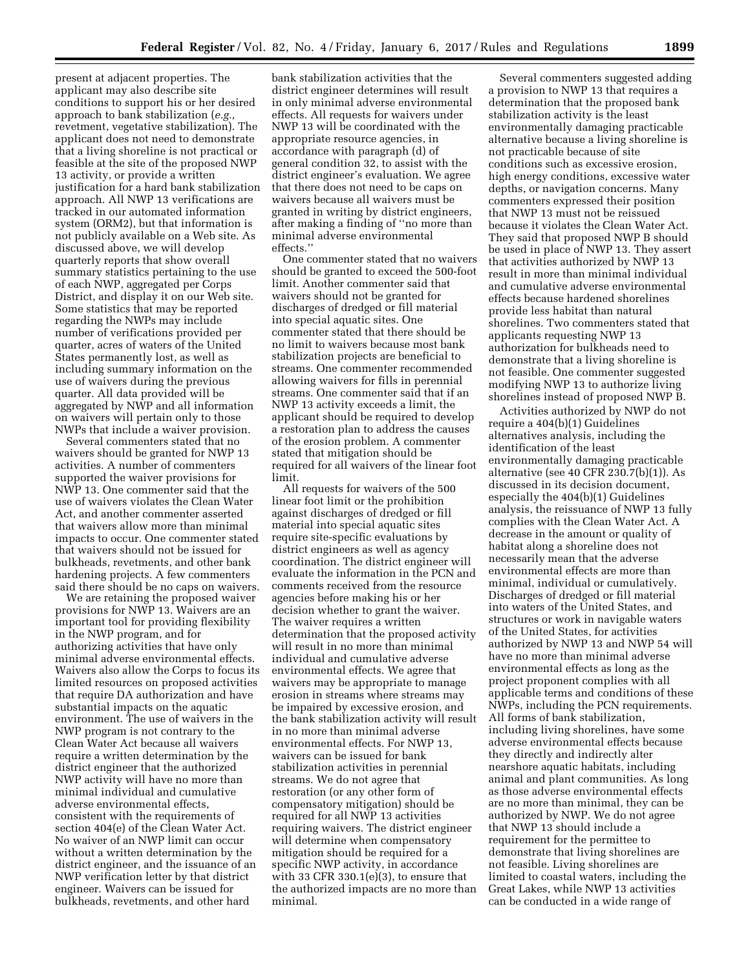present at adjacent properties. The applicant may also describe site conditions to support his or her desired approach to bank stabilization (*e.g.,*  revetment, vegetative stabilization). The applicant does not need to demonstrate that a living shoreline is not practical or feasible at the site of the proposed NWP 13 activity, or provide a written justification for a hard bank stabilization approach. All NWP 13 verifications are tracked in our automated information system (ORM2), but that information is not publicly available on a Web site. As discussed above, we will develop quarterly reports that show overall summary statistics pertaining to the use of each NWP, aggregated per Corps District, and display it on our Web site. Some statistics that may be reported regarding the NWPs may include number of verifications provided per quarter, acres of waters of the United States permanently lost, as well as including summary information on the use of waivers during the previous quarter. All data provided will be aggregated by NWP and all information on waivers will pertain only to those NWPs that include a waiver provision.

Several commenters stated that no waivers should be granted for NWP 13 activities. A number of commenters supported the waiver provisions for NWP 13. One commenter said that the use of waivers violates the Clean Water Act, and another commenter asserted that waivers allow more than minimal impacts to occur. One commenter stated that waivers should not be issued for bulkheads, revetments, and other bank hardening projects. A few commenters said there should be no caps on waivers.

We are retaining the proposed waiver provisions for NWP 13. Waivers are an important tool for providing flexibility in the NWP program, and for authorizing activities that have only minimal adverse environmental effects. Waivers also allow the Corps to focus its limited resources on proposed activities that require DA authorization and have substantial impacts on the aquatic environment. The use of waivers in the NWP program is not contrary to the Clean Water Act because all waivers require a written determination by the district engineer that the authorized NWP activity will have no more than minimal individual and cumulative adverse environmental effects, consistent with the requirements of section 404(e) of the Clean Water Act. No waiver of an NWP limit can occur without a written determination by the district engineer, and the issuance of an NWP verification letter by that district engineer. Waivers can be issued for bulkheads, revetments, and other hard

bank stabilization activities that the district engineer determines will result in only minimal adverse environmental effects. All requests for waivers under NWP 13 will be coordinated with the appropriate resource agencies, in accordance with paragraph (d) of general condition 32, to assist with the district engineer's evaluation. We agree that there does not need to be caps on waivers because all waivers must be granted in writing by district engineers, after making a finding of ''no more than minimal adverse environmental effects.''

One commenter stated that no waivers should be granted to exceed the 500-foot limit. Another commenter said that waivers should not be granted for discharges of dredged or fill material into special aquatic sites. One commenter stated that there should be no limit to waivers because most bank stabilization projects are beneficial to streams. One commenter recommended allowing waivers for fills in perennial streams. One commenter said that if an NWP 13 activity exceeds a limit, the applicant should be required to develop a restoration plan to address the causes of the erosion problem. A commenter stated that mitigation should be required for all waivers of the linear foot limit.

All requests for waivers of the 500 linear foot limit or the prohibition against discharges of dredged or fill material into special aquatic sites require site-specific evaluations by district engineers as well as agency coordination. The district engineer will evaluate the information in the PCN and comments received from the resource agencies before making his or her decision whether to grant the waiver. The waiver requires a written determination that the proposed activity will result in no more than minimal individual and cumulative adverse environmental effects. We agree that waivers may be appropriate to manage erosion in streams where streams may be impaired by excessive erosion, and the bank stabilization activity will result in no more than minimal adverse environmental effects. For NWP 13, waivers can be issued for bank stabilization activities in perennial streams. We do not agree that restoration (or any other form of compensatory mitigation) should be required for all NWP 13 activities requiring waivers. The district engineer will determine when compensatory mitigation should be required for a specific NWP activity, in accordance with 33 CFR 330.1 $(e)(3)$ , to ensure that the authorized impacts are no more than minimal.

Several commenters suggested adding a provision to NWP 13 that requires a determination that the proposed bank stabilization activity is the least environmentally damaging practicable alternative because a living shoreline is not practicable because of site conditions such as excessive erosion, high energy conditions, excessive water depths, or navigation concerns. Many commenters expressed their position that NWP 13 must not be reissued because it violates the Clean Water Act. They said that proposed NWP B should be used in place of NWP 13. They assert that activities authorized by NWP 13 result in more than minimal individual and cumulative adverse environmental effects because hardened shorelines provide less habitat than natural shorelines. Two commenters stated that applicants requesting NWP 13 authorization for bulkheads need to demonstrate that a living shoreline is not feasible. One commenter suggested modifying NWP 13 to authorize living shorelines instead of proposed NWP B.

Activities authorized by NWP do not require a 404(b)(1) Guidelines alternatives analysis, including the identification of the least environmentally damaging practicable alternative (see 40 CFR 230.7(b)(1)). As discussed in its decision document, especially the 404(b)(1) Guidelines analysis, the reissuance of NWP 13 fully complies with the Clean Water Act. A decrease in the amount or quality of habitat along a shoreline does not necessarily mean that the adverse environmental effects are more than minimal, individual or cumulatively. Discharges of dredged or fill material into waters of the United States, and structures or work in navigable waters of the United States, for activities authorized by NWP 13 and NWP 54 will have no more than minimal adverse environmental effects as long as the project proponent complies with all applicable terms and conditions of these NWPs, including the PCN requirements. All forms of bank stabilization, including living shorelines, have some adverse environmental effects because they directly and indirectly alter nearshore aquatic habitats, including animal and plant communities. As long as those adverse environmental effects are no more than minimal, they can be authorized by NWP. We do not agree that NWP 13 should include a requirement for the permittee to demonstrate that living shorelines are not feasible. Living shorelines are limited to coastal waters, including the Great Lakes, while NWP 13 activities can be conducted in a wide range of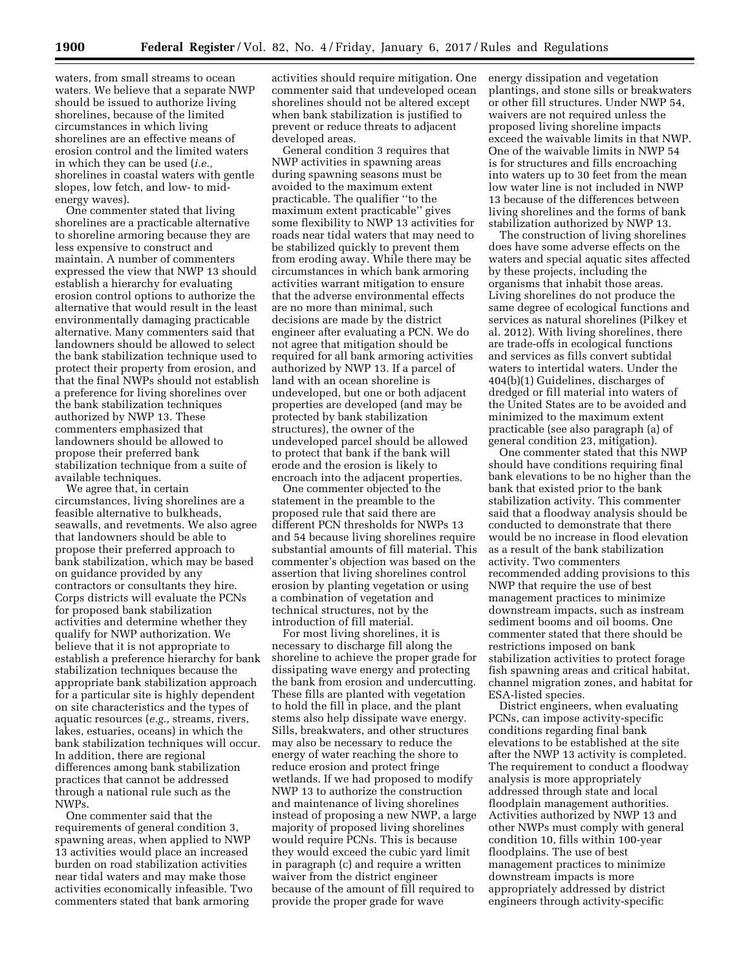waters, from small streams to ocean waters. We believe that a separate NWP should be issued to authorize living shorelines, because of the limited circumstances in which living shorelines are an effective means of erosion control and the limited waters in which they can be used (*i.e.,*  shorelines in coastal waters with gentle slopes, low fetch, and low- to midenergy waves).

One commenter stated that living shorelines are a practicable alternative to shoreline armoring because they are less expensive to construct and maintain. A number of commenters expressed the view that NWP 13 should establish a hierarchy for evaluating erosion control options to authorize the alternative that would result in the least environmentally damaging practicable alternative. Many commenters said that landowners should be allowed to select the bank stabilization technique used to protect their property from erosion, and that the final NWPs should not establish a preference for living shorelines over the bank stabilization techniques authorized by NWP 13. These commenters emphasized that landowners should be allowed to propose their preferred bank stabilization technique from a suite of available techniques.

We agree that, in certain circumstances, living shorelines are a feasible alternative to bulkheads, seawalls, and revetments. We also agree that landowners should be able to propose their preferred approach to bank stabilization, which may be based on guidance provided by any contractors or consultants they hire. Corps districts will evaluate the PCNs for proposed bank stabilization activities and determine whether they qualify for NWP authorization. We believe that it is not appropriate to establish a preference hierarchy for bank stabilization techniques because the appropriate bank stabilization approach for a particular site is highly dependent on site characteristics and the types of aquatic resources (*e.g.,* streams, rivers, lakes, estuaries, oceans) in which the bank stabilization techniques will occur. In addition, there are regional differences among bank stabilization practices that cannot be addressed through a national rule such as the NWPs.

One commenter said that the requirements of general condition 3, spawning areas, when applied to NWP 13 activities would place an increased burden on road stabilization activities near tidal waters and may make those activities economically infeasible. Two commenters stated that bank armoring

activities should require mitigation. One commenter said that undeveloped ocean shorelines should not be altered except when bank stabilization is justified to prevent or reduce threats to adjacent developed areas.

General condition 3 requires that NWP activities in spawning areas during spawning seasons must be avoided to the maximum extent practicable. The qualifier ''to the maximum extent practicable'' gives some flexibility to NWP 13 activities for roads near tidal waters that may need to be stabilized quickly to prevent them from eroding away. While there may be circumstances in which bank armoring activities warrant mitigation to ensure that the adverse environmental effects are no more than minimal, such decisions are made by the district engineer after evaluating a PCN. We do not agree that mitigation should be required for all bank armoring activities authorized by NWP 13. If a parcel of land with an ocean shoreline is undeveloped, but one or both adjacent properties are developed (and may be protected by bank stabilization structures), the owner of the undeveloped parcel should be allowed to protect that bank if the bank will erode and the erosion is likely to encroach into the adjacent properties.

One commenter objected to the statement in the preamble to the proposed rule that said there are different PCN thresholds for NWPs 13 and 54 because living shorelines require substantial amounts of fill material. This commenter's objection was based on the assertion that living shorelines control erosion by planting vegetation or using a combination of vegetation and technical structures, not by the introduction of fill material.

For most living shorelines, it is necessary to discharge fill along the shoreline to achieve the proper grade for dissipating wave energy and protecting the bank from erosion and undercutting. These fills are planted with vegetation to hold the fill in place, and the plant stems also help dissipate wave energy. Sills, breakwaters, and other structures may also be necessary to reduce the energy of water reaching the shore to reduce erosion and protect fringe wetlands. If we had proposed to modify NWP 13 to authorize the construction and maintenance of living shorelines instead of proposing a new NWP, a large majority of proposed living shorelines would require PCNs. This is because they would exceed the cubic yard limit in paragraph (c) and require a written waiver from the district engineer because of the amount of fill required to provide the proper grade for wave

energy dissipation and vegetation plantings, and stone sills or breakwaters or other fill structures. Under NWP 54, waivers are not required unless the proposed living shoreline impacts exceed the waivable limits in that NWP. One of the waivable limits in NWP 54 is for structures and fills encroaching into waters up to 30 feet from the mean low water line is not included in NWP 13 because of the differences between living shorelines and the forms of bank stabilization authorized by NWP 13.

The construction of living shorelines does have some adverse effects on the waters and special aquatic sites affected by these projects, including the organisms that inhabit those areas. Living shorelines do not produce the same degree of ecological functions and services as natural shorelines (Pilkey et al. 2012). With living shorelines, there are trade-offs in ecological functions and services as fills convert subtidal waters to intertidal waters. Under the 404(b)(1) Guidelines, discharges of dredged or fill material into waters of the United States are to be avoided and minimized to the maximum extent practicable (see also paragraph (a) of general condition 23, mitigation).

One commenter stated that this NWP should have conditions requiring final bank elevations to be no higher than the bank that existed prior to the bank stabilization activity. This commenter said that a floodway analysis should be conducted to demonstrate that there would be no increase in flood elevation as a result of the bank stabilization activity. Two commenters recommended adding provisions to this NWP that require the use of best management practices to minimize downstream impacts, such as instream sediment booms and oil booms. One commenter stated that there should be restrictions imposed on bank stabilization activities to protect forage fish spawning areas and critical habitat, channel migration zones, and habitat for ESA-listed species.

District engineers, when evaluating PCNs, can impose activity-specific conditions regarding final bank elevations to be established at the site after the NWP 13 activity is completed. The requirement to conduct a floodway analysis is more appropriately addressed through state and local floodplain management authorities. Activities authorized by NWP 13 and other NWPs must comply with general condition 10, fills within 100-year floodplains. The use of best management practices to minimize downstream impacts is more appropriately addressed by district engineers through activity-specific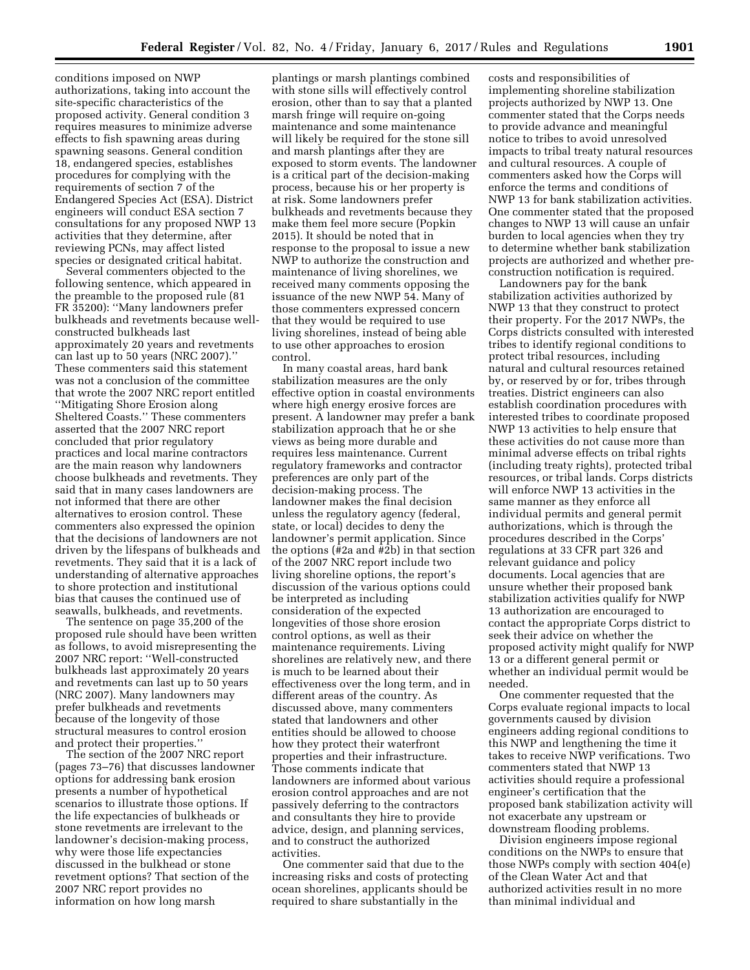conditions imposed on NWP authorizations, taking into account the site-specific characteristics of the proposed activity. General condition 3 requires measures to minimize adverse effects to fish spawning areas during spawning seasons. General condition 18, endangered species, establishes procedures for complying with the requirements of section 7 of the Endangered Species Act (ESA). District engineers will conduct ESA section 7 consultations for any proposed NWP 13 activities that they determine, after reviewing PCNs, may affect listed species or designated critical habitat.

Several commenters objected to the following sentence, which appeared in the preamble to the proposed rule (81 FR 35200): ''Many landowners prefer bulkheads and revetments because wellconstructed bulkheads last approximately 20 years and revetments can last up to 50 years (NRC 2007).'' These commenters said this statement was not a conclusion of the committee that wrote the 2007 NRC report entitled ''Mitigating Shore Erosion along Sheltered Coasts.'' These commenters asserted that the 2007 NRC report concluded that prior regulatory practices and local marine contractors are the main reason why landowners choose bulkheads and revetments. They said that in many cases landowners are not informed that there are other alternatives to erosion control. These commenters also expressed the opinion that the decisions of landowners are not driven by the lifespans of bulkheads and revetments. They said that it is a lack of understanding of alternative approaches to shore protection and institutional bias that causes the continued use of seawalls, bulkheads, and revetments.

The sentence on page 35,200 of the proposed rule should have been written as follows, to avoid misrepresenting the 2007 NRC report: ''Well-constructed bulkheads last approximately 20 years and revetments can last up to 50 years (NRC 2007). Many landowners may prefer bulkheads and revetments because of the longevity of those structural measures to control erosion and protect their properties.''

The section of the 2007 NRC report (pages 73–76) that discusses landowner options for addressing bank erosion presents a number of hypothetical scenarios to illustrate those options. If the life expectancies of bulkheads or stone revetments are irrelevant to the landowner's decision-making process, why were those life expectancies discussed in the bulkhead or stone revetment options? That section of the 2007 NRC report provides no information on how long marsh

plantings or marsh plantings combined with stone sills will effectively control erosion, other than to say that a planted marsh fringe will require on-going maintenance and some maintenance will likely be required for the stone sill and marsh plantings after they are exposed to storm events. The landowner is a critical part of the decision-making process, because his or her property is at risk. Some landowners prefer bulkheads and revetments because they make them feel more secure (Popkin 2015). It should be noted that in response to the proposal to issue a new NWP to authorize the construction and maintenance of living shorelines, we received many comments opposing the issuance of the new NWP 54. Many of those commenters expressed concern that they would be required to use living shorelines, instead of being able to use other approaches to erosion control.

In many coastal areas, hard bank stabilization measures are the only effective option in coastal environments where high energy erosive forces are present. A landowner may prefer a bank stabilization approach that he or she views as being more durable and requires less maintenance. Current regulatory frameworks and contractor preferences are only part of the decision-making process. The landowner makes the final decision unless the regulatory agency (federal, state, or local) decides to deny the landowner's permit application. Since the options ( $\overline{\#}2a$  and  $\overline{\#}2b$ ) in that section of the 2007 NRC report include two living shoreline options, the report's discussion of the various options could be interpreted as including consideration of the expected longevities of those shore erosion control options, as well as their maintenance requirements. Living shorelines are relatively new, and there is much to be learned about their effectiveness over the long term, and in different areas of the country. As discussed above, many commenters stated that landowners and other entities should be allowed to choose how they protect their waterfront properties and their infrastructure. Those comments indicate that landowners are informed about various erosion control approaches and are not passively deferring to the contractors and consultants they hire to provide advice, design, and planning services, and to construct the authorized activities.

One commenter said that due to the increasing risks and costs of protecting ocean shorelines, applicants should be required to share substantially in the

costs and responsibilities of implementing shoreline stabilization projects authorized by NWP 13. One commenter stated that the Corps needs to provide advance and meaningful notice to tribes to avoid unresolved impacts to tribal treaty natural resources and cultural resources. A couple of commenters asked how the Corps will enforce the terms and conditions of NWP 13 for bank stabilization activities. One commenter stated that the proposed changes to NWP 13 will cause an unfair burden to local agencies when they try to determine whether bank stabilization projects are authorized and whether preconstruction notification is required.

Landowners pay for the bank stabilization activities authorized by NWP 13 that they construct to protect their property. For the 2017 NWPs, the Corps districts consulted with interested tribes to identify regional conditions to protect tribal resources, including natural and cultural resources retained by, or reserved by or for, tribes through treaties. District engineers can also establish coordination procedures with interested tribes to coordinate proposed NWP 13 activities to help ensure that these activities do not cause more than minimal adverse effects on tribal rights (including treaty rights), protected tribal resources, or tribal lands. Corps districts will enforce NWP 13 activities in the same manner as they enforce all individual permits and general permit authorizations, which is through the procedures described in the Corps' regulations at 33 CFR part 326 and relevant guidance and policy documents. Local agencies that are unsure whether their proposed bank stabilization activities qualify for NWP 13 authorization are encouraged to contact the appropriate Corps district to seek their advice on whether the proposed activity might qualify for NWP 13 or a different general permit or whether an individual permit would be needed.

One commenter requested that the Corps evaluate regional impacts to local governments caused by division engineers adding regional conditions to this NWP and lengthening the time it takes to receive NWP verifications. Two commenters stated that NWP 13 activities should require a professional engineer's certification that the proposed bank stabilization activity will not exacerbate any upstream or downstream flooding problems.

Division engineers impose regional conditions on the NWPs to ensure that those NWPs comply with section 404(e) of the Clean Water Act and that authorized activities result in no more than minimal individual and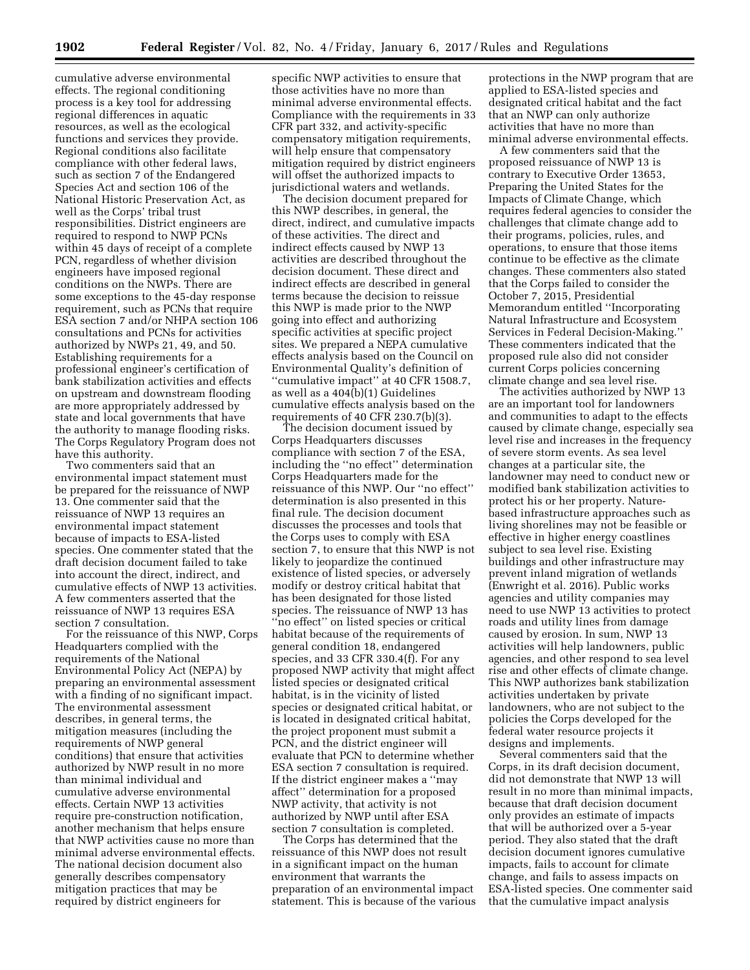cumulative adverse environmental effects. The regional conditioning process is a key tool for addressing regional differences in aquatic resources, as well as the ecological functions and services they provide. Regional conditions also facilitate compliance with other federal laws, such as section 7 of the Endangered Species Act and section 106 of the National Historic Preservation Act, as well as the Corps' tribal trust responsibilities. District engineers are required to respond to NWP PCNs within 45 days of receipt of a complete PCN, regardless of whether division engineers have imposed regional conditions on the NWPs. There are some exceptions to the 45-day response requirement, such as PCNs that require ESA section 7 and/or NHPA section 106 consultations and PCNs for activities authorized by NWPs 21, 49, and 50. Establishing requirements for a professional engineer's certification of bank stabilization activities and effects on upstream and downstream flooding are more appropriately addressed by state and local governments that have the authority to manage flooding risks. The Corps Regulatory Program does not have this authority.

Two commenters said that an environmental impact statement must be prepared for the reissuance of NWP 13. One commenter said that the reissuance of NWP 13 requires an environmental impact statement because of impacts to ESA-listed species. One commenter stated that the draft decision document failed to take into account the direct, indirect, and cumulative effects of NWP 13 activities. A few commenters asserted that the reissuance of NWP 13 requires ESA section 7 consultation.

For the reissuance of this NWP, Corps Headquarters complied with the requirements of the National Environmental Policy Act (NEPA) by preparing an environmental assessment with a finding of no significant impact. The environmental assessment describes, in general terms, the mitigation measures (including the requirements of NWP general conditions) that ensure that activities authorized by NWP result in no more than minimal individual and cumulative adverse environmental effects. Certain NWP 13 activities require pre-construction notification, another mechanism that helps ensure that NWP activities cause no more than minimal adverse environmental effects. The national decision document also generally describes compensatory mitigation practices that may be required by district engineers for

specific NWP activities to ensure that those activities have no more than minimal adverse environmental effects. Compliance with the requirements in 33 CFR part 332, and activity-specific compensatory mitigation requirements, will help ensure that compensatory mitigation required by district engineers will offset the authorized impacts to jurisdictional waters and wetlands.

The decision document prepared for this NWP describes, in general, the direct, indirect, and cumulative impacts of these activities. The direct and indirect effects caused by NWP 13 activities are described throughout the decision document. These direct and indirect effects are described in general terms because the decision to reissue this NWP is made prior to the NWP going into effect and authorizing specific activities at specific project sites. We prepared a NEPA cumulative effects analysis based on the Council on Environmental Quality's definition of ''cumulative impact'' at 40 CFR 1508.7, as well as a 404(b)(1) Guidelines cumulative effects analysis based on the requirements of 40 CFR 230.7(b)(3).

The decision document issued by Corps Headquarters discusses compliance with section 7 of the ESA, including the ''no effect'' determination Corps Headquarters made for the reissuance of this NWP. Our ''no effect'' determination is also presented in this final rule. The decision document discusses the processes and tools that the Corps uses to comply with ESA section 7, to ensure that this NWP is not likely to jeopardize the continued existence of listed species, or adversely modify or destroy critical habitat that has been designated for those listed species. The reissuance of NWP 13 has "no effect" on listed species or critical habitat because of the requirements of general condition 18, endangered species, and 33 CFR 330.4(f). For any proposed NWP activity that might affect listed species or designated critical habitat, is in the vicinity of listed species or designated critical habitat, or is located in designated critical habitat, the project proponent must submit a PCN, and the district engineer will evaluate that PCN to determine whether ESA section 7 consultation is required. If the district engineer makes a ''may affect'' determination for a proposed NWP activity, that activity is not authorized by NWP until after ESA section 7 consultation is completed.

The Corps has determined that the reissuance of this NWP does not result in a significant impact on the human environment that warrants the preparation of an environmental impact statement. This is because of the various

protections in the NWP program that are applied to ESA-listed species and designated critical habitat and the fact that an NWP can only authorize activities that have no more than minimal adverse environmental effects.

A few commenters said that the proposed reissuance of NWP 13 is contrary to Executive Order 13653, Preparing the United States for the Impacts of Climate Change, which requires federal agencies to consider the challenges that climate change add to their programs, policies, rules, and operations, to ensure that those items continue to be effective as the climate changes. These commenters also stated that the Corps failed to consider the October 7, 2015, Presidential Memorandum entitled ''Incorporating Natural Infrastructure and Ecosystem Services in Federal Decision-Making.'' These commenters indicated that the proposed rule also did not consider current Corps policies concerning climate change and sea level rise.

The activities authorized by NWP 13 are an important tool for landowners and communities to adapt to the effects caused by climate change, especially sea level rise and increases in the frequency of severe storm events. As sea level changes at a particular site, the landowner may need to conduct new or modified bank stabilization activities to protect his or her property. Naturebased infrastructure approaches such as living shorelines may not be feasible or effective in higher energy coastlines subject to sea level rise. Existing buildings and other infrastructure may prevent inland migration of wetlands (Enwright et al. 2016). Public works agencies and utility companies may need to use NWP 13 activities to protect roads and utility lines from damage caused by erosion. In sum, NWP 13 activities will help landowners, public agencies, and other respond to sea level rise and other effects of climate change. This NWP authorizes bank stabilization activities undertaken by private landowners, who are not subject to the policies the Corps developed for the federal water resource projects it designs and implements.

Several commenters said that the Corps, in its draft decision document, did not demonstrate that NWP 13 will result in no more than minimal impacts, because that draft decision document only provides an estimate of impacts that will be authorized over a 5-year period. They also stated that the draft decision document ignores cumulative impacts, fails to account for climate change, and fails to assess impacts on ESA-listed species. One commenter said that the cumulative impact analysis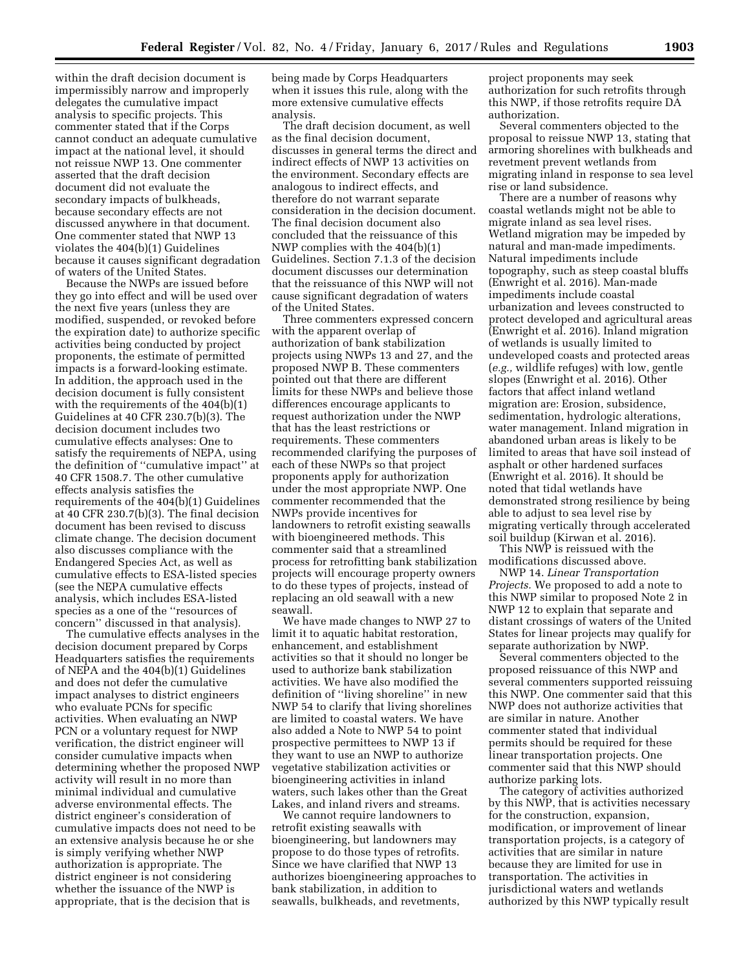within the draft decision document is impermissibly narrow and improperly delegates the cumulative impact analysis to specific projects. This commenter stated that if the Corps cannot conduct an adequate cumulative impact at the national level, it should not reissue NWP 13. One commenter asserted that the draft decision document did not evaluate the secondary impacts of bulkheads, because secondary effects are not discussed anywhere in that document. One commenter stated that NWP 13 violates the 404(b)(1) Guidelines because it causes significant degradation of waters of the United States.

Because the NWPs are issued before they go into effect and will be used over the next five years (unless they are modified, suspended, or revoked before the expiration date) to authorize specific activities being conducted by project proponents, the estimate of permitted impacts is a forward-looking estimate. In addition, the approach used in the decision document is fully consistent with the requirements of the 404(b)(1) Guidelines at 40 CFR 230.7(b)(3). The decision document includes two cumulative effects analyses: One to satisfy the requirements of NEPA, using the definition of ''cumulative impact'' at 40 CFR 1508.7. The other cumulative effects analysis satisfies the requirements of the 404(b)(1) Guidelines at 40 CFR 230.7(b)(3). The final decision document has been revised to discuss climate change. The decision document also discusses compliance with the Endangered Species Act, as well as cumulative effects to ESA-listed species (see the NEPA cumulative effects analysis, which includes ESA-listed species as a one of the ''resources of concern'' discussed in that analysis).

The cumulative effects analyses in the decision document prepared by Corps Headquarters satisfies the requirements of NEPA and the 404(b)(1) Guidelines and does not defer the cumulative impact analyses to district engineers who evaluate PCNs for specific activities. When evaluating an NWP PCN or a voluntary request for NWP verification, the district engineer will consider cumulative impacts when determining whether the proposed NWP activity will result in no more than minimal individual and cumulative adverse environmental effects. The district engineer's consideration of cumulative impacts does not need to be an extensive analysis because he or she is simply verifying whether NWP authorization is appropriate. The district engineer is not considering whether the issuance of the NWP is appropriate, that is the decision that is

being made by Corps Headquarters when it issues this rule, along with the more extensive cumulative effects analysis.

The draft decision document, as well as the final decision document, discusses in general terms the direct and indirect effects of NWP 13 activities on the environment. Secondary effects are analogous to indirect effects, and therefore do not warrant separate consideration in the decision document. The final decision document also concluded that the reissuance of this NWP complies with the 404(b)(1) Guidelines. Section 7.1.3 of the decision document discusses our determination that the reissuance of this NWP will not cause significant degradation of waters of the United States.

Three commenters expressed concern with the apparent overlap of authorization of bank stabilization projects using NWPs 13 and 27, and the proposed NWP B. These commenters pointed out that there are different limits for these NWPs and believe those differences encourage applicants to request authorization under the NWP that has the least restrictions or requirements. These commenters recommended clarifying the purposes of each of these NWPs so that project proponents apply for authorization under the most appropriate NWP. One commenter recommended that the NWPs provide incentives for landowners to retrofit existing seawalls with bioengineered methods. This commenter said that a streamlined process for retrofitting bank stabilization projects will encourage property owners to do these types of projects, instead of replacing an old seawall with a new seawall.

We have made changes to NWP 27 to limit it to aquatic habitat restoration, enhancement, and establishment activities so that it should no longer be used to authorize bank stabilization activities. We have also modified the definition of ''living shoreline'' in new NWP 54 to clarify that living shorelines are limited to coastal waters. We have also added a Note to NWP 54 to point prospective permittees to NWP 13 if they want to use an NWP to authorize vegetative stabilization activities or bioengineering activities in inland waters, such lakes other than the Great Lakes, and inland rivers and streams.

We cannot require landowners to retrofit existing seawalls with bioengineering, but landowners may propose to do those types of retrofits. Since we have clarified that NWP 13 authorizes bioengineering approaches to bank stabilization, in addition to seawalls, bulkheads, and revetments,

project proponents may seek authorization for such retrofits through this NWP, if those retrofits require DA authorization.

Several commenters objected to the proposal to reissue NWP 13, stating that armoring shorelines with bulkheads and revetment prevent wetlands from migrating inland in response to sea level rise or land subsidence.

There are a number of reasons why coastal wetlands might not be able to migrate inland as sea level rises. Wetland migration may be impeded by natural and man-made impediments. Natural impediments include topography, such as steep coastal bluffs (Enwright et al. 2016). Man-made impediments include coastal urbanization and levees constructed to protect developed and agricultural areas (Enwright et al. 2016). Inland migration of wetlands is usually limited to undeveloped coasts and protected areas (*e.g.,* wildlife refuges) with low, gentle slopes (Enwright et al. 2016). Other factors that affect inland wetland migration are: Erosion, subsidence, sedimentation, hydrologic alterations, water management. Inland migration in abandoned urban areas is likely to be limited to areas that have soil instead of asphalt or other hardened surfaces (Enwright et al. 2016). It should be noted that tidal wetlands have demonstrated strong resilience by being able to adjust to sea level rise by migrating vertically through accelerated soil buildup (Kirwan et al. 2016).

This NWP is reissued with the modifications discussed above.

NWP 14. *Linear Transportation Projects.* We proposed to add a note to this NWP similar to proposed Note 2 in NWP 12 to explain that separate and distant crossings of waters of the United States for linear projects may qualify for separate authorization by NWP.

Several commenters objected to the proposed reissuance of this NWP and several commenters supported reissuing this NWP. One commenter said that this NWP does not authorize activities that are similar in nature. Another commenter stated that individual permits should be required for these linear transportation projects. One commenter said that this NWP should authorize parking lots.

The category of activities authorized by this NWP, that is activities necessary for the construction, expansion, modification, or improvement of linear transportation projects, is a category of activities that are similar in nature because they are limited for use in transportation. The activities in jurisdictional waters and wetlands authorized by this NWP typically result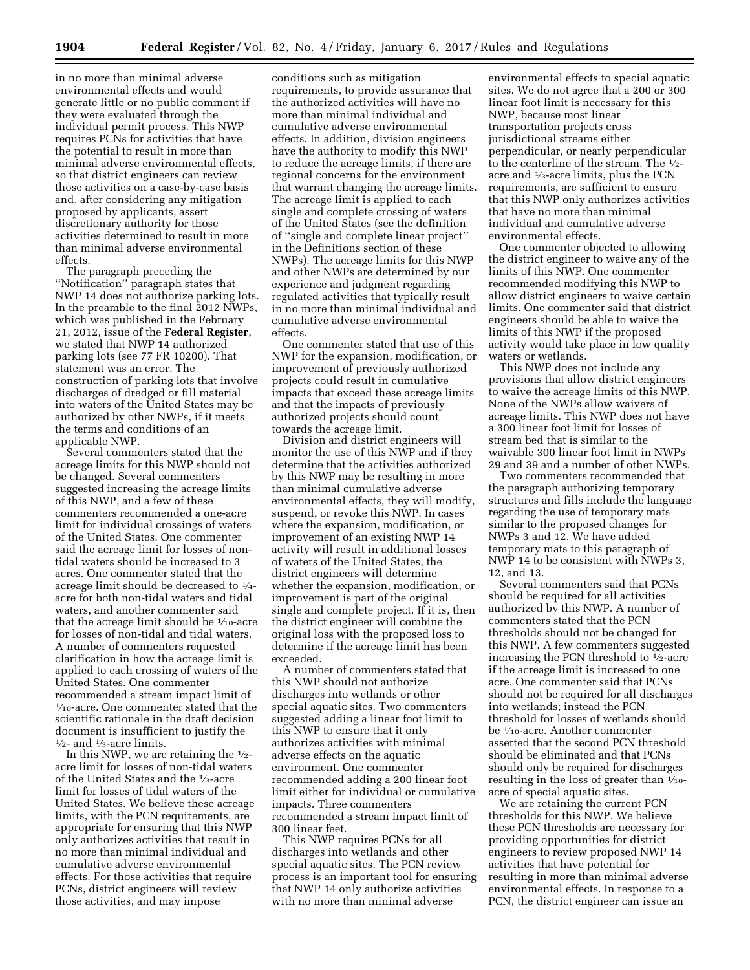in no more than minimal adverse environmental effects and would generate little or no public comment if they were evaluated through the individual permit process. This NWP requires PCNs for activities that have the potential to result in more than minimal adverse environmental effects, so that district engineers can review those activities on a case-by-case basis and, after considering any mitigation proposed by applicants, assert discretionary authority for those activities determined to result in more than minimal adverse environmental effects.

The paragraph preceding the ''Notification'' paragraph states that NWP 14 does not authorize parking lots. In the preamble to the final 2012 NWPs, which was published in the February 21, 2012, issue of the **Federal Register**, we stated that NWP 14 authorized parking lots (see 77 FR 10200). That statement was an error. The construction of parking lots that involve discharges of dredged or fill material into waters of the United States may be authorized by other NWPs, if it meets the terms and conditions of an applicable NWP.

Several commenters stated that the acreage limits for this NWP should not be changed. Several commenters suggested increasing the acreage limits of this NWP, and a few of these commenters recommended a one-acre limit for individual crossings of waters of the United States. One commenter said the acreage limit for losses of nontidal waters should be increased to 3 acres. One commenter stated that the acreage limit should be decreased to 1⁄4 acre for both non-tidal waters and tidal waters, and another commenter said that the acreage limit should be  $\frac{1}{10}$ -acre for losses of non-tidal and tidal waters. A number of commenters requested clarification in how the acreage limit is applied to each crossing of waters of the United States. One commenter recommended a stream impact limit of 1⁄10-acre. One commenter stated that the scientific rationale in the draft decision document is insufficient to justify the  $\frac{1}{2}$ - and  $\frac{1}{3}$ -acre limits.

In this NWP, we are retaining the  $\frac{1}{2}$ acre limit for losses of non-tidal waters of the United States and the 1⁄3-acre limit for losses of tidal waters of the United States. We believe these acreage limits, with the PCN requirements, are appropriate for ensuring that this NWP only authorizes activities that result in no more than minimal individual and cumulative adverse environmental effects. For those activities that require PCNs, district engineers will review those activities, and may impose

conditions such as mitigation requirements, to provide assurance that the authorized activities will have no more than minimal individual and cumulative adverse environmental effects. In addition, division engineers have the authority to modify this NWP to reduce the acreage limits, if there are regional concerns for the environment that warrant changing the acreage limits. The acreage limit is applied to each single and complete crossing of waters of the United States (see the definition of ''single and complete linear project'' in the Definitions section of these NWPs). The acreage limits for this NWP and other NWPs are determined by our experience and judgment regarding regulated activities that typically result in no more than minimal individual and cumulative adverse environmental effects.

One commenter stated that use of this NWP for the expansion, modification, or improvement of previously authorized projects could result in cumulative impacts that exceed these acreage limits and that the impacts of previously authorized projects should count towards the acreage limit.

Division and district engineers will monitor the use of this NWP and if they determine that the activities authorized by this NWP may be resulting in more than minimal cumulative adverse environmental effects, they will modify, suspend, or revoke this NWP. In cases where the expansion, modification, or improvement of an existing NWP 14 activity will result in additional losses of waters of the United States, the district engineers will determine whether the expansion, modification, or improvement is part of the original single and complete project. If it is, then the district engineer will combine the original loss with the proposed loss to determine if the acreage limit has been exceeded.

A number of commenters stated that this NWP should not authorize discharges into wetlands or other special aquatic sites. Two commenters suggested adding a linear foot limit to this NWP to ensure that it only authorizes activities with minimal adverse effects on the aquatic environment. One commenter recommended adding a 200 linear foot limit either for individual or cumulative impacts. Three commenters recommended a stream impact limit of 300 linear feet.

This NWP requires PCNs for all discharges into wetlands and other special aquatic sites. The PCN review process is an important tool for ensuring that NWP 14 only authorize activities with no more than minimal adverse

environmental effects to special aquatic sites. We do not agree that a 200 or 300 linear foot limit is necessary for this NWP, because most linear transportation projects cross jurisdictional streams either perpendicular, or nearly perpendicular to the centerline of the stream. The 1⁄2 acre and 1⁄3-acre limits, plus the PCN requirements, are sufficient to ensure that this NWP only authorizes activities that have no more than minimal individual and cumulative adverse environmental effects.

One commenter objected to allowing the district engineer to waive any of the limits of this NWP. One commenter recommended modifying this NWP to allow district engineers to waive certain limits. One commenter said that district engineers should be able to waive the limits of this NWP if the proposed activity would take place in low quality waters or wetlands.

This NWP does not include any provisions that allow district engineers to waive the acreage limits of this NWP. None of the NWPs allow waivers of acreage limits. This NWP does not have a 300 linear foot limit for losses of stream bed that is similar to the waivable 300 linear foot limit in NWPs 29 and 39 and a number of other NWPs.

Two commenters recommended that the paragraph authorizing temporary structures and fills include the language regarding the use of temporary mats similar to the proposed changes for NWPs 3 and 12. We have added temporary mats to this paragraph of NWP 14 to be consistent with NWPs 3, 12, and 13.

Several commenters said that PCNs should be required for all activities authorized by this NWP. A number of commenters stated that the PCN thresholds should not be changed for this NWP. A few commenters suggested increasing the PCN threshold to 1⁄2-acre if the acreage limit is increased to one acre. One commenter said that PCNs should not be required for all discharges into wetlands; instead the PCN threshold for losses of wetlands should be 1⁄10-acre. Another commenter asserted that the second PCN threshold should be eliminated and that PCNs should only be required for discharges resulting in the loss of greater than  $\frac{1}{10}$ acre of special aquatic sites.

We are retaining the current PCN thresholds for this NWP. We believe these PCN thresholds are necessary for providing opportunities for district engineers to review proposed NWP 14 activities that have potential for resulting in more than minimal adverse environmental effects. In response to a PCN, the district engineer can issue an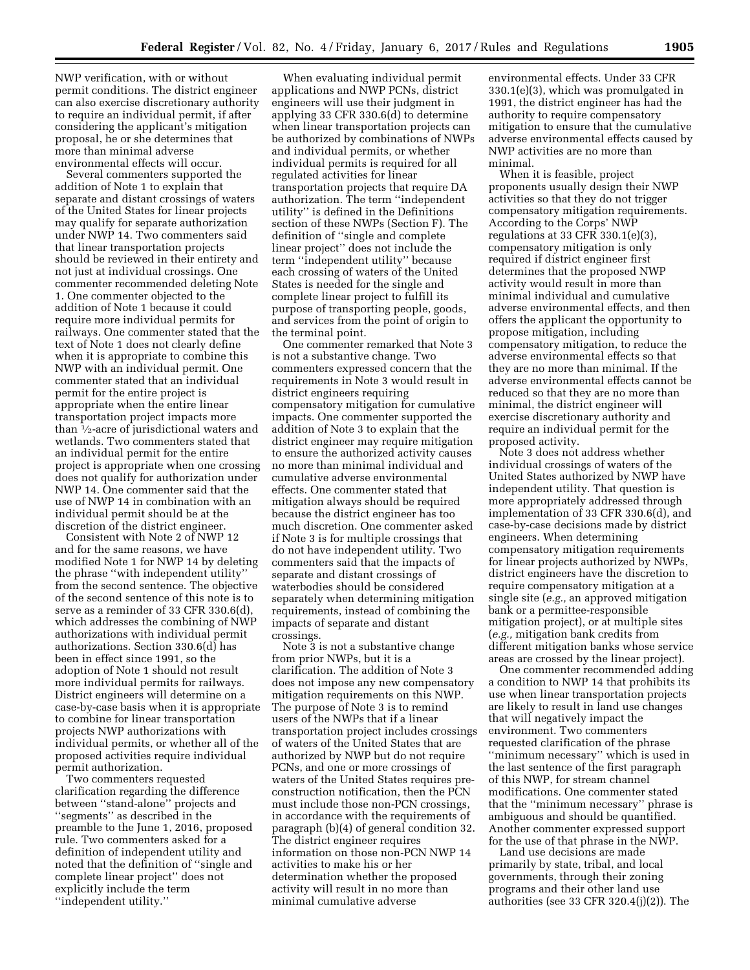NWP verification, with or without permit conditions. The district engineer can also exercise discretionary authority to require an individual permit, if after considering the applicant's mitigation proposal, he or she determines that more than minimal adverse environmental effects will occur.

Several commenters supported the addition of Note 1 to explain that separate and distant crossings of waters of the United States for linear projects may qualify for separate authorization under NWP 14. Two commenters said that linear transportation projects should be reviewed in their entirety and not just at individual crossings. One commenter recommended deleting Note 1. One commenter objected to the addition of Note 1 because it could require more individual permits for railways. One commenter stated that the text of Note 1 does not clearly define when it is appropriate to combine this NWP with an individual permit. One commenter stated that an individual permit for the entire project is appropriate when the entire linear transportation project impacts more than 1⁄2-acre of jurisdictional waters and wetlands. Two commenters stated that an individual permit for the entire project is appropriate when one crossing does not qualify for authorization under NWP 14. One commenter said that the use of NWP 14 in combination with an individual permit should be at the discretion of the district engineer.

Consistent with Note 2 of NWP 12 and for the same reasons, we have modified Note 1 for NWP 14 by deleting the phrase ''with independent utility'' from the second sentence. The objective of the second sentence of this note is to serve as a reminder of 33 CFR 330.6(d), which addresses the combining of NWP authorizations with individual permit authorizations. Section 330.6(d) has been in effect since 1991, so the adoption of Note 1 should not result more individual permits for railways. District engineers will determine on a case-by-case basis when it is appropriate to combine for linear transportation projects NWP authorizations with individual permits, or whether all of the proposed activities require individual permit authorization.

Two commenters requested clarification regarding the difference between ''stand-alone'' projects and ''segments'' as described in the preamble to the June 1, 2016, proposed rule. Two commenters asked for a definition of independent utility and noted that the definition of ''single and complete linear project'' does not explicitly include the term ''independent utility.''

When evaluating individual permit applications and NWP PCNs, district engineers will use their judgment in applying 33 CFR 330.6(d) to determine when linear transportation projects can be authorized by combinations of NWPs and individual permits, or whether individual permits is required for all regulated activities for linear transportation projects that require DA authorization. The term ''independent utility'' is defined in the Definitions section of these NWPs (Section F). The definition of ''single and complete linear project'' does not include the term ''independent utility'' because each crossing of waters of the United States is needed for the single and complete linear project to fulfill its purpose of transporting people, goods, and services from the point of origin to the terminal point.

One commenter remarked that Note 3 is not a substantive change. Two commenters expressed concern that the requirements in Note 3 would result in district engineers requiring compensatory mitigation for cumulative impacts. One commenter supported the addition of Note 3 to explain that the district engineer may require mitigation to ensure the authorized activity causes no more than minimal individual and cumulative adverse environmental effects. One commenter stated that mitigation always should be required because the district engineer has too much discretion. One commenter asked if Note 3 is for multiple crossings that do not have independent utility. Two commenters said that the impacts of separate and distant crossings of waterbodies should be considered separately when determining mitigation requirements, instead of combining the impacts of separate and distant crossings.

Note 3 is not a substantive change from prior NWPs, but it is a clarification. The addition of Note 3 does not impose any new compensatory mitigation requirements on this NWP. The purpose of Note 3 is to remind users of the NWPs that if a linear transportation project includes crossings of waters of the United States that are authorized by NWP but do not require PCNs, and one or more crossings of waters of the United States requires preconstruction notification, then the PCN must include those non-PCN crossings, in accordance with the requirements of paragraph (b)(4) of general condition 32. The district engineer requires information on those non-PCN NWP 14 activities to make his or her determination whether the proposed activity will result in no more than minimal cumulative adverse

environmental effects. Under 33 CFR 330.1(e)(3), which was promulgated in 1991, the district engineer has had the authority to require compensatory mitigation to ensure that the cumulative adverse environmental effects caused by NWP activities are no more than minimal.

When it is feasible, project proponents usually design their NWP activities so that they do not trigger compensatory mitigation requirements. According to the Corps' NWP regulations at 33 CFR 330.1(e)(3), compensatory mitigation is only required if district engineer first determines that the proposed NWP activity would result in more than minimal individual and cumulative adverse environmental effects, and then offers the applicant the opportunity to propose mitigation, including compensatory mitigation, to reduce the adverse environmental effects so that they are no more than minimal. If the adverse environmental effects cannot be reduced so that they are no more than minimal, the district engineer will exercise discretionary authority and require an individual permit for the proposed activity.

Note 3 does not address whether individual crossings of waters of the United States authorized by NWP have independent utility. That question is more appropriately addressed through implementation of 33 CFR 330.6(d), and case-by-case decisions made by district engineers. When determining compensatory mitigation requirements for linear projects authorized by NWPs, district engineers have the discretion to require compensatory mitigation at a single site (*e.g.,* an approved mitigation bank or a permittee-responsible mitigation project), or at multiple sites (*e.g.,* mitigation bank credits from different mitigation banks whose service areas are crossed by the linear project).

One commenter recommended adding a condition to NWP 14 that prohibits its use when linear transportation projects are likely to result in land use changes that will negatively impact the environment. Two commenters requested clarification of the phrase ''minimum necessary'' which is used in the last sentence of the first paragraph of this NWP, for stream channel modifications. One commenter stated that the ''minimum necessary'' phrase is ambiguous and should be quantified. Another commenter expressed support for the use of that phrase in the NWP.

Land use decisions are made primarily by state, tribal, and local governments, through their zoning programs and their other land use authorities (see 33 CFR 320.4(j)(2)). The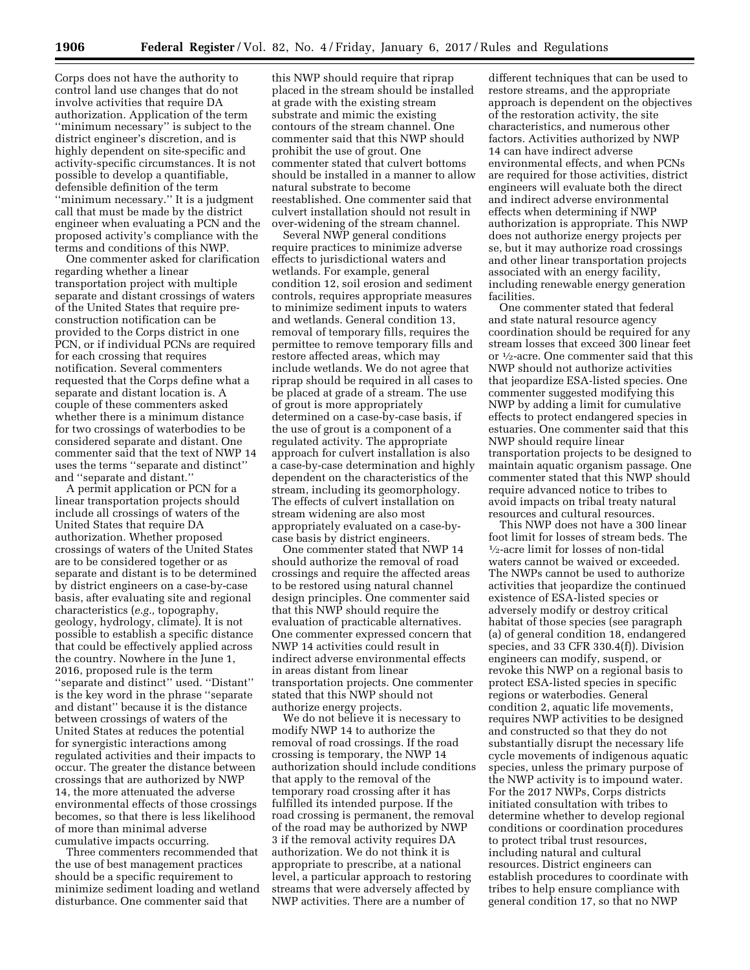Corps does not have the authority to control land use changes that do not involve activities that require DA authorization. Application of the term ''minimum necessary'' is subject to the district engineer's discretion, and is highly dependent on site-specific and activity-specific circumstances. It is not possible to develop a quantifiable, defensible definition of the term ''minimum necessary.'' It is a judgment call that must be made by the district engineer when evaluating a PCN and the proposed activity's compliance with the terms and conditions of this NWP.

One commenter asked for clarification regarding whether a linear transportation project with multiple separate and distant crossings of waters of the United States that require preconstruction notification can be provided to the Corps district in one PCN, or if individual PCNs are required for each crossing that requires notification. Several commenters requested that the Corps define what a separate and distant location is. A couple of these commenters asked whether there is a minimum distance for two crossings of waterbodies to be considered separate and distant. One commenter said that the text of NWP 14 uses the terms ''separate and distinct'' and ''separate and distant.''

A permit application or PCN for a linear transportation projects should include all crossings of waters of the United States that require DA authorization. Whether proposed crossings of waters of the United States are to be considered together or as separate and distant is to be determined by district engineers on a case-by-case basis, after evaluating site and regional characteristics (*e.g.,* topography, geology, hydrology, climate). It is not possible to establish a specific distance that could be effectively applied across the country. Nowhere in the June 1, 2016, proposed rule is the term ''separate and distinct'' used. ''Distant'' is the key word in the phrase ''separate and distant'' because it is the distance between crossings of waters of the United States at reduces the potential for synergistic interactions among regulated activities and their impacts to occur. The greater the distance between crossings that are authorized by NWP 14, the more attenuated the adverse environmental effects of those crossings becomes, so that there is less likelihood of more than minimal adverse cumulative impacts occurring.

Three commenters recommended that the use of best management practices should be a specific requirement to minimize sediment loading and wetland disturbance. One commenter said that

this NWP should require that riprap placed in the stream should be installed at grade with the existing stream substrate and mimic the existing contours of the stream channel. One commenter said that this NWP should prohibit the use of grout. One commenter stated that culvert bottoms should be installed in a manner to allow natural substrate to become reestablished. One commenter said that culvert installation should not result in over-widening of the stream channel.

Several NWP general conditions require practices to minimize adverse effects to jurisdictional waters and wetlands. For example, general condition 12, soil erosion and sediment controls, requires appropriate measures to minimize sediment inputs to waters and wetlands. General condition 13, removal of temporary fills, requires the permittee to remove temporary fills and restore affected areas, which may include wetlands. We do not agree that riprap should be required in all cases to be placed at grade of a stream. The use of grout is more appropriately determined on a case-by-case basis, if the use of grout is a component of a regulated activity. The appropriate approach for culvert installation is also a case-by-case determination and highly dependent on the characteristics of the stream, including its geomorphology. The effects of culvert installation on stream widening are also most appropriately evaluated on a case-bycase basis by district engineers.

One commenter stated that NWP 14 should authorize the removal of road crossings and require the affected areas to be restored using natural channel design principles. One commenter said that this NWP should require the evaluation of practicable alternatives. One commenter expressed concern that NWP 14 activities could result in indirect adverse environmental effects in areas distant from linear transportation projects. One commenter stated that this NWP should not authorize energy projects.

We do not believe it is necessary to modify NWP 14 to authorize the removal of road crossings. If the road crossing is temporary, the NWP 14 authorization should include conditions that apply to the removal of the temporary road crossing after it has fulfilled its intended purpose. If the road crossing is permanent, the removal of the road may be authorized by NWP 3 if the removal activity requires DA authorization. We do not think it is appropriate to prescribe, at a national level, a particular approach to restoring streams that were adversely affected by NWP activities. There are a number of

different techniques that can be used to restore streams, and the appropriate approach is dependent on the objectives of the restoration activity, the site characteristics, and numerous other factors. Activities authorized by NWP 14 can have indirect adverse environmental effects, and when PCNs are required for those activities, district engineers will evaluate both the direct and indirect adverse environmental effects when determining if NWP authorization is appropriate. This NWP does not authorize energy projects per se, but it may authorize road crossings and other linear transportation projects associated with an energy facility, including renewable energy generation facilities.

One commenter stated that federal and state natural resource agency coordination should be required for any stream losses that exceed 300 linear feet or 1⁄2-acre. One commenter said that this NWP should not authorize activities that jeopardize ESA-listed species. One commenter suggested modifying this NWP by adding a limit for cumulative effects to protect endangered species in estuaries. One commenter said that this NWP should require linear transportation projects to be designed to maintain aquatic organism passage. One commenter stated that this NWP should require advanced notice to tribes to avoid impacts on tribal treaty natural resources and cultural resources.

This NWP does not have a 300 linear foot limit for losses of stream beds. The 1⁄2-acre limit for losses of non-tidal waters cannot be waived or exceeded. The NWPs cannot be used to authorize activities that jeopardize the continued existence of ESA-listed species or adversely modify or destroy critical habitat of those species (see paragraph (a) of general condition 18, endangered species, and 33 CFR 330.4(f)). Division engineers can modify, suspend, or revoke this NWP on a regional basis to protect ESA-listed species in specific regions or waterbodies. General condition 2, aquatic life movements, requires NWP activities to be designed and constructed so that they do not substantially disrupt the necessary life cycle movements of indigenous aquatic species, unless the primary purpose of the NWP activity is to impound water. For the 2017 NWPs, Corps districts initiated consultation with tribes to determine whether to develop regional conditions or coordination procedures to protect tribal trust resources, including natural and cultural resources. District engineers can establish procedures to coordinate with tribes to help ensure compliance with general condition 17, so that no NWP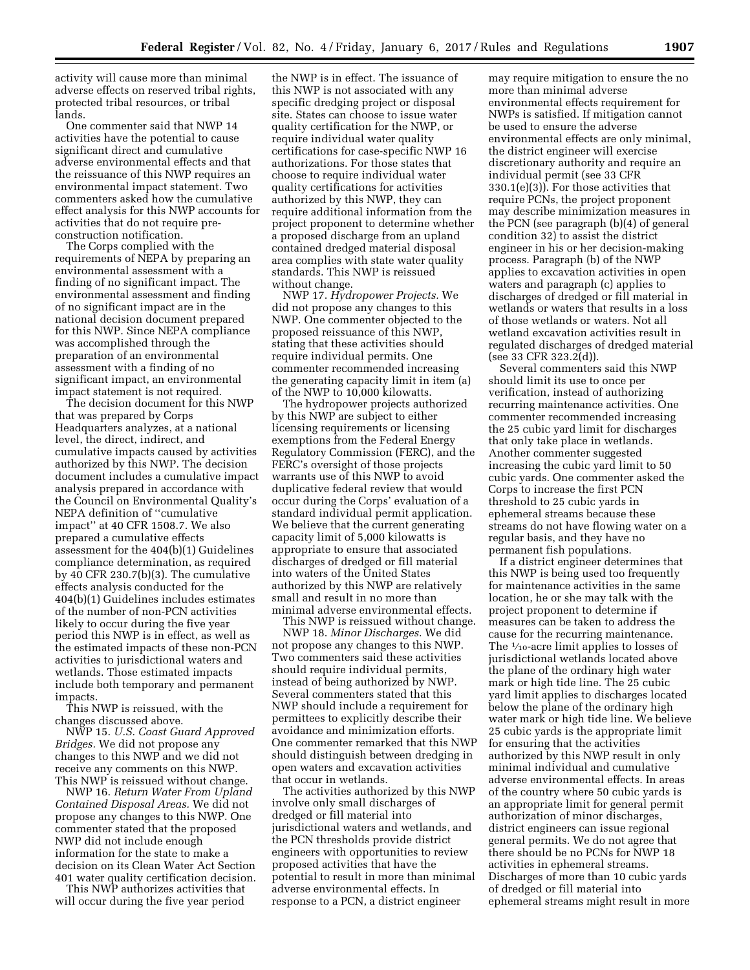activity will cause more than minimal adverse effects on reserved tribal rights, protected tribal resources, or tribal lands.

One commenter said that NWP 14 activities have the potential to cause significant direct and cumulative adverse environmental effects and that the reissuance of this NWP requires an environmental impact statement. Two commenters asked how the cumulative effect analysis for this NWP accounts for activities that do not require preconstruction notification.

The Corps complied with the requirements of NEPA by preparing an environmental assessment with a finding of no significant impact. The environmental assessment and finding of no significant impact are in the national decision document prepared for this NWP. Since NEPA compliance was accomplished through the preparation of an environmental assessment with a finding of no significant impact, an environmental impact statement is not required.

The decision document for this NWP that was prepared by Corps Headquarters analyzes, at a national level, the direct, indirect, and cumulative impacts caused by activities authorized by this NWP. The decision document includes a cumulative impact analysis prepared in accordance with the Council on Environmental Quality's NEPA definition of ''cumulative impact'' at 40 CFR 1508.7. We also prepared a cumulative effects assessment for the 404(b)(1) Guidelines compliance determination, as required by 40 CFR 230.7(b)(3). The cumulative effects analysis conducted for the 404(b)(1) Guidelines includes estimates of the number of non-PCN activities likely to occur during the five year period this NWP is in effect, as well as the estimated impacts of these non-PCN activities to jurisdictional waters and wetlands. Those estimated impacts include both temporary and permanent impacts.

This NWP is reissued, with the changes discussed above.

NWP 15. *U.S. Coast Guard Approved Bridges.* We did not propose any changes to this NWP and we did not receive any comments on this NWP. This NWP is reissued without change.

NWP 16. *Return Water From Upland Contained Disposal Areas.* We did not propose any changes to this NWP. One commenter stated that the proposed NWP did not include enough information for the state to make a decision on its Clean Water Act Section 401 water quality certification decision.

This NWP authorizes activities that will occur during the five year period

the NWP is in effect. The issuance of this NWP is not associated with any specific dredging project or disposal site. States can choose to issue water quality certification for the NWP, or require individual water quality certifications for case-specific NWP 16 authorizations. For those states that choose to require individual water quality certifications for activities authorized by this NWP, they can require additional information from the project proponent to determine whether a proposed discharge from an upland contained dredged material disposal area complies with state water quality standards. This NWP is reissued without change.

NWP 17. *Hydropower Projects.* We did not propose any changes to this NWP. One commenter objected to the proposed reissuance of this NWP, stating that these activities should require individual permits. One commenter recommended increasing the generating capacity limit in item (a) of the NWP to 10,000 kilowatts.

The hydropower projects authorized by this NWP are subject to either licensing requirements or licensing exemptions from the Federal Energy Regulatory Commission (FERC), and the FERC's oversight of those projects warrants use of this NWP to avoid duplicative federal review that would occur during the Corps' evaluation of a standard individual permit application. We believe that the current generating capacity limit of 5,000 kilowatts is appropriate to ensure that associated discharges of dredged or fill material into waters of the United States authorized by this NWP are relatively small and result in no more than minimal adverse environmental effects.

This NWP is reissued without change. NWP 18. *Minor Discharges.* We did not propose any changes to this NWP. Two commenters said these activities should require individual permits, instead of being authorized by NWP. Several commenters stated that this NWP should include a requirement for permittees to explicitly describe their avoidance and minimization efforts. One commenter remarked that this NWP should distinguish between dredging in open waters and excavation activities that occur in wetlands.

The activities authorized by this NWP involve only small discharges of dredged or fill material into jurisdictional waters and wetlands, and the PCN thresholds provide district engineers with opportunities to review proposed activities that have the potential to result in more than minimal adverse environmental effects. In response to a PCN, a district engineer

may require mitigation to ensure the no more than minimal adverse environmental effects requirement for NWPs is satisfied. If mitigation cannot be used to ensure the adverse environmental effects are only minimal, the district engineer will exercise discretionary authority and require an individual permit (see 33 CFR 330.1(e)(3)). For those activities that require PCNs, the project proponent may describe minimization measures in the PCN (see paragraph (b)(4) of general condition 32) to assist the district engineer in his or her decision-making process. Paragraph (b) of the NWP applies to excavation activities in open waters and paragraph (c) applies to discharges of dredged or fill material in wetlands or waters that results in a loss of those wetlands or waters. Not all wetland excavation activities result in regulated discharges of dredged material (see 33 CFR 323.2(d)).

Several commenters said this NWP should limit its use to once per verification, instead of authorizing recurring maintenance activities. One commenter recommended increasing the 25 cubic yard limit for discharges that only take place in wetlands. Another commenter suggested increasing the cubic yard limit to 50 cubic yards. One commenter asked the Corps to increase the first PCN threshold to 25 cubic yards in ephemeral streams because these streams do not have flowing water on a regular basis, and they have no permanent fish populations.

If a district engineer determines that this NWP is being used too frequently for maintenance activities in the same location, he or she may talk with the project proponent to determine if measures can be taken to address the cause for the recurring maintenance. The  $\frac{1}{10}$ -acre limit applies to losses of jurisdictional wetlands located above the plane of the ordinary high water mark or high tide line. The 25 cubic yard limit applies to discharges located below the plane of the ordinary high water mark or high tide line. We believe 25 cubic yards is the appropriate limit for ensuring that the activities authorized by this NWP result in only minimal individual and cumulative adverse environmental effects. In areas of the country where 50 cubic yards is an appropriate limit for general permit authorization of minor discharges, district engineers can issue regional general permits. We do not agree that there should be no PCNs for NWP 18 activities in ephemeral streams. Discharges of more than 10 cubic yards of dredged or fill material into ephemeral streams might result in more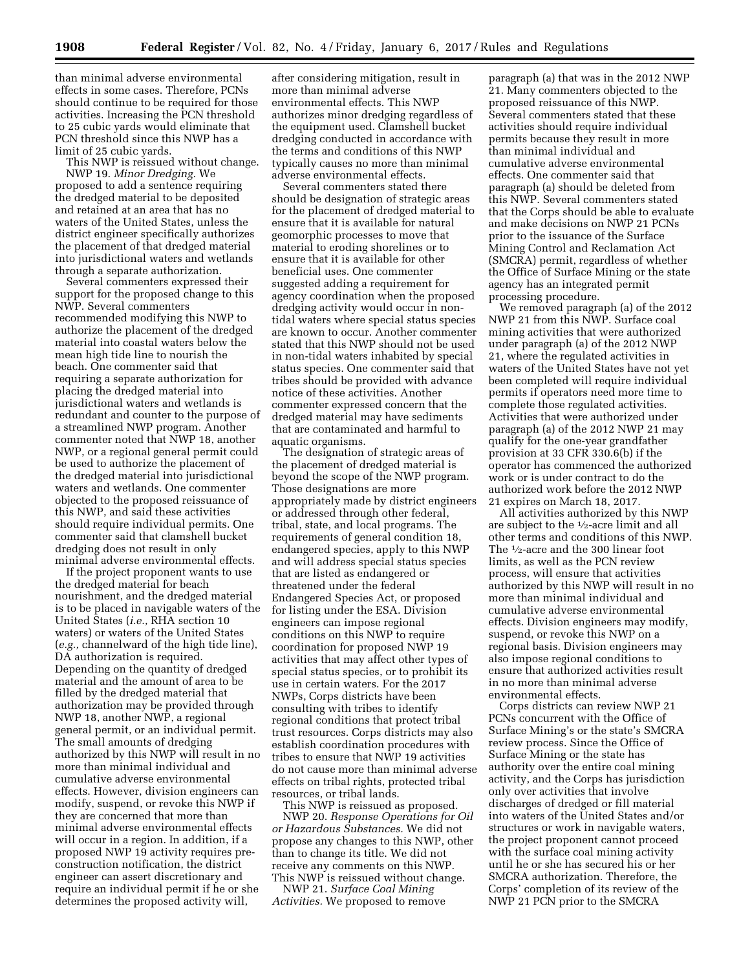than minimal adverse environmental effects in some cases. Therefore, PCNs should continue to be required for those activities. Increasing the PCN threshold to 25 cubic yards would eliminate that PCN threshold since this NWP has a limit of 25 cubic yards.

This NWP is reissued without change.

NWP 19. *Minor Dredging.* We proposed to add a sentence requiring the dredged material to be deposited and retained at an area that has no waters of the United States, unless the district engineer specifically authorizes the placement of that dredged material into jurisdictional waters and wetlands through a separate authorization.

Several commenters expressed their support for the proposed change to this NWP. Several commenters recommended modifying this NWP to authorize the placement of the dredged material into coastal waters below the mean high tide line to nourish the beach. One commenter said that requiring a separate authorization for placing the dredged material into jurisdictional waters and wetlands is redundant and counter to the purpose of a streamlined NWP program. Another commenter noted that NWP 18, another NWP, or a regional general permit could be used to authorize the placement of the dredged material into jurisdictional waters and wetlands. One commenter objected to the proposed reissuance of this NWP, and said these activities should require individual permits. One commenter said that clamshell bucket dredging does not result in only minimal adverse environmental effects.

If the project proponent wants to use the dredged material for beach nourishment, and the dredged material is to be placed in navigable waters of the United States (*i.e.,* RHA section 10 waters) or waters of the United States (*e.g.,* channelward of the high tide line), DA authorization is required. Depending on the quantity of dredged material and the amount of area to be filled by the dredged material that authorization may be provided through NWP 18, another NWP, a regional general permit, or an individual permit. The small amounts of dredging authorized by this NWP will result in no more than minimal individual and cumulative adverse environmental effects. However, division engineers can modify, suspend, or revoke this NWP if they are concerned that more than minimal adverse environmental effects will occur in a region. In addition, if a proposed NWP 19 activity requires preconstruction notification, the district engineer can assert discretionary and require an individual permit if he or she determines the proposed activity will,

after considering mitigation, result in more than minimal adverse environmental effects. This NWP authorizes minor dredging regardless of the equipment used. Clamshell bucket dredging conducted in accordance with the terms and conditions of this NWP typically causes no more than minimal adverse environmental effects.

Several commenters stated there should be designation of strategic areas for the placement of dredged material to ensure that it is available for natural geomorphic processes to move that material to eroding shorelines or to ensure that it is available for other beneficial uses. One commenter suggested adding a requirement for agency coordination when the proposed dredging activity would occur in nontidal waters where special status species are known to occur. Another commenter stated that this NWP should not be used in non-tidal waters inhabited by special status species. One commenter said that tribes should be provided with advance notice of these activities. Another commenter expressed concern that the dredged material may have sediments that are contaminated and harmful to aquatic organisms.

The designation of strategic areas of the placement of dredged material is beyond the scope of the NWP program. Those designations are more appropriately made by district engineers or addressed through other federal, tribal, state, and local programs. The requirements of general condition 18, endangered species, apply to this NWP and will address special status species that are listed as endangered or threatened under the federal Endangered Species Act, or proposed for listing under the ESA. Division engineers can impose regional conditions on this NWP to require coordination for proposed NWP 19 activities that may affect other types of special status species, or to prohibit its use in certain waters. For the 2017 NWPs, Corps districts have been consulting with tribes to identify regional conditions that protect tribal trust resources. Corps districts may also establish coordination procedures with tribes to ensure that NWP 19 activities do not cause more than minimal adverse effects on tribal rights, protected tribal resources, or tribal lands.

This NWP is reissued as proposed. NWP 20. *Response Operations for Oil or Hazardous Substances.* We did not propose any changes to this NWP, other than to change its title. We did not receive any comments on this NWP. This NWP is reissued without change.

NWP 21. *Surface Coal Mining Activities.* We proposed to remove

paragraph (a) that was in the 2012 NWP 21. Many commenters objected to the proposed reissuance of this NWP. Several commenters stated that these activities should require individual permits because they result in more than minimal individual and cumulative adverse environmental effects. One commenter said that paragraph (a) should be deleted from this NWP. Several commenters stated that the Corps should be able to evaluate and make decisions on NWP 21 PCNs prior to the issuance of the Surface Mining Control and Reclamation Act (SMCRA) permit, regardless of whether the Office of Surface Mining or the state agency has an integrated permit processing procedure.

We removed paragraph (a) of the 2012 NWP 21 from this NWP. Surface coal mining activities that were authorized under paragraph (a) of the 2012 NWP 21, where the regulated activities in waters of the United States have not yet been completed will require individual permits if operators need more time to complete those regulated activities. Activities that were authorized under paragraph (a) of the 2012 NWP 21 may qualify for the one-year grandfather provision at 33 CFR 330.6(b) if the operator has commenced the authorized work or is under contract to do the authorized work before the 2012 NWP 21 expires on March 18, 2017.

All activities authorized by this NWP are subject to the 1⁄2-acre limit and all other terms and conditions of this NWP. The 1⁄2-acre and the 300 linear foot limits, as well as the PCN review process, will ensure that activities authorized by this NWP will result in no more than minimal individual and cumulative adverse environmental effects. Division engineers may modify, suspend, or revoke this NWP on a regional basis. Division engineers may also impose regional conditions to ensure that authorized activities result in no more than minimal adverse environmental effects.

Corps districts can review NWP 21 PCNs concurrent with the Office of Surface Mining's or the state's SMCRA review process. Since the Office of Surface Mining or the state has authority over the entire coal mining activity, and the Corps has jurisdiction only over activities that involve discharges of dredged or fill material into waters of the United States and/or structures or work in navigable waters, the project proponent cannot proceed with the surface coal mining activity until he or she has secured his or her SMCRA authorization. Therefore, the Corps' completion of its review of the NWP 21 PCN prior to the SMCRA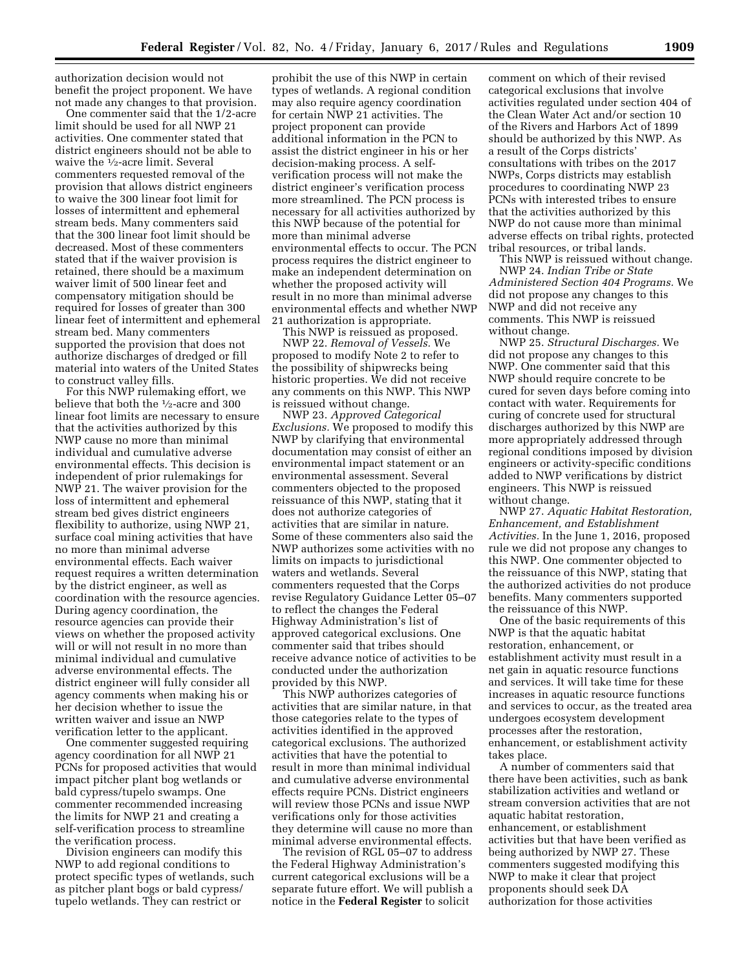authorization decision would not benefit the project proponent. We have not made any changes to that provision.

One commenter said that the 1/2-acre limit should be used for all NWP 21 activities. One commenter stated that district engineers should not be able to waive the 1⁄2-acre limit. Several commenters requested removal of the provision that allows district engineers to waive the 300 linear foot limit for losses of intermittent and ephemeral stream beds. Many commenters said that the 300 linear foot limit should be decreased. Most of these commenters stated that if the waiver provision is retained, there should be a maximum waiver limit of 500 linear feet and compensatory mitigation should be required for losses of greater than 300 linear feet of intermittent and ephemeral stream bed. Many commenters supported the provision that does not authorize discharges of dredged or fill material into waters of the United States to construct valley fills.

For this NWP rulemaking effort, we believe that both the 1⁄2-acre and 300 linear foot limits are necessary to ensure that the activities authorized by this NWP cause no more than minimal individual and cumulative adverse environmental effects. This decision is independent of prior rulemakings for NWP 21. The waiver provision for the loss of intermittent and ephemeral stream bed gives district engineers flexibility to authorize, using NWP 21, surface coal mining activities that have no more than minimal adverse environmental effects. Each waiver request requires a written determination by the district engineer, as well as coordination with the resource agencies. During agency coordination, the resource agencies can provide their views on whether the proposed activity will or will not result in no more than minimal individual and cumulative adverse environmental effects. The district engineer will fully consider all agency comments when making his or her decision whether to issue the written waiver and issue an NWP verification letter to the applicant.

One commenter suggested requiring agency coordination for all NWP 21 PCNs for proposed activities that would impact pitcher plant bog wetlands or bald cypress/tupelo swamps. One commenter recommended increasing the limits for NWP 21 and creating a self-verification process to streamline the verification process.

Division engineers can modify this NWP to add regional conditions to protect specific types of wetlands, such as pitcher plant bogs or bald cypress/ tupelo wetlands. They can restrict or

prohibit the use of this NWP in certain types of wetlands. A regional condition may also require agency coordination for certain NWP 21 activities. The project proponent can provide additional information in the PCN to assist the district engineer in his or her decision-making process. A selfverification process will not make the district engineer's verification process more streamlined. The PCN process is necessary for all activities authorized by this NWP because of the potential for more than minimal adverse environmental effects to occur. The PCN process requires the district engineer to make an independent determination on whether the proposed activity will result in no more than minimal adverse environmental effects and whether NWP 21 authorization is appropriate.

This NWP is reissued as proposed. NWP 22. *Removal of Vessels.* We proposed to modify Note 2 to refer to the possibility of shipwrecks being historic properties. We did not receive any comments on this NWP. This NWP is reissued without change.

NWP 23. *Approved Categorical Exclusions.* We proposed to modify this NWP by clarifying that environmental documentation may consist of either an environmental impact statement or an environmental assessment. Several commenters objected to the proposed reissuance of this NWP, stating that it does not authorize categories of activities that are similar in nature. Some of these commenters also said the NWP authorizes some activities with no limits on impacts to jurisdictional waters and wetlands. Several commenters requested that the Corps revise Regulatory Guidance Letter 05–07 to reflect the changes the Federal Highway Administration's list of approved categorical exclusions. One commenter said that tribes should receive advance notice of activities to be conducted under the authorization provided by this NWP.

This NWP authorizes categories of activities that are similar nature, in that those categories relate to the types of activities identified in the approved categorical exclusions. The authorized activities that have the potential to result in more than minimal individual and cumulative adverse environmental effects require PCNs. District engineers will review those PCNs and issue NWP verifications only for those activities they determine will cause no more than minimal adverse environmental effects.

The revision of RGL 05–07 to address the Federal Highway Administration's current categorical exclusions will be a separate future effort. We will publish a notice in the **Federal Register** to solicit

comment on which of their revised categorical exclusions that involve activities regulated under section 404 of the Clean Water Act and/or section 10 of the Rivers and Harbors Act of 1899 should be authorized by this NWP. As a result of the Corps districts' consultations with tribes on the 2017 NWPs, Corps districts may establish procedures to coordinating NWP 23 PCNs with interested tribes to ensure that the activities authorized by this NWP do not cause more than minimal adverse effects on tribal rights, protected tribal resources, or tribal lands.

This NWP is reissued without change. NWP 24. *Indian Tribe or State Administered Section 404 Programs.* We did not propose any changes to this NWP and did not receive any comments. This NWP is reissued without change.

NWP 25. *Structural Discharges.* We did not propose any changes to this NWP. One commenter said that this NWP should require concrete to be cured for seven days before coming into contact with water. Requirements for curing of concrete used for structural discharges authorized by this NWP are more appropriately addressed through regional conditions imposed by division engineers or activity-specific conditions added to NWP verifications by district engineers. This NWP is reissued without change.

NWP 27. *Aquatic Habitat Restoration, Enhancement, and Establishment Activities.* In the June 1, 2016, proposed rule we did not propose any changes to this NWP. One commenter objected to the reissuance of this NWP, stating that the authorized activities do not produce benefits. Many commenters supported the reissuance of this NWP.

One of the basic requirements of this NWP is that the aquatic habitat restoration, enhancement, or establishment activity must result in a net gain in aquatic resource functions and services. It will take time for these increases in aquatic resource functions and services to occur, as the treated area undergoes ecosystem development processes after the restoration, enhancement, or establishment activity takes place.

A number of commenters said that there have been activities, such as bank stabilization activities and wetland or stream conversion activities that are not aquatic habitat restoration, enhancement, or establishment activities but that have been verified as being authorized by NWP 27. These commenters suggested modifying this NWP to make it clear that project proponents should seek DA authorization for those activities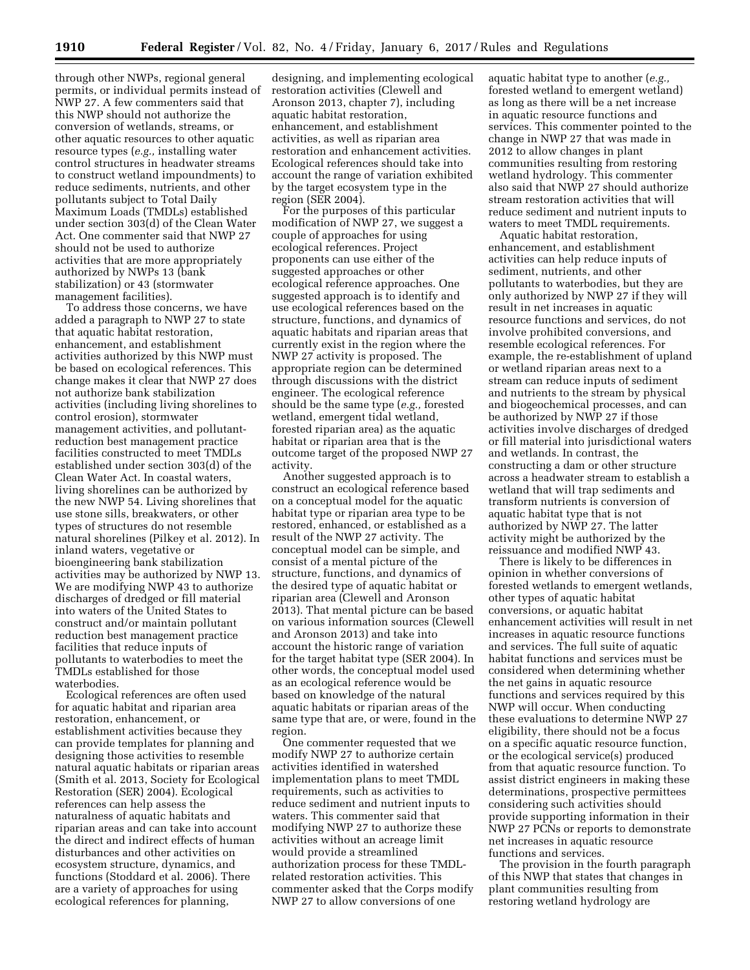through other NWPs, regional general permits, or individual permits instead of NWP 27. A few commenters said that this NWP should not authorize the conversion of wetlands, streams, or other aquatic resources to other aquatic resource types (*e.g.,* installing water control structures in headwater streams to construct wetland impoundments) to reduce sediments, nutrients, and other pollutants subject to Total Daily Maximum Loads (TMDLs) established under section 303(d) of the Clean Water Act. One commenter said that NWP 27 should not be used to authorize activities that are more appropriately authorized by NWPs 13 (bank stabilization) or 43 (stormwater management facilities).

To address those concerns, we have added a paragraph to NWP 27 to state that aquatic habitat restoration, enhancement, and establishment activities authorized by this NWP must be based on ecological references. This change makes it clear that NWP 27 does not authorize bank stabilization activities (including living shorelines to control erosion), stormwater management activities, and pollutantreduction best management practice facilities constructed to meet TMDLs established under section 303(d) of the Clean Water Act. In coastal waters, living shorelines can be authorized by the new NWP 54. Living shorelines that use stone sills, breakwaters, or other types of structures do not resemble natural shorelines (Pilkey et al. 2012). In inland waters, vegetative or bioengineering bank stabilization activities may be authorized by NWP 13. We are modifying NWP 43 to authorize discharges of dredged or fill material into waters of the United States to construct and/or maintain pollutant reduction best management practice facilities that reduce inputs of pollutants to waterbodies to meet the TMDLs established for those waterbodies.

Ecological references are often used for aquatic habitat and riparian area restoration, enhancement, or establishment activities because they can provide templates for planning and designing those activities to resemble natural aquatic habitats or riparian areas (Smith et al. 2013, Society for Ecological Restoration (SER) 2004). Ecological references can help assess the naturalness of aquatic habitats and riparian areas and can take into account the direct and indirect effects of human disturbances and other activities on ecosystem structure, dynamics, and functions (Stoddard et al. 2006). There are a variety of approaches for using ecological references for planning,

designing, and implementing ecological restoration activities (Clewell and Aronson 2013, chapter 7), including aquatic habitat restoration, enhancement, and establishment activities, as well as riparian area restoration and enhancement activities. Ecological references should take into account the range of variation exhibited by the target ecosystem type in the region (SER 2004).

For the purposes of this particular modification of NWP 27, we suggest a couple of approaches for using ecological references. Project proponents can use either of the suggested approaches or other ecological reference approaches. One suggested approach is to identify and use ecological references based on the structure, functions, and dynamics of aquatic habitats and riparian areas that currently exist in the region where the NWP 27 activity is proposed. The appropriate region can be determined through discussions with the district engineer. The ecological reference should be the same type (*e.g.,* forested wetland, emergent tidal wetland, forested riparian area) as the aquatic habitat or riparian area that is the outcome target of the proposed NWP 27 activity.

Another suggested approach is to construct an ecological reference based on a conceptual model for the aquatic habitat type or riparian area type to be restored, enhanced, or established as a result of the NWP 27 activity. The conceptual model can be simple, and consist of a mental picture of the structure, functions, and dynamics of the desired type of aquatic habitat or riparian area (Clewell and Aronson 2013). That mental picture can be based on various information sources (Clewell and Aronson 2013) and take into account the historic range of variation for the target habitat type (SER 2004). In other words, the conceptual model used as an ecological reference would be based on knowledge of the natural aquatic habitats or riparian areas of the same type that are, or were, found in the region.

One commenter requested that we modify NWP 27 to authorize certain activities identified in watershed implementation plans to meet TMDL requirements, such as activities to reduce sediment and nutrient inputs to waters. This commenter said that modifying NWP 27 to authorize these activities without an acreage limit would provide a streamlined authorization process for these TMDLrelated restoration activities. This commenter asked that the Corps modify NWP 27 to allow conversions of one

aquatic habitat type to another (*e.g.,*  forested wetland to emergent wetland) as long as there will be a net increase in aquatic resource functions and services. This commenter pointed to the change in NWP 27 that was made in 2012 to allow changes in plant communities resulting from restoring wetland hydrology. This commenter also said that NWP 27 should authorize stream restoration activities that will reduce sediment and nutrient inputs to waters to meet TMDL requirements.

Aquatic habitat restoration, enhancement, and establishment activities can help reduce inputs of sediment, nutrients, and other pollutants to waterbodies, but they are only authorized by NWP 27 if they will result in net increases in aquatic resource functions and services, do not involve prohibited conversions, and resemble ecological references. For example, the re-establishment of upland or wetland riparian areas next to a stream can reduce inputs of sediment and nutrients to the stream by physical and biogeochemical processes, and can be authorized by NWP 27 if those activities involve discharges of dredged or fill material into jurisdictional waters and wetlands. In contrast, the constructing a dam or other structure across a headwater stream to establish a wetland that will trap sediments and transform nutrients is conversion of aquatic habitat type that is not authorized by NWP 27. The latter activity might be authorized by the reissuance and modified NWP 43.

There is likely to be differences in opinion in whether conversions of forested wetlands to emergent wetlands, other types of aquatic habitat conversions, or aquatic habitat enhancement activities will result in net increases in aquatic resource functions and services. The full suite of aquatic habitat functions and services must be considered when determining whether the net gains in aquatic resource functions and services required by this NWP will occur. When conducting these evaluations to determine NWP 27 eligibility, there should not be a focus on a specific aquatic resource function, or the ecological service(s) produced from that aquatic resource function. To assist district engineers in making these determinations, prospective permittees considering such activities should provide supporting information in their NWP 27 PCNs or reports to demonstrate net increases in aquatic resource functions and services.

The provision in the fourth paragraph of this NWP that states that changes in plant communities resulting from restoring wetland hydrology are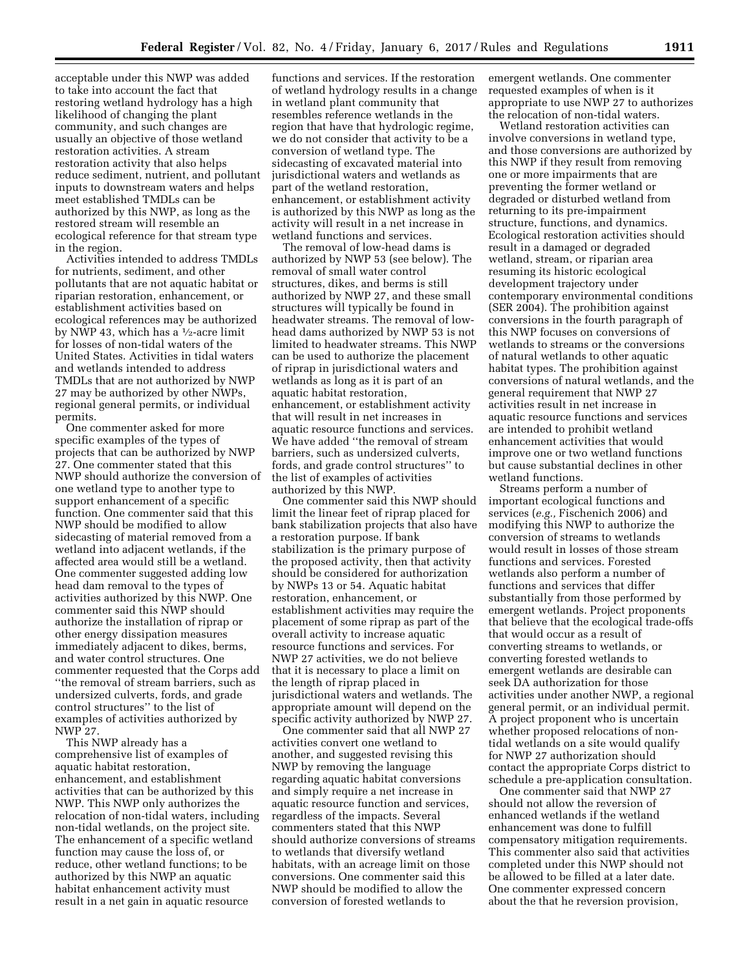acceptable under this NWP was added to take into account the fact that restoring wetland hydrology has a high likelihood of changing the plant community, and such changes are usually an objective of those wetland restoration activities. A stream restoration activity that also helps reduce sediment, nutrient, and pollutant inputs to downstream waters and helps meet established TMDLs can be authorized by this NWP, as long as the restored stream will resemble an ecological reference for that stream type in the region.

Activities intended to address TMDLs for nutrients, sediment, and other pollutants that are not aquatic habitat or riparian restoration, enhancement, or establishment activities based on ecological references may be authorized by NWP 43, which has a  $\frac{1}{2}$ -acre limit for losses of non-tidal waters of the United States. Activities in tidal waters and wetlands intended to address TMDLs that are not authorized by NWP 27 may be authorized by other NWPs, regional general permits, or individual permits.

One commenter asked for more specific examples of the types of projects that can be authorized by NWP 27. One commenter stated that this NWP should authorize the conversion of one wetland type to another type to support enhancement of a specific function. One commenter said that this NWP should be modified to allow sidecasting of material removed from a wetland into adjacent wetlands, if the affected area would still be a wetland. One commenter suggested adding low head dam removal to the types of activities authorized by this NWP. One commenter said this NWP should authorize the installation of riprap or other energy dissipation measures immediately adjacent to dikes, berms, and water control structures. One commenter requested that the Corps add ''the removal of stream barriers, such as undersized culverts, fords, and grade control structures'' to the list of examples of activities authorized by NWP 27.

This NWP already has a comprehensive list of examples of aquatic habitat restoration, enhancement, and establishment activities that can be authorized by this NWP. This NWP only authorizes the relocation of non-tidal waters, including non-tidal wetlands, on the project site. The enhancement of a specific wetland function may cause the loss of, or reduce, other wetland functions; to be authorized by this NWP an aquatic habitat enhancement activity must result in a net gain in aquatic resource

functions and services. If the restoration of wetland hydrology results in a change in wetland plant community that resembles reference wetlands in the region that have that hydrologic regime, we do not consider that activity to be a conversion of wetland type. The sidecasting of excavated material into jurisdictional waters and wetlands as part of the wetland restoration, enhancement, or establishment activity is authorized by this NWP as long as the activity will result in a net increase in wetland functions and services.

The removal of low-head dams is authorized by NWP 53 (see below). The removal of small water control structures, dikes, and berms is still authorized by NWP 27, and these small structures will typically be found in headwater streams. The removal of lowhead dams authorized by NWP 53 is not limited to headwater streams. This NWP can be used to authorize the placement of riprap in jurisdictional waters and wetlands as long as it is part of an aquatic habitat restoration, enhancement, or establishment activity that will result in net increases in aquatic resource functions and services. We have added ''the removal of stream barriers, such as undersized culverts, fords, and grade control structures'' to the list of examples of activities authorized by this NWP.

One commenter said this NWP should limit the linear feet of riprap placed for bank stabilization projects that also have a restoration purpose. If bank stabilization is the primary purpose of the proposed activity, then that activity should be considered for authorization by NWPs 13 or 54. Aquatic habitat restoration, enhancement, or establishment activities may require the placement of some riprap as part of the overall activity to increase aquatic resource functions and services. For NWP 27 activities, we do not believe that it is necessary to place a limit on the length of riprap placed in jurisdictional waters and wetlands. The appropriate amount will depend on the specific activity authorized by NWP 27.

One commenter said that all NWP 27 activities convert one wetland to another, and suggested revising this NWP by removing the language regarding aquatic habitat conversions and simply require a net increase in aquatic resource function and services, regardless of the impacts. Several commenters stated that this NWP should authorize conversions of streams to wetlands that diversify wetland habitats, with an acreage limit on those conversions. One commenter said this NWP should be modified to allow the conversion of forested wetlands to

emergent wetlands. One commenter requested examples of when is it appropriate to use NWP 27 to authorizes the relocation of non-tidal waters.

Wetland restoration activities can involve conversions in wetland type, and those conversions are authorized by this NWP if they result from removing one or more impairments that are preventing the former wetland or degraded or disturbed wetland from returning to its pre-impairment structure, functions, and dynamics. Ecological restoration activities should result in a damaged or degraded wetland, stream, or riparian area resuming its historic ecological development trajectory under contemporary environmental conditions (SER 2004). The prohibition against conversions in the fourth paragraph of this NWP focuses on conversions of wetlands to streams or the conversions of natural wetlands to other aquatic habitat types. The prohibition against conversions of natural wetlands, and the general requirement that NWP 27 activities result in net increase in aquatic resource functions and services are intended to prohibit wetland enhancement activities that would improve one or two wetland functions but cause substantial declines in other wetland functions.

Streams perform a number of important ecological functions and services (*e.g.,* Fischenich 2006) and modifying this NWP to authorize the conversion of streams to wetlands would result in losses of those stream functions and services. Forested wetlands also perform a number of functions and services that differ substantially from those performed by emergent wetlands. Project proponents that believe that the ecological trade-offs that would occur as a result of converting streams to wetlands, or converting forested wetlands to emergent wetlands are desirable can seek DA authorization for those activities under another NWP, a regional general permit, or an individual permit. A project proponent who is uncertain whether proposed relocations of nontidal wetlands on a site would qualify for NWP 27 authorization should contact the appropriate Corps district to schedule a pre-application consultation.

One commenter said that NWP 27 should not allow the reversion of enhanced wetlands if the wetland enhancement was done to fulfill compensatory mitigation requirements. This commenter also said that activities completed under this NWP should not be allowed to be filled at a later date. One commenter expressed concern about the that he reversion provision,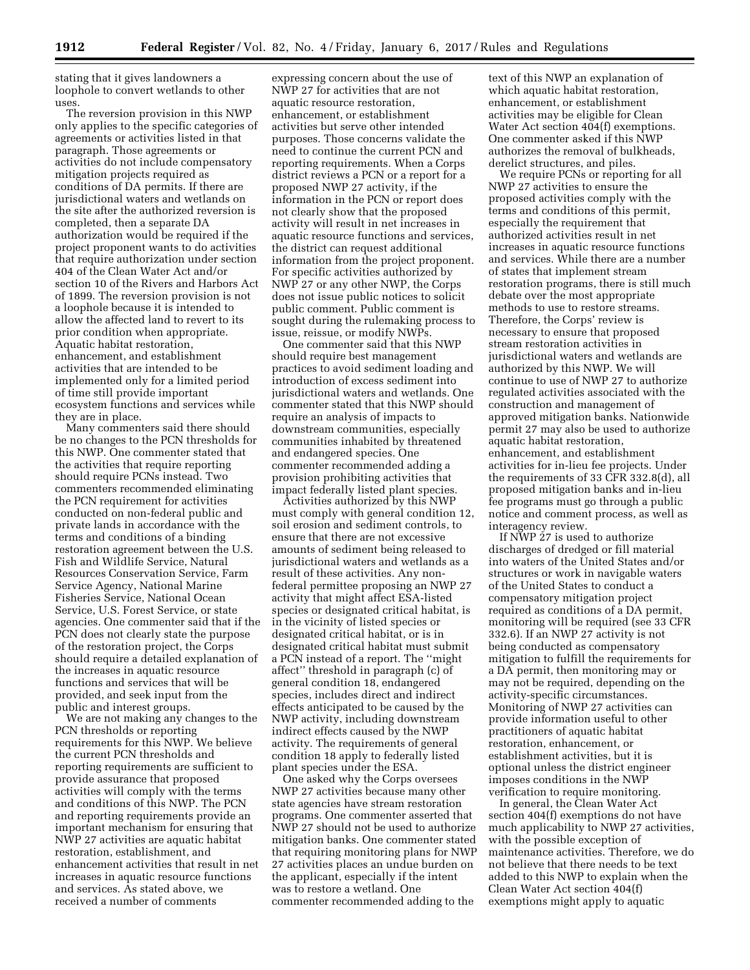stating that it gives landowners a loophole to convert wetlands to other uses.

The reversion provision in this NWP only applies to the specific categories of agreements or activities listed in that paragraph. Those agreements or activities do not include compensatory mitigation projects required as conditions of DA permits. If there are jurisdictional waters and wetlands on the site after the authorized reversion is completed, then a separate DA authorization would be required if the project proponent wants to do activities that require authorization under section 404 of the Clean Water Act and/or section 10 of the Rivers and Harbors Act of 1899. The reversion provision is not a loophole because it is intended to allow the affected land to revert to its prior condition when appropriate. Aquatic habitat restoration, enhancement, and establishment activities that are intended to be implemented only for a limited period of time still provide important ecosystem functions and services while they are in place.

Many commenters said there should be no changes to the PCN thresholds for this NWP. One commenter stated that the activities that require reporting should require PCNs instead. Two commenters recommended eliminating the PCN requirement for activities conducted on non-federal public and private lands in accordance with the terms and conditions of a binding restoration agreement between the U.S. Fish and Wildlife Service, Natural Resources Conservation Service, Farm Service Agency, National Marine Fisheries Service, National Ocean Service, U.S. Forest Service, or state agencies. One commenter said that if the PCN does not clearly state the purpose of the restoration project, the Corps should require a detailed explanation of the increases in aquatic resource functions and services that will be provided, and seek input from the public and interest groups.

We are not making any changes to the PCN thresholds or reporting requirements for this NWP. We believe the current PCN thresholds and reporting requirements are sufficient to provide assurance that proposed activities will comply with the terms and conditions of this NWP. The PCN and reporting requirements provide an important mechanism for ensuring that NWP 27 activities are aquatic habitat restoration, establishment, and enhancement activities that result in net increases in aquatic resource functions and services. As stated above, we received a number of comments

expressing concern about the use of NWP 27 for activities that are not aquatic resource restoration, enhancement, or establishment activities but serve other intended purposes. Those concerns validate the need to continue the current PCN and reporting requirements. When a Corps district reviews a PCN or a report for a proposed NWP 27 activity, if the information in the PCN or report does not clearly show that the proposed activity will result in net increases in aquatic resource functions and services, the district can request additional information from the project proponent. For specific activities authorized by NWP 27 or any other NWP, the Corps does not issue public notices to solicit public comment. Public comment is sought during the rulemaking process to issue, reissue, or modify NWPs.

One commenter said that this NWP should require best management practices to avoid sediment loading and introduction of excess sediment into jurisdictional waters and wetlands. One commenter stated that this NWP should require an analysis of impacts to downstream communities, especially communities inhabited by threatened and endangered species. One commenter recommended adding a provision prohibiting activities that impact federally listed plant species.

Activities authorized by this NWP must comply with general condition 12, soil erosion and sediment controls, to ensure that there are not excessive amounts of sediment being released to jurisdictional waters and wetlands as a result of these activities. Any nonfederal permittee proposing an NWP 27 activity that might affect ESA-listed species or designated critical habitat, is in the vicinity of listed species or designated critical habitat, or is in designated critical habitat must submit a PCN instead of a report. The ''might affect'' threshold in paragraph (c) of general condition 18, endangered species, includes direct and indirect effects anticipated to be caused by the NWP activity, including downstream indirect effects caused by the NWP activity. The requirements of general condition 18 apply to federally listed plant species under the ESA.

One asked why the Corps oversees NWP 27 activities because many other state agencies have stream restoration programs. One commenter asserted that NWP 27 should not be used to authorize mitigation banks. One commenter stated that requiring monitoring plans for NWP 27 activities places an undue burden on the applicant, especially if the intent was to restore a wetland. One commenter recommended adding to the

text of this NWP an explanation of which aquatic habitat restoration, enhancement, or establishment activities may be eligible for Clean Water Act section 404(f) exemptions. One commenter asked if this NWP authorizes the removal of bulkheads, derelict structures, and piles.

We require PCNs or reporting for all NWP 27 activities to ensure the proposed activities comply with the terms and conditions of this permit, especially the requirement that authorized activities result in net increases in aquatic resource functions and services. While there are a number of states that implement stream restoration programs, there is still much debate over the most appropriate methods to use to restore streams. Therefore, the Corps' review is necessary to ensure that proposed stream restoration activities in jurisdictional waters and wetlands are authorized by this NWP. We will continue to use of NWP 27 to authorize regulated activities associated with the construction and management of approved mitigation banks. Nationwide permit 27 may also be used to authorize aquatic habitat restoration, enhancement, and establishment activities for in-lieu fee projects. Under the requirements of 33 CFR 332.8(d), all proposed mitigation banks and in-lieu fee programs must go through a public notice and comment process, as well as interagency review.

If NWP 27 is used to authorize discharges of dredged or fill material into waters of the United States and/or structures or work in navigable waters of the United States to conduct a compensatory mitigation project required as conditions of a DA permit, monitoring will be required (see 33 CFR 332.6). If an NWP 27 activity is not being conducted as compensatory mitigation to fulfill the requirements for a DA permit, then monitoring may or may not be required, depending on the activity-specific circumstances. Monitoring of NWP 27 activities can provide information useful to other practitioners of aquatic habitat restoration, enhancement, or establishment activities, but it is optional unless the district engineer imposes conditions in the NWP verification to require monitoring.

In general, the Clean Water Act section 404(f) exemptions do not have much applicability to NWP 27 activities, with the possible exception of maintenance activities. Therefore, we do not believe that there needs to be text added to this NWP to explain when the Clean Water Act section 404(f) exemptions might apply to aquatic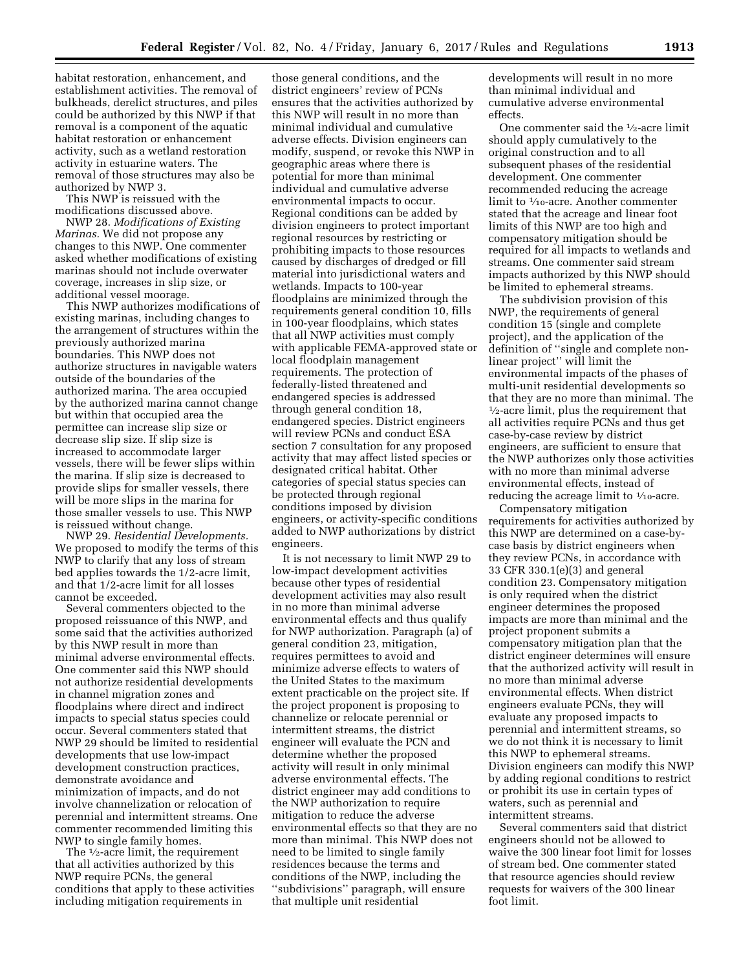habitat restoration, enhancement, and establishment activities. The removal of bulkheads, derelict structures, and piles could be authorized by this NWP if that removal is a component of the aquatic habitat restoration or enhancement activity, such as a wetland restoration activity in estuarine waters. The removal of those structures may also be authorized by NWP 3.

This NWP is reissued with the modifications discussed above.

NWP 28. *Modifications of Existing Marinas.* We did not propose any changes to this NWP. One commenter asked whether modifications of existing marinas should not include overwater coverage, increases in slip size, or additional vessel moorage.

This NWP authorizes modifications of existing marinas, including changes to the arrangement of structures within the previously authorized marina boundaries. This NWP does not authorize structures in navigable waters outside of the boundaries of the authorized marina. The area occupied by the authorized marina cannot change but within that occupied area the permittee can increase slip size or decrease slip size. If slip size is increased to accommodate larger vessels, there will be fewer slips within the marina. If slip size is decreased to provide slips for smaller vessels, there will be more slips in the marina for those smaller vessels to use. This NWP is reissued without change.

NWP 29. *Residential Developments.*  We proposed to modify the terms of this NWP to clarify that any loss of stream bed applies towards the 1/2-acre limit, and that 1/2-acre limit for all losses cannot be exceeded.

Several commenters objected to the proposed reissuance of this NWP, and some said that the activities authorized by this NWP result in more than minimal adverse environmental effects. One commenter said this NWP should not authorize residential developments in channel migration zones and floodplains where direct and indirect impacts to special status species could occur. Several commenters stated that NWP 29 should be limited to residential developments that use low-impact development construction practices, demonstrate avoidance and minimization of impacts, and do not involve channelization or relocation of perennial and intermittent streams. One commenter recommended limiting this NWP to single family homes.

The <sup>1</sup>/<sub>2</sub>-acre limit, the requirement that all activities authorized by this NWP require PCNs, the general conditions that apply to these activities including mitigation requirements in

those general conditions, and the district engineers' review of PCNs ensures that the activities authorized by this NWP will result in no more than minimal individual and cumulative adverse effects. Division engineers can modify, suspend, or revoke this NWP in geographic areas where there is potential for more than minimal individual and cumulative adverse environmental impacts to occur. Regional conditions can be added by division engineers to protect important regional resources by restricting or prohibiting impacts to those resources caused by discharges of dredged or fill material into jurisdictional waters and wetlands. Impacts to 100-year floodplains are minimized through the requirements general condition 10, fills in 100-year floodplains, which states that all NWP activities must comply with applicable FEMA-approved state or local floodplain management requirements. The protection of federally-listed threatened and endangered species is addressed through general condition 18, endangered species. District engineers will review PCNs and conduct ESA section 7 consultation for any proposed activity that may affect listed species or designated critical habitat. Other categories of special status species can be protected through regional conditions imposed by division engineers, or activity-specific conditions added to NWP authorizations by district engineers.

It is not necessary to limit NWP 29 to low-impact development activities because other types of residential development activities may also result in no more than minimal adverse environmental effects and thus qualify for NWP authorization. Paragraph (a) of general condition 23, mitigation, requires permittees to avoid and minimize adverse effects to waters of the United States to the maximum extent practicable on the project site. If the project proponent is proposing to channelize or relocate perennial or intermittent streams, the district engineer will evaluate the PCN and determine whether the proposed activity will result in only minimal adverse environmental effects. The district engineer may add conditions to the NWP authorization to require mitigation to reduce the adverse environmental effects so that they are no more than minimal. This NWP does not need to be limited to single family residences because the terms and conditions of the NWP, including the ''subdivisions'' paragraph, will ensure that multiple unit residential

developments will result in no more than minimal individual and cumulative adverse environmental effects.

One commenter said the 1⁄2-acre limit should apply cumulatively to the original construction and to all subsequent phases of the residential development. One commenter recommended reducing the acreage limit to 1⁄10-acre. Another commenter stated that the acreage and linear foot limits of this NWP are too high and compensatory mitigation should be required for all impacts to wetlands and streams. One commenter said stream impacts authorized by this NWP should be limited to ephemeral streams.

The subdivision provision of this NWP, the requirements of general condition 15 (single and complete project), and the application of the definition of ''single and complete nonlinear project'' will limit the environmental impacts of the phases of multi-unit residential developments so that they are no more than minimal. The 1⁄2-acre limit, plus the requirement that all activities require PCNs and thus get case-by-case review by district engineers, are sufficient to ensure that the NWP authorizes only those activities with no more than minimal adverse environmental effects, instead of reducing the acreage limit to  $\frac{1}{10}$ -acre.

Compensatory mitigation requirements for activities authorized by this NWP are determined on a case-bycase basis by district engineers when they review PCNs, in accordance with 33 CFR 330.1(e)(3) and general condition 23. Compensatory mitigation is only required when the district engineer determines the proposed impacts are more than minimal and the project proponent submits a compensatory mitigation plan that the district engineer determines will ensure that the authorized activity will result in no more than minimal adverse environmental effects. When district engineers evaluate PCNs, they will evaluate any proposed impacts to perennial and intermittent streams, so we do not think it is necessary to limit this NWP to ephemeral streams. Division engineers can modify this NWP by adding regional conditions to restrict or prohibit its use in certain types of waters, such as perennial and intermittent streams.

Several commenters said that district engineers should not be allowed to waive the 300 linear foot limit for losses of stream bed. One commenter stated that resource agencies should review requests for waivers of the 300 linear foot limit.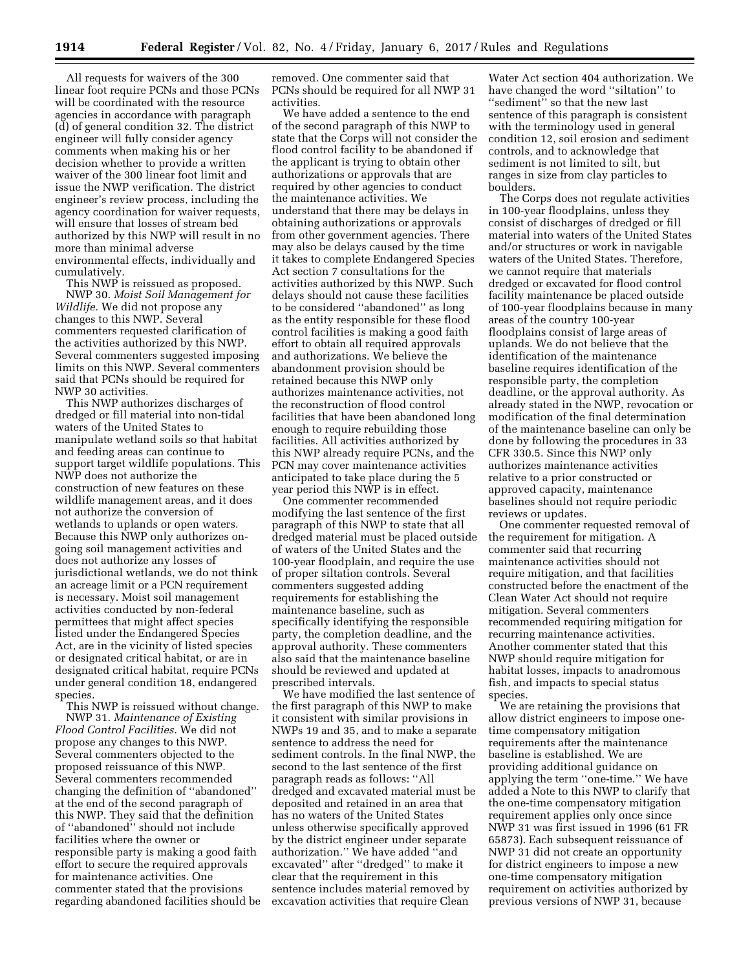All requests for waivers of the 300 linear foot require PCNs and those PCNs will be coordinated with the resource agencies in accordance with paragraph (d) of general condition 32. The district engineer will fully consider agency comments when making his or her decision whether to provide a written waiver of the 300 linear foot limit and issue the NWP verification. The district engineer's review process, including the agency coordination for waiver requests, will ensure that losses of stream bed authorized by this NWP will result in no more than minimal adverse environmental effects, individually and cumulatively.

This NWP is reissued as proposed. NWP 30. *Moist Soil Management for Wildlife.* We did not propose any changes to this NWP. Several commenters requested clarification of the activities authorized by this NWP. Several commenters suggested imposing limits on this NWP. Several commenters said that PCNs should be required for NWP 30 activities.

This NWP authorizes discharges of dredged or fill material into non-tidal waters of the United States to manipulate wetland soils so that habitat and feeding areas can continue to support target wildlife populations. This NWP does not authorize the construction of new features on these wildlife management areas, and it does not authorize the conversion of wetlands to uplands or open waters. Because this NWP only authorizes ongoing soil management activities and does not authorize any losses of jurisdictional wetlands, we do not think an acreage limit or a PCN requirement is necessary. Moist soil management activities conducted by non-federal permittees that might affect species listed under the Endangered Species Act, are in the vicinity of listed species or designated critical habitat, or are in designated critical habitat, require PCNs under general condition 18, endangered species.

This NWP is reissued without change. NWP 31. *Maintenance of Existing Flood Control Facilities.* We did not propose any changes to this NWP. Several commenters objected to the proposed reissuance of this NWP. Several commenters recommended changing the definition of ''abandoned'' at the end of the second paragraph of this NWP. They said that the definition of ''abandoned'' should not include facilities where the owner or responsible party is making a good faith effort to secure the required approvals for maintenance activities. One commenter stated that the provisions regarding abandoned facilities should be removed. One commenter said that PCNs should be required for all NWP 31 activities.

We have added a sentence to the end of the second paragraph of this NWP to state that the Corps will not consider the flood control facility to be abandoned if the applicant is trying to obtain other authorizations or approvals that are required by other agencies to conduct the maintenance activities. We understand that there may be delays in obtaining authorizations or approvals from other government agencies. There may also be delays caused by the time it takes to complete Endangered Species Act section 7 consultations for the activities authorized by this NWP. Such delays should not cause these facilities to be considered ''abandoned'' as long as the entity responsible for these flood control facilities is making a good faith effort to obtain all required approvals and authorizations. We believe the abandonment provision should be retained because this NWP only authorizes maintenance activities, not the reconstruction of flood control facilities that have been abandoned long enough to require rebuilding those facilities. All activities authorized by this NWP already require PCNs, and the PCN may cover maintenance activities anticipated to take place during the 5 year period this NWP is in effect.

One commenter recommended modifying the last sentence of the first paragraph of this NWP to state that all dredged material must be placed outside of waters of the United States and the 100-year floodplain, and require the use of proper siltation controls. Several commenters suggested adding requirements for establishing the maintenance baseline, such as specifically identifying the responsible party, the completion deadline, and the approval authority. These commenters also said that the maintenance baseline should be reviewed and updated at prescribed intervals.

We have modified the last sentence of the first paragraph of this NWP to make it consistent with similar provisions in NWPs 19 and 35, and to make a separate sentence to address the need for sediment controls. In the final NWP, the second to the last sentence of the first paragraph reads as follows: ''All dredged and excavated material must be deposited and retained in an area that has no waters of the United States unless otherwise specifically approved by the district engineer under separate authorization.'' We have added ''and excavated'' after ''dredged'' to make it clear that the requirement in this sentence includes material removed by excavation activities that require Clean

Water Act section 404 authorization. We have changed the word ''siltation'' to ''sediment'' so that the new last sentence of this paragraph is consistent with the terminology used in general condition 12, soil erosion and sediment controls, and to acknowledge that sediment is not limited to silt, but ranges in size from clay particles to boulders.

The Corps does not regulate activities in 100-year floodplains, unless they consist of discharges of dredged or fill material into waters of the United States and/or structures or work in navigable waters of the United States. Therefore, we cannot require that materials dredged or excavated for flood control facility maintenance be placed outside of 100-year floodplains because in many areas of the country 100-year floodplains consist of large areas of uplands. We do not believe that the identification of the maintenance baseline requires identification of the responsible party, the completion deadline, or the approval authority. As already stated in the NWP, revocation or modification of the final determination of the maintenance baseline can only be done by following the procedures in 33 CFR 330.5. Since this NWP only authorizes maintenance activities relative to a prior constructed or approved capacity, maintenance baselines should not require periodic reviews or updates.

One commenter requested removal of the requirement for mitigation. A commenter said that recurring maintenance activities should not require mitigation, and that facilities constructed before the enactment of the Clean Water Act should not require mitigation. Several commenters recommended requiring mitigation for recurring maintenance activities. Another commenter stated that this NWP should require mitigation for habitat losses, impacts to anadromous fish, and impacts to special status species.

We are retaining the provisions that allow district engineers to impose onetime compensatory mitigation requirements after the maintenance baseline is established. We are providing additional guidance on applying the term ''one-time.'' We have added a Note to this NWP to clarify that the one-time compensatory mitigation requirement applies only once since NWP 31 was first issued in 1996 (61 FR 65873). Each subsequent reissuance of NWP 31 did not create an opportunity for district engineers to impose a new one-time compensatory mitigation requirement on activities authorized by previous versions of NWP 31, because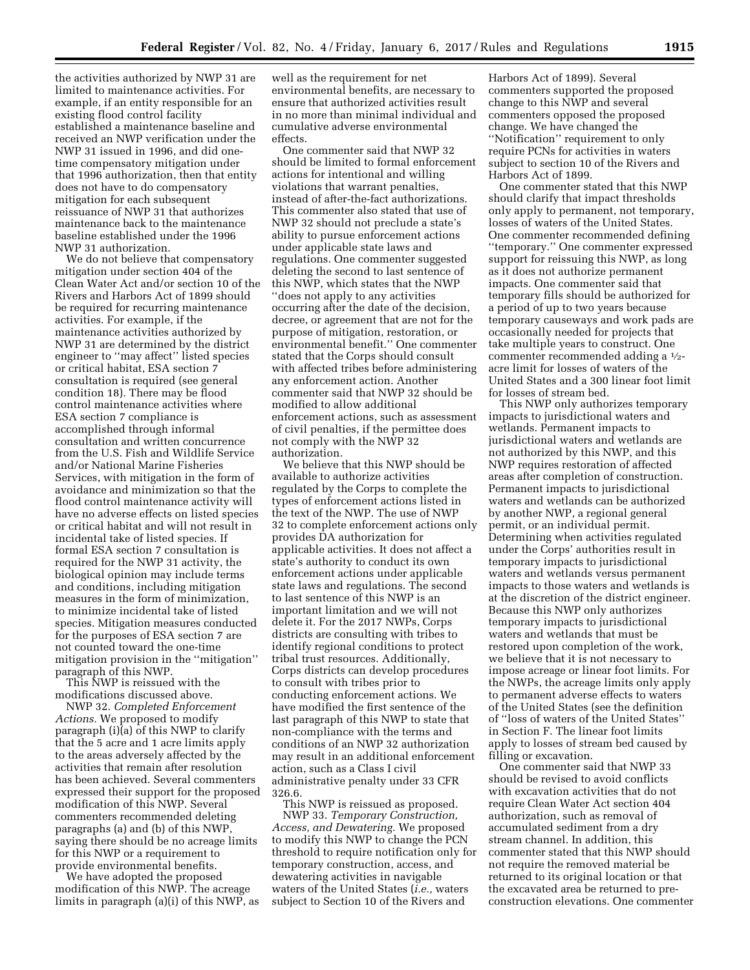the activities authorized by NWP 31 are limited to maintenance activities. For example, if an entity responsible for an existing flood control facility established a maintenance baseline and received an NWP verification under the NWP 31 issued in 1996, and did onetime compensatory mitigation under that 1996 authorization, then that entity does not have to do compensatory mitigation for each subsequent reissuance of NWP 31 that authorizes maintenance back to the maintenance baseline established under the 1996 NWP 31 authorization.

We do not believe that compensatory mitigation under section 404 of the Clean Water Act and/or section 10 of the Rivers and Harbors Act of 1899 should be required for recurring maintenance activities. For example, if the maintenance activities authorized by NWP 31 are determined by the district engineer to ''may affect'' listed species or critical habitat, ESA section 7 consultation is required (see general condition 18). There may be flood control maintenance activities where ESA section 7 compliance is accomplished through informal consultation and written concurrence from the U.S. Fish and Wildlife Service and/or National Marine Fisheries Services, with mitigation in the form of avoidance and minimization so that the flood control maintenance activity will have no adverse effects on listed species or critical habitat and will not result in incidental take of listed species. If formal ESA section 7 consultation is required for the NWP 31 activity, the biological opinion may include terms and conditions, including mitigation measures in the form of minimization, to minimize incidental take of listed species. Mitigation measures conducted for the purposes of ESA section 7 are not counted toward the one-time mitigation provision in the ''mitigation'' paragraph of this NWP.

This NWP is reissued with the modifications discussed above.

NWP 32. *Completed Enforcement Actions.* We proposed to modify paragraph (i)(a) of this NWP to clarify that the 5 acre and 1 acre limits apply to the areas adversely affected by the activities that remain after resolution has been achieved. Several commenters expressed their support for the proposed modification of this NWP. Several commenters recommended deleting paragraphs (a) and (b) of this NWP, saying there should be no acreage limits for this NWP or a requirement to provide environmental benefits.

We have adopted the proposed modification of this NWP. The acreage limits in paragraph (a)(i) of this NWP, as

well as the requirement for net environmental benefits, are necessary to ensure that authorized activities result in no more than minimal individual and cumulative adverse environmental effects.

One commenter said that NWP 32 should be limited to formal enforcement actions for intentional and willing violations that warrant penalties, instead of after-the-fact authorizations. This commenter also stated that use of NWP 32 should not preclude a state's ability to pursue enforcement actions under applicable state laws and regulations. One commenter suggested deleting the second to last sentence of this NWP, which states that the NWP ''does not apply to any activities occurring after the date of the decision, decree, or agreement that are not for the purpose of mitigation, restoration, or environmental benefit.'' One commenter stated that the Corps should consult with affected tribes before administering any enforcement action. Another commenter said that NWP 32 should be modified to allow additional enforcement actions, such as assessment of civil penalties, if the permittee does not comply with the NWP 32 authorization.

We believe that this NWP should be available to authorize activities regulated by the Corps to complete the types of enforcement actions listed in the text of the NWP. The use of NWP 32 to complete enforcement actions only provides DA authorization for applicable activities. It does not affect a state's authority to conduct its own enforcement actions under applicable state laws and regulations. The second to last sentence of this NWP is an important limitation and we will not delete it. For the 2017 NWPs, Corps districts are consulting with tribes to identify regional conditions to protect tribal trust resources. Additionally, Corps districts can develop procedures to consult with tribes prior to conducting enforcement actions. We have modified the first sentence of the last paragraph of this NWP to state that non-compliance with the terms and conditions of an NWP 32 authorization may result in an additional enforcement action, such as a Class I civil administrative penalty under 33 CFR 326.6.

This NWP is reissued as proposed. NWP 33. *Temporary Construction, Access, and Dewatering.* We proposed to modify this NWP to change the PCN threshold to require notification only for temporary construction, access, and dewatering activities in navigable waters of the United States (*i.e.,* waters subject to Section 10 of the Rivers and

Harbors Act of 1899). Several commenters supported the proposed change to this NWP and several commenters opposed the proposed change. We have changed the ''Notification'' requirement to only require PCNs for activities in waters subject to section 10 of the Rivers and Harbors Act of 1899.

One commenter stated that this NWP should clarify that impact thresholds only apply to permanent, not temporary, losses of waters of the United States. One commenter recommended defining ''temporary.'' One commenter expressed support for reissuing this NWP, as long as it does not authorize permanent impacts. One commenter said that temporary fills should be authorized for a period of up to two years because temporary causeways and work pads are occasionally needed for projects that take multiple years to construct. One commenter recommended adding a 1⁄2 acre limit for losses of waters of the United States and a 300 linear foot limit for losses of stream bed.

This NWP only authorizes temporary impacts to jurisdictional waters and wetlands. Permanent impacts to jurisdictional waters and wetlands are not authorized by this NWP, and this NWP requires restoration of affected areas after completion of construction. Permanent impacts to jurisdictional waters and wetlands can be authorized by another NWP, a regional general permit, or an individual permit. Determining when activities regulated under the Corps' authorities result in temporary impacts to jurisdictional waters and wetlands versus permanent impacts to those waters and wetlands is at the discretion of the district engineer. Because this NWP only authorizes temporary impacts to jurisdictional waters and wetlands that must be restored upon completion of the work, we believe that it is not necessary to impose acreage or linear foot limits. For the NWPs, the acreage limits only apply to permanent adverse effects to waters of the United States (see the definition of ''loss of waters of the United States'' in Section F. The linear foot limits apply to losses of stream bed caused by filling or excavation.

One commenter said that NWP 33 should be revised to avoid conflicts with excavation activities that do not require Clean Water Act section 404 authorization, such as removal of accumulated sediment from a dry stream channel. In addition, this commenter stated that this NWP should not require the removed material be returned to its original location or that the excavated area be returned to preconstruction elevations. One commenter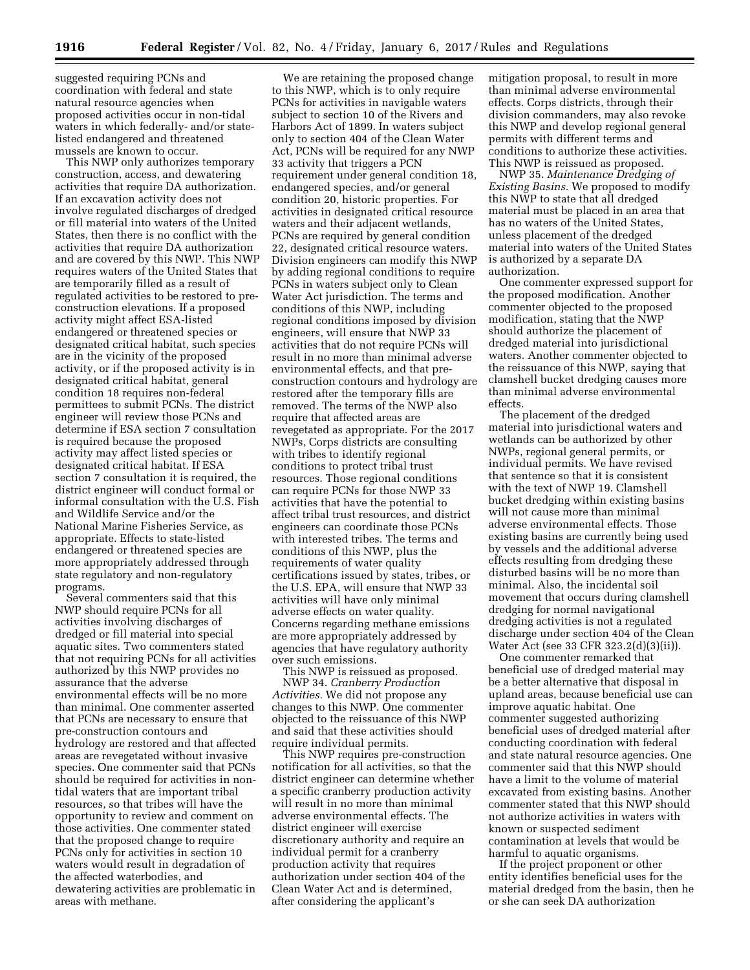suggested requiring PCNs and coordination with federal and state natural resource agencies when proposed activities occur in non-tidal waters in which federally- and/or statelisted endangered and threatened mussels are known to occur.

This NWP only authorizes temporary construction, access, and dewatering activities that require DA authorization. If an excavation activity does not involve regulated discharges of dredged or fill material into waters of the United States, then there is no conflict with the activities that require DA authorization and are covered by this NWP. This NWP requires waters of the United States that are temporarily filled as a result of regulated activities to be restored to preconstruction elevations. If a proposed activity might affect ESA-listed endangered or threatened species or designated critical habitat, such species are in the vicinity of the proposed activity, or if the proposed activity is in designated critical habitat, general condition 18 requires non-federal permittees to submit PCNs. The district engineer will review those PCNs and determine if ESA section 7 consultation is required because the proposed activity may affect listed species or designated critical habitat. If ESA section 7 consultation it is required, the district engineer will conduct formal or informal consultation with the U.S. Fish and Wildlife Service and/or the National Marine Fisheries Service, as appropriate. Effects to state-listed endangered or threatened species are more appropriately addressed through state regulatory and non-regulatory programs.

Several commenters said that this NWP should require PCNs for all activities involving discharges of dredged or fill material into special aquatic sites. Two commenters stated that not requiring PCNs for all activities authorized by this NWP provides no assurance that the adverse environmental effects will be no more than minimal. One commenter asserted that PCNs are necessary to ensure that pre-construction contours and hydrology are restored and that affected areas are revegetated without invasive species. One commenter said that PCNs should be required for activities in nontidal waters that are important tribal resources, so that tribes will have the opportunity to review and comment on those activities. One commenter stated that the proposed change to require PCNs only for activities in section 10 waters would result in degradation of the affected waterbodies, and dewatering activities are problematic in areas with methane.

We are retaining the proposed change to this NWP, which is to only require PCNs for activities in navigable waters subject to section 10 of the Rivers and Harbors Act of 1899. In waters subject only to section 404 of the Clean Water Act, PCNs will be required for any NWP 33 activity that triggers a PCN requirement under general condition 18, endangered species, and/or general condition 20, historic properties. For activities in designated critical resource waters and their adjacent wetlands, PCNs are required by general condition 22, designated critical resource waters. Division engineers can modify this NWP by adding regional conditions to require PCNs in waters subject only to Clean Water Act jurisdiction. The terms and conditions of this NWP, including regional conditions imposed by division engineers, will ensure that NWP 33 activities that do not require PCNs will result in no more than minimal adverse environmental effects, and that preconstruction contours and hydrology are restored after the temporary fills are removed. The terms of the NWP also require that affected areas are revegetated as appropriate. For the 2017 NWPs, Corps districts are consulting with tribes to identify regional conditions to protect tribal trust resources. Those regional conditions can require PCNs for those NWP 33 activities that have the potential to affect tribal trust resources, and district engineers can coordinate those PCNs with interested tribes. The terms and conditions of this NWP, plus the requirements of water quality certifications issued by states, tribes, or the U.S. EPA, will ensure that NWP 33 activities will have only minimal adverse effects on water quality. Concerns regarding methane emissions are more appropriately addressed by agencies that have regulatory authority over such emissions.

This NWP is reissued as proposed. NWP 34. *Cranberry Production Activities.* We did not propose any changes to this NWP. One commenter objected to the reissuance of this NWP and said that these activities should require individual permits.

This NWP requires pre-construction notification for all activities, so that the district engineer can determine whether a specific cranberry production activity will result in no more than minimal adverse environmental effects. The district engineer will exercise discretionary authority and require an individual permit for a cranberry production activity that requires authorization under section 404 of the Clean Water Act and is determined, after considering the applicant's

mitigation proposal, to result in more than minimal adverse environmental effects. Corps districts, through their division commanders, may also revoke this NWP and develop regional general permits with different terms and conditions to authorize these activities. This NWP is reissued as proposed.

NWP 35. *Maintenance Dredging of Existing Basins.* We proposed to modify this NWP to state that all dredged material must be placed in an area that has no waters of the United States, unless placement of the dredged material into waters of the United States is authorized by a separate DA authorization.

One commenter expressed support for the proposed modification. Another commenter objected to the proposed modification, stating that the NWP should authorize the placement of dredged material into jurisdictional waters. Another commenter objected to the reissuance of this NWP, saying that clamshell bucket dredging causes more than minimal adverse environmental effects.

The placement of the dredged material into jurisdictional waters and wetlands can be authorized by other NWPs, regional general permits, or individual permits. We have revised that sentence so that it is consistent with the text of NWP 19. Clamshell bucket dredging within existing basins will not cause more than minimal adverse environmental effects. Those existing basins are currently being used by vessels and the additional adverse effects resulting from dredging these disturbed basins will be no more than minimal. Also, the incidental soil movement that occurs during clamshell dredging for normal navigational dredging activities is not a regulated discharge under section 404 of the Clean Water Act (see 33 CFR 323.2(d)(3)(ii)).

One commenter remarked that beneficial use of dredged material may be a better alternative that disposal in upland areas, because beneficial use can improve aquatic habitat. One commenter suggested authorizing beneficial uses of dredged material after conducting coordination with federal and state natural resource agencies. One commenter said that this NWP should have a limit to the volume of material excavated from existing basins. Another commenter stated that this NWP should not authorize activities in waters with known or suspected sediment contamination at levels that would be harmful to aquatic organisms.

If the project proponent or other entity identifies beneficial uses for the material dredged from the basin, then he or she can seek DA authorization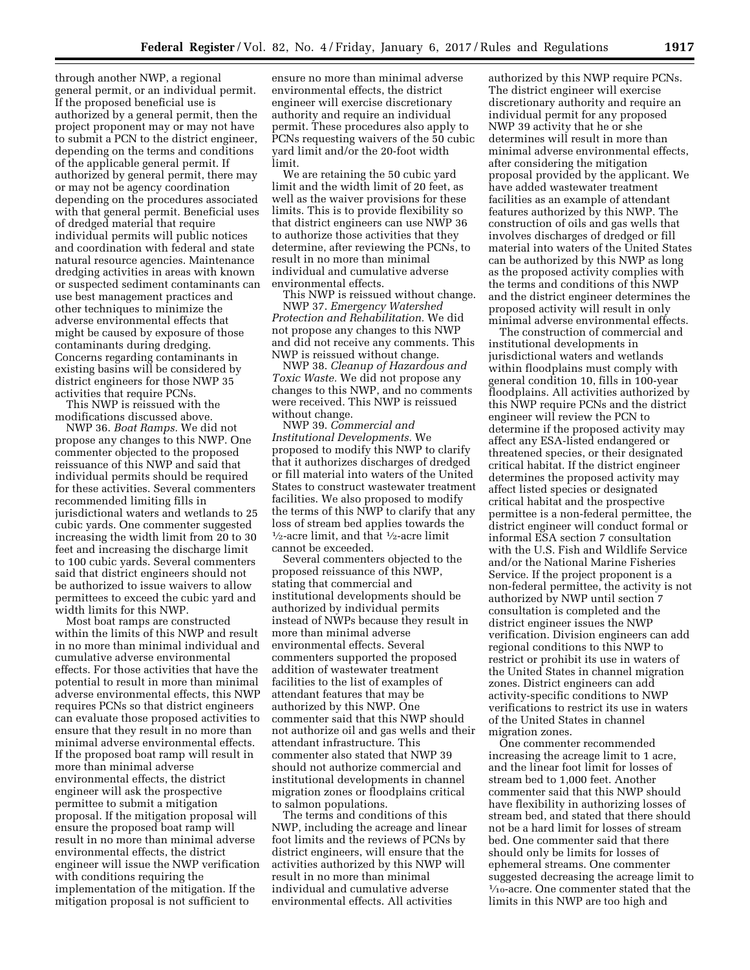through another NWP, a regional general permit, or an individual permit. If the proposed beneficial use is authorized by a general permit, then the project proponent may or may not have to submit a PCN to the district engineer, depending on the terms and conditions of the applicable general permit. If authorized by general permit, there may or may not be agency coordination depending on the procedures associated with that general permit. Beneficial uses of dredged material that require individual permits will public notices and coordination with federal and state natural resource agencies. Maintenance dredging activities in areas with known or suspected sediment contaminants can use best management practices and other techniques to minimize the adverse environmental effects that might be caused by exposure of those contaminants during dredging. Concerns regarding contaminants in existing basins will be considered by district engineers for those NWP 35 activities that require PCNs.

This NWP is reissued with the modifications discussed above.

NWP 36. *Boat Ramps.* We did not propose any changes to this NWP. One commenter objected to the proposed reissuance of this NWP and said that individual permits should be required for these activities. Several commenters recommended limiting fills in jurisdictional waters and wetlands to 25 cubic yards. One commenter suggested increasing the width limit from 20 to 30 feet and increasing the discharge limit to 100 cubic yards. Several commenters said that district engineers should not be authorized to issue waivers to allow permittees to exceed the cubic yard and width limits for this NWP.

Most boat ramps are constructed within the limits of this NWP and result in no more than minimal individual and cumulative adverse environmental effects. For those activities that have the potential to result in more than minimal adverse environmental effects, this NWP requires PCNs so that district engineers can evaluate those proposed activities to ensure that they result in no more than minimal adverse environmental effects. If the proposed boat ramp will result in more than minimal adverse environmental effects, the district engineer will ask the prospective permittee to submit a mitigation proposal. If the mitigation proposal will ensure the proposed boat ramp will result in no more than minimal adverse environmental effects, the district engineer will issue the NWP verification with conditions requiring the implementation of the mitigation. If the mitigation proposal is not sufficient to

ensure no more than minimal adverse environmental effects, the district engineer will exercise discretionary authority and require an individual permit. These procedures also apply to PCNs requesting waivers of the 50 cubic yard limit and/or the 20-foot width limit.

We are retaining the 50 cubic yard limit and the width limit of 20 feet, as well as the waiver provisions for these limits. This is to provide flexibility so that district engineers can use NWP 36 to authorize those activities that they determine, after reviewing the PCNs, to result in no more than minimal individual and cumulative adverse environmental effects.

This NWP is reissued without change. NWP 37. *Emergency Watershed Protection and Rehabilitation.* We did not propose any changes to this NWP and did not receive any comments. This NWP is reissued without change.

NWP 38. *Cleanup of Hazardous and Toxic Waste.* We did not propose any changes to this NWP, and no comments were received. This NWP is reissued without change.

NWP 39. *Commercial and Institutional Developments.* We proposed to modify this NWP to clarify that it authorizes discharges of dredged or fill material into waters of the United States to construct wastewater treatment facilities. We also proposed to modify the terms of this NWP to clarify that any loss of stream bed applies towards the  $\frac{1}{2}$ -acre limit, and that  $\frac{1}{2}$ -acre limit cannot be exceeded.

Several commenters objected to the proposed reissuance of this NWP, stating that commercial and institutional developments should be authorized by individual permits instead of NWPs because they result in more than minimal adverse environmental effects. Several commenters supported the proposed addition of wastewater treatment facilities to the list of examples of attendant features that may be authorized by this NWP. One commenter said that this NWP should not authorize oil and gas wells and their attendant infrastructure. This commenter also stated that NWP 39 should not authorize commercial and institutional developments in channel migration zones or floodplains critical to salmon populations.

The terms and conditions of this NWP, including the acreage and linear foot limits and the reviews of PCNs by district engineers, will ensure that the activities authorized by this NWP will result in no more than minimal individual and cumulative adverse environmental effects. All activities

authorized by this NWP require PCNs. The district engineer will exercise discretionary authority and require an individual permit for any proposed NWP 39 activity that he or she determines will result in more than minimal adverse environmental effects, after considering the mitigation proposal provided by the applicant. We have added wastewater treatment facilities as an example of attendant features authorized by this NWP. The construction of oils and gas wells that involves discharges of dredged or fill material into waters of the United States can be authorized by this NWP as long as the proposed activity complies with the terms and conditions of this NWP and the district engineer determines the proposed activity will result in only minimal adverse environmental effects.

The construction of commercial and institutional developments in jurisdictional waters and wetlands within floodplains must comply with general condition 10, fills in 100-year floodplains. All activities authorized by this NWP require PCNs and the district engineer will review the PCN to determine if the proposed activity may affect any ESA-listed endangered or threatened species, or their designated critical habitat. If the district engineer determines the proposed activity may affect listed species or designated critical habitat and the prospective permittee is a non-federal permittee, the district engineer will conduct formal or informal ESA section 7 consultation with the U.S. Fish and Wildlife Service and/or the National Marine Fisheries Service. If the project proponent is a non-federal permittee, the activity is not authorized by NWP until section 7 consultation is completed and the district engineer issues the NWP verification. Division engineers can add regional conditions to this NWP to restrict or prohibit its use in waters of the United States in channel migration zones. District engineers can add activity-specific conditions to NWP verifications to restrict its use in waters of the United States in channel migration zones.

One commenter recommended increasing the acreage limit to 1 acre, and the linear foot limit for losses of stream bed to 1,000 feet. Another commenter said that this NWP should have flexibility in authorizing losses of stream bed, and stated that there should not be a hard limit for losses of stream bed. One commenter said that there should only be limits for losses of ephemeral streams. One commenter suggested decreasing the acreage limit to 1⁄10-acre. One commenter stated that the limits in this NWP are too high and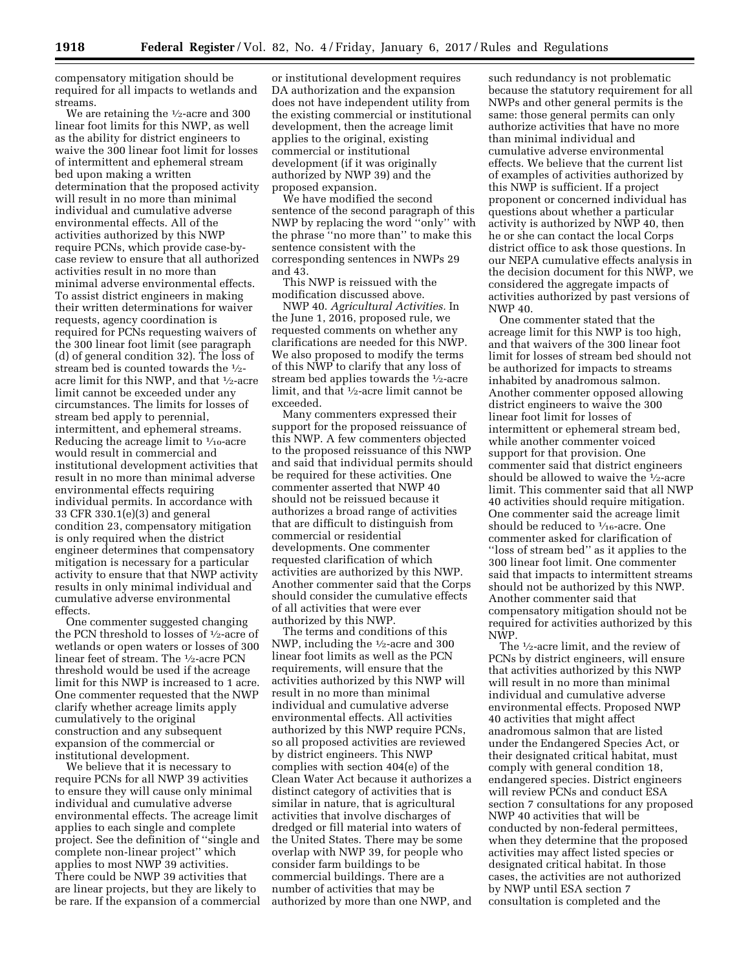compensatory mitigation should be required for all impacts to wetlands and streams.

We are retaining the <sup>1</sup>/<sub>2</sub>-acre and 300 linear foot limits for this NWP, as well as the ability for district engineers to waive the 300 linear foot limit for losses of intermittent and ephemeral stream bed upon making a written determination that the proposed activity will result in no more than minimal individual and cumulative adverse environmental effects. All of the activities authorized by this NWP require PCNs, which provide case-bycase review to ensure that all authorized activities result in no more than minimal adverse environmental effects. To assist district engineers in making their written determinations for waiver requests, agency coordination is required for PCNs requesting waivers of the 300 linear foot limit (see paragraph (d) of general condition 32). The loss of stream bed is counted towards the 1⁄2 acre limit for this NWP, and that 1⁄2-acre limit cannot be exceeded under any circumstances. The limits for losses of stream bed apply to perennial, intermittent, and ephemeral streams. Reducing the acreage limit to  $\frac{1}{10}$ -acre would result in commercial and institutional development activities that result in no more than minimal adverse environmental effects requiring individual permits. In accordance with 33 CFR 330.1(e)(3) and general condition 23, compensatory mitigation is only required when the district engineer determines that compensatory mitigation is necessary for a particular activity to ensure that that NWP activity results in only minimal individual and cumulative adverse environmental effects.

One commenter suggested changing the PCN threshold to losses of 1⁄2-acre of wetlands or open waters or losses of 300 linear feet of stream. The 1⁄2-acre PCN threshold would be used if the acreage limit for this NWP is increased to 1 acre. One commenter requested that the NWP clarify whether acreage limits apply cumulatively to the original construction and any subsequent expansion of the commercial or institutional development.

We believe that it is necessary to require PCNs for all NWP 39 activities to ensure they will cause only minimal individual and cumulative adverse environmental effects. The acreage limit applies to each single and complete project. See the definition of ''single and complete non-linear project'' which applies to most NWP 39 activities. There could be NWP 39 activities that are linear projects, but they are likely to be rare. If the expansion of a commercial

or institutional development requires DA authorization and the expansion does not have independent utility from the existing commercial or institutional development, then the acreage limit applies to the original, existing commercial or institutional development (if it was originally authorized by NWP 39) and the proposed expansion.

We have modified the second sentence of the second paragraph of this NWP by replacing the word ''only'' with the phrase ''no more than'' to make this sentence consistent with the corresponding sentences in NWPs 29 and 43.

This NWP is reissued with the modification discussed above.

NWP 40. *Agricultural Activities.* In the June 1, 2016, proposed rule, we requested comments on whether any clarifications are needed for this NWP. We also proposed to modify the terms of this NWP to clarify that any loss of stream bed applies towards the 1⁄2-acre limit, and that 1⁄2-acre limit cannot be exceeded.

Many commenters expressed their support for the proposed reissuance of this NWP. A few commenters objected to the proposed reissuance of this NWP and said that individual permits should be required for these activities. One commenter asserted that NWP 40 should not be reissued because it authorizes a broad range of activities that are difficult to distinguish from commercial or residential developments. One commenter requested clarification of which activities are authorized by this NWP. Another commenter said that the Corps should consider the cumulative effects of all activities that were ever authorized by this NWP.

The terms and conditions of this NWP, including the 1⁄2-acre and 300 linear foot limits as well as the PCN requirements, will ensure that the activities authorized by this NWP will result in no more than minimal individual and cumulative adverse environmental effects. All activities authorized by this NWP require PCNs, so all proposed activities are reviewed by district engineers. This NWP complies with section 404(e) of the Clean Water Act because it authorizes a distinct category of activities that is similar in nature, that is agricultural activities that involve discharges of dredged or fill material into waters of the United States. There may be some overlap with NWP 39, for people who consider farm buildings to be commercial buildings. There are a number of activities that may be authorized by more than one NWP, and

such redundancy is not problematic because the statutory requirement for all NWPs and other general permits is the same: those general permits can only authorize activities that have no more than minimal individual and cumulative adverse environmental effects. We believe that the current list of examples of activities authorized by this NWP is sufficient. If a project proponent or concerned individual has questions about whether a particular activity is authorized by NWP 40, then he or she can contact the local Corps district office to ask those questions. In our NEPA cumulative effects analysis in the decision document for this NWP, we considered the aggregate impacts of activities authorized by past versions of NWP 40.

One commenter stated that the acreage limit for this NWP is too high, and that waivers of the 300 linear foot limit for losses of stream bed should not be authorized for impacts to streams inhabited by anadromous salmon. Another commenter opposed allowing district engineers to waive the 300 linear foot limit for losses of intermittent or ephemeral stream bed, while another commenter voiced support for that provision. One commenter said that district engineers should be allowed to waive the 1⁄2-acre limit. This commenter said that all NWP 40 activities should require mitigation. One commenter said the acreage limit should be reduced to  $\frac{1}{16}$ -acre. One commenter asked for clarification of ''loss of stream bed'' as it applies to the 300 linear foot limit. One commenter said that impacts to intermittent streams should not be authorized by this NWP. Another commenter said that compensatory mitigation should not be required for activities authorized by this NWP.

The 1⁄2-acre limit, and the review of PCNs by district engineers, will ensure that activities authorized by this NWP will result in no more than minimal individual and cumulative adverse environmental effects. Proposed NWP 40 activities that might affect anadromous salmon that are listed under the Endangered Species Act, or their designated critical habitat, must comply with general condition 18, endangered species. District engineers will review PCNs and conduct ESA section 7 consultations for any proposed NWP 40 activities that will be conducted by non-federal permittees, when they determine that the proposed activities may affect listed species or designated critical habitat. In those cases, the activities are not authorized by NWP until ESA section 7 consultation is completed and the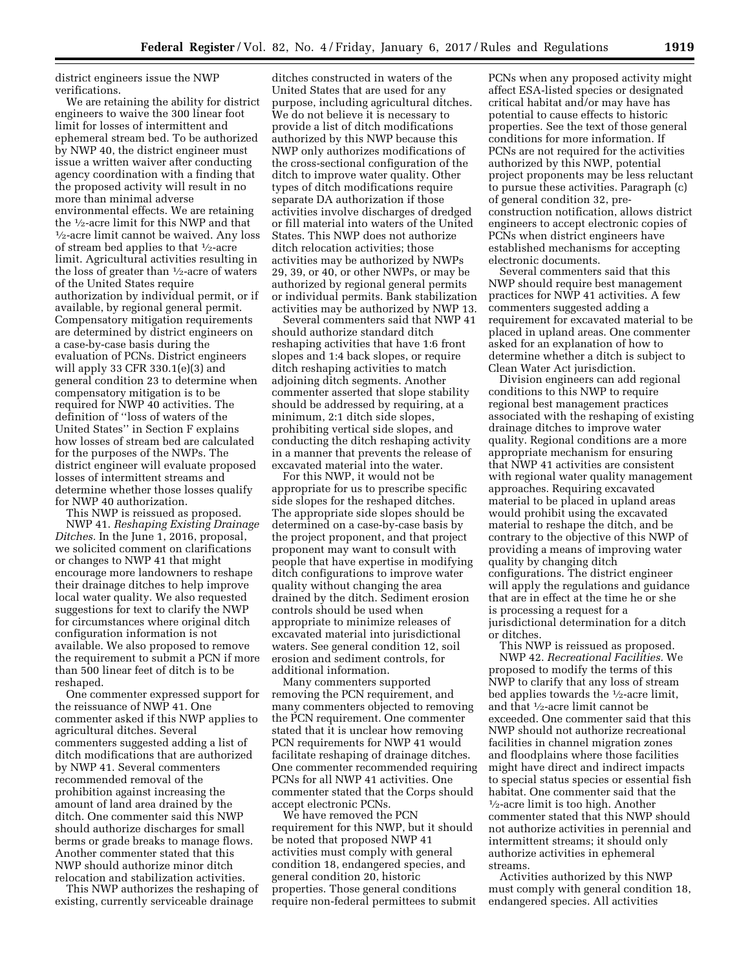district engineers issue the NWP verifications.

We are retaining the ability for district engineers to waive the 300 linear foot limit for losses of intermittent and ephemeral stream bed. To be authorized by NWP 40, the district engineer must issue a written waiver after conducting agency coordination with a finding that the proposed activity will result in no more than minimal adverse environmental effects. We are retaining the  $\frac{1}{2}$ -acre limit for this NWP and that  $\frac{1}{2}$ -acre limit cannot be waived. Any loss of stream bed applies to that 1⁄2-acre limit. Agricultural activities resulting in the loss of greater than 1⁄2-acre of waters of the United States require authorization by individual permit, or if available, by regional general permit. Compensatory mitigation requirements are determined by district engineers on a case-by-case basis during the evaluation of PCNs. District engineers will apply 33 CFR 330.1(e)(3) and general condition 23 to determine when compensatory mitigation is to be required for NWP 40 activities. The definition of ''loss of waters of the United States'' in Section F explains how losses of stream bed are calculated for the purposes of the NWPs. The district engineer will evaluate proposed losses of intermittent streams and determine whether those losses qualify for NWP 40 authorization.

This NWP is reissued as proposed. NWP 41. *Reshaping Existing Drainage Ditches.* In the June 1, 2016, proposal, we solicited comment on clarifications or changes to NWP 41 that might encourage more landowners to reshape their drainage ditches to help improve local water quality. We also requested suggestions for text to clarify the NWP for circumstances where original ditch configuration information is not available. We also proposed to remove the requirement to submit a PCN if more than 500 linear feet of ditch is to be reshaped.

One commenter expressed support for the reissuance of NWP 41. One commenter asked if this NWP applies to agricultural ditches. Several commenters suggested adding a list of ditch modifications that are authorized by NWP 41. Several commenters recommended removal of the prohibition against increasing the amount of land area drained by the ditch. One commenter said this NWP should authorize discharges for small berms or grade breaks to manage flows. Another commenter stated that this NWP should authorize minor ditch relocation and stabilization activities.

This NWP authorizes the reshaping of existing, currently serviceable drainage

ditches constructed in waters of the United States that are used for any purpose, including agricultural ditches. We do not believe it is necessary to provide a list of ditch modifications authorized by this NWP because this NWP only authorizes modifications of the cross-sectional configuration of the ditch to improve water quality. Other types of ditch modifications require separate DA authorization if those activities involve discharges of dredged or fill material into waters of the United States. This NWP does not authorize ditch relocation activities; those activities may be authorized by NWPs 29, 39, or 40, or other NWPs, or may be authorized by regional general permits or individual permits. Bank stabilization activities may be authorized by NWP 13.

Several commenters said that NWP 41 should authorize standard ditch reshaping activities that have 1:6 front slopes and 1:4 back slopes, or require ditch reshaping activities to match adjoining ditch segments. Another commenter asserted that slope stability should be addressed by requiring, at a minimum, 2:1 ditch side slopes, prohibiting vertical side slopes, and conducting the ditch reshaping activity in a manner that prevents the release of excavated material into the water.

For this NWP, it would not be appropriate for us to prescribe specific side slopes for the reshaped ditches. The appropriate side slopes should be determined on a case-by-case basis by the project proponent, and that project proponent may want to consult with people that have expertise in modifying ditch configurations to improve water quality without changing the area drained by the ditch. Sediment erosion controls should be used when appropriate to minimize releases of excavated material into jurisdictional waters. See general condition 12, soil erosion and sediment controls, for additional information.

Many commenters supported removing the PCN requirement, and many commenters objected to removing the PCN requirement. One commenter stated that it is unclear how removing PCN requirements for NWP 41 would facilitate reshaping of drainage ditches. One commenter recommended requiring PCNs for all NWP 41 activities. One commenter stated that the Corps should accept electronic PCNs.

We have removed the PCN requirement for this NWP, but it should be noted that proposed NWP 41 activities must comply with general condition 18, endangered species, and general condition 20, historic properties. Those general conditions require non-federal permittees to submit PCNs when any proposed activity might affect ESA-listed species or designated critical habitat and/or may have has potential to cause effects to historic properties. See the text of those general conditions for more information. If PCNs are not required for the activities authorized by this NWP, potential project proponents may be less reluctant to pursue these activities. Paragraph (c) of general condition 32, preconstruction notification, allows district engineers to accept electronic copies of PCNs when district engineers have established mechanisms for accepting electronic documents.

Several commenters said that this NWP should require best management practices for NWP 41 activities. A few commenters suggested adding a requirement for excavated material to be placed in upland areas. One commenter asked for an explanation of how to determine whether a ditch is subject to Clean Water Act jurisdiction.

Division engineers can add regional conditions to this NWP to require regional best management practices associated with the reshaping of existing drainage ditches to improve water quality. Regional conditions are a more appropriate mechanism for ensuring that NWP 41 activities are consistent with regional water quality management approaches. Requiring excavated material to be placed in upland areas would prohibit using the excavated material to reshape the ditch, and be contrary to the objective of this NWP of providing a means of improving water quality by changing ditch configurations. The district engineer will apply the regulations and guidance that are in effect at the time he or she is processing a request for a jurisdictional determination for a ditch or ditches.

This NWP is reissued as proposed. NWP 42. *Recreational Facilities.* We proposed to modify the terms of this NWP to clarify that any loss of stream bed applies towards the  $\frac{1}{2}$ -acre limit, and that 1⁄2-acre limit cannot be exceeded. One commenter said that this NWP should not authorize recreational facilities in channel migration zones and floodplains where those facilities might have direct and indirect impacts to special status species or essential fish habitat. One commenter said that the 1⁄2-acre limit is too high. Another commenter stated that this NWP should not authorize activities in perennial and intermittent streams; it should only authorize activities in ephemeral streams.

Activities authorized by this NWP must comply with general condition 18, endangered species. All activities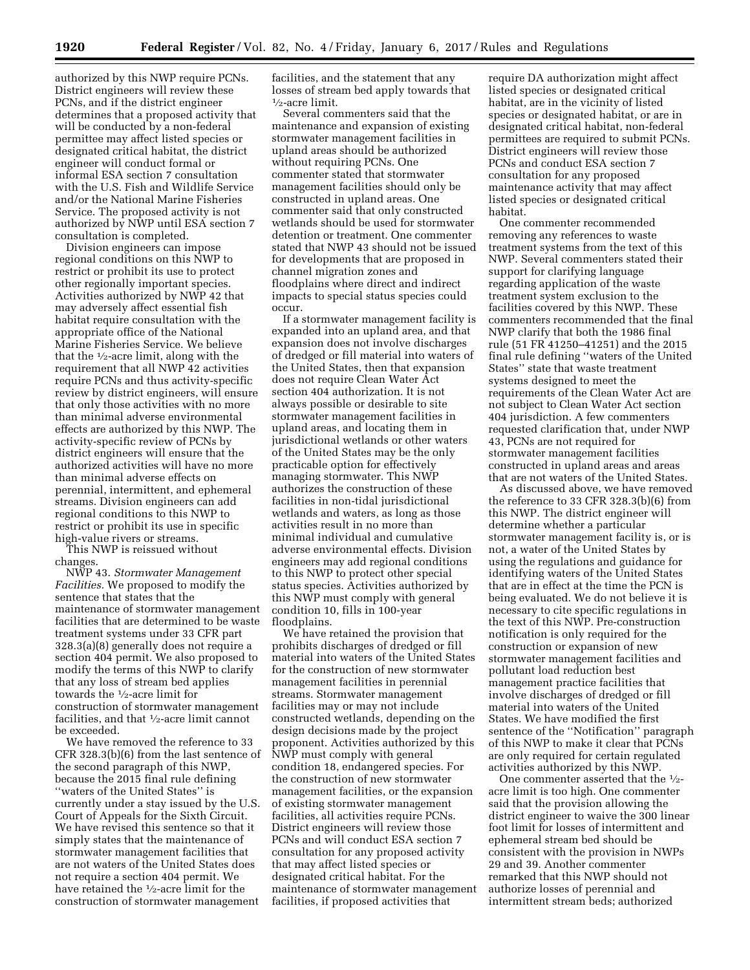authorized by this NWP require PCNs. District engineers will review these PCNs, and if the district engineer determines that a proposed activity that will be conducted by a non-federal permittee may affect listed species or designated critical habitat, the district engineer will conduct formal or informal ESA section 7 consultation with the U.S. Fish and Wildlife Service and/or the National Marine Fisheries Service. The proposed activity is not authorized by NWP until ESA section 7 consultation is completed.

Division engineers can impose regional conditions on this NWP to restrict or prohibit its use to protect other regionally important species. Activities authorized by NWP 42 that may adversely affect essential fish habitat require consultation with the appropriate office of the National Marine Fisheries Service. We believe that the 1⁄2-acre limit, along with the requirement that all NWP 42 activities require PCNs and thus activity-specific review by district engineers, will ensure that only those activities with no more than minimal adverse environmental effects are authorized by this NWP. The activity-specific review of PCNs by district engineers will ensure that the authorized activities will have no more than minimal adverse effects on perennial, intermittent, and ephemeral streams. Division engineers can add regional conditions to this NWP to restrict or prohibit its use in specific high-value rivers or streams.

This NWP is reissued without changes.

NWP 43. *Stormwater Management Facilities.* We proposed to modify the sentence that states that the maintenance of stormwater management facilities that are determined to be waste treatment systems under 33 CFR part 328.3(a)(8) generally does not require a section 404 permit. We also proposed to modify the terms of this NWP to clarify that any loss of stream bed applies towards the 1⁄2-acre limit for construction of stormwater management facilities, and that 1⁄2-acre limit cannot be exceeded.

We have removed the reference to 33 CFR 328.3(b)(6) from the last sentence of the second paragraph of this NWP, because the 2015 final rule defining ''waters of the United States'' is currently under a stay issued by the U.S. Court of Appeals for the Sixth Circuit. We have revised this sentence so that it simply states that the maintenance of stormwater management facilities that are not waters of the United States does not require a section 404 permit. We have retained the <sup>1</sup>/2-acre limit for the construction of stormwater management

facilities, and the statement that any losses of stream bed apply towards that 1⁄2-acre limit.

Several commenters said that the maintenance and expansion of existing stormwater management facilities in upland areas should be authorized without requiring PCNs. One commenter stated that stormwater management facilities should only be constructed in upland areas. One commenter said that only constructed wetlands should be used for stormwater detention or treatment. One commenter stated that NWP 43 should not be issued for developments that are proposed in channel migration zones and floodplains where direct and indirect impacts to special status species could occur.

If a stormwater management facility is expanded into an upland area, and that expansion does not involve discharges of dredged or fill material into waters of the United States, then that expansion does not require Clean Water Act section 404 authorization. It is not always possible or desirable to site stormwater management facilities in upland areas, and locating them in jurisdictional wetlands or other waters of the United States may be the only practicable option for effectively managing stormwater. This NWP authorizes the construction of these facilities in non-tidal jurisdictional wetlands and waters, as long as those activities result in no more than minimal individual and cumulative adverse environmental effects. Division engineers may add regional conditions to this NWP to protect other special status species. Activities authorized by this NWP must comply with general condition 10, fills in 100-year floodplains.

We have retained the provision that prohibits discharges of dredged or fill material into waters of the United States for the construction of new stormwater management facilities in perennial streams. Stormwater management facilities may or may not include constructed wetlands, depending on the design decisions made by the project proponent. Activities authorized by this NWP must comply with general condition 18, endangered species. For the construction of new stormwater management facilities, or the expansion of existing stormwater management facilities, all activities require PCNs. District engineers will review those PCNs and will conduct ESA section 7 consultation for any proposed activity that may affect listed species or designated critical habitat. For the maintenance of stormwater management facilities, if proposed activities that

require DA authorization might affect listed species or designated critical habitat, are in the vicinity of listed species or designated habitat, or are in designated critical habitat, non-federal permittees are required to submit PCNs. District engineers will review those PCNs and conduct ESA section 7 consultation for any proposed maintenance activity that may affect listed species or designated critical habitat.

One commenter recommended removing any references to waste treatment systems from the text of this NWP. Several commenters stated their support for clarifying language regarding application of the waste treatment system exclusion to the facilities covered by this NWP. These commenters recommended that the final NWP clarify that both the 1986 final rule (51 FR 41250–41251) and the 2015 final rule defining ''waters of the United States'' state that waste treatment systems designed to meet the requirements of the Clean Water Act are not subject to Clean Water Act section 404 jurisdiction. A few commenters requested clarification that, under NWP 43, PCNs are not required for stormwater management facilities constructed in upland areas and areas that are not waters of the United States.

As discussed above, we have removed the reference to 33 CFR 328.3(b)(6) from this NWP. The district engineer will determine whether a particular stormwater management facility is, or is not, a water of the United States by using the regulations and guidance for identifying waters of the United States that are in effect at the time the PCN is being evaluated. We do not believe it is necessary to cite specific regulations in the text of this NWP. Pre-construction notification is only required for the construction or expansion of new stormwater management facilities and pollutant load reduction best management practice facilities that involve discharges of dredged or fill material into waters of the United States. We have modified the first sentence of the ''Notification'' paragraph of this NWP to make it clear that PCNs are only required for certain regulated activities authorized by this NWP.

One commenter asserted that the 1⁄2 acre limit is too high. One commenter said that the provision allowing the district engineer to waive the 300 linear foot limit for losses of intermittent and ephemeral stream bed should be consistent with the provision in NWPs 29 and 39. Another commenter remarked that this NWP should not authorize losses of perennial and intermittent stream beds; authorized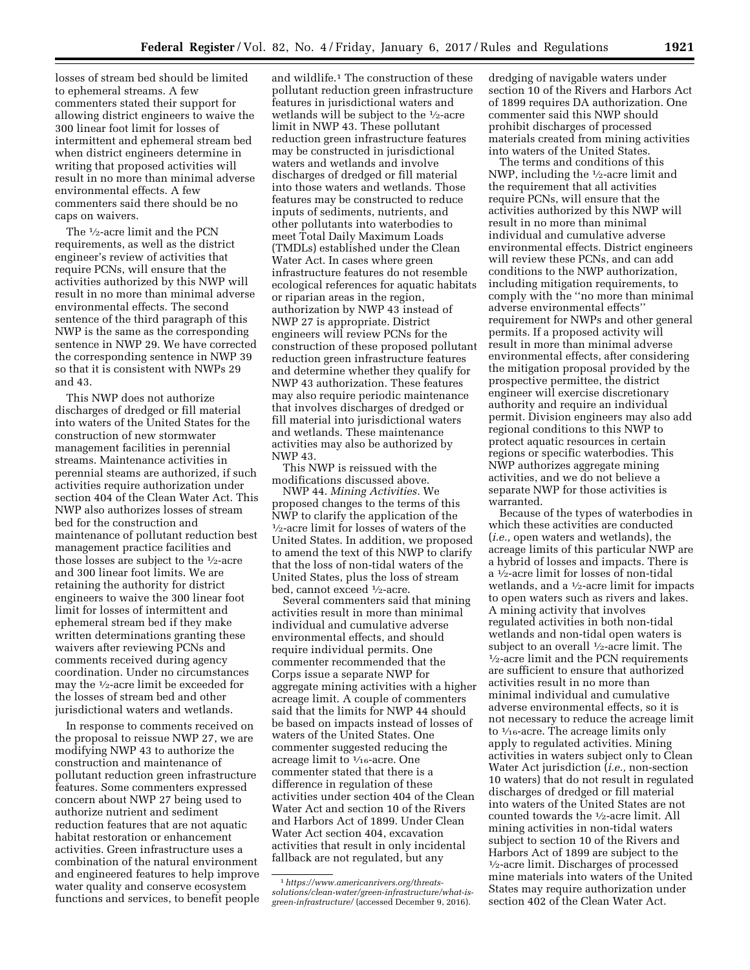losses of stream bed should be limited to ephemeral streams. A few commenters stated their support for allowing district engineers to waive the 300 linear foot limit for losses of intermittent and ephemeral stream bed when district engineers determine in writing that proposed activities will result in no more than minimal adverse environmental effects. A few commenters said there should be no caps on waivers.

The 1⁄2-acre limit and the PCN requirements, as well as the district engineer's review of activities that require PCNs, will ensure that the activities authorized by this NWP will result in no more than minimal adverse environmental effects. The second sentence of the third paragraph of this NWP is the same as the corresponding sentence in NWP 29. We have corrected the corresponding sentence in NWP 39 so that it is consistent with NWPs 29 and 43.

This NWP does not authorize discharges of dredged or fill material into waters of the United States for the construction of new stormwater management facilities in perennial streams. Maintenance activities in perennial steams are authorized, if such activities require authorization under section 404 of the Clean Water Act. This NWP also authorizes losses of stream bed for the construction and maintenance of pollutant reduction best management practice facilities and those losses are subject to the 1⁄2-acre and 300 linear foot limits. We are retaining the authority for district engineers to waive the 300 linear foot limit for losses of intermittent and ephemeral stream bed if they make written determinations granting these waivers after reviewing PCNs and comments received during agency coordination. Under no circumstances may the 1⁄2-acre limit be exceeded for the losses of stream bed and other jurisdictional waters and wetlands.

In response to comments received on the proposal to reissue NWP 27, we are modifying NWP 43 to authorize the construction and maintenance of pollutant reduction green infrastructure features. Some commenters expressed concern about NWP 27 being used to authorize nutrient and sediment reduction features that are not aquatic habitat restoration or enhancement activities. Green infrastructure uses a combination of the natural environment and engineered features to help improve water quality and conserve ecosystem functions and services, to benefit people

and wildlife.1 The construction of these pollutant reduction green infrastructure features in jurisdictional waters and wetlands will be subject to the 1⁄2-acre limit in NWP 43. These pollutant reduction green infrastructure features may be constructed in jurisdictional waters and wetlands and involve discharges of dredged or fill material into those waters and wetlands. Those features may be constructed to reduce inputs of sediments, nutrients, and other pollutants into waterbodies to meet Total Daily Maximum Loads (TMDLs) established under the Clean Water Act. In cases where green infrastructure features do not resemble ecological references for aquatic habitats or riparian areas in the region, authorization by NWP 43 instead of NWP 27 is appropriate. District engineers will review PCNs for the construction of these proposed pollutant reduction green infrastructure features and determine whether they qualify for NWP 43 authorization. These features may also require periodic maintenance that involves discharges of dredged or fill material into jurisdictional waters and wetlands. These maintenance activities may also be authorized by NWP 43.

This NWP is reissued with the modifications discussed above.

NWP 44. *Mining Activities.* We proposed changes to the terms of this NWP to clarify the application of the 1⁄2-acre limit for losses of waters of the United States. In addition, we proposed to amend the text of this NWP to clarify that the loss of non-tidal waters of the United States, plus the loss of stream bed, cannot exceed 1⁄2-acre.

Several commenters said that mining activities result in more than minimal individual and cumulative adverse environmental effects, and should require individual permits. One commenter recommended that the Corps issue a separate NWP for aggregate mining activities with a higher acreage limit. A couple of commenters said that the limits for NWP 44 should be based on impacts instead of losses of waters of the United States. One commenter suggested reducing the acreage limit to 1⁄16-acre. One commenter stated that there is a difference in regulation of these activities under section 404 of the Clean Water Act and section 10 of the Rivers and Harbors Act of 1899. Under Clean Water Act section 404, excavation activities that result in only incidental fallback are not regulated, but any

dredging of navigable waters under section 10 of the Rivers and Harbors Act of 1899 requires DA authorization. One commenter said this NWP should prohibit discharges of processed materials created from mining activities into waters of the United States.

The terms and conditions of this NWP, including the 1⁄2-acre limit and the requirement that all activities require PCNs, will ensure that the activities authorized by this NWP will result in no more than minimal individual and cumulative adverse environmental effects. District engineers will review these PCNs, and can add conditions to the NWP authorization, including mitigation requirements, to comply with the ''no more than minimal adverse environmental effects'' requirement for NWPs and other general permits. If a proposed activity will result in more than minimal adverse environmental effects, after considering the mitigation proposal provided by the prospective permittee, the district engineer will exercise discretionary authority and require an individual permit. Division engineers may also add regional conditions to this NWP to protect aquatic resources in certain regions or specific waterbodies. This NWP authorizes aggregate mining activities, and we do not believe a separate NWP for those activities is warranted.

Because of the types of waterbodies in which these activities are conducted (*i.e.,* open waters and wetlands), the acreage limits of this particular NWP are a hybrid of losses and impacts. There is a 1⁄2-acre limit for losses of non-tidal wetlands, and a  $1\!/\!_2\!$  -acre limit for impacts to open waters such as rivers and lakes. A mining activity that involves regulated activities in both non-tidal wetlands and non-tidal open waters is subject to an overall  $\frac{1}{2}$ -acre limit. The  $\frac{1}{2}$ -acre limit and the PCN requirements are sufficient to ensure that authorized activities result in no more than minimal individual and cumulative adverse environmental effects, so it is not necessary to reduce the acreage limit to  $\frac{1}{16}$ -acre. The acreage limits only apply to regulated activities. Mining activities in waters subject only to Clean Water Act jurisdiction (*i.e.,* non-section 10 waters) that do not result in regulated discharges of dredged or fill material into waters of the United States are not counted towards the 1⁄2-acre limit. All mining activities in non-tidal waters subject to section 10 of the Rivers and Harbors Act of 1899 are subject to the 1⁄2-acre limit. Discharges of processed mine materials into waters of the United States may require authorization under section 402 of the Clean Water Act.

<sup>1</sup>*[https://www.americanrivers.org/threats](https://www.americanrivers.org/threats-solutions/clean-water/green-infrastructure/what-is-green-infrastructure/)[solutions/clean-water/green-infrastructure/what-is](https://www.americanrivers.org/threats-solutions/clean-water/green-infrastructure/what-is-green-infrastructure/)[green-infrastructure/](https://www.americanrivers.org/threats-solutions/clean-water/green-infrastructure/what-is-green-infrastructure/)* (accessed December 9, 2016).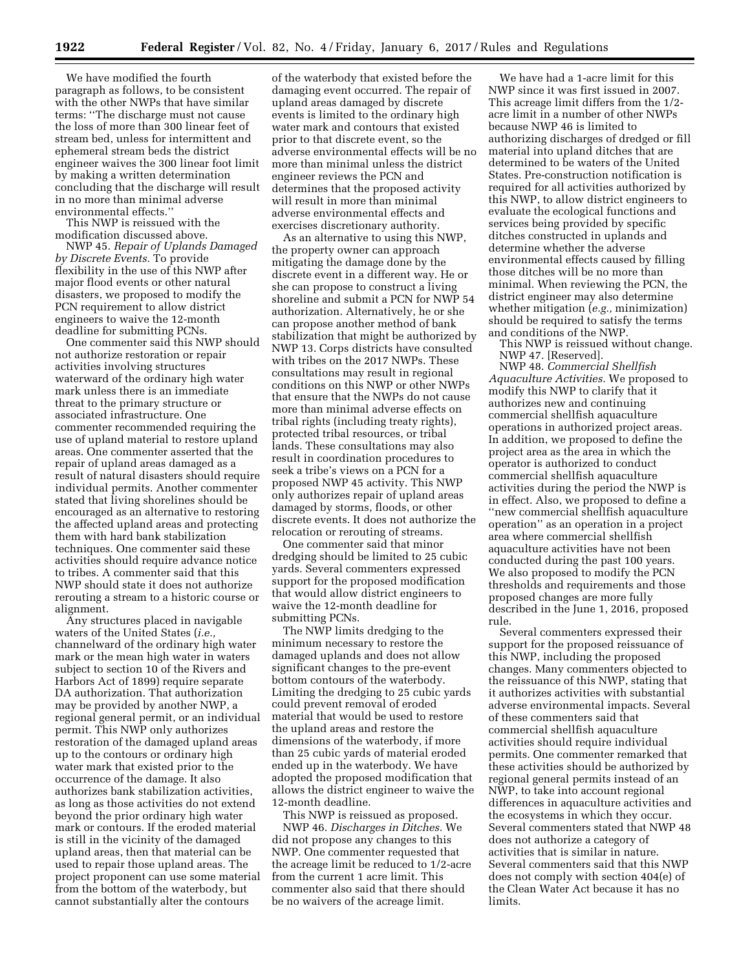We have modified the fourth paragraph as follows, to be consistent with the other NWPs that have similar terms: ''The discharge must not cause the loss of more than 300 linear feet of stream bed, unless for intermittent and ephemeral stream beds the district engineer waives the 300 linear foot limit by making a written determination concluding that the discharge will result in no more than minimal adverse environmental effects.''

This NWP is reissued with the modification discussed above.

NWP 45. *Repair of Uplands Damaged by Discrete Events.* To provide flexibility in the use of this NWP after major flood events or other natural disasters, we proposed to modify the PCN requirement to allow district engineers to waive the 12-month deadline for submitting PCNs.

One commenter said this NWP should not authorize restoration or repair activities involving structures waterward of the ordinary high water mark unless there is an immediate threat to the primary structure or associated infrastructure. One commenter recommended requiring the use of upland material to restore upland areas. One commenter asserted that the repair of upland areas damaged as a result of natural disasters should require individual permits. Another commenter stated that living shorelines should be encouraged as an alternative to restoring the affected upland areas and protecting them with hard bank stabilization techniques. One commenter said these activities should require advance notice to tribes. A commenter said that this NWP should state it does not authorize rerouting a stream to a historic course or alignment.

Any structures placed in navigable waters of the United States (*i.e.,*  channelward of the ordinary high water mark or the mean high water in waters subject to section 10 of the Rivers and Harbors Act of 1899) require separate DA authorization. That authorization may be provided by another NWP, a regional general permit, or an individual permit. This NWP only authorizes restoration of the damaged upland areas up to the contours or ordinary high water mark that existed prior to the occurrence of the damage. It also authorizes bank stabilization activities, as long as those activities do not extend beyond the prior ordinary high water mark or contours. If the eroded material is still in the vicinity of the damaged upland areas, then that material can be used to repair those upland areas. The project proponent can use some material from the bottom of the waterbody, but cannot substantially alter the contours

of the waterbody that existed before the damaging event occurred. The repair of upland areas damaged by discrete events is limited to the ordinary high water mark and contours that existed prior to that discrete event, so the adverse environmental effects will be no more than minimal unless the district engineer reviews the PCN and determines that the proposed activity will result in more than minimal adverse environmental effects and exercises discretionary authority.

As an alternative to using this NWP, the property owner can approach mitigating the damage done by the discrete event in a different way. He or she can propose to construct a living shoreline and submit a PCN for NWP 54 authorization. Alternatively, he or she can propose another method of bank stabilization that might be authorized by NWP 13. Corps districts have consulted with tribes on the 2017 NWPs. These consultations may result in regional conditions on this NWP or other NWPs that ensure that the NWPs do not cause more than minimal adverse effects on tribal rights (including treaty rights), protected tribal resources, or tribal lands. These consultations may also result in coordination procedures to seek a tribe's views on a PCN for a proposed NWP 45 activity. This NWP only authorizes repair of upland areas damaged by storms, floods, or other discrete events. It does not authorize the relocation or rerouting of streams.

One commenter said that minor dredging should be limited to 25 cubic yards. Several commenters expressed support for the proposed modification that would allow district engineers to waive the 12-month deadline for submitting PCNs.

The NWP limits dredging to the minimum necessary to restore the damaged uplands and does not allow significant changes to the pre-event bottom contours of the waterbody. Limiting the dredging to 25 cubic yards could prevent removal of eroded material that would be used to restore the upland areas and restore the dimensions of the waterbody, if more than 25 cubic yards of material eroded ended up in the waterbody. We have adopted the proposed modification that allows the district engineer to waive the 12-month deadline.

This NWP is reissued as proposed. NWP 46. *Discharges in Ditches.* We did not propose any changes to this NWP. One commenter requested that the acreage limit be reduced to 1/2-acre from the current 1 acre limit. This commenter also said that there should be no waivers of the acreage limit.

We have had a 1-acre limit for this NWP since it was first issued in 2007. This acreage limit differs from the 1/2 acre limit in a number of other NWPs because NWP 46 is limited to authorizing discharges of dredged or fill material into upland ditches that are determined to be waters of the United States. Pre-construction notification is required for all activities authorized by this NWP, to allow district engineers to evaluate the ecological functions and services being provided by specific ditches constructed in uplands and determine whether the adverse environmental effects caused by filling those ditches will be no more than minimal. When reviewing the PCN, the district engineer may also determine whether mitigation (*e.g.,* minimization) should be required to satisfy the terms and conditions of the NWP.

This NWP is reissued without change. NWP 47. [Reserved].

NWP 48. *Commercial Shellfish Aquaculture Activities.* We proposed to modify this NWP to clarify that it authorizes new and continuing commercial shellfish aquaculture operations in authorized project areas. In addition, we proposed to define the project area as the area in which the operator is authorized to conduct commercial shellfish aquaculture activities during the period the NWP is in effect. Also, we proposed to define a ''new commercial shellfish aquaculture operation'' as an operation in a project area where commercial shellfish aquaculture activities have not been conducted during the past 100 years. We also proposed to modify the PCN thresholds and requirements and those proposed changes are more fully described in the June 1, 2016, proposed rule.

Several commenters expressed their support for the proposed reissuance of this NWP, including the proposed changes. Many commenters objected to the reissuance of this NWP, stating that it authorizes activities with substantial adverse environmental impacts. Several of these commenters said that commercial shellfish aquaculture activities should require individual permits. One commenter remarked that these activities should be authorized by regional general permits instead of an NWP, to take into account regional differences in aquaculture activities and the ecosystems in which they occur. Several commenters stated that NWP 48 does not authorize a category of activities that is similar in nature. Several commenters said that this NWP does not comply with section 404(e) of the Clean Water Act because it has no limits.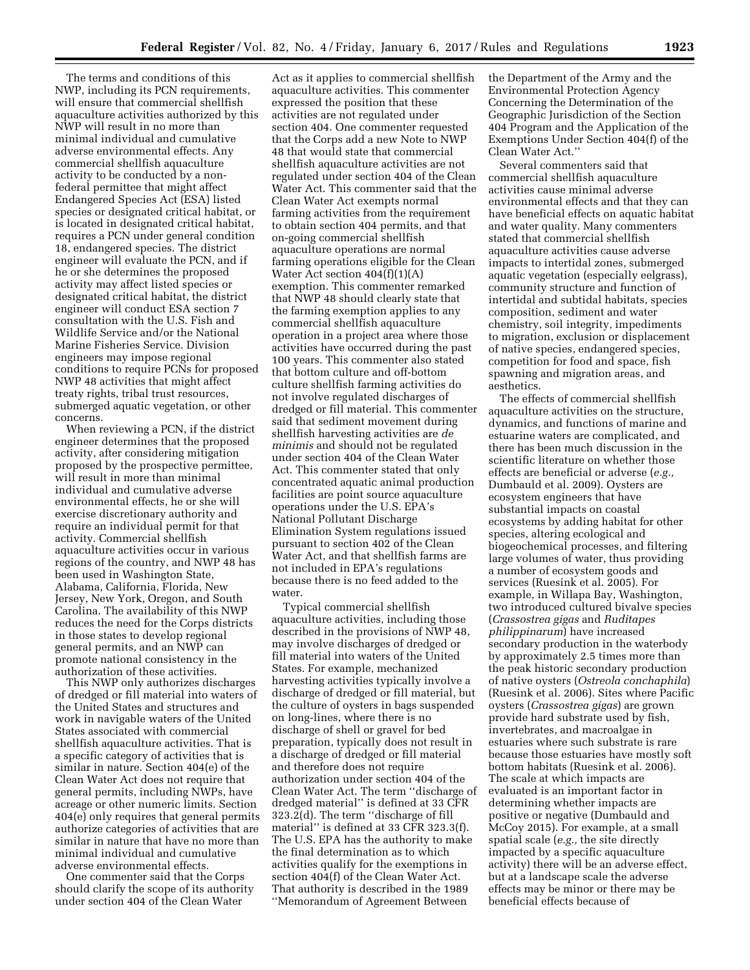The terms and conditions of this NWP, including its PCN requirements, will ensure that commercial shellfish aquaculture activities authorized by this NWP will result in no more than minimal individual and cumulative adverse environmental effects. Any commercial shellfish aquaculture activity to be conducted by a nonfederal permittee that might affect Endangered Species Act (ESA) listed species or designated critical habitat, or is located in designated critical habitat, requires a PCN under general condition 18, endangered species. The district engineer will evaluate the PCN, and if he or she determines the proposed activity may affect listed species or designated critical habitat, the district engineer will conduct ESA section 7 consultation with the U.S. Fish and Wildlife Service and/or the National Marine Fisheries Service. Division engineers may impose regional conditions to require PCNs for proposed NWP 48 activities that might affect treaty rights, tribal trust resources, submerged aquatic vegetation, or other concerns.

When reviewing a PCN, if the district engineer determines that the proposed activity, after considering mitigation proposed by the prospective permittee, will result in more than minimal individual and cumulative adverse environmental effects, he or she will exercise discretionary authority and require an individual permit for that activity. Commercial shellfish aquaculture activities occur in various regions of the country, and NWP 48 has been used in Washington State, Alabama, California, Florida, New Jersey, New York, Oregon, and South Carolina. The availability of this NWP reduces the need for the Corps districts in those states to develop regional general permits, and an NWP can promote national consistency in the authorization of these activities.

This NWP only authorizes discharges of dredged or fill material into waters of the United States and structures and work in navigable waters of the United States associated with commercial shellfish aquaculture activities. That is a specific category of activities that is similar in nature. Section 404(e) of the Clean Water Act does not require that general permits, including NWPs, have acreage or other numeric limits. Section 404(e) only requires that general permits authorize categories of activities that are similar in nature that have no more than minimal individual and cumulative adverse environmental effects.

One commenter said that the Corps should clarify the scope of its authority under section 404 of the Clean Water

Act as it applies to commercial shellfish aquaculture activities. This commenter expressed the position that these activities are not regulated under section 404. One commenter requested that the Corps add a new Note to NWP 48 that would state that commercial shellfish aquaculture activities are not regulated under section 404 of the Clean Water Act. This commenter said that the Clean Water Act exempts normal farming activities from the requirement to obtain section 404 permits, and that on-going commercial shellfish aquaculture operations are normal farming operations eligible for the Clean Water Act section  $404(f)(1)(A)$ exemption. This commenter remarked that NWP 48 should clearly state that the farming exemption applies to any commercial shellfish aquaculture operation in a project area where those activities have occurred during the past 100 years. This commenter also stated that bottom culture and off-bottom culture shellfish farming activities do not involve regulated discharges of dredged or fill material. This commenter said that sediment movement during shellfish harvesting activities are *de minimis* and should not be regulated under section 404 of the Clean Water Act. This commenter stated that only concentrated aquatic animal production facilities are point source aquaculture operations under the U.S. EPA's National Pollutant Discharge Elimination System regulations issued pursuant to section 402 of the Clean Water Act, and that shellfish farms are not included in EPA's regulations because there is no feed added to the water.

Typical commercial shellfish aquaculture activities, including those described in the provisions of NWP 48, may involve discharges of dredged or fill material into waters of the United States. For example, mechanized harvesting activities typically involve a discharge of dredged or fill material, but the culture of oysters in bags suspended on long-lines, where there is no discharge of shell or gravel for bed preparation, typically does not result in a discharge of dredged or fill material and therefore does not require authorization under section 404 of the Clean Water Act. The term ''discharge of dredged material'' is defined at 33 CFR 323.2(d). The term ''discharge of fill material'' is defined at 33 CFR 323.3(f). The U.S. EPA has the authority to make the final determination as to which activities qualify for the exemptions in section 404(f) of the Clean Water Act. That authority is described in the 1989 ''Memorandum of Agreement Between

the Department of the Army and the Environmental Protection Agency Concerning the Determination of the Geographic Jurisdiction of the Section 404 Program and the Application of the Exemptions Under Section 404(f) of the Clean Water Act.''

Several commenters said that commercial shellfish aquaculture activities cause minimal adverse environmental effects and that they can have beneficial effects on aquatic habitat and water quality. Many commenters stated that commercial shellfish aquaculture activities cause adverse impacts to intertidal zones, submerged aquatic vegetation (especially eelgrass), community structure and function of intertidal and subtidal habitats, species composition, sediment and water chemistry, soil integrity, impediments to migration, exclusion or displacement of native species, endangered species, competition for food and space, fish spawning and migration areas, and aesthetics.

The effects of commercial shellfish aquaculture activities on the structure, dynamics, and functions of marine and estuarine waters are complicated, and there has been much discussion in the scientific literature on whether those effects are beneficial or adverse (*e.g.,*  Dumbauld et al. 2009). Oysters are ecosystem engineers that have substantial impacts on coastal ecosystems by adding habitat for other species, altering ecological and biogeochemical processes, and filtering large volumes of water, thus providing a number of ecosystem goods and services (Ruesink et al. 2005). For example, in Willapa Bay, Washington, two introduced cultured bivalve species (*Crassostrea gigas* and *Ruditapes philippinarum*) have increased secondary production in the waterbody by approximately 2.5 times more than the peak historic secondary production of native oysters (*Ostreola conchaphila*) (Ruesink et al. 2006). Sites where Pacific oysters (*Crassostrea gigas*) are grown provide hard substrate used by fish, invertebrates, and macroalgae in estuaries where such substrate is rare because those estuaries have mostly soft bottom habitats (Ruesink et al. 2006). The scale at which impacts are evaluated is an important factor in determining whether impacts are positive or negative (Dumbauld and McCoy 2015). For example, at a small spatial scale (*e.g.,* the site directly impacted by a specific aquaculture activity) there will be an adverse effect, but at a landscape scale the adverse effects may be minor or there may be beneficial effects because of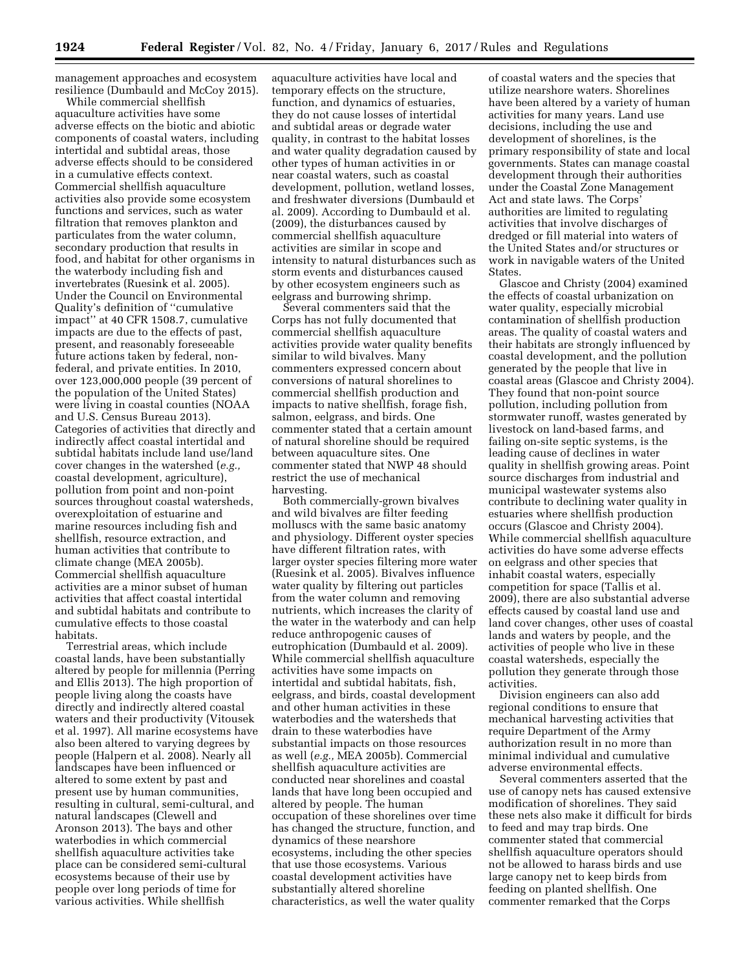management approaches and ecosystem resilience (Dumbauld and McCoy 2015).

While commercial shellfish aquaculture activities have some adverse effects on the biotic and abiotic components of coastal waters, including intertidal and subtidal areas, those adverse effects should to be considered in a cumulative effects context. Commercial shellfish aquaculture activities also provide some ecosystem functions and services, such as water filtration that removes plankton and particulates from the water column, secondary production that results in food, and habitat for other organisms in the waterbody including fish and invertebrates (Ruesink et al. 2005). Under the Council on Environmental Quality's definition of ''cumulative impact'' at 40 CFR 1508.7, cumulative impacts are due to the effects of past, present, and reasonably foreseeable future actions taken by federal, nonfederal, and private entities. In 2010, over 123,000,000 people (39 percent of the population of the United States) were living in coastal counties (NOAA and U.S. Census Bureau 2013). Categories of activities that directly and indirectly affect coastal intertidal and subtidal habitats include land use/land cover changes in the watershed (*e.g.,*  coastal development, agriculture), pollution from point and non-point sources throughout coastal watersheds, overexploitation of estuarine and marine resources including fish and shellfish, resource extraction, and human activities that contribute to climate change (MEA 2005b). Commercial shellfish aquaculture activities are a minor subset of human activities that affect coastal intertidal and subtidal habitats and contribute to cumulative effects to those coastal habitats.

Terrestrial areas, which include coastal lands, have been substantially altered by people for millennia (Perring and Ellis 2013). The high proportion of people living along the coasts have directly and indirectly altered coastal waters and their productivity (Vitousek et al. 1997). All marine ecosystems have also been altered to varying degrees by people (Halpern et al. 2008). Nearly all landscapes have been influenced or altered to some extent by past and present use by human communities, resulting in cultural, semi-cultural, and natural landscapes (Clewell and Aronson 2013). The bays and other waterbodies in which commercial shellfish aquaculture activities take place can be considered semi-cultural ecosystems because of their use by people over long periods of time for various activities. While shellfish

aquaculture activities have local and temporary effects on the structure, function, and dynamics of estuaries, they do not cause losses of intertidal and subtidal areas or degrade water quality, in contrast to the habitat losses and water quality degradation caused by other types of human activities in or near coastal waters, such as coastal development, pollution, wetland losses, and freshwater diversions (Dumbauld et al. 2009). According to Dumbauld et al. (2009), the disturbances caused by commercial shellfish aquaculture activities are similar in scope and intensity to natural disturbances such as storm events and disturbances caused by other ecosystem engineers such as eelgrass and burrowing shrimp.

Several commenters said that the Corps has not fully documented that commercial shellfish aquaculture activities provide water quality benefits similar to wild bivalves. Many commenters expressed concern about conversions of natural shorelines to commercial shellfish production and impacts to native shellfish, forage fish, salmon, eelgrass, and birds. One commenter stated that a certain amount of natural shoreline should be required between aquaculture sites. One commenter stated that NWP 48 should restrict the use of mechanical harvesting.

Both commercially-grown bivalves and wild bivalves are filter feeding molluscs with the same basic anatomy and physiology. Different oyster species have different filtration rates, with larger oyster species filtering more water (Ruesink et al. 2005). Bivalves influence water quality by filtering out particles from the water column and removing nutrients, which increases the clarity of the water in the waterbody and can help reduce anthropogenic causes of eutrophication (Dumbauld et al. 2009). While commercial shellfish aquaculture activities have some impacts on intertidal and subtidal habitats, fish, eelgrass, and birds, coastal development and other human activities in these waterbodies and the watersheds that drain to these waterbodies have substantial impacts on those resources as well (*e.g.,* MEA 2005b). Commercial shellfish aquaculture activities are conducted near shorelines and coastal lands that have long been occupied and altered by people. The human occupation of these shorelines over time has changed the structure, function, and dynamics of these nearshore ecosystems, including the other species that use those ecosystems. Various coastal development activities have substantially altered shoreline characteristics, as well the water quality

of coastal waters and the species that utilize nearshore waters. Shorelines have been altered by a variety of human activities for many years. Land use decisions, including the use and development of shorelines, is the primary responsibility of state and local governments. States can manage coastal development through their authorities under the Coastal Zone Management Act and state laws. The Corps' authorities are limited to regulating activities that involve discharges of dredged or fill material into waters of the United States and/or structures or work in navigable waters of the United States.

Glascoe and Christy (2004) examined the effects of coastal urbanization on water quality, especially microbial contamination of shellfish production areas. The quality of coastal waters and their habitats are strongly influenced by coastal development, and the pollution generated by the people that live in coastal areas (Glascoe and Christy 2004). They found that non-point source pollution, including pollution from stormwater runoff, wastes generated by livestock on land-based farms, and failing on-site septic systems, is the leading cause of declines in water quality in shellfish growing areas. Point source discharges from industrial and municipal wastewater systems also contribute to declining water quality in estuaries where shellfish production occurs (Glascoe and Christy 2004). While commercial shellfish aquaculture activities do have some adverse effects on eelgrass and other species that inhabit coastal waters, especially competition for space (Tallis et al. 2009), there are also substantial adverse effects caused by coastal land use and land cover changes, other uses of coastal lands and waters by people, and the activities of people who live in these coastal watersheds, especially the pollution they generate through those activities.

Division engineers can also add regional conditions to ensure that mechanical harvesting activities that require Department of the Army authorization result in no more than minimal individual and cumulative adverse environmental effects.

Several commenters asserted that the use of canopy nets has caused extensive modification of shorelines. They said these nets also make it difficult for birds to feed and may trap birds. One commenter stated that commercial shellfish aquaculture operators should not be allowed to harass birds and use large canopy net to keep birds from feeding on planted shellfish. One commenter remarked that the Corps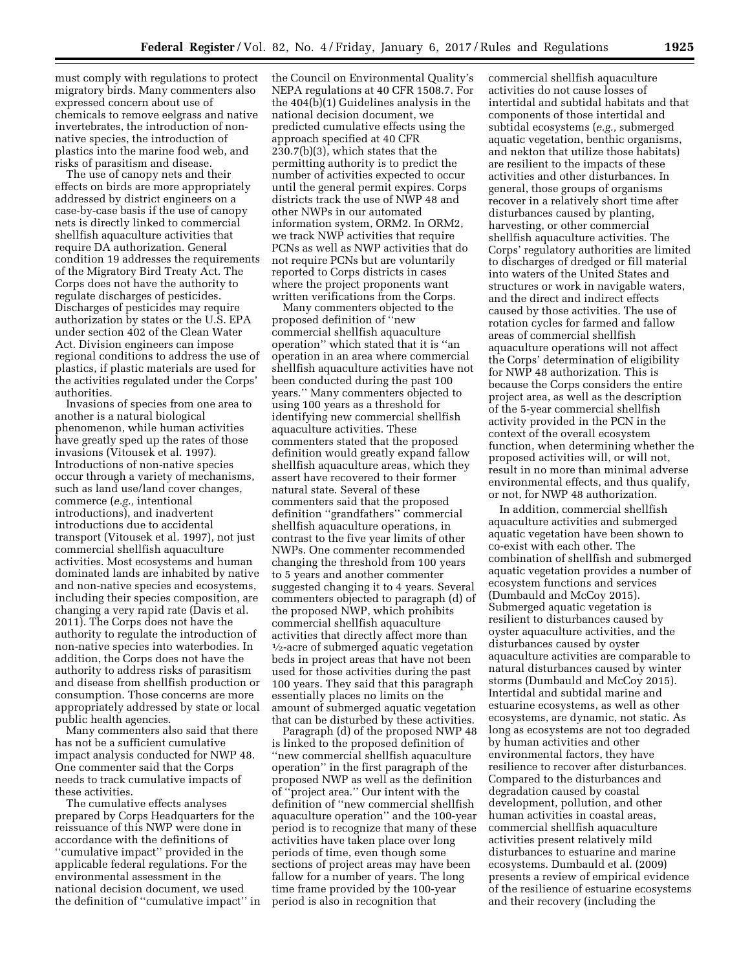must comply with regulations to protect migratory birds. Many commenters also expressed concern about use of chemicals to remove eelgrass and native invertebrates, the introduction of nonnative species, the introduction of plastics into the marine food web, and risks of parasitism and disease.

The use of canopy nets and their effects on birds are more appropriately addressed by district engineers on a case-by-case basis if the use of canopy nets is directly linked to commercial shellfish aquaculture activities that require DA authorization. General condition 19 addresses the requirements of the Migratory Bird Treaty Act. The Corps does not have the authority to regulate discharges of pesticides. Discharges of pesticides may require authorization by states or the U.S. EPA under section 402 of the Clean Water Act. Division engineers can impose regional conditions to address the use of plastics, if plastic materials are used for the activities regulated under the Corps' authorities.

Invasions of species from one area to another is a natural biological phenomenon, while human activities have greatly sped up the rates of those invasions (Vitousek et al. 1997). Introductions of non-native species occur through a variety of mechanisms, such as land use/land cover changes, commerce (*e.g.,* intentional introductions), and inadvertent introductions due to accidental transport (Vitousek et al. 1997), not just commercial shellfish aquaculture activities. Most ecosystems and human dominated lands are inhabited by native and non-native species and ecosystems, including their species composition, are changing a very rapid rate (Davis et al. 2011). The Corps does not have the authority to regulate the introduction of non-native species into waterbodies. In addition, the Corps does not have the authority to address risks of parasitism and disease from shellfish production or consumption. Those concerns are more appropriately addressed by state or local public health agencies.

Many commenters also said that there has not be a sufficient cumulative impact analysis conducted for NWP 48. One commenter said that the Corps needs to track cumulative impacts of these activities.

The cumulative effects analyses prepared by Corps Headquarters for the reissuance of this NWP were done in accordance with the definitions of ''cumulative impact'' provided in the applicable federal regulations. For the environmental assessment in the national decision document, we used the definition of ''cumulative impact'' in

the Council on Environmental Quality's NEPA regulations at 40 CFR 1508.7. For the 404(b)(1) Guidelines analysis in the national decision document, we predicted cumulative effects using the approach specified at 40 CFR 230.7(b)(3), which states that the permitting authority is to predict the number of activities expected to occur until the general permit expires. Corps districts track the use of NWP 48 and other NWPs in our automated information system, ORM2. In ORM2, we track NWP activities that require PCNs as well as NWP activities that do not require PCNs but are voluntarily reported to Corps districts in cases where the project proponents want written verifications from the Corps.

Many commenters objected to the proposed definition of ''new commercial shellfish aquaculture operation'' which stated that it is ''an operation in an area where commercial shellfish aquaculture activities have not been conducted during the past 100 years.'' Many commenters objected to using 100 years as a threshold for identifying new commercial shellfish aquaculture activities. These commenters stated that the proposed definition would greatly expand fallow shellfish aquaculture areas, which they assert have recovered to their former natural state. Several of these commenters said that the proposed definition ''grandfathers'' commercial shellfish aquaculture operations, in contrast to the five year limits of other NWPs. One commenter recommended changing the threshold from 100 years to 5 years and another commenter suggested changing it to 4 years. Several commenters objected to paragraph (d) of the proposed NWP, which prohibits commercial shellfish aquaculture activities that directly affect more than  $\frac{1}{2}$ -acre of submerged aquatic vegetation beds in project areas that have not been used for those activities during the past 100 years. They said that this paragraph essentially places no limits on the amount of submerged aquatic vegetation that can be disturbed by these activities.

Paragraph (d) of the proposed NWP 48 is linked to the proposed definition of ''new commercial shellfish aquaculture operation'' in the first paragraph of the proposed NWP as well as the definition of ''project area.'' Our intent with the definition of ''new commercial shellfish aquaculture operation'' and the 100-year period is to recognize that many of these activities have taken place over long periods of time, even though some sections of project areas may have been fallow for a number of years. The long time frame provided by the 100-year period is also in recognition that

commercial shellfish aquaculture activities do not cause losses of intertidal and subtidal habitats and that components of those intertidal and subtidal ecosystems (*e.g.,* submerged aquatic vegetation, benthic organisms, and nekton that utilize those habitats) are resilient to the impacts of these activities and other disturbances. In general, those groups of organisms recover in a relatively short time after disturbances caused by planting, harvesting, or other commercial shellfish aquaculture activities. The Corps' regulatory authorities are limited to discharges of dredged or fill material into waters of the United States and structures or work in navigable waters, and the direct and indirect effects caused by those activities. The use of rotation cycles for farmed and fallow areas of commercial shellfish aquaculture operations will not affect the Corps' determination of eligibility for NWP 48 authorization. This is because the Corps considers the entire project area, as well as the description of the 5-year commercial shellfish activity provided in the PCN in the context of the overall ecosystem function, when determining whether the proposed activities will, or will not, result in no more than minimal adverse environmental effects, and thus qualify, or not, for NWP 48 authorization.

In addition, commercial shellfish aquaculture activities and submerged aquatic vegetation have been shown to co-exist with each other. The combination of shellfish and submerged aquatic vegetation provides a number of ecosystem functions and services (Dumbauld and McCoy 2015). Submerged aquatic vegetation is resilient to disturbances caused by oyster aquaculture activities, and the disturbances caused by oyster aquaculture activities are comparable to natural disturbances caused by winter storms (Dumbauld and McCoy 2015). Intertidal and subtidal marine and estuarine ecosystems, as well as other ecosystems, are dynamic, not static. As long as ecosystems are not too degraded by human activities and other environmental factors, they have resilience to recover after disturbances. Compared to the disturbances and degradation caused by coastal development, pollution, and other human activities in coastal areas, commercial shellfish aquaculture activities present relatively mild disturbances to estuarine and marine ecosystems. Dumbauld et al. (2009) presents a review of empirical evidence of the resilience of estuarine ecosystems and their recovery (including the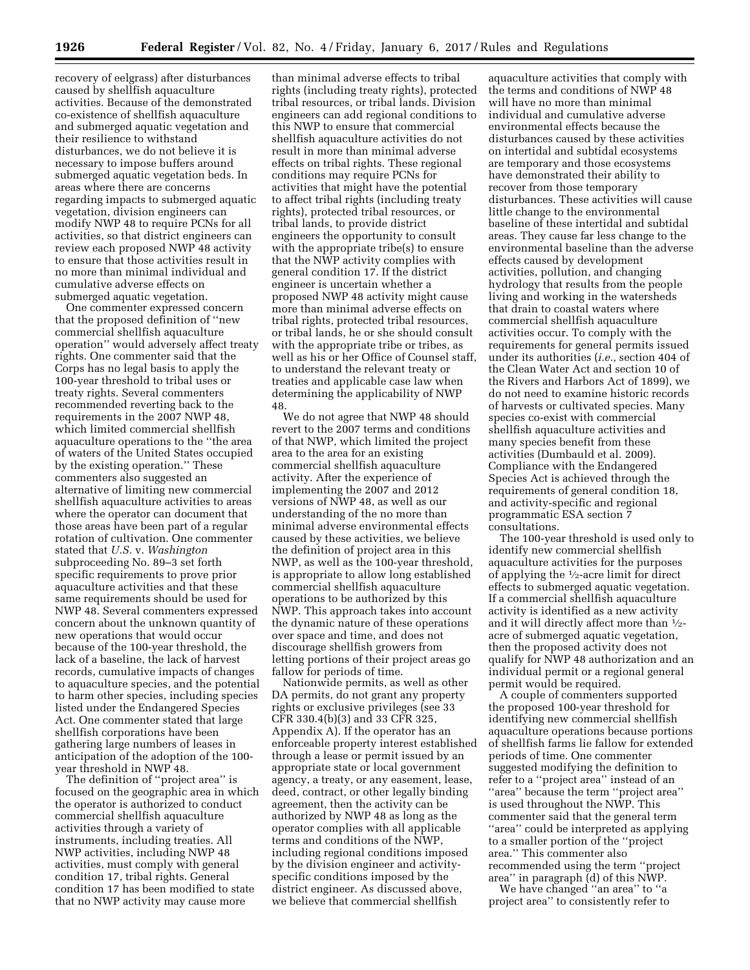recovery of eelgrass) after disturbances caused by shellfish aquaculture activities. Because of the demonstrated co-existence of shellfish aquaculture and submerged aquatic vegetation and their resilience to withstand disturbances, we do not believe it is necessary to impose buffers around submerged aquatic vegetation beds. In areas where there are concerns regarding impacts to submerged aquatic vegetation, division engineers can modify NWP 48 to require PCNs for all activities, so that district engineers can review each proposed NWP 48 activity to ensure that those activities result in no more than minimal individual and cumulative adverse effects on submerged aquatic vegetation.

One commenter expressed concern that the proposed definition of ''new commercial shellfish aquaculture operation'' would adversely affect treaty rights. One commenter said that the Corps has no legal basis to apply the 100-year threshold to tribal uses or treaty rights. Several commenters recommended reverting back to the requirements in the 2007 NWP 48, which limited commercial shellfish aquaculture operations to the ''the area of waters of the United States occupied by the existing operation.'' These commenters also suggested an alternative of limiting new commercial shellfish aquaculture activities to areas where the operator can document that those areas have been part of a regular rotation of cultivation. One commenter stated that *U.S.* v. *Washington*  subproceeding No. 89–3 set forth specific requirements to prove prior aquaculture activities and that these same requirements should be used for NWP 48. Several commenters expressed concern about the unknown quantity of new operations that would occur because of the 100-year threshold, the lack of a baseline, the lack of harvest records, cumulative impacts of changes to aquaculture species, and the potential to harm other species, including species listed under the Endangered Species Act. One commenter stated that large shellfish corporations have been gathering large numbers of leases in anticipation of the adoption of the 100 year threshold in NWP 48.

The definition of ''project area'' is focused on the geographic area in which the operator is authorized to conduct commercial shellfish aquaculture activities through a variety of instruments, including treaties. All NWP activities, including NWP 48 activities, must comply with general condition 17, tribal rights. General condition 17 has been modified to state that no NWP activity may cause more

than minimal adverse effects to tribal rights (including treaty rights), protected tribal resources, or tribal lands. Division engineers can add regional conditions to this NWP to ensure that commercial shellfish aquaculture activities do not result in more than minimal adverse effects on tribal rights. These regional conditions may require PCNs for activities that might have the potential to affect tribal rights (including treaty rights), protected tribal resources, or tribal lands, to provide district engineers the opportunity to consult with the appropriate tribe(s) to ensure that the NWP activity complies with general condition 17. If the district engineer is uncertain whether a proposed NWP 48 activity might cause more than minimal adverse effects on tribal rights, protected tribal resources, or tribal lands, he or she should consult with the appropriate tribe or tribes, as well as his or her Office of Counsel staff, to understand the relevant treaty or treaties and applicable case law when determining the applicability of NWP 48.

We do not agree that NWP 48 should revert to the 2007 terms and conditions of that NWP, which limited the project area to the area for an existing commercial shellfish aquaculture activity. After the experience of implementing the 2007 and 2012 versions of NWP 48, as well as our understanding of the no more than minimal adverse environmental effects caused by these activities, we believe the definition of project area in this NWP, as well as the 100-year threshold, is appropriate to allow long established commercial shellfish aquaculture operations to be authorized by this NWP. This approach takes into account the dynamic nature of these operations over space and time, and does not discourage shellfish growers from letting portions of their project areas go fallow for periods of time.

Nationwide permits, as well as other DA permits, do not grant any property rights or exclusive privileges (see 33 CFR 330.4(b)(3) and 33 CFR 325, Appendix A). If the operator has an enforceable property interest established through a lease or permit issued by an appropriate state or local government agency, a treaty, or any easement, lease, deed, contract, or other legally binding agreement, then the activity can be authorized by NWP 48 as long as the operator complies with all applicable terms and conditions of the NWP, including regional conditions imposed by the division engineer and activityspecific conditions imposed by the district engineer. As discussed above, we believe that commercial shellfish

aquaculture activities that comply with the terms and conditions of NWP 48 will have no more than minimal individual and cumulative adverse environmental effects because the disturbances caused by these activities on intertidal and subtidal ecosystems are temporary and those ecosystems have demonstrated their ability to recover from those temporary disturbances. These activities will cause little change to the environmental baseline of these intertidal and subtidal areas. They cause far less change to the environmental baseline than the adverse effects caused by development activities, pollution, and changing hydrology that results from the people living and working in the watersheds that drain to coastal waters where commercial shellfish aquaculture activities occur. To comply with the requirements for general permits issued under its authorities (*i.e.,* section 404 of the Clean Water Act and section 10 of the Rivers and Harbors Act of 1899), we do not need to examine historic records of harvests or cultivated species. Many species co-exist with commercial shellfish aquaculture activities and many species benefit from these activities (Dumbauld et al. 2009). Compliance with the Endangered Species Act is achieved through the requirements of general condition 18, and activity-specific and regional programmatic ESA section 7 consultations.

The 100-year threshold is used only to identify new commercial shellfish aquaculture activities for the purposes of applying the 1⁄2-acre limit for direct effects to submerged aquatic vegetation. If a commercial shellfish aquaculture activity is identified as a new activity and it will directly affect more than 1⁄2 acre of submerged aquatic vegetation, then the proposed activity does not qualify for NWP 48 authorization and an individual permit or a regional general permit would be required.

A couple of commenters supported the proposed 100-year threshold for identifying new commercial shellfish aquaculture operations because portions of shellfish farms lie fallow for extended periods of time. One commenter suggested modifying the definition to refer to a ''project area'' instead of an ''area'' because the term ''project area'' is used throughout the NWP. This commenter said that the general term "area" could be interpreted as applying to a smaller portion of the ''project area.'' This commenter also recommended using the term ''project area'' in paragraph (d) of this NWP.

We have changed ''an area'' to ''a project area'' to consistently refer to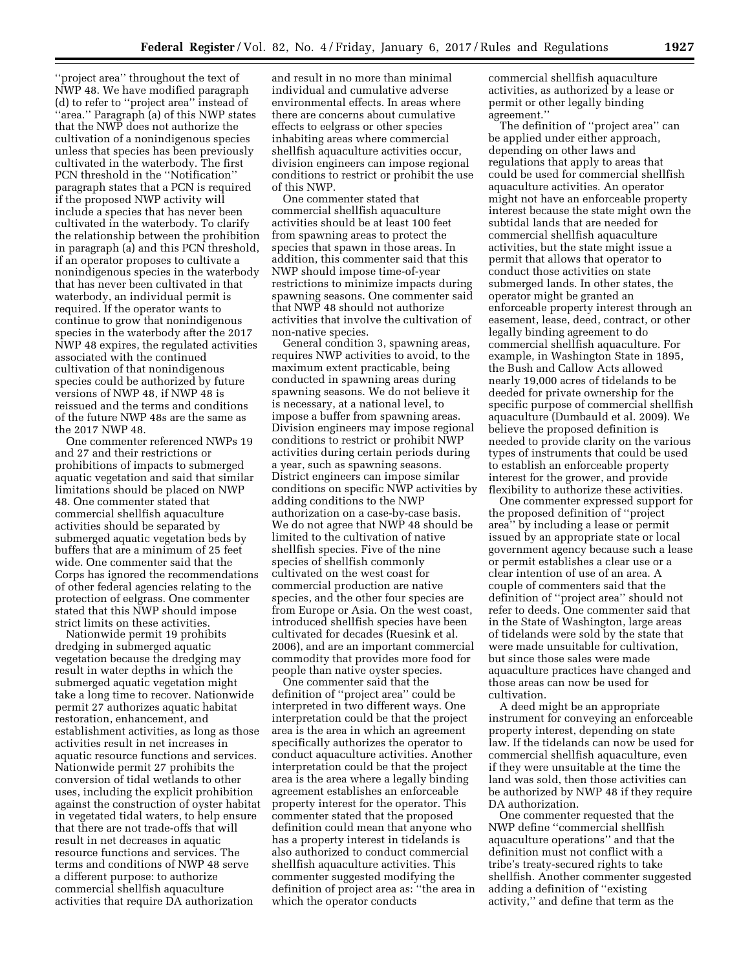''project area'' throughout the text of NWP 48. We have modified paragraph (d) to refer to ''project area'' instead of "area." Paragraph (a) of this NWP states that the NWP does not authorize the cultivation of a nonindigenous species unless that species has been previously cultivated in the waterbody. The first PCN threshold in the ''Notification'' paragraph states that a PCN is required if the proposed NWP activity will include a species that has never been cultivated in the waterbody. To clarify the relationship between the prohibition in paragraph (a) and this PCN threshold, if an operator proposes to cultivate a nonindigenous species in the waterbody that has never been cultivated in that waterbody, an individual permit is required. If the operator wants to continue to grow that nonindigenous species in the waterbody after the 2017 NWP 48 expires, the regulated activities associated with the continued cultivation of that nonindigenous species could be authorized by future versions of NWP 48, if NWP 48 is reissued and the terms and conditions of the future NWP 48s are the same as the 2017 NWP 48.

One commenter referenced NWPs 19 and 27 and their restrictions or prohibitions of impacts to submerged aquatic vegetation and said that similar limitations should be placed on NWP 48. One commenter stated that commercial shellfish aquaculture activities should be separated by submerged aquatic vegetation beds by buffers that are a minimum of 25 feet wide. One commenter said that the Corps has ignored the recommendations of other federal agencies relating to the protection of eelgrass. One commenter stated that this NWP should impose strict limits on these activities.

Nationwide permit 19 prohibits dredging in submerged aquatic vegetation because the dredging may result in water depths in which the submerged aquatic vegetation might take a long time to recover. Nationwide permit 27 authorizes aquatic habitat restoration, enhancement, and establishment activities, as long as those activities result in net increases in aquatic resource functions and services. Nationwide permit 27 prohibits the conversion of tidal wetlands to other uses, including the explicit prohibition against the construction of oyster habitat in vegetated tidal waters, to help ensure that there are not trade-offs that will result in net decreases in aquatic resource functions and services. The terms and conditions of NWP 48 serve a different purpose: to authorize commercial shellfish aquaculture activities that require DA authorization

and result in no more than minimal individual and cumulative adverse environmental effects. In areas where there are concerns about cumulative effects to eelgrass or other species inhabiting areas where commercial shellfish aquaculture activities occur, division engineers can impose regional conditions to restrict or prohibit the use of this NWP.

One commenter stated that commercial shellfish aquaculture activities should be at least 100 feet from spawning areas to protect the species that spawn in those areas. In addition, this commenter said that this NWP should impose time-of-year restrictions to minimize impacts during spawning seasons. One commenter said that NWP 48 should not authorize activities that involve the cultivation of non-native species.

General condition 3, spawning areas, requires NWP activities to avoid, to the maximum extent practicable, being conducted in spawning areas during spawning seasons. We do not believe it is necessary, at a national level, to impose a buffer from spawning areas. Division engineers may impose regional conditions to restrict or prohibit NWP activities during certain periods during a year, such as spawning seasons. District engineers can impose similar conditions on specific NWP activities by adding conditions to the NWP authorization on a case-by-case basis. We do not agree that NWP 48 should be limited to the cultivation of native shellfish species. Five of the nine species of shellfish commonly cultivated on the west coast for commercial production are native species, and the other four species are from Europe or Asia. On the west coast, introduced shellfish species have been cultivated for decades (Ruesink et al. 2006), and are an important commercial commodity that provides more food for people than native oyster species.

One commenter said that the definition of ''project area'' could be interpreted in two different ways. One interpretation could be that the project area is the area in which an agreement specifically authorizes the operator to conduct aquaculture activities. Another interpretation could be that the project area is the area where a legally binding agreement establishes an enforceable property interest for the operator. This commenter stated that the proposed definition could mean that anyone who has a property interest in tidelands is also authorized to conduct commercial shellfish aquaculture activities. This commenter suggested modifying the definition of project area as: ''the area in which the operator conducts

commercial shellfish aquaculture activities, as authorized by a lease or permit or other legally binding agreement.''

The definition of ''project area'' can be applied under either approach, depending on other laws and regulations that apply to areas that could be used for commercial shellfish aquaculture activities. An operator might not have an enforceable property interest because the state might own the subtidal lands that are needed for commercial shellfish aquaculture activities, but the state might issue a permit that allows that operator to conduct those activities on state submerged lands. In other states, the operator might be granted an enforceable property interest through an easement, lease, deed, contract, or other legally binding agreement to do commercial shellfish aquaculture. For example, in Washington State in 1895, the Bush and Callow Acts allowed nearly 19,000 acres of tidelands to be deeded for private ownership for the specific purpose of commercial shellfish aquaculture (Dumbauld et al. 2009). We believe the proposed definition is needed to provide clarity on the various types of instruments that could be used to establish an enforceable property interest for the grower, and provide flexibility to authorize these activities.

One commenter expressed support for the proposed definition of ''project area'' by including a lease or permit issued by an appropriate state or local government agency because such a lease or permit establishes a clear use or a clear intention of use of an area. A couple of commenters said that the definition of ''project area'' should not refer to deeds. One commenter said that in the State of Washington, large areas of tidelands were sold by the state that were made unsuitable for cultivation, but since those sales were made aquaculture practices have changed and those areas can now be used for cultivation.

A deed might be an appropriate instrument for conveying an enforceable property interest, depending on state law. If the tidelands can now be used for commercial shellfish aquaculture, even if they were unsuitable at the time the land was sold, then those activities can be authorized by NWP 48 if they require DA authorization.

One commenter requested that the NWP define ''commercial shellfish aquaculture operations'' and that the definition must not conflict with a tribe's treaty-secured rights to take shellfish. Another commenter suggested adding a definition of ''existing activity,'' and define that term as the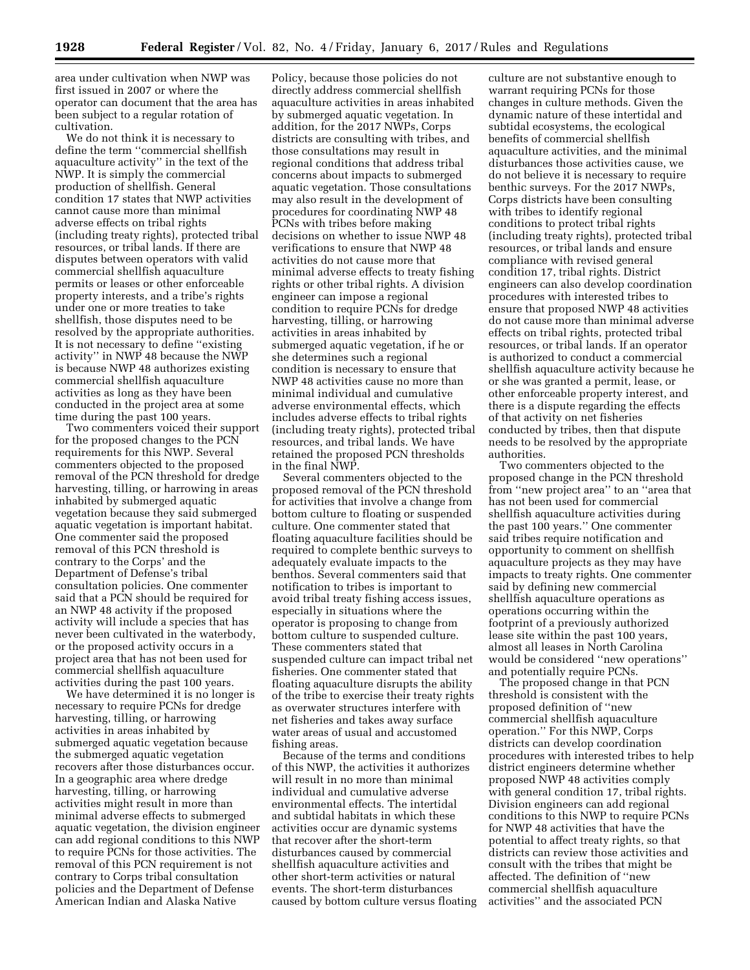area under cultivation when NWP was first issued in 2007 or where the operator can document that the area has been subject to a regular rotation of cultivation.

We do not think it is necessary to define the term ''commercial shellfish aquaculture activity'' in the text of the NWP. It is simply the commercial production of shellfish. General condition 17 states that NWP activities cannot cause more than minimal adverse effects on tribal rights (including treaty rights), protected tribal resources, or tribal lands. If there are disputes between operators with valid commercial shellfish aquaculture permits or leases or other enforceable property interests, and a tribe's rights under one or more treaties to take shellfish, those disputes need to be resolved by the appropriate authorities. It is not necessary to define ''existing activity'' in NWP 48 because the NWP is because NWP 48 authorizes existing commercial shellfish aquaculture activities as long as they have been conducted in the project area at some time during the past 100 years.

Two commenters voiced their support for the proposed changes to the PCN requirements for this NWP. Several commenters objected to the proposed removal of the PCN threshold for dredge harvesting, tilling, or harrowing in areas inhabited by submerged aquatic vegetation because they said submerged aquatic vegetation is important habitat. One commenter said the proposed removal of this PCN threshold is contrary to the Corps' and the Department of Defense's tribal consultation policies. One commenter said that a PCN should be required for an NWP 48 activity if the proposed activity will include a species that has never been cultivated in the waterbody, or the proposed activity occurs in a project area that has not been used for commercial shellfish aquaculture activities during the past 100 years.

We have determined it is no longer is necessary to require PCNs for dredge harvesting, tilling, or harrowing activities in areas inhabited by submerged aquatic vegetation because the submerged aquatic vegetation recovers after those disturbances occur. In a geographic area where dredge harvesting, tilling, or harrowing activities might result in more than minimal adverse effects to submerged aquatic vegetation, the division engineer can add regional conditions to this NWP to require PCNs for those activities. The removal of this PCN requirement is not contrary to Corps tribal consultation policies and the Department of Defense American Indian and Alaska Native

Policy, because those policies do not directly address commercial shellfish aquaculture activities in areas inhabited by submerged aquatic vegetation. In addition, for the 2017 NWPs, Corps districts are consulting with tribes, and those consultations may result in regional conditions that address tribal concerns about impacts to submerged aquatic vegetation. Those consultations may also result in the development of procedures for coordinating NWP 48 PCNs with tribes before making decisions on whether to issue NWP 48 verifications to ensure that NWP 48 activities do not cause more that minimal adverse effects to treaty fishing rights or other tribal rights. A division engineer can impose a regional condition to require PCNs for dredge harvesting, tilling, or harrowing activities in areas inhabited by submerged aquatic vegetation, if he or she determines such a regional condition is necessary to ensure that NWP 48 activities cause no more than minimal individual and cumulative adverse environmental effects, which includes adverse effects to tribal rights (including treaty rights), protected tribal resources, and tribal lands. We have retained the proposed PCN thresholds in the final NWP.

Several commenters objected to the proposed removal of the PCN threshold for activities that involve a change from bottom culture to floating or suspended culture. One commenter stated that floating aquaculture facilities should be required to complete benthic surveys to adequately evaluate impacts to the benthos. Several commenters said that notification to tribes is important to avoid tribal treaty fishing access issues, especially in situations where the operator is proposing to change from bottom culture to suspended culture. These commenters stated that suspended culture can impact tribal net fisheries. One commenter stated that floating aquaculture disrupts the ability of the tribe to exercise their treaty rights as overwater structures interfere with net fisheries and takes away surface water areas of usual and accustomed fishing areas.

Because of the terms and conditions of this NWP, the activities it authorizes will result in no more than minimal individual and cumulative adverse environmental effects. The intertidal and subtidal habitats in which these activities occur are dynamic systems that recover after the short-term disturbances caused by commercial shellfish aquaculture activities and other short-term activities or natural events. The short-term disturbances caused by bottom culture versus floating

culture are not substantive enough to warrant requiring PCNs for those changes in culture methods. Given the dynamic nature of these intertidal and subtidal ecosystems, the ecological benefits of commercial shellfish aquaculture activities, and the minimal disturbances those activities cause, we do not believe it is necessary to require benthic surveys. For the 2017 NWPs, Corps districts have been consulting with tribes to identify regional conditions to protect tribal rights (including treaty rights), protected tribal resources, or tribal lands and ensure compliance with revised general condition 17, tribal rights. District engineers can also develop coordination procedures with interested tribes to ensure that proposed NWP 48 activities do not cause more than minimal adverse effects on tribal rights, protected tribal resources, or tribal lands. If an operator is authorized to conduct a commercial shellfish aquaculture activity because he or she was granted a permit, lease, or other enforceable property interest, and there is a dispute regarding the effects of that activity on net fisheries conducted by tribes, then that dispute needs to be resolved by the appropriate authorities.

Two commenters objected to the proposed change in the PCN threshold from ''new project area'' to an ''area that has not been used for commercial shellfish aquaculture activities during the past 100 years.'' One commenter said tribes require notification and opportunity to comment on shellfish aquaculture projects as they may have impacts to treaty rights. One commenter said by defining new commercial shellfish aquaculture operations as operations occurring within the footprint of a previously authorized lease site within the past 100 years, almost all leases in North Carolina would be considered ''new operations'' and potentially require PCNs.

The proposed change in that PCN threshold is consistent with the proposed definition of ''new commercial shellfish aquaculture operation.'' For this NWP, Corps districts can develop coordination procedures with interested tribes to help district engineers determine whether proposed NWP 48 activities comply with general condition 17, tribal rights. Division engineers can add regional conditions to this NWP to require PCNs for NWP 48 activities that have the potential to affect treaty rights, so that districts can review those activities and consult with the tribes that might be affected. The definition of ''new commercial shellfish aquaculture activities'' and the associated PCN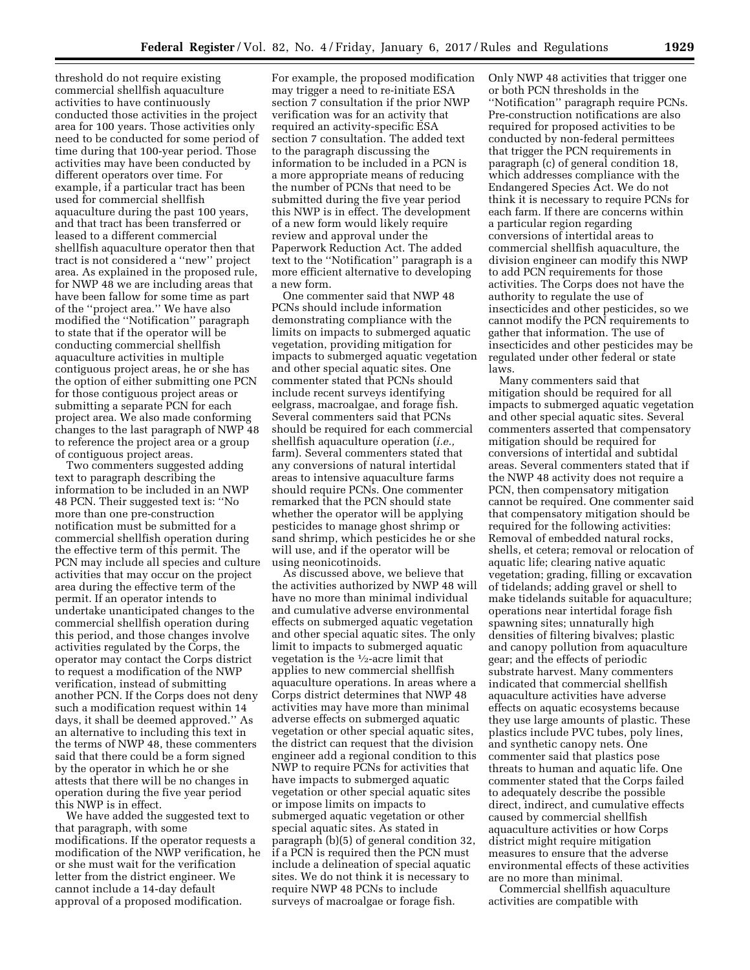threshold do not require existing commercial shellfish aquaculture activities to have continuously conducted those activities in the project area for 100 years. Those activities only need to be conducted for some period of time during that 100-year period. Those activities may have been conducted by different operators over time. For example, if a particular tract has been used for commercial shellfish aquaculture during the past 100 years, and that tract has been transferred or leased to a different commercial shellfish aquaculture operator then that tract is not considered a ''new'' project area. As explained in the proposed rule, for NWP 48 we are including areas that have been fallow for some time as part of the ''project area.'' We have also modified the ''Notification'' paragraph to state that if the operator will be conducting commercial shellfish aquaculture activities in multiple contiguous project areas, he or she has the option of either submitting one PCN for those contiguous project areas or submitting a separate PCN for each project area. We also made conforming changes to the last paragraph of NWP 48 to reference the project area or a group of contiguous project areas.

Two commenters suggested adding text to paragraph describing the information to be included in an NWP 48 PCN. Their suggested text is: ''No more than one pre-construction notification must be submitted for a commercial shellfish operation during the effective term of this permit. The PCN may include all species and culture activities that may occur on the project area during the effective term of the permit. If an operator intends to undertake unanticipated changes to the commercial shellfish operation during this period, and those changes involve activities regulated by the Corps, the operator may contact the Corps district to request a modification of the NWP verification, instead of submitting another PCN. If the Corps does not deny such a modification request within 14 days, it shall be deemed approved.'' As an alternative to including this text in the terms of NWP 48, these commenters said that there could be a form signed by the operator in which he or she attests that there will be no changes in operation during the five year period this NWP is in effect.

We have added the suggested text to that paragraph, with some modifications. If the operator requests a modification of the NWP verification, he or she must wait for the verification letter from the district engineer. We cannot include a 14-day default approval of a proposed modification.

For example, the proposed modification may trigger a need to re-initiate ESA section 7 consultation if the prior NWP verification was for an activity that required an activity-specific ESA section 7 consultation. The added text to the paragraph discussing the information to be included in a PCN is a more appropriate means of reducing the number of PCNs that need to be submitted during the five year period this NWP is in effect. The development of a new form would likely require review and approval under the Paperwork Reduction Act. The added text to the ''Notification'' paragraph is a more efficient alternative to developing a new form.

One commenter said that NWP 48 PCNs should include information demonstrating compliance with the limits on impacts to submerged aquatic vegetation, providing mitigation for impacts to submerged aquatic vegetation and other special aquatic sites. One commenter stated that PCNs should include recent surveys identifying eelgrass, macroalgae, and forage fish. Several commenters said that PCNs should be required for each commercial shellfish aquaculture operation (*i.e.,*  farm). Several commenters stated that any conversions of natural intertidal areas to intensive aquaculture farms should require PCNs. One commenter remarked that the PCN should state whether the operator will be applying pesticides to manage ghost shrimp or sand shrimp, which pesticides he or she will use, and if the operator will be using neonicotinoids.

As discussed above, we believe that the activities authorized by NWP 48 will have no more than minimal individual and cumulative adverse environmental effects on submerged aquatic vegetation and other special aquatic sites. The only limit to impacts to submerged aquatic vegetation is the  $\frac{1}{2}$ -acre limit that applies to new commercial shellfish aquaculture operations. In areas where a Corps district determines that NWP 48 activities may have more than minimal adverse effects on submerged aquatic vegetation or other special aquatic sites, the district can request that the division engineer add a regional condition to this NWP to require PCNs for activities that have impacts to submerged aquatic vegetation or other special aquatic sites or impose limits on impacts to submerged aquatic vegetation or other special aquatic sites. As stated in paragraph (b)(5) of general condition 32, if a PCN is required then the PCN must include a delineation of special aquatic sites. We do not think it is necessary to require NWP 48 PCNs to include surveys of macroalgae or forage fish.

Only NWP 48 activities that trigger one or both PCN thresholds in the ''Notification'' paragraph require PCNs. Pre-construction notifications are also required for proposed activities to be conducted by non-federal permittees that trigger the PCN requirements in paragraph (c) of general condition 18, which addresses compliance with the Endangered Species Act. We do not think it is necessary to require PCNs for each farm. If there are concerns within a particular region regarding conversions of intertidal areas to commercial shellfish aquaculture, the division engineer can modify this NWP to add PCN requirements for those activities. The Corps does not have the authority to regulate the use of insecticides and other pesticides, so we cannot modify the PCN requirements to gather that information. The use of insecticides and other pesticides may be regulated under other federal or state laws.

Many commenters said that mitigation should be required for all impacts to submerged aquatic vegetation and other special aquatic sites. Several commenters asserted that compensatory mitigation should be required for conversions of intertidal and subtidal areas. Several commenters stated that if the NWP 48 activity does not require a PCN, then compensatory mitigation cannot be required. One commenter said that compensatory mitigation should be required for the following activities: Removal of embedded natural rocks, shells, et cetera; removal or relocation of aquatic life; clearing native aquatic vegetation; grading, filling or excavation of tidelands; adding gravel or shell to make tidelands suitable for aquaculture; operations near intertidal forage fish spawning sites; unnaturally high densities of filtering bivalves; plastic and canopy pollution from aquaculture gear; and the effects of periodic substrate harvest. Many commenters indicated that commercial shellfish aquaculture activities have adverse effects on aquatic ecosystems because they use large amounts of plastic. These plastics include PVC tubes, poly lines, and synthetic canopy nets. One commenter said that plastics pose threats to human and aquatic life. One commenter stated that the Corps failed to adequately describe the possible direct, indirect, and cumulative effects caused by commercial shellfish aquaculture activities or how Corps district might require mitigation measures to ensure that the adverse environmental effects of these activities are no more than minimal.

Commercial shellfish aquaculture activities are compatible with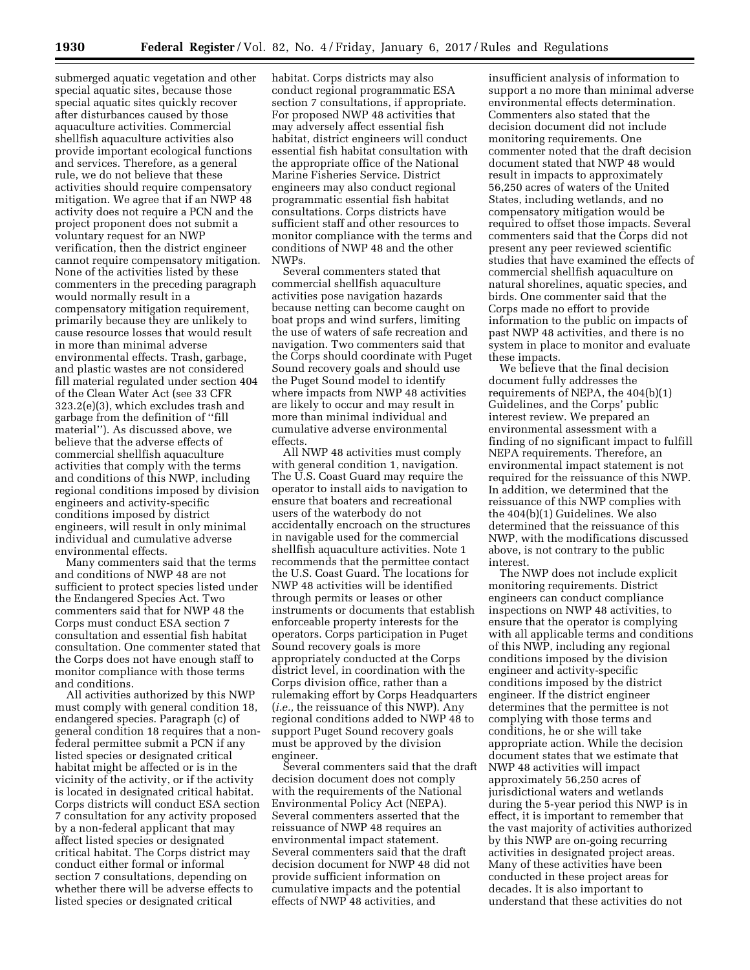submerged aquatic vegetation and other special aquatic sites, because those special aquatic sites quickly recover after disturbances caused by those aquaculture activities. Commercial shellfish aquaculture activities also provide important ecological functions and services. Therefore, as a general rule, we do not believe that these activities should require compensatory mitigation. We agree that if an NWP 48 activity does not require a PCN and the project proponent does not submit a voluntary request for an NWP verification, then the district engineer cannot require compensatory mitigation. None of the activities listed by these commenters in the preceding paragraph would normally result in a compensatory mitigation requirement, primarily because they are unlikely to cause resource losses that would result in more than minimal adverse environmental effects. Trash, garbage, and plastic wastes are not considered fill material regulated under section 404 of the Clean Water Act (see 33 CFR 323.2(e)(3), which excludes trash and garbage from the definition of ''fill material''). As discussed above, we believe that the adverse effects of commercial shellfish aquaculture activities that comply with the terms and conditions of this NWP, including regional conditions imposed by division engineers and activity-specific conditions imposed by district engineers, will result in only minimal individual and cumulative adverse environmental effects.

Many commenters said that the terms and conditions of NWP 48 are not sufficient to protect species listed under the Endangered Species Act. Two commenters said that for NWP 48 the Corps must conduct ESA section 7 consultation and essential fish habitat consultation. One commenter stated that the Corps does not have enough staff to monitor compliance with those terms and conditions.

All activities authorized by this NWP must comply with general condition 18, endangered species. Paragraph (c) of general condition 18 requires that a nonfederal permittee submit a PCN if any listed species or designated critical habitat might be affected or is in the vicinity of the activity, or if the activity is located in designated critical habitat. Corps districts will conduct ESA section 7 consultation for any activity proposed by a non-federal applicant that may affect listed species or designated critical habitat. The Corps district may conduct either formal or informal section 7 consultations, depending on whether there will be adverse effects to listed species or designated critical

habitat. Corps districts may also conduct regional programmatic ESA section 7 consultations, if appropriate. For proposed NWP 48 activities that may adversely affect essential fish habitat, district engineers will conduct essential fish habitat consultation with the appropriate office of the National Marine Fisheries Service. District engineers may also conduct regional programmatic essential fish habitat consultations. Corps districts have sufficient staff and other resources to monitor compliance with the terms and conditions of NWP 48 and the other NWPs.

Several commenters stated that commercial shellfish aquaculture activities pose navigation hazards because netting can become caught on boat props and wind surfers, limiting the use of waters of safe recreation and navigation. Two commenters said that the Corps should coordinate with Puget Sound recovery goals and should use the Puget Sound model to identify where impacts from NWP 48 activities are likely to occur and may result in more than minimal individual and cumulative adverse environmental effects.

All NWP 48 activities must comply with general condition 1, navigation. The U.S. Coast Guard may require the operator to install aids to navigation to ensure that boaters and recreational users of the waterbody do not accidentally encroach on the structures in navigable used for the commercial shellfish aquaculture activities. Note 1 recommends that the permittee contact the U.S. Coast Guard. The locations for NWP 48 activities will be identified through permits or leases or other instruments or documents that establish enforceable property interests for the operators. Corps participation in Puget Sound recovery goals is more appropriately conducted at the Corps district level, in coordination with the Corps division office, rather than a rulemaking effort by Corps Headquarters (*i.e.,* the reissuance of this NWP). Any regional conditions added to NWP 48 to support Puget Sound recovery goals must be approved by the division engineer.

Several commenters said that the draft decision document does not comply with the requirements of the National Environmental Policy Act (NEPA). Several commenters asserted that the reissuance of NWP 48 requires an environmental impact statement. Several commenters said that the draft decision document for NWP 48 did not provide sufficient information on cumulative impacts and the potential effects of NWP 48 activities, and

insufficient analysis of information to support a no more than minimal adverse environmental effects determination. Commenters also stated that the decision document did not include monitoring requirements. One commenter noted that the draft decision document stated that NWP 48 would result in impacts to approximately 56,250 acres of waters of the United States, including wetlands, and no compensatory mitigation would be required to offset those impacts. Several commenters said that the Corps did not present any peer reviewed scientific studies that have examined the effects of commercial shellfish aquaculture on natural shorelines, aquatic species, and birds. One commenter said that the Corps made no effort to provide information to the public on impacts of past NWP 48 activities, and there is no system in place to monitor and evaluate these impacts.

We believe that the final decision document fully addresses the requirements of NEPA, the 404(b)(1) Guidelines, and the Corps' public interest review. We prepared an environmental assessment with a finding of no significant impact to fulfill NEPA requirements. Therefore, an environmental impact statement is not required for the reissuance of this NWP. In addition, we determined that the reissuance of this NWP complies with the 404(b)(1) Guidelines. We also determined that the reissuance of this NWP, with the modifications discussed above, is not contrary to the public interest.

The NWP does not include explicit monitoring requirements. District engineers can conduct compliance inspections on NWP 48 activities, to ensure that the operator is complying with all applicable terms and conditions of this NWP, including any regional conditions imposed by the division engineer and activity-specific conditions imposed by the district engineer. If the district engineer determines that the permittee is not complying with those terms and conditions, he or she will take appropriate action. While the decision document states that we estimate that NWP 48 activities will impact approximately 56,250 acres of jurisdictional waters and wetlands during the 5-year period this NWP is in effect, it is important to remember that the vast majority of activities authorized by this NWP are on-going recurring activities in designated project areas. Many of these activities have been conducted in these project areas for decades. It is also important to understand that these activities do not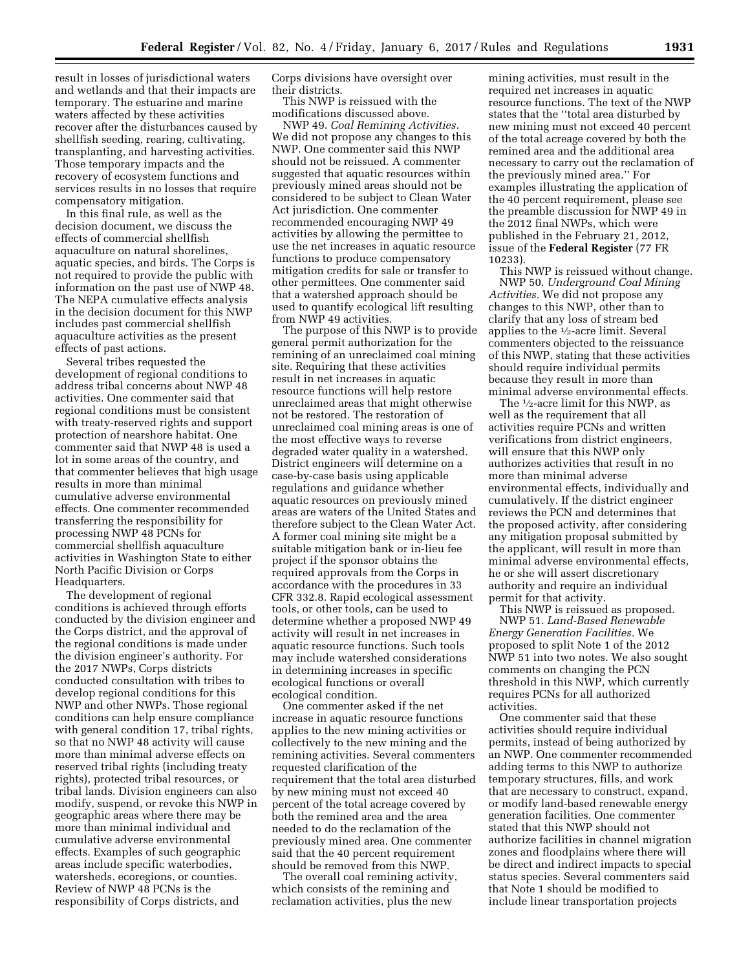result in losses of jurisdictional waters and wetlands and that their impacts are temporary. The estuarine and marine waters affected by these activities recover after the disturbances caused by shellfish seeding, rearing, cultivating, transplanting, and harvesting activities. Those temporary impacts and the recovery of ecosystem functions and services results in no losses that require compensatory mitigation.

In this final rule, as well as the decision document, we discuss the effects of commercial shellfish aquaculture on natural shorelines, aquatic species, and birds. The Corps is not required to provide the public with information on the past use of NWP 48. The NEPA cumulative effects analysis in the decision document for this NWP includes past commercial shellfish aquaculture activities as the present effects of past actions.

Several tribes requested the development of regional conditions to address tribal concerns about NWP 48 activities. One commenter said that regional conditions must be consistent with treaty-reserved rights and support protection of nearshore habitat. One commenter said that NWP 48 is used a lot in some areas of the country, and that commenter believes that high usage results in more than minimal cumulative adverse environmental effects. One commenter recommended transferring the responsibility for processing NWP 48 PCNs for commercial shellfish aquaculture activities in Washington State to either North Pacific Division or Corps Headquarters.

The development of regional conditions is achieved through efforts conducted by the division engineer and the Corps district, and the approval of the regional conditions is made under the division engineer's authority. For the 2017 NWPs, Corps districts conducted consultation with tribes to develop regional conditions for this NWP and other NWPs. Those regional conditions can help ensure compliance with general condition 17, tribal rights, so that no NWP 48 activity will cause more than minimal adverse effects on reserved tribal rights (including treaty rights), protected tribal resources, or tribal lands. Division engineers can also modify, suspend, or revoke this NWP in geographic areas where there may be more than minimal individual and cumulative adverse environmental effects. Examples of such geographic areas include specific waterbodies, watersheds, ecoregions, or counties. Review of NWP 48 PCNs is the responsibility of Corps districts, and

Corps divisions have oversight over their districts.

This NWP is reissued with the modifications discussed above.

NWP 49. *Coal Remining Activities.*  We did not propose any changes to this NWP. One commenter said this NWP should not be reissued. A commenter suggested that aquatic resources within previously mined areas should not be considered to be subject to Clean Water Act jurisdiction. One commenter recommended encouraging NWP 49 activities by allowing the permittee to use the net increases in aquatic resource functions to produce compensatory mitigation credits for sale or transfer to other permittees. One commenter said that a watershed approach should be used to quantify ecological lift resulting from NWP 49 activities.

The purpose of this NWP is to provide general permit authorization for the remining of an unreclaimed coal mining site. Requiring that these activities result in net increases in aquatic resource functions will help restore unreclaimed areas that might otherwise not be restored. The restoration of unreclaimed coal mining areas is one of the most effective ways to reverse degraded water quality in a watershed. District engineers will determine on a case-by-case basis using applicable regulations and guidance whether aquatic resources on previously mined areas are waters of the United States and therefore subject to the Clean Water Act. A former coal mining site might be a suitable mitigation bank or in-lieu fee project if the sponsor obtains the required approvals from the Corps in accordance with the procedures in 33 CFR 332.8. Rapid ecological assessment tools, or other tools, can be used to determine whether a proposed NWP 49 activity will result in net increases in aquatic resource functions. Such tools may include watershed considerations in determining increases in specific ecological functions or overall ecological condition.

One commenter asked if the net increase in aquatic resource functions applies to the new mining activities or collectively to the new mining and the remining activities. Several commenters requested clarification of the requirement that the total area disturbed by new mining must not exceed 40 percent of the total acreage covered by both the remined area and the area needed to do the reclamation of the previously mined area. One commenter said that the 40 percent requirement should be removed from this NWP.

The overall coal remining activity, which consists of the remining and reclamation activities, plus the new

mining activities, must result in the required net increases in aquatic resource functions. The text of the NWP states that the ''total area disturbed by new mining must not exceed 40 percent of the total acreage covered by both the remined area and the additional area necessary to carry out the reclamation of the previously mined area.'' For examples illustrating the application of the 40 percent requirement, please see the preamble discussion for NWP 49 in the 2012 final NWPs, which were published in the February 21, 2012, issue of the **Federal Register** (77 FR 10233).

This NWP is reissued without change. NWP 50. *Underground Coal Mining Activities.* We did not propose any changes to this NWP, other than to clarify that any loss of stream bed applies to the 1⁄2-acre limit. Several commenters objected to the reissuance of this NWP, stating that these activities should require individual permits because they result in more than minimal adverse environmental effects.

The 1⁄2-acre limit for this NWP, as well as the requirement that all activities require PCNs and written verifications from district engineers, will ensure that this NWP only authorizes activities that result in no more than minimal adverse environmental effects, individually and cumulatively. If the district engineer reviews the PCN and determines that the proposed activity, after considering any mitigation proposal submitted by the applicant, will result in more than minimal adverse environmental effects, he or she will assert discretionary authority and require an individual permit for that activity.

This NWP is reissued as proposed. NWP 51. *Land-Based Renewable Energy Generation Facilities.* We proposed to split Note 1 of the 2012 NWP 51 into two notes. We also sought comments on changing the PCN threshold in this NWP, which currently requires PCNs for all authorized activities.

One commenter said that these activities should require individual permits, instead of being authorized by an NWP. One commenter recommended adding terms to this NWP to authorize temporary structures, fills, and work that are necessary to construct, expand, or modify land-based renewable energy generation facilities. One commenter stated that this NWP should not authorize facilities in channel migration zones and floodplains where there will be direct and indirect impacts to special status species. Several commenters said that Note 1 should be modified to include linear transportation projects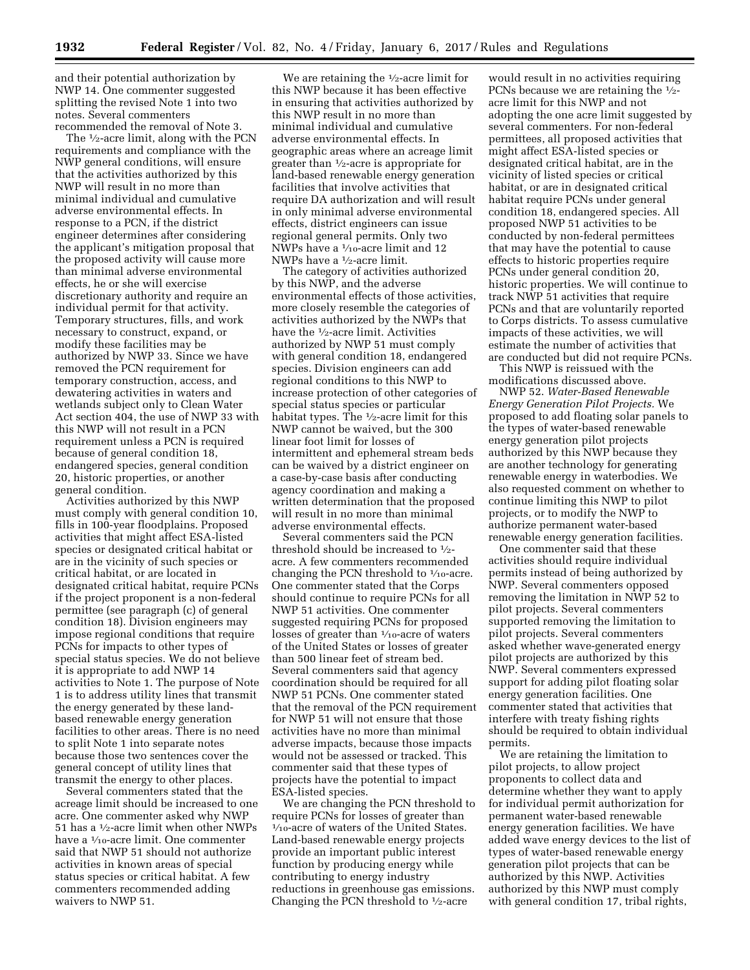and their potential authorization by NWP 14. One commenter suggested splitting the revised Note 1 into two notes. Several commenters recommended the removal of Note 3.

The 1⁄2-acre limit, along with the PCN requirements and compliance with the NWP general conditions, will ensure that the activities authorized by this NWP will result in no more than minimal individual and cumulative adverse environmental effects. In response to a PCN, if the district engineer determines after considering the applicant's mitigation proposal that the proposed activity will cause more than minimal adverse environmental effects, he or she will exercise discretionary authority and require an individual permit for that activity. Temporary structures, fills, and work necessary to construct, expand, or modify these facilities may be authorized by NWP 33. Since we have removed the PCN requirement for temporary construction, access, and dewatering activities in waters and wetlands subject only to Clean Water Act section 404, the use of NWP 33 with this NWP will not result in a PCN requirement unless a PCN is required because of general condition 18, endangered species, general condition 20, historic properties, or another general condition.

Activities authorized by this NWP must comply with general condition 10, fills in 100-year floodplains. Proposed activities that might affect ESA-listed species or designated critical habitat or are in the vicinity of such species or critical habitat, or are located in designated critical habitat, require PCNs if the project proponent is a non-federal permittee (see paragraph (c) of general condition 18). Division engineers may impose regional conditions that require PCNs for impacts to other types of special status species. We do not believe it is appropriate to add NWP 14 activities to Note 1. The purpose of Note 1 is to address utility lines that transmit the energy generated by these landbased renewable energy generation facilities to other areas. There is no need to split Note 1 into separate notes because those two sentences cover the general concept of utility lines that transmit the energy to other places.

Several commenters stated that the acreage limit should be increased to one acre. One commenter asked why NWP 51 has a 1⁄2-acre limit when other NWPs have a 1⁄10-acre limit. One commenter said that NWP 51 should not authorize activities in known areas of special status species or critical habitat. A few commenters recommended adding waivers to NWP 51.

We are retaining the <sup>1</sup>/<sub>2</sub>-acre limit for this NWP because it has been effective in ensuring that activities authorized by this NWP result in no more than minimal individual and cumulative adverse environmental effects. In geographic areas where an acreage limit greater than 1⁄2-acre is appropriate for land-based renewable energy generation facilities that involve activities that require DA authorization and will result in only minimal adverse environmental effects, district engineers can issue regional general permits. Only two NWPs have a 1/10-acre limit and 12 NWPs have a 1⁄2-acre limit.

The category of activities authorized by this NWP, and the adverse environmental effects of those activities, more closely resemble the categories of activities authorized by the NWPs that have the 1⁄2-acre limit. Activities authorized by NWP 51 must comply with general condition 18, endangered species. Division engineers can add regional conditions to this NWP to increase protection of other categories of special status species or particular habitat types. The <sup>1</sup>/<sub>2</sub>-acre limit for this NWP cannot be waived, but the 300 linear foot limit for losses of intermittent and ephemeral stream beds can be waived by a district engineer on a case-by-case basis after conducting agency coordination and making a written determination that the proposed will result in no more than minimal adverse environmental effects.

Several commenters said the PCN threshold should be increased to  $\frac{1}{2}$ acre. A few commenters recommended changing the PCN threshold to  $\frac{1}{10}$ -acre. One commenter stated that the Corps should continue to require PCNs for all NWP 51 activities. One commenter suggested requiring PCNs for proposed losses of greater than 1⁄10-acre of waters of the United States or losses of greater than 500 linear feet of stream bed. Several commenters said that agency coordination should be required for all NWP 51 PCNs. One commenter stated that the removal of the PCN requirement for NWP 51 will not ensure that those activities have no more than minimal adverse impacts, because those impacts would not be assessed or tracked. This commenter said that these types of projects have the potential to impact ESA-listed species.

We are changing the PCN threshold to require PCNs for losses of greater than <sup>1</sup>/10-acre of waters of the United States. Land-based renewable energy projects provide an important public interest function by producing energy while contributing to energy industry reductions in greenhouse gas emissions. Changing the PCN threshold to  $\frac{1}{2}$ -acre

would result in no activities requiring PCNs because we are retaining the  $\frac{1}{2}$ acre limit for this NWP and not adopting the one acre limit suggested by several commenters. For non-federal permittees, all proposed activities that might affect ESA-listed species or designated critical habitat, are in the vicinity of listed species or critical habitat, or are in designated critical habitat require PCNs under general condition 18, endangered species. All proposed NWP 51 activities to be conducted by non-federal permittees that may have the potential to cause effects to historic properties require PCNs under general condition 20, historic properties. We will continue to track NWP 51 activities that require PCNs and that are voluntarily reported to Corps districts. To assess cumulative impacts of these activities, we will estimate the number of activities that are conducted but did not require PCNs.

This NWP is reissued with the modifications discussed above.

NWP 52. *Water-Based Renewable Energy Generation Pilot Projects.* We proposed to add floating solar panels to the types of water-based renewable energy generation pilot projects authorized by this NWP because they are another technology for generating renewable energy in waterbodies. We also requested comment on whether to continue limiting this NWP to pilot projects, or to modify the NWP to authorize permanent water-based renewable energy generation facilities.

One commenter said that these activities should require individual permits instead of being authorized by NWP. Several commenters opposed removing the limitation in NWP 52 to pilot projects. Several commenters supported removing the limitation to pilot projects. Several commenters asked whether wave-generated energy pilot projects are authorized by this NWP. Several commenters expressed support for adding pilot floating solar energy generation facilities. One commenter stated that activities that interfere with treaty fishing rights should be required to obtain individual permits.

We are retaining the limitation to pilot projects, to allow project proponents to collect data and determine whether they want to apply for individual permit authorization for permanent water-based renewable energy generation facilities. We have added wave energy devices to the list of types of water-based renewable energy generation pilot projects that can be authorized by this NWP. Activities authorized by this NWP must comply with general condition 17, tribal rights,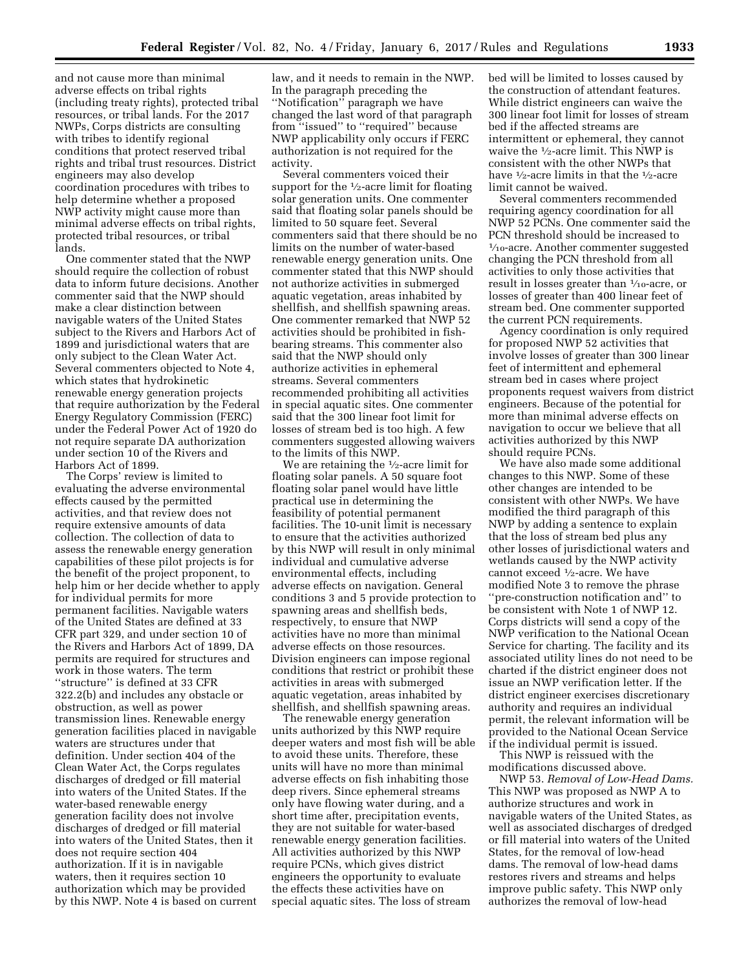and not cause more than minimal adverse effects on tribal rights (including treaty rights), protected tribal resources, or tribal lands. For the 2017 NWPs, Corps districts are consulting with tribes to identify regional conditions that protect reserved tribal rights and tribal trust resources. District engineers may also develop coordination procedures with tribes to help determine whether a proposed NWP activity might cause more than minimal adverse effects on tribal rights, protected tribal resources, or tribal lands.

One commenter stated that the NWP should require the collection of robust data to inform future decisions. Another commenter said that the NWP should make a clear distinction between navigable waters of the United States subject to the Rivers and Harbors Act of 1899 and jurisdictional waters that are only subject to the Clean Water Act. Several commenters objected to Note 4, which states that hydrokinetic renewable energy generation projects that require authorization by the Federal Energy Regulatory Commission (FERC) under the Federal Power Act of 1920 do not require separate DA authorization under section 10 of the Rivers and Harbors Act of 1899.

The Corps' review is limited to evaluating the adverse environmental effects caused by the permitted activities, and that review does not require extensive amounts of data collection. The collection of data to assess the renewable energy generation capabilities of these pilot projects is for the benefit of the project proponent, to help him or her decide whether to apply for individual permits for more permanent facilities. Navigable waters of the United States are defined at 33 CFR part 329, and under section 10 of the Rivers and Harbors Act of 1899, DA permits are required for structures and work in those waters. The term ''structure'' is defined at 33 CFR 322.2(b) and includes any obstacle or obstruction, as well as power transmission lines. Renewable energy generation facilities placed in navigable waters are structures under that definition. Under section 404 of the Clean Water Act, the Corps regulates discharges of dredged or fill material into waters of the United States. If the water-based renewable energy generation facility does not involve discharges of dredged or fill material into waters of the United States, then it does not require section 404 authorization. If it is in navigable waters, then it requires section 10 authorization which may be provided by this NWP. Note 4 is based on current

law, and it needs to remain in the NWP. In the paragraph preceding the ''Notification'' paragraph we have changed the last word of that paragraph from ''issued'' to ''required'' because NWP applicability only occurs if FERC authorization is not required for the activity.

Several commenters voiced their support for the  $\frac{1}{2}$ -acre limit for floating solar generation units. One commenter said that floating solar panels should be limited to 50 square feet. Several commenters said that there should be no limits on the number of water-based renewable energy generation units. One commenter stated that this NWP should not authorize activities in submerged aquatic vegetation, areas inhabited by shellfish, and shellfish spawning areas. One commenter remarked that NWP 52 activities should be prohibited in fishbearing streams. This commenter also said that the NWP should only authorize activities in ephemeral streams. Several commenters recommended prohibiting all activities in special aquatic sites. One commenter said that the 300 linear foot limit for losses of stream bed is too high. A few commenters suggested allowing waivers to the limits of this NWP.

We are retaining the <sup>1</sup>/2-acre limit for floating solar panels. A 50 square foot floating solar panel would have little practical use in determining the feasibility of potential permanent facilities. The 10-unit limit is necessary to ensure that the activities authorized by this NWP will result in only minimal individual and cumulative adverse environmental effects, including adverse effects on navigation. General conditions 3 and 5 provide protection to spawning areas and shellfish beds, respectively, to ensure that NWP activities have no more than minimal adverse effects on those resources. Division engineers can impose regional conditions that restrict or prohibit these activities in areas with submerged aquatic vegetation, areas inhabited by shellfish, and shellfish spawning areas.

The renewable energy generation units authorized by this NWP require deeper waters and most fish will be able to avoid these units. Therefore, these units will have no more than minimal adverse effects on fish inhabiting those deep rivers. Since ephemeral streams only have flowing water during, and a short time after, precipitation events, they are not suitable for water-based renewable energy generation facilities. All activities authorized by this NWP require PCNs, which gives district engineers the opportunity to evaluate the effects these activities have on special aquatic sites. The loss of stream

bed will be limited to losses caused by the construction of attendant features. While district engineers can waive the 300 linear foot limit for losses of stream bed if the affected streams are intermittent or ephemeral, they cannot waive the <sup>1</sup>/2-acre limit. This NWP is consistent with the other NWPs that have <sup>1</sup>/<sub>2</sub>-acre limits in that the <sup>1</sup>/<sub>2</sub>-acre limit cannot be waived.

Several commenters recommended requiring agency coordination for all NWP 52 PCNs. One commenter said the PCN threshold should be increased to 1⁄10-acre. Another commenter suggested changing the PCN threshold from all activities to only those activities that result in losses greater than 1⁄10-acre, or losses of greater than 400 linear feet of stream bed. One commenter supported the current PCN requirements.

Agency coordination is only required for proposed NWP 52 activities that involve losses of greater than 300 linear feet of intermittent and ephemeral stream bed in cases where project proponents request waivers from district engineers. Because of the potential for more than minimal adverse effects on navigation to occur we believe that all activities authorized by this NWP should require PCNs.

We have also made some additional changes to this NWP. Some of these other changes are intended to be consistent with other NWPs. We have modified the third paragraph of this NWP by adding a sentence to explain that the loss of stream bed plus any other losses of jurisdictional waters and wetlands caused by the NWP activity cannot exceed 1/2-acre. We have modified Note 3 to remove the phrase ''pre-construction notification and'' to be consistent with Note 1 of NWP 12. Corps districts will send a copy of the NWP verification to the National Ocean Service for charting. The facility and its associated utility lines do not need to be charted if the district engineer does not issue an NWP verification letter. If the district engineer exercises discretionary authority and requires an individual permit, the relevant information will be provided to the National Ocean Service if the individual permit is issued.

This NWP is reissued with the modifications discussed above.

NWP 53. *Removal of Low-Head Dams.*  This NWP was proposed as NWP A to authorize structures and work in navigable waters of the United States, as well as associated discharges of dredged or fill material into waters of the United States, for the removal of low-head dams. The removal of low-head dams restores rivers and streams and helps improve public safety. This NWP only authorizes the removal of low-head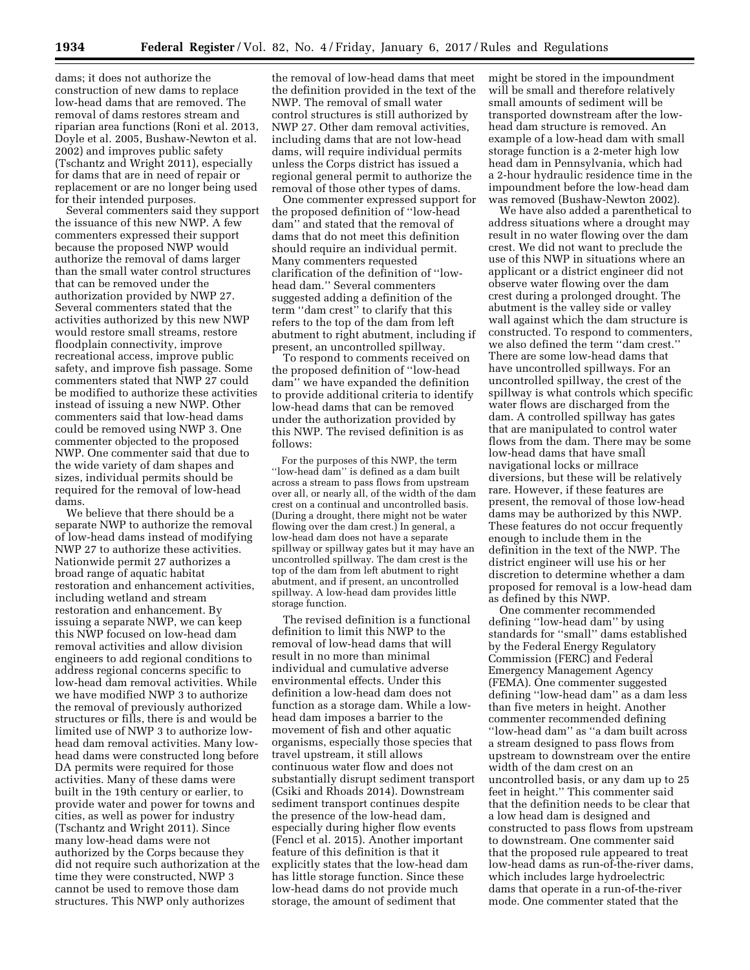dams; it does not authorize the construction of new dams to replace low-head dams that are removed. The removal of dams restores stream and riparian area functions (Roni et al. 2013, Doyle et al. 2005, Bushaw-Newton et al. 2002) and improves public safety (Tschantz and Wright 2011), especially for dams that are in need of repair or replacement or are no longer being used for their intended purposes.

Several commenters said they support the issuance of this new NWP. A few commenters expressed their support because the proposed NWP would authorize the removal of dams larger than the small water control structures that can be removed under the authorization provided by NWP 27. Several commenters stated that the activities authorized by this new NWP would restore small streams, restore floodplain connectivity, improve recreational access, improve public safety, and improve fish passage. Some commenters stated that NWP 27 could be modified to authorize these activities instead of issuing a new NWP. Other commenters said that low-head dams could be removed using NWP 3. One commenter objected to the proposed NWP. One commenter said that due to the wide variety of dam shapes and sizes, individual permits should be required for the removal of low-head dams.

We believe that there should be a separate NWP to authorize the removal of low-head dams instead of modifying NWP 27 to authorize these activities. Nationwide permit 27 authorizes a broad range of aquatic habitat restoration and enhancement activities, including wetland and stream restoration and enhancement. By issuing a separate NWP, we can keep this NWP focused on low-head dam removal activities and allow division engineers to add regional conditions to address regional concerns specific to low-head dam removal activities. While we have modified NWP 3 to authorize the removal of previously authorized structures or fills, there is and would be limited use of NWP 3 to authorize lowhead dam removal activities. Many lowhead dams were constructed long before DA permits were required for those activities. Many of these dams were built in the 19th century or earlier, to provide water and power for towns and cities, as well as power for industry (Tschantz and Wright 2011). Since many low-head dams were not authorized by the Corps because they did not require such authorization at the time they were constructed, NWP 3 cannot be used to remove those dam structures. This NWP only authorizes

the removal of low-head dams that meet the definition provided in the text of the NWP. The removal of small water control structures is still authorized by NWP 27. Other dam removal activities, including dams that are not low-head dams, will require individual permits unless the Corps district has issued a regional general permit to authorize the removal of those other types of dams.

One commenter expressed support for the proposed definition of ''low-head dam'' and stated that the removal of dams that do not meet this definition should require an individual permit. Many commenters requested clarification of the definition of ''lowhead dam.'' Several commenters suggested adding a definition of the term "dam crest" to clarify that this refers to the top of the dam from left abutment to right abutment, including if present, an uncontrolled spillway.

To respond to comments received on the proposed definition of ''low-head dam'' we have expanded the definition to provide additional criteria to identify low-head dams that can be removed under the authorization provided by this NWP. The revised definition is as follows:

For the purposes of this NWP, the term ''low-head dam'' is defined as a dam built across a stream to pass flows from upstream over all, or nearly all, of the width of the dam crest on a continual and uncontrolled basis. (During a drought, there might not be water flowing over the dam crest.) In general, a low-head dam does not have a separate spillway or spillway gates but it may have an uncontrolled spillway. The dam crest is the top of the dam from left abutment to right abutment, and if present, an uncontrolled spillway. A low-head dam provides little storage function.

The revised definition is a functional definition to limit this NWP to the removal of low-head dams that will result in no more than minimal individual and cumulative adverse environmental effects. Under this definition a low-head dam does not function as a storage dam. While a lowhead dam imposes a barrier to the movement of fish and other aquatic organisms, especially those species that travel upstream, it still allows continuous water flow and does not substantially disrupt sediment transport (Csiki and Rhoads 2014). Downstream sediment transport continues despite the presence of the low-head dam, especially during higher flow events (Fencl et al. 2015). Another important feature of this definition is that it explicitly states that the low-head dam has little storage function. Since these low-head dams do not provide much storage, the amount of sediment that

might be stored in the impoundment will be small and therefore relatively small amounts of sediment will be transported downstream after the lowhead dam structure is removed. An example of a low-head dam with small storage function is a 2-meter high low head dam in Pennsylvania, which had a 2-hour hydraulic residence time in the impoundment before the low-head dam was removed (Bushaw-Newton 2002).

We have also added a parenthetical to address situations where a drought may result in no water flowing over the dam crest. We did not want to preclude the use of this NWP in situations where an applicant or a district engineer did not observe water flowing over the dam crest during a prolonged drought. The abutment is the valley side or valley wall against which the dam structure is constructed. To respond to commenters, we also defined the term ''dam crest.'' There are some low-head dams that have uncontrolled spillways. For an uncontrolled spillway, the crest of the spillway is what controls which specific water flows are discharged from the dam. A controlled spillway has gates that are manipulated to control water flows from the dam. There may be some low-head dams that have small navigational locks or millrace diversions, but these will be relatively rare. However, if these features are present, the removal of those low-head dams may be authorized by this NWP. These features do not occur frequently enough to include them in the definition in the text of the NWP. The district engineer will use his or her discretion to determine whether a dam proposed for removal is a low-head dam as defined by this NWP.

One commenter recommended defining ''low-head dam'' by using standards for ''small'' dams established by the Federal Energy Regulatory Commission (FERC) and Federal Emergency Management Agency (FEMA). One commenter suggested defining ''low-head dam'' as a dam less than five meters in height. Another commenter recommended defining ''low-head dam'' as ''a dam built across a stream designed to pass flows from upstream to downstream over the entire width of the dam crest on an uncontrolled basis, or any dam up to 25 feet in height.'' This commenter said that the definition needs to be clear that a low head dam is designed and constructed to pass flows from upstream to downstream. One commenter said that the proposed rule appeared to treat low-head dams as run-of-the-river dams, which includes large hydroelectric dams that operate in a run-of-the-river mode. One commenter stated that the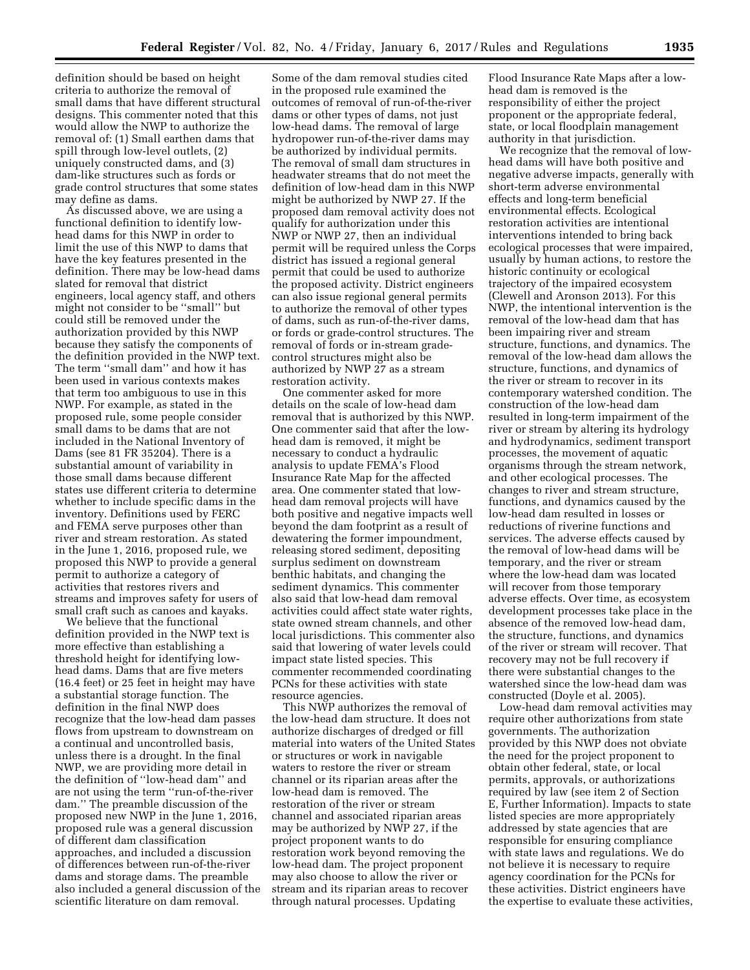definition should be based on height criteria to authorize the removal of small dams that have different structural designs. This commenter noted that this would allow the NWP to authorize the removal of: (1) Small earthen dams that spill through low-level outlets, (2) uniquely constructed dams, and (3) dam-like structures such as fords or grade control structures that some states may define as dams.

As discussed above, we are using a functional definition to identify lowhead dams for this NWP in order to limit the use of this NWP to dams that have the key features presented in the definition. There may be low-head dams slated for removal that district engineers, local agency staff, and others might not consider to be ''small'' but could still be removed under the authorization provided by this NWP because they satisfy the components of the definition provided in the NWP text. The term ''small dam'' and how it has been used in various contexts makes that term too ambiguous to use in this NWP. For example, as stated in the proposed rule, some people consider small dams to be dams that are not included in the National Inventory of Dams (see 81 FR 35204). There is a substantial amount of variability in those small dams because different states use different criteria to determine whether to include specific dams in the inventory. Definitions used by FERC and FEMA serve purposes other than river and stream restoration. As stated in the June 1, 2016, proposed rule, we proposed this NWP to provide a general permit to authorize a category of activities that restores rivers and streams and improves safety for users of small craft such as canoes and kayaks.

We believe that the functional definition provided in the NWP text is more effective than establishing a threshold height for identifying lowhead dams. Dams that are five meters (16.4 feet) or 25 feet in height may have a substantial storage function. The definition in the final NWP does recognize that the low-head dam passes flows from upstream to downstream on a continual and uncontrolled basis, unless there is a drought. In the final NWP, we are providing more detail in the definition of ''low-head dam'' and are not using the term ''run-of-the-river dam.'' The preamble discussion of the proposed new NWP in the June 1, 2016, proposed rule was a general discussion of different dam classification approaches, and included a discussion of differences between run-of-the-river dams and storage dams. The preamble also included a general discussion of the scientific literature on dam removal.

Some of the dam removal studies cited in the proposed rule examined the outcomes of removal of run-of-the-river dams or other types of dams, not just low-head dams. The removal of large hydropower run-of-the-river dams may be authorized by individual permits. The removal of small dam structures in headwater streams that do not meet the definition of low-head dam in this NWP might be authorized by NWP 27. If the proposed dam removal activity does not qualify for authorization under this NWP or NWP 27, then an individual permit will be required unless the Corps district has issued a regional general permit that could be used to authorize the proposed activity. District engineers can also issue regional general permits to authorize the removal of other types of dams, such as run-of-the-river dams, or fords or grade-control structures. The removal of fords or in-stream gradecontrol structures might also be authorized by NWP 27 as a stream restoration activity.

One commenter asked for more details on the scale of low-head dam removal that is authorized by this NWP. One commenter said that after the lowhead dam is removed, it might be necessary to conduct a hydraulic analysis to update FEMA's Flood Insurance Rate Map for the affected area. One commenter stated that lowhead dam removal projects will have both positive and negative impacts well beyond the dam footprint as a result of dewatering the former impoundment, releasing stored sediment, depositing surplus sediment on downstream benthic habitats, and changing the sediment dynamics. This commenter also said that low-head dam removal activities could affect state water rights, state owned stream channels, and other local jurisdictions. This commenter also said that lowering of water levels could impact state listed species. This commenter recommended coordinating PCNs for these activities with state resource agencies.

This NWP authorizes the removal of the low-head dam structure. It does not authorize discharges of dredged or fill material into waters of the United States or structures or work in navigable waters to restore the river or stream channel or its riparian areas after the low-head dam is removed. The restoration of the river or stream channel and associated riparian areas may be authorized by NWP 27, if the project proponent wants to do restoration work beyond removing the low-head dam. The project proponent may also choose to allow the river or stream and its riparian areas to recover through natural processes. Updating

Flood Insurance Rate Maps after a lowhead dam is removed is the responsibility of either the project proponent or the appropriate federal, state, or local floodplain management authority in that jurisdiction.

We recognize that the removal of lowhead dams will have both positive and negative adverse impacts, generally with short-term adverse environmental effects and long-term beneficial environmental effects. Ecological restoration activities are intentional interventions intended to bring back ecological processes that were impaired, usually by human actions, to restore the historic continuity or ecological trajectory of the impaired ecosystem (Clewell and Aronson 2013). For this NWP, the intentional intervention is the removal of the low-head dam that has been impairing river and stream structure, functions, and dynamics. The removal of the low-head dam allows the structure, functions, and dynamics of the river or stream to recover in its contemporary watershed condition. The construction of the low-head dam resulted in long-term impairment of the river or stream by altering its hydrology and hydrodynamics, sediment transport processes, the movement of aquatic organisms through the stream network, and other ecological processes. The changes to river and stream structure, functions, and dynamics caused by the low-head dam resulted in losses or reductions of riverine functions and services. The adverse effects caused by the removal of low-head dams will be temporary, and the river or stream where the low-head dam was located will recover from those temporary adverse effects. Over time, as ecosystem development processes take place in the absence of the removed low-head dam, the structure, functions, and dynamics of the river or stream will recover. That recovery may not be full recovery if there were substantial changes to the watershed since the low-head dam was constructed (Doyle et al. 2005).

Low-head dam removal activities may require other authorizations from state governments. The authorization provided by this NWP does not obviate the need for the project proponent to obtain other federal, state, or local permits, approvals, or authorizations required by law (see item 2 of Section E, Further Information). Impacts to state listed species are more appropriately addressed by state agencies that are responsible for ensuring compliance with state laws and regulations. We do not believe it is necessary to require agency coordination for the PCNs for these activities. District engineers have the expertise to evaluate these activities,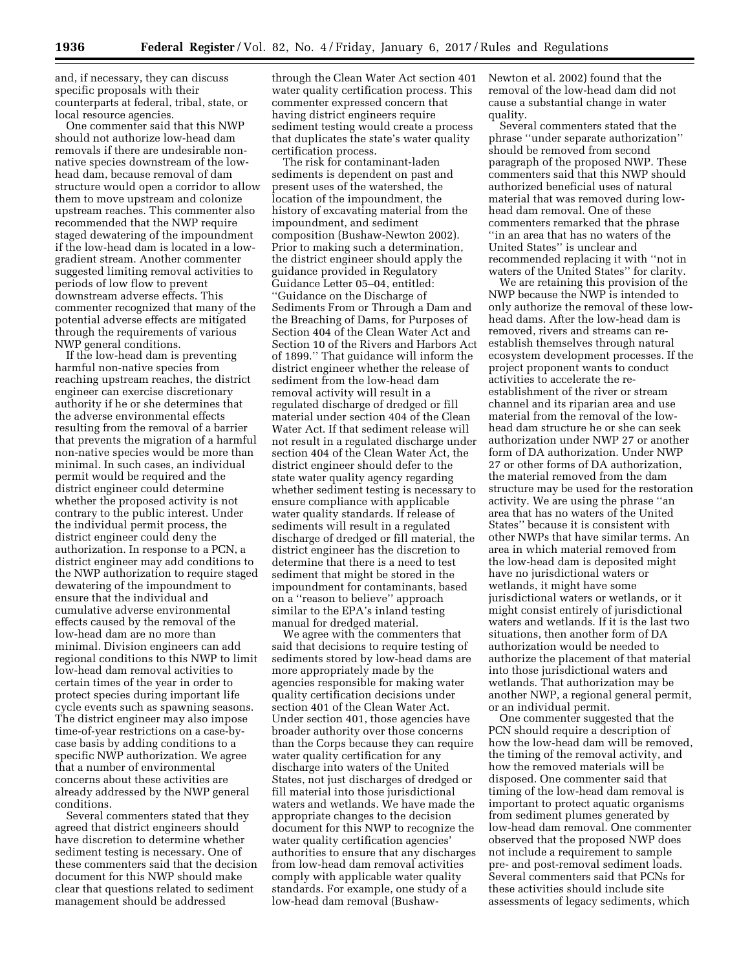and, if necessary, they can discuss specific proposals with their counterparts at federal, tribal, state, or local resource agencies.

One commenter said that this NWP should not authorize low-head dam removals if there are undesirable nonnative species downstream of the lowhead dam, because removal of dam structure would open a corridor to allow them to move upstream and colonize upstream reaches. This commenter also recommended that the NWP require staged dewatering of the impoundment if the low-head dam is located in a lowgradient stream. Another commenter suggested limiting removal activities to periods of low flow to prevent downstream adverse effects. This commenter recognized that many of the potential adverse effects are mitigated through the requirements of various NWP general conditions.

If the low-head dam is preventing harmful non-native species from reaching upstream reaches, the district engineer can exercise discretionary authority if he or she determines that the adverse environmental effects resulting from the removal of a barrier that prevents the migration of a harmful non-native species would be more than minimal. In such cases, an individual permit would be required and the district engineer could determine whether the proposed activity is not contrary to the public interest. Under the individual permit process, the district engineer could deny the authorization. In response to a PCN, a district engineer may add conditions to the NWP authorization to require staged dewatering of the impoundment to ensure that the individual and cumulative adverse environmental effects caused by the removal of the low-head dam are no more than minimal. Division engineers can add regional conditions to this NWP to limit low-head dam removal activities to certain times of the year in order to protect species during important life cycle events such as spawning seasons. The district engineer may also impose time-of-year restrictions on a case-bycase basis by adding conditions to a specific NWP authorization. We agree that a number of environmental concerns about these activities are already addressed by the NWP general conditions.

Several commenters stated that they agreed that district engineers should have discretion to determine whether sediment testing is necessary. One of these commenters said that the decision document for this NWP should make clear that questions related to sediment management should be addressed

through the Clean Water Act section 401 water quality certification process. This commenter expressed concern that having district engineers require sediment testing would create a process that duplicates the state's water quality certification process.

The risk for contaminant-laden sediments is dependent on past and present uses of the watershed, the location of the impoundment, the history of excavating material from the impoundment, and sediment composition (Bushaw-Newton 2002). Prior to making such a determination, the district engineer should apply the guidance provided in Regulatory Guidance Letter 05–04, entitled: ''Guidance on the Discharge of Sediments From or Through a Dam and the Breaching of Dams, for Purposes of Section 404 of the Clean Water Act and Section 10 of the Rivers and Harbors Act of 1899.'' That guidance will inform the district engineer whether the release of sediment from the low-head dam removal activity will result in a regulated discharge of dredged or fill material under section 404 of the Clean Water Act. If that sediment release will not result in a regulated discharge under section 404 of the Clean Water Act, the district engineer should defer to the state water quality agency regarding whether sediment testing is necessary to ensure compliance with applicable water quality standards. If release of sediments will result in a regulated discharge of dredged or fill material, the district engineer has the discretion to determine that there is a need to test sediment that might be stored in the impoundment for contaminants, based on a ''reason to believe'' approach similar to the EPA's inland testing manual for dredged material.

We agree with the commenters that said that decisions to require testing of sediments stored by low-head dams are more appropriately made by the agencies responsible for making water quality certification decisions under section 401 of the Clean Water Act. Under section 401, those agencies have broader authority over those concerns than the Corps because they can require water quality certification for any discharge into waters of the United States, not just discharges of dredged or fill material into those jurisdictional waters and wetlands. We have made the appropriate changes to the decision document for this NWP to recognize the water quality certification agencies' authorities to ensure that any discharges from low-head dam removal activities comply with applicable water quality standards. For example, one study of a low-head dam removal (BushawNewton et al. 2002) found that the removal of the low-head dam did not cause a substantial change in water quality.

Several commenters stated that the phrase ''under separate authorization'' should be removed from second paragraph of the proposed NWP. These commenters said that this NWP should authorized beneficial uses of natural material that was removed during lowhead dam removal. One of these commenters remarked that the phrase ''in an area that has no waters of the United States'' is unclear and recommended replacing it with ''not in waters of the United States'' for clarity.

We are retaining this provision of the NWP because the NWP is intended to only authorize the removal of these lowhead dams. After the low-head dam is removed, rivers and streams can reestablish themselves through natural ecosystem development processes. If the project proponent wants to conduct activities to accelerate the reestablishment of the river or stream channel and its riparian area and use material from the removal of the lowhead dam structure he or she can seek authorization under NWP 27 or another form of DA authorization. Under NWP 27 or other forms of DA authorization, the material removed from the dam structure may be used for the restoration activity. We are using the phrase ''an area that has no waters of the United States'' because it is consistent with other NWPs that have similar terms. An area in which material removed from the low-head dam is deposited might have no jurisdictional waters or wetlands, it might have some jurisdictional waters or wetlands, or it might consist entirely of jurisdictional waters and wetlands. If it is the last two situations, then another form of DA authorization would be needed to authorize the placement of that material into those jurisdictional waters and wetlands. That authorization may be another NWP, a regional general permit, or an individual permit.

One commenter suggested that the PCN should require a description of how the low-head dam will be removed, the timing of the removal activity, and how the removed materials will be disposed. One commenter said that timing of the low-head dam removal is important to protect aquatic organisms from sediment plumes generated by low-head dam removal. One commenter observed that the proposed NWP does not include a requirement to sample pre- and post-removal sediment loads. Several commenters said that PCNs for these activities should include site assessments of legacy sediments, which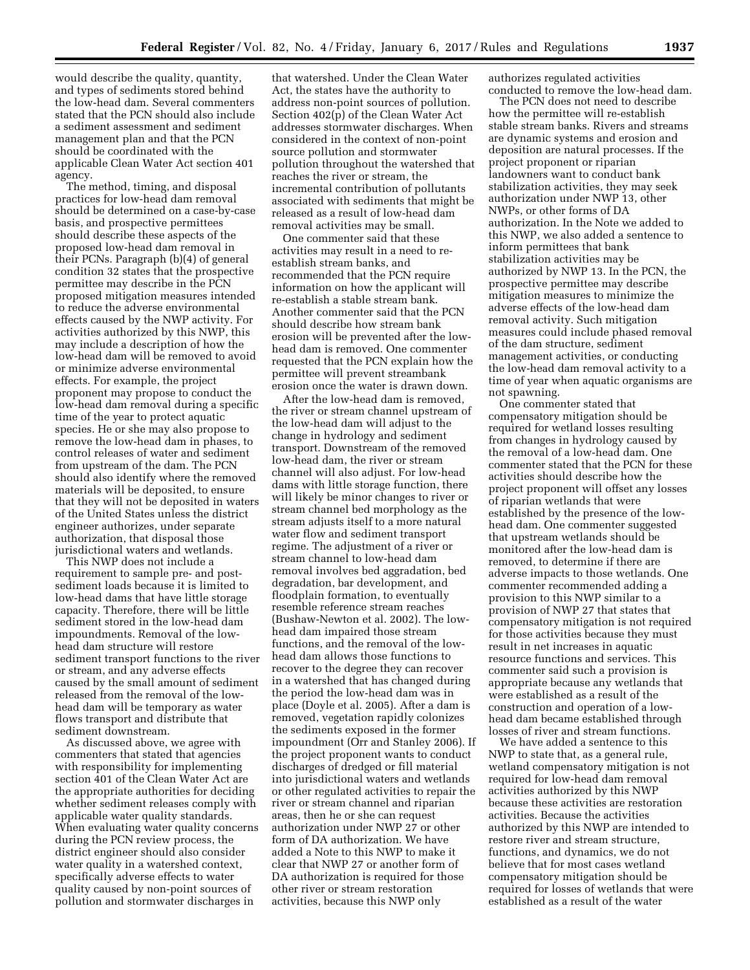would describe the quality, quantity, and types of sediments stored behind the low-head dam. Several commenters stated that the PCN should also include a sediment assessment and sediment management plan and that the PCN should be coordinated with the applicable Clean Water Act section 401 agency.

The method, timing, and disposal practices for low-head dam removal should be determined on a case-by-case basis, and prospective permittees should describe these aspects of the proposed low-head dam removal in their PCNs. Paragraph (b)(4) of general condition 32 states that the prospective permittee may describe in the PCN proposed mitigation measures intended to reduce the adverse environmental effects caused by the NWP activity. For activities authorized by this NWP, this may include a description of how the low-head dam will be removed to avoid or minimize adverse environmental effects. For example, the project proponent may propose to conduct the low-head dam removal during a specific time of the year to protect aquatic species. He or she may also propose to remove the low-head dam in phases, to control releases of water and sediment from upstream of the dam. The PCN should also identify where the removed materials will be deposited, to ensure that they will not be deposited in waters of the United States unless the district engineer authorizes, under separate authorization, that disposal those jurisdictional waters and wetlands.

This NWP does not include a requirement to sample pre- and postsediment loads because it is limited to low-head dams that have little storage capacity. Therefore, there will be little sediment stored in the low-head dam impoundments. Removal of the lowhead dam structure will restore sediment transport functions to the river or stream, and any adverse effects caused by the small amount of sediment released from the removal of the lowhead dam will be temporary as water flows transport and distribute that sediment downstream.

As discussed above, we agree with commenters that stated that agencies with responsibility for implementing section 401 of the Clean Water Act are the appropriate authorities for deciding whether sediment releases comply with applicable water quality standards. When evaluating water quality concerns during the PCN review process, the district engineer should also consider water quality in a watershed context, specifically adverse effects to water quality caused by non-point sources of pollution and stormwater discharges in

that watershed. Under the Clean Water Act, the states have the authority to address non-point sources of pollution. Section 402(p) of the Clean Water Act addresses stormwater discharges. When considered in the context of non-point source pollution and stormwater pollution throughout the watershed that reaches the river or stream, the incremental contribution of pollutants associated with sediments that might be released as a result of low-head dam removal activities may be small.

One commenter said that these activities may result in a need to reestablish stream banks, and recommended that the PCN require information on how the applicant will re-establish a stable stream bank. Another commenter said that the PCN should describe how stream bank erosion will be prevented after the lowhead dam is removed. One commenter requested that the PCN explain how the permittee will prevent streambank erosion once the water is drawn down.

After the low-head dam is removed, the river or stream channel upstream of the low-head dam will adjust to the change in hydrology and sediment transport. Downstream of the removed low-head dam, the river or stream channel will also adjust. For low-head dams with little storage function, there will likely be minor changes to river or stream channel bed morphology as the stream adjusts itself to a more natural water flow and sediment transport regime. The adjustment of a river or stream channel to low-head dam removal involves bed aggradation, bed degradation, bar development, and floodplain formation, to eventually resemble reference stream reaches (Bushaw-Newton et al. 2002). The lowhead dam impaired those stream functions, and the removal of the lowhead dam allows those functions to recover to the degree they can recover in a watershed that has changed during the period the low-head dam was in place (Doyle et al. 2005). After a dam is removed, vegetation rapidly colonizes the sediments exposed in the former impoundment (Orr and Stanley 2006). If the project proponent wants to conduct discharges of dredged or fill material into jurisdictional waters and wetlands or other regulated activities to repair the river or stream channel and riparian areas, then he or she can request authorization under NWP 27 or other form of DA authorization. We have added a Note to this NWP to make it clear that NWP 27 or another form of DA authorization is required for those other river or stream restoration activities, because this NWP only

authorizes regulated activities conducted to remove the low-head dam.

The PCN does not need to describe how the permittee will re-establish stable stream banks. Rivers and streams are dynamic systems and erosion and deposition are natural processes. If the project proponent or riparian landowners want to conduct bank stabilization activities, they may seek authorization under NWP 13, other NWPs, or other forms of DA authorization. In the Note we added to this NWP, we also added a sentence to inform permittees that bank stabilization activities may be authorized by NWP 13. In the PCN, the prospective permittee may describe mitigation measures to minimize the adverse effects of the low-head dam removal activity. Such mitigation measures could include phased removal of the dam structure, sediment management activities, or conducting the low-head dam removal activity to a time of year when aquatic organisms are not spawning.

One commenter stated that compensatory mitigation should be required for wetland losses resulting from changes in hydrology caused by the removal of a low-head dam. One commenter stated that the PCN for these activities should describe how the project proponent will offset any losses of riparian wetlands that were established by the presence of the lowhead dam. One commenter suggested that upstream wetlands should be monitored after the low-head dam is removed, to determine if there are adverse impacts to those wetlands. One commenter recommended adding a provision to this NWP similar to a provision of NWP 27 that states that compensatory mitigation is not required for those activities because they must result in net increases in aquatic resource functions and services. This commenter said such a provision is appropriate because any wetlands that were established as a result of the construction and operation of a lowhead dam became established through losses of river and stream functions.

We have added a sentence to this NWP to state that, as a general rule, wetland compensatory mitigation is not required for low-head dam removal activities authorized by this NWP because these activities are restoration activities. Because the activities authorized by this NWP are intended to restore river and stream structure, functions, and dynamics, we do not believe that for most cases wetland compensatory mitigation should be required for losses of wetlands that were established as a result of the water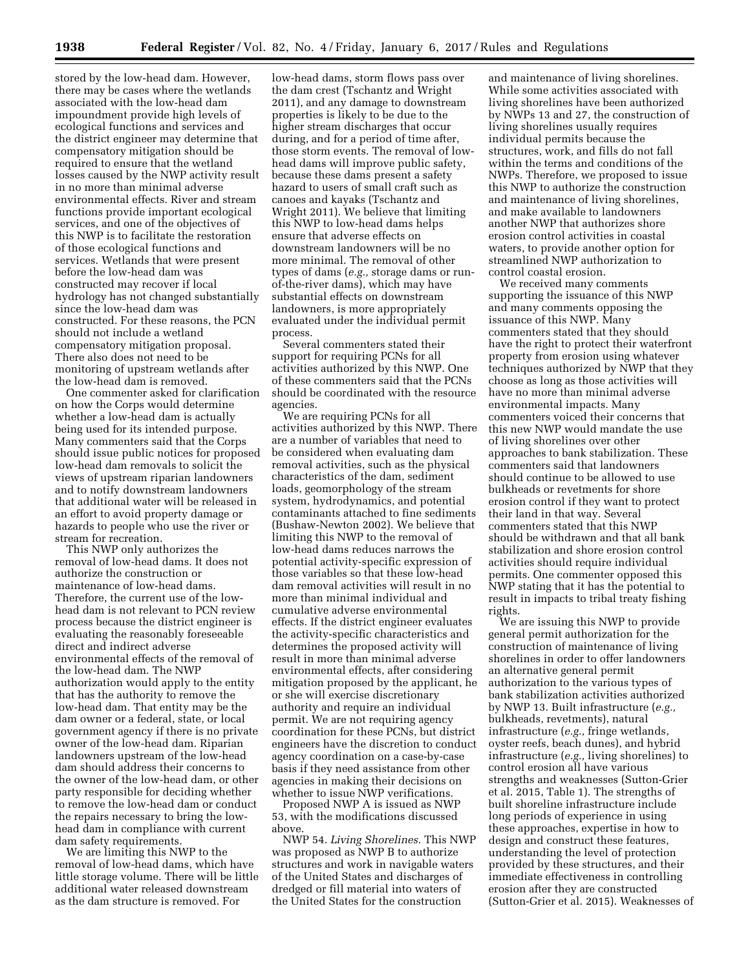stored by the low-head dam. However, there may be cases where the wetlands associated with the low-head dam impoundment provide high levels of ecological functions and services and the district engineer may determine that compensatory mitigation should be required to ensure that the wetland losses caused by the NWP activity result in no more than minimal adverse environmental effects. River and stream functions provide important ecological services, and one of the objectives of this NWP is to facilitate the restoration of those ecological functions and services. Wetlands that were present before the low-head dam was constructed may recover if local hydrology has not changed substantially since the low-head dam was constructed. For these reasons, the PCN should not include a wetland compensatory mitigation proposal. There also does not need to be monitoring of upstream wetlands after the low-head dam is removed.

One commenter asked for clarification on how the Corps would determine whether a low-head dam is actually being used for its intended purpose. Many commenters said that the Corps should issue public notices for proposed low-head dam removals to solicit the views of upstream riparian landowners and to notify downstream landowners that additional water will be released in an effort to avoid property damage or hazards to people who use the river or stream for recreation.

This NWP only authorizes the removal of low-head dams. It does not authorize the construction or maintenance of low-head dams. Therefore, the current use of the lowhead dam is not relevant to PCN review process because the district engineer is evaluating the reasonably foreseeable direct and indirect adverse environmental effects of the removal of the low-head dam. The NWP authorization would apply to the entity that has the authority to remove the low-head dam. That entity may be the dam owner or a federal, state, or local government agency if there is no private owner of the low-head dam. Riparian landowners upstream of the low-head dam should address their concerns to the owner of the low-head dam, or other party responsible for deciding whether to remove the low-head dam or conduct the repairs necessary to bring the lowhead dam in compliance with current dam safety requirements.

We are limiting this NWP to the removal of low-head dams, which have little storage volume. There will be little additional water released downstream as the dam structure is removed. For

low-head dams, storm flows pass over the dam crest (Tschantz and Wright 2011), and any damage to downstream properties is likely to be due to the higher stream discharges that occur during, and for a period of time after, those storm events. The removal of lowhead dams will improve public safety, because these dams present a safety hazard to users of small craft such as canoes and kayaks (Tschantz and Wright 2011). We believe that limiting this NWP to low-head dams helps ensure that adverse effects on downstream landowners will be no more minimal. The removal of other types of dams (*e.g.,* storage dams or runof-the-river dams), which may have substantial effects on downstream landowners, is more appropriately evaluated under the individual permit process.

Several commenters stated their support for requiring PCNs for all activities authorized by this NWP. One of these commenters said that the PCNs should be coordinated with the resource agencies.

We are requiring PCNs for all activities authorized by this NWP. There are a number of variables that need to be considered when evaluating dam removal activities, such as the physical characteristics of the dam, sediment loads, geomorphology of the stream system, hydrodynamics, and potential contaminants attached to fine sediments (Bushaw-Newton 2002). We believe that limiting this NWP to the removal of low-head dams reduces narrows the potential activity-specific expression of those variables so that these low-head dam removal activities will result in no more than minimal individual and cumulative adverse environmental effects. If the district engineer evaluates the activity-specific characteristics and determines the proposed activity will result in more than minimal adverse environmental effects, after considering mitigation proposed by the applicant, he or she will exercise discretionary authority and require an individual permit. We are not requiring agency coordination for these PCNs, but district engineers have the discretion to conduct agency coordination on a case-by-case basis if they need assistance from other agencies in making their decisions on whether to issue NWP verifications.

Proposed NWP A is issued as NWP 53, with the modifications discussed above.

NWP 54. *Living Shorelines.* This NWP was proposed as NWP B to authorize structures and work in navigable waters of the United States and discharges of dredged or fill material into waters of the United States for the construction

and maintenance of living shorelines. While some activities associated with living shorelines have been authorized by NWPs 13 and 27, the construction of living shorelines usually requires individual permits because the structures, work, and fills do not fall within the terms and conditions of the NWPs. Therefore, we proposed to issue this NWP to authorize the construction and maintenance of living shorelines, and make available to landowners another NWP that authorizes shore erosion control activities in coastal waters, to provide another option for streamlined NWP authorization to control coastal erosion.

We received many comments supporting the issuance of this NWP and many comments opposing the issuance of this NWP. Many commenters stated that they should have the right to protect their waterfront property from erosion using whatever techniques authorized by NWP that they choose as long as those activities will have no more than minimal adverse environmental impacts. Many commenters voiced their concerns that this new NWP would mandate the use of living shorelines over other approaches to bank stabilization. These commenters said that landowners should continue to be allowed to use bulkheads or revetments for shore erosion control if they want to protect their land in that way. Several commenters stated that this NWP should be withdrawn and that all bank stabilization and shore erosion control activities should require individual permits. One commenter opposed this NWP stating that it has the potential to result in impacts to tribal treaty fishing rights.

We are issuing this NWP to provide general permit authorization for the construction of maintenance of living shorelines in order to offer landowners an alternative general permit authorization to the various types of bank stabilization activities authorized by NWP 13. Built infrastructure (*e.g.,*  bulkheads, revetments), natural infrastructure (*e.g.,* fringe wetlands, oyster reefs, beach dunes), and hybrid infrastructure (*e.g.,* living shorelines) to control erosion all have various strengths and weaknesses (Sutton-Grier et al. 2015, Table 1). The strengths of built shoreline infrastructure include long periods of experience in using these approaches, expertise in how to design and construct these features, understanding the level of protection provided by these structures, and their immediate effectiveness in controlling erosion after they are constructed (Sutton-Grier et al. 2015). Weaknesses of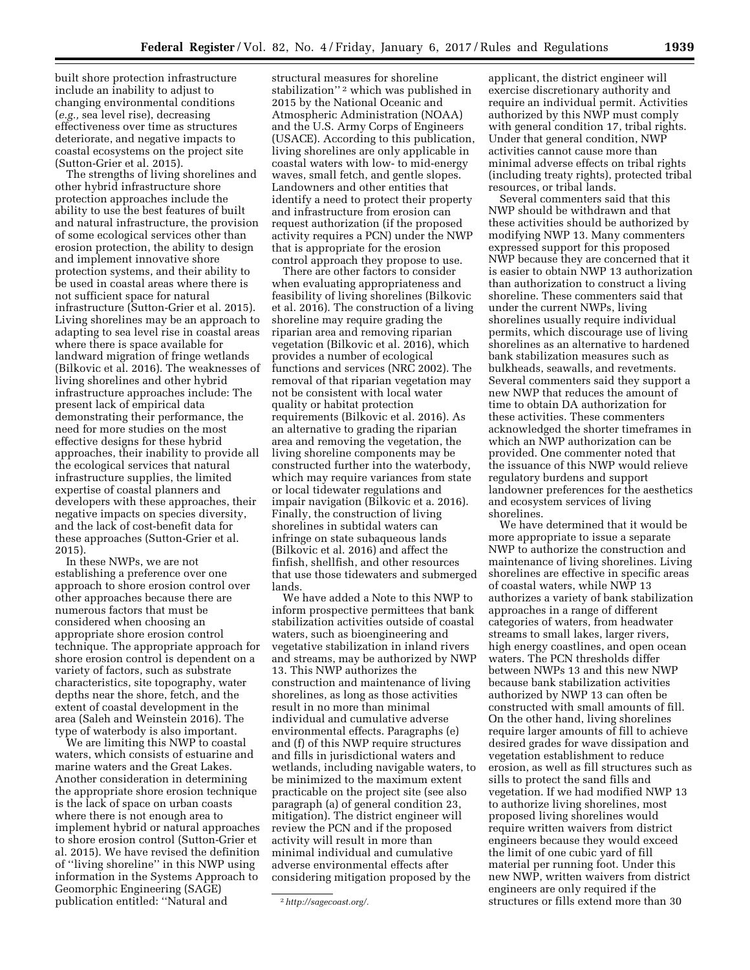built shore protection infrastructure include an inability to adjust to changing environmental conditions (*e.g.,* sea level rise), decreasing effectiveness over time as structures deteriorate, and negative impacts to coastal ecosystems on the project site (Sutton-Grier et al. 2015).

The strengths of living shorelines and other hybrid infrastructure shore protection approaches include the ability to use the best features of built and natural infrastructure, the provision of some ecological services other than erosion protection, the ability to design and implement innovative shore protection systems, and their ability to be used in coastal areas where there is not sufficient space for natural infrastructure (Sutton-Grier et al. 2015). Living shorelines may be an approach to adapting to sea level rise in coastal areas where there is space available for landward migration of fringe wetlands (Bilkovic et al. 2016). The weaknesses of living shorelines and other hybrid infrastructure approaches include: The present lack of empirical data demonstrating their performance, the need for more studies on the most effective designs for these hybrid approaches, their inability to provide all the ecological services that natural infrastructure supplies, the limited expertise of coastal planners and developers with these approaches, their negative impacts on species diversity, and the lack of cost-benefit data for these approaches (Sutton-Grier et al. 2015).

In these NWPs, we are not establishing a preference over one approach to shore erosion control over other approaches because there are numerous factors that must be considered when choosing an appropriate shore erosion control technique. The appropriate approach for shore erosion control is dependent on a variety of factors, such as substrate characteristics, site topography, water depths near the shore, fetch, and the extent of coastal development in the area (Saleh and Weinstein 2016). The type of waterbody is also important.

We are limiting this NWP to coastal waters, which consists of estuarine and marine waters and the Great Lakes. Another consideration in determining the appropriate shore erosion technique is the lack of space on urban coasts where there is not enough area to implement hybrid or natural approaches to shore erosion control (Sutton-Grier et al. 2015). We have revised the definition of ''living shoreline'' in this NWP using information in the Systems Approach to Geomorphic Engineering (SAGE) publication entitled: ''Natural and

structural measures for shoreline stabilization"<sup>2</sup> which was published in 2015 by the National Oceanic and Atmospheric Administration (NOAA) and the U.S. Army Corps of Engineers (USACE). According to this publication, living shorelines are only applicable in coastal waters with low- to mid-energy waves, small fetch, and gentle slopes. Landowners and other entities that identify a need to protect their property and infrastructure from erosion can request authorization (if the proposed activity requires a PCN) under the NWP that is appropriate for the erosion control approach they propose to use.

There are other factors to consider when evaluating appropriateness and feasibility of living shorelines (Bilkovic et al. 2016). The construction of a living shoreline may require grading the riparian area and removing riparian vegetation (Bilkovic et al. 2016), which provides a number of ecological functions and services (NRC 2002). The removal of that riparian vegetation may not be consistent with local water quality or habitat protection requirements (Bilkovic et al. 2016). As an alternative to grading the riparian area and removing the vegetation, the living shoreline components may be constructed further into the waterbody, which may require variances from state or local tidewater regulations and impair navigation (Bilkovic et a. 2016). Finally, the construction of living shorelines in subtidal waters can infringe on state subaqueous lands (Bilkovic et al. 2016) and affect the finfish, shellfish, and other resources that use those tidewaters and submerged lands.

We have added a Note to this NWP to inform prospective permittees that bank stabilization activities outside of coastal waters, such as bioengineering and vegetative stabilization in inland rivers and streams, may be authorized by NWP 13. This NWP authorizes the construction and maintenance of living shorelines, as long as those activities result in no more than minimal individual and cumulative adverse environmental effects. Paragraphs (e) and (f) of this NWP require structures and fills in jurisdictional waters and wetlands, including navigable waters, to be minimized to the maximum extent practicable on the project site (see also paragraph (a) of general condition 23, mitigation). The district engineer will review the PCN and if the proposed activity will result in more than minimal individual and cumulative adverse environmental effects after considering mitigation proposed by the

applicant, the district engineer will exercise discretionary authority and require an individual permit. Activities authorized by this NWP must comply with general condition 17, tribal rights. Under that general condition, NWP activities cannot cause more than minimal adverse effects on tribal rights (including treaty rights), protected tribal resources, or tribal lands.

Several commenters said that this NWP should be withdrawn and that these activities should be authorized by modifying NWP 13. Many commenters expressed support for this proposed NWP because they are concerned that it is easier to obtain NWP 13 authorization than authorization to construct a living shoreline. These commenters said that under the current NWPs, living shorelines usually require individual permits, which discourage use of living shorelines as an alternative to hardened bank stabilization measures such as bulkheads, seawalls, and revetments. Several commenters said they support a new NWP that reduces the amount of time to obtain DA authorization for these activities. These commenters acknowledged the shorter timeframes in which an NWP authorization can be provided. One commenter noted that the issuance of this NWP would relieve regulatory burdens and support landowner preferences for the aesthetics and ecosystem services of living shorelines.

We have determined that it would be more appropriate to issue a separate NWP to authorize the construction and maintenance of living shorelines. Living shorelines are effective in specific areas of coastal waters, while NWP 13 authorizes a variety of bank stabilization approaches in a range of different categories of waters, from headwater streams to small lakes, larger rivers, high energy coastlines, and open ocean waters. The PCN thresholds differ between NWPs 13 and this new NWP because bank stabilization activities authorized by NWP 13 can often be constructed with small amounts of fill. On the other hand, living shorelines require larger amounts of fill to achieve desired grades for wave dissipation and vegetation establishment to reduce erosion, as well as fill structures such as sills to protect the sand fills and vegetation. If we had modified NWP 13 to authorize living shorelines, most proposed living shorelines would require written waivers from district engineers because they would exceed the limit of one cubic yard of fill material per running foot. Under this new NWP, written waivers from district engineers are only required if the structures or fills extend more than 30

<sup>2</sup>*[http://sagecoast.org/.](http://sagecoast.org/)*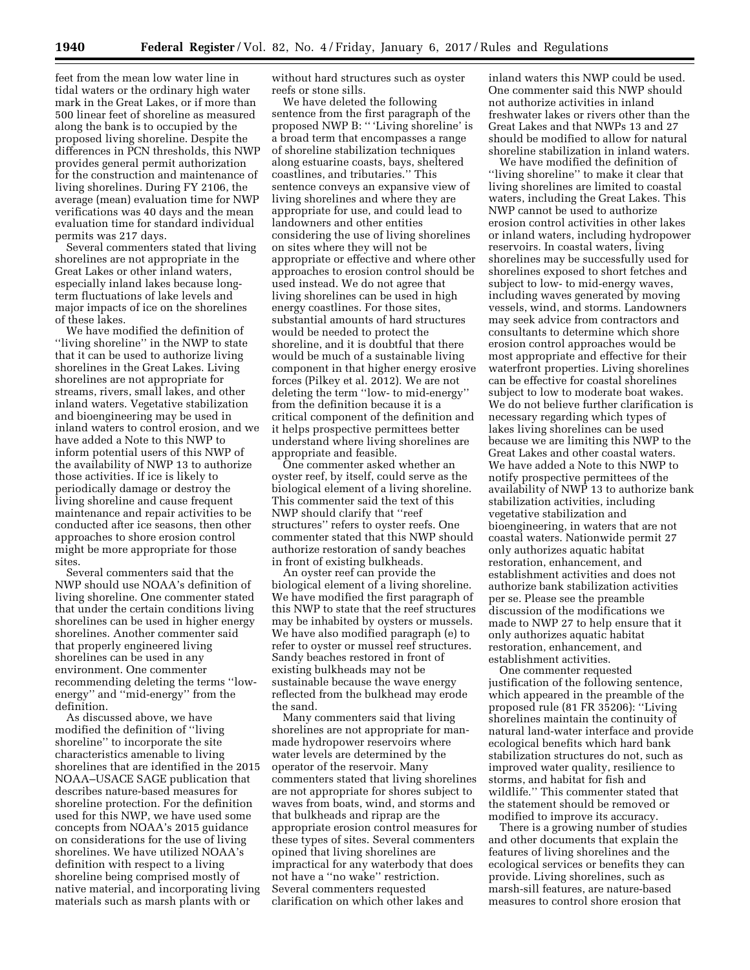feet from the mean low water line in tidal waters or the ordinary high water mark in the Great Lakes, or if more than 500 linear feet of shoreline as measured along the bank is to occupied by the proposed living shoreline. Despite the differences in PCN thresholds, this NWP provides general permit authorization for the construction and maintenance of living shorelines. During FY 2106, the average (mean) evaluation time for NWP verifications was 40 days and the mean evaluation time for standard individual permits was 217 days.

Several commenters stated that living shorelines are not appropriate in the Great Lakes or other inland waters, especially inland lakes because longterm fluctuations of lake levels and major impacts of ice on the shorelines of these lakes.

We have modified the definition of ''living shoreline'' in the NWP to state that it can be used to authorize living shorelines in the Great Lakes. Living shorelines are not appropriate for streams, rivers, small lakes, and other inland waters. Vegetative stabilization and bioengineering may be used in inland waters to control erosion, and we have added a Note to this NWP to inform potential users of this NWP of the availability of NWP 13 to authorize those activities. If ice is likely to periodically damage or destroy the living shoreline and cause frequent maintenance and repair activities to be conducted after ice seasons, then other approaches to shore erosion control might be more appropriate for those sites.

Several commenters said that the NWP should use NOAA's definition of living shoreline. One commenter stated that under the certain conditions living shorelines can be used in higher energy shorelines. Another commenter said that properly engineered living shorelines can be used in any environment. One commenter recommending deleting the terms ''lowenergy'' and ''mid-energy'' from the definition.

As discussed above, we have modified the definition of ''living shoreline'' to incorporate the site characteristics amenable to living shorelines that are identified in the 2015 NOAA–USACE SAGE publication that describes nature-based measures for shoreline protection. For the definition used for this NWP, we have used some concepts from NOAA's 2015 guidance on considerations for the use of living shorelines. We have utilized NOAA's definition with respect to a living shoreline being comprised mostly of native material, and incorporating living materials such as marsh plants with or

without hard structures such as oyster reefs or stone sills.

We have deleted the following sentence from the first paragraph of the proposed NWP B: '' 'Living shoreline' is a broad term that encompasses a range of shoreline stabilization techniques along estuarine coasts, bays, sheltered coastlines, and tributaries.'' This sentence conveys an expansive view of living shorelines and where they are appropriate for use, and could lead to landowners and other entities considering the use of living shorelines on sites where they will not be appropriate or effective and where other approaches to erosion control should be used instead. We do not agree that living shorelines can be used in high energy coastlines. For those sites, substantial amounts of hard structures would be needed to protect the shoreline, and it is doubtful that there would be much of a sustainable living component in that higher energy erosive forces (Pilkey et al. 2012). We are not deleting the term ''low- to mid-energy'' from the definition because it is a critical component of the definition and it helps prospective permittees better understand where living shorelines are appropriate and feasible.

One commenter asked whether an oyster reef, by itself, could serve as the biological element of a living shoreline. This commenter said the text of this NWP should clarify that ''reef structures'' refers to oyster reefs. One commenter stated that this NWP should authorize restoration of sandy beaches in front of existing bulkheads.

An oyster reef can provide the biological element of a living shoreline. We have modified the first paragraph of this NWP to state that the reef structures may be inhabited by oysters or mussels. We have also modified paragraph (e) to refer to oyster or mussel reef structures. Sandy beaches restored in front of existing bulkheads may not be sustainable because the wave energy reflected from the bulkhead may erode the sand.

Many commenters said that living shorelines are not appropriate for manmade hydropower reservoirs where water levels are determined by the operator of the reservoir. Many commenters stated that living shorelines are not appropriate for shores subject to waves from boats, wind, and storms and that bulkheads and riprap are the appropriate erosion control measures for these types of sites. Several commenters opined that living shorelines are impractical for any waterbody that does not have a ''no wake'' restriction. Several commenters requested clarification on which other lakes and

inland waters this NWP could be used. One commenter said this NWP should not authorize activities in inland freshwater lakes or rivers other than the Great Lakes and that NWPs 13 and 27 should be modified to allow for natural shoreline stabilization in inland waters.

We have modified the definition of ''living shoreline'' to make it clear that living shorelines are limited to coastal waters, including the Great Lakes. This NWP cannot be used to authorize erosion control activities in other lakes or inland waters, including hydropower reservoirs. In coastal waters, living shorelines may be successfully used for shorelines exposed to short fetches and subject to low- to mid-energy waves, including waves generated by moving vessels, wind, and storms. Landowners may seek advice from contractors and consultants to determine which shore erosion control approaches would be most appropriate and effective for their waterfront properties. Living shorelines can be effective for coastal shorelines subject to low to moderate boat wakes. We do not believe further clarification is necessary regarding which types of lakes living shorelines can be used because we are limiting this NWP to the Great Lakes and other coastal waters. We have added a Note to this NWP to notify prospective permittees of the availability of NWP 13 to authorize bank stabilization activities, including vegetative stabilization and bioengineering, in waters that are not coastal waters. Nationwide permit 27 only authorizes aquatic habitat restoration, enhancement, and establishment activities and does not authorize bank stabilization activities per se. Please see the preamble discussion of the modifications we made to NWP 27 to help ensure that it only authorizes aquatic habitat restoration, enhancement, and establishment activities.

One commenter requested justification of the following sentence, which appeared in the preamble of the proposed rule (81 FR 35206): ''Living shorelines maintain the continuity of natural land-water interface and provide ecological benefits which hard bank stabilization structures do not, such as improved water quality, resilience to storms, and habitat for fish and wildlife.'' This commenter stated that the statement should be removed or modified to improve its accuracy.

There is a growing number of studies and other documents that explain the features of living shorelines and the ecological services or benefits they can provide. Living shorelines, such as marsh-sill features, are nature-based measures to control shore erosion that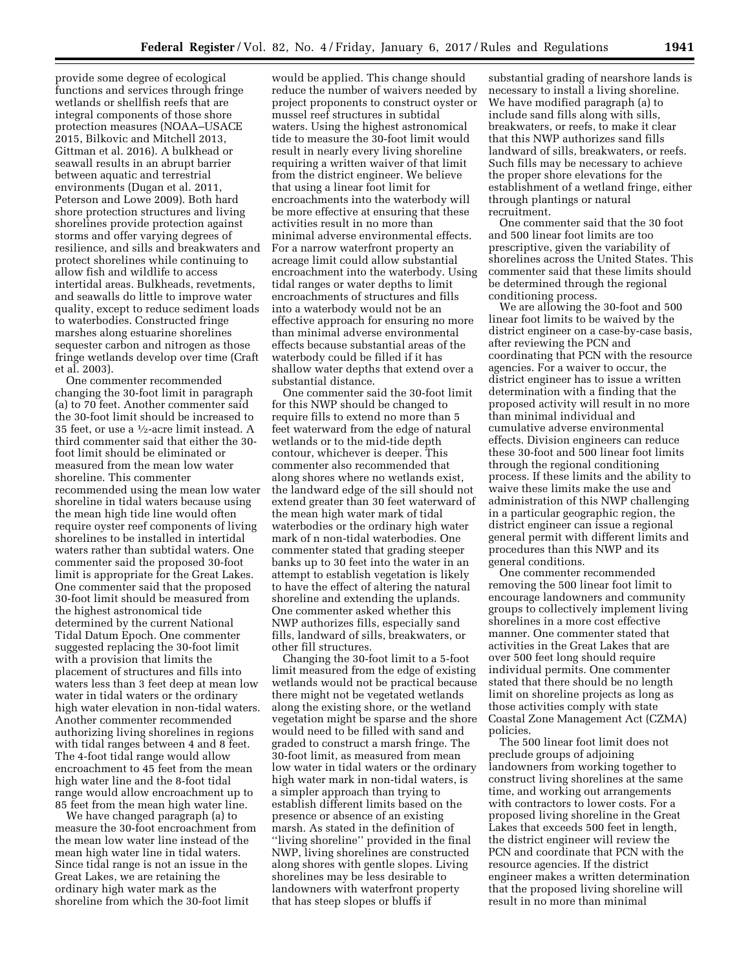provide some degree of ecological functions and services through fringe wetlands or shellfish reefs that are integral components of those shore protection measures (NOAA–USACE 2015, Bilkovic and Mitchell 2013, Gittman et al. 2016). A bulkhead or seawall results in an abrupt barrier between aquatic and terrestrial environments (Dugan et al. 2011, Peterson and Lowe 2009). Both hard shore protection structures and living shorelines provide protection against storms and offer varying degrees of resilience, and sills and breakwaters and protect shorelines while continuing to allow fish and wildlife to access intertidal areas. Bulkheads, revetments, and seawalls do little to improve water quality, except to reduce sediment loads to waterbodies. Constructed fringe marshes along estuarine shorelines sequester carbon and nitrogen as those fringe wetlands develop over time (Craft et al. 2003).

One commenter recommended changing the 30-foot limit in paragraph (a) to 70 feet. Another commenter said the 30-foot limit should be increased to 35 feet, or use a 1⁄2-acre limit instead. A third commenter said that either the 30 foot limit should be eliminated or measured from the mean low water shoreline. This commenter recommended using the mean low water shoreline in tidal waters because using the mean high tide line would often require oyster reef components of living shorelines to be installed in intertidal waters rather than subtidal waters. One commenter said the proposed 30-foot limit is appropriate for the Great Lakes. One commenter said that the proposed 30-foot limit should be measured from the highest astronomical tide determined by the current National Tidal Datum Epoch. One commenter suggested replacing the 30-foot limit with a provision that limits the placement of structures and fills into waters less than 3 feet deep at mean low water in tidal waters or the ordinary high water elevation in non-tidal waters. Another commenter recommended authorizing living shorelines in regions with tidal ranges between 4 and 8 feet. The 4-foot tidal range would allow encroachment to 45 feet from the mean high water line and the 8-foot tidal range would allow encroachment up to 85 feet from the mean high water line.

We have changed paragraph (a) to measure the 30-foot encroachment from the mean low water line instead of the mean high water line in tidal waters. Since tidal range is not an issue in the Great Lakes, we are retaining the ordinary high water mark as the shoreline from which the 30-foot limit

would be applied. This change should reduce the number of waivers needed by project proponents to construct oyster or mussel reef structures in subtidal waters. Using the highest astronomical tide to measure the 30-foot limit would result in nearly every living shoreline requiring a written waiver of that limit from the district engineer. We believe that using a linear foot limit for encroachments into the waterbody will be more effective at ensuring that these activities result in no more than minimal adverse environmental effects. For a narrow waterfront property an acreage limit could allow substantial encroachment into the waterbody. Using tidal ranges or water depths to limit encroachments of structures and fills into a waterbody would not be an effective approach for ensuring no more than minimal adverse environmental effects because substantial areas of the waterbody could be filled if it has shallow water depths that extend over a substantial distance.

One commenter said the 30-foot limit for this NWP should be changed to require fills to extend no more than 5 feet waterward from the edge of natural wetlands or to the mid-tide depth contour, whichever is deeper. This commenter also recommended that along shores where no wetlands exist, the landward edge of the sill should not extend greater than 30 feet waterward of the mean high water mark of tidal waterbodies or the ordinary high water mark of n non-tidal waterbodies. One commenter stated that grading steeper banks up to 30 feet into the water in an attempt to establish vegetation is likely to have the effect of altering the natural shoreline and extending the uplands. One commenter asked whether this NWP authorizes fills, especially sand fills, landward of sills, breakwaters, or other fill structures.

Changing the 30-foot limit to a 5-foot limit measured from the edge of existing wetlands would not be practical because there might not be vegetated wetlands along the existing shore, or the wetland vegetation might be sparse and the shore would need to be filled with sand and graded to construct a marsh fringe. The 30-foot limit, as measured from mean low water in tidal waters or the ordinary high water mark in non-tidal waters, is a simpler approach than trying to establish different limits based on the presence or absence of an existing marsh. As stated in the definition of ''living shoreline'' provided in the final NWP, living shorelines are constructed along shores with gentle slopes. Living shorelines may be less desirable to landowners with waterfront property that has steep slopes or bluffs if

substantial grading of nearshore lands is necessary to install a living shoreline. We have modified paragraph (a) to include sand fills along with sills, breakwaters, or reefs, to make it clear that this NWP authorizes sand fills landward of sills, breakwaters, or reefs. Such fills may be necessary to achieve the proper shore elevations for the establishment of a wetland fringe, either through plantings or natural recruitment.

One commenter said that the 30 foot and 500 linear foot limits are too prescriptive, given the variability of shorelines across the United States. This commenter said that these limits should be determined through the regional conditioning process.

We are allowing the 30-foot and 500 linear foot limits to be waived by the district engineer on a case-by-case basis, after reviewing the PCN and coordinating that PCN with the resource agencies. For a waiver to occur, the district engineer has to issue a written determination with a finding that the proposed activity will result in no more than minimal individual and cumulative adverse environmental effects. Division engineers can reduce these 30-foot and 500 linear foot limits through the regional conditioning process. If these limits and the ability to waive these limits make the use and administration of this NWP challenging in a particular geographic region, the district engineer can issue a regional general permit with different limits and procedures than this NWP and its general conditions.

One commenter recommended removing the 500 linear foot limit to encourage landowners and community groups to collectively implement living shorelines in a more cost effective manner. One commenter stated that activities in the Great Lakes that are over 500 feet long should require individual permits. One commenter stated that there should be no length limit on shoreline projects as long as those activities comply with state Coastal Zone Management Act (CZMA) policies.

The 500 linear foot limit does not preclude groups of adjoining landowners from working together to construct living shorelines at the same time, and working out arrangements with contractors to lower costs. For a proposed living shoreline in the Great Lakes that exceeds 500 feet in length, the district engineer will review the PCN and coordinate that PCN with the resource agencies. If the district engineer makes a written determination that the proposed living shoreline will result in no more than minimal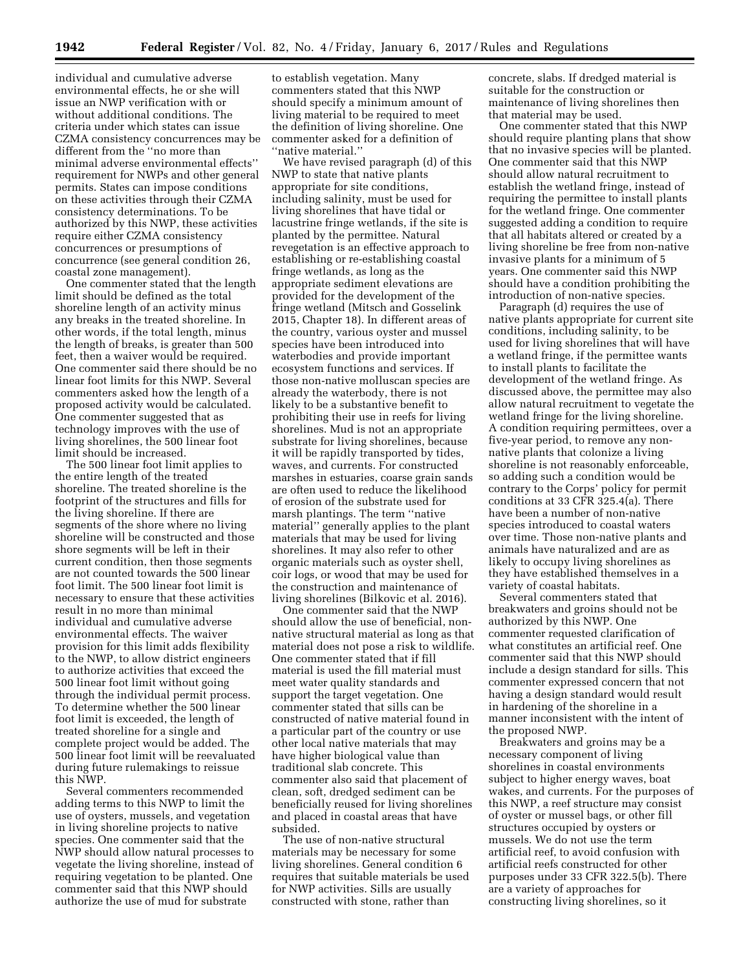individual and cumulative adverse environmental effects, he or she will issue an NWP verification with or without additional conditions. The criteria under which states can issue CZMA consistency concurrences may be different from the ''no more than minimal adverse environmental effects'' requirement for NWPs and other general permits. States can impose conditions on these activities through their CZMA consistency determinations. To be authorized by this NWP, these activities require either CZMA consistency concurrences or presumptions of concurrence (see general condition 26, coastal zone management).

One commenter stated that the length limit should be defined as the total shoreline length of an activity minus any breaks in the treated shoreline. In other words, if the total length, minus the length of breaks, is greater than 500 feet, then a waiver would be required. One commenter said there should be no linear foot limits for this NWP. Several commenters asked how the length of a proposed activity would be calculated. One commenter suggested that as technology improves with the use of living shorelines, the 500 linear foot limit should be increased.

The 500 linear foot limit applies to the entire length of the treated shoreline. The treated shoreline is the footprint of the structures and fills for the living shoreline. If there are segments of the shore where no living shoreline will be constructed and those shore segments will be left in their current condition, then those segments are not counted towards the 500 linear foot limit. The 500 linear foot limit is necessary to ensure that these activities result in no more than minimal individual and cumulative adverse environmental effects. The waiver provision for this limit adds flexibility to the NWP, to allow district engineers to authorize activities that exceed the 500 linear foot limit without going through the individual permit process. To determine whether the 500 linear foot limit is exceeded, the length of treated shoreline for a single and complete project would be added. The 500 linear foot limit will be reevaluated during future rulemakings to reissue this NWP.

Several commenters recommended adding terms to this NWP to limit the use of oysters, mussels, and vegetation in living shoreline projects to native species. One commenter said that the NWP should allow natural processes to vegetate the living shoreline, instead of requiring vegetation to be planted. One commenter said that this NWP should authorize the use of mud for substrate

to establish vegetation. Many commenters stated that this NWP should specify a minimum amount of living material to be required to meet the definition of living shoreline. One commenter asked for a definition of ''native material.''

We have revised paragraph (d) of this NWP to state that native plants appropriate for site conditions, including salinity, must be used for living shorelines that have tidal or lacustrine fringe wetlands, if the site is planted by the permittee. Natural revegetation is an effective approach to establishing or re-establishing coastal fringe wetlands, as long as the appropriate sediment elevations are provided for the development of the fringe wetland (Mitsch and Gosselink 2015, Chapter 18). In different areas of the country, various oyster and mussel species have been introduced into waterbodies and provide important ecosystem functions and services. If those non-native molluscan species are already the waterbody, there is not likely to be a substantive benefit to prohibiting their use in reefs for living shorelines. Mud is not an appropriate substrate for living shorelines, because it will be rapidly transported by tides, waves, and currents. For constructed marshes in estuaries, coarse grain sands are often used to reduce the likelihood of erosion of the substrate used for marsh plantings. The term ''native material'' generally applies to the plant materials that may be used for living shorelines. It may also refer to other organic materials such as oyster shell, coir logs, or wood that may be used for the construction and maintenance of living shorelines (Bilkovic et al. 2016).

One commenter said that the NWP should allow the use of beneficial, nonnative structural material as long as that material does not pose a risk to wildlife. One commenter stated that if fill material is used the fill material must meet water quality standards and support the target vegetation. One commenter stated that sills can be constructed of native material found in a particular part of the country or use other local native materials that may have higher biological value than traditional slab concrete. This commenter also said that placement of clean, soft, dredged sediment can be beneficially reused for living shorelines and placed in coastal areas that have subsided.

The use of non-native structural materials may be necessary for some living shorelines. General condition 6 requires that suitable materials be used for NWP activities. Sills are usually constructed with stone, rather than

concrete, slabs. If dredged material is suitable for the construction or maintenance of living shorelines then that material may be used.

One commenter stated that this NWP should require planting plans that show that no invasive species will be planted. One commenter said that this NWP should allow natural recruitment to establish the wetland fringe, instead of requiring the permittee to install plants for the wetland fringe. One commenter suggested adding a condition to require that all habitats altered or created by a living shoreline be free from non-native invasive plants for a minimum of 5 years. One commenter said this NWP should have a condition prohibiting the introduction of non-native species.

Paragraph (d) requires the use of native plants appropriate for current site conditions, including salinity, to be used for living shorelines that will have a wetland fringe, if the permittee wants to install plants to facilitate the development of the wetland fringe. As discussed above, the permittee may also allow natural recruitment to vegetate the wetland fringe for the living shoreline. A condition requiring permittees, over a five-year period, to remove any nonnative plants that colonize a living shoreline is not reasonably enforceable, so adding such a condition would be contrary to the Corps' policy for permit conditions at 33 CFR 325.4(a). There have been a number of non-native species introduced to coastal waters over time. Those non-native plants and animals have naturalized and are as likely to occupy living shorelines as they have established themselves in a variety of coastal habitats.

Several commenters stated that breakwaters and groins should not be authorized by this NWP. One commenter requested clarification of what constitutes an artificial reef. One commenter said that this NWP should include a design standard for sills. This commenter expressed concern that not having a design standard would result in hardening of the shoreline in a manner inconsistent with the intent of the proposed NWP.

Breakwaters and groins may be a necessary component of living shorelines in coastal environments subject to higher energy waves, boat wakes, and currents. For the purposes of this NWP, a reef structure may consist of oyster or mussel bags, or other fill structures occupied by oysters or mussels. We do not use the term artificial reef, to avoid confusion with artificial reefs constructed for other purposes under 33 CFR 322.5(b). There are a variety of approaches for constructing living shorelines, so it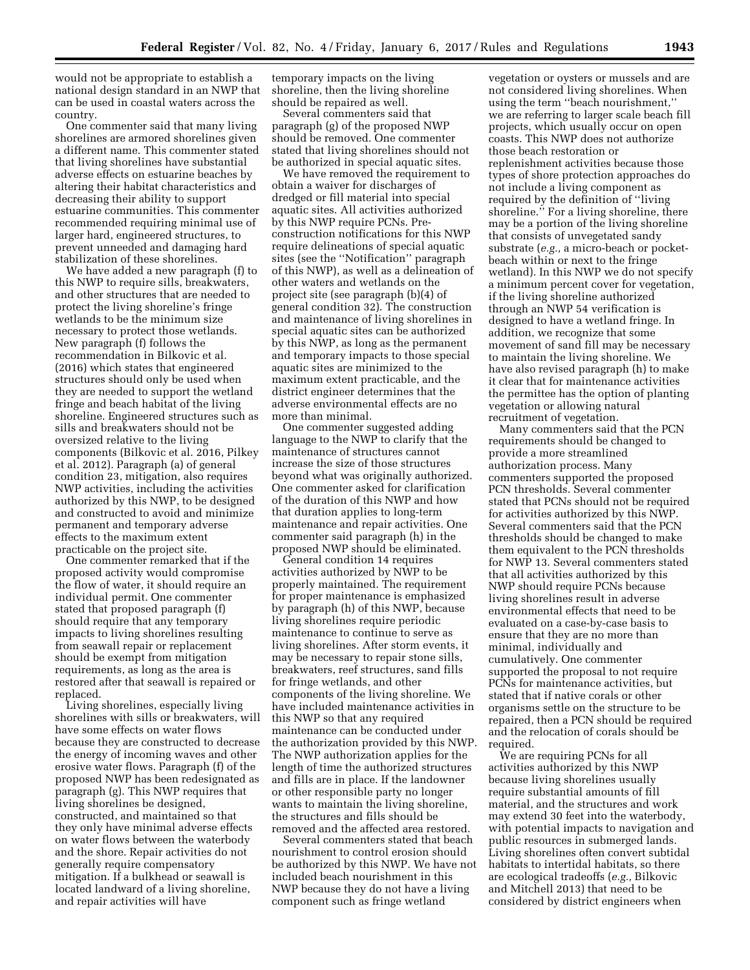would not be appropriate to establish a national design standard in an NWP that can be used in coastal waters across the country.

One commenter said that many living shorelines are armored shorelines given a different name. This commenter stated that living shorelines have substantial adverse effects on estuarine beaches by altering their habitat characteristics and decreasing their ability to support estuarine communities. This commenter recommended requiring minimal use of larger hard, engineered structures, to prevent unneeded and damaging hard stabilization of these shorelines.

We have added a new paragraph (f) to this NWP to require sills, breakwaters, and other structures that are needed to protect the living shoreline's fringe wetlands to be the minimum size necessary to protect those wetlands. New paragraph (f) follows the recommendation in Bilkovic et al. (2016) which states that engineered structures should only be used when they are needed to support the wetland fringe and beach habitat of the living shoreline. Engineered structures such as sills and breakwaters should not be oversized relative to the living components (Bilkovic et al. 2016, Pilkey et al. 2012). Paragraph (a) of general condition 23, mitigation, also requires NWP activities, including the activities authorized by this NWP, to be designed and constructed to avoid and minimize permanent and temporary adverse effects to the maximum extent practicable on the project site.

One commenter remarked that if the proposed activity would compromise the flow of water, it should require an individual permit. One commenter stated that proposed paragraph (f) should require that any temporary impacts to living shorelines resulting from seawall repair or replacement should be exempt from mitigation requirements, as long as the area is restored after that seawall is repaired or replaced.

Living shorelines, especially living shorelines with sills or breakwaters, will have some effects on water flows because they are constructed to decrease the energy of incoming waves and other erosive water flows. Paragraph (f) of the proposed NWP has been redesignated as paragraph (g). This NWP requires that living shorelines be designed, constructed, and maintained so that they only have minimal adverse effects on water flows between the waterbody and the shore. Repair activities do not generally require compensatory mitigation. If a bulkhead or seawall is located landward of a living shoreline, and repair activities will have

temporary impacts on the living shoreline, then the living shoreline should be repaired as well.

Several commenters said that paragraph (g) of the proposed NWP should be removed. One commenter stated that living shorelines should not be authorized in special aquatic sites.

We have removed the requirement to obtain a waiver for discharges of dredged or fill material into special aquatic sites. All activities authorized by this NWP require PCNs. Preconstruction notifications for this NWP require delineations of special aquatic sites (see the ''Notification'' paragraph of this NWP), as well as a delineation of other waters and wetlands on the project site (see paragraph (b)(4) of general condition 32). The construction and maintenance of living shorelines in special aquatic sites can be authorized by this NWP, as long as the permanent and temporary impacts to those special aquatic sites are minimized to the maximum extent practicable, and the district engineer determines that the adverse environmental effects are no more than minimal.

One commenter suggested adding language to the NWP to clarify that the maintenance of structures cannot increase the size of those structures beyond what was originally authorized. One commenter asked for clarification of the duration of this NWP and how that duration applies to long-term maintenance and repair activities. One commenter said paragraph (h) in the proposed NWP should be eliminated.

General condition 14 requires activities authorized by NWP to be properly maintained. The requirement for proper maintenance is emphasized by paragraph (h) of this NWP, because living shorelines require periodic maintenance to continue to serve as living shorelines. After storm events, it may be necessary to repair stone sills, breakwaters, reef structures, sand fills for fringe wetlands, and other components of the living shoreline. We have included maintenance activities in this NWP so that any required maintenance can be conducted under the authorization provided by this NWP. The NWP authorization applies for the length of time the authorized structures and fills are in place. If the landowner or other responsible party no longer wants to maintain the living shoreline, the structures and fills should be removed and the affected area restored.

Several commenters stated that beach nourishment to control erosion should be authorized by this NWP. We have not included beach nourishment in this NWP because they do not have a living component such as fringe wetland

vegetation or oysters or mussels and are not considered living shorelines. When using the term ''beach nourishment,'' we are referring to larger scale beach fill projects, which usually occur on open coasts. This NWP does not authorize those beach restoration or replenishment activities because those types of shore protection approaches do not include a living component as required by the definition of ''living shoreline.'' For a living shoreline, there may be a portion of the living shoreline that consists of unvegetated sandy substrate (*e.g.,* a micro-beach or pocketbeach within or next to the fringe wetland). In this NWP we do not specify a minimum percent cover for vegetation, if the living shoreline authorized through an NWP 54 verification is designed to have a wetland fringe. In addition, we recognize that some movement of sand fill may be necessary to maintain the living shoreline. We have also revised paragraph (h) to make it clear that for maintenance activities the permittee has the option of planting vegetation or allowing natural recruitment of vegetation.

Many commenters said that the PCN requirements should be changed to provide a more streamlined authorization process. Many commenters supported the proposed PCN thresholds. Several commenter stated that PCNs should not be required for activities authorized by this NWP. Several commenters said that the PCN thresholds should be changed to make them equivalent to the PCN thresholds for NWP 13. Several commenters stated that all activities authorized by this NWP should require PCNs because living shorelines result in adverse environmental effects that need to be evaluated on a case-by-case basis to ensure that they are no more than minimal, individually and cumulatively. One commenter supported the proposal to not require PCNs for maintenance activities, but stated that if native corals or other organisms settle on the structure to be repaired, then a PCN should be required and the relocation of corals should be required.

We are requiring PCNs for all activities authorized by this NWP because living shorelines usually require substantial amounts of fill material, and the structures and work may extend 30 feet into the waterbody, with potential impacts to navigation and public resources in submerged lands. Living shorelines often convert subtidal habitats to intertidal habitats, so there are ecological tradeoffs (*e.g.,* Bilkovic and Mitchell 2013) that need to be considered by district engineers when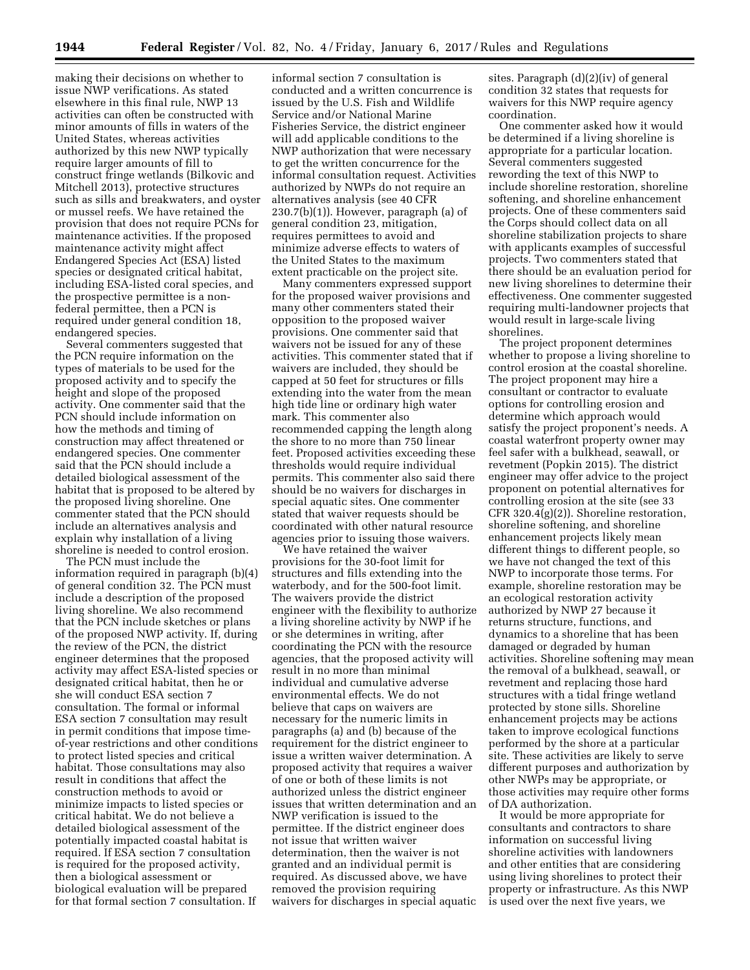making their decisions on whether to issue NWP verifications. As stated elsewhere in this final rule, NWP 13 activities can often be constructed with minor amounts of fills in waters of the United States, whereas activities authorized by this new NWP typically require larger amounts of fill to construct fringe wetlands (Bilkovic and Mitchell 2013), protective structures such as sills and breakwaters, and oyster or mussel reefs. We have retained the provision that does not require PCNs for maintenance activities. If the proposed maintenance activity might affect Endangered Species Act (ESA) listed species or designated critical habitat, including ESA-listed coral species, and the prospective permittee is a nonfederal permittee, then a PCN is required under general condition 18, endangered species.

Several commenters suggested that the PCN require information on the types of materials to be used for the proposed activity and to specify the height and slope of the proposed activity. One commenter said that the PCN should include information on how the methods and timing of construction may affect threatened or endangered species. One commenter said that the PCN should include a detailed biological assessment of the habitat that is proposed to be altered by the proposed living shoreline. One commenter stated that the PCN should include an alternatives analysis and explain why installation of a living shoreline is needed to control erosion.

The PCN must include the information required in paragraph (b)(4) of general condition 32. The PCN must include a description of the proposed living shoreline. We also recommend that the PCN include sketches or plans of the proposed NWP activity. If, during the review of the PCN, the district engineer determines that the proposed activity may affect ESA-listed species or designated critical habitat, then he or she will conduct ESA section 7 consultation. The formal or informal ESA section 7 consultation may result in permit conditions that impose timeof-year restrictions and other conditions to protect listed species and critical habitat. Those consultations may also result in conditions that affect the construction methods to avoid or minimize impacts to listed species or critical habitat. We do not believe a detailed biological assessment of the potentially impacted coastal habitat is required. If ESA section 7 consultation is required for the proposed activity, then a biological assessment or biological evaluation will be prepared for that formal section 7 consultation. If

informal section 7 consultation is conducted and a written concurrence is issued by the U.S. Fish and Wildlife Service and/or National Marine Fisheries Service, the district engineer will add applicable conditions to the NWP authorization that were necessary to get the written concurrence for the informal consultation request. Activities authorized by NWPs do not require an alternatives analysis (see 40 CFR 230.7(b)(1)). However, paragraph (a) of general condition 23, mitigation, requires permittees to avoid and minimize adverse effects to waters of the United States to the maximum extent practicable on the project site.

Many commenters expressed support for the proposed waiver provisions and many other commenters stated their opposition to the proposed waiver provisions. One commenter said that waivers not be issued for any of these activities. This commenter stated that if waivers are included, they should be capped at 50 feet for structures or fills extending into the water from the mean high tide line or ordinary high water mark. This commenter also recommended capping the length along the shore to no more than 750 linear feet. Proposed activities exceeding these thresholds would require individual permits. This commenter also said there should be no waivers for discharges in special aquatic sites. One commenter stated that waiver requests should be coordinated with other natural resource agencies prior to issuing those waivers.

We have retained the waiver provisions for the 30-foot limit for structures and fills extending into the waterbody, and for the 500-foot limit. The waivers provide the district engineer with the flexibility to authorize a living shoreline activity by NWP if he or she determines in writing, after coordinating the PCN with the resource agencies, that the proposed activity will result in no more than minimal individual and cumulative adverse environmental effects. We do not believe that caps on waivers are necessary for the numeric limits in paragraphs (a) and (b) because of the requirement for the district engineer to issue a written waiver determination. A proposed activity that requires a waiver of one or both of these limits is not authorized unless the district engineer issues that written determination and an NWP verification is issued to the permittee. If the district engineer does not issue that written waiver determination, then the waiver is not granted and an individual permit is required. As discussed above, we have removed the provision requiring waivers for discharges in special aquatic sites. Paragraph (d)(2)(iv) of general condition 32 states that requests for waivers for this NWP require agency coordination.

One commenter asked how it would be determined if a living shoreline is appropriate for a particular location. Several commenters suggested rewording the text of this NWP to include shoreline restoration, shoreline softening, and shoreline enhancement projects. One of these commenters said the Corps should collect data on all shoreline stabilization projects to share with applicants examples of successful projects. Two commenters stated that there should be an evaluation period for new living shorelines to determine their effectiveness. One commenter suggested requiring multi-landowner projects that would result in large-scale living shorelines.

The project proponent determines whether to propose a living shoreline to control erosion at the coastal shoreline. The project proponent may hire a consultant or contractor to evaluate options for controlling erosion and determine which approach would satisfy the project proponent's needs. A coastal waterfront property owner may feel safer with a bulkhead, seawall, or revetment (Popkin 2015). The district engineer may offer advice to the project proponent on potential alternatives for controlling erosion at the site (see 33 CFR 320.4(g)(2)). Shoreline restoration, shoreline softening, and shoreline enhancement projects likely mean different things to different people, so we have not changed the text of this NWP to incorporate those terms. For example, shoreline restoration may be an ecological restoration activity authorized by NWP 27 because it returns structure, functions, and dynamics to a shoreline that has been damaged or degraded by human activities. Shoreline softening may mean the removal of a bulkhead, seawall, or revetment and replacing those hard structures with a tidal fringe wetland protected by stone sills. Shoreline enhancement projects may be actions taken to improve ecological functions performed by the shore at a particular site. These activities are likely to serve different purposes and authorization by other NWPs may be appropriate, or those activities may require other forms of DA authorization.

It would be more appropriate for consultants and contractors to share information on successful living shoreline activities with landowners and other entities that are considering using living shorelines to protect their property or infrastructure. As this NWP is used over the next five years, we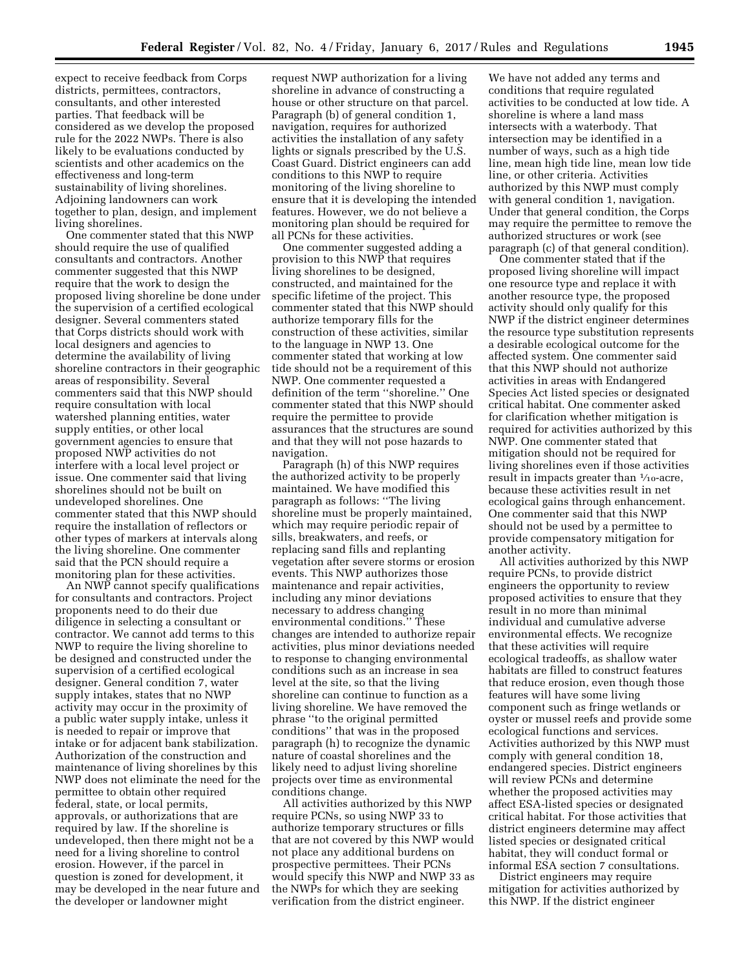expect to receive feedback from Corps districts, permittees, contractors, consultants, and other interested parties. That feedback will be considered as we develop the proposed rule for the 2022 NWPs. There is also likely to be evaluations conducted by scientists and other academics on the effectiveness and long-term sustainability of living shorelines. Adjoining landowners can work together to plan, design, and implement living shorelines.

One commenter stated that this NWP should require the use of qualified consultants and contractors. Another commenter suggested that this NWP require that the work to design the proposed living shoreline be done under the supervision of a certified ecological designer. Several commenters stated that Corps districts should work with local designers and agencies to determine the availability of living shoreline contractors in their geographic areas of responsibility. Several commenters said that this NWP should require consultation with local watershed planning entities, water supply entities, or other local government agencies to ensure that proposed NWP activities do not interfere with a local level project or issue. One commenter said that living shorelines should not be built on undeveloped shorelines. One commenter stated that this NWP should require the installation of reflectors or other types of markers at intervals along the living shoreline. One commenter said that the PCN should require a monitoring plan for these activities.

An NWP cannot specify qualifications for consultants and contractors. Project proponents need to do their due diligence in selecting a consultant or contractor. We cannot add terms to this NWP to require the living shoreline to be designed and constructed under the supervision of a certified ecological designer. General condition 7, water supply intakes, states that no NWP activity may occur in the proximity of a public water supply intake, unless it is needed to repair or improve that intake or for adjacent bank stabilization. Authorization of the construction and maintenance of living shorelines by this NWP does not eliminate the need for the permittee to obtain other required federal, state, or local permits, approvals, or authorizations that are required by law. If the shoreline is undeveloped, then there might not be a need for a living shoreline to control erosion. However, if the parcel in question is zoned for development, it may be developed in the near future and the developer or landowner might

request NWP authorization for a living shoreline in advance of constructing a house or other structure on that parcel. Paragraph (b) of general condition 1, navigation, requires for authorized activities the installation of any safety lights or signals prescribed by the U.S. Coast Guard. District engineers can add conditions to this NWP to require monitoring of the living shoreline to ensure that it is developing the intended features. However, we do not believe a monitoring plan should be required for all PCNs for these activities.

One commenter suggested adding a provision to this NWP that requires living shorelines to be designed, constructed, and maintained for the specific lifetime of the project. This commenter stated that this NWP should authorize temporary fills for the construction of these activities, similar to the language in NWP 13. One commenter stated that working at low tide should not be a requirement of this NWP. One commenter requested a definition of the term ''shoreline.'' One commenter stated that this NWP should require the permittee to provide assurances that the structures are sound and that they will not pose hazards to navigation.

Paragraph (h) of this NWP requires the authorized activity to be properly maintained. We have modified this paragraph as follows: ''The living shoreline must be properly maintained, which may require periodic repair of sills, breakwaters, and reefs, or replacing sand fills and replanting vegetation after severe storms or erosion events. This NWP authorizes those maintenance and repair activities, including any minor deviations necessary to address changing environmental conditions.'' These changes are intended to authorize repair activities, plus minor deviations needed to response to changing environmental conditions such as an increase in sea level at the site, so that the living shoreline can continue to function as a living shoreline. We have removed the phrase ''to the original permitted conditions'' that was in the proposed paragraph (h) to recognize the dynamic nature of coastal shorelines and the likely need to adjust living shoreline projects over time as environmental conditions change.

All activities authorized by this NWP require PCNs, so using NWP 33 to authorize temporary structures or fills that are not covered by this NWP would not place any additional burdens on prospective permittees. Their PCNs would specify this NWP and NWP 33 as the NWPs for which they are seeking verification from the district engineer.

We have not added any terms and conditions that require regulated activities to be conducted at low tide. A shoreline is where a land mass intersects with a waterbody. That intersection may be identified in a number of ways, such as a high tide line, mean high tide line, mean low tide line, or other criteria. Activities authorized by this NWP must comply with general condition 1, navigation. Under that general condition, the Corps may require the permittee to remove the authorized structures or work (see paragraph (c) of that general condition).

One commenter stated that if the proposed living shoreline will impact one resource type and replace it with another resource type, the proposed activity should only qualify for this NWP if the district engineer determines the resource type substitution represents a desirable ecological outcome for the affected system. One commenter said that this NWP should not authorize activities in areas with Endangered Species Act listed species or designated critical habitat. One commenter asked for clarification whether mitigation is required for activities authorized by this NWP. One commenter stated that mitigation should not be required for living shorelines even if those activities result in impacts greater than  $\frac{1}{10}$ -acre, because these activities result in net ecological gains through enhancement. One commenter said that this NWP should not be used by a permittee to provide compensatory mitigation for another activity.

All activities authorized by this NWP require PCNs, to provide district engineers the opportunity to review proposed activities to ensure that they result in no more than minimal individual and cumulative adverse environmental effects. We recognize that these activities will require ecological tradeoffs, as shallow water habitats are filled to construct features that reduce erosion, even though those features will have some living component such as fringe wetlands or oyster or mussel reefs and provide some ecological functions and services. Activities authorized by this NWP must comply with general condition 18, endangered species. District engineers will review PCNs and determine whether the proposed activities may affect ESA-listed species or designated critical habitat. For those activities that district engineers determine may affect listed species or designated critical habitat, they will conduct formal or informal ESA section 7 consultations.

District engineers may require mitigation for activities authorized by this NWP. If the district engineer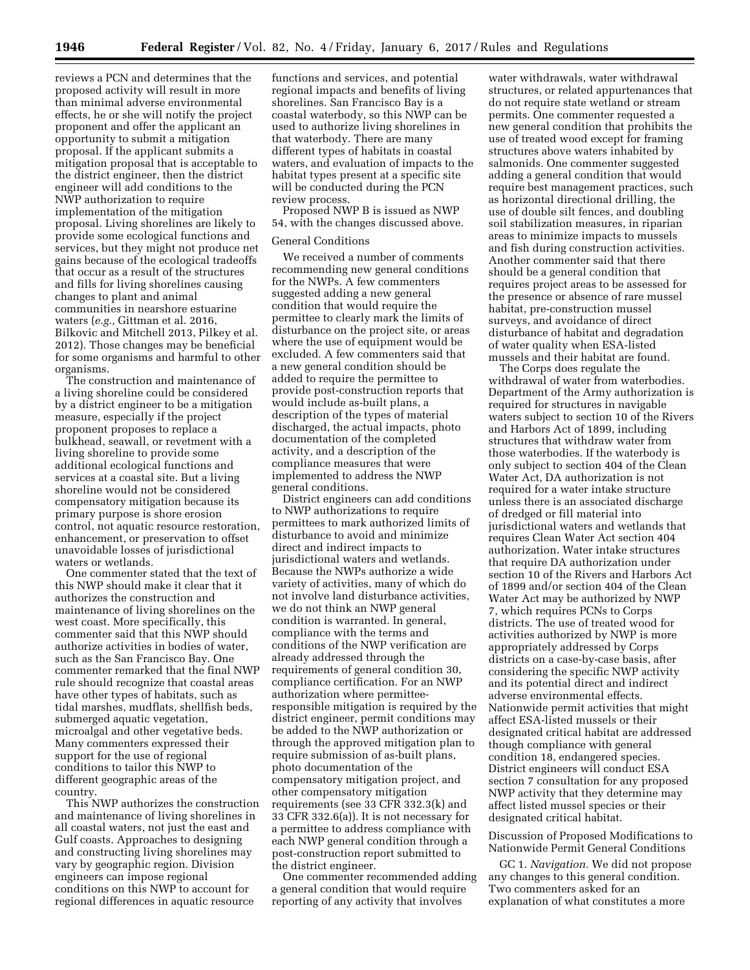reviews a PCN and determines that the proposed activity will result in more than minimal adverse environmental effects, he or she will notify the project proponent and offer the applicant an opportunity to submit a mitigation proposal. If the applicant submits a mitigation proposal that is acceptable to the district engineer, then the district engineer will add conditions to the NWP authorization to require implementation of the mitigation proposal. Living shorelines are likely to provide some ecological functions and services, but they might not produce net gains because of the ecological tradeoffs that occur as a result of the structures and fills for living shorelines causing changes to plant and animal communities in nearshore estuarine waters (*e.g.,* Gittman et al. 2016, Bilkovic and Mitchell 2013, Pilkey et al. 2012). Those changes may be beneficial for some organisms and harmful to other organisms.

The construction and maintenance of a living shoreline could be considered by a district engineer to be a mitigation measure, especially if the project proponent proposes to replace a bulkhead, seawall, or revetment with a living shoreline to provide some additional ecological functions and services at a coastal site. But a living shoreline would not be considered compensatory mitigation because its primary purpose is shore erosion control, not aquatic resource restoration, enhancement, or preservation to offset unavoidable losses of jurisdictional waters or wetlands.

One commenter stated that the text of this NWP should make it clear that it authorizes the construction and maintenance of living shorelines on the west coast. More specifically, this commenter said that this NWP should authorize activities in bodies of water, such as the San Francisco Bay. One commenter remarked that the final NWP rule should recognize that coastal areas have other types of habitats, such as tidal marshes, mudflats, shellfish beds, submerged aquatic vegetation, microalgal and other vegetative beds. Many commenters expressed their support for the use of regional conditions to tailor this NWP to different geographic areas of the country.

This NWP authorizes the construction and maintenance of living shorelines in all coastal waters, not just the east and Gulf coasts. Approaches to designing and constructing living shorelines may vary by geographic region. Division engineers can impose regional conditions on this NWP to account for regional differences in aquatic resource

functions and services, and potential regional impacts and benefits of living shorelines. San Francisco Bay is a coastal waterbody, so this NWP can be used to authorize living shorelines in that waterbody. There are many different types of habitats in coastal waters, and evaluation of impacts to the habitat types present at a specific site will be conducted during the PCN review process.

Proposed NWP B is issued as NWP 54, with the changes discussed above.

## General Conditions

We received a number of comments recommending new general conditions for the NWPs. A few commenters suggested adding a new general condition that would require the permittee to clearly mark the limits of disturbance on the project site, or areas where the use of equipment would be excluded. A few commenters said that a new general condition should be added to require the permittee to provide post-construction reports that would include as-built plans, a description of the types of material discharged, the actual impacts, photo documentation of the completed activity, and a description of the compliance measures that were implemented to address the NWP general conditions.

District engineers can add conditions to NWP authorizations to require permittees to mark authorized limits of disturbance to avoid and minimize direct and indirect impacts to jurisdictional waters and wetlands. Because the NWPs authorize a wide variety of activities, many of which do not involve land disturbance activities, we do not think an NWP general condition is warranted. In general, compliance with the terms and conditions of the NWP verification are already addressed through the requirements of general condition 30, compliance certification. For an NWP authorization where permitteeresponsible mitigation is required by the district engineer, permit conditions may be added to the NWP authorization or through the approved mitigation plan to require submission of as-built plans, photo documentation of the compensatory mitigation project, and other compensatory mitigation requirements (see 33 CFR 332.3(k) and 33 CFR 332.6(a)). It is not necessary for a permittee to address compliance with each NWP general condition through a post-construction report submitted to the district engineer.

One commenter recommended adding a general condition that would require reporting of any activity that involves

water withdrawals, water withdrawal structures, or related appurtenances that do not require state wetland or stream permits. One commenter requested a new general condition that prohibits the use of treated wood except for framing structures above waters inhabited by salmonids. One commenter suggested adding a general condition that would require best management practices, such as horizontal directional drilling, the use of double silt fences, and doubling soil stabilization measures, in riparian areas to minimize impacts to mussels and fish during construction activities. Another commenter said that there should be a general condition that requires project areas to be assessed for the presence or absence of rare mussel habitat, pre-construction mussel surveys, and avoidance of direct disturbance of habitat and degradation of water quality when ESA-listed mussels and their habitat are found.

The Corps does regulate the withdrawal of water from waterbodies. Department of the Army authorization is required for structures in navigable waters subject to section 10 of the Rivers and Harbors Act of 1899, including structures that withdraw water from those waterbodies. If the waterbody is only subject to section 404 of the Clean Water Act, DA authorization is not required for a water intake structure unless there is an associated discharge of dredged or fill material into jurisdictional waters and wetlands that requires Clean Water Act section 404 authorization. Water intake structures that require DA authorization under section 10 of the Rivers and Harbors Act of 1899 and/or section 404 of the Clean Water Act may be authorized by NWP 7, which requires PCNs to Corps districts. The use of treated wood for activities authorized by NWP is more appropriately addressed by Corps districts on a case-by-case basis, after considering the specific NWP activity and its potential direct and indirect adverse environmental effects. Nationwide permit activities that might affect ESA-listed mussels or their designated critical habitat are addressed though compliance with general condition 18, endangered species. District engineers will conduct ESA section 7 consultation for any proposed NWP activity that they determine may affect listed mussel species or their designated critical habitat.

Discussion of Proposed Modifications to Nationwide Permit General Conditions

GC 1. *Navigation.* We did not propose any changes to this general condition. Two commenters asked for an explanation of what constitutes a more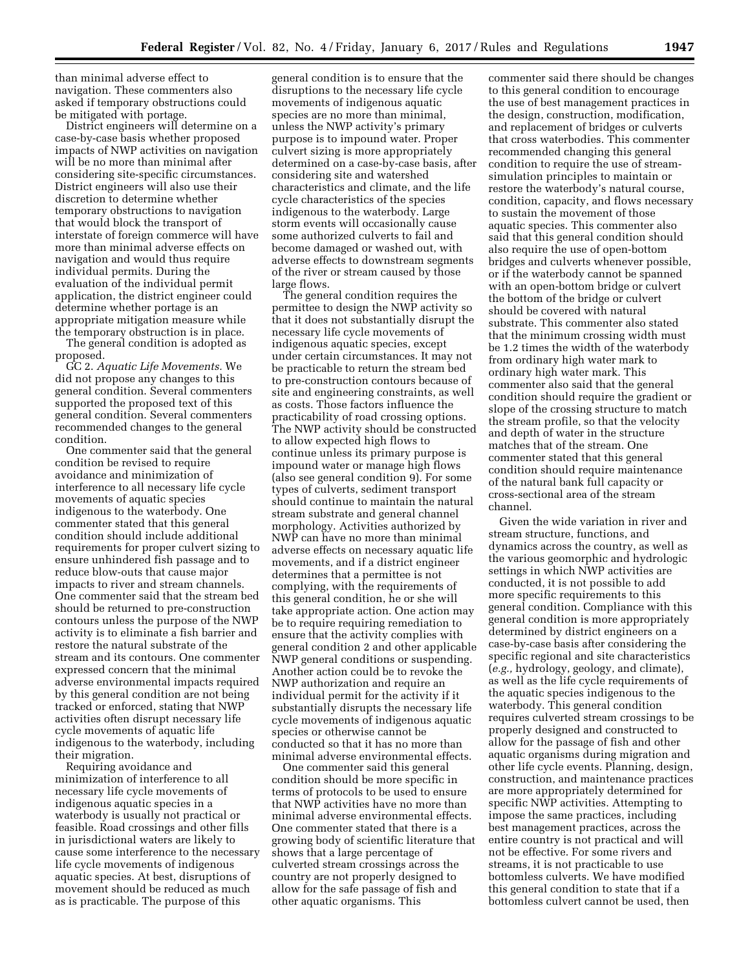than minimal adverse effect to navigation. These commenters also asked if temporary obstructions could be mitigated with portage.

District engineers will determine on a case-by-case basis whether proposed impacts of NWP activities on navigation will be no more than minimal after considering site-specific circumstances. District engineers will also use their discretion to determine whether temporary obstructions to navigation that would block the transport of interstate of foreign commerce will have more than minimal adverse effects on navigation and would thus require individual permits. During the evaluation of the individual permit application, the district engineer could determine whether portage is an appropriate mitigation measure while the temporary obstruction is in place.

The general condition is adopted as proposed.

GC 2. *Aquatic Life Movements.* We did not propose any changes to this general condition. Several commenters supported the proposed text of this general condition. Several commenters recommended changes to the general condition.

One commenter said that the general condition be revised to require avoidance and minimization of interference to all necessary life cycle movements of aquatic species indigenous to the waterbody. One commenter stated that this general condition should include additional requirements for proper culvert sizing to ensure unhindered fish passage and to reduce blow-outs that cause major impacts to river and stream channels. One commenter said that the stream bed should be returned to pre-construction contours unless the purpose of the NWP activity is to eliminate a fish barrier and restore the natural substrate of the stream and its contours. One commenter expressed concern that the minimal adverse environmental impacts required by this general condition are not being tracked or enforced, stating that NWP activities often disrupt necessary life cycle movements of aquatic life indigenous to the waterbody, including their migration.

Requiring avoidance and minimization of interference to all necessary life cycle movements of indigenous aquatic species in a waterbody is usually not practical or feasible. Road crossings and other fills in jurisdictional waters are likely to cause some interference to the necessary life cycle movements of indigenous aquatic species. At best, disruptions of movement should be reduced as much as is practicable. The purpose of this

general condition is to ensure that the disruptions to the necessary life cycle movements of indigenous aquatic species are no more than minimal, unless the NWP activity's primary purpose is to impound water. Proper culvert sizing is more appropriately determined on a case-by-case basis, after considering site and watershed characteristics and climate, and the life cycle characteristics of the species indigenous to the waterbody. Large storm events will occasionally cause some authorized culverts to fail and become damaged or washed out, with adverse effects to downstream segments of the river or stream caused by those large flows.

The general condition requires the permittee to design the NWP activity so that it does not substantially disrupt the necessary life cycle movements of indigenous aquatic species, except under certain circumstances. It may not be practicable to return the stream bed to pre-construction contours because of site and engineering constraints, as well as costs. Those factors influence the practicability of road crossing options. The NWP activity should be constructed to allow expected high flows to continue unless its primary purpose is impound water or manage high flows (also see general condition 9). For some types of culverts, sediment transport should continue to maintain the natural stream substrate and general channel morphology. Activities authorized by NWP can have no more than minimal adverse effects on necessary aquatic life movements, and if a district engineer determines that a permittee is not complying, with the requirements of this general condition, he or she will take appropriate action. One action may be to require requiring remediation to ensure that the activity complies with general condition 2 and other applicable NWP general conditions or suspending. Another action could be to revoke the NWP authorization and require an individual permit for the activity if it substantially disrupts the necessary life cycle movements of indigenous aquatic species or otherwise cannot be conducted so that it has no more than minimal adverse environmental effects.

One commenter said this general condition should be more specific in terms of protocols to be used to ensure that NWP activities have no more than minimal adverse environmental effects. One commenter stated that there is a growing body of scientific literature that shows that a large percentage of culverted stream crossings across the country are not properly designed to allow for the safe passage of fish and other aquatic organisms. This

commenter said there should be changes to this general condition to encourage the use of best management practices in the design, construction, modification, and replacement of bridges or culverts that cross waterbodies. This commenter recommended changing this general condition to require the use of streamsimulation principles to maintain or restore the waterbody's natural course, condition, capacity, and flows necessary to sustain the movement of those aquatic species. This commenter also said that this general condition should also require the use of open-bottom bridges and culverts whenever possible, or if the waterbody cannot be spanned with an open-bottom bridge or culvert the bottom of the bridge or culvert should be covered with natural substrate. This commenter also stated that the minimum crossing width must be 1.2 times the width of the waterbody from ordinary high water mark to ordinary high water mark. This commenter also said that the general condition should require the gradient or slope of the crossing structure to match the stream profile, so that the velocity and depth of water in the structure matches that of the stream. One commenter stated that this general condition should require maintenance of the natural bank full capacity or cross-sectional area of the stream channel.

Given the wide variation in river and stream structure, functions, and dynamics across the country, as well as the various geomorphic and hydrologic settings in which NWP activities are conducted, it is not possible to add more specific requirements to this general condition. Compliance with this general condition is more appropriately determined by district engineers on a case-by-case basis after considering the specific regional and site characteristics (*e.g.,* hydrology, geology, and climate), as well as the life cycle requirements of the aquatic species indigenous to the waterbody. This general condition requires culverted stream crossings to be properly designed and constructed to allow for the passage of fish and other aquatic organisms during migration and other life cycle events. Planning, design, construction, and maintenance practices are more appropriately determined for specific NWP activities. Attempting to impose the same practices, including best management practices, across the entire country is not practical and will not be effective. For some rivers and streams, it is not practicable to use bottomless culverts. We have modified this general condition to state that if a bottomless culvert cannot be used, then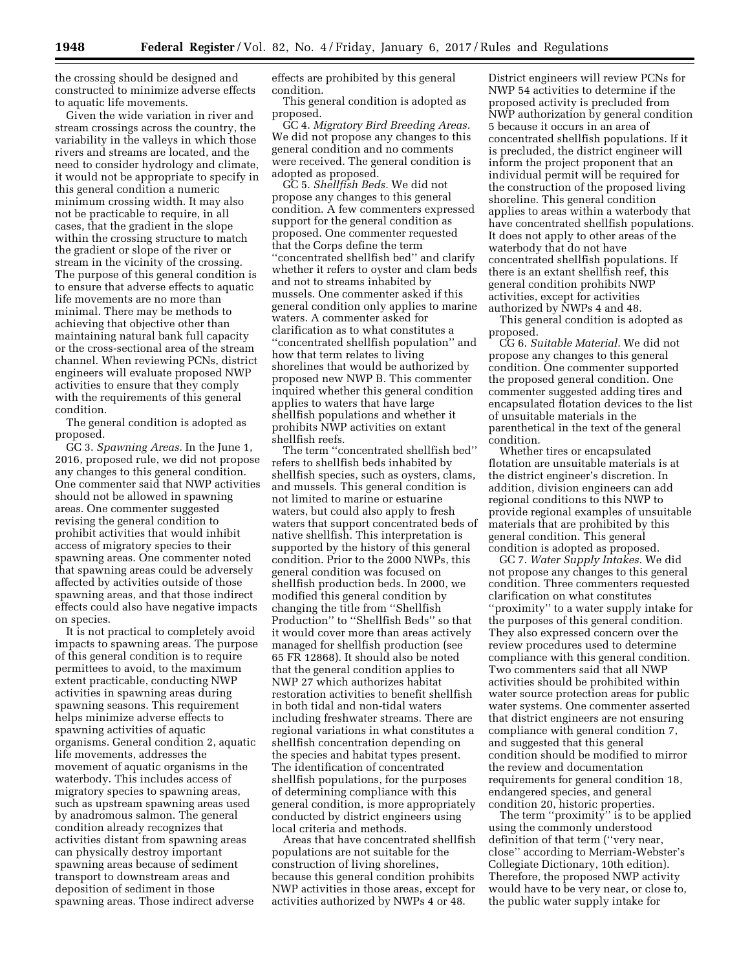the crossing should be designed and constructed to minimize adverse effects to aquatic life movements.

Given the wide variation in river and stream crossings across the country, the variability in the valleys in which those rivers and streams are located, and the need to consider hydrology and climate, it would not be appropriate to specify in this general condition a numeric minimum crossing width. It may also not be practicable to require, in all cases, that the gradient in the slope within the crossing structure to match the gradient or slope of the river or stream in the vicinity of the crossing. The purpose of this general condition is to ensure that adverse effects to aquatic life movements are no more than minimal. There may be methods to achieving that objective other than maintaining natural bank full capacity or the cross-sectional area of the stream channel. When reviewing PCNs, district engineers will evaluate proposed NWP activities to ensure that they comply with the requirements of this general condition.

The general condition is adopted as proposed.

GC 3. *Spawning Areas.* In the June 1, 2016, proposed rule, we did not propose any changes to this general condition. One commenter said that NWP activities should not be allowed in spawning areas. One commenter suggested revising the general condition to prohibit activities that would inhibit access of migratory species to their spawning areas. One commenter noted that spawning areas could be adversely affected by activities outside of those spawning areas, and that those indirect effects could also have negative impacts on species.

It is not practical to completely avoid impacts to spawning areas. The purpose of this general condition is to require permittees to avoid, to the maximum extent practicable, conducting NWP activities in spawning areas during spawning seasons. This requirement helps minimize adverse effects to spawning activities of aquatic organisms. General condition 2, aquatic life movements, addresses the movement of aquatic organisms in the waterbody. This includes access of migratory species to spawning areas, such as upstream spawning areas used by anadromous salmon. The general condition already recognizes that activities distant from spawning areas can physically destroy important spawning areas because of sediment transport to downstream areas and deposition of sediment in those spawning areas. Those indirect adverse

effects are prohibited by this general condition.

This general condition is adopted as proposed.

GC 4. *Migratory Bird Breeding Areas.*  We did not propose any changes to this general condition and no comments were received. The general condition is adopted as proposed.

GC 5. *Shellfish Beds.* We did not propose any changes to this general condition. A few commenters expressed support for the general condition as proposed. One commenter requested that the Corps define the term ''concentrated shellfish bed'' and clarify whether it refers to oyster and clam beds and not to streams inhabited by mussels. One commenter asked if this general condition only applies to marine waters. A commenter asked for clarification as to what constitutes a ''concentrated shellfish population'' and how that term relates to living shorelines that would be authorized by proposed new NWP B. This commenter inquired whether this general condition applies to waters that have large shellfish populations and whether it prohibits NWP activities on extant shellfish reefs.

The term ''concentrated shellfish bed'' refers to shellfish beds inhabited by shellfish species, such as oysters, clams, and mussels. This general condition is not limited to marine or estuarine waters, but could also apply to fresh waters that support concentrated beds of native shellfish. This interpretation is supported by the history of this general condition. Prior to the 2000 NWPs, this general condition was focused on shellfish production beds. In 2000, we modified this general condition by changing the title from ''Shellfish Production'' to ''Shellfish Beds'' so that it would cover more than areas actively managed for shellfish production (see 65 FR 12868). It should also be noted that the general condition applies to NWP 27 which authorizes habitat restoration activities to benefit shellfish in both tidal and non-tidal waters including freshwater streams. There are regional variations in what constitutes a shellfish concentration depending on the species and habitat types present. The identification of concentrated shellfish populations, for the purposes of determining compliance with this general condition, is more appropriately conducted by district engineers using local criteria and methods.

Areas that have concentrated shellfish populations are not suitable for the construction of living shorelines, because this general condition prohibits NWP activities in those areas, except for activities authorized by NWPs 4 or 48.

District engineers will review PCNs for NWP 54 activities to determine if the proposed activity is precluded from NWP authorization by general condition 5 because it occurs in an area of concentrated shellfish populations. If it is precluded, the district engineer will inform the project proponent that an individual permit will be required for the construction of the proposed living shoreline. This general condition applies to areas within a waterbody that have concentrated shellfish populations. It does not apply to other areas of the waterbody that do not have concentrated shellfish populations. If there is an extant shellfish reef, this general condition prohibits NWP activities, except for activities authorized by NWPs 4 and 48.

This general condition is adopted as proposed.

CG 6. *Suitable Material.* We did not propose any changes to this general condition. One commenter supported the proposed general condition. One commenter suggested adding tires and encapsulated flotation devices to the list of unsuitable materials in the parenthetical in the text of the general condition.

Whether tires or encapsulated flotation are unsuitable materials is at the district engineer's discretion. In addition, division engineers can add regional conditions to this NWP to provide regional examples of unsuitable materials that are prohibited by this general condition. This general condition is adopted as proposed.

GC 7. *Water Supply Intakes.* We did not propose any changes to this general condition. Three commenters requested clarification on what constitutes ''proximity'' to a water supply intake for the purposes of this general condition. They also expressed concern over the review procedures used to determine compliance with this general condition. Two commenters said that all NWP activities should be prohibited within water source protection areas for public water systems. One commenter asserted that district engineers are not ensuring compliance with general condition 7, and suggested that this general condition should be modified to mirror the review and documentation requirements for general condition 18, endangered species, and general condition 20, historic properties.

The term ''proximity'' is to be applied using the commonly understood definition of that term (''very near, close'' according to Merriam-Webster's Collegiate Dictionary, 10th edition). Therefore, the proposed NWP activity would have to be very near, or close to, the public water supply intake for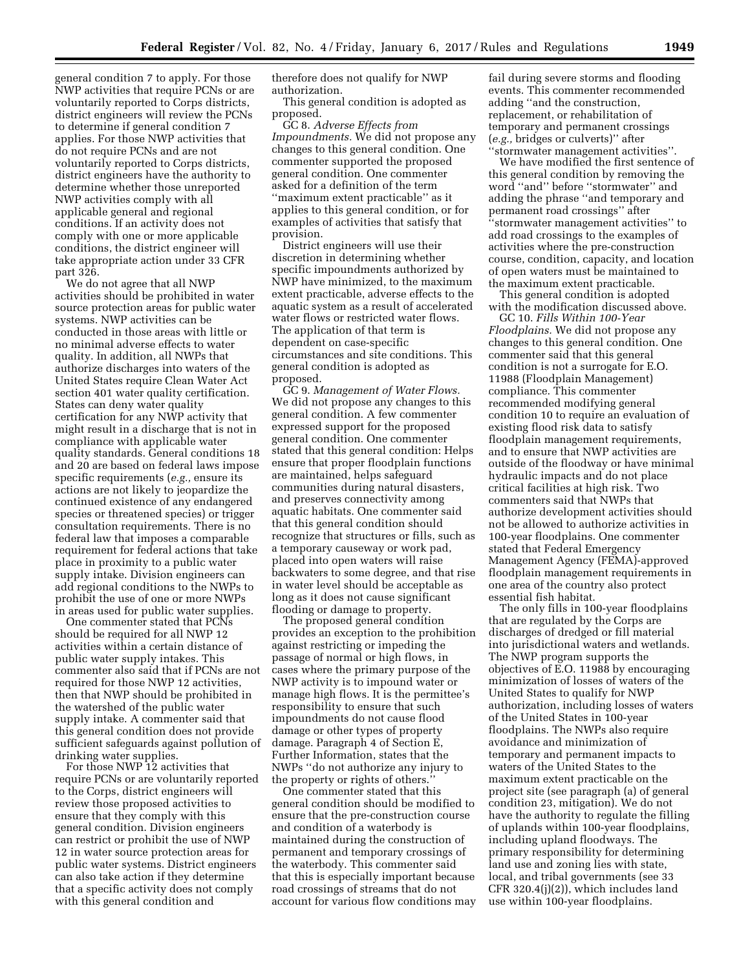general condition 7 to apply. For those NWP activities that require PCNs or are voluntarily reported to Corps districts, district engineers will review the PCNs to determine if general condition 7 applies. For those NWP activities that do not require PCNs and are not voluntarily reported to Corps districts, district engineers have the authority to determine whether those unreported NWP activities comply with all applicable general and regional conditions. If an activity does not comply with one or more applicable conditions, the district engineer will take appropriate action under 33 CFR part 326.

We do not agree that all NWP activities should be prohibited in water source protection areas for public water systems. NWP activities can be conducted in those areas with little or no minimal adverse effects to water quality. In addition, all NWPs that authorize discharges into waters of the United States require Clean Water Act section 401 water quality certification. States can deny water quality certification for any NWP activity that might result in a discharge that is not in compliance with applicable water quality standards. General conditions 18 and 20 are based on federal laws impose specific requirements (*e.g.,* ensure its actions are not likely to jeopardize the continued existence of any endangered species or threatened species) or trigger consultation requirements. There is no federal law that imposes a comparable requirement for federal actions that take place in proximity to a public water supply intake. Division engineers can add regional conditions to the NWPs to prohibit the use of one or more NWPs in areas used for public water supplies.

One commenter stated that PCNs should be required for all NWP 12 activities within a certain distance of public water supply intakes. This commenter also said that if PCNs are not required for those NWP 12 activities, then that NWP should be prohibited in the watershed of the public water supply intake. A commenter said that this general condition does not provide sufficient safeguards against pollution of drinking water supplies.

For those NWP 12 activities that require PCNs or are voluntarily reported to the Corps, district engineers will review those proposed activities to ensure that they comply with this general condition. Division engineers can restrict or prohibit the use of NWP 12 in water source protection areas for public water systems. District engineers can also take action if they determine that a specific activity does not comply with this general condition and

therefore does not qualify for NWP authorization.

This general condition is adopted as proposed.

GC 8. *Adverse Effects from Impoundments.* We did not propose any changes to this general condition. One commenter supported the proposed general condition. One commenter asked for a definition of the term ''maximum extent practicable'' as it applies to this general condition, or for examples of activities that satisfy that provision.

District engineers will use their discretion in determining whether specific impoundments authorized by NWP have minimized, to the maximum extent practicable, adverse effects to the aquatic system as a result of accelerated water flows or restricted water flows. The application of that term is dependent on case-specific circumstances and site conditions. This general condition is adopted as proposed.

GC 9. *Management of Water Flows.*  We did not propose any changes to this general condition. A few commenter expressed support for the proposed general condition. One commenter stated that this general condition: Helps ensure that proper floodplain functions are maintained, helps safeguard communities during natural disasters, and preserves connectivity among aquatic habitats. One commenter said that this general condition should recognize that structures or fills, such as a temporary causeway or work pad, placed into open waters will raise backwaters to some degree, and that rise in water level should be acceptable as long as it does not cause significant flooding or damage to property.

The proposed general condition provides an exception to the prohibition against restricting or impeding the passage of normal or high flows, in cases where the primary purpose of the NWP activity is to impound water or manage high flows. It is the permittee's responsibility to ensure that such impoundments do not cause flood damage or other types of property damage. Paragraph 4 of Section E, Further Information, states that the NWPs ''do not authorize any injury to the property or rights of others.''

One commenter stated that this general condition should be modified to ensure that the pre-construction course and condition of a waterbody is maintained during the construction of permanent and temporary crossings of the waterbody. This commenter said that this is especially important because road crossings of streams that do not account for various flow conditions may fail during severe storms and flooding events. This commenter recommended adding ''and the construction, replacement, or rehabilitation of temporary and permanent crossings (*e.g.,* bridges or culverts)'' after ''stormwater management activities''.

We have modified the first sentence of this general condition by removing the word ''and'' before ''stormwater'' and adding the phrase ''and temporary and permanent road crossings'' after ''stormwater management activities'' to add road crossings to the examples of activities where the pre-construction course, condition, capacity, and location of open waters must be maintained to the maximum extent practicable.

This general condition is adopted with the modification discussed above.

GC 10. *Fills Within 100-Year Floodplains.* We did not propose any changes to this general condition. One commenter said that this general condition is not a surrogate for E.O. 11988 (Floodplain Management) compliance. This commenter recommended modifying general condition 10 to require an evaluation of existing flood risk data to satisfy floodplain management requirements, and to ensure that NWP activities are outside of the floodway or have minimal hydraulic impacts and do not place critical facilities at high risk. Two commenters said that NWPs that authorize development activities should not be allowed to authorize activities in 100-year floodplains. One commenter stated that Federal Emergency Management Agency (FEMA)-approved floodplain management requirements in one area of the country also protect essential fish habitat.

The only fills in 100-year floodplains that are regulated by the Corps are discharges of dredged or fill material into jurisdictional waters and wetlands. The NWP program supports the objectives of E.O. 11988 by encouraging minimization of losses of waters of the United States to qualify for NWP authorization, including losses of waters of the United States in 100-year floodplains. The NWPs also require avoidance and minimization of temporary and permanent impacts to waters of the United States to the maximum extent practicable on the project site (see paragraph (a) of general condition 23, mitigation). We do not have the authority to regulate the filling of uplands within 100-year floodplains, including upland floodways. The primary responsibility for determining land use and zoning lies with state, local, and tribal governments (see 33 CFR 320.4(j)(2)), which includes land use within 100-year floodplains.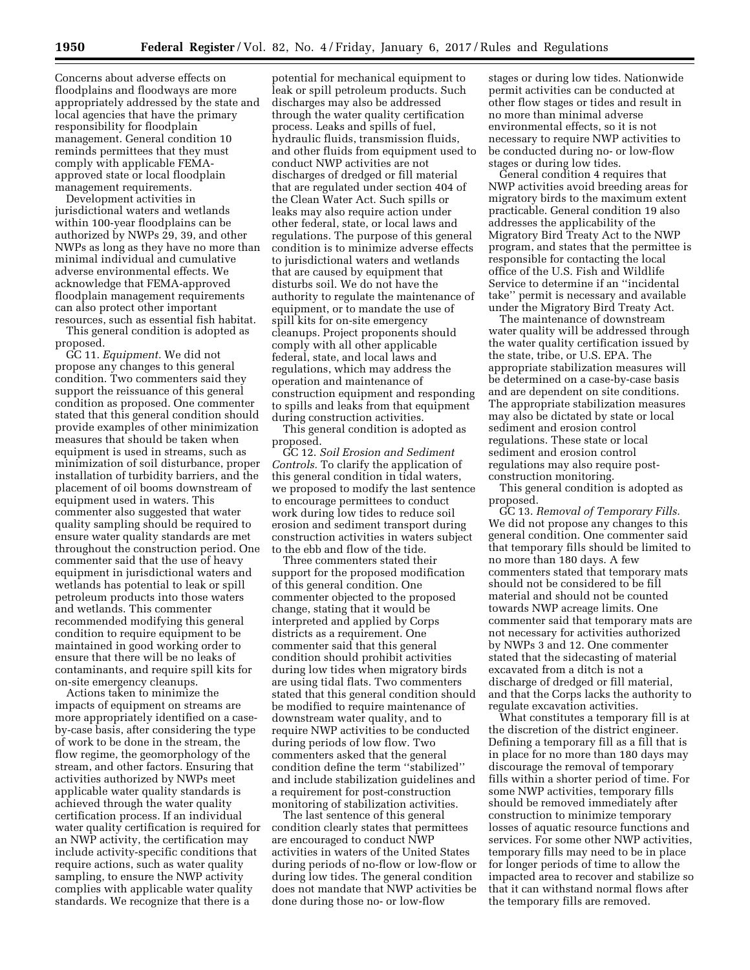Concerns about adverse effects on floodplains and floodways are more appropriately addressed by the state and local agencies that have the primary responsibility for floodplain management. General condition 10 reminds permittees that they must comply with applicable FEMAapproved state or local floodplain management requirements.

Development activities in jurisdictional waters and wetlands within 100-year floodplains can be authorized by NWPs 29, 39, and other NWPs as long as they have no more than minimal individual and cumulative adverse environmental effects. We acknowledge that FEMA-approved floodplain management requirements can also protect other important resources, such as essential fish habitat.

This general condition is adopted as proposed.

GC 11. *Equipment.* We did not propose any changes to this general condition. Two commenters said they support the reissuance of this general condition as proposed. One commenter stated that this general condition should provide examples of other minimization measures that should be taken when equipment is used in streams, such as minimization of soil disturbance, proper installation of turbidity barriers, and the placement of oil booms downstream of equipment used in waters. This commenter also suggested that water quality sampling should be required to ensure water quality standards are met throughout the construction period. One commenter said that the use of heavy equipment in jurisdictional waters and wetlands has potential to leak or spill petroleum products into those waters and wetlands. This commenter recommended modifying this general condition to require equipment to be maintained in good working order to ensure that there will be no leaks of contaminants, and require spill kits for on-site emergency cleanups.

Actions taken to minimize the impacts of equipment on streams are more appropriately identified on a caseby-case basis, after considering the type of work to be done in the stream, the flow regime, the geomorphology of the stream, and other factors. Ensuring that activities authorized by NWPs meet applicable water quality standards is achieved through the water quality certification process. If an individual water quality certification is required for an NWP activity, the certification may include activity-specific conditions that require actions, such as water quality sampling, to ensure the NWP activity complies with applicable water quality standards. We recognize that there is a

potential for mechanical equipment to leak or spill petroleum products. Such discharges may also be addressed through the water quality certification process. Leaks and spills of fuel, hydraulic fluids, transmission fluids, and other fluids from equipment used to conduct NWP activities are not discharges of dredged or fill material that are regulated under section 404 of the Clean Water Act. Such spills or leaks may also require action under other federal, state, or local laws and regulations. The purpose of this general condition is to minimize adverse effects to jurisdictional waters and wetlands that are caused by equipment that disturbs soil. We do not have the authority to regulate the maintenance of equipment, or to mandate the use of spill kits for on-site emergency cleanups. Project proponents should comply with all other applicable federal, state, and local laws and regulations, which may address the operation and maintenance of construction equipment and responding to spills and leaks from that equipment during construction activities.

This general condition is adopted as proposed.

GC 12. *Soil Erosion and Sediment Controls.* To clarify the application of this general condition in tidal waters, we proposed to modify the last sentence to encourage permittees to conduct work during low tides to reduce soil erosion and sediment transport during construction activities in waters subject to the ebb and flow of the tide.

Three commenters stated their support for the proposed modification of this general condition. One commenter objected to the proposed change, stating that it would be interpreted and applied by Corps districts as a requirement. One commenter said that this general condition should prohibit activities during low tides when migratory birds are using tidal flats. Two commenters stated that this general condition should be modified to require maintenance of downstream water quality, and to require NWP activities to be conducted during periods of low flow. Two commenters asked that the general condition define the term ''stabilized'' and include stabilization guidelines and a requirement for post-construction monitoring of stabilization activities.

The last sentence of this general condition clearly states that permittees are encouraged to conduct NWP activities in waters of the United States during periods of no-flow or low-flow or during low tides. The general condition does not mandate that NWP activities be done during those no- or low-flow

stages or during low tides. Nationwide permit activities can be conducted at other flow stages or tides and result in no more than minimal adverse environmental effects, so it is not necessary to require NWP activities to be conducted during no- or low-flow stages or during low tides.

General condition 4 requires that NWP activities avoid breeding areas for migratory birds to the maximum extent practicable. General condition 19 also addresses the applicability of the Migratory Bird Treaty Act to the NWP program, and states that the permittee is responsible for contacting the local office of the U.S. Fish and Wildlife Service to determine if an ''incidental take'' permit is necessary and available under the Migratory Bird Treaty Act.

The maintenance of downstream water quality will be addressed through the water quality certification issued by the state, tribe, or U.S. EPA. The appropriate stabilization measures will be determined on a case-by-case basis and are dependent on site conditions. The appropriate stabilization measures may also be dictated by state or local sediment and erosion control regulations. These state or local sediment and erosion control regulations may also require postconstruction monitoring.

This general condition is adopted as proposed.

GC 13. *Removal of Temporary Fills.*  We did not propose any changes to this general condition. One commenter said that temporary fills should be limited to no more than 180 days. A few commenters stated that temporary mats should not be considered to be fill material and should not be counted towards NWP acreage limits. One commenter said that temporary mats are not necessary for activities authorized by NWPs 3 and 12. One commenter stated that the sidecasting of material excavated from a ditch is not a discharge of dredged or fill material, and that the Corps lacks the authority to regulate excavation activities.

What constitutes a temporary fill is at the discretion of the district engineer. Defining a temporary fill as a fill that is in place for no more than 180 days may discourage the removal of temporary fills within a shorter period of time. For some NWP activities, temporary fills should be removed immediately after construction to minimize temporary losses of aquatic resource functions and services. For some other NWP activities, temporary fills may need to be in place for longer periods of time to allow the impacted area to recover and stabilize so that it can withstand normal flows after the temporary fills are removed.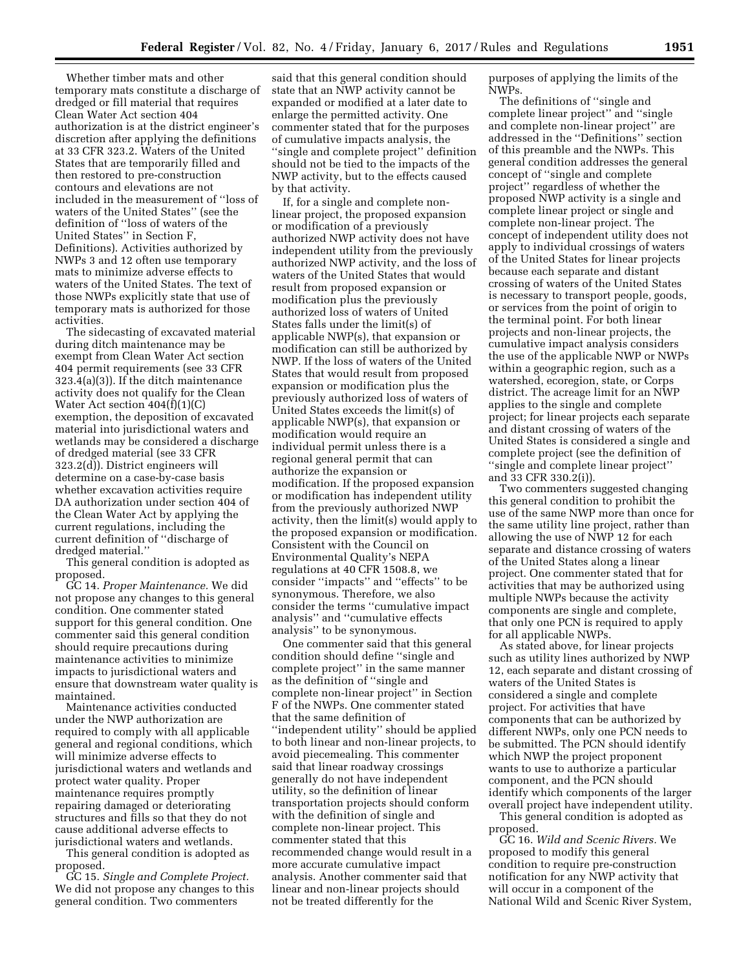Whether timber mats and other temporary mats constitute a discharge of dredged or fill material that requires Clean Water Act section 404 authorization is at the district engineer's discretion after applying the definitions at 33 CFR 323.2. Waters of the United States that are temporarily filled and then restored to pre-construction contours and elevations are not included in the measurement of ''loss of waters of the United States'' (see the definition of ''loss of waters of the United States'' in Section F, Definitions). Activities authorized by NWPs 3 and 12 often use temporary mats to minimize adverse effects to waters of the United States. The text of those NWPs explicitly state that use of temporary mats is authorized for those activities.

The sidecasting of excavated material during ditch maintenance may be exempt from Clean Water Act section 404 permit requirements (see 33 CFR 323.4(a)(3)). If the ditch maintenance activity does not qualify for the Clean Water Act section 404(f)(1)(C) exemption, the deposition of excavated material into jurisdictional waters and wetlands may be considered a discharge of dredged material (see 33 CFR 323.2(d)). District engineers will determine on a case-by-case basis whether excavation activities require DA authorization under section 404 of the Clean Water Act by applying the current regulations, including the current definition of ''discharge of dredged material.''

This general condition is adopted as proposed.

GC 14. *Proper Maintenance.* We did not propose any changes to this general condition. One commenter stated support for this general condition. One commenter said this general condition should require precautions during maintenance activities to minimize impacts to jurisdictional waters and ensure that downstream water quality is maintained.

Maintenance activities conducted under the NWP authorization are required to comply with all applicable general and regional conditions, which will minimize adverse effects to jurisdictional waters and wetlands and protect water quality. Proper maintenance requires promptly repairing damaged or deteriorating structures and fills so that they do not cause additional adverse effects to jurisdictional waters and wetlands.

This general condition is adopted as proposed.

GC 15. *Single and Complete Project.*  We did not propose any changes to this general condition. Two commenters

said that this general condition should state that an NWP activity cannot be expanded or modified at a later date to enlarge the permitted activity. One commenter stated that for the purposes of cumulative impacts analysis, the ''single and complete project'' definition should not be tied to the impacts of the NWP activity, but to the effects caused by that activity.

If, for a single and complete nonlinear project, the proposed expansion or modification of a previously authorized NWP activity does not have independent utility from the previously authorized NWP activity, and the loss of waters of the United States that would result from proposed expansion or modification plus the previously authorized loss of waters of United States falls under the limit(s) of applicable NWP(s), that expansion or modification can still be authorized by NWP. If the loss of waters of the United States that would result from proposed expansion or modification plus the previously authorized loss of waters of United States exceeds the limit(s) of applicable NWP(s), that expansion or modification would require an individual permit unless there is a regional general permit that can authorize the expansion or modification. If the proposed expansion or modification has independent utility from the previously authorized NWP activity, then the limit(s) would apply to the proposed expansion or modification. Consistent with the Council on Environmental Quality's NEPA regulations at 40 CFR 1508.8, we consider ''impacts'' and ''effects'' to be synonymous. Therefore, we also consider the terms ''cumulative impact analysis'' and ''cumulative effects analysis'' to be synonymous.

One commenter said that this general condition should define ''single and complete project'' in the same manner as the definition of ''single and complete non-linear project'' in Section F of the NWPs. One commenter stated that the same definition of ''independent utility'' should be applied to both linear and non-linear projects, to avoid piecemealing. This commenter said that linear roadway crossings generally do not have independent utility, so the definition of linear transportation projects should conform with the definition of single and complete non-linear project. This commenter stated that this recommended change would result in a more accurate cumulative impact analysis. Another commenter said that linear and non-linear projects should not be treated differently for the

purposes of applying the limits of the NWPs.

The definitions of ''single and complete linear project'' and ''single and complete non-linear project'' are addressed in the ''Definitions'' section of this preamble and the NWPs. This general condition addresses the general concept of ''single and complete project'' regardless of whether the proposed NWP activity is a single and complete linear project or single and complete non-linear project. The concept of independent utility does not apply to individual crossings of waters of the United States for linear projects because each separate and distant crossing of waters of the United States is necessary to transport people, goods, or services from the point of origin to the terminal point. For both linear projects and non-linear projects, the cumulative impact analysis considers the use of the applicable NWP or NWPs within a geographic region, such as a watershed, ecoregion, state, or Corps district. The acreage limit for an NWP applies to the single and complete project; for linear projects each separate and distant crossing of waters of the United States is considered a single and complete project (see the definition of ''single and complete linear project'' and 33 CFR 330.2(i)).

Two commenters suggested changing this general condition to prohibit the use of the same NWP more than once for the same utility line project, rather than allowing the use of NWP 12 for each separate and distance crossing of waters of the United States along a linear project. One commenter stated that for activities that may be authorized using multiple NWPs because the activity components are single and complete, that only one PCN is required to apply for all applicable NWPs.

As stated above, for linear projects such as utility lines authorized by NWP 12, each separate and distant crossing of waters of the United States is considered a single and complete project. For activities that have components that can be authorized by different NWPs, only one PCN needs to be submitted. The PCN should identify which NWP the project proponent wants to use to authorize a particular component, and the PCN should identify which components of the larger overall project have independent utility.

This general condition is adopted as proposed.

GC 16. *Wild and Scenic Rivers.* We proposed to modify this general condition to require pre-construction notification for any NWP activity that will occur in a component of the National Wild and Scenic River System,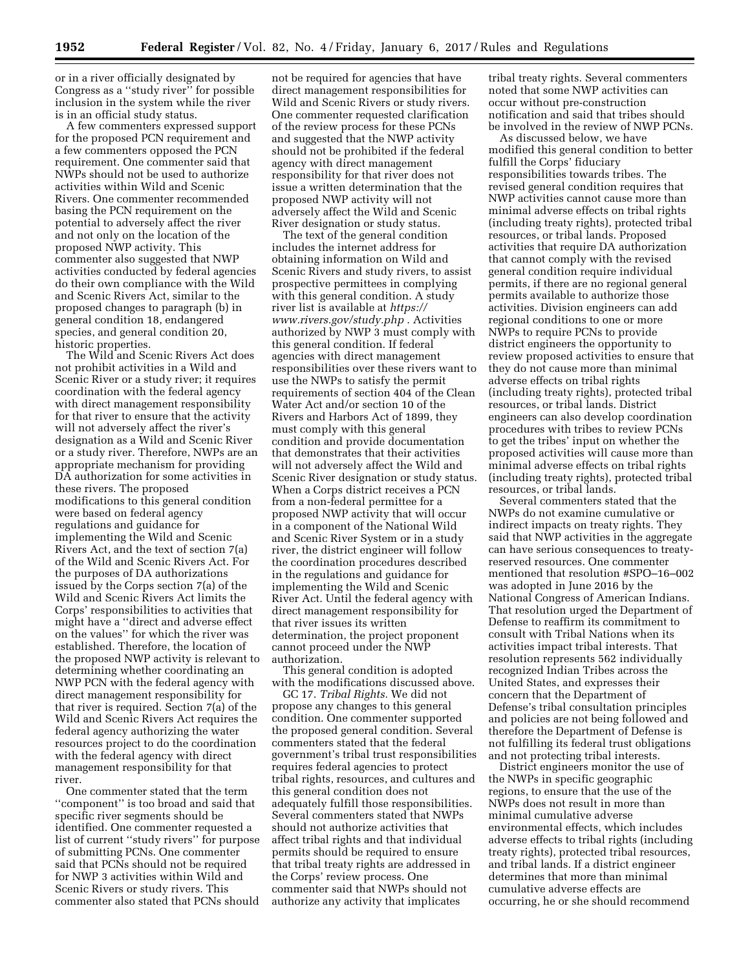or in a river officially designated by Congress as a ''study river'' for possible inclusion in the system while the river is in an official study status.

A few commenters expressed support for the proposed PCN requirement and a few commenters opposed the PCN requirement. One commenter said that NWPs should not be used to authorize activities within Wild and Scenic Rivers. One commenter recommended basing the PCN requirement on the potential to adversely affect the river and not only on the location of the proposed NWP activity. This commenter also suggested that NWP activities conducted by federal agencies do their own compliance with the Wild and Scenic Rivers Act, similar to the proposed changes to paragraph (b) in general condition 18, endangered species, and general condition 20, historic properties.

The Wild and Scenic Rivers Act does not prohibit activities in a Wild and Scenic River or a study river; it requires coordination with the federal agency with direct management responsibility for that river to ensure that the activity will not adversely affect the river's designation as a Wild and Scenic River or a study river. Therefore, NWPs are an appropriate mechanism for providing DA authorization for some activities in these rivers. The proposed modifications to this general condition were based on federal agency regulations and guidance for implementing the Wild and Scenic Rivers Act, and the text of section 7(a) of the Wild and Scenic Rivers Act. For the purposes of DA authorizations issued by the Corps section 7(a) of the Wild and Scenic Rivers Act limits the Corps' responsibilities to activities that might have a ''direct and adverse effect on the values'' for which the river was established. Therefore, the location of the proposed NWP activity is relevant to determining whether coordinating an NWP PCN with the federal agency with direct management responsibility for that river is required. Section 7(a) of the Wild and Scenic Rivers Act requires the federal agency authorizing the water resources project to do the coordination with the federal agency with direct management responsibility for that river.

One commenter stated that the term ''component'' is too broad and said that specific river segments should be identified. One commenter requested a list of current ''study rivers'' for purpose of submitting PCNs. One commenter said that PCNs should not be required for NWP 3 activities within Wild and Scenic Rivers or study rivers. This commenter also stated that PCNs should

not be required for agencies that have direct management responsibilities for Wild and Scenic Rivers or study rivers. One commenter requested clarification of the review process for these PCNs and suggested that the NWP activity should not be prohibited if the federal agency with direct management responsibility for that river does not issue a written determination that the proposed NWP activity will not adversely affect the Wild and Scenic River designation or study status.

The text of the general condition includes the internet address for obtaining information on Wild and Scenic Rivers and study rivers, to assist prospective permittees in complying with this general condition. A study river list is available at *[https://](https://www.rivers.gov/study.php) [www.rivers.gov/study.php](https://www.rivers.gov/study.php)* . Activities authorized by NWP 3 must comply with this general condition. If federal agencies with direct management responsibilities over these rivers want to use the NWPs to satisfy the permit requirements of section 404 of the Clean Water Act and/or section 10 of the Rivers and Harbors Act of 1899, they must comply with this general condition and provide documentation that demonstrates that their activities will not adversely affect the Wild and Scenic River designation or study status. When a Corps district receives a PCN from a non-federal permittee for a proposed NWP activity that will occur in a component of the National Wild and Scenic River System or in a study river, the district engineer will follow the coordination procedures described in the regulations and guidance for implementing the Wild and Scenic River Act. Until the federal agency with direct management responsibility for that river issues its written determination, the project proponent cannot proceed under the NWP authorization.

This general condition is adopted with the modifications discussed above.

GC 17. *Tribal Rights.* We did not propose any changes to this general condition. One commenter supported the proposed general condition. Several commenters stated that the federal government's tribal trust responsibilities requires federal agencies to protect tribal rights, resources, and cultures and this general condition does not adequately fulfill those responsibilities. Several commenters stated that NWPs should not authorize activities that affect tribal rights and that individual permits should be required to ensure that tribal treaty rights are addressed in the Corps' review process. One commenter said that NWPs should not authorize any activity that implicates

tribal treaty rights. Several commenters noted that some NWP activities can occur without pre-construction notification and said that tribes should be involved in the review of NWP PCNs.

As discussed below, we have modified this general condition to better fulfill the Corps' fiduciary responsibilities towards tribes. The revised general condition requires that NWP activities cannot cause more than minimal adverse effects on tribal rights (including treaty rights), protected tribal resources, or tribal lands. Proposed activities that require DA authorization that cannot comply with the revised general condition require individual permits, if there are no regional general permits available to authorize those activities. Division engineers can add regional conditions to one or more NWPs to require PCNs to provide district engineers the opportunity to review proposed activities to ensure that they do not cause more than minimal adverse effects on tribal rights (including treaty rights), protected tribal resources, or tribal lands. District engineers can also develop coordination procedures with tribes to review PCNs to get the tribes' input on whether the proposed activities will cause more than minimal adverse effects on tribal rights (including treaty rights), protected tribal resources, or tribal lands.

Several commenters stated that the NWPs do not examine cumulative or indirect impacts on treaty rights. They said that NWP activities in the aggregate can have serious consequences to treatyreserved resources. One commenter mentioned that resolution #SPO–16–002 was adopted in June 2016 by the National Congress of American Indians. That resolution urged the Department of Defense to reaffirm its commitment to consult with Tribal Nations when its activities impact tribal interests. That resolution represents 562 individually recognized Indian Tribes across the United States, and expresses their concern that the Department of Defense's tribal consultation principles and policies are not being followed and therefore the Department of Defense is not fulfilling its federal trust obligations and not protecting tribal interests.

District engineers monitor the use of the NWPs in specific geographic regions, to ensure that the use of the NWPs does not result in more than minimal cumulative adverse environmental effects, which includes adverse effects to tribal rights (including treaty rights), protected tribal resources, and tribal lands. If a district engineer determines that more than minimal cumulative adverse effects are occurring, he or she should recommend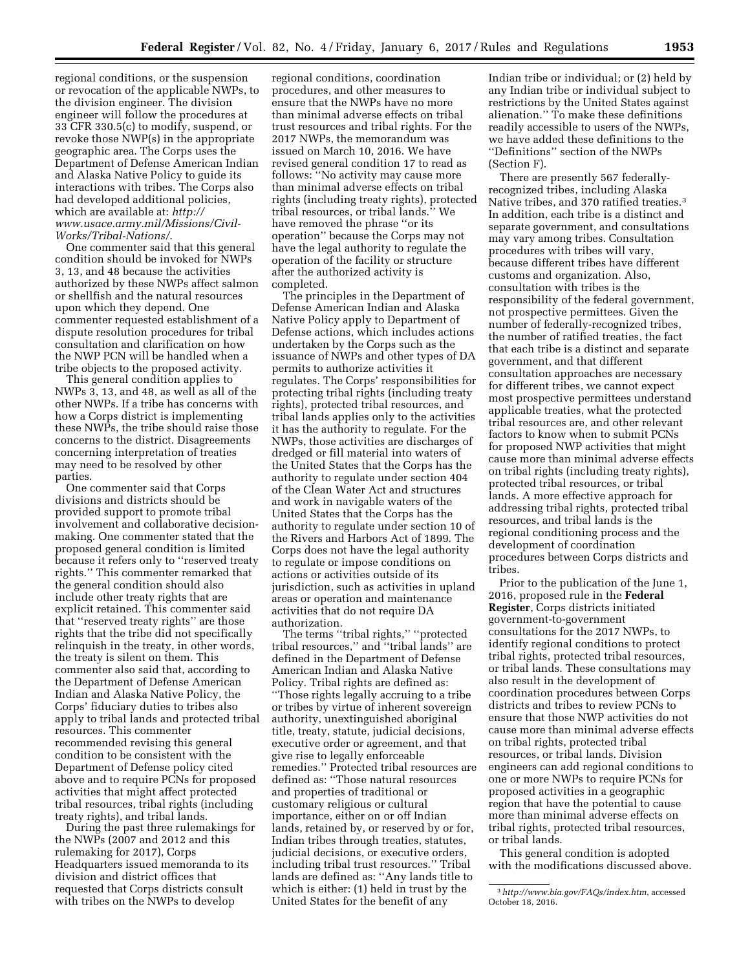regional conditions, or the suspension or revocation of the applicable NWPs, to the division engineer. The division engineer will follow the procedures at 33 CFR 330.5(c) to modify, suspend, or revoke those NWP(s) in the appropriate geographic area. The Corps uses the Department of Defense American Indian and Alaska Native Policy to guide its interactions with tribes. The Corps also had developed additional policies, which are available at: *[http://](http://www.usace.army.mil/Missions/Civil-Works/Tribal-Nations/) [www.usace.army.mil/Missions/Civil-](http://www.usace.army.mil/Missions/Civil-Works/Tribal-Nations/)[Works/Tribal-Nations/](http://www.usace.army.mil/Missions/Civil-Works/Tribal-Nations/)*.

One commenter said that this general condition should be invoked for NWPs 3, 13, and 48 because the activities authorized by these NWPs affect salmon or shellfish and the natural resources upon which they depend. One commenter requested establishment of a dispute resolution procedures for tribal consultation and clarification on how the NWP PCN will be handled when a tribe objects to the proposed activity.

This general condition applies to NWPs 3, 13, and 48, as well as all of the other NWPs. If a tribe has concerns with how a Corps district is implementing these NWPs, the tribe should raise those concerns to the district. Disagreements concerning interpretation of treaties may need to be resolved by other parties.

One commenter said that Corps divisions and districts should be provided support to promote tribal involvement and collaborative decisionmaking. One commenter stated that the proposed general condition is limited because it refers only to ''reserved treaty rights.'' This commenter remarked that the general condition should also include other treaty rights that are explicit retained. This commenter said that ''reserved treaty rights'' are those rights that the tribe did not specifically relinquish in the treaty, in other words, the treaty is silent on them. This commenter also said that, according to the Department of Defense American Indian and Alaska Native Policy, the Corps' fiduciary duties to tribes also apply to tribal lands and protected tribal resources. This commenter recommended revising this general condition to be consistent with the Department of Defense policy cited above and to require PCNs for proposed activities that might affect protected tribal resources, tribal rights (including treaty rights), and tribal lands.

During the past three rulemakings for the NWPs (2007 and 2012 and this rulemaking for 2017), Corps Headquarters issued memoranda to its division and district offices that requested that Corps districts consult with tribes on the NWPs to develop

regional conditions, coordination procedures, and other measures to ensure that the NWPs have no more than minimal adverse effects on tribal trust resources and tribal rights. For the 2017 NWPs, the memorandum was issued on March 10, 2016. We have revised general condition 17 to read as follows: ''No activity may cause more than minimal adverse effects on tribal rights (including treaty rights), protected tribal resources, or tribal lands.'' We have removed the phrase ''or its operation'' because the Corps may not have the legal authority to regulate the operation of the facility or structure after the authorized activity is completed.

The principles in the Department of Defense American Indian and Alaska Native Policy apply to Department of Defense actions, which includes actions undertaken by the Corps such as the issuance of NWPs and other types of DA permits to authorize activities it regulates. The Corps' responsibilities for protecting tribal rights (including treaty rights), protected tribal resources, and tribal lands applies only to the activities it has the authority to regulate. For the NWPs, those activities are discharges of dredged or fill material into waters of the United States that the Corps has the authority to regulate under section 404 of the Clean Water Act and structures and work in navigable waters of the United States that the Corps has the authority to regulate under section 10 of the Rivers and Harbors Act of 1899. The Corps does not have the legal authority to regulate or impose conditions on actions or activities outside of its jurisdiction, such as activities in upland areas or operation and maintenance activities that do not require DA authorization.

The terms ''tribal rights,'' ''protected tribal resources,'' and ''tribal lands'' are defined in the Department of Defense American Indian and Alaska Native Policy. Tribal rights are defined as: ''Those rights legally accruing to a tribe or tribes by virtue of inherent sovereign authority, unextinguished aboriginal title, treaty, statute, judicial decisions, executive order or agreement, and that give rise to legally enforceable remedies.'' Protected tribal resources are defined as: ''Those natural resources and properties of traditional or customary religious or cultural importance, either on or off Indian lands, retained by, or reserved by or for, Indian tribes through treaties, statutes, judicial decisions, or executive orders, including tribal trust resources.'' Tribal lands are defined as: ''Any lands title to which is either: (1) held in trust by the United States for the benefit of any

Indian tribe or individual; or (2) held by any Indian tribe or individual subject to restrictions by the United States against alienation.'' To make these definitions readily accessible to users of the NWPs, we have added these definitions to the ''Definitions'' section of the NWPs (Section F).

There are presently 567 federallyrecognized tribes, including Alaska Native tribes, and 370 ratified treaties.3 In addition, each tribe is a distinct and separate government, and consultations may vary among tribes. Consultation procedures with tribes will vary, because different tribes have different customs and organization. Also, consultation with tribes is the responsibility of the federal government, not prospective permittees. Given the number of federally-recognized tribes, the number of ratified treaties, the fact that each tribe is a distinct and separate government, and that different consultation approaches are necessary for different tribes, we cannot expect most prospective permittees understand applicable treaties, what the protected tribal resources are, and other relevant factors to know when to submit PCNs for proposed NWP activities that might cause more than minimal adverse effects on tribal rights (including treaty rights), protected tribal resources, or tribal lands. A more effective approach for addressing tribal rights, protected tribal resources, and tribal lands is the regional conditioning process and the development of coordination procedures between Corps districts and tribes.

Prior to the publication of the June 1, 2016, proposed rule in the **Federal Register**, Corps districts initiated government-to-government consultations for the 2017 NWPs, to identify regional conditions to protect tribal rights, protected tribal resources, or tribal lands. These consultations may also result in the development of coordination procedures between Corps districts and tribes to review PCNs to ensure that those NWP activities do not cause more than minimal adverse effects on tribal rights, protected tribal resources, or tribal lands. Division engineers can add regional conditions to one or more NWPs to require PCNs for proposed activities in a geographic region that have the potential to cause more than minimal adverse effects on tribal rights, protected tribal resources, or tribal lands.

This general condition is adopted with the modifications discussed above.

<sup>3</sup>*<http://www.bia.gov/FAQs/index.htm>*, accessed October 18, 2016.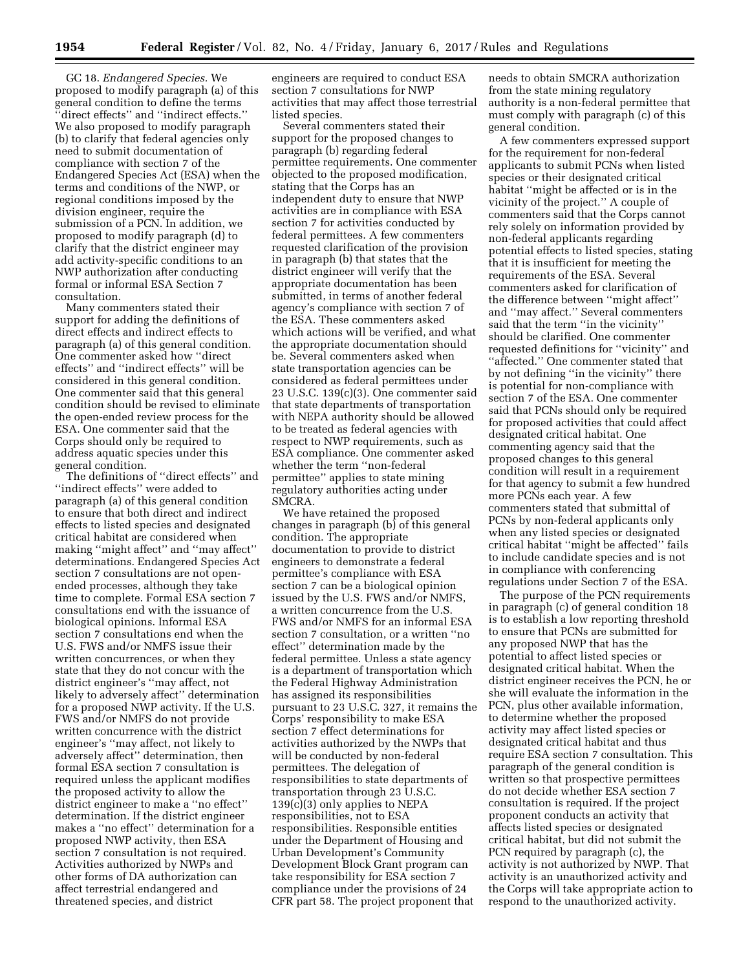GC 18. *Endangered Species.* We proposed to modify paragraph (a) of this general condition to define the terms ''direct effects'' and ''indirect effects.'' We also proposed to modify paragraph (b) to clarify that federal agencies only need to submit documentation of compliance with section 7 of the Endangered Species Act (ESA) when the terms and conditions of the NWP, or regional conditions imposed by the division engineer, require the submission of a PCN. In addition, we proposed to modify paragraph (d) to clarify that the district engineer may add activity-specific conditions to an NWP authorization after conducting formal or informal ESA Section 7 consultation.

Many commenters stated their support for adding the definitions of direct effects and indirect effects to paragraph (a) of this general condition. One commenter asked how ''direct effects'' and ''indirect effects'' will be considered in this general condition. One commenter said that this general condition should be revised to eliminate the open-ended review process for the ESA. One commenter said that the Corps should only be required to address aquatic species under this general condition.

The definitions of ''direct effects'' and ''indirect effects'' were added to paragraph (a) of this general condition to ensure that both direct and indirect effects to listed species and designated critical habitat are considered when making ''might affect'' and ''may affect'' determinations. Endangered Species Act section 7 consultations are not openended processes, although they take time to complete. Formal ESA section 7 consultations end with the issuance of biological opinions. Informal ESA section 7 consultations end when the U.S. FWS and/or NMFS issue their written concurrences, or when they state that they do not concur with the district engineer's ''may affect, not likely to adversely affect'' determination for a proposed NWP activity. If the U.S. FWS and/or NMFS do not provide written concurrence with the district engineer's ''may affect, not likely to adversely affect'' determination, then formal ESA section 7 consultation is required unless the applicant modifies the proposed activity to allow the district engineer to make a ''no effect'' determination. If the district engineer makes a ''no effect'' determination for a proposed NWP activity, then ESA section 7 consultation is not required. Activities authorized by NWPs and other forms of DA authorization can affect terrestrial endangered and threatened species, and district

engineers are required to conduct ESA section 7 consultations for NWP activities that may affect those terrestrial listed species.

Several commenters stated their support for the proposed changes to paragraph (b) regarding federal permittee requirements. One commenter objected to the proposed modification, stating that the Corps has an independent duty to ensure that NWP activities are in compliance with ESA section 7 for activities conducted by federal permittees. A few commenters requested clarification of the provision in paragraph (b) that states that the district engineer will verify that the appropriate documentation has been submitted, in terms of another federal agency's compliance with section 7 of the ESA. These commenters asked which actions will be verified, and what the appropriate documentation should be. Several commenters asked when state transportation agencies can be considered as federal permittees under 23 U.S.C. 139(c)(3). One commenter said that state departments of transportation with NEPA authority should be allowed to be treated as federal agencies with respect to NWP requirements, such as ESA compliance. One commenter asked whether the term ''non-federal permittee'' applies to state mining regulatory authorities acting under SMCRA.

We have retained the proposed changes in paragraph (b) of this general condition. The appropriate documentation to provide to district engineers to demonstrate a federal permittee's compliance with ESA section 7 can be a biological opinion issued by the U.S. FWS and/or NMFS, a written concurrence from the U.S. FWS and/or NMFS for an informal ESA section 7 consultation, or a written ''no effect'' determination made by the federal permittee. Unless a state agency is a department of transportation which the Federal Highway Administration has assigned its responsibilities pursuant to 23 U.S.C. 327, it remains the Corps' responsibility to make ESA section 7 effect determinations for activities authorized by the NWPs that will be conducted by non-federal permittees. The delegation of responsibilities to state departments of transportation through 23 U.S.C. 139(c)(3) only applies to NEPA responsibilities, not to ESA responsibilities. Responsible entities under the Department of Housing and Urban Development's Community Development Block Grant program can take responsibility for ESA section 7 compliance under the provisions of 24 CFR part 58. The project proponent that

needs to obtain SMCRA authorization from the state mining regulatory authority is a non-federal permittee that must comply with paragraph (c) of this general condition.

A few commenters expressed support for the requirement for non-federal applicants to submit PCNs when listed species or their designated critical habitat ''might be affected or is in the vicinity of the project.'' A couple of commenters said that the Corps cannot rely solely on information provided by non-federal applicants regarding potential effects to listed species, stating that it is insufficient for meeting the requirements of the ESA. Several commenters asked for clarification of the difference between ''might affect'' and ''may affect.'' Several commenters said that the term ''in the vicinity'' should be clarified. One commenter requested definitions for ''vicinity'' and ''affected.'' One commenter stated that by not defining ''in the vicinity'' there is potential for non-compliance with section 7 of the ESA. One commenter said that PCNs should only be required for proposed activities that could affect designated critical habitat. One commenting agency said that the proposed changes to this general condition will result in a requirement for that agency to submit a few hundred more PCNs each year. A few commenters stated that submittal of PCNs by non-federal applicants only when any listed species or designated critical habitat ''might be affected'' fails to include candidate species and is not in compliance with conferencing regulations under Section 7 of the ESA.

The purpose of the PCN requirements in paragraph (c) of general condition 18 is to establish a low reporting threshold to ensure that PCNs are submitted for any proposed NWP that has the potential to affect listed species or designated critical habitat. When the district engineer receives the PCN, he or she will evaluate the information in the PCN, plus other available information, to determine whether the proposed activity may affect listed species or designated critical habitat and thus require ESA section 7 consultation. This paragraph of the general condition is written so that prospective permittees do not decide whether ESA section 7 consultation is required. If the project proponent conducts an activity that affects listed species or designated critical habitat, but did not submit the PCN required by paragraph (c), the activity is not authorized by NWP. That activity is an unauthorized activity and the Corps will take appropriate action to respond to the unauthorized activity.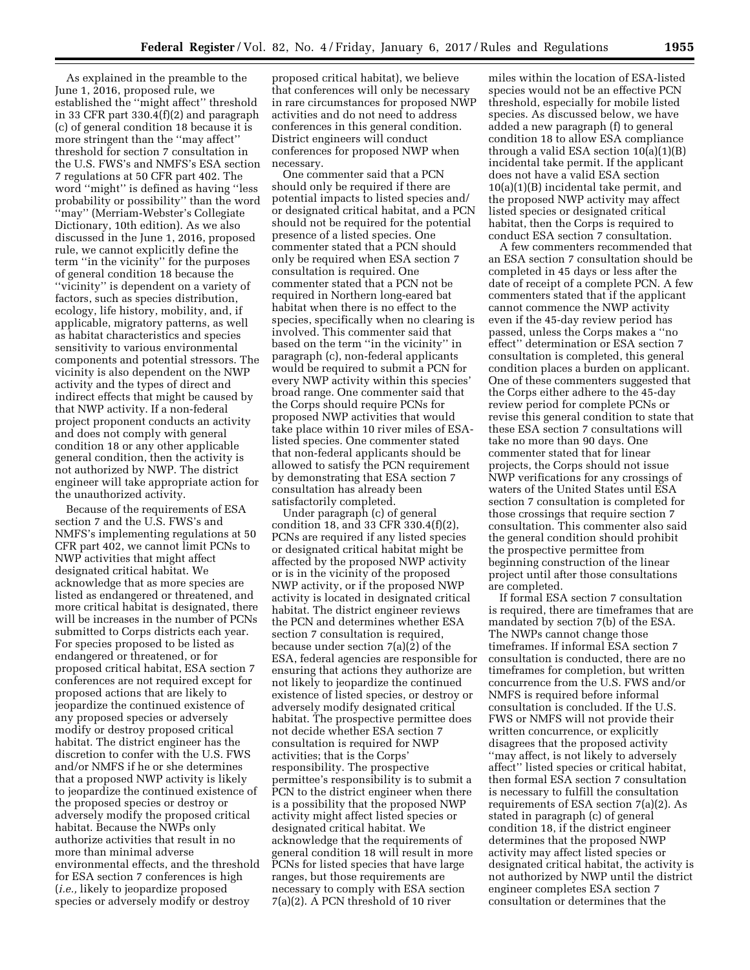As explained in the preamble to the June 1, 2016, proposed rule, we established the ''might affect'' threshold in 33 CFR part 330.4(f)(2) and paragraph (c) of general condition 18 because it is more stringent than the ''may affect'' threshold for section 7 consultation in the U.S. FWS's and NMFS's ESA section 7 regulations at 50 CFR part 402. The word ''might'' is defined as having ''less probability or possibility'' than the word ''may'' (Merriam-Webster's Collegiate Dictionary, 10th edition). As we also discussed in the June 1, 2016, proposed rule, we cannot explicitly define the term ''in the vicinity'' for the purposes of general condition 18 because the ''vicinity'' is dependent on a variety of factors, such as species distribution, ecology, life history, mobility, and, if applicable, migratory patterns, as well as habitat characteristics and species sensitivity to various environmental components and potential stressors. The vicinity is also dependent on the NWP activity and the types of direct and indirect effects that might be caused by that NWP activity. If a non-federal project proponent conducts an activity and does not comply with general condition 18 or any other applicable general condition, then the activity is not authorized by NWP. The district engineer will take appropriate action for the unauthorized activity.

Because of the requirements of ESA section 7 and the U.S. FWS's and NMFS's implementing regulations at 50 CFR part 402, we cannot limit PCNs to NWP activities that might affect designated critical habitat. We acknowledge that as more species are listed as endangered or threatened, and more critical habitat is designated, there will be increases in the number of PCNs submitted to Corps districts each year. For species proposed to be listed as endangered or threatened, or for proposed critical habitat, ESA section 7 conferences are not required except for proposed actions that are likely to jeopardize the continued existence of any proposed species or adversely modify or destroy proposed critical habitat. The district engineer has the discretion to confer with the U.S. FWS and/or NMFS if he or she determines that a proposed NWP activity is likely to jeopardize the continued existence of the proposed species or destroy or adversely modify the proposed critical habitat. Because the NWPs only authorize activities that result in no more than minimal adverse environmental effects, and the threshold for ESA section 7 conferences is high (*i.e.,* likely to jeopardize proposed species or adversely modify or destroy

proposed critical habitat), we believe that conferences will only be necessary in rare circumstances for proposed NWP activities and do not need to address conferences in this general condition. District engineers will conduct conferences for proposed NWP when necessary.

One commenter said that a PCN should only be required if there are potential impacts to listed species and/ or designated critical habitat, and a PCN should not be required for the potential presence of a listed species. One commenter stated that a PCN should only be required when ESA section 7 consultation is required. One commenter stated that a PCN not be required in Northern long-eared bat habitat when there is no effect to the species, specifically when no clearing is involved. This commenter said that based on the term ''in the vicinity'' in paragraph (c), non-federal applicants would be required to submit a PCN for every NWP activity within this species' broad range. One commenter said that the Corps should require PCNs for proposed NWP activities that would take place within 10 river miles of ESAlisted species. One commenter stated that non-federal applicants should be allowed to satisfy the PCN requirement by demonstrating that ESA section 7 consultation has already been satisfactorily completed.

Under paragraph (c) of general condition 18, and 33 CFR 330.4(f)(2), PCNs are required if any listed species or designated critical habitat might be affected by the proposed NWP activity or is in the vicinity of the proposed NWP activity, or if the proposed NWP activity is located in designated critical habitat. The district engineer reviews the PCN and determines whether ESA section 7 consultation is required, because under section 7(a)(2) of the ESA, federal agencies are responsible for ensuring that actions they authorize are not likely to jeopardize the continued existence of listed species, or destroy or adversely modify designated critical habitat. The prospective permittee does not decide whether ESA section 7 consultation is required for NWP activities; that is the Corps' responsibility. The prospective permittee's responsibility is to submit a PCN to the district engineer when there is a possibility that the proposed NWP activity might affect listed species or designated critical habitat. We acknowledge that the requirements of general condition 18 will result in more PCNs for listed species that have large ranges, but those requirements are necessary to comply with ESA section 7(a)(2). A PCN threshold of 10 river

miles within the location of ESA-listed species would not be an effective PCN threshold, especially for mobile listed species. As discussed below, we have added a new paragraph (f) to general condition 18 to allow ESA compliance through a valid ESA section 10(a)(1)(B) incidental take permit. If the applicant does not have a valid ESA section 10(a)(1)(B) incidental take permit, and the proposed NWP activity may affect listed species or designated critical habitat, then the Corps is required to conduct ESA section 7 consultation.

A few commenters recommended that an ESA section 7 consultation should be completed in 45 days or less after the date of receipt of a complete PCN. A few commenters stated that if the applicant cannot commence the NWP activity even if the 45-day review period has passed, unless the Corps makes a ''no effect'' determination or ESA section 7 consultation is completed, this general condition places a burden on applicant. One of these commenters suggested that the Corps either adhere to the 45-day review period for complete PCNs or revise this general condition to state that these ESA section 7 consultations will take no more than 90 days. One commenter stated that for linear projects, the Corps should not issue NWP verifications for any crossings of waters of the United States until ESA section 7 consultation is completed for those crossings that require section 7 consultation. This commenter also said the general condition should prohibit the prospective permittee from beginning construction of the linear project until after those consultations are completed.

If formal ESA section 7 consultation is required, there are timeframes that are mandated by section 7(b) of the ESA. The NWPs cannot change those timeframes. If informal ESA section 7 consultation is conducted, there are no timeframes for completion, but written concurrence from the U.S. FWS and/or NMFS is required before informal consultation is concluded. If the U.S. FWS or NMFS will not provide their written concurrence, or explicitly disagrees that the proposed activity ''may affect, is not likely to adversely affect'' listed species or critical habitat, then formal ESA section 7 consultation is necessary to fulfill the consultation requirements of ESA section 7(a)(2). As stated in paragraph (c) of general condition 18, if the district engineer determines that the proposed NWP activity may affect listed species or designated critical habitat, the activity is not authorized by NWP until the district engineer completes ESA section 7 consultation or determines that the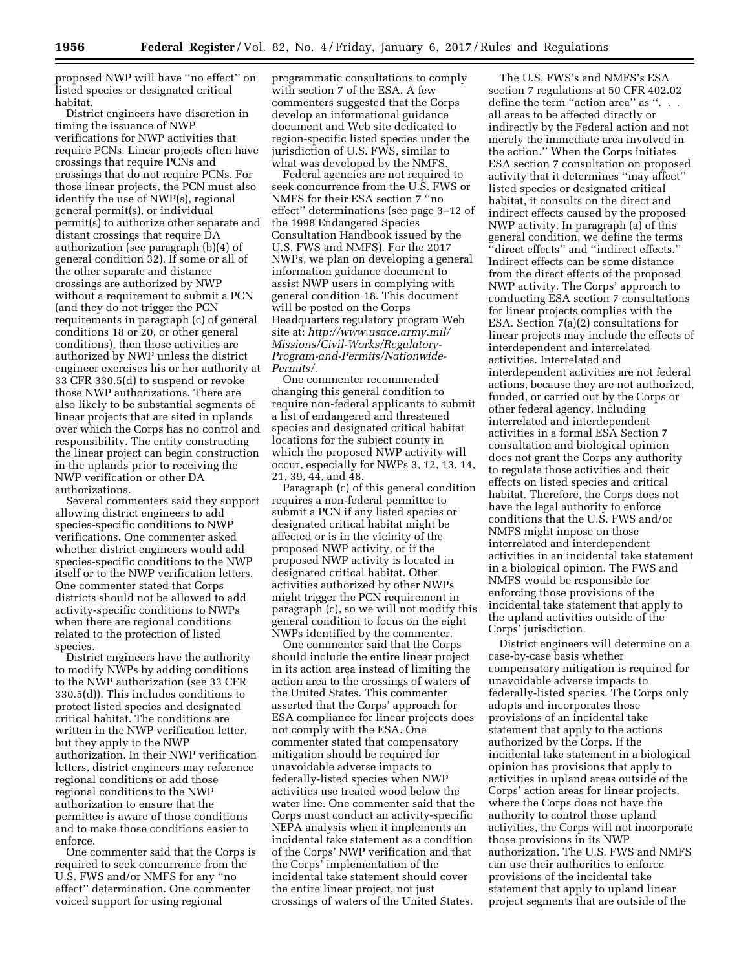proposed NWP will have ''no effect'' on listed species or designated critical habitat.

District engineers have discretion in timing the issuance of NWP verifications for NWP activities that require PCNs. Linear projects often have crossings that require PCNs and crossings that do not require PCNs. For those linear projects, the PCN must also identify the use of NWP(s), regional general permit(s), or individual permit(s) to authorize other separate and distant crossings that require DA authorization (see paragraph (b)(4) of general condition 32). If some or all of the other separate and distance crossings are authorized by NWP without a requirement to submit a PCN (and they do not trigger the PCN requirements in paragraph (c) of general conditions 18 or 20, or other general conditions), then those activities are authorized by NWP unless the district engineer exercises his or her authority at 33 CFR 330.5(d) to suspend or revoke those NWP authorizations. There are also likely to be substantial segments of linear projects that are sited in uplands over which the Corps has no control and responsibility. The entity constructing the linear project can begin construction in the uplands prior to receiving the NWP verification or other DA authorizations.

Several commenters said they support allowing district engineers to add species-specific conditions to NWP verifications. One commenter asked whether district engineers would add species-specific conditions to the NWP itself or to the NWP verification letters. One commenter stated that Corps districts should not be allowed to add activity-specific conditions to NWPs when there are regional conditions related to the protection of listed species.

District engineers have the authority to modify NWPs by adding conditions to the NWP authorization (see 33 CFR 330.5(d)). This includes conditions to protect listed species and designated critical habitat. The conditions are written in the NWP verification letter, but they apply to the NWP authorization. In their NWP verification letters, district engineers may reference regional conditions or add those regional conditions to the NWP authorization to ensure that the permittee is aware of those conditions and to make those conditions easier to enforce.

One commenter said that the Corps is required to seek concurrence from the U.S. FWS and/or NMFS for any ''no effect'' determination. One commenter voiced support for using regional

programmatic consultations to comply with section 7 of the ESA. A few commenters suggested that the Corps develop an informational guidance document and Web site dedicated to region-specific listed species under the jurisdiction of U.S. FWS, similar to what was developed by the NMFS.

Federal agencies are not required to seek concurrence from the U.S. FWS or NMFS for their ESA section 7 ''no effect'' determinations (see page 3–12 of the 1998 Endangered Species Consultation Handbook issued by the U.S. FWS and NMFS). For the 2017 NWPs, we plan on developing a general information guidance document to assist NWP users in complying with general condition 18. This document will be posted on the Corps Headquarters regulatory program Web site at: *[http://www.usace.army.mil/](http://www.usace.army.mil/Missions/Civil-Works/Regulatory-Program-and-Permits/Nationwide-Permits/) [Missions/Civil-Works/Regulatory-](http://www.usace.army.mil/Missions/Civil-Works/Regulatory-Program-and-Permits/Nationwide-Permits/)[Program-and-Permits/Nationwide-](http://www.usace.army.mil/Missions/Civil-Works/Regulatory-Program-and-Permits/Nationwide-Permits/)[Permits/.](http://www.usace.army.mil/Missions/Civil-Works/Regulatory-Program-and-Permits/Nationwide-Permits/)* 

One commenter recommended changing this general condition to require non-federal applicants to submit a list of endangered and threatened species and designated critical habitat locations for the subject county in which the proposed NWP activity will occur, especially for NWPs 3, 12, 13, 14, 21, 39, 44, and 48.

Paragraph (c) of this general condition requires a non-federal permittee to submit a PCN if any listed species or designated critical habitat might be affected or is in the vicinity of the proposed NWP activity, or if the proposed NWP activity is located in designated critical habitat. Other activities authorized by other NWPs might trigger the PCN requirement in paragraph (c), so we will not modify this general condition to focus on the eight NWPs identified by the commenter.

One commenter said that the Corps should include the entire linear project in its action area instead of limiting the action area to the crossings of waters of the United States. This commenter asserted that the Corps' approach for ESA compliance for linear projects does not comply with the ESA. One commenter stated that compensatory mitigation should be required for unavoidable adverse impacts to federally-listed species when NWP activities use treated wood below the water line. One commenter said that the Corps must conduct an activity-specific NEPA analysis when it implements an incidental take statement as a condition of the Corps' NWP verification and that the Corps' implementation of the incidental take statement should cover the entire linear project, not just crossings of waters of the United States.

The U.S. FWS's and NMFS's ESA section 7 regulations at 50 CFR 402.02 define the term "action area" as ". . . all areas to be affected directly or indirectly by the Federal action and not merely the immediate area involved in the action.'' When the Corps initiates ESA section 7 consultation on proposed activity that it determines ''may affect'' listed species or designated critical habitat, it consults on the direct and indirect effects caused by the proposed NWP activity. In paragraph (a) of this general condition, we define the terms ''direct effects'' and ''indirect effects.'' Indirect effects can be some distance from the direct effects of the proposed NWP activity. The Corps' approach to conducting ESA section 7 consultations for linear projects complies with the ESA. Section 7(a)(2) consultations for linear projects may include the effects of interdependent and interrelated activities. Interrelated and interdependent activities are not federal actions, because they are not authorized, funded, or carried out by the Corps or other federal agency. Including interrelated and interdependent activities in a formal ESA Section 7 consultation and biological opinion does not grant the Corps any authority to regulate those activities and their effects on listed species and critical habitat. Therefore, the Corps does not have the legal authority to enforce conditions that the U.S. FWS and/or NMFS might impose on those interrelated and interdependent activities in an incidental take statement in a biological opinion. The FWS and NMFS would be responsible for enforcing those provisions of the incidental take statement that apply to the upland activities outside of the Corps' jurisdiction.

District engineers will determine on a case-by-case basis whether compensatory mitigation is required for unavoidable adverse impacts to federally-listed species. The Corps only adopts and incorporates those provisions of an incidental take statement that apply to the actions authorized by the Corps. If the incidental take statement in a biological opinion has provisions that apply to activities in upland areas outside of the Corps' action areas for linear projects, where the Corps does not have the authority to control those upland activities, the Corps will not incorporate those provisions in its NWP authorization. The U.S. FWS and NMFS can use their authorities to enforce provisions of the incidental take statement that apply to upland linear project segments that are outside of the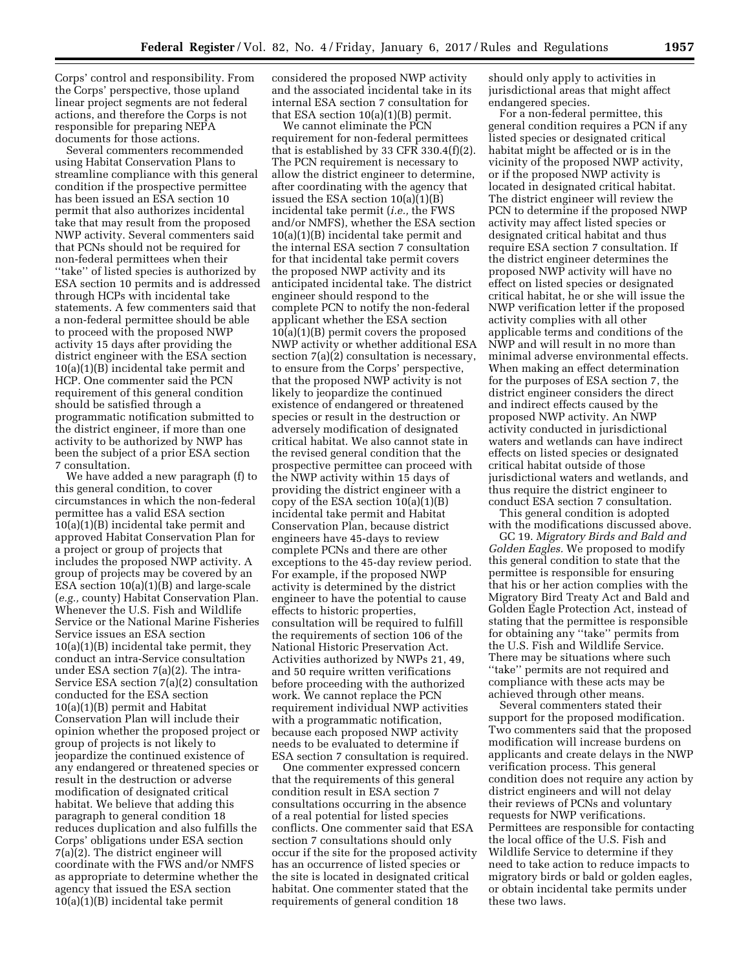Corps' control and responsibility. From the Corps' perspective, those upland linear project segments are not federal actions, and therefore the Corps is not responsible for preparing NEPA documents for those actions.

Several commenters recommended using Habitat Conservation Plans to streamline compliance with this general condition if the prospective permittee has been issued an ESA section 10 permit that also authorizes incidental take that may result from the proposed NWP activity. Several commenters said that PCNs should not be required for non-federal permittees when their ''take'' of listed species is authorized by ESA section 10 permits and is addressed through HCPs with incidental take statements. A few commenters said that a non-federal permittee should be able to proceed with the proposed NWP activity 15 days after providing the district engineer with the ESA section 10(a)(1)(B) incidental take permit and HCP. One commenter said the PCN requirement of this general condition should be satisfied through a programmatic notification submitted to the district engineer, if more than one activity to be authorized by NWP has been the subject of a prior ESA section 7 consultation.

We have added a new paragraph (f) to this general condition, to cover circumstances in which the non-federal permittee has a valid ESA section 10(a)(1)(B) incidental take permit and approved Habitat Conservation Plan for a project or group of projects that includes the proposed NWP activity. A group of projects may be covered by an ESA section 10(a)(1)(B) and large-scale (*e.g.,* county) Habitat Conservation Plan. Whenever the U.S. Fish and Wildlife Service or the National Marine Fisheries Service issues an ESA section  $10(a)(1)(B)$  incidental take permit, they conduct an intra-Service consultation under ESA section 7(a)(2). The intra-Service ESA section 7(a)(2) consultation conducted for the ESA section 10(a)(1)(B) permit and Habitat Conservation Plan will include their opinion whether the proposed project or group of projects is not likely to jeopardize the continued existence of any endangered or threatened species or result in the destruction or adverse modification of designated critical habitat. We believe that adding this paragraph to general condition 18 reduces duplication and also fulfills the Corps' obligations under ESA section 7(a)(2). The district engineer will coordinate with the FWS and/or NMFS as appropriate to determine whether the agency that issued the ESA section 10(a)(1)(B) incidental take permit

considered the proposed NWP activity and the associated incidental take in its internal ESA section 7 consultation for that ESA section  $10(a)(1)(B)$  permit.

We cannot eliminate the PCN requirement for non-federal permittees that is established by 33 CFR 330.4(f)(2). The PCN requirement is necessary to allow the district engineer to determine, after coordinating with the agency that issued the ESA section 10(a)(1)(B) incidental take permit (*i.e.,* the FWS and/or NMFS), whether the ESA section 10(a)(1)(B) incidental take permit and the internal ESA section 7 consultation for that incidental take permit covers the proposed NWP activity and its anticipated incidental take. The district engineer should respond to the complete PCN to notify the non-federal applicant whether the ESA section 10(a)(1)(B) permit covers the proposed NWP activity or whether additional ESA section 7(a)(2) consultation is necessary, to ensure from the Corps' perspective, that the proposed NWP activity is not likely to jeopardize the continued existence of endangered or threatened species or result in the destruction or adversely modification of designated critical habitat. We also cannot state in the revised general condition that the prospective permittee can proceed with the NWP activity within 15 days of providing the district engineer with a copy of the ESA section  $10(a)(1)(B)$ incidental take permit and Habitat Conservation Plan, because district engineers have 45-days to review complete PCNs and there are other exceptions to the 45-day review period. For example, if the proposed NWP activity is determined by the district engineer to have the potential to cause effects to historic properties, consultation will be required to fulfill the requirements of section 106 of the National Historic Preservation Act. Activities authorized by NWPs 21, 49, and 50 require written verifications before proceeding with the authorized work. We cannot replace the PCN requirement individual NWP activities with a programmatic notification, because each proposed NWP activity needs to be evaluated to determine if ESA section 7 consultation is required.

One commenter expressed concern that the requirements of this general condition result in ESA section 7 consultations occurring in the absence of a real potential for listed species conflicts. One commenter said that ESA section 7 consultations should only occur if the site for the proposed activity has an occurrence of listed species or the site is located in designated critical habitat. One commenter stated that the requirements of general condition 18

should only apply to activities in jurisdictional areas that might affect endangered species.

For a non-federal permittee, this general condition requires a PCN if any listed species or designated critical habitat might be affected or is in the vicinity of the proposed NWP activity, or if the proposed NWP activity is located in designated critical habitat. The district engineer will review the PCN to determine if the proposed NWP activity may affect listed species or designated critical habitat and thus require ESA section 7 consultation. If the district engineer determines the proposed NWP activity will have no effect on listed species or designated critical habitat, he or she will issue the NWP verification letter if the proposed activity complies with all other applicable terms and conditions of the NWP and will result in no more than minimal adverse environmental effects. When making an effect determination for the purposes of ESA section 7, the district engineer considers the direct and indirect effects caused by the proposed NWP activity. An NWP activity conducted in jurisdictional waters and wetlands can have indirect effects on listed species or designated critical habitat outside of those jurisdictional waters and wetlands, and thus require the district engineer to conduct ESA section 7 consultation.

This general condition is adopted with the modifications discussed above.

GC 19. *Migratory Birds and Bald and Golden Eagles.* We proposed to modify this general condition to state that the permittee is responsible for ensuring that his or her action complies with the Migratory Bird Treaty Act and Bald and Golden Eagle Protection Act, instead of stating that the permittee is responsible for obtaining any ''take'' permits from the U.S. Fish and Wildlife Service. There may be situations where such ''take'' permits are not required and compliance with these acts may be achieved through other means.

Several commenters stated their support for the proposed modification. Two commenters said that the proposed modification will increase burdens on applicants and create delays in the NWP verification process. This general condition does not require any action by district engineers and will not delay their reviews of PCNs and voluntary requests for NWP verifications. Permittees are responsible for contacting the local office of the U.S. Fish and Wildlife Service to determine if they need to take action to reduce impacts to migratory birds or bald or golden eagles, or obtain incidental take permits under these two laws.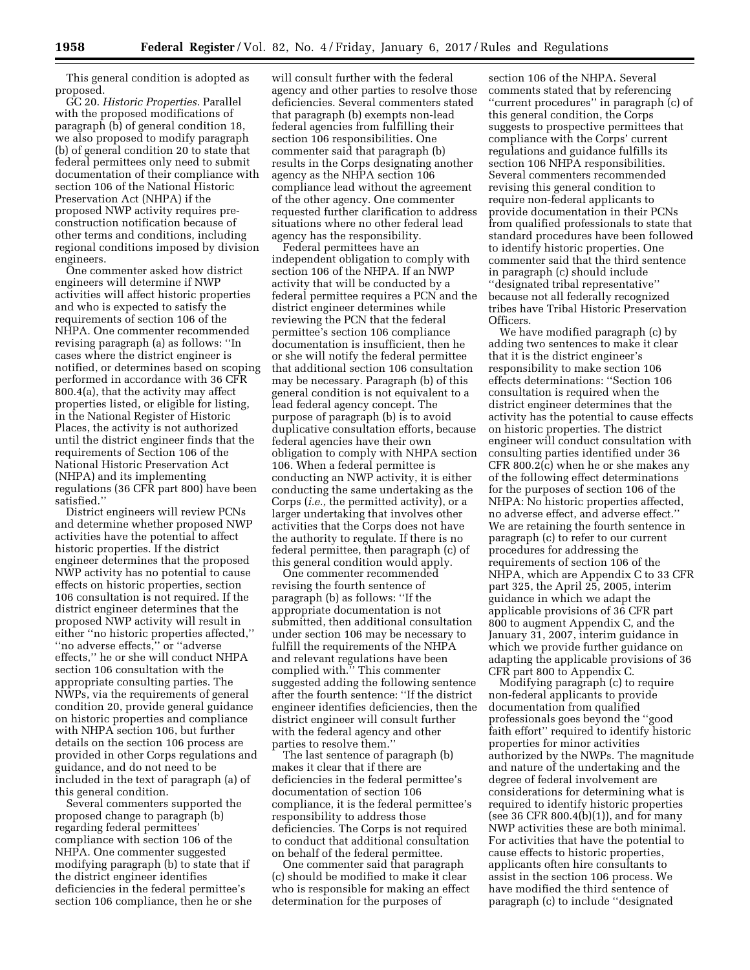This general condition is adopted as proposed.

GC 20. *Historic Properties.* Parallel with the proposed modifications of paragraph (b) of general condition 18, we also proposed to modify paragraph (b) of general condition 20 to state that federal permittees only need to submit documentation of their compliance with section 106 of the National Historic Preservation Act (NHPA) if the proposed NWP activity requires preconstruction notification because of other terms and conditions, including regional conditions imposed by division engineers.

One commenter asked how district engineers will determine if NWP activities will affect historic properties and who is expected to satisfy the requirements of section 106 of the NHPA. One commenter recommended revising paragraph (a) as follows: ''In cases where the district engineer is notified, or determines based on scoping performed in accordance with 36 CFR 800.4(a), that the activity may affect properties listed, or eligible for listing, in the National Register of Historic Places, the activity is not authorized until the district engineer finds that the requirements of Section 106 of the National Historic Preservation Act (NHPA) and its implementing regulations (36 CFR part 800) have been satisfied.''

District engineers will review PCNs and determine whether proposed NWP activities have the potential to affect historic properties. If the district engineer determines that the proposed NWP activity has no potential to cause effects on historic properties, section 106 consultation is not required. If the district engineer determines that the proposed NWP activity will result in either ''no historic properties affected,'' ''no adverse effects,'' or ''adverse effects,'' he or she will conduct NHPA section 106 consultation with the appropriate consulting parties. The NWPs, via the requirements of general condition 20, provide general guidance on historic properties and compliance with NHPA section 106, but further details on the section 106 process are provided in other Corps regulations and guidance, and do not need to be included in the text of paragraph (a) of this general condition.

Several commenters supported the proposed change to paragraph (b) regarding federal permittees' compliance with section 106 of the NHPA. One commenter suggested modifying paragraph (b) to state that if the district engineer identifies deficiencies in the federal permittee's section 106 compliance, then he or she

will consult further with the federal agency and other parties to resolve those deficiencies. Several commenters stated that paragraph (b) exempts non-lead federal agencies from fulfilling their section 106 responsibilities. One commenter said that paragraph (b) results in the Corps designating another agency as the NHPA section 106 compliance lead without the agreement of the other agency. One commenter requested further clarification to address situations where no other federal lead agency has the responsibility.

Federal permittees have an independent obligation to comply with section 106 of the NHPA. If an NWP activity that will be conducted by a federal permittee requires a PCN and the district engineer determines while reviewing the PCN that the federal permittee's section 106 compliance documentation is insufficient, then he or she will notify the federal permittee that additional section 106 consultation may be necessary. Paragraph (b) of this general condition is not equivalent to a lead federal agency concept. The purpose of paragraph (b) is to avoid duplicative consultation efforts, because federal agencies have their own obligation to comply with NHPA section 106. When a federal permittee is conducting an NWP activity, it is either conducting the same undertaking as the Corps (*i.e.,* the permitted activity), or a larger undertaking that involves other activities that the Corps does not have the authority to regulate. If there is no federal permittee, then paragraph (c) of this general condition would apply.

One commenter recommended revising the fourth sentence of paragraph (b) as follows: ''If the appropriate documentation is not submitted, then additional consultation under section 106 may be necessary to fulfill the requirements of the NHPA and relevant regulations have been complied with.'' This commenter suggested adding the following sentence after the fourth sentence: ''If the district engineer identifies deficiencies, then the district engineer will consult further with the federal agency and other parties to resolve them."

The last sentence of paragraph (b) makes it clear that if there are deficiencies in the federal permittee's documentation of section 106 compliance, it is the federal permittee's responsibility to address those deficiencies. The Corps is not required to conduct that additional consultation on behalf of the federal permittee.

One commenter said that paragraph (c) should be modified to make it clear who is responsible for making an effect determination for the purposes of

section 106 of the NHPA. Several comments stated that by referencing ''current procedures'' in paragraph (c) of this general condition, the Corps suggests to prospective permittees that compliance with the Corps' current regulations and guidance fulfills its section 106 NHPA responsibilities. Several commenters recommended revising this general condition to require non-federal applicants to provide documentation in their PCNs from qualified professionals to state that standard procedures have been followed to identify historic properties. One commenter said that the third sentence in paragraph (c) should include ''designated tribal representative'' because not all federally recognized tribes have Tribal Historic Preservation Officers.

We have modified paragraph (c) by adding two sentences to make it clear that it is the district engineer's responsibility to make section 106 effects determinations: ''Section 106 consultation is required when the district engineer determines that the activity has the potential to cause effects on historic properties. The district engineer will conduct consultation with consulting parties identified under 36 CFR 800.2(c) when he or she makes any of the following effect determinations for the purposes of section 106 of the NHPA: No historic properties affected, no adverse effect, and adverse effect.'' We are retaining the fourth sentence in paragraph (c) to refer to our current procedures for addressing the requirements of section 106 of the NHPA, which are Appendix C to 33 CFR part 325, the April 25, 2005, interim guidance in which we adapt the applicable provisions of 36 CFR part 800 to augment Appendix C, and the January 31, 2007, interim guidance in which we provide further guidance on adapting the applicable provisions of 36 CFR part 800 to Appendix C.

Modifying paragraph (c) to require non-federal applicants to provide documentation from qualified professionals goes beyond the ''good faith effort'' required to identify historic properties for minor activities authorized by the NWPs. The magnitude and nature of the undertaking and the degree of federal involvement are considerations for determining what is required to identify historic properties (see 36 CFR 800.4(b)(1)), and for many NWP activities these are both minimal. For activities that have the potential to cause effects to historic properties, applicants often hire consultants to assist in the section 106 process. We have modified the third sentence of paragraph (c) to include ''designated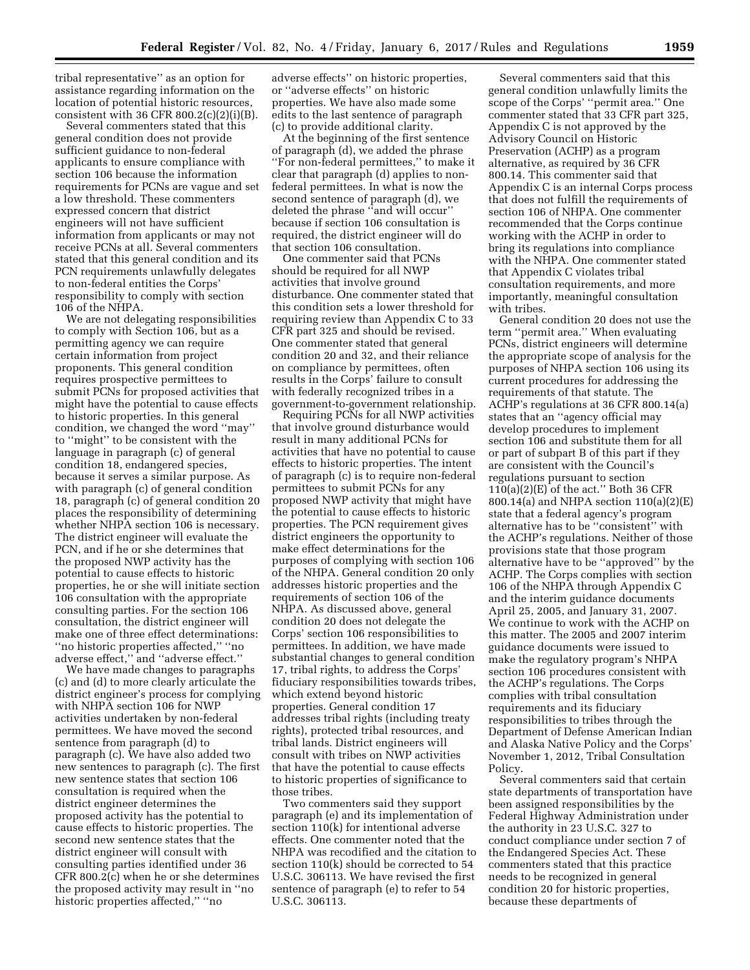tribal representative'' as an option for assistance regarding information on the location of potential historic resources, consistent with 36 CFR 800.2 $(c)(2)(i)(B)$ .

Several commenters stated that this general condition does not provide sufficient guidance to non-federal applicants to ensure compliance with section 106 because the information requirements for PCNs are vague and set a low threshold. These commenters expressed concern that district engineers will not have sufficient information from applicants or may not receive PCNs at all. Several commenters stated that this general condition and its PCN requirements unlawfully delegates to non-federal entities the Corps' responsibility to comply with section 106 of the NHPA.

We are not delegating responsibilities to comply with Section 106, but as a permitting agency we can require certain information from project proponents. This general condition requires prospective permittees to submit PCNs for proposed activities that might have the potential to cause effects to historic properties. In this general condition, we changed the word ''may'' to ''might'' to be consistent with the language in paragraph (c) of general condition 18, endangered species, because it serves a similar purpose. As with paragraph (c) of general condition 18, paragraph (c) of general condition 20 places the responsibility of determining whether NHPA section 106 is necessary. The district engineer will evaluate the PCN, and if he or she determines that the proposed NWP activity has the potential to cause effects to historic properties, he or she will initiate section 106 consultation with the appropriate consulting parties. For the section 106 consultation, the district engineer will make one of three effect determinations: ''no historic properties affected,'' ''no adverse effect,'' and ''adverse effect.''

We have made changes to paragraphs (c) and (d) to more clearly articulate the district engineer's process for complying with NHPA section 106 for NWP activities undertaken by non-federal permittees. We have moved the second sentence from paragraph (d) to paragraph (c). We have also added two new sentences to paragraph (c). The first new sentence states that section 106 consultation is required when the district engineer determines the proposed activity has the potential to cause effects to historic properties. The second new sentence states that the district engineer will consult with consulting parties identified under 36 CFR 800.2(c) when he or she determines the proposed activity may result in ''no historic properties affected,'' ''no

adverse effects'' on historic properties, or ''adverse effects'' on historic properties. We have also made some edits to the last sentence of paragraph (c) to provide additional clarity.

At the beginning of the first sentence of paragraph (d), we added the phrase ''For non-federal permittees,'' to make it clear that paragraph (d) applies to nonfederal permittees. In what is now the second sentence of paragraph (d), we deleted the phrase "and will occur" because if section 106 consultation is required, the district engineer will do that section 106 consultation.

One commenter said that PCNs should be required for all NWP activities that involve ground disturbance. One commenter stated that this condition sets a lower threshold for requiring review than Appendix C to 33 CFR part 325 and should be revised. One commenter stated that general condition 20 and 32, and their reliance on compliance by permittees, often results in the Corps' failure to consult with federally recognized tribes in a government-to-government relationship.

Requiring PCNs for all NWP activities that involve ground disturbance would result in many additional PCNs for activities that have no potential to cause effects to historic properties. The intent of paragraph (c) is to require non-federal permittees to submit PCNs for any proposed NWP activity that might have the potential to cause effects to historic properties. The PCN requirement gives district engineers the opportunity to make effect determinations for the purposes of complying with section 106 of the NHPA. General condition 20 only addresses historic properties and the requirements of section 106 of the NHPA. As discussed above, general condition 20 does not delegate the Corps' section 106 responsibilities to permittees. In addition, we have made substantial changes to general condition 17, tribal rights, to address the Corps' fiduciary responsibilities towards tribes, which extend beyond historic properties. General condition 17 addresses tribal rights (including treaty rights), protected tribal resources, and tribal lands. District engineers will consult with tribes on NWP activities that have the potential to cause effects to historic properties of significance to those tribes.

Two commenters said they support paragraph (e) and its implementation of section 110(k) for intentional adverse effects. One commenter noted that the NHPA was recodified and the citation to section 110(k) should be corrected to 54 U.S.C. 306113. We have revised the first sentence of paragraph (e) to refer to 54 U.S.C. 306113.

Several commenters said that this general condition unlawfully limits the scope of the Corps' ''permit area.'' One commenter stated that 33 CFR part 325, Appendix C is not approved by the Advisory Council on Historic Preservation (ACHP) as a program alternative, as required by 36 CFR 800.14. This commenter said that Appendix C is an internal Corps process that does not fulfill the requirements of section 106 of NHPA. One commenter recommended that the Corps continue working with the ACHP in order to bring its regulations into compliance with the NHPA. One commenter stated that Appendix C violates tribal consultation requirements, and more importantly, meaningful consultation with tribes.

General condition 20 does not use the term ''permit area.'' When evaluating PCNs, district engineers will determine the appropriate scope of analysis for the purposes of NHPA section 106 using its current procedures for addressing the requirements of that statute. The ACHP's regulations at 36 CFR 800.14(a) states that an ''agency official may develop procedures to implement section 106 and substitute them for all or part of subpart B of this part if they are consistent with the Council's regulations pursuant to section  $110(a)(2)(E)$  of the act." Both 36 CFR 800.14(a) and NHPA section 110(a)(2)(E) state that a federal agency's program alternative has to be ''consistent'' with the ACHP's regulations. Neither of those provisions state that those program alternative have to be ''approved'' by the ACHP. The Corps complies with section 106 of the NHPA through Appendix C and the interim guidance documents April 25, 2005, and January 31, 2007. We continue to work with the ACHP on this matter. The 2005 and 2007 interim guidance documents were issued to make the regulatory program's NHPA section 106 procedures consistent with the ACHP's regulations. The Corps complies with tribal consultation requirements and its fiduciary responsibilities to tribes through the Department of Defense American Indian and Alaska Native Policy and the Corps' November 1, 2012, Tribal Consultation Policy.

Several commenters said that certain state departments of transportation have been assigned responsibilities by the Federal Highway Administration under the authority in 23 U.S.C. 327 to conduct compliance under section 7 of the Endangered Species Act. These commenters stated that this practice needs to be recognized in general condition 20 for historic properties, because these departments of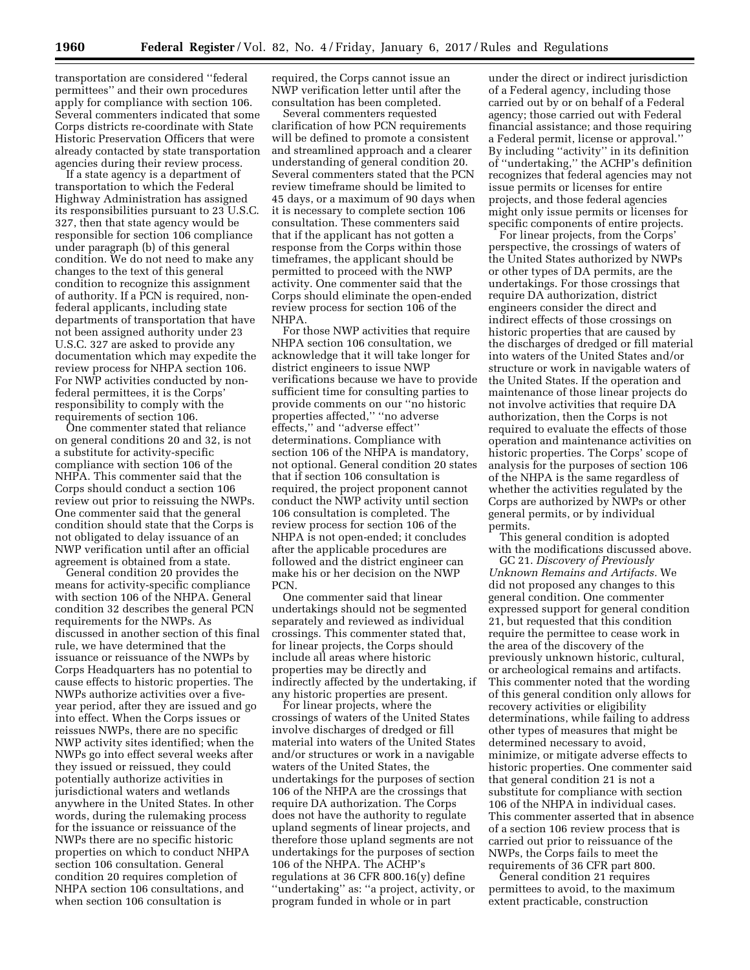transportation are considered ''federal permittees'' and their own procedures apply for compliance with section 106. Several commenters indicated that some Corps districts re-coordinate with State Historic Preservation Officers that were already contacted by state transportation agencies during their review process.

If a state agency is a department of transportation to which the Federal Highway Administration has assigned its responsibilities pursuant to 23 U.S.C. 327, then that state agency would be responsible for section 106 compliance under paragraph (b) of this general condition. We do not need to make any changes to the text of this general condition to recognize this assignment of authority. If a PCN is required, nonfederal applicants, including state departments of transportation that have not been assigned authority under 23 U.S.C. 327 are asked to provide any documentation which may expedite the review process for NHPA section 106. For NWP activities conducted by nonfederal permittees, it is the Corps' responsibility to comply with the requirements of section 106.

One commenter stated that reliance on general conditions 20 and 32, is not a substitute for activity-specific compliance with section 106 of the NHPA. This commenter said that the Corps should conduct a section 106 review out prior to reissuing the NWPs. One commenter said that the general condition should state that the Corps is not obligated to delay issuance of an NWP verification until after an official agreement is obtained from a state.

General condition 20 provides the means for activity-specific compliance with section 106 of the NHPA. General condition 32 describes the general PCN requirements for the NWPs. As discussed in another section of this final rule, we have determined that the issuance or reissuance of the NWPs by Corps Headquarters has no potential to cause effects to historic properties. The NWPs authorize activities over a fiveyear period, after they are issued and go into effect. When the Corps issues or reissues NWPs, there are no specific NWP activity sites identified; when the NWPs go into effect several weeks after they issued or reissued, they could potentially authorize activities in jurisdictional waters and wetlands anywhere in the United States. In other words, during the rulemaking process for the issuance or reissuance of the NWPs there are no specific historic properties on which to conduct NHPA section 106 consultation. General condition 20 requires completion of NHPA section 106 consultations, and when section 106 consultation is

required, the Corps cannot issue an NWP verification letter until after the consultation has been completed.

Several commenters requested clarification of how PCN requirements will be defined to promote a consistent and streamlined approach and a clearer understanding of general condition 20. Several commenters stated that the PCN review timeframe should be limited to 45 days, or a maximum of 90 days when it is necessary to complete section 106 consultation. These commenters said that if the applicant has not gotten a response from the Corps within those timeframes, the applicant should be permitted to proceed with the NWP activity. One commenter said that the Corps should eliminate the open-ended review process for section 106 of the NHPA.

For those NWP activities that require NHPA section 106 consultation, we acknowledge that it will take longer for district engineers to issue NWP verifications because we have to provide sufficient time for consulting parties to provide comments on our ''no historic properties affected,'' ''no adverse effects,'' and ''adverse effect'' determinations. Compliance with section 106 of the NHPA is mandatory, not optional. General condition 20 states that if section 106 consultation is required, the project proponent cannot conduct the NWP activity until section 106 consultation is completed. The review process for section 106 of the NHPA is not open-ended; it concludes after the applicable procedures are followed and the district engineer can make his or her decision on the NWP PCN.

One commenter said that linear undertakings should not be segmented separately and reviewed as individual crossings. This commenter stated that, for linear projects, the Corps should include all areas where historic properties may be directly and indirectly affected by the undertaking, if any historic properties are present.

For linear projects, where the crossings of waters of the United States involve discharges of dredged or fill material into waters of the United States and/or structures or work in a navigable waters of the United States, the undertakings for the purposes of section 106 of the NHPA are the crossings that require DA authorization. The Corps does not have the authority to regulate upland segments of linear projects, and therefore those upland segments are not undertakings for the purposes of section 106 of the NHPA. The ACHP's regulations at 36 CFR 800.16(y) define ''undertaking'' as: ''a project, activity, or program funded in whole or in part

under the direct or indirect jurisdiction of a Federal agency, including those carried out by or on behalf of a Federal agency; those carried out with Federal financial assistance; and those requiring a Federal permit, license or approval.'' By including ''activity'' in its definition of ''undertaking,'' the ACHP's definition recognizes that federal agencies may not issue permits or licenses for entire projects, and those federal agencies might only issue permits or licenses for specific components of entire projects.

For linear projects, from the Corps' perspective, the crossings of waters of the United States authorized by NWPs or other types of DA permits, are the undertakings. For those crossings that require DA authorization, district engineers consider the direct and indirect effects of those crossings on historic properties that are caused by the discharges of dredged or fill material into waters of the United States and/or structure or work in navigable waters of the United States. If the operation and maintenance of those linear projects do not involve activities that require DA authorization, then the Corps is not required to evaluate the effects of those operation and maintenance activities on historic properties. The Corps' scope of analysis for the purposes of section 106 of the NHPA is the same regardless of whether the activities regulated by the Corps are authorized by NWPs or other general permits, or by individual permits.

This general condition is adopted with the modifications discussed above.

GC 21. *Discovery of Previously Unknown Remains and Artifacts.* We did not proposed any changes to this general condition. One commenter expressed support for general condition 21, but requested that this condition require the permittee to cease work in the area of the discovery of the previously unknown historic, cultural, or archeological remains and artifacts. This commenter noted that the wording of this general condition only allows for recovery activities or eligibility determinations, while failing to address other types of measures that might be determined necessary to avoid, minimize, or mitigate adverse effects to historic properties. One commenter said that general condition 21 is not a substitute for compliance with section 106 of the NHPA in individual cases. This commenter asserted that in absence of a section 106 review process that is carried out prior to reissuance of the NWPs, the Corps fails to meet the requirements of 36 CFR part 800.

General condition 21 requires permittees to avoid, to the maximum extent practicable, construction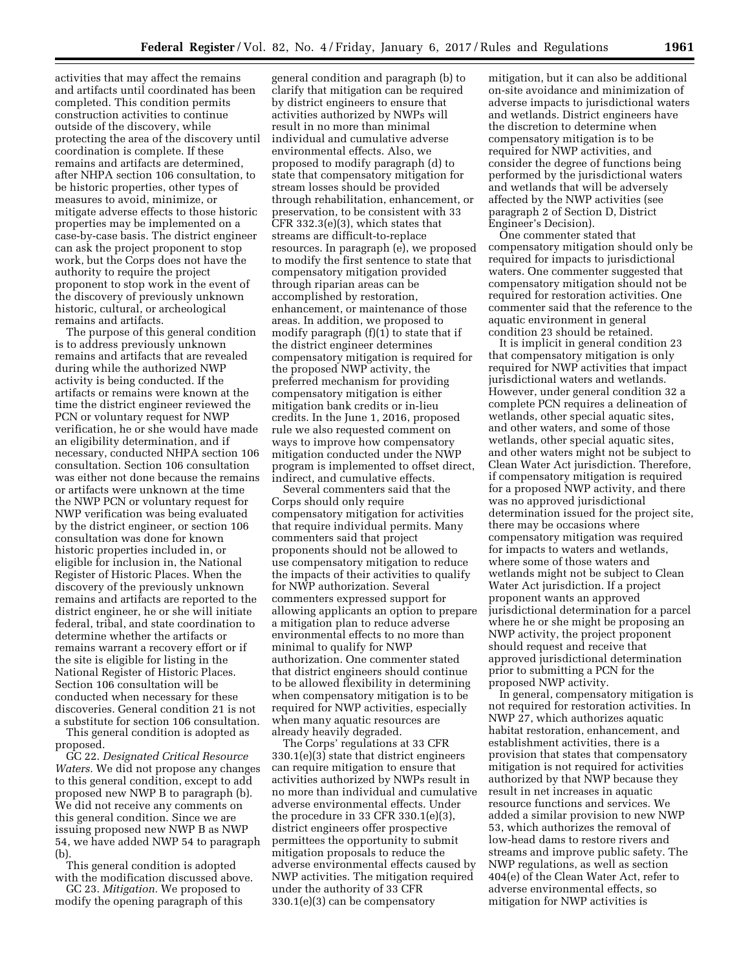activities that may affect the remains and artifacts until coordinated has been completed. This condition permits construction activities to continue outside of the discovery, while protecting the area of the discovery until coordination is complete. If these remains and artifacts are determined, after NHPA section 106 consultation, to be historic properties, other types of measures to avoid, minimize, or mitigate adverse effects to those historic properties may be implemented on a case-by-case basis. The district engineer can ask the project proponent to stop work, but the Corps does not have the authority to require the project proponent to stop work in the event of the discovery of previously unknown historic, cultural, or archeological remains and artifacts.

The purpose of this general condition is to address previously unknown remains and artifacts that are revealed during while the authorized NWP activity is being conducted. If the artifacts or remains were known at the time the district engineer reviewed the PCN or voluntary request for NWP verification, he or she would have made an eligibility determination, and if necessary, conducted NHPA section 106 consultation. Section 106 consultation was either not done because the remains or artifacts were unknown at the time the NWP PCN or voluntary request for NWP verification was being evaluated by the district engineer, or section 106 consultation was done for known historic properties included in, or eligible for inclusion in, the National Register of Historic Places. When the discovery of the previously unknown remains and artifacts are reported to the district engineer, he or she will initiate federal, tribal, and state coordination to determine whether the artifacts or remains warrant a recovery effort or if the site is eligible for listing in the National Register of Historic Places. Section 106 consultation will be conducted when necessary for these discoveries. General condition 21 is not a substitute for section 106 consultation.

This general condition is adopted as proposed.

GC 22. *Designated Critical Resource Waters.* We did not propose any changes to this general condition, except to add proposed new NWP B to paragraph (b). We did not receive any comments on this general condition. Since we are issuing proposed new NWP B as NWP 54, we have added NWP 54 to paragraph (b).

This general condition is adopted with the modification discussed above.

GC 23. *Mitigation.* We proposed to modify the opening paragraph of this

general condition and paragraph (b) to clarify that mitigation can be required by district engineers to ensure that activities authorized by NWPs will result in no more than minimal individual and cumulative adverse environmental effects. Also, we proposed to modify paragraph (d) to state that compensatory mitigation for stream losses should be provided through rehabilitation, enhancement, or preservation, to be consistent with 33 CFR 332.3(e)(3), which states that streams are difficult-to-replace resources. In paragraph (e), we proposed to modify the first sentence to state that compensatory mitigation provided through riparian areas can be accomplished by restoration, enhancement, or maintenance of those areas. In addition, we proposed to modify paragraph  $(f)(1)$  to state that if the district engineer determines compensatory mitigation is required for the proposed NWP activity, the preferred mechanism for providing compensatory mitigation is either mitigation bank credits or in-lieu credits. In the June 1, 2016, proposed rule we also requested comment on ways to improve how compensatory mitigation conducted under the NWP program is implemented to offset direct, indirect, and cumulative effects.

Several commenters said that the Corps should only require compensatory mitigation for activities that require individual permits. Many commenters said that project proponents should not be allowed to use compensatory mitigation to reduce the impacts of their activities to qualify for NWP authorization. Several commenters expressed support for allowing applicants an option to prepare a mitigation plan to reduce adverse environmental effects to no more than minimal to qualify for NWP authorization. One commenter stated that district engineers should continue to be allowed flexibility in determining when compensatory mitigation is to be required for NWP activities, especially when many aquatic resources are already heavily degraded.

The Corps' regulations at 33 CFR 330.1(e)(3) state that district engineers can require mitigation to ensure that activities authorized by NWPs result in no more than individual and cumulative adverse environmental effects. Under the procedure in 33 CFR 330.1(e)(3), district engineers offer prospective permittees the opportunity to submit mitigation proposals to reduce the adverse environmental effects caused by NWP activities. The mitigation required under the authority of 33 CFR 330.1(e)(3) can be compensatory

mitigation, but it can also be additional on-site avoidance and minimization of adverse impacts to jurisdictional waters and wetlands. District engineers have the discretion to determine when compensatory mitigation is to be required for NWP activities, and consider the degree of functions being performed by the jurisdictional waters and wetlands that will be adversely affected by the NWP activities (see paragraph 2 of Section D, District Engineer's Decision).

One commenter stated that compensatory mitigation should only be required for impacts to jurisdictional waters. One commenter suggested that compensatory mitigation should not be required for restoration activities. One commenter said that the reference to the aquatic environment in general condition 23 should be retained.

It is implicit in general condition 23 that compensatory mitigation is only required for NWP activities that impact jurisdictional waters and wetlands. However, under general condition 32 a complete PCN requires a delineation of wetlands, other special aquatic sites, and other waters, and some of those wetlands, other special aquatic sites, and other waters might not be subject to Clean Water Act jurisdiction. Therefore, if compensatory mitigation is required for a proposed NWP activity, and there was no approved jurisdictional determination issued for the project site, there may be occasions where compensatory mitigation was required for impacts to waters and wetlands, where some of those waters and wetlands might not be subject to Clean Water Act jurisdiction. If a project proponent wants an approved jurisdictional determination for a parcel where he or she might be proposing an NWP activity, the project proponent should request and receive that approved jurisdictional determination prior to submitting a PCN for the proposed NWP activity.

In general, compensatory mitigation is not required for restoration activities. In NWP 27, which authorizes aquatic habitat restoration, enhancement, and establishment activities, there is a provision that states that compensatory mitigation is not required for activities authorized by that NWP because they result in net increases in aquatic resource functions and services. We added a similar provision to new NWP 53, which authorizes the removal of low-head dams to restore rivers and streams and improve public safety. The NWP regulations, as well as section 404(e) of the Clean Water Act, refer to adverse environmental effects, so mitigation for NWP activities is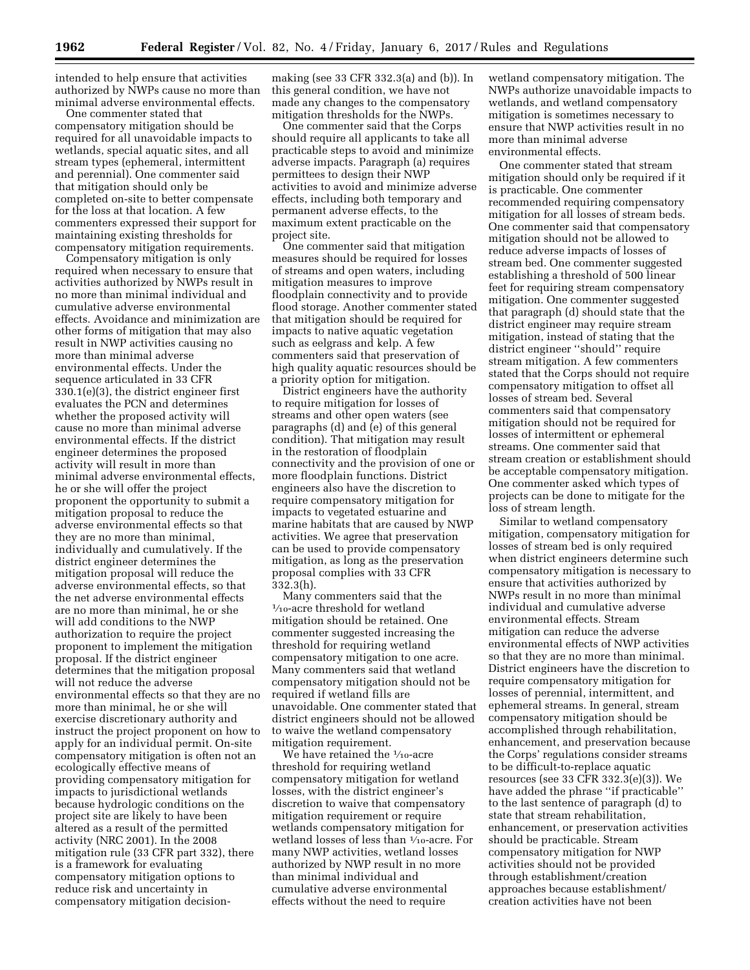intended to help ensure that activities authorized by NWPs cause no more than minimal adverse environmental effects.

One commenter stated that compensatory mitigation should be required for all unavoidable impacts to wetlands, special aquatic sites, and all stream types (ephemeral, intermittent and perennial). One commenter said that mitigation should only be completed on-site to better compensate for the loss at that location. A few commenters expressed their support for maintaining existing thresholds for compensatory mitigation requirements.

Compensatory mitigation is only required when necessary to ensure that activities authorized by NWPs result in no more than minimal individual and cumulative adverse environmental effects. Avoidance and minimization are other forms of mitigation that may also result in NWP activities causing no more than minimal adverse environmental effects. Under the sequence articulated in 33 CFR 330.1(e)(3), the district engineer first evaluates the PCN and determines whether the proposed activity will cause no more than minimal adverse environmental effects. If the district engineer determines the proposed activity will result in more than minimal adverse environmental effects, he or she will offer the project proponent the opportunity to submit a mitigation proposal to reduce the adverse environmental effects so that they are no more than minimal, individually and cumulatively. If the district engineer determines the mitigation proposal will reduce the adverse environmental effects, so that the net adverse environmental effects are no more than minimal, he or she will add conditions to the NWP authorization to require the project proponent to implement the mitigation proposal. If the district engineer determines that the mitigation proposal will not reduce the adverse environmental effects so that they are no more than minimal, he or she will exercise discretionary authority and instruct the project proponent on how to apply for an individual permit. On-site compensatory mitigation is often not an ecologically effective means of providing compensatory mitigation for impacts to jurisdictional wetlands because hydrologic conditions on the project site are likely to have been altered as a result of the permitted activity (NRC 2001). In the 2008 mitigation rule (33 CFR part 332), there is a framework for evaluating compensatory mitigation options to reduce risk and uncertainty in compensatory mitigation decision-

making (see 33 CFR 332.3(a) and (b)). In this general condition, we have not made any changes to the compensatory mitigation thresholds for the NWPs.

One commenter said that the Corps should require all applicants to take all practicable steps to avoid and minimize adverse impacts. Paragraph (a) requires permittees to design their NWP activities to avoid and minimize adverse effects, including both temporary and permanent adverse effects, to the maximum extent practicable on the project site.

One commenter said that mitigation measures should be required for losses of streams and open waters, including mitigation measures to improve floodplain connectivity and to provide flood storage. Another commenter stated that mitigation should be required for impacts to native aquatic vegetation such as eelgrass and kelp. A few commenters said that preservation of high quality aquatic resources should be a priority option for mitigation.

District engineers have the authority to require mitigation for losses of streams and other open waters (see paragraphs (d) and (e) of this general condition). That mitigation may result in the restoration of floodplain connectivity and the provision of one or more floodplain functions. District engineers also have the discretion to require compensatory mitigation for impacts to vegetated estuarine and marine habitats that are caused by NWP activities. We agree that preservation can be used to provide compensatory mitigation, as long as the preservation proposal complies with 33 CFR 332.3(h).

Many commenters said that the  $\frac{1}{10}$ -acre threshold for wetland mitigation should be retained. One commenter suggested increasing the threshold for requiring wetland compensatory mitigation to one acre. Many commenters said that wetland compensatory mitigation should not be required if wetland fills are unavoidable. One commenter stated that district engineers should not be allowed to waive the wetland compensatory mitigation requirement.

We have retained the  $1/10\mbox{-}$  acre threshold for requiring wetland compensatory mitigation for wetland losses, with the district engineer's discretion to waive that compensatory mitigation requirement or require wetlands compensatory mitigation for wetland losses of less than 1⁄10-acre. For many NWP activities, wetland losses authorized by NWP result in no more than minimal individual and cumulative adverse environmental effects without the need to require

wetland compensatory mitigation. The NWPs authorize unavoidable impacts to wetlands, and wetland compensatory mitigation is sometimes necessary to ensure that NWP activities result in no more than minimal adverse environmental effects.

One commenter stated that stream mitigation should only be required if it is practicable. One commenter recommended requiring compensatory mitigation for all losses of stream beds. One commenter said that compensatory mitigation should not be allowed to reduce adverse impacts of losses of stream bed. One commenter suggested establishing a threshold of 500 linear feet for requiring stream compensatory mitigation. One commenter suggested that paragraph (d) should state that the district engineer may require stream mitigation, instead of stating that the district engineer ''should'' require stream mitigation. A few commenters stated that the Corps should not require compensatory mitigation to offset all losses of stream bed. Several commenters said that compensatory mitigation should not be required for losses of intermittent or ephemeral streams. One commenter said that stream creation or establishment should be acceptable compensatory mitigation. One commenter asked which types of projects can be done to mitigate for the loss of stream length.

Similar to wetland compensatory mitigation, compensatory mitigation for losses of stream bed is only required when district engineers determine such compensatory mitigation is necessary to ensure that activities authorized by NWPs result in no more than minimal individual and cumulative adverse environmental effects. Stream mitigation can reduce the adverse environmental effects of NWP activities so that they are no more than minimal. District engineers have the discretion to require compensatory mitigation for losses of perennial, intermittent, and ephemeral streams. In general, stream compensatory mitigation should be accomplished through rehabilitation, enhancement, and preservation because the Corps' regulations consider streams to be difficult-to-replace aquatic resources (see 33 CFR 332.3(e)(3)). We have added the phrase ''if practicable'' to the last sentence of paragraph (d) to state that stream rehabilitation, enhancement, or preservation activities should be practicable. Stream compensatory mitigation for NWP activities should not be provided through establishment/creation approaches because establishment/ creation activities have not been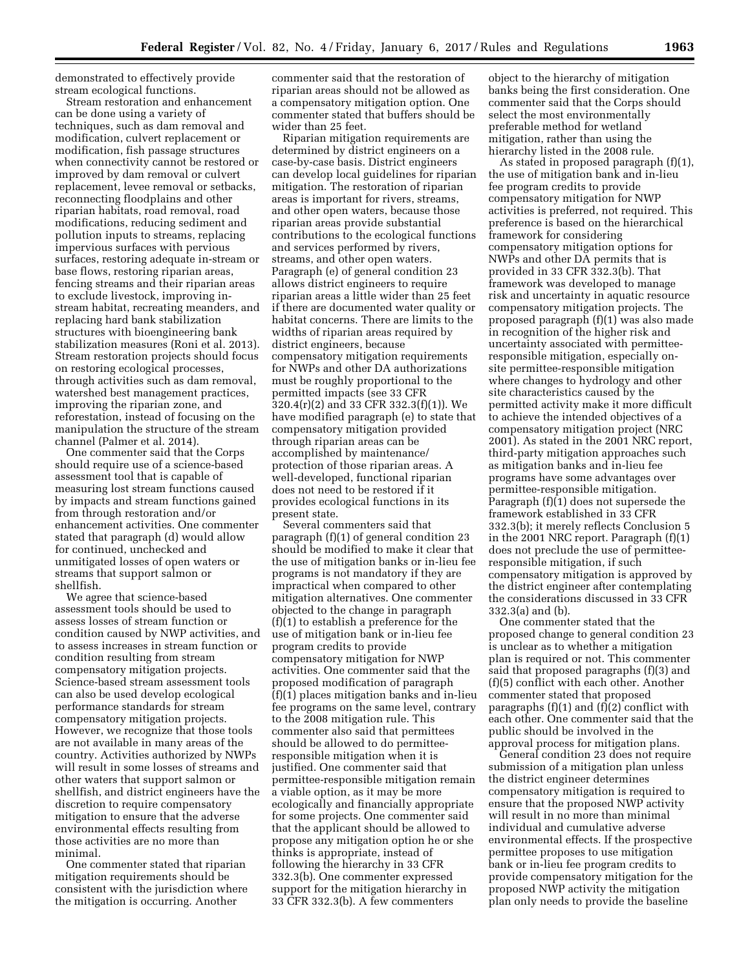demonstrated to effectively provide stream ecological functions.

Stream restoration and enhancement can be done using a variety of techniques, such as dam removal and modification, culvert replacement or modification, fish passage structures when connectivity cannot be restored or improved by dam removal or culvert replacement, levee removal or setbacks, reconnecting floodplains and other riparian habitats, road removal, road modifications, reducing sediment and pollution inputs to streams, replacing impervious surfaces with pervious surfaces, restoring adequate in-stream or base flows, restoring riparian areas, fencing streams and their riparian areas to exclude livestock, improving instream habitat, recreating meanders, and replacing hard bank stabilization structures with bioengineering bank stabilization measures (Roni et al. 2013). Stream restoration projects should focus on restoring ecological processes, through activities such as dam removal, watershed best management practices, improving the riparian zone, and reforestation, instead of focusing on the manipulation the structure of the stream channel (Palmer et al. 2014).

One commenter said that the Corps should require use of a science-based assessment tool that is capable of measuring lost stream functions caused by impacts and stream functions gained from through restoration and/or enhancement activities. One commenter stated that paragraph (d) would allow for continued, unchecked and unmitigated losses of open waters or streams that support salmon or shellfish.

We agree that science-based assessment tools should be used to assess losses of stream function or condition caused by NWP activities, and to assess increases in stream function or condition resulting from stream compensatory mitigation projects. Science-based stream assessment tools can also be used develop ecological performance standards for stream compensatory mitigation projects. However, we recognize that those tools are not available in many areas of the country. Activities authorized by NWPs will result in some losses of streams and other waters that support salmon or shellfish, and district engineers have the discretion to require compensatory mitigation to ensure that the adverse environmental effects resulting from those activities are no more than minimal.

One commenter stated that riparian mitigation requirements should be consistent with the jurisdiction where the mitigation is occurring. Another

commenter said that the restoration of riparian areas should not be allowed as a compensatory mitigation option. One commenter stated that buffers should be wider than 25 feet.

Riparian mitigation requirements are determined by district engineers on a case-by-case basis. District engineers can develop local guidelines for riparian mitigation. The restoration of riparian areas is important for rivers, streams, and other open waters, because those riparian areas provide substantial contributions to the ecological functions and services performed by rivers, streams, and other open waters. Paragraph (e) of general condition 23 allows district engineers to require riparian areas a little wider than 25 feet if there are documented water quality or habitat concerns. There are limits to the widths of riparian areas required by district engineers, because compensatory mitigation requirements for NWPs and other DA authorizations must be roughly proportional to the permitted impacts (see 33 CFR 320.4(r)(2) and 33 CFR 332.3(f)(1)). We have modified paragraph (e) to state that compensatory mitigation provided through riparian areas can be accomplished by maintenance/ protection of those riparian areas. A well-developed, functional riparian does not need to be restored if it provides ecological functions in its present state.

Several commenters said that paragraph (f)(1) of general condition 23 should be modified to make it clear that the use of mitigation banks or in-lieu fee programs is not mandatory if they are impractical when compared to other mitigation alternatives. One commenter objected to the change in paragraph (f)(1) to establish a preference for the use of mitigation bank or in-lieu fee program credits to provide compensatory mitigation for NWP activities. One commenter said that the proposed modification of paragraph (f)(1) places mitigation banks and in-lieu fee programs on the same level, contrary to the 2008 mitigation rule. This commenter also said that permittees should be allowed to do permitteeresponsible mitigation when it is justified. One commenter said that permittee-responsible mitigation remain a viable option, as it may be more ecologically and financially appropriate for some projects. One commenter said that the applicant should be allowed to propose any mitigation option he or she thinks is appropriate, instead of following the hierarchy in 33 CFR 332.3(b). One commenter expressed support for the mitigation hierarchy in 33 CFR 332.3(b). A few commenters

object to the hierarchy of mitigation banks being the first consideration. One commenter said that the Corps should select the most environmentally preferable method for wetland mitigation, rather than using the hierarchy listed in the 2008 rule.

As stated in proposed paragraph (f)(1), the use of mitigation bank and in-lieu fee program credits to provide compensatory mitigation for NWP activities is preferred, not required. This preference is based on the hierarchical framework for considering compensatory mitigation options for NWPs and other DA permits that is provided in 33 CFR 332.3(b). That framework was developed to manage risk and uncertainty in aquatic resource compensatory mitigation projects. The proposed paragraph (f)(1) was also made in recognition of the higher risk and uncertainty associated with permitteeresponsible mitigation, especially onsite permittee-responsible mitigation where changes to hydrology and other site characteristics caused by the permitted activity make it more difficult to achieve the intended objectives of a compensatory mitigation project (NRC 2001). As stated in the 2001 NRC report, third-party mitigation approaches such as mitigation banks and in-lieu fee programs have some advantages over permittee-responsible mitigation. Paragraph (f)(1) does not supersede the framework established in 33 CFR 332.3(b); it merely reflects Conclusion 5 in the 2001 NRC report. Paragraph (f)(1) does not preclude the use of permitteeresponsible mitigation, if such compensatory mitigation is approved by the district engineer after contemplating the considerations discussed in 33 CFR 332.3(a) and (b).

One commenter stated that the proposed change to general condition 23 is unclear as to whether a mitigation plan is required or not. This commenter said that proposed paragraphs (f)(3) and (f)(5) conflict with each other. Another commenter stated that proposed paragraphs  $(f)(1)$  and  $(f)(2)$  conflict with each other. One commenter said that the public should be involved in the approval process for mitigation plans.

General condition 23 does not require submission of a mitigation plan unless the district engineer determines compensatory mitigation is required to ensure that the proposed NWP activity will result in no more than minimal individual and cumulative adverse environmental effects. If the prospective permittee proposes to use mitigation bank or in-lieu fee program credits to provide compensatory mitigation for the proposed NWP activity the mitigation plan only needs to provide the baseline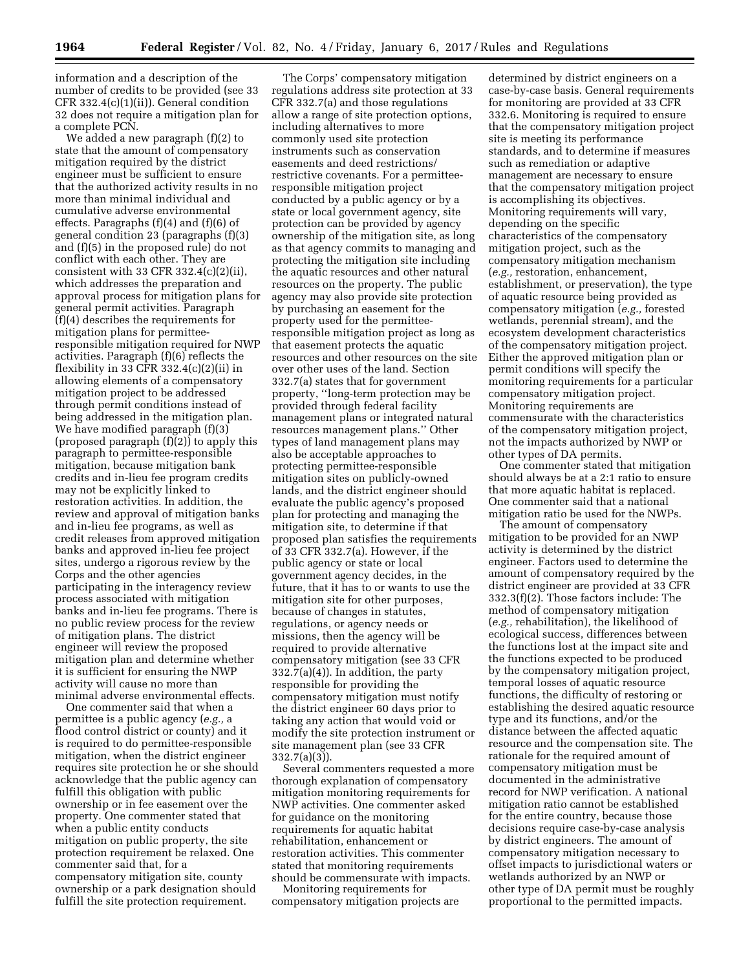information and a description of the number of credits to be provided (see 33 CFR 332.4(c)(1)(ii)). General condition 32 does not require a mitigation plan for a complete PCN.

We added a new paragraph (f)(2) to state that the amount of compensatory mitigation required by the district engineer must be sufficient to ensure that the authorized activity results in no more than minimal individual and cumulative adverse environmental effects. Paragraphs (f)(4) and (f)(6) of general condition 23 (paragraphs (f)(3) and (f)(5) in the proposed rule) do not conflict with each other. They are consistent with 33 CFR  $332.4(c)(2)(ii)$ , which addresses the preparation and approval process for mitigation plans for general permit activities. Paragraph (f)(4) describes the requirements for mitigation plans for permitteeresponsible mitigation required for NWP activities. Paragraph (f)(6) reflects the flexibility in 33 CFR  $332.4(c)(2)(ii)$  in allowing elements of a compensatory mitigation project to be addressed through permit conditions instead of being addressed in the mitigation plan. We have modified paragraph (f)(3) (proposed paragraph (f)(2)) to apply this paragraph to permittee-responsible mitigation, because mitigation bank credits and in-lieu fee program credits may not be explicitly linked to restoration activities. In addition, the review and approval of mitigation banks and in-lieu fee programs, as well as credit releases from approved mitigation banks and approved in-lieu fee project sites, undergo a rigorous review by the Corps and the other agencies participating in the interagency review process associated with mitigation banks and in-lieu fee programs. There is no public review process for the review of mitigation plans. The district engineer will review the proposed mitigation plan and determine whether it is sufficient for ensuring the NWP activity will cause no more than minimal adverse environmental effects.

One commenter said that when a permittee is a public agency (*e.g.,* a flood control district or county) and it is required to do permittee-responsible mitigation, when the district engineer requires site protection he or she should acknowledge that the public agency can fulfill this obligation with public ownership or in fee easement over the property. One commenter stated that when a public entity conducts mitigation on public property, the site protection requirement be relaxed. One commenter said that, for a compensatory mitigation site, county ownership or a park designation should fulfill the site protection requirement.

The Corps' compensatory mitigation regulations address site protection at 33 CFR 332.7(a) and those regulations allow a range of site protection options, including alternatives to more commonly used site protection instruments such as conservation easements and deed restrictions/ restrictive covenants. For a permitteeresponsible mitigation project conducted by a public agency or by a state or local government agency, site protection can be provided by agency ownership of the mitigation site, as long as that agency commits to managing and protecting the mitigation site including the aquatic resources and other natural resources on the property. The public agency may also provide site protection by purchasing an easement for the property used for the permitteeresponsible mitigation project as long as that easement protects the aquatic resources and other resources on the site over other uses of the land. Section 332.7(a) states that for government property, ''long-term protection may be provided through federal facility management plans or integrated natural resources management plans.'' Other types of land management plans may also be acceptable approaches to protecting permittee-responsible mitigation sites on publicly-owned lands, and the district engineer should evaluate the public agency's proposed plan for protecting and managing the mitigation site, to determine if that proposed plan satisfies the requirements of 33 CFR 332.7(a). However, if the public agency or state or local government agency decides, in the future, that it has to or wants to use the mitigation site for other purposes, because of changes in statutes, regulations, or agency needs or missions, then the agency will be required to provide alternative compensatory mitigation (see 33 CFR  $332.7(a)(4)$ ). In addition, the party responsible for providing the compensatory mitigation must notify the district engineer 60 days prior to taking any action that would void or modify the site protection instrument or site management plan (see 33 CFR 332.7(a)(3)).

Several commenters requested a more thorough explanation of compensatory mitigation monitoring requirements for NWP activities. One commenter asked for guidance on the monitoring requirements for aquatic habitat rehabilitation, enhancement or restoration activities. This commenter stated that monitoring requirements should be commensurate with impacts.

Monitoring requirements for compensatory mitigation projects are

determined by district engineers on a case-by-case basis. General requirements for monitoring are provided at 33 CFR 332.6. Monitoring is required to ensure that the compensatory mitigation project site is meeting its performance standards, and to determine if measures such as remediation or adaptive management are necessary to ensure that the compensatory mitigation project is accomplishing its objectives. Monitoring requirements will vary, depending on the specific characteristics of the compensatory mitigation project, such as the compensatory mitigation mechanism (*e.g.,* restoration, enhancement, establishment, or preservation), the type of aquatic resource being provided as compensatory mitigation (*e.g.,* forested wetlands, perennial stream), and the ecosystem development characteristics of the compensatory mitigation project. Either the approved mitigation plan or permit conditions will specify the monitoring requirements for a particular compensatory mitigation project. Monitoring requirements are commensurate with the characteristics of the compensatory mitigation project, not the impacts authorized by NWP or other types of DA permits.

One commenter stated that mitigation should always be at a 2:1 ratio to ensure that more aquatic habitat is replaced. One commenter said that a national mitigation ratio be used for the NWPs.

The amount of compensatory mitigation to be provided for an NWP activity is determined by the district engineer. Factors used to determine the amount of compensatory required by the district engineer are provided at 33 CFR 332.3(f)(2). Those factors include: The method of compensatory mitigation (*e.g.,* rehabilitation), the likelihood of ecological success, differences between the functions lost at the impact site and the functions expected to be produced by the compensatory mitigation project, temporal losses of aquatic resource functions, the difficulty of restoring or establishing the desired aquatic resource type and its functions, and/or the distance between the affected aquatic resource and the compensation site. The rationale for the required amount of compensatory mitigation must be documented in the administrative record for NWP verification. A national mitigation ratio cannot be established for the entire country, because those decisions require case-by-case analysis by district engineers. The amount of compensatory mitigation necessary to offset impacts to jurisdictional waters or wetlands authorized by an NWP or other type of DA permit must be roughly proportional to the permitted impacts.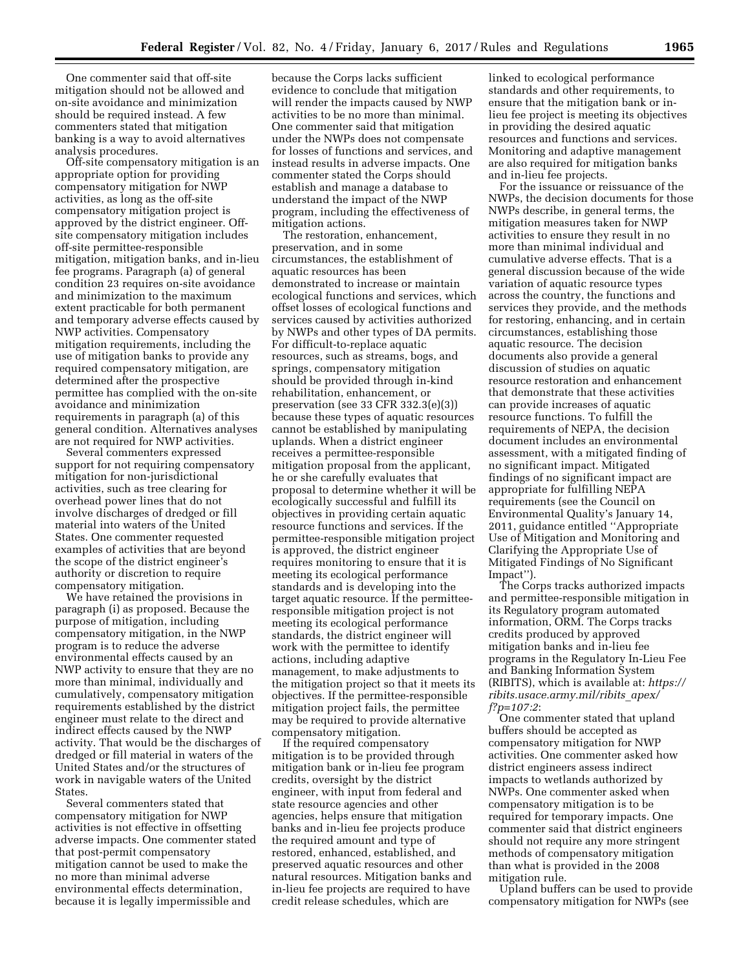One commenter said that off-site mitigation should not be allowed and on-site avoidance and minimization should be required instead. A few commenters stated that mitigation banking is a way to avoid alternatives analysis procedures.

Off-site compensatory mitigation is an appropriate option for providing compensatory mitigation for NWP activities, as long as the off-site compensatory mitigation project is approved by the district engineer. Offsite compensatory mitigation includes off-site permittee-responsible mitigation, mitigation banks, and in-lieu fee programs. Paragraph (a) of general condition 23 requires on-site avoidance and minimization to the maximum extent practicable for both permanent and temporary adverse effects caused by NWP activities. Compensatory mitigation requirements, including the use of mitigation banks to provide any required compensatory mitigation, are determined after the prospective permittee has complied with the on-site avoidance and minimization requirements in paragraph (a) of this general condition. Alternatives analyses are not required for NWP activities.

Several commenters expressed support for not requiring compensatory mitigation for non-jurisdictional activities, such as tree clearing for overhead power lines that do not involve discharges of dredged or fill material into waters of the United States. One commenter requested examples of activities that are beyond the scope of the district engineer's authority or discretion to require compensatory mitigation.

We have retained the provisions in paragraph (i) as proposed. Because the purpose of mitigation, including compensatory mitigation, in the NWP program is to reduce the adverse environmental effects caused by an NWP activity to ensure that they are no more than minimal, individually and cumulatively, compensatory mitigation requirements established by the district engineer must relate to the direct and indirect effects caused by the NWP activity. That would be the discharges of dredged or fill material in waters of the United States and/or the structures of work in navigable waters of the United States.

Several commenters stated that compensatory mitigation for NWP activities is not effective in offsetting adverse impacts. One commenter stated that post-permit compensatory mitigation cannot be used to make the no more than minimal adverse environmental effects determination, because it is legally impermissible and

because the Corps lacks sufficient evidence to conclude that mitigation will render the impacts caused by NWP activities to be no more than minimal. One commenter said that mitigation under the NWPs does not compensate for losses of functions and services, and instead results in adverse impacts. One commenter stated the Corps should establish and manage a database to understand the impact of the NWP program, including the effectiveness of mitigation actions.

The restoration, enhancement, preservation, and in some circumstances, the establishment of aquatic resources has been demonstrated to increase or maintain ecological functions and services, which offset losses of ecological functions and services caused by activities authorized by NWPs and other types of DA permits. For difficult-to-replace aquatic resources, such as streams, bogs, and springs, compensatory mitigation should be provided through in-kind rehabilitation, enhancement, or preservation (see 33 CFR 332.3(e)(3)) because these types of aquatic resources cannot be established by manipulating uplands. When a district engineer receives a permittee-responsible mitigation proposal from the applicant, he or she carefully evaluates that proposal to determine whether it will be ecologically successful and fulfill its objectives in providing certain aquatic resource functions and services. If the permittee-responsible mitigation project is approved, the district engineer requires monitoring to ensure that it is meeting its ecological performance standards and is developing into the target aquatic resource. If the permitteeresponsible mitigation project is not meeting its ecological performance standards, the district engineer will work with the permittee to identify actions, including adaptive management, to make adjustments to the mitigation project so that it meets its objectives. If the permittee-responsible mitigation project fails, the permittee may be required to provide alternative compensatory mitigation.

If the required compensatory mitigation is to be provided through mitigation bank or in-lieu fee program credits, oversight by the district engineer, with input from federal and state resource agencies and other agencies, helps ensure that mitigation banks and in-lieu fee projects produce the required amount and type of restored, enhanced, established, and preserved aquatic resources and other natural resources. Mitigation banks and in-lieu fee projects are required to have credit release schedules, which are

linked to ecological performance standards and other requirements, to ensure that the mitigation bank or inlieu fee project is meeting its objectives in providing the desired aquatic resources and functions and services. Monitoring and adaptive management are also required for mitigation banks and in-lieu fee projects.

For the issuance or reissuance of the NWPs, the decision documents for those NWPs describe, in general terms, the mitigation measures taken for NWP activities to ensure they result in no more than minimal individual and cumulative adverse effects. That is a general discussion because of the wide variation of aquatic resource types across the country, the functions and services they provide, and the methods for restoring, enhancing, and in certain circumstances, establishing those aquatic resource. The decision documents also provide a general discussion of studies on aquatic resource restoration and enhancement that demonstrate that these activities can provide increases of aquatic resource functions. To fulfill the requirements of NEPA, the decision document includes an environmental assessment, with a mitigated finding of no significant impact. Mitigated findings of no significant impact are appropriate for fulfilling NEPA requirements (see the Council on Environmental Quality's January 14, 2011, guidance entitled ''Appropriate Use of Mitigation and Monitoring and Clarifying the Appropriate Use of Mitigated Findings of No Significant Impact'').

The Corps tracks authorized impacts and permittee-responsible mitigation in its Regulatory program automated information, ORM. The Corps tracks credits produced by approved mitigation banks and in-lieu fee programs in the Regulatory In-Lieu Fee and Banking Information System (RIBITS), which is available at: *[https://](https://ribits.usace.army.mil/ribits_apex/)  [ribits.usace.army.mil/ribits](https://ribits.usace.army.mil/ribits_apex/)*\_*apex/ f?p=107:2*:

One commenter stated that upland buffers should be accepted as compensatory mitigation for NWP activities. One commenter asked how district engineers assess indirect impacts to wetlands authorized by NWPs. One commenter asked when compensatory mitigation is to be required for temporary impacts. One commenter said that district engineers should not require any more stringent methods of compensatory mitigation than what is provided in the 2008 mitigation rule.

Upland buffers can be used to provide compensatory mitigation for NWPs (see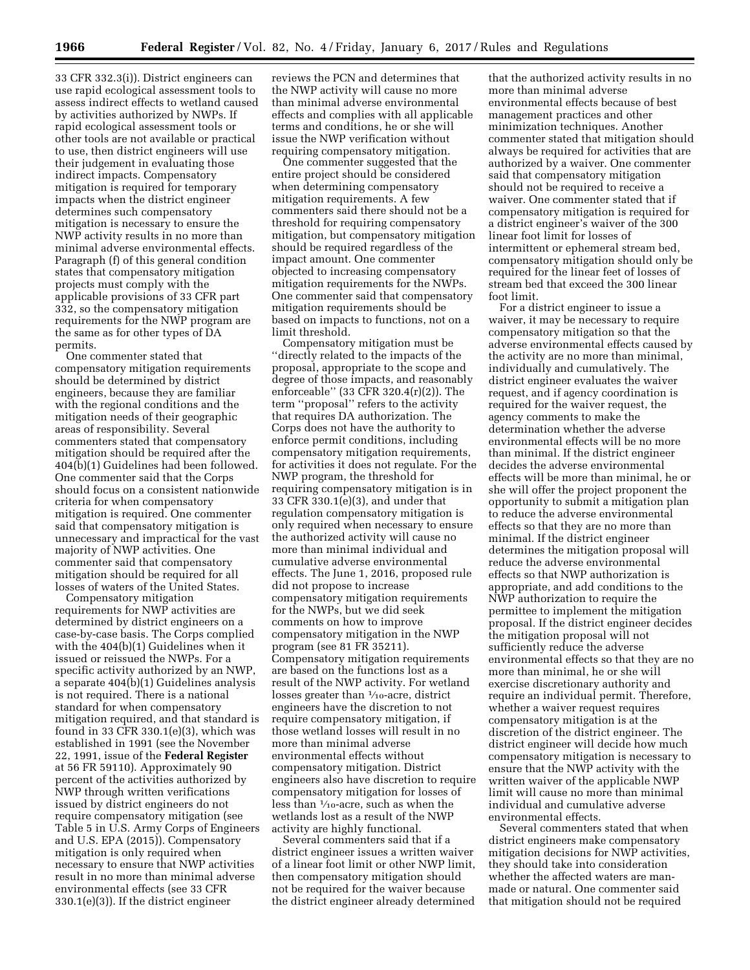33 CFR 332.3(i)). District engineers can use rapid ecological assessment tools to assess indirect effects to wetland caused by activities authorized by NWPs. If rapid ecological assessment tools or other tools are not available or practical to use, then district engineers will use their judgement in evaluating those indirect impacts. Compensatory mitigation is required for temporary impacts when the district engineer determines such compensatory mitigation is necessary to ensure the NWP activity results in no more than minimal adverse environmental effects. Paragraph (f) of this general condition states that compensatory mitigation projects must comply with the applicable provisions of 33 CFR part 332, so the compensatory mitigation requirements for the NWP program are the same as for other types of DA permits.

One commenter stated that compensatory mitigation requirements should be determined by district engineers, because they are familiar with the regional conditions and the mitigation needs of their geographic areas of responsibility. Several commenters stated that compensatory mitigation should be required after the 404(b)(1) Guidelines had been followed. One commenter said that the Corps should focus on a consistent nationwide criteria for when compensatory mitigation is required. One commenter said that compensatory mitigation is unnecessary and impractical for the vast majority of NWP activities. One commenter said that compensatory mitigation should be required for all losses of waters of the United States.

Compensatory mitigation requirements for NWP activities are determined by district engineers on a case-by-case basis. The Corps complied with the 404(b)(1) Guidelines when it issued or reissued the NWPs. For a specific activity authorized by an NWP, a separate 404(b)(1) Guidelines analysis is not required. There is a national standard for when compensatory mitigation required, and that standard is found in 33 CFR 330.1(e)(3), which was established in 1991 (see the November 22, 1991, issue of the **Federal Register**  at 56 FR 59110). Approximately 90 percent of the activities authorized by NWP through written verifications issued by district engineers do not require compensatory mitigation (see Table 5 in U.S. Army Corps of Engineers and U.S. EPA (2015)). Compensatory mitigation is only required when necessary to ensure that NWP activities result in no more than minimal adverse environmental effects (see 33 CFR 330.1(e)(3)). If the district engineer

reviews the PCN and determines that the NWP activity will cause no more than minimal adverse environmental effects and complies with all applicable terms and conditions, he or she will issue the NWP verification without requiring compensatory mitigation.

One commenter suggested that the entire project should be considered when determining compensatory mitigation requirements. A few commenters said there should not be a threshold for requiring compensatory mitigation, but compensatory mitigation should be required regardless of the impact amount. One commenter objected to increasing compensatory mitigation requirements for the NWPs. One commenter said that compensatory mitigation requirements should be based on impacts to functions, not on a limit threshold.

Compensatory mitigation must be ''directly related to the impacts of the proposal, appropriate to the scope and degree of those impacts, and reasonably enforceable'' (33 CFR 320.4(r)(2)). The term ''proposal'' refers to the activity that requires DA authorization. The Corps does not have the authority to enforce permit conditions, including compensatory mitigation requirements, for activities it does not regulate. For the NWP program, the threshold for requiring compensatory mitigation is in 33 CFR 330.1(e)(3), and under that regulation compensatory mitigation is only required when necessary to ensure the authorized activity will cause no more than minimal individual and cumulative adverse environmental effects. The June 1, 2016, proposed rule did not propose to increase compensatory mitigation requirements for the NWPs, but we did seek comments on how to improve compensatory mitigation in the NWP program (see 81 FR 35211). Compensatory mitigation requirements are based on the functions lost as a result of the NWP activity. For wetland losses greater than 1⁄10-acre, district engineers have the discretion to not require compensatory mitigation, if those wetland losses will result in no more than minimal adverse environmental effects without compensatory mitigation. District engineers also have discretion to require compensatory mitigation for losses of less than 1⁄10-acre, such as when the wetlands lost as a result of the NWP activity are highly functional.

Several commenters said that if a district engineer issues a written waiver of a linear foot limit or other NWP limit, then compensatory mitigation should not be required for the waiver because the district engineer already determined

that the authorized activity results in no more than minimal adverse environmental effects because of best management practices and other minimization techniques. Another commenter stated that mitigation should always be required for activities that are authorized by a waiver. One commenter said that compensatory mitigation should not be required to receive a waiver. One commenter stated that if compensatory mitigation is required for a district engineer's waiver of the 300 linear foot limit for losses of intermittent or ephemeral stream bed, compensatory mitigation should only be required for the linear feet of losses of stream bed that exceed the 300 linear foot limit.

For a district engineer to issue a waiver, it may be necessary to require compensatory mitigation so that the adverse environmental effects caused by the activity are no more than minimal, individually and cumulatively. The district engineer evaluates the waiver request, and if agency coordination is required for the waiver request, the agency comments to make the determination whether the adverse environmental effects will be no more than minimal. If the district engineer decides the adverse environmental effects will be more than minimal, he or she will offer the project proponent the opportunity to submit a mitigation plan to reduce the adverse environmental effects so that they are no more than minimal. If the district engineer determines the mitigation proposal will reduce the adverse environmental effects so that NWP authorization is appropriate, and add conditions to the NWP authorization to require the permittee to implement the mitigation proposal. If the district engineer decides the mitigation proposal will not sufficiently reduce the adverse environmental effects so that they are no more than minimal, he or she will exercise discretionary authority and require an individual permit. Therefore, whether a waiver request requires compensatory mitigation is at the discretion of the district engineer. The district engineer will decide how much compensatory mitigation is necessary to ensure that the NWP activity with the written waiver of the applicable NWP limit will cause no more than minimal individual and cumulative adverse environmental effects.

Several commenters stated that when district engineers make compensatory mitigation decisions for NWP activities, they should take into consideration whether the affected waters are manmade or natural. One commenter said that mitigation should not be required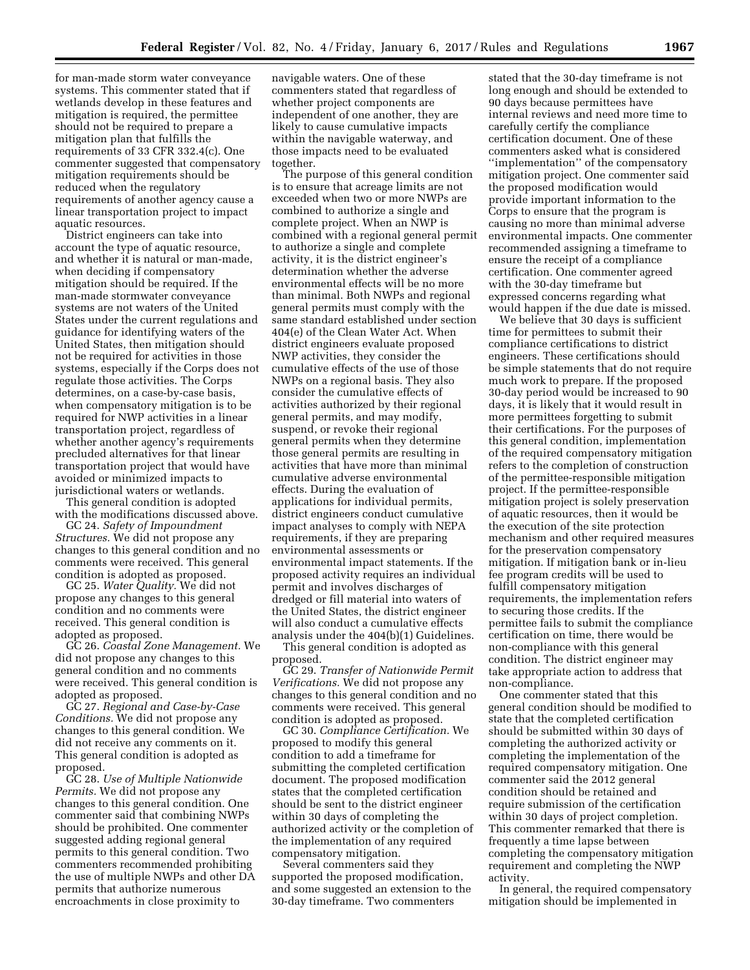for man-made storm water conveyance systems. This commenter stated that if wetlands develop in these features and mitigation is required, the permittee should not be required to prepare a mitigation plan that fulfills the requirements of 33 CFR 332.4(c). One commenter suggested that compensatory mitigation requirements should be reduced when the regulatory requirements of another agency cause a linear transportation project to impact aquatic resources.

District engineers can take into account the type of aquatic resource, and whether it is natural or man-made, when deciding if compensatory mitigation should be required. If the man-made stormwater conveyance systems are not waters of the United States under the current regulations and guidance for identifying waters of the United States, then mitigation should not be required for activities in those systems, especially if the Corps does not regulate those activities. The Corps determines, on a case-by-case basis, when compensatory mitigation is to be required for NWP activities in a linear transportation project, regardless of whether another agency's requirements precluded alternatives for that linear transportation project that would have avoided or minimized impacts to jurisdictional waters or wetlands.

This general condition is adopted with the modifications discussed above.

GC 24. *Safety of Impoundment Structures.* We did not propose any changes to this general condition and no comments were received. This general condition is adopted as proposed.

GC 25. *Water Quality.* We did not propose any changes to this general condition and no comments were received. This general condition is adopted as proposed.

GC 26. *Coastal Zone Management.* We did not propose any changes to this general condition and no comments were received. This general condition is adopted as proposed.

GC 27. *Regional and Case-by-Case Conditions.* We did not propose any changes to this general condition. We did not receive any comments on it. This general condition is adopted as proposed.

GC 28. *Use of Multiple Nationwide Permits.* We did not propose any changes to this general condition. One commenter said that combining NWPs should be prohibited. One commenter suggested adding regional general permits to this general condition. Two commenters recommended prohibiting the use of multiple NWPs and other DA permits that authorize numerous encroachments in close proximity to

navigable waters. One of these commenters stated that regardless of whether project components are independent of one another, they are likely to cause cumulative impacts within the navigable waterway, and those impacts need to be evaluated together.

The purpose of this general condition is to ensure that acreage limits are not exceeded when two or more NWPs are combined to authorize a single and complete project. When an NWP is combined with a regional general permit to authorize a single and complete activity, it is the district engineer's determination whether the adverse environmental effects will be no more than minimal. Both NWPs and regional general permits must comply with the same standard established under section 404(e) of the Clean Water Act. When district engineers evaluate proposed NWP activities, they consider the cumulative effects of the use of those NWPs on a regional basis. They also consider the cumulative effects of activities authorized by their regional general permits, and may modify, suspend, or revoke their regional general permits when they determine those general permits are resulting in activities that have more than minimal cumulative adverse environmental effects. During the evaluation of applications for individual permits, district engineers conduct cumulative impact analyses to comply with NEPA requirements, if they are preparing environmental assessments or environmental impact statements. If the proposed activity requires an individual permit and involves discharges of dredged or fill material into waters of the United States, the district engineer will also conduct a cumulative effects analysis under the 404(b)(1) Guidelines.

This general condition is adopted as proposed.

GC 29. *Transfer of Nationwide Permit Verifications.* We did not propose any changes to this general condition and no comments were received. This general condition is adopted as proposed.

GC 30. *Compliance Certification.* We proposed to modify this general condition to add a timeframe for submitting the completed certification document. The proposed modification states that the completed certification should be sent to the district engineer within 30 days of completing the authorized activity or the completion of the implementation of any required compensatory mitigation.

Several commenters said they supported the proposed modification, and some suggested an extension to the 30-day timeframe. Two commenters

stated that the 30-day timeframe is not long enough and should be extended to 90 days because permittees have internal reviews and need more time to carefully certify the compliance certification document. One of these commenters asked what is considered ''implementation'' of the compensatory mitigation project. One commenter said the proposed modification would provide important information to the Corps to ensure that the program is causing no more than minimal adverse environmental impacts. One commenter recommended assigning a timeframe to ensure the receipt of a compliance certification. One commenter agreed with the 30-day timeframe but expressed concerns regarding what would happen if the due date is missed.

We believe that 30 days is sufficient time for permittees to submit their compliance certifications to district engineers. These certifications should be simple statements that do not require much work to prepare. If the proposed 30-day period would be increased to 90 days, it is likely that it would result in more permittees forgetting to submit their certifications. For the purposes of this general condition, implementation of the required compensatory mitigation refers to the completion of construction of the permittee-responsible mitigation project. If the permittee-responsible mitigation project is solely preservation of aquatic resources, then it would be the execution of the site protection mechanism and other required measures for the preservation compensatory mitigation. If mitigation bank or in-lieu fee program credits will be used to fulfill compensatory mitigation requirements, the implementation refers to securing those credits. If the permittee fails to submit the compliance certification on time, there would be non-compliance with this general condition. The district engineer may take appropriate action to address that non-compliance.

One commenter stated that this general condition should be modified to state that the completed certification should be submitted within 30 days of completing the authorized activity or completing the implementation of the required compensatory mitigation. One commenter said the 2012 general condition should be retained and require submission of the certification within 30 days of project completion. This commenter remarked that there is frequently a time lapse between completing the compensatory mitigation requirement and completing the NWP activity.

In general, the required compensatory mitigation should be implemented in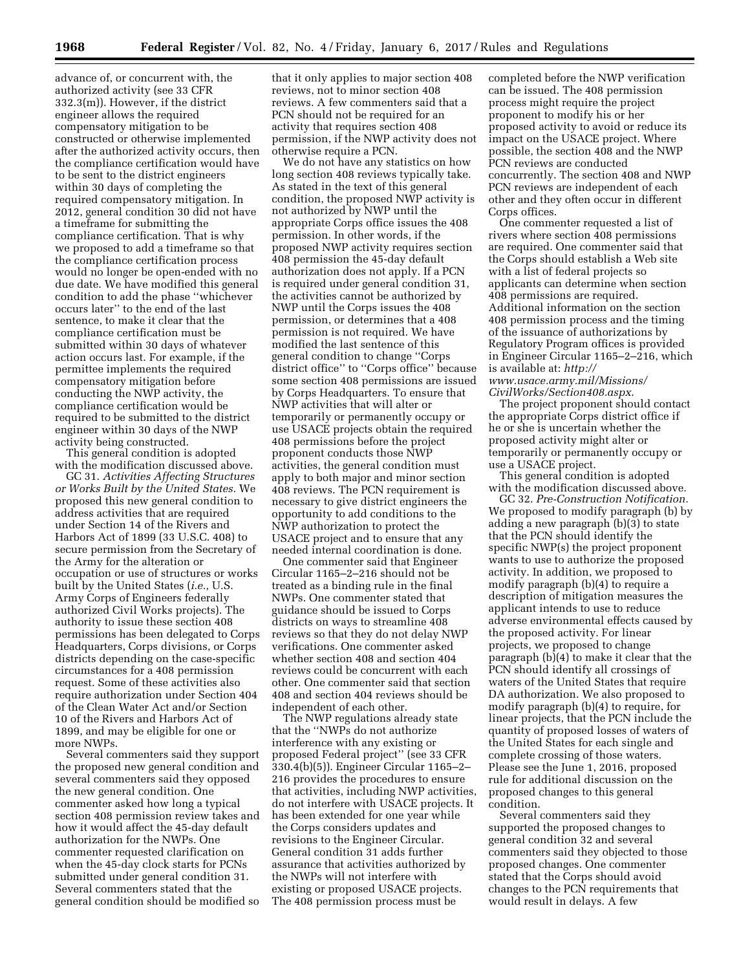advance of, or concurrent with, the authorized activity (see 33 CFR 332.3(m)). However, if the district engineer allows the required compensatory mitigation to be constructed or otherwise implemented after the authorized activity occurs, then the compliance certification would have to be sent to the district engineers within 30 days of completing the required compensatory mitigation. In 2012, general condition 30 did not have a timeframe for submitting the compliance certification. That is why we proposed to add a timeframe so that the compliance certification process would no longer be open-ended with no due date. We have modified this general condition to add the phase ''whichever occurs later'' to the end of the last sentence, to make it clear that the compliance certification must be submitted within 30 days of whatever action occurs last. For example, if the permittee implements the required compensatory mitigation before conducting the NWP activity, the compliance certification would be required to be submitted to the district engineer within 30 days of the NWP activity being constructed.

This general condition is adopted with the modification discussed above.

GC 31. *Activities Affecting Structures or Works Built by the United States.* We proposed this new general condition to address activities that are required under Section 14 of the Rivers and Harbors Act of 1899 (33 U.S.C. 408) to secure permission from the Secretary of the Army for the alteration or occupation or use of structures or works built by the United States (*i.e.,* U.S. Army Corps of Engineers federally authorized Civil Works projects). The authority to issue these section 408 permissions has been delegated to Corps Headquarters, Corps divisions, or Corps districts depending on the case-specific circumstances for a 408 permission request. Some of these activities also require authorization under Section 404 of the Clean Water Act and/or Section 10 of the Rivers and Harbors Act of 1899, and may be eligible for one or more NWPs.

Several commenters said they support the proposed new general condition and several commenters said they opposed the new general condition. One commenter asked how long a typical section 408 permission review takes and how it would affect the 45-day default authorization for the NWPs. One commenter requested clarification on when the 45-day clock starts for PCNs submitted under general condition 31. Several commenters stated that the general condition should be modified so

that it only applies to major section 408 reviews, not to minor section 408 reviews. A few commenters said that a PCN should not be required for an activity that requires section 408 permission, if the NWP activity does not otherwise require a PCN.

We do not have any statistics on how long section 408 reviews typically take. As stated in the text of this general condition, the proposed NWP activity is not authorized by NWP until the appropriate Corps office issues the 408 permission. In other words, if the proposed NWP activity requires section 408 permission the 45-day default authorization does not apply. If a PCN is required under general condition 31, the activities cannot be authorized by NWP until the Corps issues the 408 permission, or determines that a 408 permission is not required. We have modified the last sentence of this general condition to change ''Corps district office'' to ''Corps office'' because some section 408 permissions are issued by Corps Headquarters. To ensure that NWP activities that will alter or temporarily or permanently occupy or use USACE projects obtain the required 408 permissions before the project proponent conducts those NWP activities, the general condition must apply to both major and minor section 408 reviews. The PCN requirement is necessary to give district engineers the opportunity to add conditions to the NWP authorization to protect the USACE project and to ensure that any needed internal coordination is done.

One commenter said that Engineer Circular 1165–2–216 should not be treated as a binding rule in the final NWPs. One commenter stated that guidance should be issued to Corps districts on ways to streamline 408 reviews so that they do not delay NWP verifications. One commenter asked whether section 408 and section 404 reviews could be concurrent with each other. One commenter said that section 408 and section 404 reviews should be independent of each other.

The NWP regulations already state that the ''NWPs do not authorize interference with any existing or proposed Federal project'' (see 33 CFR 330.4(b)(5)). Engineer Circular 1165–2– 216 provides the procedures to ensure that activities, including NWP activities, do not interfere with USACE projects. It has been extended for one year while the Corps considers updates and revisions to the Engineer Circular. General condition 31 adds further assurance that activities authorized by the NWPs will not interfere with existing or proposed USACE projects. The 408 permission process must be

completed before the NWP verification can be issued. The 408 permission process might require the project proponent to modify his or her proposed activity to avoid or reduce its impact on the USACE project. Where possible, the section 408 and the NWP PCN reviews are conducted concurrently. The section 408 and NWP PCN reviews are independent of each other and they often occur in different Corps offices.

One commenter requested a list of rivers where section 408 permissions are required. One commenter said that the Corps should establish a Web site with a list of federal projects so applicants can determine when section 408 permissions are required. Additional information on the section 408 permission process and the timing of the issuance of authorizations by Regulatory Program offices is provided in Engineer Circular 1165–2–216, which is available at: *[http://](http://www.usace.army.mil/Missions/CivilWorks/Section408.aspx) [www.usace.army.mil/Missions/](http://www.usace.army.mil/Missions/CivilWorks/Section408.aspx)*

*[CivilWorks/Section408.aspx](http://www.usace.army.mil/Missions/CivilWorks/Section408.aspx)*. The project proponent should contact the appropriate Corps district office if he or she is uncertain whether the proposed activity might alter or temporarily or permanently occupy or use a USACE project.

This general condition is adopted with the modification discussed above.

GC 32. *Pre-Construction Notification.*  We proposed to modify paragraph (b) by adding a new paragraph (b)(3) to state that the PCN should identify the specific NWP(s) the project proponent wants to use to authorize the proposed activity. In addition, we proposed to modify paragraph (b)(4) to require a description of mitigation measures the applicant intends to use to reduce adverse environmental effects caused by the proposed activity. For linear projects, we proposed to change paragraph (b)(4) to make it clear that the PCN should identify all crossings of waters of the United States that require DA authorization. We also proposed to modify paragraph (b)(4) to require, for linear projects, that the PCN include the quantity of proposed losses of waters of the United States for each single and complete crossing of those waters. Please see the June 1, 2016, proposed rule for additional discussion on the proposed changes to this general condition.

Several commenters said they supported the proposed changes to general condition 32 and several commenters said they objected to those proposed changes. One commenter stated that the Corps should avoid changes to the PCN requirements that would result in delays. A few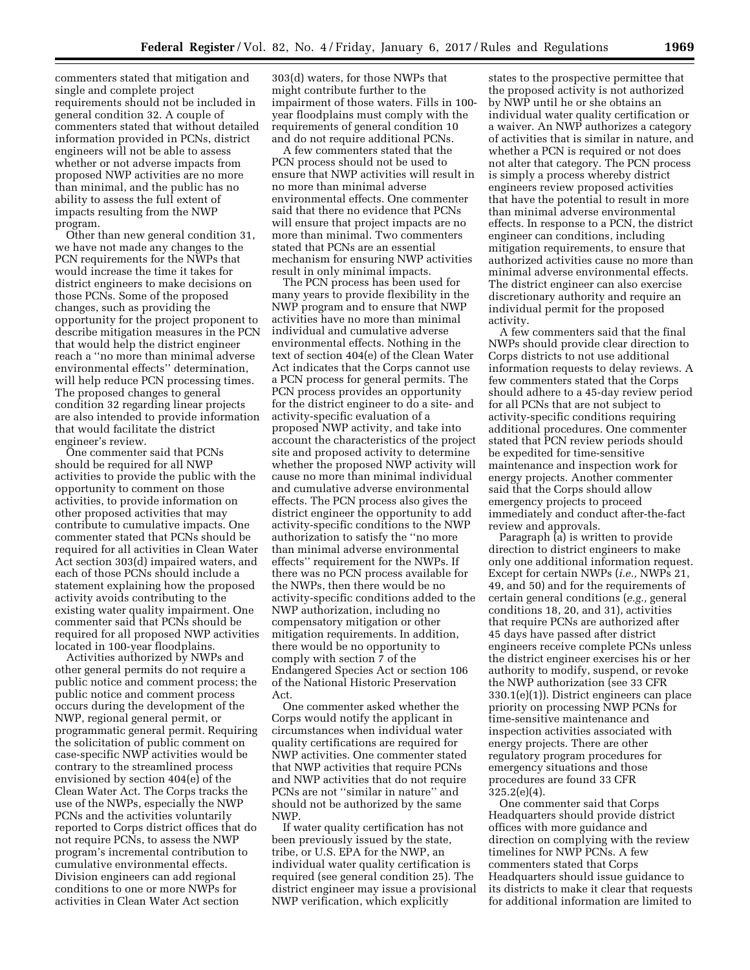commenters stated that mitigation and single and complete project requirements should not be included in general condition 32. A couple of commenters stated that without detailed information provided in PCNs, district engineers will not be able to assess whether or not adverse impacts from proposed NWP activities are no more than minimal, and the public has no ability to assess the full extent of impacts resulting from the NWP program.

Other than new general condition 31, we have not made any changes to the PCN requirements for the NWPs that would increase the time it takes for district engineers to make decisions on those PCNs. Some of the proposed changes, such as providing the opportunity for the project proponent to describe mitigation measures in the PCN that would help the district engineer reach a ''no more than minimal adverse environmental effects'' determination, will help reduce PCN processing times. The proposed changes to general condition 32 regarding linear projects are also intended to provide information that would facilitate the district engineer's review.

One commenter said that PCNs should be required for all NWP activities to provide the public with the opportunity to comment on those activities, to provide information on other proposed activities that may contribute to cumulative impacts. One commenter stated that PCNs should be required for all activities in Clean Water Act section 303(d) impaired waters, and each of those PCNs should include a statement explaining how the proposed activity avoids contributing to the existing water quality impairment. One commenter said that PCNs should be required for all proposed NWP activities located in 100-year floodplains.

Activities authorized by NWPs and other general permits do not require a public notice and comment process; the public notice and comment process occurs during the development of the NWP, regional general permit, or programmatic general permit. Requiring the solicitation of public comment on case-specific NWP activities would be contrary to the streamlined process envisioned by section 404(e) of the Clean Water Act. The Corps tracks the use of the NWPs, especially the NWP PCNs and the activities voluntarily reported to Corps district offices that do not require PCNs, to assess the NWP program's incremental contribution to cumulative environmental effects. Division engineers can add regional conditions to one or more NWPs for activities in Clean Water Act section

303(d) waters, for those NWPs that might contribute further to the impairment of those waters. Fills in 100 year floodplains must comply with the requirements of general condition 10 and do not require additional PCNs.

A few commenters stated that the PCN process should not be used to ensure that NWP activities will result in no more than minimal adverse environmental effects. One commenter said that there no evidence that PCNs will ensure that project impacts are no more than minimal. Two commenters stated that PCNs are an essential mechanism for ensuring NWP activities result in only minimal impacts.

The PCN process has been used for many years to provide flexibility in the NWP program and to ensure that NWP activities have no more than minimal individual and cumulative adverse environmental effects. Nothing in the text of section 404(e) of the Clean Water Act indicates that the Corps cannot use a PCN process for general permits. The PCN process provides an opportunity for the district engineer to do a site- and activity-specific evaluation of a proposed NWP activity, and take into account the characteristics of the project site and proposed activity to determine whether the proposed NWP activity will cause no more than minimal individual and cumulative adverse environmental effects. The PCN process also gives the district engineer the opportunity to add activity-specific conditions to the NWP authorization to satisfy the ''no more than minimal adverse environmental effects'' requirement for the NWPs. If there was no PCN process available for the NWPs, then there would be no activity-specific conditions added to the NWP authorization, including no compensatory mitigation or other mitigation requirements. In addition, there would be no opportunity to comply with section 7 of the Endangered Species Act or section 106 of the National Historic Preservation Act.

One commenter asked whether the Corps would notify the applicant in circumstances when individual water quality certifications are required for NWP activities. One commenter stated that NWP activities that require PCNs and NWP activities that do not require PCNs are not ''similar in nature'' and should not be authorized by the same NWP.

If water quality certification has not been previously issued by the state, tribe, or U.S. EPA for the NWP, an individual water quality certification is required (see general condition 25). The district engineer may issue a provisional NWP verification, which explicitly

states to the prospective permittee that the proposed activity is not authorized by NWP until he or she obtains an individual water quality certification or a waiver. An NWP authorizes a category of activities that is similar in nature, and whether a PCN is required or not does not alter that category. The PCN process is simply a process whereby district engineers review proposed activities that have the potential to result in more than minimal adverse environmental effects. In response to a PCN, the district engineer can conditions, including mitigation requirements, to ensure that authorized activities cause no more than minimal adverse environmental effects. The district engineer can also exercise discretionary authority and require an individual permit for the proposed activity.

A few commenters said that the final NWPs should provide clear direction to Corps districts to not use additional information requests to delay reviews. A few commenters stated that the Corps should adhere to a 45-day review period for all PCNs that are not subject to activity-specific conditions requiring additional procedures. One commenter stated that PCN review periods should be expedited for time-sensitive maintenance and inspection work for energy projects. Another commenter said that the Corps should allow emergency projects to proceed immediately and conduct after-the-fact review and approvals.

Paragraph (a) is written to provide direction to district engineers to make only one additional information request. Except for certain NWPs (*i.e.,* NWPs 21, 49, and 50) and for the requirements of certain general conditions (*e.g.,* general conditions 18, 20, and 31), activities that require PCNs are authorized after 45 days have passed after district engineers receive complete PCNs unless the district engineer exercises his or her authority to modify, suspend, or revoke the NWP authorization (see 33 CFR 330.1(e)(1)). District engineers can place priority on processing NWP PCNs for time-sensitive maintenance and inspection activities associated with energy projects. There are other regulatory program procedures for emergency situations and those procedures are found 33 CFR 325.2(e)(4).

One commenter said that Corps Headquarters should provide district offices with more guidance and direction on complying with the review timelines for NWP PCNs. A few commenters stated that Corps Headquarters should issue guidance to its districts to make it clear that requests for additional information are limited to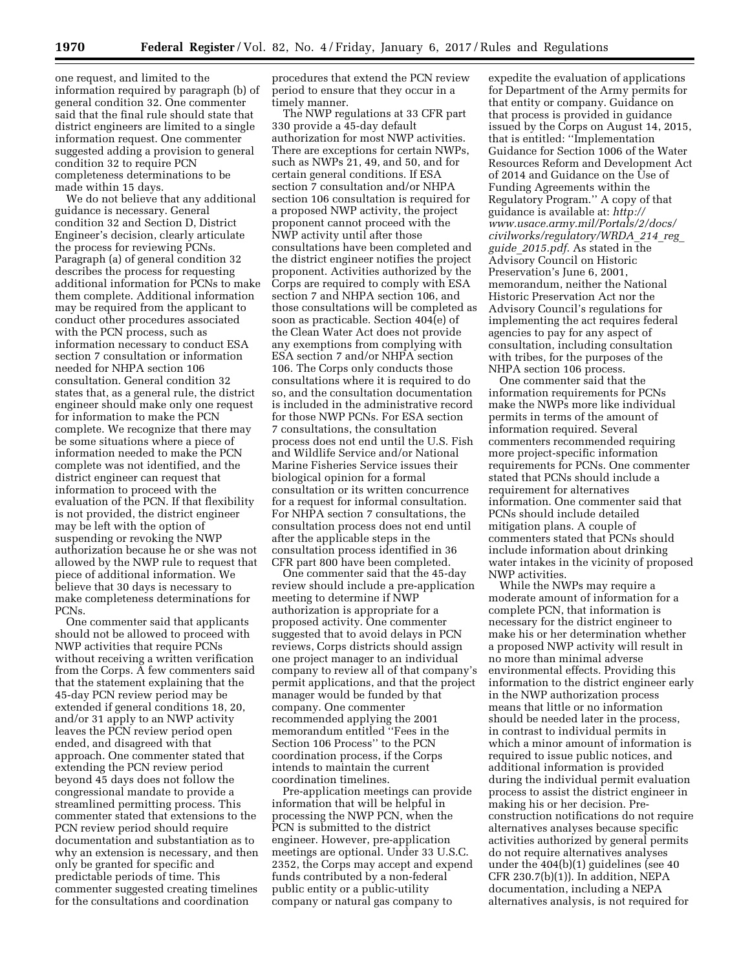one request, and limited to the information required by paragraph (b) of general condition 32. One commenter said that the final rule should state that district engineers are limited to a single information request. One commenter suggested adding a provision to general condition 32 to require PCN completeness determinations to be made within 15 days.

We do not believe that any additional guidance is necessary. General condition 32 and Section D, District Engineer's decision, clearly articulate the process for reviewing PCNs. Paragraph (a) of general condition 32 describes the process for requesting additional information for PCNs to make them complete. Additional information may be required from the applicant to conduct other procedures associated with the PCN process, such as information necessary to conduct ESA section 7 consultation or information needed for NHPA section 106 consultation. General condition 32 states that, as a general rule, the district engineer should make only one request for information to make the PCN complete. We recognize that there may be some situations where a piece of information needed to make the PCN complete was not identified, and the district engineer can request that information to proceed with the evaluation of the PCN. If that flexibility is not provided, the district engineer may be left with the option of suspending or revoking the NWP authorization because he or she was not allowed by the NWP rule to request that piece of additional information. We believe that 30 days is necessary to make completeness determinations for PCNs.

One commenter said that applicants should not be allowed to proceed with NWP activities that require PCNs without receiving a written verification from the Corps. A few commenters said that the statement explaining that the 45-day PCN review period may be extended if general conditions 18, 20, and/or 31 apply to an NWP activity leaves the PCN review period open ended, and disagreed with that approach. One commenter stated that extending the PCN review period beyond 45 days does not follow the congressional mandate to provide a streamlined permitting process. This commenter stated that extensions to the PCN review period should require documentation and substantiation as to why an extension is necessary, and then only be granted for specific and predictable periods of time. This commenter suggested creating timelines for the consultations and coordination

procedures that extend the PCN review period to ensure that they occur in a timely manner.

The NWP regulations at 33 CFR part 330 provide a 45-day default authorization for most NWP activities. There are exceptions for certain NWPs, such as NWPs 21, 49, and 50, and for certain general conditions. If ESA section 7 consultation and/or NHPA section 106 consultation is required for a proposed NWP activity, the project proponent cannot proceed with the NWP activity until after those consultations have been completed and the district engineer notifies the project proponent. Activities authorized by the Corps are required to comply with ESA section 7 and NHPA section 106, and those consultations will be completed as soon as practicable. Section 404(e) of the Clean Water Act does not provide any exemptions from complying with ESA section 7 and/or NHPA section 106. The Corps only conducts those consultations where it is required to do so, and the consultation documentation is included in the administrative record for those NWP PCNs. For ESA section 7 consultations, the consultation process does not end until the U.S. Fish and Wildlife Service and/or National Marine Fisheries Service issues their biological opinion for a formal consultation or its written concurrence for a request for informal consultation. For NHPA section 7 consultations, the consultation process does not end until after the applicable steps in the consultation process identified in 36 CFR part 800 have been completed.

One commenter said that the 45-day review should include a pre-application meeting to determine if NWP authorization is appropriate for a proposed activity. One commenter suggested that to avoid delays in PCN reviews, Corps districts should assign one project manager to an individual company to review all of that company's permit applications, and that the project manager would be funded by that company. One commenter recommended applying the 2001 memorandum entitled ''Fees in the Section 106 Process'' to the PCN coordination process, if the Corps intends to maintain the current coordination timelines.

Pre-application meetings can provide information that will be helpful in processing the NWP PCN, when the PCN is submitted to the district engineer. However, pre-application meetings are optional. Under 33 U.S.C. 2352, the Corps may accept and expend funds contributed by a non-federal public entity or a public-utility company or natural gas company to

expedite the evaluation of applications for Department of the Army permits for that entity or company. Guidance on that process is provided in guidance issued by the Corps on August 14, 2015, that is entitled: ''Implementation Guidance for Section 1006 of the Water Resources Reform and Development Act of 2014 and Guidance on the Use of Funding Agreements within the Regulatory Program.'' A copy of that guidance is available at: *[http://](http://www.usace.army.mil/Portals/2/docs/civilworks/regulatory/WRDA_214_reg_guide_2015.pdf) [www.usace.army.mil/Portals/2/docs/](http://www.usace.army.mil/Portals/2/docs/civilworks/regulatory/WRDA_214_reg_guide_2015.pdf) [civilworks/regulatory/WRDA](http://www.usace.army.mil/Portals/2/docs/civilworks/regulatory/WRDA_214_reg_guide_2015.pdf)*\_*214*\_*reg*\_ *guide*\_*[2015.pdf](http://www.usace.army.mil/Portals/2/docs/civilworks/regulatory/WRDA_214_reg_guide_2015.pdf)*. As stated in the Advisory Council on Historic Preservation's June 6, 2001, memorandum, neither the National Historic Preservation Act nor the Advisory Council's regulations for implementing the act requires federal agencies to pay for any aspect of consultation, including consultation with tribes, for the purposes of the NHPA section 106 process.

One commenter said that the information requirements for PCNs make the NWPs more like individual permits in terms of the amount of information required. Several commenters recommended requiring more project-specific information requirements for PCNs. One commenter stated that PCNs should include a requirement for alternatives information. One commenter said that PCNs should include detailed mitigation plans. A couple of commenters stated that PCNs should include information about drinking water intakes in the vicinity of proposed NWP activities.

While the NWPs may require a moderate amount of information for a complete PCN, that information is necessary for the district engineer to make his or her determination whether a proposed NWP activity will result in no more than minimal adverse environmental effects. Providing this information to the district engineer early in the NWP authorization process means that little or no information should be needed later in the process, in contrast to individual permits in which a minor amount of information is required to issue public notices, and additional information is provided during the individual permit evaluation process to assist the district engineer in making his or her decision. Preconstruction notifications do not require alternatives analyses because specific activities authorized by general permits do not require alternatives analyses under the 404(b)(1) guidelines (see 40 CFR 230.7(b)(1)). In addition, NEPA documentation, including a NEPA alternatives analysis, is not required for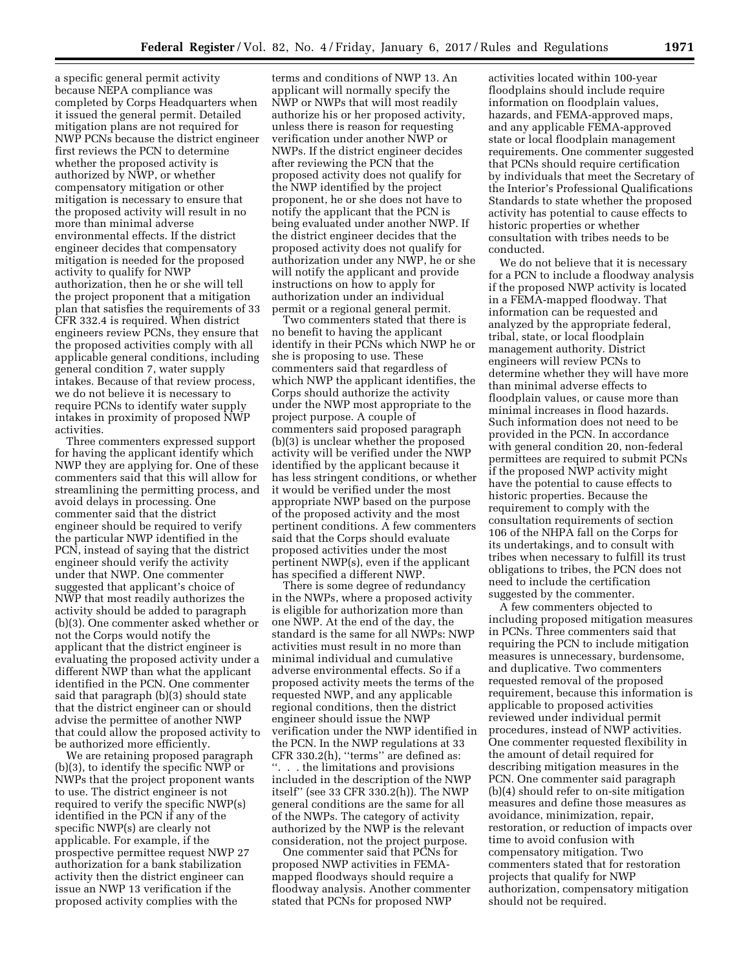a specific general permit activity because NEPA compliance was completed by Corps Headquarters when it issued the general permit. Detailed mitigation plans are not required for NWP PCNs because the district engineer first reviews the PCN to determine whether the proposed activity is authorized by NWP, or whether compensatory mitigation or other mitigation is necessary to ensure that the proposed activity will result in no more than minimal adverse environmental effects. If the district engineer decides that compensatory mitigation is needed for the proposed activity to qualify for NWP authorization, then he or she will tell the project proponent that a mitigation plan that satisfies the requirements of 33 CFR 332.4 is required. When district engineers review PCNs, they ensure that the proposed activities comply with all applicable general conditions, including general condition 7, water supply intakes. Because of that review process, we do not believe it is necessary to require PCNs to identify water supply intakes in proximity of proposed NWP activities.

Three commenters expressed support for having the applicant identify which NWP they are applying for. One of these commenters said that this will allow for streamlining the permitting process, and avoid delays in processing. One commenter said that the district engineer should be required to verify the particular NWP identified in the PCN, instead of saying that the district engineer should verify the activity under that NWP. One commenter suggested that applicant's choice of NWP that most readily authorizes the activity should be added to paragraph (b)(3). One commenter asked whether or not the Corps would notify the applicant that the district engineer is evaluating the proposed activity under a different NWP than what the applicant identified in the PCN. One commenter said that paragraph (b)(3) should state that the district engineer can or should advise the permittee of another NWP that could allow the proposed activity to be authorized more efficiently.

We are retaining proposed paragraph (b)(3), to identify the specific NWP or NWPs that the project proponent wants to use. The district engineer is not required to verify the specific NWP(s) identified in the PCN if any of the specific NWP(s) are clearly not applicable. For example, if the prospective permittee request NWP 27 authorization for a bank stabilization activity then the district engineer can issue an NWP 13 verification if the proposed activity complies with the

terms and conditions of NWP 13. An applicant will normally specify the NWP or NWPs that will most readily authorize his or her proposed activity, unless there is reason for requesting verification under another NWP or NWPs. If the district engineer decides after reviewing the PCN that the proposed activity does not qualify for the NWP identified by the project proponent, he or she does not have to notify the applicant that the PCN is being evaluated under another NWP. If the district engineer decides that the proposed activity does not qualify for authorization under any NWP, he or she will notify the applicant and provide instructions on how to apply for authorization under an individual permit or a regional general permit.

Two commenters stated that there is no benefit to having the applicant identify in their PCNs which NWP he or she is proposing to use. These commenters said that regardless of which NWP the applicant identifies, the Corps should authorize the activity under the NWP most appropriate to the project purpose. A couple of commenters said proposed paragraph (b)(3) is unclear whether the proposed activity will be verified under the NWP identified by the applicant because it has less stringent conditions, or whether it would be verified under the most appropriate NWP based on the purpose of the proposed activity and the most pertinent conditions. A few commenters said that the Corps should evaluate proposed activities under the most pertinent NWP(s), even if the applicant has specified a different NWP.

There is some degree of redundancy in the NWPs, where a proposed activity is eligible for authorization more than one NWP. At the end of the day, the standard is the same for all NWPs: NWP activities must result in no more than minimal individual and cumulative adverse environmental effects. So if a proposed activity meets the terms of the requested NWP, and any applicable regional conditions, then the district engineer should issue the NWP verification under the NWP identified in the PCN. In the NWP regulations at 33 CFR 330.2(h), ''terms'' are defined as: ''. . . the limitations and provisions included in the description of the NWP itself'' (see 33 CFR 330.2(h)). The NWP general conditions are the same for all of the NWPs. The category of activity authorized by the NWP is the relevant consideration, not the project purpose.

One commenter said that PCNs for proposed NWP activities in FEMAmapped floodways should require a floodway analysis. Another commenter stated that PCNs for proposed NWP

activities located within 100-year floodplains should include require information on floodplain values, hazards, and FEMA-approved maps, and any applicable FEMA-approved state or local floodplain management requirements. One commenter suggested that PCNs should require certification by individuals that meet the Secretary of the Interior's Professional Qualifications Standards to state whether the proposed activity has potential to cause effects to historic properties or whether consultation with tribes needs to be conducted.

We do not believe that it is necessary for a PCN to include a floodway analysis if the proposed NWP activity is located in a FEMA-mapped floodway. That information can be requested and analyzed by the appropriate federal, tribal, state, or local floodplain management authority. District engineers will review PCNs to determine whether they will have more than minimal adverse effects to floodplain values, or cause more than minimal increases in flood hazards. Such information does not need to be provided in the PCN. In accordance with general condition 20, non-federal permittees are required to submit PCNs if the proposed NWP activity might have the potential to cause effects to historic properties. Because the requirement to comply with the consultation requirements of section 106 of the NHPA fall on the Corps for its undertakings, and to consult with tribes when necessary to fulfill its trust obligations to tribes, the PCN does not need to include the certification suggested by the commenter.

A few commenters objected to including proposed mitigation measures in PCNs. Three commenters said that requiring the PCN to include mitigation measures is unnecessary, burdensome, and duplicative. Two commenters requested removal of the proposed requirement, because this information is applicable to proposed activities reviewed under individual permit procedures, instead of NWP activities. One commenter requested flexibility in the amount of detail required for describing mitigation measures in the PCN. One commenter said paragraph (b)(4) should refer to on-site mitigation measures and define those measures as avoidance, minimization, repair, restoration, or reduction of impacts over time to avoid confusion with compensatory mitigation. Two commenters stated that for restoration projects that qualify for NWP authorization, compensatory mitigation should not be required.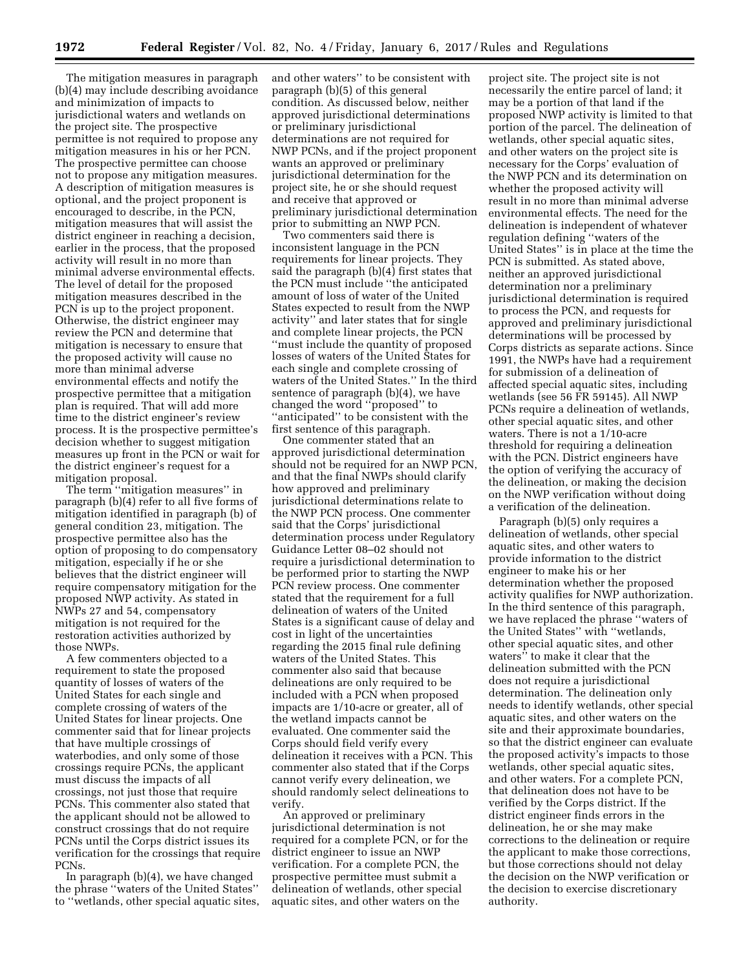The mitigation measures in paragraph (b)(4) may include describing avoidance and minimization of impacts to jurisdictional waters and wetlands on the project site. The prospective permittee is not required to propose any mitigation measures in his or her PCN. The prospective permittee can choose not to propose any mitigation measures. A description of mitigation measures is optional, and the project proponent is encouraged to describe, in the PCN, mitigation measures that will assist the district engineer in reaching a decision, earlier in the process, that the proposed activity will result in no more than minimal adverse environmental effects. The level of detail for the proposed mitigation measures described in the PCN is up to the project proponent. Otherwise, the district engineer may review the PCN and determine that mitigation is necessary to ensure that the proposed activity will cause no more than minimal adverse environmental effects and notify the prospective permittee that a mitigation plan is required. That will add more time to the district engineer's review process. It is the prospective permittee's decision whether to suggest mitigation measures up front in the PCN or wait for the district engineer's request for a mitigation proposal.

The term ''mitigation measures'' in paragraph (b)(4) refer to all five forms of mitigation identified in paragraph (b) of general condition 23, mitigation. The prospective permittee also has the option of proposing to do compensatory mitigation, especially if he or she believes that the district engineer will require compensatory mitigation for the proposed NWP activity. As stated in NWPs 27 and 54, compensatory mitigation is not required for the restoration activities authorized by those NWPs.

A few commenters objected to a requirement to state the proposed quantity of losses of waters of the United States for each single and complete crossing of waters of the United States for linear projects. One commenter said that for linear projects that have multiple crossings of waterbodies, and only some of those crossings require PCNs, the applicant must discuss the impacts of all crossings, not just those that require PCNs. This commenter also stated that the applicant should not be allowed to construct crossings that do not require PCNs until the Corps district issues its verification for the crossings that require PCNs.

In paragraph (b)(4), we have changed the phrase ''waters of the United States'' to ''wetlands, other special aquatic sites, and other waters'' to be consistent with paragraph (b)(5) of this general condition. As discussed below, neither approved jurisdictional determinations or preliminary jurisdictional determinations are not required for NWP PCNs, and if the project proponent wants an approved or preliminary jurisdictional determination for the project site, he or she should request and receive that approved or preliminary jurisdictional determination prior to submitting an NWP PCN.

Two commenters said there is inconsistent language in the PCN requirements for linear projects. They said the paragraph (b)(4) first states that the PCN must include ''the anticipated amount of loss of water of the United States expected to result from the NWP activity'' and later states that for single and complete linear projects, the PCN ''must include the quantity of proposed losses of waters of the United States for each single and complete crossing of waters of the United States.'' In the third sentence of paragraph (b)(4), we have changed the word ''proposed'' to ''anticipated'' to be consistent with the first sentence of this paragraph.

One commenter stated that an approved jurisdictional determination should not be required for an NWP PCN, and that the final NWPs should clarify how approved and preliminary jurisdictional determinations relate to the NWP PCN process. One commenter said that the Corps' jurisdictional determination process under Regulatory Guidance Letter 08–02 should not require a jurisdictional determination to be performed prior to starting the NWP PCN review process. One commenter stated that the requirement for a full delineation of waters of the United States is a significant cause of delay and cost in light of the uncertainties regarding the 2015 final rule defining waters of the United States. This commenter also said that because delineations are only required to be included with a PCN when proposed impacts are 1/10-acre or greater, all of the wetland impacts cannot be evaluated. One commenter said the Corps should field verify every delineation it receives with a PCN. This commenter also stated that if the Corps cannot verify every delineation, we should randomly select delineations to verify.

An approved or preliminary jurisdictional determination is not required for a complete PCN, or for the district engineer to issue an NWP verification. For a complete PCN, the prospective permittee must submit a delineation of wetlands, other special aquatic sites, and other waters on the

project site. The project site is not necessarily the entire parcel of land; it may be a portion of that land if the proposed NWP activity is limited to that portion of the parcel. The delineation of wetlands, other special aquatic sites, and other waters on the project site is necessary for the Corps' evaluation of the NWP PCN and its determination on whether the proposed activity will result in no more than minimal adverse environmental effects. The need for the delineation is independent of whatever regulation defining ''waters of the United States'' is in place at the time the PCN is submitted. As stated above, neither an approved jurisdictional determination nor a preliminary jurisdictional determination is required to process the PCN, and requests for approved and preliminary jurisdictional determinations will be processed by Corps districts as separate actions. Since 1991, the NWPs have had a requirement for submission of a delineation of affected special aquatic sites, including wetlands (see 56 FR 59145). All NWP PCNs require a delineation of wetlands, other special aquatic sites, and other waters. There is not a 1/10-acre threshold for requiring a delineation with the PCN. District engineers have the option of verifying the accuracy of the delineation, or making the decision on the NWP verification without doing a verification of the delineation.

Paragraph (b)(5) only requires a delineation of wetlands, other special aquatic sites, and other waters to provide information to the district engineer to make his or her determination whether the proposed activity qualifies for NWP authorization. In the third sentence of this paragraph, we have replaced the phrase ''waters of the United States'' with ''wetlands, other special aquatic sites, and other waters'' to make it clear that the delineation submitted with the PCN does not require a jurisdictional determination. The delineation only needs to identify wetlands, other special aquatic sites, and other waters on the site and their approximate boundaries, so that the district engineer can evaluate the proposed activity's impacts to those wetlands, other special aquatic sites, and other waters. For a complete PCN, that delineation does not have to be verified by the Corps district. If the district engineer finds errors in the delineation, he or she may make corrections to the delineation or require the applicant to make those corrections, but those corrections should not delay the decision on the NWP verification or the decision to exercise discretionary authority.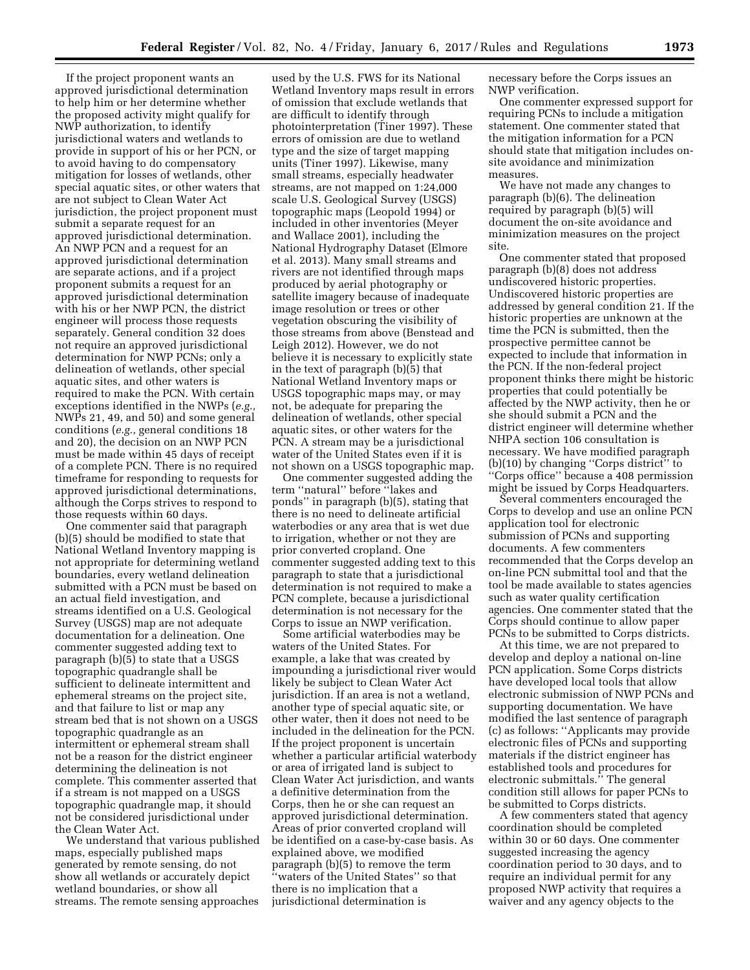If the project proponent wants an approved jurisdictional determination to help him or her determine whether the proposed activity might qualify for NWP authorization, to identify jurisdictional waters and wetlands to provide in support of his or her PCN, or to avoid having to do compensatory mitigation for losses of wetlands, other special aquatic sites, or other waters that are not subject to Clean Water Act jurisdiction, the project proponent must submit a separate request for an approved jurisdictional determination. An NWP PCN and a request for an approved jurisdictional determination are separate actions, and if a project proponent submits a request for an approved jurisdictional determination with his or her NWP PCN, the district engineer will process those requests separately. General condition 32 does not require an approved jurisdictional determination for NWP PCNs; only a delineation of wetlands, other special aquatic sites, and other waters is required to make the PCN. With certain exceptions identified in the NWPs (*e.g.,*  NWPs 21, 49, and 50) and some general conditions (*e.g.,* general conditions 18 and 20), the decision on an NWP PCN must be made within 45 days of receipt of a complete PCN. There is no required timeframe for responding to requests for approved jurisdictional determinations, although the Corps strives to respond to those requests within 60 days.

One commenter said that paragraph (b)(5) should be modified to state that National Wetland Inventory mapping is not appropriate for determining wetland boundaries, every wetland delineation submitted with a PCN must be based on an actual field investigation, and streams identified on a U.S. Geological Survey (USGS) map are not adequate documentation for a delineation. One commenter suggested adding text to paragraph  $(b)(\overline{5})$  to state that a USGS topographic quadrangle shall be sufficient to delineate intermittent and ephemeral streams on the project site, and that failure to list or map any stream bed that is not shown on a USGS topographic quadrangle as an intermittent or ephemeral stream shall not be a reason for the district engineer determining the delineation is not complete. This commenter asserted that if a stream is not mapped on a USGS topographic quadrangle map, it should not be considered jurisdictional under the Clean Water Act.

We understand that various published maps, especially published maps generated by remote sensing, do not show all wetlands or accurately depict wetland boundaries, or show all streams. The remote sensing approaches

used by the U.S. FWS for its National Wetland Inventory maps result in errors of omission that exclude wetlands that are difficult to identify through photointerpretation (Tiner 1997). These errors of omission are due to wetland type and the size of target mapping units (Tiner 1997). Likewise, many small streams, especially headwater streams, are not mapped on 1:24,000 scale U.S. Geological Survey (USGS) topographic maps (Leopold 1994) or included in other inventories (Meyer and Wallace 2001), including the National Hydrography Dataset (Elmore et al. 2013). Many small streams and rivers are not identified through maps produced by aerial photography or satellite imagery because of inadequate image resolution or trees or other vegetation obscuring the visibility of those streams from above (Benstead and Leigh 2012). However, we do not believe it is necessary to explicitly state in the text of paragraph (b)(5) that National Wetland Inventory maps or USGS topographic maps may, or may not, be adequate for preparing the delineation of wetlands, other special aquatic sites, or other waters for the PCN. A stream may be a jurisdictional water of the United States even if it is not shown on a USGS topographic map.

One commenter suggested adding the term ''natural'' before ''lakes and ponds'' in paragraph (b)(5), stating that there is no need to delineate artificial waterbodies or any area that is wet due to irrigation, whether or not they are prior converted cropland. One commenter suggested adding text to this paragraph to state that a jurisdictional determination is not required to make a PCN complete, because a jurisdictional determination is not necessary for the Corps to issue an NWP verification.

Some artificial waterbodies may be waters of the United States. For example, a lake that was created by impounding a jurisdictional river would likely be subject to Clean Water Act jurisdiction. If an area is not a wetland, another type of special aquatic site, or other water, then it does not need to be included in the delineation for the PCN. If the project proponent is uncertain whether a particular artificial waterbody or area of irrigated land is subject to Clean Water Act jurisdiction, and wants a definitive determination from the Corps, then he or she can request an approved jurisdictional determination. Areas of prior converted cropland will be identified on a case-by-case basis. As explained above, we modified paragraph (b)(5) to remove the term ''waters of the United States'' so that there is no implication that a jurisdictional determination is

necessary before the Corps issues an NWP verification.

One commenter expressed support for requiring PCNs to include a mitigation statement. One commenter stated that the mitigation information for a PCN should state that mitigation includes onsite avoidance and minimization measures.

We have not made any changes to paragraph (b)(6). The delineation required by paragraph (b)(5) will document the on-site avoidance and minimization measures on the project site.

One commenter stated that proposed paragraph (b)(8) does not address undiscovered historic properties. Undiscovered historic properties are addressed by general condition 21. If the historic properties are unknown at the time the PCN is submitted, then the prospective permittee cannot be expected to include that information in the PCN. If the non-federal project proponent thinks there might be historic properties that could potentially be affected by the NWP activity, then he or she should submit a PCN and the district engineer will determine whether NHPA section 106 consultation is necessary. We have modified paragraph (b)(10) by changing ''Corps district'' to ''Corps office'' because a 408 permission might be issued by Corps Headquarters.

Several commenters encouraged the Corps to develop and use an online PCN application tool for electronic submission of PCNs and supporting documents. A few commenters recommended that the Corps develop an on-line PCN submittal tool and that the tool be made available to states agencies such as water quality certification agencies. One commenter stated that the Corps should continue to allow paper PCNs to be submitted to Corps districts.

At this time, we are not prepared to develop and deploy a national on-line PCN application. Some Corps districts have developed local tools that allow electronic submission of NWP PCNs and supporting documentation. We have modified the last sentence of paragraph (c) as follows: ''Applicants may provide electronic files of PCNs and supporting materials if the district engineer has established tools and procedures for electronic submittals.'' The general condition still allows for paper PCNs to be submitted to Corps districts.

A few commenters stated that agency coordination should be completed within 30 or 60 days. One commenter suggested increasing the agency coordination period to 30 days, and to require an individual permit for any proposed NWP activity that requires a waiver and any agency objects to the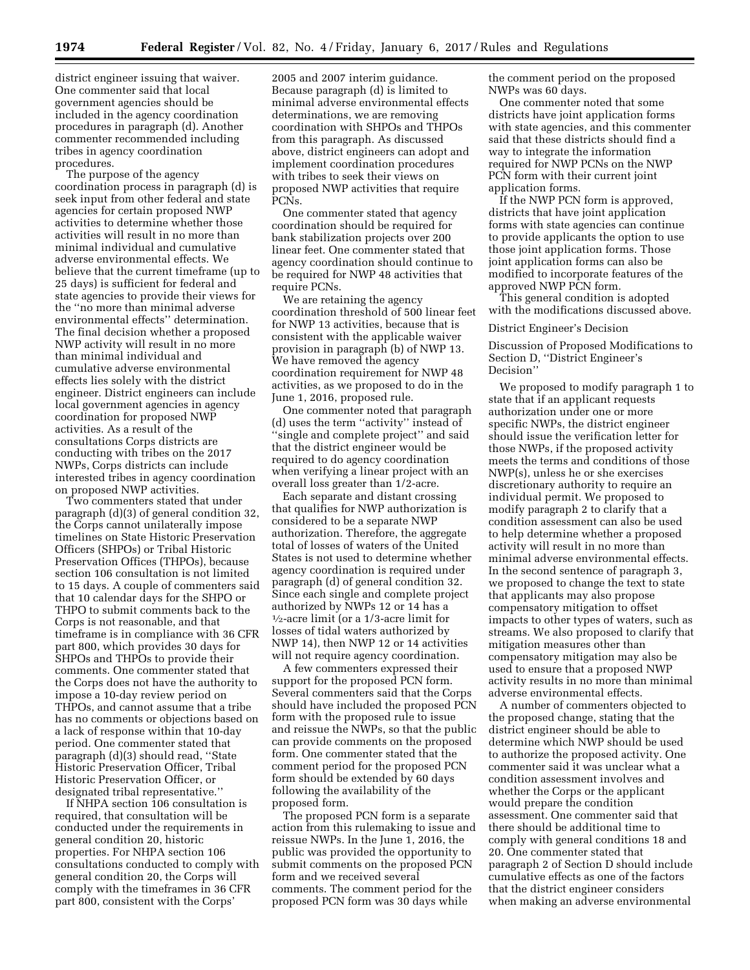district engineer issuing that waiver. One commenter said that local government agencies should be included in the agency coordination procedures in paragraph (d). Another commenter recommended including tribes in agency coordination procedures.

The purpose of the agency coordination process in paragraph (d) is seek input from other federal and state agencies for certain proposed NWP activities to determine whether those activities will result in no more than minimal individual and cumulative adverse environmental effects. We believe that the current timeframe (up to 25 days) is sufficient for federal and state agencies to provide their views for the ''no more than minimal adverse environmental effects'' determination. The final decision whether a proposed NWP activity will result in no more than minimal individual and cumulative adverse environmental effects lies solely with the district engineer. District engineers can include local government agencies in agency coordination for proposed NWP activities. As a result of the consultations Corps districts are conducting with tribes on the 2017 NWPs, Corps districts can include interested tribes in agency coordination on proposed NWP activities.

Two commenters stated that under paragraph (d)(3) of general condition 32, the Corps cannot unilaterally impose timelines on State Historic Preservation Officers (SHPOs) or Tribal Historic Preservation Offices (THPOs), because section 106 consultation is not limited to 15 days. A couple of commenters said that 10 calendar days for the SHPO or THPO to submit comments back to the Corps is not reasonable, and that timeframe is in compliance with 36 CFR part 800, which provides 30 days for SHPOs and THPOs to provide their comments. One commenter stated that the Corps does not have the authority to impose a 10-day review period on THPOs, and cannot assume that a tribe has no comments or objections based on a lack of response within that 10-day period. One commenter stated that paragraph (d)(3) should read, ''State Historic Preservation Officer, Tribal Historic Preservation Officer, or designated tribal representative.''

If NHPA section 106 consultation is required, that consultation will be conducted under the requirements in general condition 20, historic properties. For NHPA section 106 consultations conducted to comply with general condition 20, the Corps will comply with the timeframes in 36 CFR part 800, consistent with the Corps'

2005 and 2007 interim guidance. Because paragraph (d) is limited to minimal adverse environmental effects determinations, we are removing coordination with SHPOs and THPOs from this paragraph. As discussed above, district engineers can adopt and implement coordination procedures with tribes to seek their views on proposed NWP activities that require PCNs.

One commenter stated that agency coordination should be required for bank stabilization projects over 200 linear feet. One commenter stated that agency coordination should continue to be required for NWP 48 activities that require PCNs.

We are retaining the agency coordination threshold of 500 linear feet for NWP 13 activities, because that is consistent with the applicable waiver provision in paragraph (b) of NWP 13. We have removed the agency coordination requirement for NWP 48 activities, as we proposed to do in the June 1, 2016, proposed rule.

One commenter noted that paragraph (d) uses the term ''activity'' instead of ''single and complete project'' and said that the district engineer would be required to do agency coordination when verifying a linear project with an overall loss greater than 1/2-acre.

Each separate and distant crossing that qualifies for NWP authorization is considered to be a separate NWP authorization. Therefore, the aggregate total of losses of waters of the United States is not used to determine whether agency coordination is required under paragraph (d) of general condition 32. Since each single and complete project authorized by NWPs 12 or 14 has a 1⁄2-acre limit (or a 1/3-acre limit for losses of tidal waters authorized by NWP 14), then NWP 12 or 14 activities will not require agency coordination.

A few commenters expressed their support for the proposed PCN form. Several commenters said that the Corps should have included the proposed PCN form with the proposed rule to issue and reissue the NWPs, so that the public can provide comments on the proposed form. One commenter stated that the comment period for the proposed PCN form should be extended by 60 days following the availability of the proposed form.

The proposed PCN form is a separate action from this rulemaking to issue and reissue NWPs. In the June 1, 2016, the public was provided the opportunity to submit comments on the proposed PCN form and we received several comments. The comment period for the proposed PCN form was 30 days while

the comment period on the proposed NWPs was 60 days.

One commenter noted that some districts have joint application forms with state agencies, and this commenter said that these districts should find a way to integrate the information required for NWP PCNs on the NWP PCN form with their current joint application forms.

If the NWP PCN form is approved, districts that have joint application forms with state agencies can continue to provide applicants the option to use those joint application forms. Those joint application forms can also be modified to incorporate features of the approved NWP PCN form.

This general condition is adopted with the modifications discussed above.

### District Engineer's Decision

Discussion of Proposed Modifications to Section D, ''District Engineer's Decision''

We proposed to modify paragraph 1 to state that if an applicant requests authorization under one or more specific NWPs, the district engineer should issue the verification letter for those NWPs, if the proposed activity meets the terms and conditions of those NWP(s), unless he or she exercises discretionary authority to require an individual permit. We proposed to modify paragraph 2 to clarify that a condition assessment can also be used to help determine whether a proposed activity will result in no more than minimal adverse environmental effects. In the second sentence of paragraph 3, we proposed to change the text to state that applicants may also propose compensatory mitigation to offset impacts to other types of waters, such as streams. We also proposed to clarify that mitigation measures other than compensatory mitigation may also be used to ensure that a proposed NWP activity results in no more than minimal adverse environmental effects.

A number of commenters objected to the proposed change, stating that the district engineer should be able to determine which NWP should be used to authorize the proposed activity. One commenter said it was unclear what a condition assessment involves and whether the Corps or the applicant would prepare the condition assessment. One commenter said that there should be additional time to comply with general conditions 18 and 20. One commenter stated that paragraph 2 of Section D should include cumulative effects as one of the factors that the district engineer considers when making an adverse environmental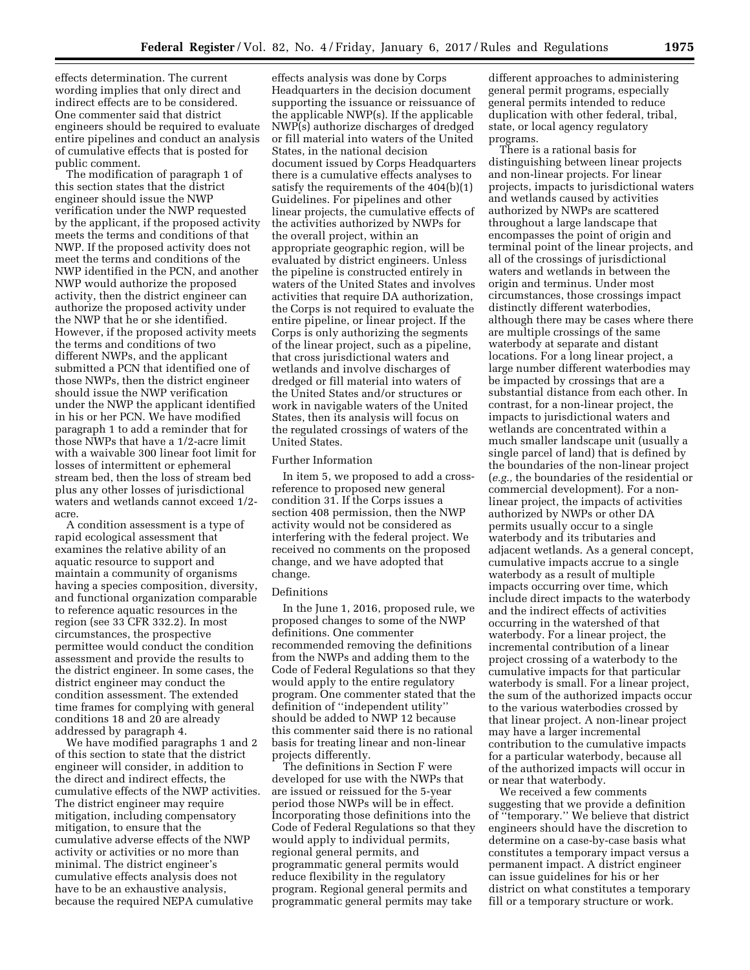effects determination. The current wording implies that only direct and indirect effects are to be considered. One commenter said that district engineers should be required to evaluate entire pipelines and conduct an analysis of cumulative effects that is posted for public comment.

The modification of paragraph 1 of this section states that the district engineer should issue the NWP verification under the NWP requested by the applicant, if the proposed activity meets the terms and conditions of that NWP. If the proposed activity does not meet the terms and conditions of the NWP identified in the PCN, and another NWP would authorize the proposed activity, then the district engineer can authorize the proposed activity under the NWP that he or she identified. However, if the proposed activity meets the terms and conditions of two different NWPs, and the applicant submitted a PCN that identified one of those NWPs, then the district engineer should issue the NWP verification under the NWP the applicant identified in his or her PCN. We have modified paragraph 1 to add a reminder that for those NWPs that have a 1/2-acre limit with a waivable 300 linear foot limit for losses of intermittent or ephemeral stream bed, then the loss of stream bed plus any other losses of jurisdictional waters and wetlands cannot exceed 1/2 acre.

A condition assessment is a type of rapid ecological assessment that examines the relative ability of an aquatic resource to support and maintain a community of organisms having a species composition, diversity, and functional organization comparable to reference aquatic resources in the region (see 33 CFR 332.2). In most circumstances, the prospective permittee would conduct the condition assessment and provide the results to the district engineer. In some cases, the district engineer may conduct the condition assessment. The extended time frames for complying with general conditions 18 and 20 are already addressed by paragraph 4.

We have modified paragraphs 1 and 2 of this section to state that the district engineer will consider, in addition to the direct and indirect effects, the cumulative effects of the NWP activities. The district engineer may require mitigation, including compensatory mitigation, to ensure that the cumulative adverse effects of the NWP activity or activities or no more than minimal. The district engineer's cumulative effects analysis does not have to be an exhaustive analysis, because the required NEPA cumulative

effects analysis was done by Corps Headquarters in the decision document supporting the issuance or reissuance of the applicable NWP(s). If the applicable NWP(s) authorize discharges of dredged or fill material into waters of the United States, in the national decision document issued by Corps Headquarters there is a cumulative effects analyses to satisfy the requirements of the 404(b)(1) Guidelines. For pipelines and other linear projects, the cumulative effects of the activities authorized by NWPs for the overall project, within an appropriate geographic region, will be evaluated by district engineers. Unless the pipeline is constructed entirely in waters of the United States and involves activities that require DA authorization, the Corps is not required to evaluate the entire pipeline, or linear project. If the Corps is only authorizing the segments of the linear project, such as a pipeline, that cross jurisdictional waters and wetlands and involve discharges of dredged or fill material into waters of the United States and/or structures or work in navigable waters of the United States, then its analysis will focus on the regulated crossings of waters of the United States.

#### Further Information

In item 5, we proposed to add a crossreference to proposed new general condition 31. If the Corps issues a section 408 permission, then the NWP activity would not be considered as interfering with the federal project. We received no comments on the proposed change, and we have adopted that change.

#### Definitions

In the June 1, 2016, proposed rule, we proposed changes to some of the NWP definitions. One commenter recommended removing the definitions from the NWPs and adding them to the Code of Federal Regulations so that they would apply to the entire regulatory program. One commenter stated that the definition of ''independent utility'' should be added to NWP 12 because this commenter said there is no rational basis for treating linear and non-linear projects differently.

The definitions in Section F were developed for use with the NWPs that are issued or reissued for the 5-year period those NWPs will be in effect. Incorporating those definitions into the Code of Federal Regulations so that they would apply to individual permits, regional general permits, and programmatic general permits would reduce flexibility in the regulatory program. Regional general permits and programmatic general permits may take

different approaches to administering general permit programs, especially general permits intended to reduce duplication with other federal, tribal, state, or local agency regulatory programs.

There is a rational basis for distinguishing between linear projects and non-linear projects. For linear projects, impacts to jurisdictional waters and wetlands caused by activities authorized by NWPs are scattered throughout a large landscape that encompasses the point of origin and terminal point of the linear projects, and all of the crossings of jurisdictional waters and wetlands in between the origin and terminus. Under most circumstances, those crossings impact distinctly different waterbodies, although there may be cases where there are multiple crossings of the same waterbody at separate and distant locations. For a long linear project, a large number different waterbodies may be impacted by crossings that are a substantial distance from each other. In contrast, for a non-linear project, the impacts to jurisdictional waters and wetlands are concentrated within a much smaller landscape unit (usually a single parcel of land) that is defined by the boundaries of the non-linear project (*e.g.,* the boundaries of the residential or commercial development). For a nonlinear project, the impacts of activities authorized by NWPs or other DA permits usually occur to a single waterbody and its tributaries and adjacent wetlands. As a general concept, cumulative impacts accrue to a single waterbody as a result of multiple impacts occurring over time, which include direct impacts to the waterbody and the indirect effects of activities occurring in the watershed of that waterbody. For a linear project, the incremental contribution of a linear project crossing of a waterbody to the cumulative impacts for that particular waterbody is small. For a linear project, the sum of the authorized impacts occur to the various waterbodies crossed by that linear project. A non-linear project may have a larger incremental contribution to the cumulative impacts for a particular waterbody, because all of the authorized impacts will occur in or near that waterbody.

We received a few comments suggesting that we provide a definition of ''temporary.'' We believe that district engineers should have the discretion to determine on a case-by-case basis what constitutes a temporary impact versus a permanent impact. A district engineer can issue guidelines for his or her district on what constitutes a temporary fill or a temporary structure or work.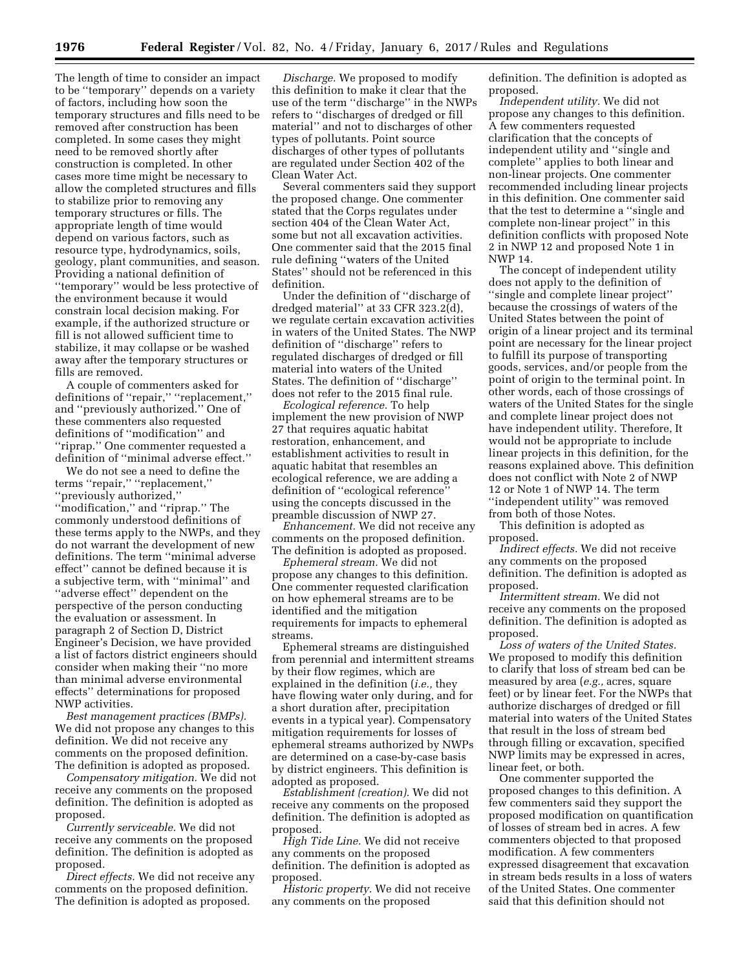The length of time to consider an impact to be ''temporary'' depends on a variety of factors, including how soon the temporary structures and fills need to be removed after construction has been completed. In some cases they might need to be removed shortly after construction is completed. In other cases more time might be necessary to allow the completed structures and fills to stabilize prior to removing any temporary structures or fills. The appropriate length of time would depend on various factors, such as resource type, hydrodynamics, soils, geology, plant communities, and season. Providing a national definition of ''temporary'' would be less protective of the environment because it would constrain local decision making. For example, if the authorized structure or fill is not allowed sufficient time to stabilize, it may collapse or be washed away after the temporary structures or fills are removed.

A couple of commenters asked for definitions of ''repair,'' ''replacement,'' and ''previously authorized.'' One of these commenters also requested definitions of ''modification'' and ''riprap.'' One commenter requested a definition of ''minimal adverse effect.''

We do not see a need to define the terms ''repair,'' ''replacement,'' ''previously authorized,'' ''modification,'' and ''riprap.'' The commonly understood definitions of these terms apply to the NWPs, and they do not warrant the development of new definitions. The term ''minimal adverse effect'' cannot be defined because it is a subjective term, with ''minimal'' and ''adverse effect'' dependent on the perspective of the person conducting the evaluation or assessment. In paragraph 2 of Section D, District Engineer's Decision, we have provided a list of factors district engineers should consider when making their ''no more than minimal adverse environmental effects'' determinations for proposed NWP activities.

*Best management practices (BMPs).*  We did not propose any changes to this definition. We did not receive any comments on the proposed definition. The definition is adopted as proposed.

*Compensatory mitigation.* We did not receive any comments on the proposed definition. The definition is adopted as proposed.

*Currently serviceable.* We did not receive any comments on the proposed definition. The definition is adopted as proposed.

*Direct effects.* We did not receive any comments on the proposed definition. The definition is adopted as proposed.

*Discharge.* We proposed to modify this definition to make it clear that the use of the term ''discharge'' in the NWPs refers to ''discharges of dredged or fill material'' and not to discharges of other types of pollutants. Point source discharges of other types of pollutants are regulated under Section 402 of the Clean Water Act.

Several commenters said they support the proposed change. One commenter stated that the Corps regulates under section 404 of the Clean Water Act, some but not all excavation activities. One commenter said that the 2015 final rule defining ''waters of the United States'' should not be referenced in this definition.

Under the definition of ''discharge of dredged material" at 33 CFR  $323.2\text{d}$ , we regulate certain excavation activities in waters of the United States. The NWP definition of ''discharge'' refers to regulated discharges of dredged or fill material into waters of the United States. The definition of ''discharge'' does not refer to the 2015 final rule.

*Ecological reference.* To help implement the new provision of NWP 27 that requires aquatic habitat restoration, enhancement, and establishment activities to result in aquatic habitat that resembles an ecological reference, we are adding a definition of ''ecological reference'' using the concepts discussed in the preamble discussion of NWP 27.

*Enhancement.* We did not receive any comments on the proposed definition. The definition is adopted as proposed.

*Ephemeral stream.* We did not propose any changes to this definition. One commenter requested clarification on how ephemeral streams are to be identified and the mitigation requirements for impacts to ephemeral streams.

Ephemeral streams are distinguished from perennial and intermittent streams by their flow regimes, which are explained in the definition (*i.e.,* they have flowing water only during, and for a short duration after, precipitation events in a typical year). Compensatory mitigation requirements for losses of ephemeral streams authorized by NWPs are determined on a case-by-case basis by district engineers. This definition is adopted as proposed.

*Establishment (creation).* We did not receive any comments on the proposed definition. The definition is adopted as proposed.

*High Tide Line.* We did not receive any comments on the proposed definition. The definition is adopted as proposed.

*Historic property.* We did not receive any comments on the proposed

definition. The definition is adopted as proposed.

*Independent utility.* We did not propose any changes to this definition. A few commenters requested clarification that the concepts of independent utility and ''single and complete'' applies to both linear and non-linear projects. One commenter recommended including linear projects in this definition. One commenter said that the test to determine a ''single and complete non-linear project'' in this definition conflicts with proposed Note 2 in NWP 12 and proposed Note 1 in NWP 14.

The concept of independent utility does not apply to the definition of ''single and complete linear project'' because the crossings of waters of the United States between the point of origin of a linear project and its terminal point are necessary for the linear project to fulfill its purpose of transporting goods, services, and/or people from the point of origin to the terminal point. In other words, each of those crossings of waters of the United States for the single and complete linear project does not have independent utility. Therefore, It would not be appropriate to include linear projects in this definition, for the reasons explained above. This definition does not conflict with Note 2 of NWP 12 or Note 1 of NWP 14. The term ''independent utility'' was removed from both of those Notes.

This definition is adopted as proposed.

*Indirect effects.* We did not receive any comments on the proposed definition. The definition is adopted as proposed.

*Intermittent stream.* We did not receive any comments on the proposed definition. The definition is adopted as proposed.

*Loss of waters of the United States.*  We proposed to modify this definition to clarify that loss of stream bed can be measured by area (*e.g.,* acres, square feet) or by linear feet. For the NWPs that authorize discharges of dredged or fill material into waters of the United States that result in the loss of stream bed through filling or excavation, specified NWP limits may be expressed in acres, linear feet, or both.

One commenter supported the proposed changes to this definition. A few commenters said they support the proposed modification on quantification of losses of stream bed in acres. A few commenters objected to that proposed modification. A few commenters expressed disagreement that excavation in stream beds results in a loss of waters of the United States. One commenter said that this definition should not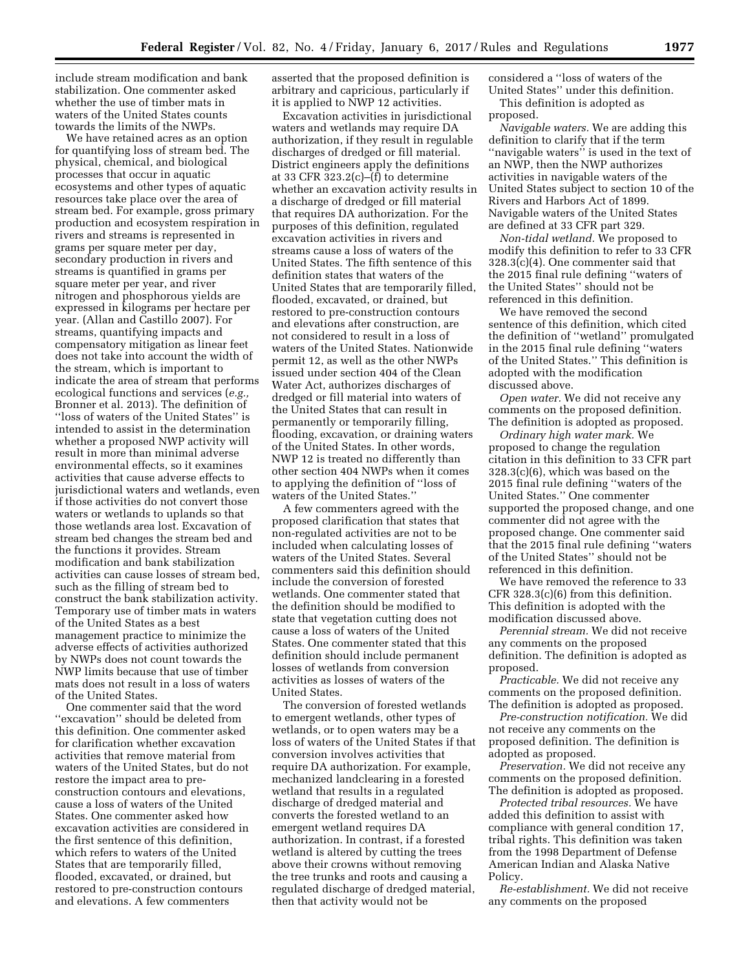include stream modification and bank stabilization. One commenter asked whether the use of timber mats in waters of the United States counts towards the limits of the NWPs.

We have retained acres as an option for quantifying loss of stream bed. The physical, chemical, and biological processes that occur in aquatic ecosystems and other types of aquatic resources take place over the area of stream bed. For example, gross primary production and ecosystem respiration in rivers and streams is represented in grams per square meter per day, secondary production in rivers and streams is quantified in grams per square meter per year, and river nitrogen and phosphorous yields are expressed in kilograms per hectare per year. (Allan and Castillo 2007). For streams, quantifying impacts and compensatory mitigation as linear feet does not take into account the width of the stream, which is important to indicate the area of stream that performs ecological functions and services (*e.g.,*  Bronner et al. 2013). The definition of ''loss of waters of the United States'' is intended to assist in the determination whether a proposed NWP activity will result in more than minimal adverse environmental effects, so it examines activities that cause adverse effects to jurisdictional waters and wetlands, even if those activities do not convert those waters or wetlands to uplands so that those wetlands area lost. Excavation of stream bed changes the stream bed and the functions it provides. Stream modification and bank stabilization activities can cause losses of stream bed, such as the filling of stream bed to construct the bank stabilization activity. Temporary use of timber mats in waters of the United States as a best management practice to minimize the adverse effects of activities authorized by NWPs does not count towards the NWP limits because that use of timber mats does not result in a loss of waters of the United States.

One commenter said that the word ''excavation'' should be deleted from this definition. One commenter asked for clarification whether excavation activities that remove material from waters of the United States, but do not restore the impact area to preconstruction contours and elevations, cause a loss of waters of the United States. One commenter asked how excavation activities are considered in the first sentence of this definition, which refers to waters of the United States that are temporarily filled, flooded, excavated, or drained, but restored to pre-construction contours and elevations. A few commenters

asserted that the proposed definition is arbitrary and capricious, particularly if it is applied to NWP 12 activities.

Excavation activities in jurisdictional waters and wetlands may require DA authorization, if they result in regulable discharges of dredged or fill material. District engineers apply the definitions at 33 CFR  $323.2(c)$ –(f) to determine whether an excavation activity results in a discharge of dredged or fill material that requires DA authorization. For the purposes of this definition, regulated excavation activities in rivers and streams cause a loss of waters of the United States. The fifth sentence of this definition states that waters of the United States that are temporarily filled, flooded, excavated, or drained, but restored to pre-construction contours and elevations after construction, are not considered to result in a loss of waters of the United States. Nationwide permit 12, as well as the other NWPs issued under section 404 of the Clean Water Act, authorizes discharges of dredged or fill material into waters of the United States that can result in permanently or temporarily filling, flooding, excavation, or draining waters of the United States. In other words, NWP 12 is treated no differently than other section 404 NWPs when it comes to applying the definition of ''loss of waters of the United States.''

A few commenters agreed with the proposed clarification that states that non-regulated activities are not to be included when calculating losses of waters of the United States. Several commenters said this definition should include the conversion of forested wetlands. One commenter stated that the definition should be modified to state that vegetation cutting does not cause a loss of waters of the United States. One commenter stated that this definition should include permanent losses of wetlands from conversion activities as losses of waters of the United States.

The conversion of forested wetlands to emergent wetlands, other types of wetlands, or to open waters may be a loss of waters of the United States if that conversion involves activities that require DA authorization. For example, mechanized landclearing in a forested wetland that results in a regulated discharge of dredged material and converts the forested wetland to an emergent wetland requires DA authorization. In contrast, if a forested wetland is altered by cutting the trees above their crowns without removing the tree trunks and roots and causing a regulated discharge of dredged material, then that activity would not be

considered a ''loss of waters of the United States'' under this definition. This definition is adopted as proposed.

*Navigable waters.* We are adding this definition to clarify that if the term ''navigable waters'' is used in the text of an NWP, then the NWP authorizes activities in navigable waters of the United States subject to section 10 of the Rivers and Harbors Act of 1899. Navigable waters of the United States are defined at 33 CFR part 329.

*Non-tidal wetland.* We proposed to modify this definition to refer to 33 CFR 328.3(c)(4). One commenter said that the 2015 final rule defining ''waters of the United States'' should not be referenced in this definition.

We have removed the second sentence of this definition, which cited the definition of ''wetland'' promulgated in the 2015 final rule defining ''waters of the United States.'' This definition is adopted with the modification discussed above.

*Open water.* We did not receive any comments on the proposed definition. The definition is adopted as proposed.

*Ordinary high water mark.* We proposed to change the regulation citation in this definition to 33 CFR part 328.3(c)(6), which was based on the 2015 final rule defining ''waters of the United States.'' One commenter supported the proposed change, and one commenter did not agree with the proposed change. One commenter said that the 2015 final rule defining ''waters of the United States'' should not be referenced in this definition.

We have removed the reference to 33 CFR 328.3(c)(6) from this definition. This definition is adopted with the modification discussed above.

*Perennial stream.* We did not receive any comments on the proposed definition. The definition is adopted as proposed.

*Practicable.* We did not receive any comments on the proposed definition. The definition is adopted as proposed.

*Pre-construction notification.* We did not receive any comments on the proposed definition. The definition is adopted as proposed.

*Preservation.* We did not receive any comments on the proposed definition. The definition is adopted as proposed.

*Protected tribal resources.* We have added this definition to assist with compliance with general condition 17, tribal rights. This definition was taken from the 1998 Department of Defense American Indian and Alaska Native Policy.

*Re-establishment.* We did not receive any comments on the proposed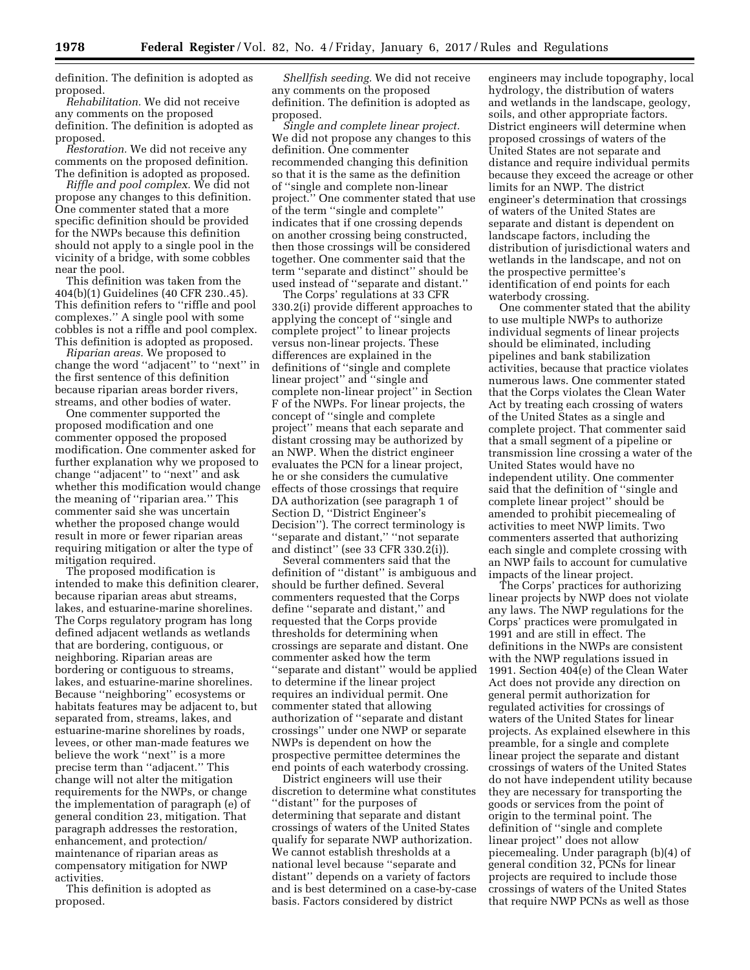definition. The definition is adopted as proposed.

*Rehabilitation.* We did not receive any comments on the proposed definition. The definition is adopted as proposed.

*Restoration.* We did not receive any comments on the proposed definition. The definition is adopted as proposed.

*Riffle and pool complex.* We did not propose any changes to this definition. One commenter stated that a more specific definition should be provided for the NWPs because this definition should not apply to a single pool in the vicinity of a bridge, with some cobbles near the pool.

This definition was taken from the 404(b)(1) Guidelines (40 CFR 230..45). This definition refers to ''riffle and pool complexes.'' A single pool with some cobbles is not a riffle and pool complex. This definition is adopted as proposed.

*Riparian areas.* We proposed to change the word ''adjacent'' to ''next'' in the first sentence of this definition because riparian areas border rivers, streams, and other bodies of water.

One commenter supported the proposed modification and one commenter opposed the proposed modification. One commenter asked for further explanation why we proposed to change ''adjacent'' to ''next'' and ask whether this modification would change the meaning of ''riparian area.'' This commenter said she was uncertain whether the proposed change would result in more or fewer riparian areas requiring mitigation or alter the type of mitigation required.

The proposed modification is intended to make this definition clearer, because riparian areas abut streams, lakes, and estuarine-marine shorelines. The Corps regulatory program has long defined adjacent wetlands as wetlands that are bordering, contiguous, or neighboring. Riparian areas are bordering or contiguous to streams, lakes, and estuarine-marine shorelines. Because ''neighboring'' ecosystems or habitats features may be adjacent to, but separated from, streams, lakes, and estuarine-marine shorelines by roads, levees, or other man-made features we believe the work ''next'' is a more precise term than ''adjacent.'' This change will not alter the mitigation requirements for the NWPs, or change the implementation of paragraph (e) of general condition 23, mitigation. That paragraph addresses the restoration, enhancement, and protection/ maintenance of riparian areas as compensatory mitigation for NWP activities.

This definition is adopted as proposed.

*Shellfish seeding.* We did not receive any comments on the proposed definition. The definition is adopted as proposed.

*Single and complete linear project.*  We did not propose any changes to this definition. One commenter recommended changing this definition so that it is the same as the definition of ''single and complete non-linear project.'' One commenter stated that use of the term ''single and complete'' indicates that if one crossing depends on another crossing being constructed, then those crossings will be considered together. One commenter said that the term ''separate and distinct'' should be used instead of ''separate and distant.''

The Corps' regulations at 33 CFR 330.2(i) provide different approaches to applying the concept of ''single and complete project'' to linear projects versus non-linear projects. These differences are explained in the definitions of ''single and complete linear project'' and ''single and complete non-linear project'' in Section F of the NWPs. For linear projects, the concept of ''single and complete project'' means that each separate and distant crossing may be authorized by an NWP. When the district engineer evaluates the PCN for a linear project, he or she considers the cumulative effects of those crossings that require DA authorization (see paragraph 1 of Section D, ''District Engineer's Decision''). The correct terminology is ''separate and distant,'' ''not separate and distinct'' (see 33 CFR 330.2(i)).

Several commenters said that the definition of ''distant'' is ambiguous and should be further defined. Several commenters requested that the Corps define ''separate and distant,'' and requested that the Corps provide thresholds for determining when crossings are separate and distant. One commenter asked how the term ''separate and distant'' would be applied to determine if the linear project requires an individual permit. One commenter stated that allowing authorization of ''separate and distant crossings'' under one NWP or separate NWPs is dependent on how the prospective permittee determines the end points of each waterbody crossing.

District engineers will use their discretion to determine what constitutes ''distant'' for the purposes of determining that separate and distant crossings of waters of the United States qualify for separate NWP authorization. We cannot establish thresholds at a national level because ''separate and distant'' depends on a variety of factors and is best determined on a case-by-case basis. Factors considered by district

engineers may include topography, local hydrology, the distribution of waters and wetlands in the landscape, geology, soils, and other appropriate factors. District engineers will determine when proposed crossings of waters of the United States are not separate and distance and require individual permits because they exceed the acreage or other limits for an NWP. The district engineer's determination that crossings of waters of the United States are separate and distant is dependent on landscape factors, including the distribution of jurisdictional waters and wetlands in the landscape, and not on the prospective permittee's identification of end points for each waterbody crossing.

One commenter stated that the ability to use multiple NWPs to authorize individual segments of linear projects should be eliminated, including pipelines and bank stabilization activities, because that practice violates numerous laws. One commenter stated that the Corps violates the Clean Water Act by treating each crossing of waters of the United States as a single and complete project. That commenter said that a small segment of a pipeline or transmission line crossing a water of the United States would have no independent utility. One commenter said that the definition of ''single and complete linear project'' should be amended to prohibit piecemealing of activities to meet NWP limits. Two commenters asserted that authorizing each single and complete crossing with an NWP fails to account for cumulative impacts of the linear project.

The Corps' practices for authorizing linear projects by NWP does not violate any laws. The NWP regulations for the Corps' practices were promulgated in 1991 and are still in effect. The definitions in the NWPs are consistent with the NWP regulations issued in 1991. Section 404(e) of the Clean Water Act does not provide any direction on general permit authorization for regulated activities for crossings of waters of the United States for linear projects. As explained elsewhere in this preamble, for a single and complete linear project the separate and distant crossings of waters of the United States do not have independent utility because they are necessary for transporting the goods or services from the point of origin to the terminal point. The definition of ''single and complete linear project'' does not allow piecemealing. Under paragraph (b)(4) of general condition 32, PCNs for linear projects are required to include those crossings of waters of the United States that require NWP PCNs as well as those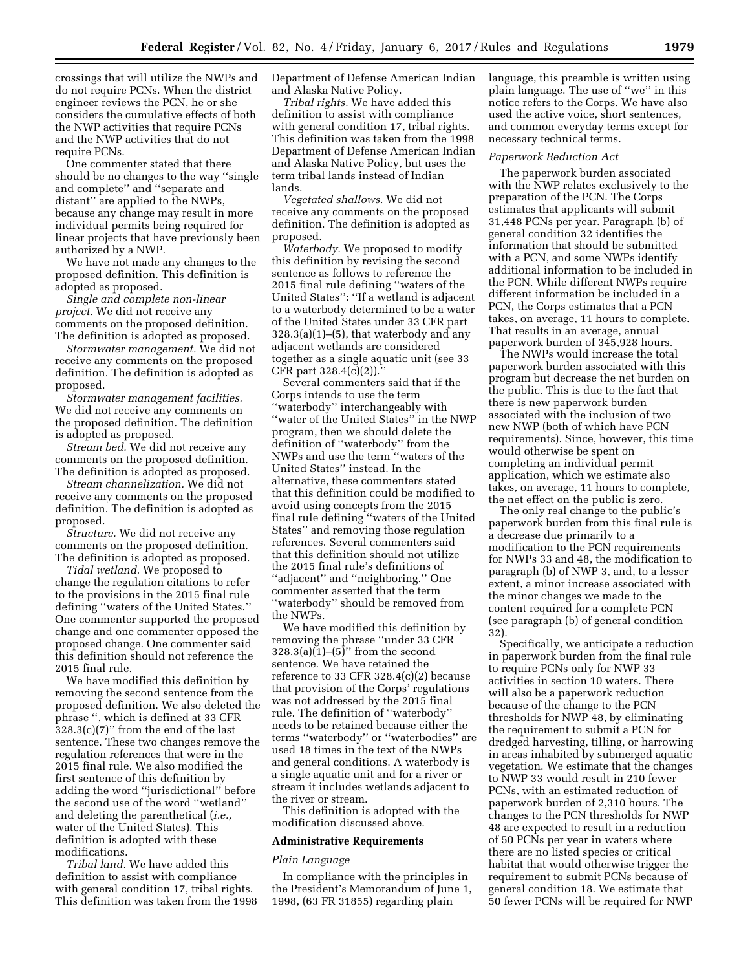crossings that will utilize the NWPs and do not require PCNs. When the district engineer reviews the PCN, he or she considers the cumulative effects of both the NWP activities that require PCNs and the NWP activities that do not require PCNs.

One commenter stated that there should be no changes to the way ''single and complete'' and ''separate and distant'' are applied to the NWPs, because any change may result in more individual permits being required for linear projects that have previously been authorized by a NWP.

We have not made any changes to the proposed definition. This definition is adopted as proposed.

*Single and complete non-linear project.* We did not receive any comments on the proposed definition. The definition is adopted as proposed.

*Stormwater management.* We did not receive any comments on the proposed definition. The definition is adopted as proposed.

*Stormwater management facilities.*  We did not receive any comments on the proposed definition. The definition is adopted as proposed.

*Stream bed.* We did not receive any comments on the proposed definition. The definition is adopted as proposed.

*Stream channelization.* We did not receive any comments on the proposed definition. The definition is adopted as proposed.

*Structure.* We did not receive any comments on the proposed definition. The definition is adopted as proposed.

*Tidal wetland.* We proposed to change the regulation citations to refer to the provisions in the 2015 final rule defining ''waters of the United States.'' One commenter supported the proposed change and one commenter opposed the proposed change. One commenter said this definition should not reference the 2015 final rule.

We have modified this definition by removing the second sentence from the proposed definition. We also deleted the phrase '', which is defined at 33 CFR 328.3(c)(7)'' from the end of the last sentence. These two changes remove the regulation references that were in the 2015 final rule. We also modified the first sentence of this definition by adding the word ''jurisdictional'' before the second use of the word ''wetland'' and deleting the parenthetical (*i.e.,*  water of the United States). This definition is adopted with these modifications.

*Tribal land.* We have added this definition to assist with compliance with general condition 17, tribal rights. This definition was taken from the 1998 Department of Defense American Indian and Alaska Native Policy.

*Tribal rights.* We have added this definition to assist with compliance with general condition 17, tribal rights. This definition was taken from the 1998 Department of Defense American Indian and Alaska Native Policy, but uses the term tribal lands instead of Indian lands.

*Vegetated shallows.* We did not receive any comments on the proposed definition. The definition is adopted as proposed.

*Waterbody.* We proposed to modify this definition by revising the second sentence as follows to reference the 2015 final rule defining ''waters of the United States'': ''If a wetland is adjacent to a waterbody determined to be a water of the United States under 33 CFR part  $328.3(a)(1)–(5)$ , that waterbody and any adjacent wetlands are considered together as a single aquatic unit (see 33 CFR part 328.4(c)(2)).''

Several commenters said that if the Corps intends to use the term ''waterbody'' interchangeably with ''water of the United States'' in the NWP program, then we should delete the definition of ''waterbody'' from the NWPs and use the term ''waters of the United States'' instead. In the alternative, these commenters stated that this definition could be modified to avoid using concepts from the 2015 final rule defining ''waters of the United States'' and removing those regulation references. Several commenters said that this definition should not utilize the 2015 final rule's definitions of ''adjacent'' and ''neighboring.'' One commenter asserted that the term ''waterbody'' should be removed from the NWPs.

We have modified this definition by removing the phrase ''under 33 CFR  $328.3(a)(1)$ – $(5)$ <sup>\*</sup> from the second sentence. We have retained the reference to 33 CFR 328.4(c)(2) because that provision of the Corps' regulations was not addressed by the 2015 final rule. The definition of ''waterbody'' needs to be retained because either the terms ''waterbody'' or ''waterbodies'' are used 18 times in the text of the NWPs and general conditions. A waterbody is a single aquatic unit and for a river or stream it includes wetlands adjacent to the river or stream.

This definition is adopted with the modification discussed above.

### **Administrative Requirements**

### *Plain Language*

In compliance with the principles in the President's Memorandum of June 1, 1998, (63 FR 31855) regarding plain

language, this preamble is written using plain language. The use of ''we'' in this notice refers to the Corps. We have also used the active voice, short sentences, and common everyday terms except for necessary technical terms.

#### *Paperwork Reduction Act*

The paperwork burden associated with the NWP relates exclusively to the preparation of the PCN. The Corps estimates that applicants will submit 31,448 PCNs per year. Paragraph (b) of general condition 32 identifies the information that should be submitted with a PCN, and some NWPs identify additional information to be included in the PCN. While different NWPs require different information be included in a PCN, the Corps estimates that a PCN takes, on average, 11 hours to complete. That results in an average, annual paperwork burden of 345,928 hours.

The NWPs would increase the total paperwork burden associated with this program but decrease the net burden on the public. This is due to the fact that there is new paperwork burden associated with the inclusion of two new NWP (both of which have PCN requirements). Since, however, this time would otherwise be spent on completing an individual permit application, which we estimate also takes, on average, 11 hours to complete, the net effect on the public is zero.

The only real change to the public's paperwork burden from this final rule is a decrease due primarily to a modification to the PCN requirements for NWPs 33 and 48, the modification to paragraph (b) of NWP 3, and, to a lesser extent, a minor increase associated with the minor changes we made to the content required for a complete PCN (see paragraph (b) of general condition 32).

Specifically, we anticipate a reduction in paperwork burden from the final rule to require PCNs only for NWP 33 activities in section 10 waters. There will also be a paperwork reduction because of the change to the PCN thresholds for NWP 48, by eliminating the requirement to submit a PCN for dredged harvesting, tilling, or harrowing in areas inhabited by submerged aquatic vegetation. We estimate that the changes to NWP 33 would result in 210 fewer PCNs, with an estimated reduction of paperwork burden of 2,310 hours. The changes to the PCN thresholds for NWP 48 are expected to result in a reduction of 50 PCNs per year in waters where there are no listed species or critical habitat that would otherwise trigger the requirement to submit PCNs because of general condition 18. We estimate that 50 fewer PCNs will be required for NWP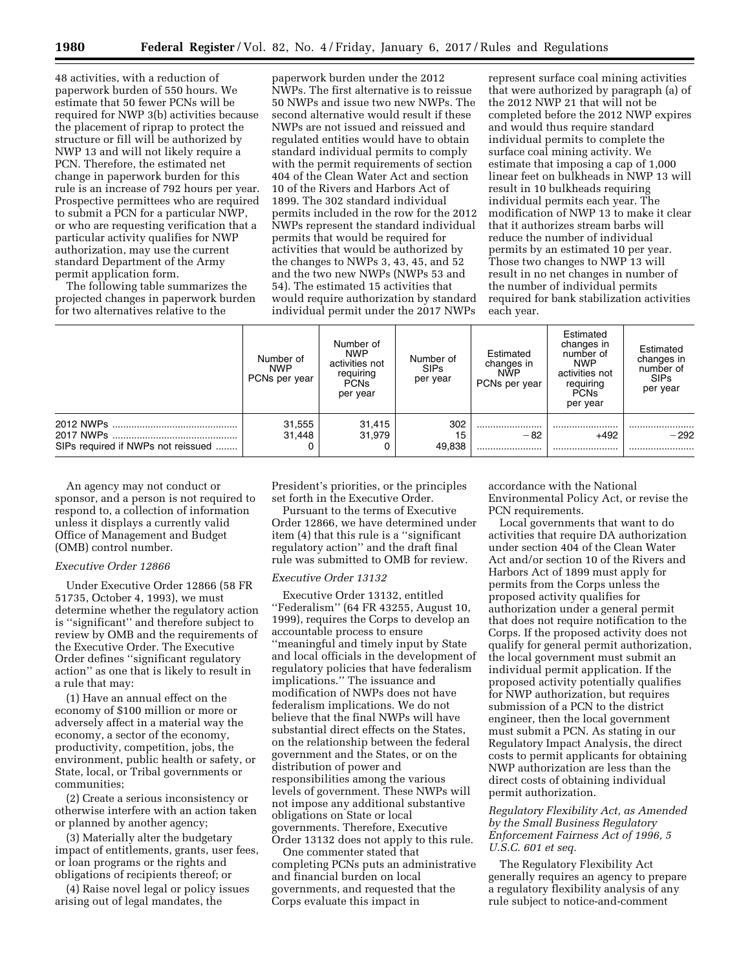48 activities, with a reduction of paperwork burden of 550 hours. We estimate that 50 fewer PCNs will be required for NWP 3(b) activities because the placement of riprap to protect the structure or fill will be authorized by NWP 13 and will not likely require a PCN. Therefore, the estimated net change in paperwork burden for this rule is an increase of 792 hours per year. Prospective permittees who are required to submit a PCN for a particular NWP, or who are requesting verification that a particular activity qualifies for NWP authorization, may use the current standard Department of the Army permit application form.

The following table summarizes the projected changes in paperwork burden for two alternatives relative to the

paperwork burden under the 2012 NWPs. The first alternative is to reissue 50 NWPs and issue two new NWPs. The second alternative would result if these NWPs are not issued and reissued and regulated entities would have to obtain standard individual permits to comply with the permit requirements of section 404 of the Clean Water Act and section 10 of the Rivers and Harbors Act of 1899. The 302 standard individual permits included in the row for the 2012 NWPs represent the standard individual permits that would be required for activities that would be authorized by the changes to NWPs 3, 43, 45, and 52 and the two new NWPs (NWPs 53 and 54). The estimated 15 activities that would require authorization by standard individual permit under the 2017 NWPs

represent surface coal mining activities that were authorized by paragraph (a) of the 2012 NWP 21 that will not be completed before the 2012 NWP expires and would thus require standard individual permits to complete the surface coal mining activity. We estimate that imposing a cap of 1,000 linear feet on bulkheads in NWP 13 will result in 10 bulkheads requiring individual permits each year. The modification of NWP 13 to make it clear that it authorizes stream barbs will reduce the number of individual permits by an estimated 10 per year. Those two changes to NWP 13 will result in no net changes in number of the number of individual permits required for bank stabilization activities each year.

| Number of<br><b>NWP</b><br>PCNs per year | Number of<br><b>NWP</b><br>activities not<br>requiring<br>PCN <sub>s</sub><br>per year | Number of<br><b>SIPs</b><br>per year | Estimated<br>changes in<br><b>NWP</b><br>PCNs per year | Estimated<br>changes in<br>number of<br><b>NWP</b><br>activities not<br>requiring<br><b>PCNs</b><br>per year | Estimated<br>changes in<br>number of<br><b>SIPs</b><br>per year |
|------------------------------------------|----------------------------------------------------------------------------------------|--------------------------------------|--------------------------------------------------------|--------------------------------------------------------------------------------------------------------------|-----------------------------------------------------------------|
| 31,555<br>31.448                         | 31,415<br>31.979                                                                       | 302<br>15                            | <br>-82                                                | <br>$+492$                                                                                                   | <br>$-292$                                                      |
|                                          |                                                                                        |                                      | 49,838                                                 |                                                                                                              |                                                                 |

An agency may not conduct or sponsor, and a person is not required to respond to, a collection of information unless it displays a currently valid Office of Management and Budget (OMB) control number.

# *Executive Order 12866*

Under Executive Order 12866 (58 FR 51735, October 4, 1993), we must determine whether the regulatory action is ''significant'' and therefore subject to review by OMB and the requirements of the Executive Order. The Executive Order defines ''significant regulatory action'' as one that is likely to result in a rule that may:

(1) Have an annual effect on the economy of \$100 million or more or adversely affect in a material way the economy, a sector of the economy, productivity, competition, jobs, the environment, public health or safety, or State, local, or Tribal governments or communities;

(2) Create a serious inconsistency or otherwise interfere with an action taken or planned by another agency;

(3) Materially alter the budgetary impact of entitlements, grants, user fees, or loan programs or the rights and obligations of recipients thereof; or

(4) Raise novel legal or policy issues arising out of legal mandates, the

President's priorities, or the principles set forth in the Executive Order.

Pursuant to the terms of Executive Order 12866, we have determined under item (4) that this rule is a ''significant regulatory action'' and the draft final rule was submitted to OMB for review.

#### *Executive Order 13132*

Executive Order 13132, entitled ''Federalism'' (64 FR 43255, August 10, 1999), requires the Corps to develop an accountable process to ensure ''meaningful and timely input by State and local officials in the development of regulatory policies that have federalism implications.'' The issuance and modification of NWPs does not have federalism implications. We do not believe that the final NWPs will have substantial direct effects on the States, on the relationship between the federal government and the States, or on the distribution of power and responsibilities among the various levels of government. These NWPs will not impose any additional substantive obligations on State or local governments. Therefore, Executive Order 13132 does not apply to this rule.

One commenter stated that completing PCNs puts an administrative and financial burden on local governments, and requested that the Corps evaluate this impact in

accordance with the National Environmental Policy Act, or revise the PCN requirements.

Local governments that want to do activities that require DA authorization under section 404 of the Clean Water Act and/or section 10 of the Rivers and Harbors Act of 1899 must apply for permits from the Corps unless the proposed activity qualifies for authorization under a general permit that does not require notification to the Corps. If the proposed activity does not qualify for general permit authorization, the local government must submit an individual permit application. If the proposed activity potentially qualifies for NWP authorization, but requires submission of a PCN to the district engineer, then the local government must submit a PCN. As stating in our Regulatory Impact Analysis, the direct costs to permit applicants for obtaining NWP authorization are less than the direct costs of obtaining individual permit authorization.

*Regulatory Flexibility Act, as Amended by the Small Business Regulatory Enforcement Fairness Act of 1996, 5 U.S.C. 601 et seq.* 

The Regulatory Flexibility Act generally requires an agency to prepare a regulatory flexibility analysis of any rule subject to notice-and-comment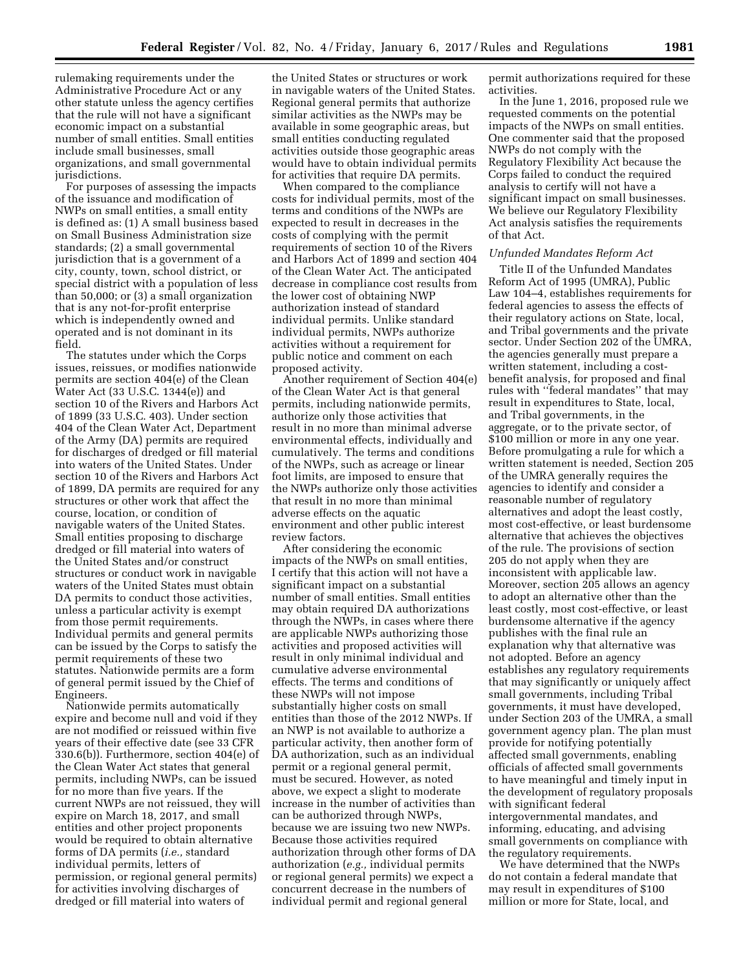rulemaking requirements under the Administrative Procedure Act or any other statute unless the agency certifies that the rule will not have a significant economic impact on a substantial number of small entities. Small entities include small businesses, small organizations, and small governmental jurisdictions.

For purposes of assessing the impacts of the issuance and modification of NWPs on small entities, a small entity is defined as: (1) A small business based on Small Business Administration size standards; (2) a small governmental jurisdiction that is a government of a city, county, town, school district, or special district with a population of less than 50,000; or (3) a small organization that is any not-for-profit enterprise which is independently owned and operated and is not dominant in its field.

The statutes under which the Corps issues, reissues, or modifies nationwide permits are section 404(e) of the Clean Water Act (33 U.S.C. 1344(e)) and section 10 of the Rivers and Harbors Act of 1899 (33 U.S.C. 403). Under section 404 of the Clean Water Act, Department of the Army (DA) permits are required for discharges of dredged or fill material into waters of the United States. Under section 10 of the Rivers and Harbors Act of 1899, DA permits are required for any structures or other work that affect the course, location, or condition of navigable waters of the United States. Small entities proposing to discharge dredged or fill material into waters of the United States and/or construct structures or conduct work in navigable waters of the United States must obtain DA permits to conduct those activities, unless a particular activity is exempt from those permit requirements. Individual permits and general permits can be issued by the Corps to satisfy the permit requirements of these two statutes. Nationwide permits are a form of general permit issued by the Chief of Engineers.

Nationwide permits automatically expire and become null and void if they are not modified or reissued within five years of their effective date (see 33 CFR 330.6(b)). Furthermore, section 404(e) of the Clean Water Act states that general permits, including NWPs, can be issued for no more than five years. If the current NWPs are not reissued, they will expire on March 18, 2017, and small entities and other project proponents would be required to obtain alternative forms of DA permits (*i.e.,* standard individual permits, letters of permission, or regional general permits) for activities involving discharges of dredged or fill material into waters of

the United States or structures or work in navigable waters of the United States. Regional general permits that authorize similar activities as the NWPs may be available in some geographic areas, but small entities conducting regulated activities outside those geographic areas would have to obtain individual permits for activities that require DA permits.

When compared to the compliance costs for individual permits, most of the terms and conditions of the NWPs are expected to result in decreases in the costs of complying with the permit requirements of section 10 of the Rivers and Harbors Act of 1899 and section 404 of the Clean Water Act. The anticipated decrease in compliance cost results from the lower cost of obtaining NWP authorization instead of standard individual permits. Unlike standard individual permits, NWPs authorize activities without a requirement for public notice and comment on each proposed activity.

Another requirement of Section 404(e) of the Clean Water Act is that general permits, including nationwide permits, authorize only those activities that result in no more than minimal adverse environmental effects, individually and cumulatively. The terms and conditions of the NWPs, such as acreage or linear foot limits, are imposed to ensure that the NWPs authorize only those activities that result in no more than minimal adverse effects on the aquatic environment and other public interest review factors.

After considering the economic impacts of the NWPs on small entities, I certify that this action will not have a significant impact on a substantial number of small entities. Small entities may obtain required DA authorizations through the NWPs, in cases where there are applicable NWPs authorizing those activities and proposed activities will result in only minimal individual and cumulative adverse environmental effects. The terms and conditions of these NWPs will not impose substantially higher costs on small entities than those of the 2012 NWPs. If an NWP is not available to authorize a particular activity, then another form of DA authorization, such as an individual permit or a regional general permit, must be secured. However, as noted above, we expect a slight to moderate increase in the number of activities than can be authorized through NWPs, because we are issuing two new NWPs. Because those activities required authorization through other forms of DA authorization (*e.g.,* individual permits or regional general permits) we expect a concurrent decrease in the numbers of individual permit and regional general

permit authorizations required for these activities.

In the June 1, 2016, proposed rule we requested comments on the potential impacts of the NWPs on small entities. One commenter said that the proposed NWPs do not comply with the Regulatory Flexibility Act because the Corps failed to conduct the required analysis to certify will not have a significant impact on small businesses. We believe our Regulatory Flexibility Act analysis satisfies the requirements of that Act.

## *Unfunded Mandates Reform Act*

Title II of the Unfunded Mandates Reform Act of 1995 (UMRA), Public Law 104–4, establishes requirements for federal agencies to assess the effects of their regulatory actions on State, local, and Tribal governments and the private sector. Under Section 202 of the UMRA, the agencies generally must prepare a written statement, including a costbenefit analysis, for proposed and final rules with ''federal mandates'' that may result in expenditures to State, local, and Tribal governments, in the aggregate, or to the private sector, of \$100 million or more in any one year. Before promulgating a rule for which a written statement is needed, Section 205 of the UMRA generally requires the agencies to identify and consider a reasonable number of regulatory alternatives and adopt the least costly, most cost-effective, or least burdensome alternative that achieves the objectives of the rule. The provisions of section 205 do not apply when they are inconsistent with applicable law. Moreover, section 205 allows an agency to adopt an alternative other than the least costly, most cost-effective, or least burdensome alternative if the agency publishes with the final rule an explanation why that alternative was not adopted. Before an agency establishes any regulatory requirements that may significantly or uniquely affect small governments, including Tribal governments, it must have developed, under Section 203 of the UMRA, a small government agency plan. The plan must provide for notifying potentially affected small governments, enabling officials of affected small governments to have meaningful and timely input in the development of regulatory proposals with significant federal intergovernmental mandates, and informing, educating, and advising small governments on compliance with the regulatory requirements.

We have determined that the NWPs do not contain a federal mandate that may result in expenditures of \$100 million or more for State, local, and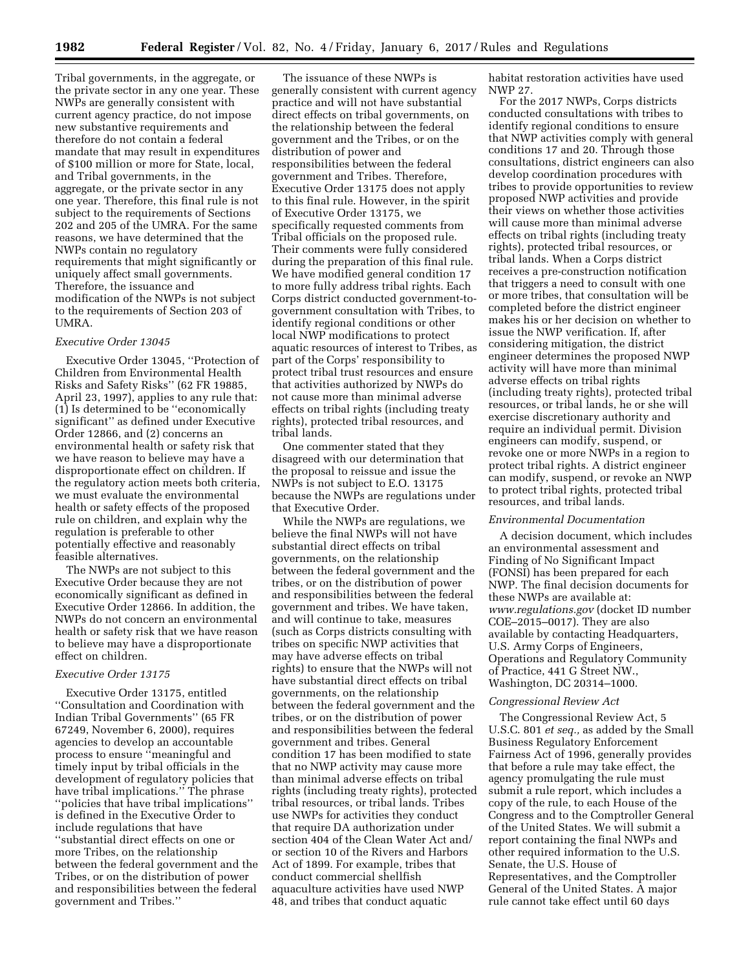Tribal governments, in the aggregate, or the private sector in any one year. These NWPs are generally consistent with current agency practice, do not impose new substantive requirements and therefore do not contain a federal mandate that may result in expenditures of \$100 million or more for State, local, and Tribal governments, in the aggregate, or the private sector in any one year. Therefore, this final rule is not subject to the requirements of Sections 202 and 205 of the UMRA. For the same reasons, we have determined that the NWPs contain no regulatory requirements that might significantly or uniquely affect small governments. Therefore, the issuance and modification of the NWPs is not subject to the requirements of Section 203 of UMRA.

# *Executive Order 13045*

Executive Order 13045, ''Protection of Children from Environmental Health Risks and Safety Risks'' (62 FR 19885, April 23, 1997), applies to any rule that: (1) Is determined to be ''economically significant'' as defined under Executive Order 12866, and (2) concerns an environmental health or safety risk that we have reason to believe may have a disproportionate effect on children. If the regulatory action meets both criteria, we must evaluate the environmental health or safety effects of the proposed rule on children, and explain why the regulation is preferable to other potentially effective and reasonably feasible alternatives.

The NWPs are not subject to this Executive Order because they are not economically significant as defined in Executive Order 12866. In addition, the NWPs do not concern an environmental health or safety risk that we have reason to believe may have a disproportionate effect on children.

### *Executive Order 13175*

Executive Order 13175, entitled ''Consultation and Coordination with Indian Tribal Governments'' (65 FR 67249, November 6, 2000), requires agencies to develop an accountable process to ensure ''meaningful and timely input by tribal officials in the development of regulatory policies that have tribal implications.'' The phrase ''policies that have tribal implications'' is defined in the Executive Order to include regulations that have ''substantial direct effects on one or more Tribes, on the relationship between the federal government and the Tribes, or on the distribution of power and responsibilities between the federal government and Tribes.''

The issuance of these NWPs is generally consistent with current agency practice and will not have substantial direct effects on tribal governments, on the relationship between the federal government and the Tribes, or on the distribution of power and responsibilities between the federal government and Tribes. Therefore, Executive Order 13175 does not apply to this final rule. However, in the spirit of Executive Order 13175, we specifically requested comments from Tribal officials on the proposed rule. Their comments were fully considered during the preparation of this final rule. We have modified general condition 17 to more fully address tribal rights. Each Corps district conducted government-togovernment consultation with Tribes, to identify regional conditions or other local NWP modifications to protect aquatic resources of interest to Tribes, as part of the Corps' responsibility to protect tribal trust resources and ensure that activities authorized by NWPs do not cause more than minimal adverse effects on tribal rights (including treaty rights), protected tribal resources, and tribal lands.

One commenter stated that they disagreed with our determination that the proposal to reissue and issue the NWPs is not subject to E.O. 13175 because the NWPs are regulations under that Executive Order.

While the NWPs are regulations, we believe the final NWPs will not have substantial direct effects on tribal governments, on the relationship between the federal government and the tribes, or on the distribution of power and responsibilities between the federal government and tribes. We have taken, and will continue to take, measures (such as Corps districts consulting with tribes on specific NWP activities that may have adverse effects on tribal rights) to ensure that the NWPs will not have substantial direct effects on tribal governments, on the relationship between the federal government and the tribes, or on the distribution of power and responsibilities between the federal government and tribes. General condition 17 has been modified to state that no NWP activity may cause more than minimal adverse effects on tribal rights (including treaty rights), protected tribal resources, or tribal lands. Tribes use NWPs for activities they conduct that require DA authorization under section 404 of the Clean Water Act and/ or section 10 of the Rivers and Harbors Act of 1899. For example, tribes that conduct commercial shellfish aquaculture activities have used NWP 48, and tribes that conduct aquatic

habitat restoration activities have used NWP 27.

For the 2017 NWPs, Corps districts conducted consultations with tribes to identify regional conditions to ensure that NWP activities comply with general conditions 17 and 20. Through those consultations, district engineers can also develop coordination procedures with tribes to provide opportunities to review proposed NWP activities and provide their views on whether those activities will cause more than minimal adverse effects on tribal rights (including treaty rights), protected tribal resources, or tribal lands. When a Corps district receives a pre-construction notification that triggers a need to consult with one or more tribes, that consultation will be completed before the district engineer makes his or her decision on whether to issue the NWP verification. If, after considering mitigation, the district engineer determines the proposed NWP activity will have more than minimal adverse effects on tribal rights (including treaty rights), protected tribal resources, or tribal lands, he or she will exercise discretionary authority and require an individual permit. Division engineers can modify, suspend, or revoke one or more NWPs in a region to protect tribal rights. A district engineer can modify, suspend, or revoke an NWP to protect tribal rights, protected tribal resources, and tribal lands.

#### *Environmental Documentation*

A decision document, which includes an environmental assessment and Finding of No Significant Impact (FONSI) has been prepared for each NWP. The final decision documents for these NWPs are available at: *[www.regulations.gov](http://www.regulations.gov)* (docket ID number COE–2015–0017). They are also available by contacting Headquarters, U.S. Army Corps of Engineers, Operations and Regulatory Community of Practice, 441 G Street NW., Washington, DC 20314–1000.

### *Congressional Review Act*

The Congressional Review Act, 5 U.S.C. 801 *et seq.,* as added by the Small Business Regulatory Enforcement Fairness Act of 1996, generally provides that before a rule may take effect, the agency promulgating the rule must submit a rule report, which includes a copy of the rule, to each House of the Congress and to the Comptroller General of the United States. We will submit a report containing the final NWPs and other required information to the U.S. Senate, the U.S. House of Representatives, and the Comptroller General of the United States. A major rule cannot take effect until 60 days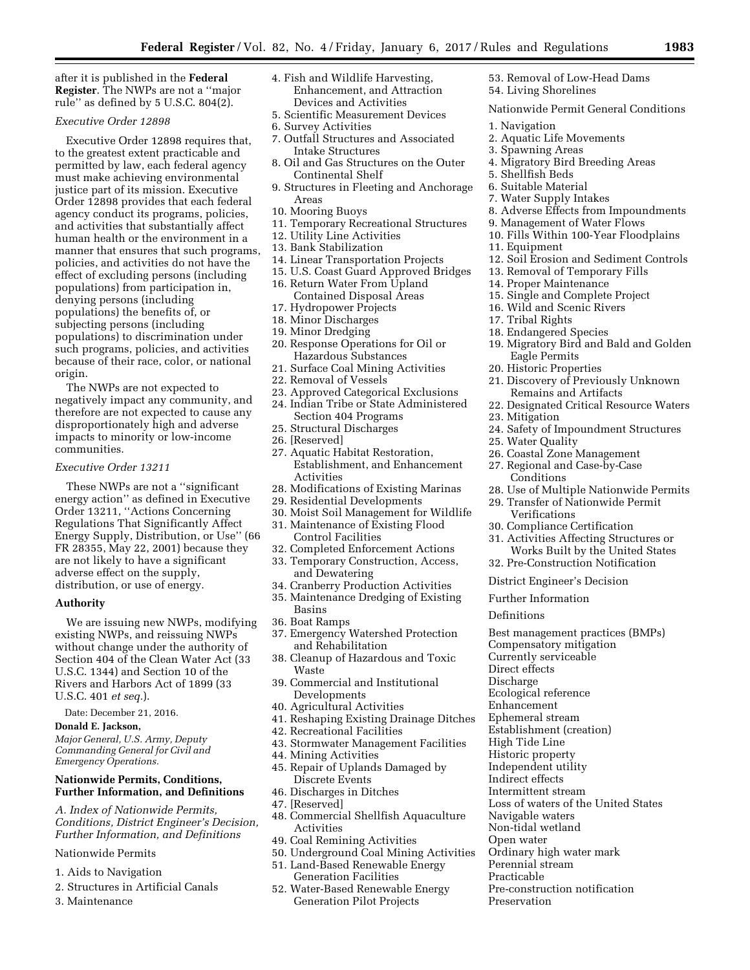after it is published in the **Federal Register**. The NWPs are not a ''major rule'' as defined by 5 U.S.C. 804(2).

# *Executive Order 12898*

Executive Order 12898 requires that, to the greatest extent practicable and permitted by law, each federal agency must make achieving environmental justice part of its mission. Executive Order 12898 provides that each federal agency conduct its programs, policies, and activities that substantially affect human health or the environment in a manner that ensures that such programs, policies, and activities do not have the effect of excluding persons (including populations) from participation in, denying persons (including populations) the benefits of, or subjecting persons (including populations) to discrimination under such programs, policies, and activities because of their race, color, or national origin.

The NWPs are not expected to negatively impact any community, and therefore are not expected to cause any disproportionately high and adverse impacts to minority or low-income communities.

#### *Executive Order 13211*

These NWPs are not a ''significant energy action'' as defined in Executive Order 13211, ''Actions Concerning Regulations That Significantly Affect Energy Supply, Distribution, or Use'' (66 FR 28355, May 22, 2001) because they are not likely to have a significant adverse effect on the supply, distribution, or use of energy.

### **Authority**

We are issuing new NWPs, modifying existing NWPs, and reissuing NWPs without change under the authority of Section 404 of the Clean Water Act (33 U.S.C. 1344) and Section 10 of the Rivers and Harbors Act of 1899 (33 U.S.C. 401 *et seq.*).

Date: December 21, 2016.

# **Donald E. Jackson,**

*Major General, U.S. Army, Deputy Commanding General for Civil and Emergency Operations.* 

# **Nationwide Permits, Conditions, Further Information, and Definitions**

*A. Index of Nationwide Permits, Conditions, District Engineer's Decision, Further Information, and Definitions* 

# Nationwide Permits

- 1. Aids to Navigation
- 2. Structures in Artificial Canals
- 3. Maintenance
- 4. Fish and Wildlife Harvesting, Enhancement, and Attraction Devices and Activities
- 5. Scientific Measurement Devices
- 6. Survey Activities
- 7. Outfall Structures and Associated Intake Structures
- 8. Oil and Gas Structures on the Outer Continental Shelf
- 9. Structures in Fleeting and Anchorage Areas
- 10. Mooring Buoys
- 11. Temporary Recreational Structures
- 12. Utility Line Activities
- 13. Bank Stabilization
- 14. Linear Transportation Projects
- 15. U.S. Coast Guard Approved Bridges
- 16. Return Water From Upland Contained Disposal Areas
- 17. Hydropower Projects
- 18. Minor Discharges
- 19. Minor Dredging
- 20. Response Operations for Oil or Hazardous Substances
- 21. Surface Coal Mining Activities
- 22. Removal of Vessels
- 23. Approved Categorical Exclusions
- 24. Indian Tribe or State Administered Section 404 Programs
- 25. Structural Discharges
- 26. [Reserved]
- 27. Aquatic Habitat Restoration, Establishment, and Enhancement Activities
- 28. Modifications of Existing Marinas
- 29. Residential Developments
- 30. Moist Soil Management for Wildlife 31. Maintenance of Existing Flood
- Control Facilities
- 32. Completed Enforcement Actions
- 33. Temporary Construction, Access, and Dewatering
- 34. Cranberry Production Activities
- 35. Maintenance Dredging of Existing Basins
- 36. Boat Ramps
- 37. Emergency Watershed Protection and Rehabilitation
- 38. Cleanup of Hazardous and Toxic Waste
- 39. Commercial and Institutional Developments
- 40. Agricultural Activities
- 41. Reshaping Existing Drainage Ditches
- 42. Recreational Facilities
- 43. Stormwater Management Facilities
- 44. Mining Activities
- 45. Repair of Uplands Damaged by Discrete Events
- 46. Discharges in Ditches
- 47. [Reserved]
- 48. Commercial Shellfish Aquaculture Activities
- 49. Coal Remining Activities
- 50. Underground Coal Mining Activities
- 51. Land-Based Renewable Energy Generation Facilities
- 52. Water-Based Renewable Energy Generation Pilot Projects

53. Removal of Low-Head Dams 54. Living Shorelines

- Nationwide Permit General Conditions
- 1. Navigation
- 2. Aquatic Life Movements
- 3. Spawning Areas
- 4. Migratory Bird Breeding Areas
- 5. Shellfish Beds
- 6. Suitable Material
- 7. Water Supply Intakes
- 8. Adverse Effects from Impoundments
- 9. Management of Water Flows
- 10. Fills Within 100-Year Floodplains
- 11. Equipment
- 12. Soil Erosion and Sediment Controls
- 13. Removal of Temporary Fills
- 14. Proper Maintenance
- 15. Single and Complete Project
- 16. Wild and Scenic Rivers
- 17. Tribal Rights
- 18. Endangered Species
- 19. Migratory Bird and Bald and Golden Eagle Permits
- 20. Historic Properties
- 21. Discovery of Previously Unknown Remains and Artifacts
- 22. Designated Critical Resource Waters
- 23. Mitigation
- 24. Safety of Impoundment Structures
- 25. Water Quality
- 26. Coastal Zone Management
- 27. Regional and Case-by-Case Conditions
- 28. Use of Multiple Nationwide Permits
- 29. Transfer of Nationwide Permit Verifications

32. Pre-Construction Notification District Engineer's Decision

Best management practices (BMPs)

Loss of waters of the United States

Ordinary high water mark

Pre-construction notification

30. Compliance Certification

Further Information

Ecological reference Enhancement Ephemeral stream Establishment (creation)

High Tide Line Historic property Independent utility Indirect effects Intermittent stream

Navigable waters Non-tidal wetland Open water

Perennial stream Practicable

Preservation

Compensatory mitigation Currently serviceable Direct effects Discharge

Definitions

31. Activities Affecting Structures or Works Built by the United States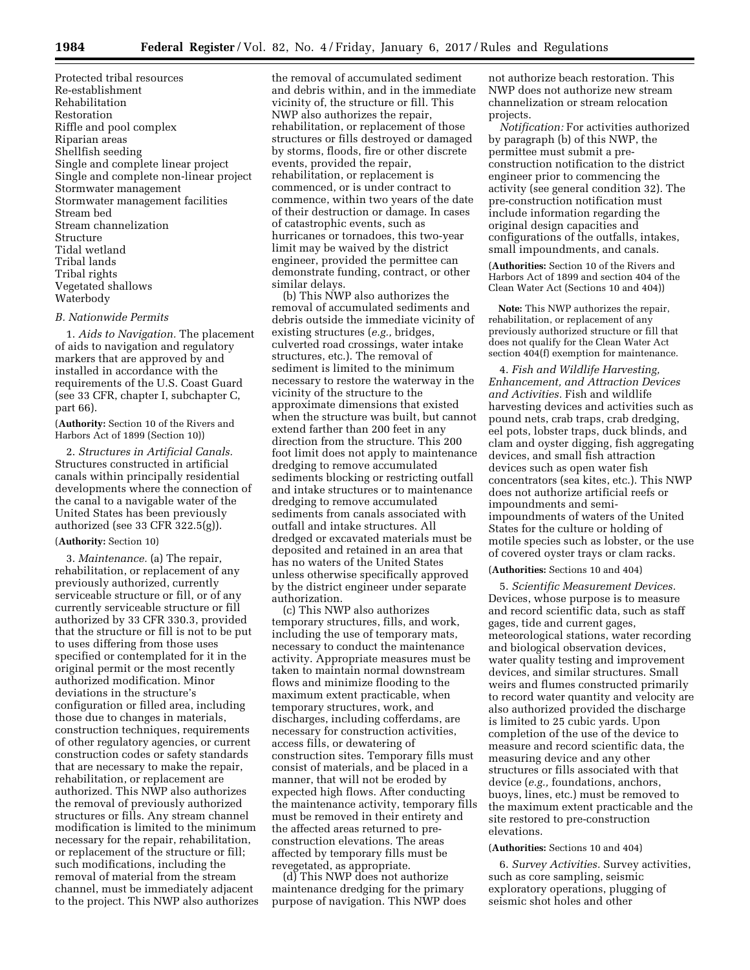Protected tribal resources Re-establishment Rehabilitation Restoration Riffle and pool complex Riparian areas Shellfish seeding Single and complete linear project Single and complete non-linear project Stormwater management Stormwater management facilities Stream bed Stream channelization Structure Tidal wetland Tribal lands Tribal rights Vegetated shallows Waterbody

### *B. Nationwide Permits*

1. *Aids to Navigation.* The placement of aids to navigation and regulatory markers that are approved by and installed in accordance with the requirements of the U.S. Coast Guard (see 33 CFR, chapter I, subchapter C, part 66).

(**Authority:** Section 10 of the Rivers and Harbors Act of 1899 (Section 10))

2. *Structures in Artificial Canals.*  Structures constructed in artificial canals within principally residential developments where the connection of the canal to a navigable water of the United States has been previously authorized (see 33 CFR 322.5(g)).

#### (**Authority:** Section 10)

3. *Maintenance.* (a) The repair, rehabilitation, or replacement of any previously authorized, currently serviceable structure or fill, or of any currently serviceable structure or fill authorized by 33 CFR 330.3, provided that the structure or fill is not to be put to uses differing from those uses specified or contemplated for it in the original permit or the most recently authorized modification. Minor deviations in the structure's configuration or filled area, including those due to changes in materials, construction techniques, requirements of other regulatory agencies, or current construction codes or safety standards that are necessary to make the repair, rehabilitation, or replacement are authorized. This NWP also authorizes the removal of previously authorized structures or fills. Any stream channel modification is limited to the minimum necessary for the repair, rehabilitation, or replacement of the structure or fill; such modifications, including the removal of material from the stream channel, must be immediately adjacent to the project. This NWP also authorizes

the removal of accumulated sediment and debris within, and in the immediate vicinity of, the structure or fill. This NWP also authorizes the repair, rehabilitation, or replacement of those structures or fills destroyed or damaged by storms, floods, fire or other discrete events, provided the repair, rehabilitation, or replacement is commenced, or is under contract to commence, within two years of the date of their destruction or damage. In cases of catastrophic events, such as hurricanes or tornadoes, this two-year limit may be waived by the district engineer, provided the permittee can demonstrate funding, contract, or other similar delays.

(b) This NWP also authorizes the removal of accumulated sediments and debris outside the immediate vicinity of existing structures (*e.g.,* bridges, culverted road crossings, water intake structures, etc.). The removal of sediment is limited to the minimum necessary to restore the waterway in the vicinity of the structure to the approximate dimensions that existed when the structure was built, but cannot extend farther than 200 feet in any direction from the structure. This 200 foot limit does not apply to maintenance dredging to remove accumulated sediments blocking or restricting outfall and intake structures or to maintenance dredging to remove accumulated sediments from canals associated with outfall and intake structures. All dredged or excavated materials must be deposited and retained in an area that has no waters of the United States unless otherwise specifically approved by the district engineer under separate authorization.

(c) This NWP also authorizes temporary structures, fills, and work, including the use of temporary mats, necessary to conduct the maintenance activity. Appropriate measures must be taken to maintain normal downstream flows and minimize flooding to the maximum extent practicable, when temporary structures, work, and discharges, including cofferdams, are necessary for construction activities, access fills, or dewatering of construction sites. Temporary fills must consist of materials, and be placed in a manner, that will not be eroded by expected high flows. After conducting the maintenance activity, temporary fills must be removed in their entirety and the affected areas returned to preconstruction elevations. The areas affected by temporary fills must be revegetated, as appropriate.

(d) This NWP does not authorize maintenance dredging for the primary purpose of navigation. This NWP does

not authorize beach restoration. This NWP does not authorize new stream channelization or stream relocation projects.

*Notification:* For activities authorized by paragraph (b) of this NWP, the permittee must submit a preconstruction notification to the district engineer prior to commencing the activity (see general condition 32). The pre-construction notification must include information regarding the original design capacities and configurations of the outfalls, intakes, small impoundments, and canals.

(**Authorities:** Section 10 of the Rivers and Harbors Act of 1899 and section 404 of the Clean Water Act (Sections 10 and 404))

**Note:** This NWP authorizes the repair, rehabilitation, or replacement of any previously authorized structure or fill that does not qualify for the Clean Water Act section 404(f) exemption for maintenance.

4. *Fish and Wildlife Harvesting, Enhancement, and Attraction Devices and Activities.* Fish and wildlife harvesting devices and activities such as pound nets, crab traps, crab dredging, eel pots, lobster traps, duck blinds, and clam and oyster digging, fish aggregating devices, and small fish attraction devices such as open water fish concentrators (sea kites, etc.). This NWP does not authorize artificial reefs or impoundments and semiimpoundments of waters of the United States for the culture or holding of motile species such as lobster, or the use of covered oyster trays or clam racks.

# (**Authorities:** Sections 10 and 404)

5. *Scientific Measurement Devices.*  Devices, whose purpose is to measure and record scientific data, such as staff gages, tide and current gages, meteorological stations, water recording and biological observation devices, water quality testing and improvement devices, and similar structures. Small weirs and flumes constructed primarily to record water quantity and velocity are also authorized provided the discharge is limited to 25 cubic yards. Upon completion of the use of the device to measure and record scientific data, the measuring device and any other structures or fills associated with that device (*e.g.,* foundations, anchors, buoys, lines, etc.) must be removed to the maximum extent practicable and the site restored to pre-construction elevations.

# (**Authorities:** Sections 10 and 404)

6. *Survey Activities.* Survey activities, such as core sampling, seismic exploratory operations, plugging of seismic shot holes and other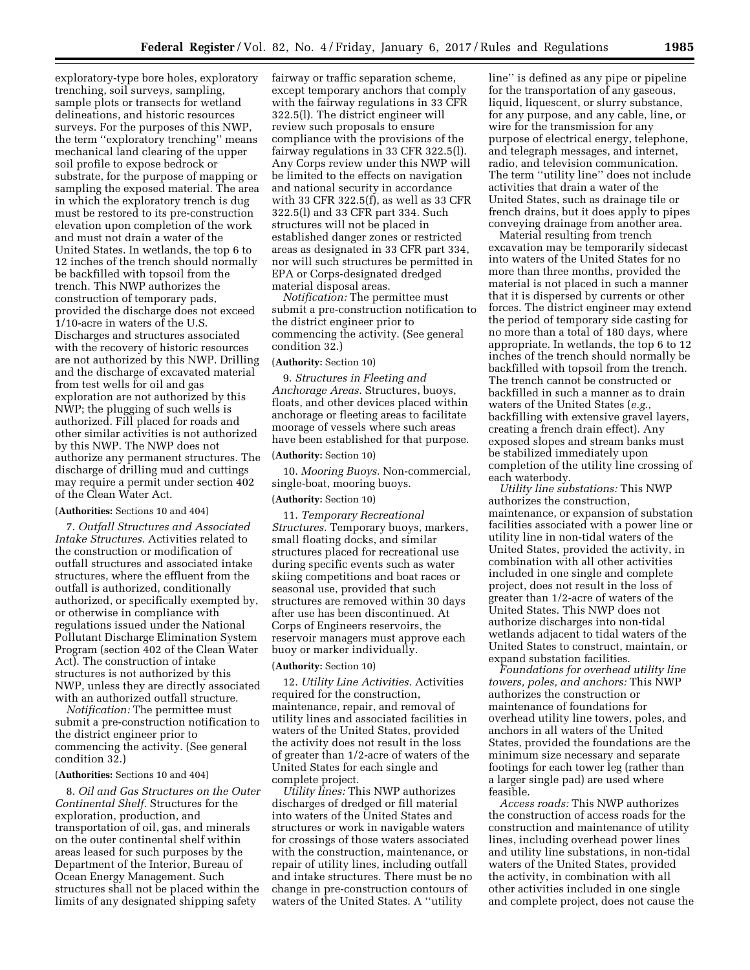exploratory-type bore holes, exploratory trenching, soil surveys, sampling, sample plots or transects for wetland delineations, and historic resources surveys. For the purposes of this NWP, the term ''exploratory trenching'' means mechanical land clearing of the upper soil profile to expose bedrock or substrate, for the purpose of mapping or sampling the exposed material. The area in which the exploratory trench is dug must be restored to its pre-construction elevation upon completion of the work and must not drain a water of the United States. In wetlands, the top 6 to 12 inches of the trench should normally be backfilled with topsoil from the trench. This NWP authorizes the construction of temporary pads, provided the discharge does not exceed 1/10-acre in waters of the U.S. Discharges and structures associated with the recovery of historic resources are not authorized by this NWP. Drilling and the discharge of excavated material from test wells for oil and gas exploration are not authorized by this NWP; the plugging of such wells is authorized. Fill placed for roads and other similar activities is not authorized by this NWP. The NWP does not authorize any permanent structures. The discharge of drilling mud and cuttings may require a permit under section 402 of the Clean Water Act.

## (**Authorities:** Sections 10 and 404)

7. *Outfall Structures and Associated Intake Structures.* Activities related to the construction or modification of outfall structures and associated intake structures, where the effluent from the outfall is authorized, conditionally authorized, or specifically exempted by, or otherwise in compliance with regulations issued under the National Pollutant Discharge Elimination System Program (section 402 of the Clean Water Act). The construction of intake structures is not authorized by this NWP, unless they are directly associated with an authorized outfall structure.

*Notification:* The permittee must submit a pre-construction notification to the district engineer prior to commencing the activity. (See general condition 32.)

#### (**Authorities:** Sections 10 and 404)

8. *Oil and Gas Structures on the Outer Continental Shelf.* Structures for the exploration, production, and transportation of oil, gas, and minerals on the outer continental shelf within areas leased for such purposes by the Department of the Interior, Bureau of Ocean Energy Management. Such structures shall not be placed within the limits of any designated shipping safety

fairway or traffic separation scheme, except temporary anchors that comply with the fairway regulations in 33 CFR 322.5(l). The district engineer will review such proposals to ensure compliance with the provisions of the fairway regulations in 33 CFR 322.5(l). Any Corps review under this NWP will be limited to the effects on navigation and national security in accordance with 33 CFR 322.5(f), as well as 33 CFR 322.5(l) and 33 CFR part 334. Such structures will not be placed in established danger zones or restricted areas as designated in 33 CFR part 334, nor will such structures be permitted in EPA or Corps-designated dredged material disposal areas.

*Notification:* The permittee must submit a pre-construction notification to the district engineer prior to commencing the activity. (See general condition 32.)

# (**Authority:** Section 10)

9. *Structures in Fleeting and Anchorage Areas.* Structures, buoys, floats, and other devices placed within anchorage or fleeting areas to facilitate moorage of vessels where such areas have been established for that purpose.

#### (**Authority:** Section 10)

10. *Mooring Buoys.* Non-commercial, single-boat, mooring buoys.

#### (**Authority:** Section 10)

11. *Temporary Recreational Structures.* Temporary buoys, markers, small floating docks, and similar structures placed for recreational use during specific events such as water skiing competitions and boat races or seasonal use, provided that such structures are removed within 30 days after use has been discontinued. At Corps of Engineers reservoirs, the reservoir managers must approve each buoy or marker individually.

# (**Authority:** Section 10)

12. *Utility Line Activities.* Activities required for the construction, maintenance, repair, and removal of utility lines and associated facilities in waters of the United States, provided the activity does not result in the loss of greater than 1/2-acre of waters of the United States for each single and complete project.

*Utility lines:* This NWP authorizes discharges of dredged or fill material into waters of the United States and structures or work in navigable waters for crossings of those waters associated with the construction, maintenance, or repair of utility lines, including outfall and intake structures. There must be no change in pre-construction contours of waters of the United States. A ''utility

line'' is defined as any pipe or pipeline for the transportation of any gaseous, liquid, liquescent, or slurry substance, for any purpose, and any cable, line, or wire for the transmission for any purpose of electrical energy, telephone, and telegraph messages, and internet, radio, and television communication. The term ''utility line'' does not include activities that drain a water of the United States, such as drainage tile or french drains, but it does apply to pipes conveying drainage from another area.

Material resulting from trench excavation may be temporarily sidecast into waters of the United States for no more than three months, provided the material is not placed in such a manner that it is dispersed by currents or other forces. The district engineer may extend the period of temporary side casting for no more than a total of 180 days, where appropriate. In wetlands, the top 6 to 12 inches of the trench should normally be backfilled with topsoil from the trench. The trench cannot be constructed or backfilled in such a manner as to drain waters of the United States (*e.g.,*  backfilling with extensive gravel layers, creating a french drain effect). Any exposed slopes and stream banks must be stabilized immediately upon completion of the utility line crossing of each waterbody.

*Utility line substations:* This NWP authorizes the construction, maintenance, or expansion of substation facilities associated with a power line or utility line in non-tidal waters of the United States, provided the activity, in combination with all other activities included in one single and complete project, does not result in the loss of greater than 1/2-acre of waters of the United States. This NWP does not authorize discharges into non-tidal wetlands adjacent to tidal waters of the United States to construct, maintain, or expand substation facilities.

*Foundations for overhead utility line towers, poles, and anchors:* This NWP authorizes the construction or maintenance of foundations for overhead utility line towers, poles, and anchors in all waters of the United States, provided the foundations are the minimum size necessary and separate footings for each tower leg (rather than a larger single pad) are used where feasible.

*Access roads:* This NWP authorizes the construction of access roads for the construction and maintenance of utility lines, including overhead power lines and utility line substations, in non-tidal waters of the United States, provided the activity, in combination with all other activities included in one single and complete project, does not cause the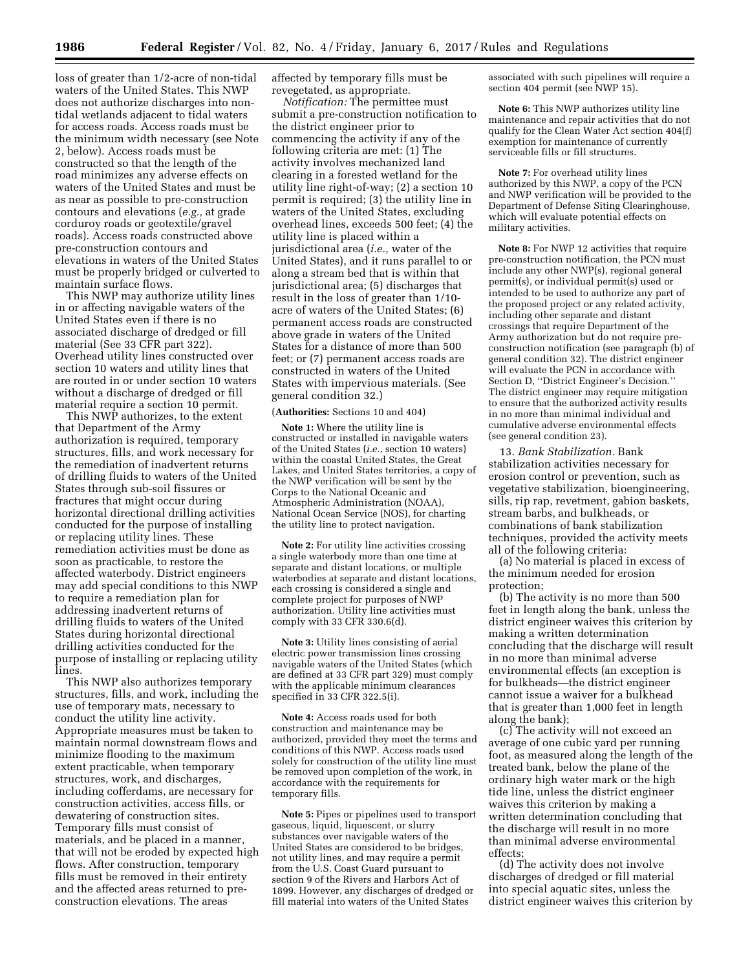loss of greater than 1/2-acre of non-tidal waters of the United States. This NWP does not authorize discharges into nontidal wetlands adjacent to tidal waters for access roads. Access roads must be the minimum width necessary (see Note 2, below). Access roads must be constructed so that the length of the road minimizes any adverse effects on waters of the United States and must be as near as possible to pre-construction contours and elevations (*e.g.,* at grade corduroy roads or geotextile/gravel roads). Access roads constructed above pre-construction contours and elevations in waters of the United States must be properly bridged or culverted to maintain surface flows.

This NWP may authorize utility lines in or affecting navigable waters of the United States even if there is no associated discharge of dredged or fill material (See 33 CFR part 322). Overhead utility lines constructed over section 10 waters and utility lines that are routed in or under section 10 waters without a discharge of dredged or fill material require a section 10 permit.

This NWP authorizes, to the extent that Department of the Army authorization is required, temporary structures, fills, and work necessary for the remediation of inadvertent returns of drilling fluids to waters of the United States through sub-soil fissures or fractures that might occur during horizontal directional drilling activities conducted for the purpose of installing or replacing utility lines. These remediation activities must be done as soon as practicable, to restore the affected waterbody. District engineers may add special conditions to this NWP to require a remediation plan for addressing inadvertent returns of drilling fluids to waters of the United States during horizontal directional drilling activities conducted for the purpose of installing or replacing utility lines.

This NWP also authorizes temporary structures, fills, and work, including the use of temporary mats, necessary to conduct the utility line activity. Appropriate measures must be taken to maintain normal downstream flows and minimize flooding to the maximum extent practicable, when temporary structures, work, and discharges, including cofferdams, are necessary for construction activities, access fills, or dewatering of construction sites. Temporary fills must consist of materials, and be placed in a manner, that will not be eroded by expected high flows. After construction, temporary fills must be removed in their entirety and the affected areas returned to preconstruction elevations. The areas

affected by temporary fills must be revegetated, as appropriate.

*Notification:* The permittee must submit a pre-construction notification to the district engineer prior to commencing the activity if any of the following criteria are met: (1) The activity involves mechanized land clearing in a forested wetland for the utility line right-of-way; (2) a section 10 permit is required; (3) the utility line in waters of the United States, excluding overhead lines, exceeds 500 feet; (4) the utility line is placed within a jurisdictional area (*i.e.,* water of the United States), and it runs parallel to or along a stream bed that is within that jurisdictional area; (5) discharges that result in the loss of greater than 1/10 acre of waters of the United States; (6) permanent access roads are constructed above grade in waters of the United States for a distance of more than 500 feet; or (7) permanent access roads are constructed in waters of the United States with impervious materials. (See general condition 32.)

#### (**Authorities:** Sections 10 and 404)

**Note 1:** Where the utility line is constructed or installed in navigable waters of the United States (*i.e.,* section 10 waters) within the coastal United States, the Great Lakes, and United States territories, a copy of the NWP verification will be sent by the Corps to the National Oceanic and Atmospheric Administration (NOAA), National Ocean Service (NOS), for charting the utility line to protect navigation.

**Note 2:** For utility line activities crossing a single waterbody more than one time at separate and distant locations, or multiple waterbodies at separate and distant locations, each crossing is considered a single and complete project for purposes of NWP authorization. Utility line activities must comply with 33 CFR 330.6(d).

**Note 3:** Utility lines consisting of aerial electric power transmission lines crossing navigable waters of the United States (which are defined at 33 CFR part 329) must comply with the applicable minimum clearances specified in 33 CFR 322.5(i).

**Note 4:** Access roads used for both construction and maintenance may be authorized, provided they meet the terms and conditions of this NWP. Access roads used solely for construction of the utility line must be removed upon completion of the work, in accordance with the requirements for temporary fills.

**Note 5:** Pipes or pipelines used to transport gaseous, liquid, liquescent, or slurry substances over navigable waters of the United States are considered to be bridges, not utility lines, and may require a permit from the U.S. Coast Guard pursuant to section 9 of the Rivers and Harbors Act of 1899. However, any discharges of dredged or fill material into waters of the United States

associated with such pipelines will require a section 404 permit (see NWP 15).

**Note 6:** This NWP authorizes utility line maintenance and repair activities that do not qualify for the Clean Water Act section 404(f) exemption for maintenance of currently serviceable fills or fill structures.

**Note 7:** For overhead utility lines authorized by this NWP, a copy of the PCN and NWP verification will be provided to the Department of Defense Siting Clearinghouse, which will evaluate potential effects on military activities.

**Note 8:** For NWP 12 activities that require pre-construction notification, the PCN must include any other NWP(s), regional general permit(s), or individual permit(s) used or intended to be used to authorize any part of the proposed project or any related activity, including other separate and distant crossings that require Department of the Army authorization but do not require preconstruction notification (see paragraph (b) of general condition 32). The district engineer will evaluate the PCN in accordance with Section D, ''District Engineer's Decision.'' The district engineer may require mitigation to ensure that the authorized activity results in no more than minimal individual and cumulative adverse environmental effects (see general condition 23).

13. *Bank Stabilization.* Bank stabilization activities necessary for erosion control or prevention, such as vegetative stabilization, bioengineering, sills, rip rap, revetment, gabion baskets, stream barbs, and bulkheads, or combinations of bank stabilization techniques, provided the activity meets all of the following criteria:

(a) No material is placed in excess of the minimum needed for erosion protection;

(b) The activity is no more than 500 feet in length along the bank, unless the district engineer waives this criterion by making a written determination concluding that the discharge will result in no more than minimal adverse environmental effects (an exception is for bulkheads—the district engineer cannot issue a waiver for a bulkhead that is greater than 1,000 feet in length along the bank);

(c) The activity will not exceed an average of one cubic yard per running foot, as measured along the length of the treated bank, below the plane of the ordinary high water mark or the high tide line, unless the district engineer waives this criterion by making a written determination concluding that the discharge will result in no more than minimal adverse environmental effects;

(d) The activity does not involve discharges of dredged or fill material into special aquatic sites, unless the district engineer waives this criterion by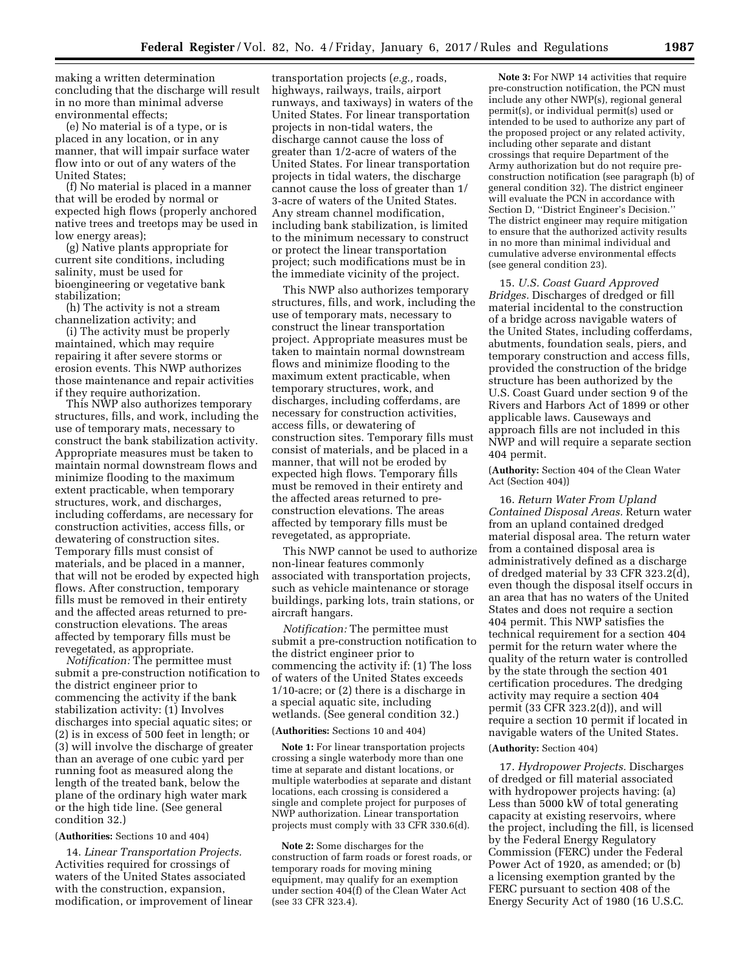making a written determination concluding that the discharge will result in no more than minimal adverse environmental effects;

(e) No material is of a type, or is placed in any location, or in any manner, that will impair surface water flow into or out of any waters of the United States;

(f) No material is placed in a manner that will be eroded by normal or expected high flows (properly anchored native trees and treetops may be used in low energy areas);

(g) Native plants appropriate for current site conditions, including salinity, must be used for bioengineering or vegetative bank stabilization;

(h) The activity is not a stream channelization activity; and

(i) The activity must be properly maintained, which may require repairing it after severe storms or erosion events. This NWP authorizes those maintenance and repair activities if they require authorization.

This NWP also authorizes temporary structures, fills, and work, including the use of temporary mats, necessary to construct the bank stabilization activity. Appropriate measures must be taken to maintain normal downstream flows and minimize flooding to the maximum extent practicable, when temporary structures, work, and discharges, including cofferdams, are necessary for construction activities, access fills, or dewatering of construction sites. Temporary fills must consist of materials, and be placed in a manner, that will not be eroded by expected high flows. After construction, temporary fills must be removed in their entirety and the affected areas returned to preconstruction elevations. The areas affected by temporary fills must be revegetated, as appropriate.

*Notification:* The permittee must submit a pre-construction notification to the district engineer prior to commencing the activity if the bank stabilization activity: (1) Involves discharges into special aquatic sites; or (2) is in excess of 500 feet in length; or (3) will involve the discharge of greater than an average of one cubic yard per running foot as measured along the length of the treated bank, below the plane of the ordinary high water mark or the high tide line. (See general condition 32.)

#### (**Authorities:** Sections 10 and 404)

14. *Linear Transportation Projects.*  Activities required for crossings of waters of the United States associated with the construction, expansion, modification, or improvement of linear

transportation projects (*e.g.,* roads, highways, railways, trails, airport runways, and taxiways) in waters of the United States. For linear transportation projects in non-tidal waters, the discharge cannot cause the loss of greater than 1/2-acre of waters of the United States. For linear transportation projects in tidal waters, the discharge cannot cause the loss of greater than 1/ 3-acre of waters of the United States. Any stream channel modification, including bank stabilization, is limited to the minimum necessary to construct or protect the linear transportation project; such modifications must be in the immediate vicinity of the project.

This NWP also authorizes temporary structures, fills, and work, including the use of temporary mats, necessary to construct the linear transportation project. Appropriate measures must be taken to maintain normal downstream flows and minimize flooding to the maximum extent practicable, when temporary structures, work, and discharges, including cofferdams, are necessary for construction activities, access fills, or dewatering of construction sites. Temporary fills must consist of materials, and be placed in a manner, that will not be eroded by expected high flows. Temporary fills must be removed in their entirety and the affected areas returned to preconstruction elevations. The areas affected by temporary fills must be revegetated, as appropriate.

This NWP cannot be used to authorize non-linear features commonly associated with transportation projects, such as vehicle maintenance or storage buildings, parking lots, train stations, or aircraft hangars.

*Notification:* The permittee must submit a pre-construction notification to the district engineer prior to commencing the activity if: (1) The loss of waters of the United States exceeds 1/10-acre; or (2) there is a discharge in a special aquatic site, including wetlands. (See general condition 32.)

# (**Authorities:** Sections 10 and 404)

**Note 1:** For linear transportation projects crossing a single waterbody more than one time at separate and distant locations, or multiple waterbodies at separate and distant locations, each crossing is considered a single and complete project for purposes of NWP authorization. Linear transportation projects must comply with 33 CFR 330.6(d).

**Note 2:** Some discharges for the construction of farm roads or forest roads, or temporary roads for moving mining equipment, may qualify for an exemption under section 404(f) of the Clean Water Act (see 33 CFR 323.4).

**Note 3:** For NWP 14 activities that require pre-construction notification, the PCN must include any other NWP(s), regional general permit(s), or individual permit(s) used or intended to be used to authorize any part of the proposed project or any related activity, including other separate and distant crossings that require Department of the Army authorization but do not require preconstruction notification (see paragraph (b) of general condition 32). The district engineer will evaluate the PCN in accordance with Section D, ''District Engineer's Decision.'' The district engineer may require mitigation to ensure that the authorized activity results in no more than minimal individual and cumulative adverse environmental effects (see general condition 23).

15. *U.S. Coast Guard Approved Bridges.* Discharges of dredged or fill material incidental to the construction of a bridge across navigable waters of the United States, including cofferdams, abutments, foundation seals, piers, and temporary construction and access fills, provided the construction of the bridge structure has been authorized by the U.S. Coast Guard under section 9 of the Rivers and Harbors Act of 1899 or other applicable laws. Causeways and approach fills are not included in this NWP and will require a separate section 404 permit.

(**Authority:** Section 404 of the Clean Water Act (Section 404))

16. *Return Water From Upland Contained Disposal Areas.* Return water from an upland contained dredged material disposal area. The return water from a contained disposal area is administratively defined as a discharge of dredged material by 33 CFR 323.2(d), even though the disposal itself occurs in an area that has no waters of the United States and does not require a section 404 permit. This NWP satisfies the technical requirement for a section 404 permit for the return water where the quality of the return water is controlled by the state through the section 401 certification procedures. The dredging activity may require a section 404 permit (33 CFR 323.2(d)), and will require a section 10 permit if located in navigable waters of the United States.

#### (**Authority:** Section 404)

17. *Hydropower Projects.* Discharges of dredged or fill material associated with hydropower projects having: (a) Less than 5000 kW of total generating capacity at existing reservoirs, where the project, including the fill, is licensed by the Federal Energy Regulatory Commission (FERC) under the Federal Power Act of 1920, as amended; or (b) a licensing exemption granted by the FERC pursuant to section 408 of the Energy Security Act of 1980 (16 U.S.C.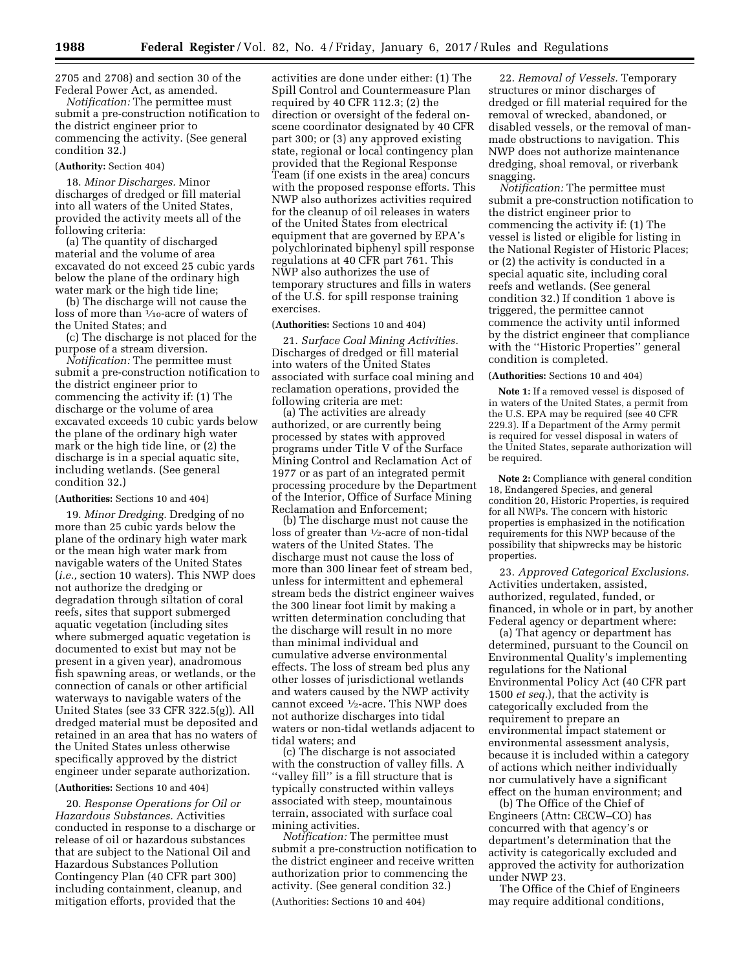2705 and 2708) and section 30 of the Federal Power Act, as amended.

*Notification:* The permittee must submit a pre-construction notification to the district engineer prior to commencing the activity. (See general condition 32.)

### (**Authority:** Section 404)

18. *Minor Discharges.* Minor discharges of dredged or fill material into all waters of the United States, provided the activity meets all of the following criteria:

(a) The quantity of discharged material and the volume of area excavated do not exceed 25 cubic yards below the plane of the ordinary high water mark or the high tide line;

(b) The discharge will not cause the loss of more than 1⁄10-acre of waters of the United States; and

(c) The discharge is not placed for the purpose of a stream diversion.

*Notification:* The permittee must submit a pre-construction notification to the district engineer prior to commencing the activity if: (1) The discharge or the volume of area excavated exceeds 10 cubic yards below the plane of the ordinary high water mark or the high tide line, or (2) the discharge is in a special aquatic site, including wetlands. (See general condition 32.)

#### (**Authorities:** Sections 10 and 404)

19. *Minor Dredging.* Dredging of no more than 25 cubic yards below the plane of the ordinary high water mark or the mean high water mark from navigable waters of the United States (*i.e.,* section 10 waters). This NWP does not authorize the dredging or degradation through siltation of coral reefs, sites that support submerged aquatic vegetation (including sites where submerged aquatic vegetation is documented to exist but may not be present in a given year), anadromous fish spawning areas, or wetlands, or the connection of canals or other artificial waterways to navigable waters of the United States (see 33 CFR 322.5(g)). All dredged material must be deposited and retained in an area that has no waters of the United States unless otherwise specifically approved by the district engineer under separate authorization.

# (**Authorities:** Sections 10 and 404)

20. *Response Operations for Oil or Hazardous Substances.* Activities conducted in response to a discharge or release of oil or hazardous substances that are subject to the National Oil and Hazardous Substances Pollution Contingency Plan (40 CFR part 300) including containment, cleanup, and mitigation efforts, provided that the

activities are done under either: (1) The Spill Control and Countermeasure Plan required by 40 CFR 112.3; (2) the direction or oversight of the federal onscene coordinator designated by 40 CFR part 300; or (3) any approved existing state, regional or local contingency plan provided that the Regional Response Team (if one exists in the area) concurs with the proposed response efforts. This NWP also authorizes activities required for the cleanup of oil releases in waters of the United States from electrical equipment that are governed by EPA's polychlorinated biphenyl spill response regulations at 40 CFR part 761. This NWP also authorizes the use of temporary structures and fills in waters of the U.S. for spill response training exercises.

#### (**Authorities:** Sections 10 and 404)

21. *Surface Coal Mining Activities.*  Discharges of dredged or fill material into waters of the United States associated with surface coal mining and reclamation operations, provided the following criteria are met:

(a) The activities are already authorized, or are currently being processed by states with approved programs under Title V of the Surface Mining Control and Reclamation Act of 1977 or as part of an integrated permit processing procedure by the Department of the Interior, Office of Surface Mining Reclamation and Enforcement;

(b) The discharge must not cause the loss of greater than  $\frac{1}{2}$ -acre of non-tidal waters of the United States. The discharge must not cause the loss of more than 300 linear feet of stream bed, unless for intermittent and ephemeral stream beds the district engineer waives the 300 linear foot limit by making a written determination concluding that the discharge will result in no more than minimal individual and cumulative adverse environmental effects. The loss of stream bed plus any other losses of jurisdictional wetlands and waters caused by the NWP activity cannot exceed 1⁄2-acre. This NWP does not authorize discharges into tidal waters or non-tidal wetlands adjacent to tidal waters; and

(c) The discharge is not associated with the construction of valley fills. A ''valley fill'' is a fill structure that is typically constructed within valleys associated with steep, mountainous terrain, associated with surface coal mining activities.

*Notification:* The permittee must submit a pre-construction notification to the district engineer and receive written authorization prior to commencing the activity. (See general condition 32.)

(Authorities: Sections 10 and 404)

22. *Removal of Vessels.* Temporary structures or minor discharges of dredged or fill material required for the removal of wrecked, abandoned, or disabled vessels, or the removal of manmade obstructions to navigation. This NWP does not authorize maintenance dredging, shoal removal, or riverbank snagging.

*Notification:* The permittee must submit a pre-construction notification to the district engineer prior to commencing the activity if: (1) The vessel is listed or eligible for listing in the National Register of Historic Places; or (2) the activity is conducted in a special aquatic site, including coral reefs and wetlands. (See general condition 32.) If condition 1 above is triggered, the permittee cannot commence the activity until informed by the district engineer that compliance with the ''Historic Properties'' general condition is completed.

### (**Authorities:** Sections 10 and 404)

**Note 1:** If a removed vessel is disposed of in waters of the United States, a permit from the U.S. EPA may be required (see 40 CFR 229.3). If a Department of the Army permit is required for vessel disposal in waters of the United States, separate authorization will be required.

**Note 2:** Compliance with general condition 18, Endangered Species, and general condition 20, Historic Properties, is required for all NWPs. The concern with historic properties is emphasized in the notification requirements for this NWP because of the possibility that shipwrecks may be historic properties.

23. *Approved Categorical Exclusions.*  Activities undertaken, assisted, authorized, regulated, funded, or financed, in whole or in part, by another Federal agency or department where:

(a) That agency or department has determined, pursuant to the Council on Environmental Quality's implementing regulations for the National Environmental Policy Act (40 CFR part 1500 *et seq.*), that the activity is categorically excluded from the requirement to prepare an environmental impact statement or environmental assessment analysis, because it is included within a category of actions which neither individually nor cumulatively have a significant effect on the human environment; and

(b) The Office of the Chief of Engineers (Attn: CECW–CO) has concurred with that agency's or department's determination that the activity is categorically excluded and approved the activity for authorization under NWP 23.

The Office of the Chief of Engineers may require additional conditions,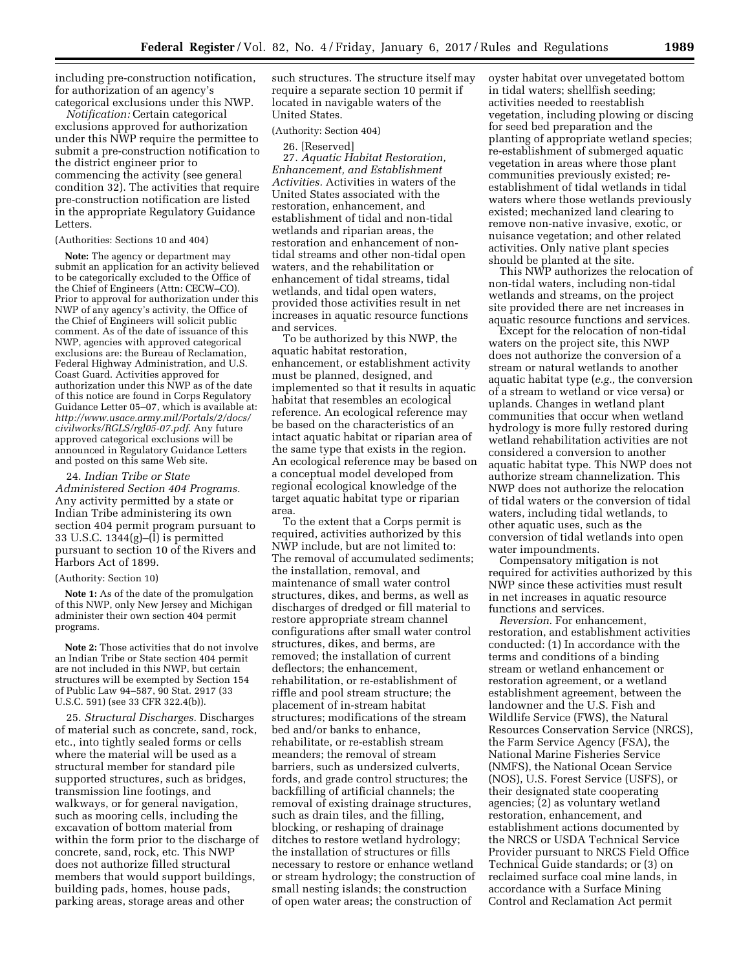including pre-construction notification, for authorization of an agency's categorical exclusions under this NWP.

*Notification:* Certain categorical exclusions approved for authorization under this NWP require the permittee to submit a pre-construction notification to the district engineer prior to commencing the activity (see general condition 32). The activities that require pre-construction notification are listed in the appropriate Regulatory Guidance Letters.

# (Authorities: Sections 10 and 404)

**Note:** The agency or department may submit an application for an activity believed to be categorically excluded to the Office of the Chief of Engineers (Attn: CECW–CO). Prior to approval for authorization under this NWP of any agency's activity, the Office of the Chief of Engineers will solicit public comment. As of the date of issuance of this NWP, agencies with approved categorical exclusions are: the Bureau of Reclamation, Federal Highway Administration, and U.S. Coast Guard. Activities approved for authorization under this NWP as of the date of this notice are found in Corps Regulatory Guidance Letter 05–07, which is available at: *[http://www.usace.army.mil/Portals/2/docs/](http://www.usace.army.mil/Portals/2/docs/civilworks/RGLS/rgl05-07.pdf) [civilworks/RGLS/rgl05-07.pdf](http://www.usace.army.mil/Portals/2/docs/civilworks/RGLS/rgl05-07.pdf)*. Any future approved categorical exclusions will be announced in Regulatory Guidance Letters and posted on this same Web site.

24. *Indian Tribe or State Administered Section 404 Programs.*  Any activity permitted by a state or Indian Tribe administering its own section 404 permit program pursuant to 33 U.S.C. 1344(g)–(l) is permitted pursuant to section 10 of the Rivers and Harbors Act of 1899.

### (Authority: Section 10)

**Note 1:** As of the date of the promulgation of this NWP, only New Jersey and Michigan administer their own section 404 permit programs.

**Note 2:** Those activities that do not involve an Indian Tribe or State section 404 permit are not included in this NWP, but certain structures will be exempted by Section 154 of Public Law 94–587, 90 Stat. 2917 (33 U.S.C. 591) (see 33 CFR 322.4(b)).

25. *Structural Discharges.* Discharges of material such as concrete, sand, rock, etc., into tightly sealed forms or cells where the material will be used as a structural member for standard pile supported structures, such as bridges, transmission line footings, and walkways, or for general navigation, such as mooring cells, including the excavation of bottom material from within the form prior to the discharge of concrete, sand, rock, etc. This NWP does not authorize filled structural members that would support buildings, building pads, homes, house pads, parking areas, storage areas and other

such structures. The structure itself may require a separate section 10 permit if located in navigable waters of the United States.

#### (Authority: Section 404)

26. [Reserved]

27. *Aquatic Habitat Restoration, Enhancement, and Establishment Activities.* Activities in waters of the United States associated with the restoration, enhancement, and establishment of tidal and non-tidal wetlands and riparian areas, the restoration and enhancement of nontidal streams and other non-tidal open waters, and the rehabilitation or enhancement of tidal streams, tidal wetlands, and tidal open waters, provided those activities result in net increases in aquatic resource functions and services.

To be authorized by this NWP, the aquatic habitat restoration, enhancement, or establishment activity must be planned, designed, and implemented so that it results in aquatic habitat that resembles an ecological reference. An ecological reference may be based on the characteristics of an intact aquatic habitat or riparian area of the same type that exists in the region. An ecological reference may be based on a conceptual model developed from regional ecological knowledge of the target aquatic habitat type or riparian area.

To the extent that a Corps permit is required, activities authorized by this NWP include, but are not limited to: The removal of accumulated sediments; the installation, removal, and maintenance of small water control structures, dikes, and berms, as well as discharges of dredged or fill material to restore appropriate stream channel configurations after small water control structures, dikes, and berms, are removed; the installation of current deflectors; the enhancement, rehabilitation, or re-establishment of riffle and pool stream structure; the placement of in-stream habitat structures; modifications of the stream bed and/or banks to enhance, rehabilitate, or re-establish stream meanders; the removal of stream barriers, such as undersized culverts, fords, and grade control structures; the backfilling of artificial channels; the removal of existing drainage structures, such as drain tiles, and the filling, blocking, or reshaping of drainage ditches to restore wetland hydrology; the installation of structures or fills necessary to restore or enhance wetland or stream hydrology; the construction of small nesting islands; the construction of open water areas; the construction of

oyster habitat over unvegetated bottom in tidal waters; shellfish seeding; activities needed to reestablish vegetation, including plowing or discing for seed bed preparation and the planting of appropriate wetland species; re-establishment of submerged aquatic vegetation in areas where those plant communities previously existed; reestablishment of tidal wetlands in tidal waters where those wetlands previously existed; mechanized land clearing to remove non-native invasive, exotic, or nuisance vegetation; and other related activities. Only native plant species should be planted at the site.

This NWP authorizes the relocation of non-tidal waters, including non-tidal wetlands and streams, on the project site provided there are net increases in aquatic resource functions and services.

Except for the relocation of non-tidal waters on the project site, this NWP does not authorize the conversion of a stream or natural wetlands to another aquatic habitat type (*e.g.,* the conversion of a stream to wetland or vice versa) or uplands. Changes in wetland plant communities that occur when wetland hydrology is more fully restored during wetland rehabilitation activities are not considered a conversion to another aquatic habitat type. This NWP does not authorize stream channelization. This NWP does not authorize the relocation of tidal waters or the conversion of tidal waters, including tidal wetlands, to other aquatic uses, such as the conversion of tidal wetlands into open water impoundments.

Compensatory mitigation is not required for activities authorized by this NWP since these activities must result in net increases in aquatic resource functions and services.

*Reversion.* For enhancement, restoration, and establishment activities conducted: (1) In accordance with the terms and conditions of a binding stream or wetland enhancement or restoration agreement, or a wetland establishment agreement, between the landowner and the U.S. Fish and Wildlife Service (FWS), the Natural Resources Conservation Service (NRCS), the Farm Service Agency (FSA), the National Marine Fisheries Service (NMFS), the National Ocean Service (NOS), U.S. Forest Service (USFS), or their designated state cooperating agencies; (2) as voluntary wetland restoration, enhancement, and establishment actions documented by the NRCS or USDA Technical Service Provider pursuant to NRCS Field Office Technical Guide standards; or (3) on reclaimed surface coal mine lands, in accordance with a Surface Mining Control and Reclamation Act permit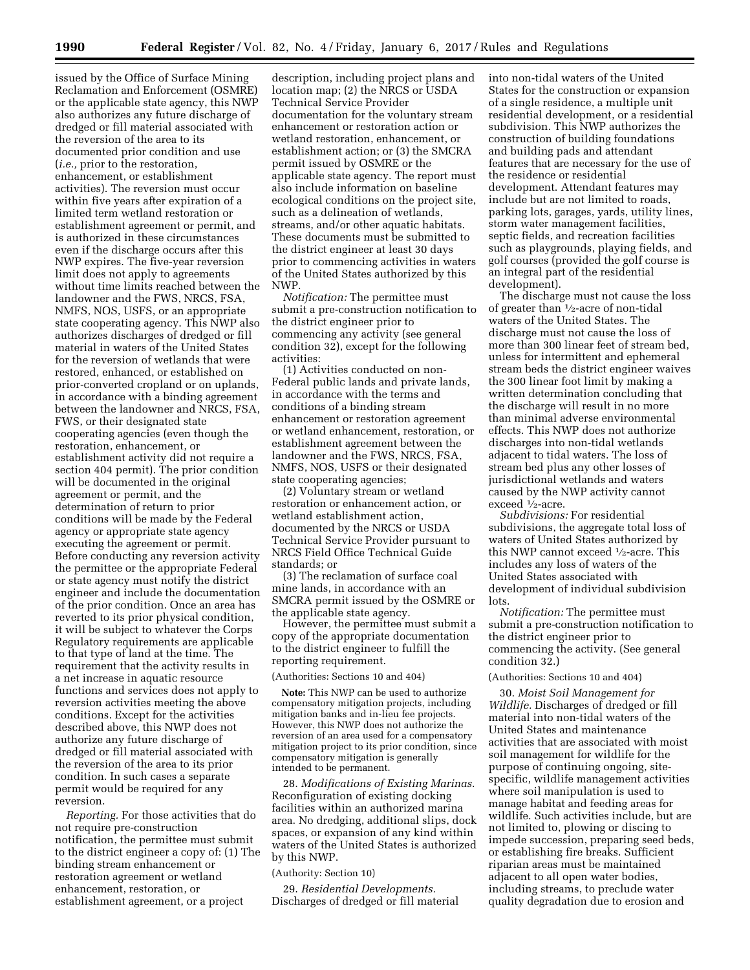issued by the Office of Surface Mining Reclamation and Enforcement (OSMRE) or the applicable state agency, this NWP also authorizes any future discharge of dredged or fill material associated with the reversion of the area to its documented prior condition and use (*i.e.,* prior to the restoration, enhancement, or establishment activities). The reversion must occur within five years after expiration of a limited term wetland restoration or establishment agreement or permit, and is authorized in these circumstances even if the discharge occurs after this NWP expires. The five-year reversion limit does not apply to agreements without time limits reached between the landowner and the FWS, NRCS, FSA, NMFS, NOS, USFS, or an appropriate state cooperating agency. This NWP also authorizes discharges of dredged or fill material in waters of the United States for the reversion of wetlands that were restored, enhanced, or established on prior-converted cropland or on uplands, in accordance with a binding agreement between the landowner and NRCS, FSA, FWS, or their designated state cooperating agencies (even though the restoration, enhancement, or establishment activity did not require a section 404 permit). The prior condition will be documented in the original agreement or permit, and the determination of return to prior conditions will be made by the Federal agency or appropriate state agency executing the agreement or permit. Before conducting any reversion activity the permittee or the appropriate Federal or state agency must notify the district engineer and include the documentation of the prior condition. Once an area has reverted to its prior physical condition, it will be subject to whatever the Corps Regulatory requirements are applicable to that type of land at the time. The requirement that the activity results in a net increase in aquatic resource functions and services does not apply to reversion activities meeting the above conditions. Except for the activities described above, this NWP does not authorize any future discharge of dredged or fill material associated with the reversion of the area to its prior condition. In such cases a separate permit would be required for any reversion.

*Reporting.* For those activities that do not require pre-construction notification, the permittee must submit to the district engineer a copy of: (1) The binding stream enhancement or restoration agreement or wetland enhancement, restoration, or establishment agreement, or a project

description, including project plans and location map; (2) the NRCS or USDA Technical Service Provider documentation for the voluntary stream enhancement or restoration action or wetland restoration, enhancement, or establishment action; or (3) the SMCRA permit issued by OSMRE or the applicable state agency. The report must also include information on baseline ecological conditions on the project site, such as a delineation of wetlands, streams, and/or other aquatic habitats. These documents must be submitted to the district engineer at least 30 days prior to commencing activities in waters of the United States authorized by this NWP.

*Notification:* The permittee must submit a pre-construction notification to the district engineer prior to commencing any activity (see general condition 32), except for the following activities:

(1) Activities conducted on non-Federal public lands and private lands, in accordance with the terms and conditions of a binding stream enhancement or restoration agreement or wetland enhancement, restoration, or establishment agreement between the landowner and the FWS, NRCS, FSA, NMFS, NOS, USFS or their designated state cooperating agencies;

(2) Voluntary stream or wetland restoration or enhancement action, or wetland establishment action, documented by the NRCS or USDA Technical Service Provider pursuant to NRCS Field Office Technical Guide standards; or

(3) The reclamation of surface coal mine lands, in accordance with an SMCRA permit issued by the OSMRE or the applicable state agency.

However, the permittee must submit a copy of the appropriate documentation to the district engineer to fulfill the reporting requirement.

#### (Authorities: Sections 10 and 404)

**Note:** This NWP can be used to authorize compensatory mitigation projects, including mitigation banks and in-lieu fee projects. However, this NWP does not authorize the reversion of an area used for a compensatory mitigation project to its prior condition, since compensatory mitigation is generally intended to be permanent.

28. *Modifications of Existing Marinas.*  Reconfiguration of existing docking facilities within an authorized marina area. No dredging, additional slips, dock spaces, or expansion of any kind within waters of the United States is authorized by this NWP.

#### (Authority: Section 10)

29. *Residential Developments.*  Discharges of dredged or fill material into non-tidal waters of the United States for the construction or expansion of a single residence, a multiple unit residential development, or a residential subdivision. This NWP authorizes the construction of building foundations and building pads and attendant features that are necessary for the use of the residence or residential development. Attendant features may include but are not limited to roads, parking lots, garages, yards, utility lines, storm water management facilities, septic fields, and recreation facilities such as playgrounds, playing fields, and golf courses (provided the golf course is an integral part of the residential development).

The discharge must not cause the loss of greater than 1⁄2-acre of non-tidal waters of the United States. The discharge must not cause the loss of more than 300 linear feet of stream bed, unless for intermittent and ephemeral stream beds the district engineer waives the 300 linear foot limit by making a written determination concluding that the discharge will result in no more than minimal adverse environmental effects. This NWP does not authorize discharges into non-tidal wetlands adjacent to tidal waters. The loss of stream bed plus any other losses of jurisdictional wetlands and waters caused by the NWP activity cannot exceed 1⁄2-acre.

*Subdivisions:* For residential subdivisions, the aggregate total loss of waters of United States authorized by this NWP cannot exceed 1⁄2-acre. This includes any loss of waters of the United States associated with development of individual subdivision lots.

*Notification:* The permittee must submit a pre-construction notification to the district engineer prior to commencing the activity. (See general condition 32.)

#### (Authorities: Sections 10 and 404)

30. *Moist Soil Management for Wildlife.* Discharges of dredged or fill material into non-tidal waters of the United States and maintenance activities that are associated with moist soil management for wildlife for the purpose of continuing ongoing, sitespecific, wildlife management activities where soil manipulation is used to manage habitat and feeding areas for wildlife. Such activities include, but are not limited to, plowing or discing to impede succession, preparing seed beds, or establishing fire breaks. Sufficient riparian areas must be maintained adjacent to all open water bodies, including streams, to preclude water quality degradation due to erosion and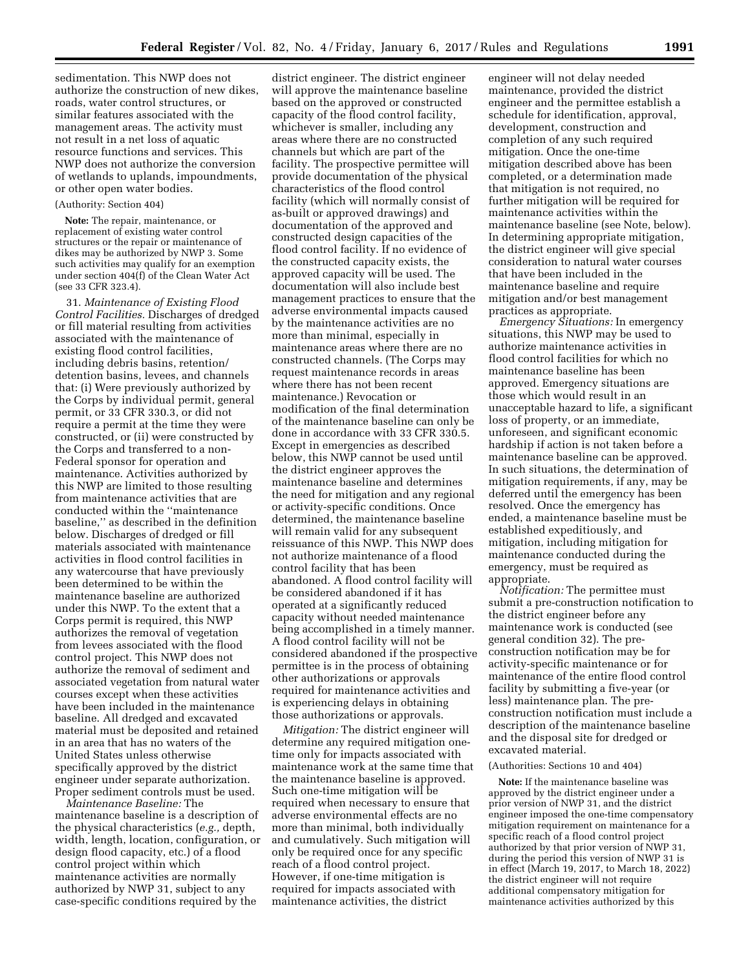sedimentation. This NWP does not authorize the construction of new dikes, roads, water control structures, or similar features associated with the management areas. The activity must not result in a net loss of aquatic resource functions and services. This NWP does not authorize the conversion of wetlands to uplands, impoundments, or other open water bodies.

#### (Authority: Section 404)

**Note:** The repair, maintenance, or replacement of existing water control structures or the repair or maintenance of dikes may be authorized by NWP 3. Some such activities may qualify for an exemption under section 404(f) of the Clean Water Act (see 33 CFR 323.4).

31. *Maintenance of Existing Flood Control Facilities.* Discharges of dredged or fill material resulting from activities associated with the maintenance of existing flood control facilities, including debris basins, retention/ detention basins, levees, and channels that: (i) Were previously authorized by the Corps by individual permit, general permit, or 33 CFR 330.3, or did not require a permit at the time they were constructed, or (ii) were constructed by the Corps and transferred to a non-Federal sponsor for operation and maintenance. Activities authorized by this NWP are limited to those resulting from maintenance activities that are conducted within the ''maintenance baseline,'' as described in the definition below. Discharges of dredged or fill materials associated with maintenance activities in flood control facilities in any watercourse that have previously been determined to be within the maintenance baseline are authorized under this NWP. To the extent that a Corps permit is required, this NWP authorizes the removal of vegetation from levees associated with the flood control project. This NWP does not authorize the removal of sediment and associated vegetation from natural water courses except when these activities have been included in the maintenance baseline. All dredged and excavated material must be deposited and retained in an area that has no waters of the United States unless otherwise specifically approved by the district engineer under separate authorization. Proper sediment controls must be used.

*Maintenance Baseline:* The maintenance baseline is a description of the physical characteristics (*e.g.,* depth, width, length, location, configuration, or design flood capacity, etc.) of a flood control project within which maintenance activities are normally authorized by NWP 31, subject to any case-specific conditions required by the

district engineer. The district engineer will approve the maintenance baseline based on the approved or constructed capacity of the flood control facility, whichever is smaller, including any areas where there are no constructed channels but which are part of the facility. The prospective permittee will provide documentation of the physical characteristics of the flood control facility (which will normally consist of as-built or approved drawings) and documentation of the approved and constructed design capacities of the flood control facility. If no evidence of the constructed capacity exists, the approved capacity will be used. The documentation will also include best management practices to ensure that the adverse environmental impacts caused by the maintenance activities are no more than minimal, especially in maintenance areas where there are no constructed channels. (The Corps may request maintenance records in areas where there has not been recent maintenance.) Revocation or modification of the final determination of the maintenance baseline can only be done in accordance with 33 CFR 330.5. Except in emergencies as described below, this NWP cannot be used until the district engineer approves the maintenance baseline and determines the need for mitigation and any regional or activity-specific conditions. Once determined, the maintenance baseline will remain valid for any subsequent reissuance of this NWP. This NWP does not authorize maintenance of a flood control facility that has been abandoned. A flood control facility will be considered abandoned if it has operated at a significantly reduced capacity without needed maintenance being accomplished in a timely manner. A flood control facility will not be considered abandoned if the prospective permittee is in the process of obtaining other authorizations or approvals required for maintenance activities and is experiencing delays in obtaining those authorizations or approvals.

*Mitigation:* The district engineer will determine any required mitigation onetime only for impacts associated with maintenance work at the same time that the maintenance baseline is approved. Such one-time mitigation will be required when necessary to ensure that adverse environmental effects are no more than minimal, both individually and cumulatively. Such mitigation will only be required once for any specific reach of a flood control project. However, if one-time mitigation is required for impacts associated with maintenance activities, the district

engineer will not delay needed maintenance, provided the district engineer and the permittee establish a schedule for identification, approval, development, construction and completion of any such required mitigation. Once the one-time mitigation described above has been completed, or a determination made that mitigation is not required, no further mitigation will be required for maintenance activities within the maintenance baseline (see Note, below). In determining appropriate mitigation, the district engineer will give special consideration to natural water courses that have been included in the maintenance baseline and require mitigation and/or best management practices as appropriate.

*Emergency Situations:* In emergency situations, this NWP may be used to authorize maintenance activities in flood control facilities for which no maintenance baseline has been approved. Emergency situations are those which would result in an unacceptable hazard to life, a significant loss of property, or an immediate, unforeseen, and significant economic hardship if action is not taken before a maintenance baseline can be approved. In such situations, the determination of mitigation requirements, if any, may be deferred until the emergency has been resolved. Once the emergency has ended, a maintenance baseline must be established expeditiously, and mitigation, including mitigation for maintenance conducted during the emergency, must be required as appropriate.

*Notification:* The permittee must submit a pre-construction notification to the district engineer before any maintenance work is conducted (see general condition 32). The preconstruction notification may be for activity-specific maintenance or for maintenance of the entire flood control facility by submitting a five-year (or less) maintenance plan. The preconstruction notification must include a description of the maintenance baseline and the disposal site for dredged or excavated material.

### (Authorities: Sections 10 and 404)

**Note:** If the maintenance baseline was approved by the district engineer under a prior version of NWP 31, and the district engineer imposed the one-time compensatory mitigation requirement on maintenance for a specific reach of a flood control project authorized by that prior version of NWP 31, during the period this version of NWP 31 is in effect (March 19, 2017, to March 18, 2022) the district engineer will not require additional compensatory mitigation for maintenance activities authorized by this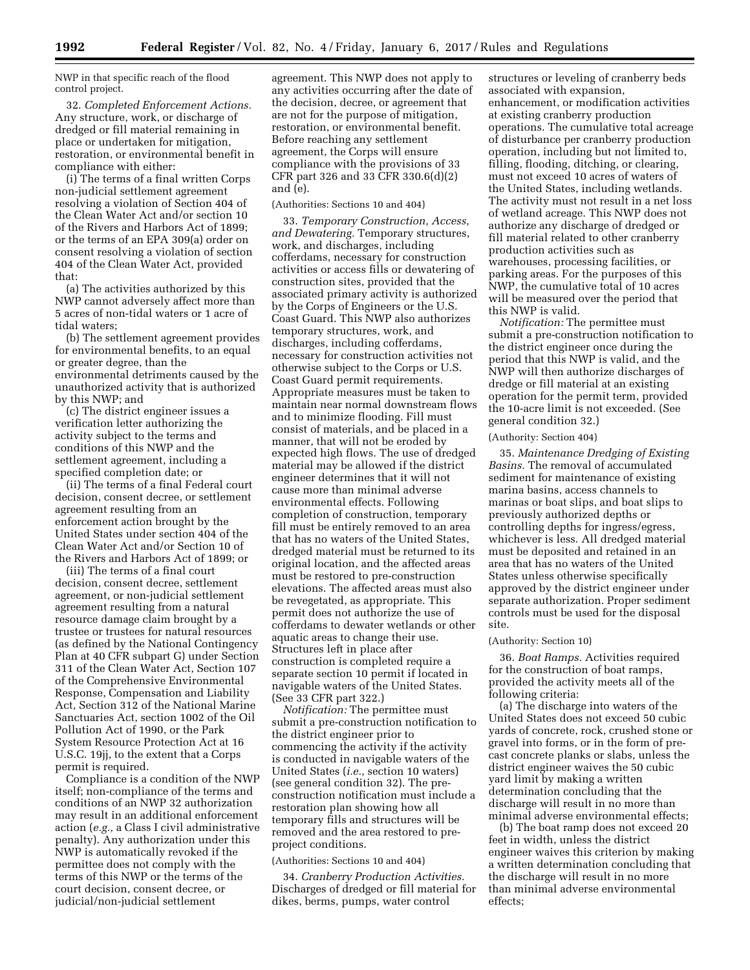NWP in that specific reach of the flood control project.

32. *Completed Enforcement Actions.*  Any structure, work, or discharge of dredged or fill material remaining in place or undertaken for mitigation, restoration, or environmental benefit in compliance with either:

(i) The terms of a final written Corps non-judicial settlement agreement resolving a violation of Section 404 of the Clean Water Act and/or section 10 of the Rivers and Harbors Act of 1899; or the terms of an EPA 309(a) order on consent resolving a violation of section 404 of the Clean Water Act, provided that:

(a) The activities authorized by this NWP cannot adversely affect more than 5 acres of non-tidal waters or 1 acre of tidal waters;

(b) The settlement agreement provides for environmental benefits, to an equal or greater degree, than the environmental detriments caused by the unauthorized activity that is authorized by this NWP; and

(c) The district engineer issues a verification letter authorizing the activity subject to the terms and conditions of this NWP and the settlement agreement, including a specified completion date; or

(ii) The terms of a final Federal court decision, consent decree, or settlement agreement resulting from an enforcement action brought by the United States under section 404 of the Clean Water Act and/or Section 10 of the Rivers and Harbors Act of 1899; or

(iii) The terms of a final court decision, consent decree, settlement agreement, or non-judicial settlement agreement resulting from a natural resource damage claim brought by a trustee or trustees for natural resources (as defined by the National Contingency Plan at 40 CFR subpart G) under Section 311 of the Clean Water Act, Section 107 of the Comprehensive Environmental Response, Compensation and Liability Act, Section 312 of the National Marine Sanctuaries Act, section 1002 of the Oil Pollution Act of 1990, or the Park System Resource Protection Act at 16 U.S.C. 19jj, to the extent that a Corps permit is required.

Compliance is a condition of the NWP itself; non-compliance of the terms and conditions of an NWP 32 authorization may result in an additional enforcement action (*e.g.,* a Class I civil administrative penalty). Any authorization under this NWP is automatically revoked if the permittee does not comply with the terms of this NWP or the terms of the court decision, consent decree, or judicial/non-judicial settlement

agreement. This NWP does not apply to any activities occurring after the date of the decision, decree, or agreement that are not for the purpose of mitigation, restoration, or environmental benefit. Before reaching any settlement agreement, the Corps will ensure compliance with the provisions of 33 CFR part 326 and 33 CFR 330.6(d)(2) and (e).

# (Authorities: Sections 10 and 404)

33. *Temporary Construction, Access, and Dewatering.* Temporary structures, work, and discharges, including cofferdams, necessary for construction activities or access fills or dewatering of construction sites, provided that the associated primary activity is authorized by the Corps of Engineers or the U.S. Coast Guard. This NWP also authorizes temporary structures, work, and discharges, including cofferdams, necessary for construction activities not otherwise subject to the Corps or U.S. Coast Guard permit requirements. Appropriate measures must be taken to maintain near normal downstream flows and to minimize flooding. Fill must consist of materials, and be placed in a manner, that will not be eroded by expected high flows. The use of dredged material may be allowed if the district engineer determines that it will not cause more than minimal adverse environmental effects. Following completion of construction, temporary fill must be entirely removed to an area that has no waters of the United States, dredged material must be returned to its original location, and the affected areas must be restored to pre-construction elevations. The affected areas must also be revegetated, as appropriate. This permit does not authorize the use of cofferdams to dewater wetlands or other aquatic areas to change their use. Structures left in place after construction is completed require a separate section 10 permit if located in navigable waters of the United States. (See 33 CFR part 322.)

*Notification:* The permittee must submit a pre-construction notification to the district engineer prior to commencing the activity if the activity is conducted in navigable waters of the United States (*i.e.,* section 10 waters) (see general condition 32). The preconstruction notification must include a restoration plan showing how all temporary fills and structures will be removed and the area restored to preproject conditions.

#### (Authorities: Sections 10 and 404)

34. *Cranberry Production Activities.*  Discharges of dredged or fill material for dikes, berms, pumps, water control

structures or leveling of cranberry beds associated with expansion, enhancement, or modification activities at existing cranberry production operations. The cumulative total acreage of disturbance per cranberry production operation, including but not limited to, filling, flooding, ditching, or clearing, must not exceed 10 acres of waters of the United States, including wetlands. The activity must not result in a net loss of wetland acreage. This NWP does not authorize any discharge of dredged or fill material related to other cranberry production activities such as warehouses, processing facilities, or parking areas. For the purposes of this NWP, the cumulative total of 10 acres will be measured over the period that this NWP is valid.

*Notification:* The permittee must submit a pre-construction notification to the district engineer once during the period that this NWP is valid, and the NWP will then authorize discharges of dredge or fill material at an existing operation for the permit term, provided the 10-acre limit is not exceeded. (See general condition 32.)

# (Authority: Section 404)

35. *Maintenance Dredging of Existing Basins.* The removal of accumulated sediment for maintenance of existing marina basins, access channels to marinas or boat slips, and boat slips to previously authorized depths or controlling depths for ingress/egress, whichever is less. All dredged material must be deposited and retained in an area that has no waters of the United States unless otherwise specifically approved by the district engineer under separate authorization. Proper sediment controls must be used for the disposal site.

#### (Authority: Section 10)

36. *Boat Ramps.* Activities required for the construction of boat ramps, provided the activity meets all of the following criteria:

(a) The discharge into waters of the United States does not exceed 50 cubic yards of concrete, rock, crushed stone or gravel into forms, or in the form of precast concrete planks or slabs, unless the district engineer waives the 50 cubic yard limit by making a written determination concluding that the discharge will result in no more than minimal adverse environmental effects;

(b) The boat ramp does not exceed 20 feet in width, unless the district engineer waives this criterion by making a written determination concluding that the discharge will result in no more than minimal adverse environmental effects;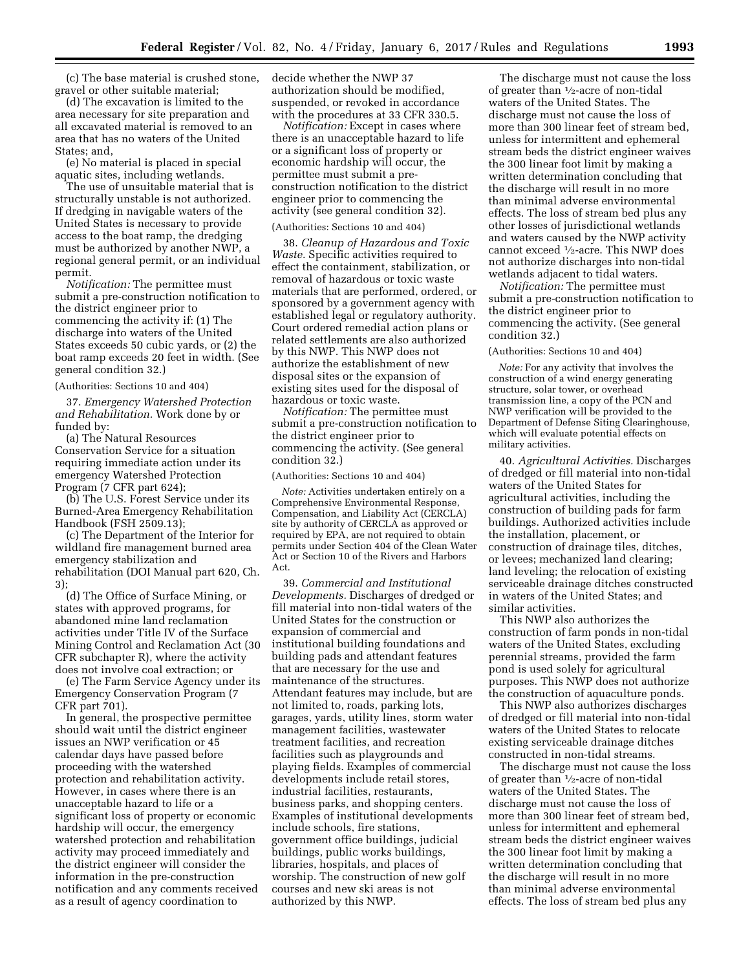(c) The base material is crushed stone, gravel or other suitable material;

(d) The excavation is limited to the area necessary for site preparation and all excavated material is removed to an area that has no waters of the United States; and,

(e) No material is placed in special aquatic sites, including wetlands.

The use of unsuitable material that is structurally unstable is not authorized. If dredging in navigable waters of the United States is necessary to provide access to the boat ramp, the dredging must be authorized by another NWP, a regional general permit, or an individual permit.

*Notification:* The permittee must submit a pre-construction notification to the district engineer prior to commencing the activity if: (1) The discharge into waters of the United States exceeds 50 cubic yards, or (2) the boat ramp exceeds 20 feet in width. (See general condition 32.)

(Authorities: Sections 10 and 404)

37. *Emergency Watershed Protection and Rehabilitation.* Work done by or funded by:

(a) The Natural Resources Conservation Service for a situation requiring immediate action under its emergency Watershed Protection Program (7 CFR part 624);

(b) The U.S. Forest Service under its Burned-Area Emergency Rehabilitation Handbook (FSH 2509.13);

(c) The Department of the Interior for wildland fire management burned area emergency stabilization and rehabilitation (DOI Manual part 620, Ch. 3);

(d) The Office of Surface Mining, or states with approved programs, for abandoned mine land reclamation activities under Title IV of the Surface Mining Control and Reclamation Act (30 CFR subchapter R), where the activity does not involve coal extraction; or

(e) The Farm Service Agency under its Emergency Conservation Program (7 CFR part 701).

In general, the prospective permittee should wait until the district engineer issues an NWP verification or 45 calendar days have passed before proceeding with the watershed protection and rehabilitation activity. However, in cases where there is an unacceptable hazard to life or a significant loss of property or economic hardship will occur, the emergency watershed protection and rehabilitation activity may proceed immediately and the district engineer will consider the information in the pre-construction notification and any comments received as a result of agency coordination to

decide whether the NWP 37 authorization should be modified, suspended, or revoked in accordance with the procedures at 33 CFR 330.5.

*Notification:* Except in cases where there is an unacceptable hazard to life or a significant loss of property or economic hardship will occur, the permittee must submit a preconstruction notification to the district engineer prior to commencing the activity (see general condition 32).

# (Authorities: Sections 10 and 404)

38. *Cleanup of Hazardous and Toxic Waste.* Specific activities required to effect the containment, stabilization, or removal of hazardous or toxic waste materials that are performed, ordered, or sponsored by a government agency with established legal or regulatory authority. Court ordered remedial action plans or related settlements are also authorized by this NWP. This NWP does not authorize the establishment of new disposal sites or the expansion of existing sites used for the disposal of hazardous or toxic waste.

*Notification:* The permittee must submit a pre-construction notification to the district engineer prior to commencing the activity. (See general condition 32.)

(Authorities: Sections 10 and 404)

*Note:* Activities undertaken entirely on a Comprehensive Environmental Response, Compensation, and Liability Act (CERCLA) site by authority of CERCLA as approved or required by EPA, are not required to obtain permits under Section 404 of the Clean Water Act or Section 10 of the Rivers and Harbors Act.

39. *Commercial and Institutional Developments.* Discharges of dredged or fill material into non-tidal waters of the United States for the construction or expansion of commercial and institutional building foundations and building pads and attendant features that are necessary for the use and maintenance of the structures. Attendant features may include, but are not limited to, roads, parking lots, garages, yards, utility lines, storm water management facilities, wastewater treatment facilities, and recreation facilities such as playgrounds and playing fields. Examples of commercial developments include retail stores, industrial facilities, restaurants, business parks, and shopping centers. Examples of institutional developments include schools, fire stations, government office buildings, judicial buildings, public works buildings, libraries, hospitals, and places of worship. The construction of new golf courses and new ski areas is not authorized by this NWP.

The discharge must not cause the loss of greater than  $\frac{1}{2}$ -acre of non-tidal waters of the United States. The discharge must not cause the loss of more than 300 linear feet of stream bed, unless for intermittent and ephemeral stream beds the district engineer waives the 300 linear foot limit by making a written determination concluding that the discharge will result in no more than minimal adverse environmental effects. The loss of stream bed plus any other losses of jurisdictional wetlands and waters caused by the NWP activity cannot exceed 1⁄2-acre. This NWP does not authorize discharges into non-tidal wetlands adjacent to tidal waters.

*Notification:* The permittee must submit a pre-construction notification to the district engineer prior to commencing the activity. (See general condition 32.)

(Authorities: Sections 10 and 404)

*Note:* For any activity that involves the construction of a wind energy generating structure, solar tower, or overhead transmission line, a copy of the PCN and NWP verification will be provided to the Department of Defense Siting Clearinghouse, which will evaluate potential effects on military activities.

40. *Agricultural Activities.* Discharges of dredged or fill material into non-tidal waters of the United States for agricultural activities, including the construction of building pads for farm buildings. Authorized activities include the installation, placement, or construction of drainage tiles, ditches, or levees; mechanized land clearing; land leveling; the relocation of existing serviceable drainage ditches constructed in waters of the United States; and similar activities.

This NWP also authorizes the construction of farm ponds in non-tidal waters of the United States, excluding perennial streams, provided the farm pond is used solely for agricultural purposes. This NWP does not authorize the construction of aquaculture ponds.

This NWP also authorizes discharges of dredged or fill material into non-tidal waters of the United States to relocate existing serviceable drainage ditches constructed in non-tidal streams.

The discharge must not cause the loss of greater than  $\frac{1}{2}$ -acre of non-tidal waters of the United States. The discharge must not cause the loss of more than 300 linear feet of stream bed, unless for intermittent and ephemeral stream beds the district engineer waives the 300 linear foot limit by making a written determination concluding that the discharge will result in no more than minimal adverse environmental effects. The loss of stream bed plus any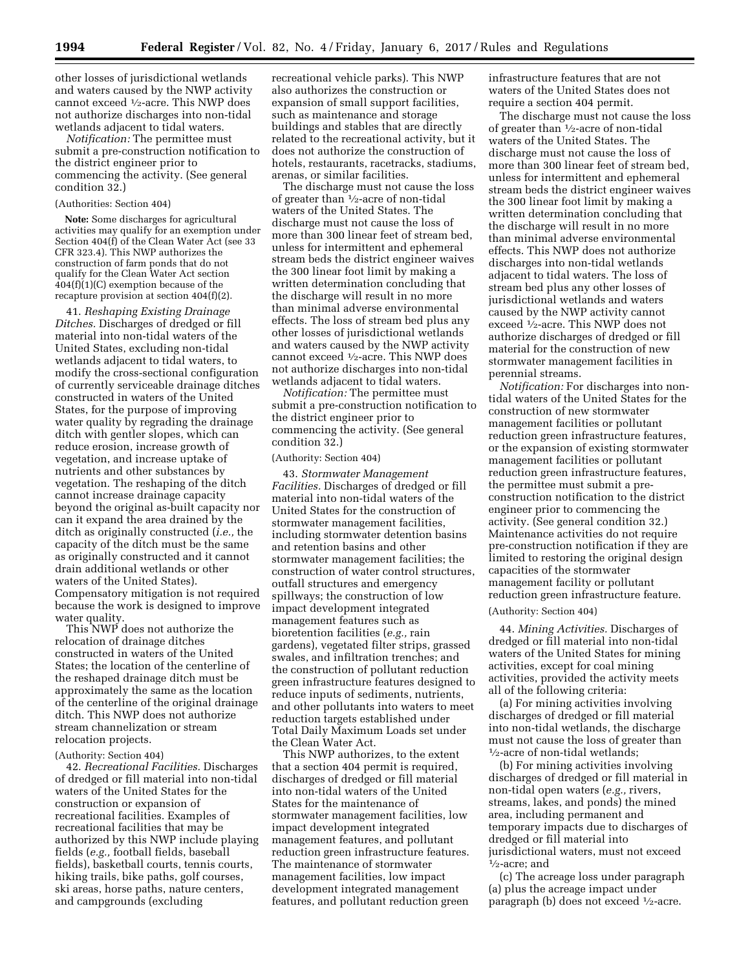other losses of jurisdictional wetlands and waters caused by the NWP activity cannot exceed 1⁄2-acre. This NWP does not authorize discharges into non-tidal wetlands adjacent to tidal waters.

*Notification:* The permittee must submit a pre-construction notification to the district engineer prior to commencing the activity. (See general condition 32.)

### (Authorities: Section 404)

**Note:** Some discharges for agricultural activities may qualify for an exemption under Section 404(f) of the Clean Water Act (see 33 CFR 323.4). This NWP authorizes the construction of farm ponds that do not qualify for the Clean Water Act section  $404(f)(1)(C)$  exemption because of the recapture provision at section 404(f)(2).

41. *Reshaping Existing Drainage Ditches.* Discharges of dredged or fill material into non-tidal waters of the United States, excluding non-tidal wetlands adjacent to tidal waters, to modify the cross-sectional configuration of currently serviceable drainage ditches constructed in waters of the United States, for the purpose of improving water quality by regrading the drainage ditch with gentler slopes, which can reduce erosion, increase growth of vegetation, and increase uptake of nutrients and other substances by vegetation. The reshaping of the ditch cannot increase drainage capacity beyond the original as-built capacity nor can it expand the area drained by the ditch as originally constructed (*i.e.,* the capacity of the ditch must be the same as originally constructed and it cannot drain additional wetlands or other waters of the United States). Compensatory mitigation is not required because the work is designed to improve water quality.

This NWP does not authorize the relocation of drainage ditches constructed in waters of the United States; the location of the centerline of the reshaped drainage ditch must be approximately the same as the location of the centerline of the original drainage ditch. This NWP does not authorize stream channelization or stream relocation projects.

### (Authority: Section 404)

42. *Recreational Facilities.* Discharges of dredged or fill material into non-tidal waters of the United States for the construction or expansion of recreational facilities. Examples of recreational facilities that may be authorized by this NWP include playing fields (*e.g.,* football fields, baseball fields), basketball courts, tennis courts, hiking trails, bike paths, golf courses, ski areas, horse paths, nature centers, and campgrounds (excluding

recreational vehicle parks). This NWP also authorizes the construction or expansion of small support facilities, such as maintenance and storage buildings and stables that are directly related to the recreational activity, but it does not authorize the construction of hotels, restaurants, racetracks, stadiums, arenas, or similar facilities.

The discharge must not cause the loss of greater than  $\frac{1}{2}$ -acre of non-tidal waters of the United States. The discharge must not cause the loss of more than 300 linear feet of stream bed, unless for intermittent and ephemeral stream beds the district engineer waives the 300 linear foot limit by making a written determination concluding that the discharge will result in no more than minimal adverse environmental effects. The loss of stream bed plus any other losses of jurisdictional wetlands and waters caused by the NWP activity cannot exceed 1⁄2-acre. This NWP does not authorize discharges into non-tidal wetlands adjacent to tidal waters.

*Notification:* The permittee must submit a pre-construction notification to the district engineer prior to commencing the activity. (See general condition 32.)

# (Authority: Section 404)

43. *Stormwater Management Facilities.* Discharges of dredged or fill material into non-tidal waters of the United States for the construction of stormwater management facilities, including stormwater detention basins and retention basins and other stormwater management facilities; the construction of water control structures, outfall structures and emergency spillways; the construction of low impact development integrated management features such as bioretention facilities (*e.g.,* rain gardens), vegetated filter strips, grassed swales, and infiltration trenches; and the construction of pollutant reduction green infrastructure features designed to reduce inputs of sediments, nutrients, and other pollutants into waters to meet reduction targets established under Total Daily Maximum Loads set under the Clean Water Act.

This NWP authorizes, to the extent that a section 404 permit is required, discharges of dredged or fill material into non-tidal waters of the United States for the maintenance of stormwater management facilities, low impact development integrated management features, and pollutant reduction green infrastructure features. The maintenance of stormwater management facilities, low impact development integrated management features, and pollutant reduction green

infrastructure features that are not waters of the United States does not require a section 404 permit.

The discharge must not cause the loss of greater than 1⁄2-acre of non-tidal waters of the United States. The discharge must not cause the loss of more than 300 linear feet of stream bed, unless for intermittent and ephemeral stream beds the district engineer waives the 300 linear foot limit by making a written determination concluding that the discharge will result in no more than minimal adverse environmental effects. This NWP does not authorize discharges into non-tidal wetlands adjacent to tidal waters. The loss of stream bed plus any other losses of jurisdictional wetlands and waters caused by the NWP activity cannot exceed 1⁄2-acre. This NWP does not authorize discharges of dredged or fill material for the construction of new stormwater management facilities in perennial streams.

*Notification:* For discharges into nontidal waters of the United States for the construction of new stormwater management facilities or pollutant reduction green infrastructure features, or the expansion of existing stormwater management facilities or pollutant reduction green infrastructure features, the permittee must submit a preconstruction notification to the district engineer prior to commencing the activity. (See general condition 32.) Maintenance activities do not require pre-construction notification if they are limited to restoring the original design capacities of the stormwater management facility or pollutant reduction green infrastructure feature.

#### (Authority: Section 404)

44. *Mining Activities.* Discharges of dredged or fill material into non-tidal waters of the United States for mining activities, except for coal mining activities, provided the activity meets all of the following criteria:

(a) For mining activities involving discharges of dredged or fill material into non-tidal wetlands, the discharge must not cause the loss of greater than 1⁄2-acre of non-tidal wetlands;

(b) For mining activities involving discharges of dredged or fill material in non-tidal open waters (*e.g.,* rivers, streams, lakes, and ponds) the mined area, including permanent and temporary impacts due to discharges of dredged or fill material into jurisdictional waters, must not exceed 1⁄2-acre; and

(c) The acreage loss under paragraph (a) plus the acreage impact under paragraph (b) does not exceed 1⁄2-acre.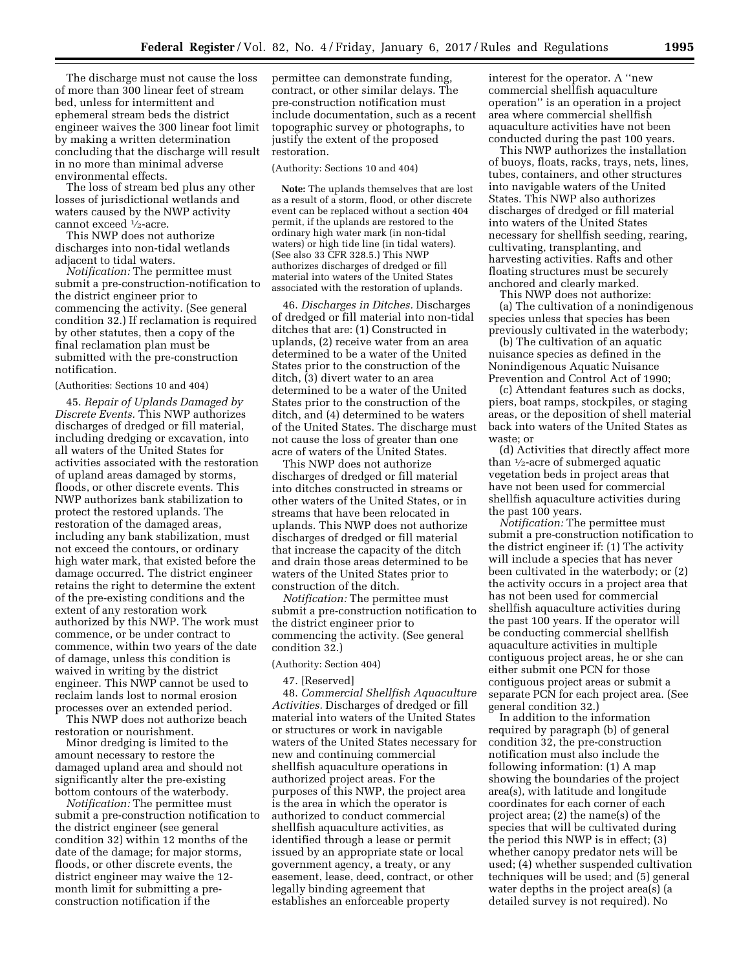The discharge must not cause the loss of more than 300 linear feet of stream bed, unless for intermittent and ephemeral stream beds the district engineer waives the 300 linear foot limit by making a written determination concluding that the discharge will result in no more than minimal adverse environmental effects.

The loss of stream bed plus any other losses of jurisdictional wetlands and waters caused by the NWP activity cannot exceed 1⁄2-acre.

This NWP does not authorize discharges into non-tidal wetlands adjacent to tidal waters.

*Notification:* The permittee must submit a pre-construction-notification to the district engineer prior to commencing the activity. (See general condition 32.) If reclamation is required by other statutes, then a copy of the final reclamation plan must be submitted with the pre-construction notification.

#### (Authorities: Sections 10 and 404)

45. *Repair of Uplands Damaged by Discrete Events.* This NWP authorizes discharges of dredged or fill material, including dredging or excavation, into all waters of the United States for activities associated with the restoration of upland areas damaged by storms, floods, or other discrete events. This NWP authorizes bank stabilization to protect the restored uplands. The restoration of the damaged areas, including any bank stabilization, must not exceed the contours, or ordinary high water mark, that existed before the damage occurred. The district engineer retains the right to determine the extent of the pre-existing conditions and the extent of any restoration work authorized by this NWP. The work must commence, or be under contract to commence, within two years of the date of damage, unless this condition is waived in writing by the district engineer. This NWP cannot be used to reclaim lands lost to normal erosion processes over an extended period.

This NWP does not authorize beach restoration or nourishment.

Minor dredging is limited to the amount necessary to restore the damaged upland area and should not significantly alter the pre-existing bottom contours of the waterbody.

*Notification:* The permittee must submit a pre-construction notification to the district engineer (see general condition 32) within 12 months of the date of the damage; for major storms, floods, or other discrete events, the district engineer may waive the 12 month limit for submitting a preconstruction notification if the

permittee can demonstrate funding, contract, or other similar delays. The pre-construction notification must include documentation, such as a recent topographic survey or photographs, to justify the extent of the proposed restoration.

# (Authority: Sections 10 and 404)

**Note:** The uplands themselves that are lost as a result of a storm, flood, or other discrete event can be replaced without a section 404 permit, if the uplands are restored to the ordinary high water mark (in non-tidal waters) or high tide line (in tidal waters). (See also 33 CFR 328.5.) This NWP authorizes discharges of dredged or fill material into waters of the United States associated with the restoration of uplands.

46. *Discharges in Ditches.* Discharges of dredged or fill material into non-tidal ditches that are: (1) Constructed in uplands, (2) receive water from an area determined to be a water of the United States prior to the construction of the ditch, (3) divert water to an area determined to be a water of the United States prior to the construction of the ditch, and (4) determined to be waters of the United States. The discharge must not cause the loss of greater than one acre of waters of the United States.

This NWP does not authorize discharges of dredged or fill material into ditches constructed in streams or other waters of the United States, or in streams that have been relocated in uplands. This NWP does not authorize discharges of dredged or fill material that increase the capacity of the ditch and drain those areas determined to be waters of the United States prior to construction of the ditch.

*Notification:* The permittee must submit a pre-construction notification to the district engineer prior to commencing the activity. (See general condition 32.)

# (Authority: Section 404)

#### 47. [Reserved]

48. *Commercial Shellfish Aquaculture Activities.* Discharges of dredged or fill material into waters of the United States or structures or work in navigable waters of the United States necessary for new and continuing commercial shellfish aquaculture operations in authorized project areas. For the purposes of this NWP, the project area is the area in which the operator is authorized to conduct commercial shellfish aquaculture activities, as identified through a lease or permit issued by an appropriate state or local government agency, a treaty, or any easement, lease, deed, contract, or other legally binding agreement that establishes an enforceable property

interest for the operator. A ''new commercial shellfish aquaculture operation'' is an operation in a project area where commercial shellfish aquaculture activities have not been conducted during the past 100 years.

This NWP authorizes the installation of buoys, floats, racks, trays, nets, lines, tubes, containers, and other structures into navigable waters of the United States. This NWP also authorizes discharges of dredged or fill material into waters of the United States necessary for shellfish seeding, rearing, cultivating, transplanting, and harvesting activities. Rafts and other floating structures must be securely anchored and clearly marked. This NWP does not authorize:

(a) The cultivation of a nonindigenous species unless that species has been previously cultivated in the waterbody;

(b) The cultivation of an aquatic nuisance species as defined in the Nonindigenous Aquatic Nuisance Prevention and Control Act of 1990;

(c) Attendant features such as docks, piers, boat ramps, stockpiles, or staging areas, or the deposition of shell material back into waters of the United States as waste; or

(d) Activities that directly affect more than 1⁄2-acre of submerged aquatic vegetation beds in project areas that have not been used for commercial shellfish aquaculture activities during the past 100 years.

*Notification:* The permittee must submit a pre-construction notification to the district engineer if: (1) The activity will include a species that has never been cultivated in the waterbody; or (2) the activity occurs in a project area that has not been used for commercial shellfish aquaculture activities during the past 100 years. If the operator will be conducting commercial shellfish aquaculture activities in multiple contiguous project areas, he or she can either submit one PCN for those contiguous project areas or submit a separate PCN for each project area. (See general condition 32.)

In addition to the information required by paragraph (b) of general condition 32, the pre-construction notification must also include the following information: (1) A map showing the boundaries of the project area(s), with latitude and longitude coordinates for each corner of each project area; (2) the name(s) of the species that will be cultivated during the period this NWP is in effect; (3) whether canopy predator nets will be used; (4) whether suspended cultivation techniques will be used; and (5) general water depths in the project area(s) (a detailed survey is not required). No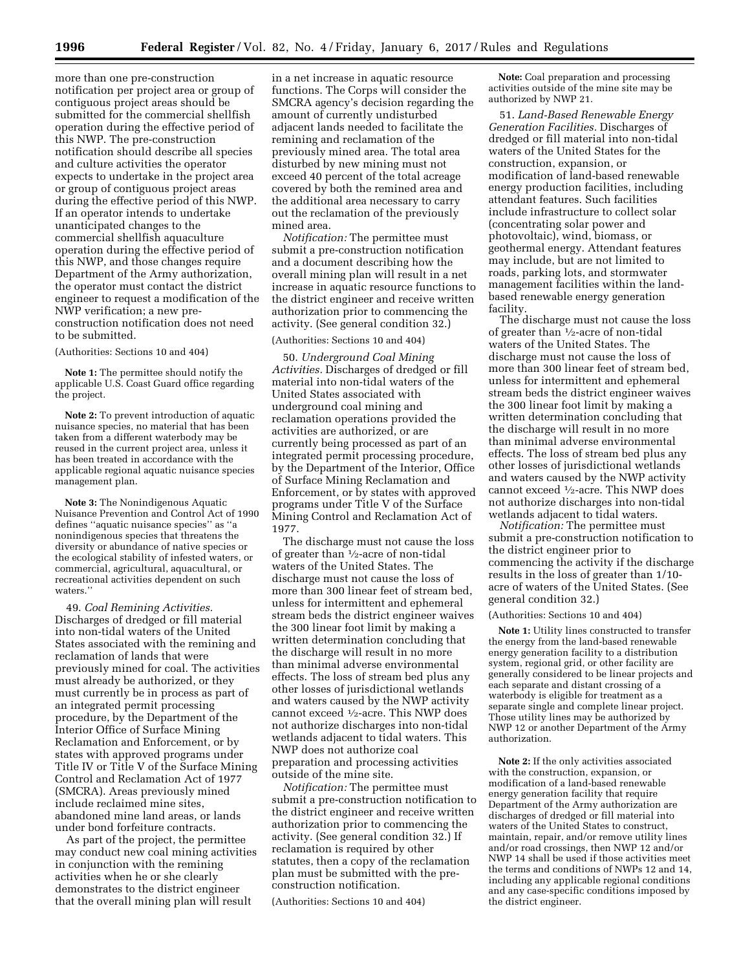more than one pre-construction notification per project area or group of contiguous project areas should be submitted for the commercial shellfish operation during the effective period of this NWP. The pre-construction notification should describe all species and culture activities the operator expects to undertake in the project area or group of contiguous project areas during the effective period of this NWP. If an operator intends to undertake unanticipated changes to the commercial shellfish aquaculture operation during the effective period of this NWP, and those changes require Department of the Army authorization, the operator must contact the district engineer to request a modification of the NWP verification; a new preconstruction notification does not need to be submitted.

### (Authorities: Sections 10 and 404)

**Note 1:** The permittee should notify the applicable U.S. Coast Guard office regarding the project.

**Note 2:** To prevent introduction of aquatic nuisance species, no material that has been taken from a different waterbody may be reused in the current project area, unless it has been treated in accordance with the applicable regional aquatic nuisance species management plan.

**Note 3:** The Nonindigenous Aquatic Nuisance Prevention and Control Act of 1990 defines ''aquatic nuisance species'' as ''a nonindigenous species that threatens the diversity or abundance of native species or the ecological stability of infested waters, or commercial, agricultural, aquacultural, or recreational activities dependent on such waters.''

49. *Coal Remining Activities.*  Discharges of dredged or fill material into non-tidal waters of the United States associated with the remining and reclamation of lands that were previously mined for coal. The activities must already be authorized, or they must currently be in process as part of an integrated permit processing procedure, by the Department of the Interior Office of Surface Mining Reclamation and Enforcement, or by states with approved programs under Title IV or Title V of the Surface Mining Control and Reclamation Act of 1977 (SMCRA). Areas previously mined include reclaimed mine sites, abandoned mine land areas, or lands under bond forfeiture contracts.

As part of the project, the permittee may conduct new coal mining activities in conjunction with the remining activities when he or she clearly demonstrates to the district engineer that the overall mining plan will result

in a net increase in aquatic resource functions. The Corps will consider the SMCRA agency's decision regarding the amount of currently undisturbed adjacent lands needed to facilitate the remining and reclamation of the previously mined area. The total area disturbed by new mining must not exceed 40 percent of the total acreage covered by both the remined area and the additional area necessary to carry out the reclamation of the previously mined area.

*Notification:* The permittee must submit a pre-construction notification and a document describing how the overall mining plan will result in a net increase in aquatic resource functions to the district engineer and receive written authorization prior to commencing the activity. (See general condition 32.)

# (Authorities: Sections 10 and 404)

50. *Underground Coal Mining Activities.* Discharges of dredged or fill material into non-tidal waters of the United States associated with underground coal mining and reclamation operations provided the activities are authorized, or are currently being processed as part of an integrated permit processing procedure, by the Department of the Interior, Office of Surface Mining Reclamation and Enforcement, or by states with approved programs under Title V of the Surface Mining Control and Reclamation Act of 1977.

The discharge must not cause the loss of greater than  $\frac{1}{2}$ -acre of non-tidal waters of the United States. The discharge must not cause the loss of more than 300 linear feet of stream bed, unless for intermittent and ephemeral stream beds the district engineer waives the 300 linear foot limit by making a written determination concluding that the discharge will result in no more than minimal adverse environmental effects. The loss of stream bed plus any other losses of jurisdictional wetlands and waters caused by the NWP activity cannot exceed  $\frac{1}{2}$ -acre. This NWP does not authorize discharges into non-tidal wetlands adjacent to tidal waters. This NWP does not authorize coal preparation and processing activities outside of the mine site.

*Notification:* The permittee must submit a pre-construction notification to the district engineer and receive written authorization prior to commencing the activity. (See general condition 32.) If reclamation is required by other statutes, then a copy of the reclamation plan must be submitted with the preconstruction notification.

(Authorities: Sections 10 and 404)

**Note:** Coal preparation and processing activities outside of the mine site may be authorized by NWP 21.

51. *Land-Based Renewable Energy Generation Facilities.* Discharges of dredged or fill material into non-tidal waters of the United States for the construction, expansion, or modification of land-based renewable energy production facilities, including attendant features. Such facilities include infrastructure to collect solar (concentrating solar power and photovoltaic), wind, biomass, or geothermal energy. Attendant features may include, but are not limited to roads, parking lots, and stormwater management facilities within the landbased renewable energy generation facility.

The discharge must not cause the loss of greater than  $\frac{1}{2}$ -acre of non-tidal waters of the United States. The discharge must not cause the loss of more than 300 linear feet of stream bed, unless for intermittent and ephemeral stream beds the district engineer waives the 300 linear foot limit by making a written determination concluding that the discharge will result in no more than minimal adverse environmental effects. The loss of stream bed plus any other losses of jurisdictional wetlands and waters caused by the NWP activity cannot exceed 1⁄2-acre. This NWP does not authorize discharges into non-tidal wetlands adjacent to tidal waters.

*Notification:* The permittee must submit a pre-construction notification to the district engineer prior to commencing the activity if the discharge results in the loss of greater than 1/10 acre of waters of the United States. (See general condition 32.)

### (Authorities: Sections 10 and 404)

**Note 1:** Utility lines constructed to transfer the energy from the land-based renewable energy generation facility to a distribution system, regional grid, or other facility are generally considered to be linear projects and each separate and distant crossing of a waterbody is eligible for treatment as a separate single and complete linear project. Those utility lines may be authorized by NWP 12 or another Department of the Army authorization.

**Note 2:** If the only activities associated with the construction, expansion, or modification of a land-based renewable energy generation facility that require Department of the Army authorization are discharges of dredged or fill material into waters of the United States to construct, maintain, repair, and/or remove utility lines and/or road crossings, then NWP 12 and/or NWP 14 shall be used if those activities meet the terms and conditions of NWPs 12 and 14, including any applicable regional conditions and any case-specific conditions imposed by the district engineer.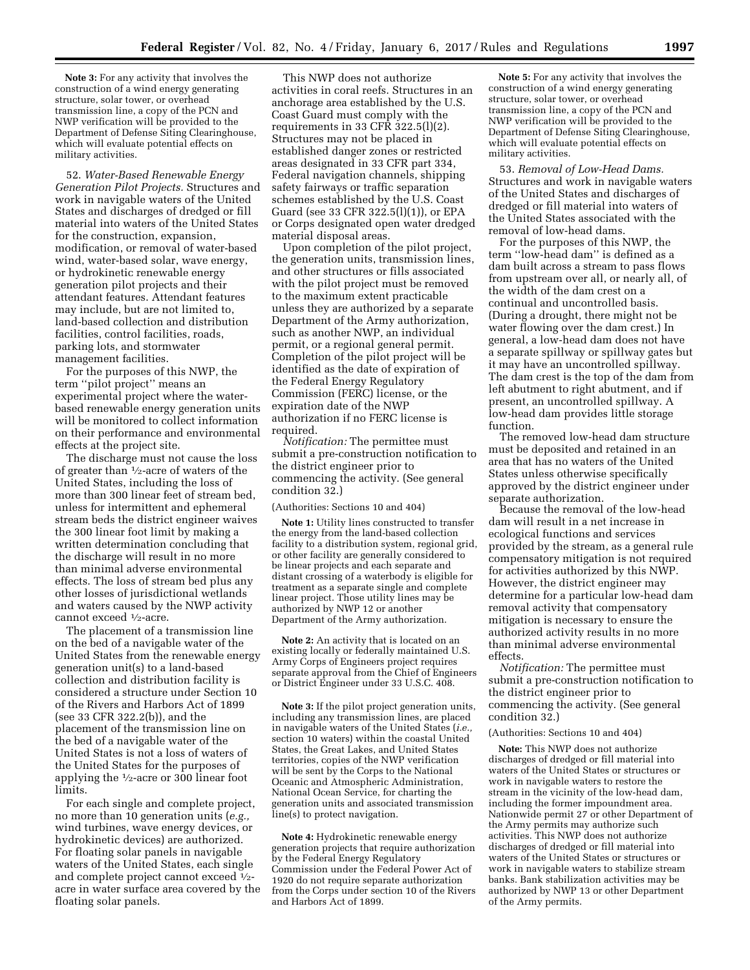**Note 3:** For any activity that involves the construction of a wind energy generating structure, solar tower, or overhead transmission line, a copy of the PCN and NWP verification will be provided to the Department of Defense Siting Clearinghouse, which will evaluate potential effects on military activities.

52. *Water-Based Renewable Energy Generation Pilot Projects.* Structures and work in navigable waters of the United States and discharges of dredged or fill material into waters of the United States for the construction, expansion, modification, or removal of water-based wind, water-based solar, wave energy, or hydrokinetic renewable energy generation pilot projects and their attendant features. Attendant features may include, but are not limited to, land-based collection and distribution facilities, control facilities, roads, parking lots, and stormwater management facilities.

For the purposes of this NWP, the term ''pilot project'' means an experimental project where the waterbased renewable energy generation units will be monitored to collect information on their performance and environmental effects at the project site.

The discharge must not cause the loss of greater than 1⁄2-acre of waters of the United States, including the loss of more than 300 linear feet of stream bed, unless for intermittent and ephemeral stream beds the district engineer waives the 300 linear foot limit by making a written determination concluding that the discharge will result in no more than minimal adverse environmental effects. The loss of stream bed plus any other losses of jurisdictional wetlands and waters caused by the NWP activity cannot exceed 1⁄2-acre.

The placement of a transmission line on the bed of a navigable water of the United States from the renewable energy generation unit(s) to a land-based collection and distribution facility is considered a structure under Section 10 of the Rivers and Harbors Act of 1899 (see 33 CFR 322.2(b)), and the placement of the transmission line on the bed of a navigable water of the United States is not a loss of waters of the United States for the purposes of applying the 1⁄2-acre or 300 linear foot limits.

For each single and complete project, no more than 10 generation units (*e.g.,*  wind turbines, wave energy devices, or hydrokinetic devices) are authorized. For floating solar panels in navigable waters of the United States, each single and complete project cannot exceed  $\frac{1}{2}$ acre in water surface area covered by the floating solar panels.

This NWP does not authorize activities in coral reefs. Structures in an anchorage area established by the U.S. Coast Guard must comply with the requirements in 33 CFR  $322.5(1)(2)$ . Structures may not be placed in established danger zones or restricted areas designated in 33 CFR part 334, Federal navigation channels, shipping safety fairways or traffic separation schemes established by the U.S. Coast Guard (see 33 CFR 322.5(l)(1)), or EPA or Corps designated open water dredged material disposal areas.

Upon completion of the pilot project, the generation units, transmission lines, and other structures or fills associated with the pilot project must be removed to the maximum extent practicable unless they are authorized by a separate Department of the Army authorization, such as another NWP, an individual permit, or a regional general permit. Completion of the pilot project will be identified as the date of expiration of the Federal Energy Regulatory Commission (FERC) license, or the expiration date of the NWP authorization if no FERC license is required.

*Notification:* The permittee must submit a pre-construction notification to the district engineer prior to commencing the activity. (See general condition 32.)

(Authorities: Sections 10 and 404)

**Note 1:** Utility lines constructed to transfer the energy from the land-based collection facility to a distribution system, regional grid, or other facility are generally considered to be linear projects and each separate and distant crossing of a waterbody is eligible for treatment as a separate single and complete linear project. Those utility lines may be authorized by NWP 12 or another Department of the Army authorization.

**Note 2:** An activity that is located on an existing locally or federally maintained U.S. Army Corps of Engineers project requires separate approval from the Chief of Engineers or District Engineer under 33 U.S.C. 408.

**Note 3:** If the pilot project generation units, including any transmission lines, are placed in navigable waters of the United States (*i.e.,*  section 10 waters) within the coastal United States, the Great Lakes, and United States territories, copies of the NWP verification will be sent by the Corps to the National Oceanic and Atmospheric Administration, National Ocean Service, for charting the generation units and associated transmission line(s) to protect navigation.

**Note 4:** Hydrokinetic renewable energy generation projects that require authorization by the Federal Energy Regulatory Commission under the Federal Power Act of 1920 do not require separate authorization from the Corps under section 10 of the Rivers and Harbors Act of 1899.

**Note 5:** For any activity that involves the construction of a wind energy generating structure, solar tower, or overhead transmission line, a copy of the PCN and NWP verification will be provided to the Department of Defense Siting Clearinghouse, which will evaluate potential effects on military activities.

53. *Removal of Low-Head Dams.*  Structures and work in navigable waters of the United States and discharges of dredged or fill material into waters of the United States associated with the removal of low-head dams.

For the purposes of this NWP, the term ''low-head dam'' is defined as a dam built across a stream to pass flows from upstream over all, or nearly all, of the width of the dam crest on a continual and uncontrolled basis. (During a drought, there might not be water flowing over the dam crest.) In general, a low-head dam does not have a separate spillway or spillway gates but it may have an uncontrolled spillway. The dam crest is the top of the dam from left abutment to right abutment, and if present, an uncontrolled spillway. A low-head dam provides little storage function.

The removed low-head dam structure must be deposited and retained in an area that has no waters of the United States unless otherwise specifically approved by the district engineer under separate authorization.

Because the removal of the low-head dam will result in a net increase in ecological functions and services provided by the stream, as a general rule compensatory mitigation is not required for activities authorized by this NWP. However, the district engineer may determine for a particular low-head dam removal activity that compensatory mitigation is necessary to ensure the authorized activity results in no more than minimal adverse environmental effects.

*Notification:* The permittee must submit a pre-construction notification to the district engineer prior to commencing the activity. (See general condition 32.)

### (Authorities: Sections 10 and 404)

**Note:** This NWP does not authorize discharges of dredged or fill material into waters of the United States or structures or work in navigable waters to restore the stream in the vicinity of the low-head dam, including the former impoundment area. Nationwide permit 27 or other Department of the Army permits may authorize such activities. This NWP does not authorize discharges of dredged or fill material into waters of the United States or structures or work in navigable waters to stabilize stream banks. Bank stabilization activities may be authorized by NWP 13 or other Department of the Army permits.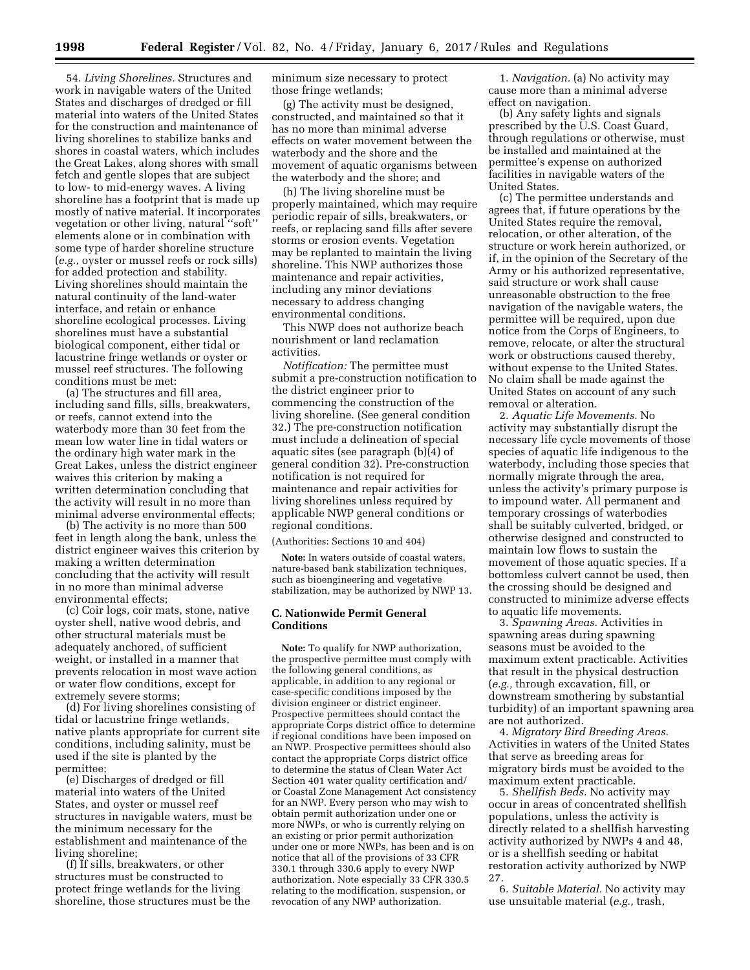54. *Living Shorelines.* Structures and work in navigable waters of the United States and discharges of dredged or fill material into waters of the United States for the construction and maintenance of living shorelines to stabilize banks and shores in coastal waters, which includes the Great Lakes, along shores with small fetch and gentle slopes that are subject to low- to mid-energy waves. A living shoreline has a footprint that is made up mostly of native material. It incorporates vegetation or other living, natural ''soft'' elements alone or in combination with some type of harder shoreline structure (*e.g.,* oyster or mussel reefs or rock sills) for added protection and stability. Living shorelines should maintain the natural continuity of the land-water interface, and retain or enhance shoreline ecological processes. Living shorelines must have a substantial biological component, either tidal or lacustrine fringe wetlands or oyster or mussel reef structures. The following conditions must be met:

(a) The structures and fill area, including sand fills, sills, breakwaters, or reefs, cannot extend into the waterbody more than 30 feet from the mean low water line in tidal waters or the ordinary high water mark in the Great Lakes, unless the district engineer waives this criterion by making a written determination concluding that the activity will result in no more than minimal adverse environmental effects;

(b) The activity is no more than 500 feet in length along the bank, unless the district engineer waives this criterion by making a written determination concluding that the activity will result in no more than minimal adverse environmental effects;

(c) Coir logs, coir mats, stone, native oyster shell, native wood debris, and other structural materials must be adequately anchored, of sufficient weight, or installed in a manner that prevents relocation in most wave action or water flow conditions, except for extremely severe storms;

(d) For living shorelines consisting of tidal or lacustrine fringe wetlands, native plants appropriate for current site conditions, including salinity, must be used if the site is planted by the permittee;

(e) Discharges of dredged or fill material into waters of the United States, and oyster or mussel reef structures in navigable waters, must be the minimum necessary for the establishment and maintenance of the living shoreline;

(f) If sills, breakwaters, or other structures must be constructed to protect fringe wetlands for the living shoreline, those structures must be the minimum size necessary to protect those fringe wetlands;

(g) The activity must be designed, constructed, and maintained so that it has no more than minimal adverse effects on water movement between the waterbody and the shore and the movement of aquatic organisms between the waterbody and the shore; and

(h) The living shoreline must be properly maintained, which may require periodic repair of sills, breakwaters, or reefs, or replacing sand fills after severe storms or erosion events. Vegetation may be replanted to maintain the living shoreline. This NWP authorizes those maintenance and repair activities, including any minor deviations necessary to address changing environmental conditions.

This NWP does not authorize beach nourishment or land reclamation activities.

*Notification:* The permittee must submit a pre-construction notification to the district engineer prior to commencing the construction of the living shoreline. (See general condition 32.) The pre-construction notification must include a delineation of special aquatic sites (see paragraph (b)(4) of general condition 32). Pre-construction notification is not required for maintenance and repair activities for living shorelines unless required by applicable NWP general conditions or regional conditions.

# (Authorities: Sections 10 and 404)

**Note:** In waters outside of coastal waters, nature-based bank stabilization techniques, such as bioengineering and vegetative stabilization, may be authorized by NWP 13.

# **C. Nationwide Permit General Conditions**

**Note:** To qualify for NWP authorization, the prospective permittee must comply with the following general conditions, as applicable, in addition to any regional or case-specific conditions imposed by the division engineer or district engineer. Prospective permittees should contact the appropriate Corps district office to determine if regional conditions have been imposed on an NWP. Prospective permittees should also contact the appropriate Corps district office to determine the status of Clean Water Act Section 401 water quality certification and/ or Coastal Zone Management Act consistency for an NWP. Every person who may wish to obtain permit authorization under one or more NWPs, or who is currently relying on an existing or prior permit authorization under one or more NWPs, has been and is on notice that all of the provisions of 33 CFR 330.1 through 330.6 apply to every NWP authorization. Note especially 33 CFR 330.5 relating to the modification, suspension, or revocation of any NWP authorization.

1. *Navigation.* (a) No activity may cause more than a minimal adverse effect on navigation.

(b) Any safety lights and signals prescribed by the U.S. Coast Guard, through regulations or otherwise, must be installed and maintained at the permittee's expense on authorized facilities in navigable waters of the United States.

(c) The permittee understands and agrees that, if future operations by the United States require the removal, relocation, or other alteration, of the structure or work herein authorized, or if, in the opinion of the Secretary of the Army or his authorized representative, said structure or work shall cause unreasonable obstruction to the free navigation of the navigable waters, the permittee will be required, upon due notice from the Corps of Engineers, to remove, relocate, or alter the structural work or obstructions caused thereby, without expense to the United States. No claim shall be made against the United States on account of any such removal or alteration.

2. *Aquatic Life Movements.* No activity may substantially disrupt the necessary life cycle movements of those species of aquatic life indigenous to the waterbody, including those species that normally migrate through the area, unless the activity's primary purpose is to impound water. All permanent and temporary crossings of waterbodies shall be suitably culverted, bridged, or otherwise designed and constructed to maintain low flows to sustain the movement of those aquatic species. If a bottomless culvert cannot be used, then the crossing should be designed and constructed to minimize adverse effects to aquatic life movements.

3. *Spawning Areas.* Activities in spawning areas during spawning seasons must be avoided to the maximum extent practicable. Activities that result in the physical destruction (*e.g.,* through excavation, fill, or downstream smothering by substantial turbidity) of an important spawning area are not authorized.

4. *Migratory Bird Breeding Areas.*  Activities in waters of the United States that serve as breeding areas for migratory birds must be avoided to the maximum extent practicable.

5. *Shellfish Beds.* No activity may occur in areas of concentrated shellfish populations, unless the activity is directly related to a shellfish harvesting activity authorized by NWPs 4 and 48, or is a shellfish seeding or habitat restoration activity authorized by NWP 27.

6. *Suitable Material.* No activity may use unsuitable material (*e.g.,* trash,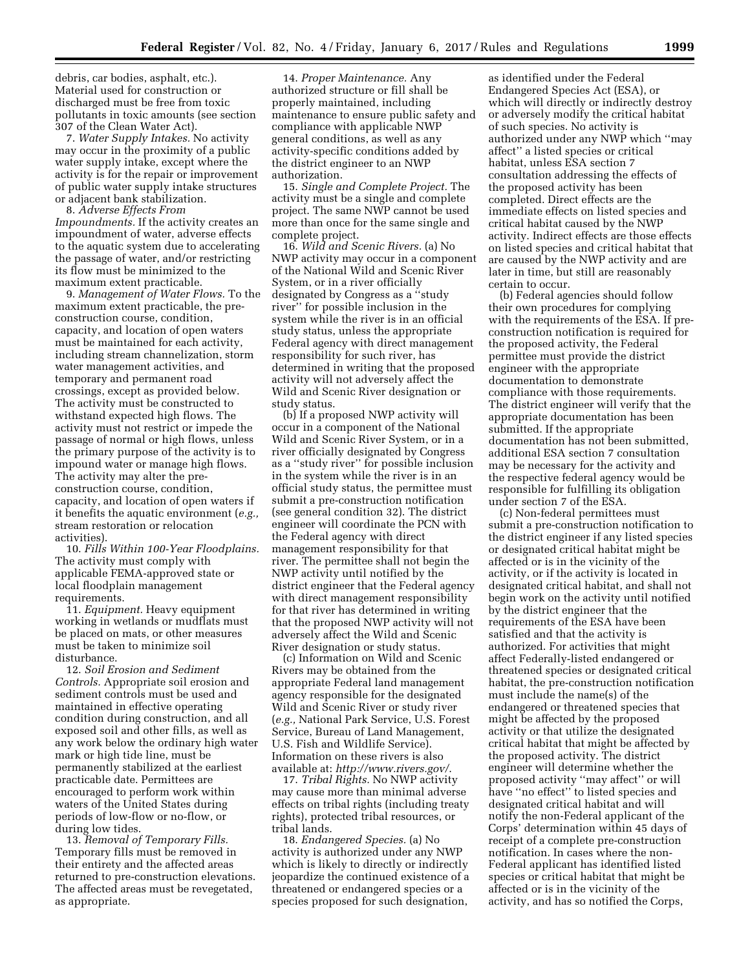debris, car bodies, asphalt, etc.). Material used for construction or discharged must be free from toxic pollutants in toxic amounts (see section 307 of the Clean Water Act).

7. *Water Supply Intakes.* No activity may occur in the proximity of a public water supply intake, except where the activity is for the repair or improvement of public water supply intake structures or adjacent bank stabilization.

8. *Adverse Effects From Impoundments.* If the activity creates an impoundment of water, adverse effects to the aquatic system due to accelerating the passage of water, and/or restricting its flow must be minimized to the maximum extent practicable.

9. *Management of Water Flows.* To the maximum extent practicable, the preconstruction course, condition, capacity, and location of open waters must be maintained for each activity, including stream channelization, storm water management activities, and temporary and permanent road crossings, except as provided below. The activity must be constructed to withstand expected high flows. The activity must not restrict or impede the passage of normal or high flows, unless the primary purpose of the activity is to impound water or manage high flows. The activity may alter the preconstruction course, condition, capacity, and location of open waters if it benefits the aquatic environment (*e.g.,*  stream restoration or relocation activities).

10. *Fills Within 100-Year Floodplains.*  The activity must comply with applicable FEMA-approved state or local floodplain management requirements.

11. *Equipment.* Heavy equipment working in wetlands or mudflats must be placed on mats, or other measures must be taken to minimize soil disturbance.

12. *Soil Erosion and Sediment Controls.* Appropriate soil erosion and sediment controls must be used and maintained in effective operating condition during construction, and all exposed soil and other fills, as well as any work below the ordinary high water mark or high tide line, must be permanently stabilized at the earliest practicable date. Permittees are encouraged to perform work within waters of the United States during periods of low-flow or no-flow, or during low tides.

13. *Removal of Temporary Fills.*  Temporary fills must be removed in their entirety and the affected areas returned to pre-construction elevations. The affected areas must be revegetated, as appropriate.

14. *Proper Maintenance.* Any authorized structure or fill shall be properly maintained, including maintenance to ensure public safety and compliance with applicable NWP general conditions, as well as any activity-specific conditions added by the district engineer to an NWP authorization.

15. *Single and Complete Project.* The activity must be a single and complete project. The same NWP cannot be used more than once for the same single and complete project.

16. *Wild and Scenic Rivers.* (a) No NWP activity may occur in a component of the National Wild and Scenic River System, or in a river officially designated by Congress as a ''study river'' for possible inclusion in the system while the river is in an official study status, unless the appropriate Federal agency with direct management responsibility for such river, has determined in writing that the proposed activity will not adversely affect the Wild and Scenic River designation or study status.

(b) If a proposed NWP activity will occur in a component of the National Wild and Scenic River System, or in a river officially designated by Congress as a ''study river'' for possible inclusion in the system while the river is in an official study status, the permittee must submit a pre-construction notification (see general condition 32). The district engineer will coordinate the PCN with the Federal agency with direct management responsibility for that river. The permittee shall not begin the NWP activity until notified by the district engineer that the Federal agency with direct management responsibility for that river has determined in writing that the proposed NWP activity will not adversely affect the Wild and Scenic River designation or study status.

(c) Information on Wild and Scenic Rivers may be obtained from the appropriate Federal land management agency responsible for the designated Wild and Scenic River or study river (*e.g.,* National Park Service, U.S. Forest Service, Bureau of Land Management, U.S. Fish and Wildlife Service). Information on these rivers is also available at: *<http://www.rivers.gov/>*.

17. *Tribal Rights.* No NWP activity may cause more than minimal adverse effects on tribal rights (including treaty rights), protected tribal resources, or tribal lands.

18. *Endangered Species.* (a) No activity is authorized under any NWP which is likely to directly or indirectly jeopardize the continued existence of a threatened or endangered species or a species proposed for such designation,

as identified under the Federal Endangered Species Act (ESA), or which will directly or indirectly destroy or adversely modify the critical habitat of such species. No activity is authorized under any NWP which ''may affect'' a listed species or critical habitat, unless ESA section 7 consultation addressing the effects of the proposed activity has been completed. Direct effects are the immediate effects on listed species and critical habitat caused by the NWP activity. Indirect effects are those effects on listed species and critical habitat that are caused by the NWP activity and are later in time, but still are reasonably certain to occur.

(b) Federal agencies should follow their own procedures for complying with the requirements of the ESA. If preconstruction notification is required for the proposed activity, the Federal permittee must provide the district engineer with the appropriate documentation to demonstrate compliance with those requirements. The district engineer will verify that the appropriate documentation has been submitted. If the appropriate documentation has not been submitted, additional ESA section 7 consultation may be necessary for the activity and the respective federal agency would be responsible for fulfilling its obligation under section 7 of the ESA.

(c) Non-federal permittees must submit a pre-construction notification to the district engineer if any listed species or designated critical habitat might be affected or is in the vicinity of the activity, or if the activity is located in designated critical habitat, and shall not begin work on the activity until notified by the district engineer that the requirements of the ESA have been satisfied and that the activity is authorized. For activities that might affect Federally-listed endangered or threatened species or designated critical habitat, the pre-construction notification must include the name(s) of the endangered or threatened species that might be affected by the proposed activity or that utilize the designated critical habitat that might be affected by the proposed activity. The district engineer will determine whether the proposed activity ''may affect'' or will have ''no effect'' to listed species and designated critical habitat and will notify the non-Federal applicant of the Corps' determination within 45 days of receipt of a complete pre-construction notification. In cases where the non-Federal applicant has identified listed species or critical habitat that might be affected or is in the vicinity of the activity, and has so notified the Corps,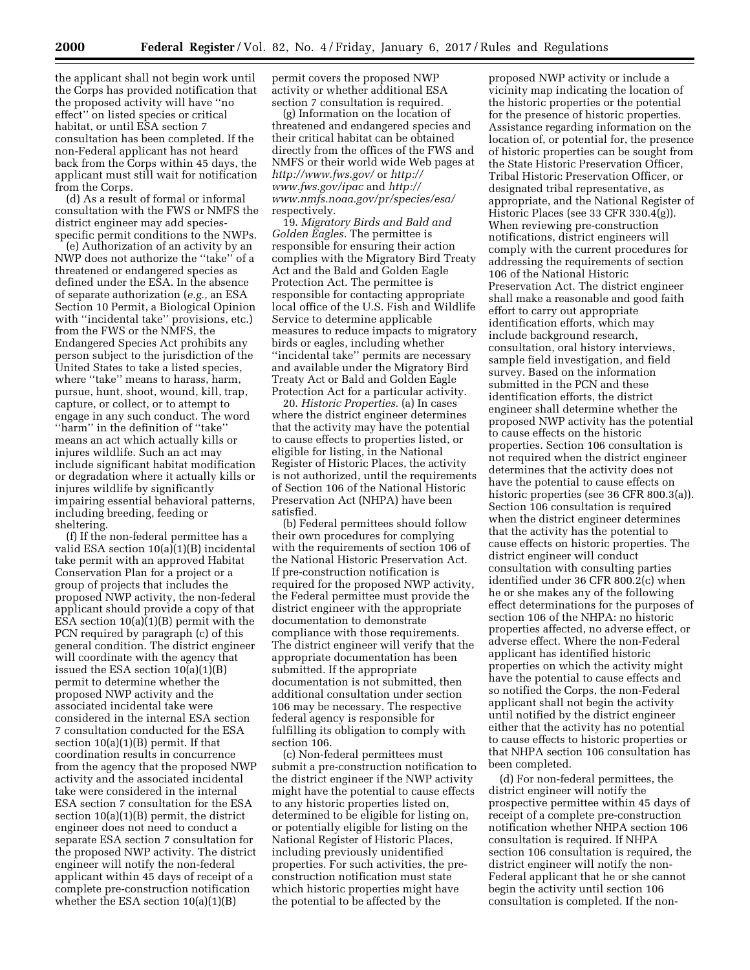the applicant shall not begin work until the Corps has provided notification that the proposed activity will have ''no effect'' on listed species or critical habitat, or until ESA section 7 consultation has been completed. If the non-Federal applicant has not heard back from the Corps within 45 days, the applicant must still wait for notification from the Corps.

(d) As a result of formal or informal consultation with the FWS or NMFS the district engineer may add speciesspecific permit conditions to the NWPs.

(e) Authorization of an activity by an NWP does not authorize the ''take'' of a threatened or endangered species as defined under the ESA. In the absence of separate authorization (*e.g.,* an ESA Section 10 Permit, a Biological Opinion with "incidental take" provisions, etc.) from the FWS or the NMFS, the Endangered Species Act prohibits any person subject to the jurisdiction of the United States to take a listed species, where ''take'' means to harass, harm, pursue, hunt, shoot, wound, kill, trap, capture, or collect, or to attempt to engage in any such conduct. The word ''harm'' in the definition of ''take'' means an act which actually kills or injures wildlife. Such an act may include significant habitat modification or degradation where it actually kills or injures wildlife by significantly impairing essential behavioral patterns, including breeding, feeding or sheltering.

(f) If the non-federal permittee has a valid ESA section 10(a)(1)(B) incidental take permit with an approved Habitat Conservation Plan for a project or a group of projects that includes the proposed NWP activity, the non-federal applicant should provide a copy of that ESA section 10(a)(1)(B) permit with the PCN required by paragraph (c) of this general condition. The district engineer will coordinate with the agency that issued the ESA section 10(a)(1)(B) permit to determine whether the proposed NWP activity and the associated incidental take were considered in the internal ESA section 7 consultation conducted for the ESA section  $10(a)(1)(B)$  permit. If that coordination results in concurrence from the agency that the proposed NWP activity and the associated incidental take were considered in the internal ESA section 7 consultation for the ESA section 10(a)(1)(B) permit, the district engineer does not need to conduct a separate ESA section 7 consultation for the proposed NWP activity. The district engineer will notify the non-federal applicant within 45 days of receipt of a complete pre-construction notification whether the ESA section 10(a)(1)(B)

permit covers the proposed NWP activity or whether additional ESA section 7 consultation is required.

(g) Information on the location of threatened and endangered species and their critical habitat can be obtained directly from the offices of the FWS and NMFS or their world wide Web pages at *<http://www.fws.gov/>*or *[http://](http://www.fws.gov/ipac) [www.fws.gov/ipac](http://www.fws.gov/ipac)* and *[http://](http://www.nmfs.noaa.gov/pr/species/esa/) [www.nmfs.noaa.gov/pr/species/esa/](http://www.nmfs.noaa.gov/pr/species/esa/)*  respectively.

19. *Migratory Birds and Bald and Golden Eagles.* The permittee is responsible for ensuring their action complies with the Migratory Bird Treaty Act and the Bald and Golden Eagle Protection Act. The permittee is responsible for contacting appropriate local office of the U.S. Fish and Wildlife Service to determine applicable measures to reduce impacts to migratory birds or eagles, including whether ''incidental take'' permits are necessary and available under the Migratory Bird Treaty Act or Bald and Golden Eagle Protection Act for a particular activity.

20. *Historic Properties.* (a) In cases where the district engineer determines that the activity may have the potential to cause effects to properties listed, or eligible for listing, in the National Register of Historic Places, the activity is not authorized, until the requirements of Section 106 of the National Historic Preservation Act (NHPA) have been satisfied.

(b) Federal permittees should follow their own procedures for complying with the requirements of section 106 of the National Historic Preservation Act. If pre-construction notification is required for the proposed NWP activity, the Federal permittee must provide the district engineer with the appropriate documentation to demonstrate compliance with those requirements. The district engineer will verify that the appropriate documentation has been submitted. If the appropriate documentation is not submitted, then additional consultation under section 106 may be necessary. The respective federal agency is responsible for fulfilling its obligation to comply with section 106.

(c) Non-federal permittees must submit a pre-construction notification to the district engineer if the NWP activity might have the potential to cause effects to any historic properties listed on, determined to be eligible for listing on, or potentially eligible for listing on the National Register of Historic Places, including previously unidentified properties. For such activities, the preconstruction notification must state which historic properties might have the potential to be affected by the

proposed NWP activity or include a vicinity map indicating the location of the historic properties or the potential for the presence of historic properties. Assistance regarding information on the location of, or potential for, the presence of historic properties can be sought from the State Historic Preservation Officer, Tribal Historic Preservation Officer, or designated tribal representative, as appropriate, and the National Register of Historic Places (see 33 CFR 330.4(g)). When reviewing pre-construction notifications, district engineers will comply with the current procedures for addressing the requirements of section 106 of the National Historic Preservation Act. The district engineer shall make a reasonable and good faith effort to carry out appropriate identification efforts, which may include background research, consultation, oral history interviews, sample field investigation, and field survey. Based on the information submitted in the PCN and these identification efforts, the district engineer shall determine whether the proposed NWP activity has the potential to cause effects on the historic properties. Section 106 consultation is not required when the district engineer determines that the activity does not have the potential to cause effects on historic properties (see 36 CFR 800.3(a)). Section 106 consultation is required when the district engineer determines that the activity has the potential to cause effects on historic properties. The district engineer will conduct consultation with consulting parties identified under 36 CFR 800.2(c) when he or she makes any of the following effect determinations for the purposes of section 106 of the NHPA: no historic properties affected, no adverse effect, or adverse effect. Where the non-Federal applicant has identified historic properties on which the activity might have the potential to cause effects and so notified the Corps, the non-Federal applicant shall not begin the activity until notified by the district engineer either that the activity has no potential to cause effects to historic properties or that NHPA section 106 consultation has been completed.

(d) For non-federal permittees, the district engineer will notify the prospective permittee within 45 days of receipt of a complete pre-construction notification whether NHPA section 106 consultation is required. If NHPA section 106 consultation is required, the district engineer will notify the non-Federal applicant that he or she cannot begin the activity until section 106 consultation is completed. If the non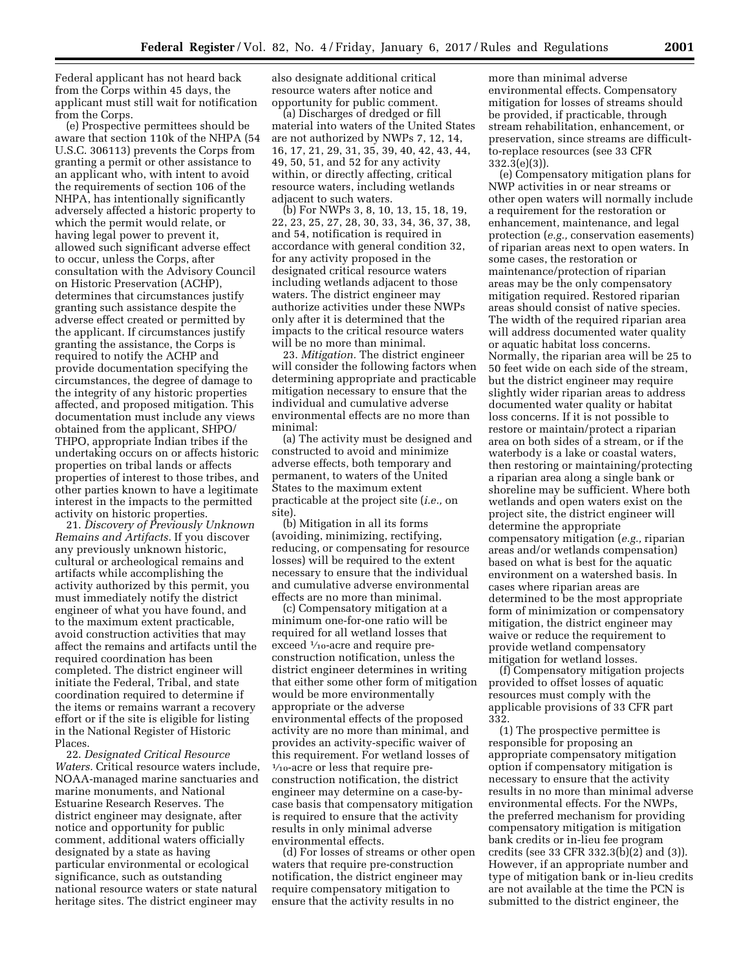Federal applicant has not heard back from the Corps within 45 days, the applicant must still wait for notification from the Corps.

(e) Prospective permittees should be aware that section 110k of the NHPA (54 U.S.C. 306113) prevents the Corps from granting a permit or other assistance to an applicant who, with intent to avoid the requirements of section 106 of the NHPA, has intentionally significantly adversely affected a historic property to which the permit would relate, or having legal power to prevent it, allowed such significant adverse effect to occur, unless the Corps, after consultation with the Advisory Council on Historic Preservation (ACHP), determines that circumstances justify granting such assistance despite the adverse effect created or permitted by the applicant. If circumstances justify granting the assistance, the Corps is required to notify the ACHP and provide documentation specifying the circumstances, the degree of damage to the integrity of any historic properties affected, and proposed mitigation. This documentation must include any views obtained from the applicant, SHPO/ THPO, appropriate Indian tribes if the undertaking occurs on or affects historic properties on tribal lands or affects properties of interest to those tribes, and other parties known to have a legitimate interest in the impacts to the permitted activity on historic properties.

21. *Discovery of Previously Unknown Remains and Artifacts.* If you discover any previously unknown historic, cultural or archeological remains and artifacts while accomplishing the activity authorized by this permit, you must immediately notify the district engineer of what you have found, and to the maximum extent practicable, avoid construction activities that may affect the remains and artifacts until the required coordination has been completed. The district engineer will initiate the Federal, Tribal, and state coordination required to determine if the items or remains warrant a recovery effort or if the site is eligible for listing in the National Register of Historic Places.

22. *Designated Critical Resource Waters.* Critical resource waters include, NOAA-managed marine sanctuaries and marine monuments, and National Estuarine Research Reserves. The district engineer may designate, after notice and opportunity for public comment, additional waters officially designated by a state as having particular environmental or ecological significance, such as outstanding national resource waters or state natural heritage sites. The district engineer may

also designate additional critical resource waters after notice and opportunity for public comment.

(a) Discharges of dredged or fill material into waters of the United States are not authorized by NWPs 7, 12, 14, 16, 17, 21, 29, 31, 35, 39, 40, 42, 43, 44, 49, 50, 51, and 52 for any activity within, or directly affecting, critical resource waters, including wetlands adjacent to such waters.

(b) For NWPs 3, 8, 10, 13, 15, 18, 19, 22, 23, 25, 27, 28, 30, 33, 34, 36, 37, 38, and 54, notification is required in accordance with general condition 32, for any activity proposed in the designated critical resource waters including wetlands adjacent to those waters. The district engineer may authorize activities under these NWPs only after it is determined that the impacts to the critical resource waters will be no more than minimal.

23. *Mitigation.* The district engineer will consider the following factors when determining appropriate and practicable mitigation necessary to ensure that the individual and cumulative adverse environmental effects are no more than minimal:

(a) The activity must be designed and constructed to avoid and minimize adverse effects, both temporary and permanent, to waters of the United States to the maximum extent practicable at the project site (*i.e.,* on site).

(b) Mitigation in all its forms (avoiding, minimizing, rectifying, reducing, or compensating for resource losses) will be required to the extent necessary to ensure that the individual and cumulative adverse environmental effects are no more than minimal.

(c) Compensatory mitigation at a minimum one-for-one ratio will be required for all wetland losses that exceed  $\frac{1}{10}$ -acre and require preconstruction notification, unless the district engineer determines in writing that either some other form of mitigation would be more environmentally appropriate or the adverse environmental effects of the proposed activity are no more than minimal, and provides an activity-specific waiver of this requirement. For wetland losses of 1⁄10-acre or less that require preconstruction notification, the district engineer may determine on a case-bycase basis that compensatory mitigation is required to ensure that the activity results in only minimal adverse environmental effects.

(d) For losses of streams or other open waters that require pre-construction notification, the district engineer may require compensatory mitigation to ensure that the activity results in no

more than minimal adverse environmental effects. Compensatory mitigation for losses of streams should be provided, if practicable, through stream rehabilitation, enhancement, or preservation, since streams are difficultto-replace resources (see 33 CFR 332.3(e)(3)).

(e) Compensatory mitigation plans for NWP activities in or near streams or other open waters will normally include a requirement for the restoration or enhancement, maintenance, and legal protection (*e.g.,* conservation easements) of riparian areas next to open waters. In some cases, the restoration or maintenance/protection of riparian areas may be the only compensatory mitigation required. Restored riparian areas should consist of native species. The width of the required riparian area will address documented water quality or aquatic habitat loss concerns. Normally, the riparian area will be 25 to 50 feet wide on each side of the stream, but the district engineer may require slightly wider riparian areas to address documented water quality or habitat loss concerns. If it is not possible to restore or maintain/protect a riparian area on both sides of a stream, or if the waterbody is a lake or coastal waters, then restoring or maintaining/protecting a riparian area along a single bank or shoreline may be sufficient. Where both wetlands and open waters exist on the project site, the district engineer will determine the appropriate compensatory mitigation (*e.g.,* riparian areas and/or wetlands compensation) based on what is best for the aquatic environment on a watershed basis. In cases where riparian areas are determined to be the most appropriate form of minimization or compensatory mitigation, the district engineer may waive or reduce the requirement to provide wetland compensatory mitigation for wetland losses.

(f) Compensatory mitigation projects provided to offset losses of aquatic resources must comply with the applicable provisions of 33 CFR part 332.

(1) The prospective permittee is responsible for proposing an appropriate compensatory mitigation option if compensatory mitigation is necessary to ensure that the activity results in no more than minimal adverse environmental effects. For the NWPs, the preferred mechanism for providing compensatory mitigation is mitigation bank credits or in-lieu fee program credits (see 33 CFR 332.3(b)(2) and (3)). However, if an appropriate number and type of mitigation bank or in-lieu credits are not available at the time the PCN is submitted to the district engineer, the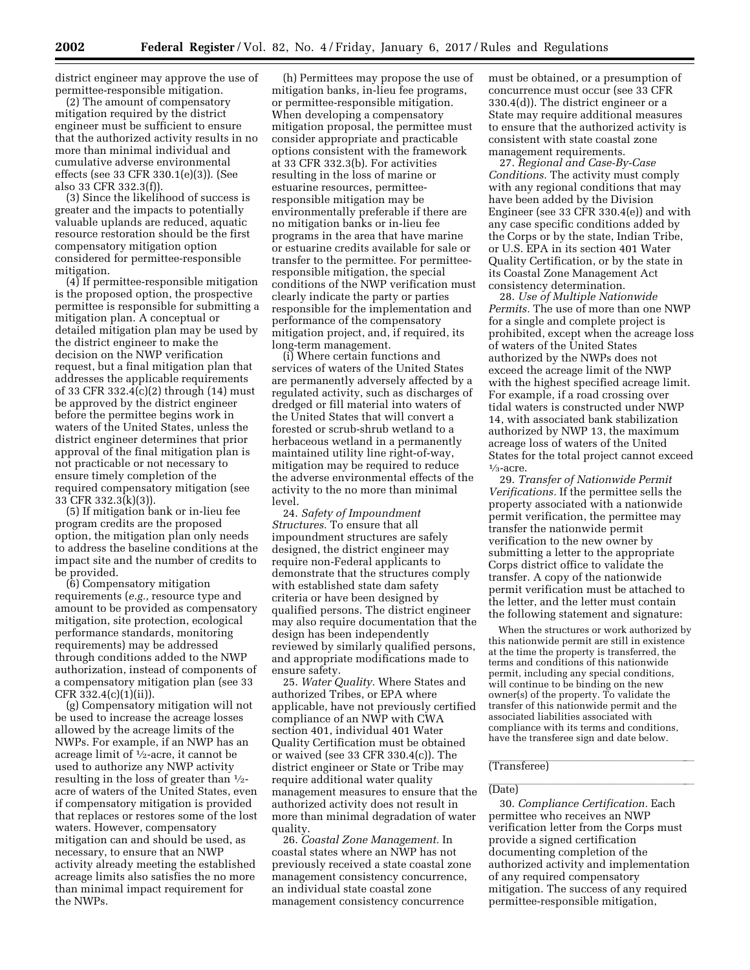district engineer may approve the use of permittee-responsible mitigation.

(2) The amount of compensatory mitigation required by the district engineer must be sufficient to ensure that the authorized activity results in no more than minimal individual and cumulative adverse environmental effects (see 33 CFR 330.1(e)(3)). (See also 33 CFR 332.3(f)).

(3) Since the likelihood of success is greater and the impacts to potentially valuable uplands are reduced, aquatic resource restoration should be the first compensatory mitigation option considered for permittee-responsible mitigation.

(4) If permittee-responsible mitigation is the proposed option, the prospective permittee is responsible for submitting a mitigation plan. A conceptual or detailed mitigation plan may be used by the district engineer to make the decision on the NWP verification request, but a final mitigation plan that addresses the applicable requirements of 33 CFR 332.4(c)(2) through (14) must be approved by the district engineer before the permittee begins work in waters of the United States, unless the district engineer determines that prior approval of the final mitigation plan is not practicable or not necessary to ensure timely completion of the required compensatory mitigation (see 33 CFR 332.3(k)(3)).

(5) If mitigation bank or in-lieu fee program credits are the proposed option, the mitigation plan only needs to address the baseline conditions at the impact site and the number of credits to be provided.

(6) Compensatory mitigation requirements (*e.g.,* resource type and amount to be provided as compensatory mitigation, site protection, ecological performance standards, monitoring requirements) may be addressed through conditions added to the NWP authorization, instead of components of a compensatory mitigation plan (see 33 CFR 332.4(c)(1)(ii)).

(g) Compensatory mitigation will not be used to increase the acreage losses allowed by the acreage limits of the NWPs. For example, if an NWP has an acreage limit of 1⁄2-acre, it cannot be used to authorize any NWP activity resulting in the loss of greater than  $\frac{1}{2}$ acre of waters of the United States, even if compensatory mitigation is provided that replaces or restores some of the lost waters. However, compensatory mitigation can and should be used, as necessary, to ensure that an NWP activity already meeting the established acreage limits also satisfies the no more than minimal impact requirement for the NWPs.

(h) Permittees may propose the use of mitigation banks, in-lieu fee programs, or permittee-responsible mitigation. When developing a compensatory mitigation proposal, the permittee must consider appropriate and practicable options consistent with the framework at 33 CFR 332.3(b). For activities resulting in the loss of marine or estuarine resources, permitteeresponsible mitigation may be environmentally preferable if there are no mitigation banks or in-lieu fee programs in the area that have marine or estuarine credits available for sale or transfer to the permittee. For permitteeresponsible mitigation, the special conditions of the NWP verification must clearly indicate the party or parties responsible for the implementation and performance of the compensatory mitigation project, and, if required, its long-term management.

(i) Where certain functions and services of waters of the United States are permanently adversely affected by a regulated activity, such as discharges of dredged or fill material into waters of the United States that will convert a forested or scrub-shrub wetland to a herbaceous wetland in a permanently maintained utility line right-of-way, mitigation may be required to reduce the adverse environmental effects of the activity to the no more than minimal level.

24. *Safety of Impoundment Structures.* To ensure that all impoundment structures are safely designed, the district engineer may require non-Federal applicants to demonstrate that the structures comply with established state dam safety criteria or have been designed by qualified persons. The district engineer may also require documentation that the design has been independently reviewed by similarly qualified persons, and appropriate modifications made to ensure safety.

25. *Water Quality.* Where States and authorized Tribes, or EPA where applicable, have not previously certified compliance of an NWP with CWA section 401, individual 401 Water Quality Certification must be obtained or waived (see 33 CFR 330.4(c)). The district engineer or State or Tribe may require additional water quality management measures to ensure that the authorized activity does not result in more than minimal degradation of water quality.

26. *Coastal Zone Management.* In coastal states where an NWP has not previously received a state coastal zone management consistency concurrence, an individual state coastal zone management consistency concurrence

must be obtained, or a presumption of concurrence must occur (see 33 CFR 330.4(d)). The district engineer or a State may require additional measures to ensure that the authorized activity is consistent with state coastal zone management requirements.

27. *Regional and Case-By-Case Conditions.* The activity must comply with any regional conditions that may have been added by the Division Engineer (see 33 CFR 330.4(e)) and with any case specific conditions added by the Corps or by the state, Indian Tribe, or U.S. EPA in its section 401 Water Quality Certification, or by the state in its Coastal Zone Management Act consistency determination.

28. *Use of Multiple Nationwide Permits.* The use of more than one NWP for a single and complete project is prohibited, except when the acreage loss of waters of the United States authorized by the NWPs does not exceed the acreage limit of the NWP with the highest specified acreage limit. For example, if a road crossing over tidal waters is constructed under NWP 14, with associated bank stabilization authorized by NWP 13, the maximum acreage loss of waters of the United States for the total project cannot exceed  $\frac{1}{3}$ -acre.

29. *Transfer of Nationwide Permit Verifications.* If the permittee sells the property associated with a nationwide permit verification, the permittee may transfer the nationwide permit verification to the new owner by submitting a letter to the appropriate Corps district office to validate the transfer. A copy of the nationwide permit verification must be attached to the letter, and the letter must contain the following statement and signature:

When the structures or work authorized by this nationwide permit are still in existence at the time the property is transferred, the terms and conditions of this nationwide permit, including any special conditions, will continue to be binding on the new owner(s) of the property. To validate the transfer of this nationwide permit and the associated liabilities associated with compliance with its terms and conditions, have the transferee sign and date below.

# (Transferee)

# (Date)

30. *Compliance Certification.* Each permittee who receives an NWP verification letter from the Corps must provide a signed certification documenting completion of the authorized activity and implementation of any required compensatory mitigation. The success of any required permittee-responsible mitigation,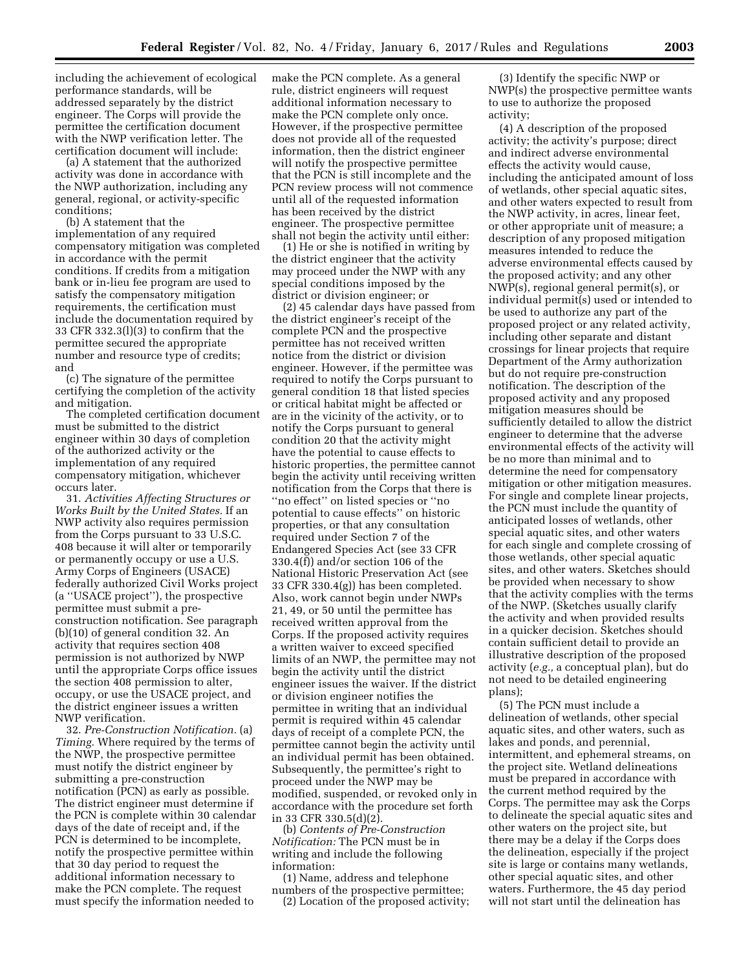including the achievement of ecological performance standards, will be addressed separately by the district engineer. The Corps will provide the permittee the certification document with the NWP verification letter. The certification document will include:

(a) A statement that the authorized activity was done in accordance with the NWP authorization, including any general, regional, or activity-specific conditions;

(b) A statement that the implementation of any required compensatory mitigation was completed in accordance with the permit conditions. If credits from a mitigation bank or in-lieu fee program are used to satisfy the compensatory mitigation requirements, the certification must include the documentation required by 33 CFR 332.3(l)(3) to confirm that the permittee secured the appropriate number and resource type of credits; and

(c) The signature of the permittee certifying the completion of the activity and mitigation.

The completed certification document must be submitted to the district engineer within 30 days of completion of the authorized activity or the implementation of any required compensatory mitigation, whichever occurs later.

31. *Activities Affecting Structures or Works Built by the United States.* If an NWP activity also requires permission from the Corps pursuant to 33 U.S.C. 408 because it will alter or temporarily or permanently occupy or use a U.S. Army Corps of Engineers (USACE) federally authorized Civil Works project (a ''USACE project''), the prospective permittee must submit a preconstruction notification. See paragraph (b)(10) of general condition 32. An activity that requires section 408 permission is not authorized by NWP until the appropriate Corps office issues the section 408 permission to alter, occupy, or use the USACE project, and the district engineer issues a written NWP verification.

32. *Pre-Construction Notification.* (a) *Timing.* Where required by the terms of the NWP, the prospective permittee must notify the district engineer by submitting a pre-construction notification (PCN) as early as possible. The district engineer must determine if the PCN is complete within 30 calendar days of the date of receipt and, if the PCN is determined to be incomplete, notify the prospective permittee within that 30 day period to request the additional information necessary to make the PCN complete. The request must specify the information needed to

make the PCN complete. As a general rule, district engineers will request additional information necessary to make the PCN complete only once. However, if the prospective permittee does not provide all of the requested information, then the district engineer will notify the prospective permittee that the PCN is still incomplete and the PCN review process will not commence until all of the requested information has been received by the district engineer. The prospective permittee shall not begin the activity until either:

(1) He or she is notified in writing by the district engineer that the activity may proceed under the NWP with any special conditions imposed by the district or division engineer; or

(2) 45 calendar days have passed from the district engineer's receipt of the complete PCN and the prospective permittee has not received written notice from the district or division engineer. However, if the permittee was required to notify the Corps pursuant to general condition 18 that listed species or critical habitat might be affected or are in the vicinity of the activity, or to notify the Corps pursuant to general condition 20 that the activity might have the potential to cause effects to historic properties, the permittee cannot begin the activity until receiving written notification from the Corps that there is ''no effect'' on listed species or ''no potential to cause effects'' on historic properties, or that any consultation required under Section 7 of the Endangered Species Act (see 33 CFR 330.4(f)) and/or section 106 of the National Historic Preservation Act (see 33 CFR 330.4(g)) has been completed. Also, work cannot begin under NWPs 21, 49, or 50 until the permittee has received written approval from the Corps. If the proposed activity requires a written waiver to exceed specified limits of an NWP, the permittee may not begin the activity until the district engineer issues the waiver. If the district or division engineer notifies the permittee in writing that an individual permit is required within 45 calendar days of receipt of a complete PCN, the permittee cannot begin the activity until an individual permit has been obtained. Subsequently, the permittee's right to proceed under the NWP may be modified, suspended, or revoked only in accordance with the procedure set forth in 33 CFR 330.5(d)(2).

(b) *Contents of Pre-Construction Notification:* The PCN must be in writing and include the following information:

(1) Name, address and telephone

numbers of the prospective permittee; (2) Location of the proposed activity;

(3) Identify the specific NWP or NWP(s) the prospective permittee wants to use to authorize the proposed activity;

(4) A description of the proposed activity; the activity's purpose; direct and indirect adverse environmental effects the activity would cause, including the anticipated amount of loss of wetlands, other special aquatic sites, and other waters expected to result from the NWP activity, in acres, linear feet, or other appropriate unit of measure; a description of any proposed mitigation measures intended to reduce the adverse environmental effects caused by the proposed activity; and any other NWP(s), regional general permit(s), or individual permit(s) used or intended to be used to authorize any part of the proposed project or any related activity, including other separate and distant crossings for linear projects that require Department of the Army authorization but do not require pre-construction notification. The description of the proposed activity and any proposed mitigation measures should be sufficiently detailed to allow the district engineer to determine that the adverse environmental effects of the activity will be no more than minimal and to determine the need for compensatory mitigation or other mitigation measures. For single and complete linear projects, the PCN must include the quantity of anticipated losses of wetlands, other special aquatic sites, and other waters for each single and complete crossing of those wetlands, other special aquatic sites, and other waters. Sketches should be provided when necessary to show that the activity complies with the terms of the NWP. (Sketches usually clarify the activity and when provided results in a quicker decision. Sketches should contain sufficient detail to provide an illustrative description of the proposed activity (*e.g.,* a conceptual plan), but do not need to be detailed engineering plans);

(5) The PCN must include a delineation of wetlands, other special aquatic sites, and other waters, such as lakes and ponds, and perennial, intermittent, and ephemeral streams, on the project site. Wetland delineations must be prepared in accordance with the current method required by the Corps. The permittee may ask the Corps to delineate the special aquatic sites and other waters on the project site, but there may be a delay if the Corps does the delineation, especially if the project site is large or contains many wetlands, other special aquatic sites, and other waters. Furthermore, the 45 day period will not start until the delineation has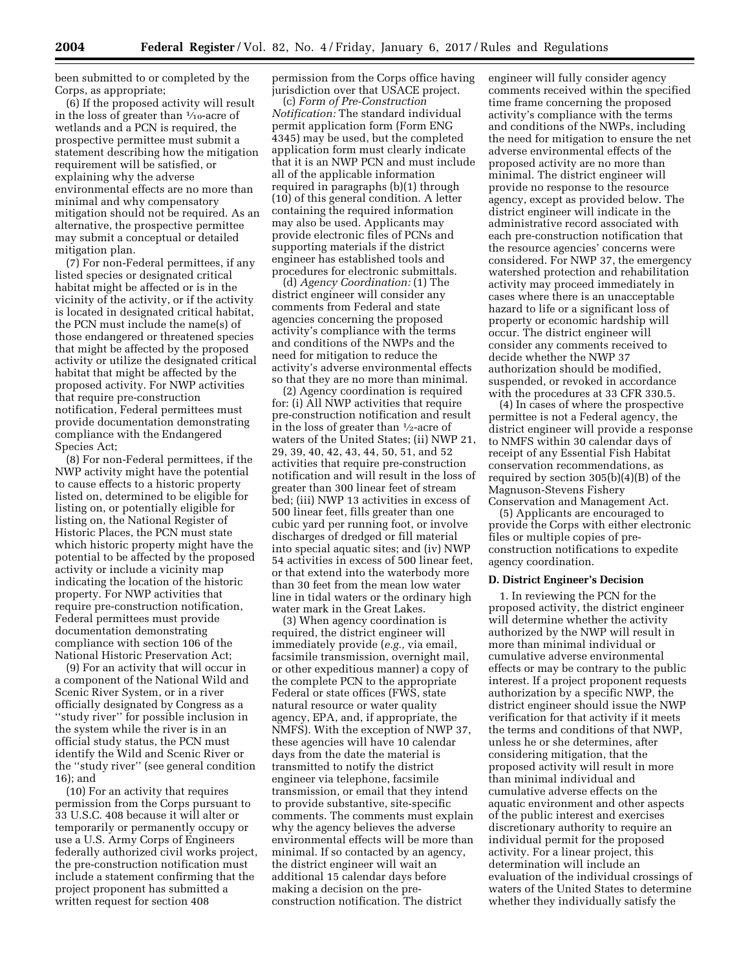been submitted to or completed by the Corps, as appropriate;

(6) If the proposed activity will result in the loss of greater than  $\frac{1}{10}$ -acre of wetlands and a PCN is required, the prospective permittee must submit a statement describing how the mitigation requirement will be satisfied, or explaining why the adverse environmental effects are no more than minimal and why compensatory mitigation should not be required. As an alternative, the prospective permittee may submit a conceptual or detailed mitigation plan.

(7) For non-Federal permittees, if any listed species or designated critical habitat might be affected or is in the vicinity of the activity, or if the activity is located in designated critical habitat, the PCN must include the name(s) of those endangered or threatened species that might be affected by the proposed activity or utilize the designated critical habitat that might be affected by the proposed activity. For NWP activities that require pre-construction notification, Federal permittees must provide documentation demonstrating compliance with the Endangered Species Act;

(8) For non-Federal permittees, if the NWP activity might have the potential to cause effects to a historic property listed on, determined to be eligible for listing on, or potentially eligible for listing on, the National Register of Historic Places, the PCN must state which historic property might have the potential to be affected by the proposed activity or include a vicinity map indicating the location of the historic property. For NWP activities that require pre-construction notification, Federal permittees must provide documentation demonstrating compliance with section 106 of the National Historic Preservation Act;

(9) For an activity that will occur in a component of the National Wild and Scenic River System, or in a river officially designated by Congress as a ''study river'' for possible inclusion in the system while the river is in an official study status, the PCN must identify the Wild and Scenic River or the ''study river'' (see general condition 16); and

(10) For an activity that requires permission from the Corps pursuant to 33 U.S.C. 408 because it will alter or temporarily or permanently occupy or use a U.S. Army Corps of Engineers federally authorized civil works project, the pre-construction notification must include a statement confirming that the project proponent has submitted a written request for section 408

permission from the Corps office having jurisdiction over that USACE project.

(c) *Form of Pre-Construction Notification:* The standard individual permit application form (Form ENG 4345) may be used, but the completed application form must clearly indicate that it is an NWP PCN and must include all of the applicable information required in paragraphs (b)(1) through (10) of this general condition. A letter containing the required information may also be used. Applicants may provide electronic files of PCNs and supporting materials if the district engineer has established tools and procedures for electronic submittals.

(d) *Agency Coordination:* (1) The district engineer will consider any comments from Federal and state agencies concerning the proposed activity's compliance with the terms and conditions of the NWPs and the need for mitigation to reduce the activity's adverse environmental effects so that they are no more than minimal.

(2) Agency coordination is required for: (i) All NWP activities that require pre-construction notification and result in the loss of greater than 1⁄2-acre of waters of the United States; (ii) NWP 21, 29, 39, 40, 42, 43, 44, 50, 51, and 52 activities that require pre-construction notification and will result in the loss of greater than 300 linear feet of stream bed; (iii) NWP 13 activities in excess of 500 linear feet, fills greater than one cubic yard per running foot, or involve discharges of dredged or fill material into special aquatic sites; and (iv) NWP 54 activities in excess of 500 linear feet, or that extend into the waterbody more than 30 feet from the mean low water line in tidal waters or the ordinary high water mark in the Great Lakes.

(3) When agency coordination is required, the district engineer will immediately provide (*e.g.,* via email, facsimile transmission, overnight mail, or other expeditious manner) a copy of the complete PCN to the appropriate Federal or state offices (FWS, state natural resource or water quality agency, EPA, and, if appropriate, the NMFS). With the exception of NWP 37, these agencies will have 10 calendar days from the date the material is transmitted to notify the district engineer via telephone, facsimile transmission, or email that they intend to provide substantive, site-specific comments. The comments must explain why the agency believes the adverse environmental effects will be more than minimal. If so contacted by an agency, the district engineer will wait an additional 15 calendar days before making a decision on the preconstruction notification. The district

engineer will fully consider agency comments received within the specified time frame concerning the proposed activity's compliance with the terms and conditions of the NWPs, including the need for mitigation to ensure the net adverse environmental effects of the proposed activity are no more than minimal. The district engineer will provide no response to the resource agency, except as provided below. The district engineer will indicate in the administrative record associated with each pre-construction notification that the resource agencies' concerns were considered. For NWP 37, the emergency watershed protection and rehabilitation activity may proceed immediately in cases where there is an unacceptable hazard to life or a significant loss of property or economic hardship will occur. The district engineer will consider any comments received to decide whether the NWP 37 authorization should be modified, suspended, or revoked in accordance with the procedures at 33 CFR 330.5.

(4) In cases of where the prospective permittee is not a Federal agency, the district engineer will provide a response to NMFS within 30 calendar days of receipt of any Essential Fish Habitat conservation recommendations, as required by section 305(b)(4)(B) of the Magnuson-Stevens Fishery Conservation and Management Act.

(5) Applicants are encouraged to provide the Corps with either electronic files or multiple copies of preconstruction notifications to expedite agency coordination.

## **D. District Engineer's Decision**

1. In reviewing the PCN for the proposed activity, the district engineer will determine whether the activity authorized by the NWP will result in more than minimal individual or cumulative adverse environmental effects or may be contrary to the public interest. If a project proponent requests authorization by a specific NWP, the district engineer should issue the NWP verification for that activity if it meets the terms and conditions of that NWP, unless he or she determines, after considering mitigation, that the proposed activity will result in more than minimal individual and cumulative adverse effects on the aquatic environment and other aspects of the public interest and exercises discretionary authority to require an individual permit for the proposed activity. For a linear project, this determination will include an evaluation of the individual crossings of waters of the United States to determine whether they individually satisfy the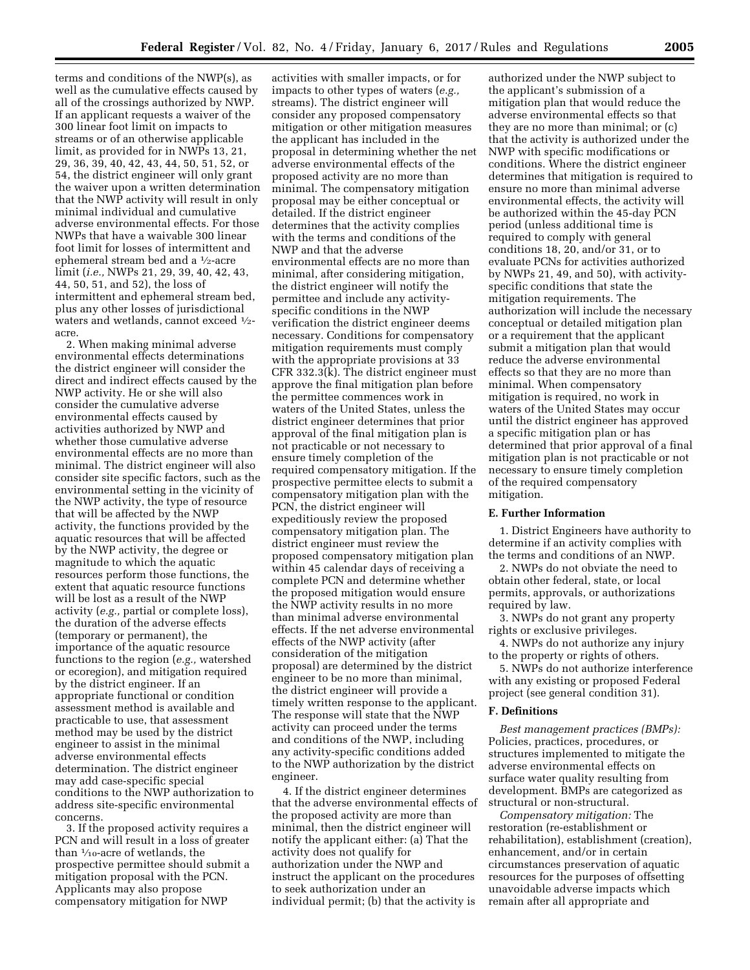terms and conditions of the NWP(s), as well as the cumulative effects caused by all of the crossings authorized by NWP. If an applicant requests a waiver of the 300 linear foot limit on impacts to streams or of an otherwise applicable limit, as provided for in NWPs 13, 21, 29, 36, 39, 40, 42, 43, 44, 50, 51, 52, or 54, the district engineer will only grant the waiver upon a written determination that the NWP activity will result in only minimal individual and cumulative adverse environmental effects. For those NWPs that have a waivable 300 linear foot limit for losses of intermittent and ephemeral stream bed and a 1⁄2-acre limit (*i.e.,* NWPs 21, 29, 39, 40, 42, 43, 44, 50, 51, and 52), the loss of intermittent and ephemeral stream bed, plus any other losses of jurisdictional waters and wetlands, cannot exceed 1⁄2 acre.

2. When making minimal adverse environmental effects determinations the district engineer will consider the direct and indirect effects caused by the NWP activity. He or she will also consider the cumulative adverse environmental effects caused by activities authorized by NWP and whether those cumulative adverse environmental effects are no more than minimal. The district engineer will also consider site specific factors, such as the environmental setting in the vicinity of the NWP activity, the type of resource that will be affected by the NWP activity, the functions provided by the aquatic resources that will be affected by the NWP activity, the degree or magnitude to which the aquatic resources perform those functions, the extent that aquatic resource functions will be lost as a result of the NWP activity (*e.g.,* partial or complete loss), the duration of the adverse effects (temporary or permanent), the importance of the aquatic resource functions to the region (*e.g.,* watershed or ecoregion), and mitigation required by the district engineer. If an appropriate functional or condition assessment method is available and practicable to use, that assessment method may be used by the district engineer to assist in the minimal adverse environmental effects determination. The district engineer may add case-specific special conditions to the NWP authorization to address site-specific environmental concerns.

3. If the proposed activity requires a PCN and will result in a loss of greater than 1⁄10-acre of wetlands, the prospective permittee should submit a mitigation proposal with the PCN. Applicants may also propose compensatory mitigation for NWP

activities with smaller impacts, or for impacts to other types of waters (*e.g.,*  streams). The district engineer will consider any proposed compensatory mitigation or other mitigation measures the applicant has included in the proposal in determining whether the net adverse environmental effects of the proposed activity are no more than minimal. The compensatory mitigation proposal may be either conceptual or detailed. If the district engineer determines that the activity complies with the terms and conditions of the NWP and that the adverse environmental effects are no more than minimal, after considering mitigation, the district engineer will notify the permittee and include any activityspecific conditions in the NWP verification the district engineer deems necessary. Conditions for compensatory mitigation requirements must comply with the appropriate provisions at 33 CFR 332.3(k). The district engineer must approve the final mitigation plan before the permittee commences work in waters of the United States, unless the district engineer determines that prior approval of the final mitigation plan is not practicable or not necessary to ensure timely completion of the required compensatory mitigation. If the prospective permittee elects to submit a compensatory mitigation plan with the PCN, the district engineer will expeditiously review the proposed compensatory mitigation plan. The district engineer must review the proposed compensatory mitigation plan within 45 calendar days of receiving a complete PCN and determine whether the proposed mitigation would ensure the NWP activity results in no more than minimal adverse environmental effects. If the net adverse environmental effects of the NWP activity (after consideration of the mitigation proposal) are determined by the district engineer to be no more than minimal, the district engineer will provide a timely written response to the applicant. The response will state that the NWP activity can proceed under the terms and conditions of the NWP, including any activity-specific conditions added to the NWP authorization by the district engineer.

4. If the district engineer determines that the adverse environmental effects of the proposed activity are more than minimal, then the district engineer will notify the applicant either: (a) That the activity does not qualify for authorization under the NWP and instruct the applicant on the procedures to seek authorization under an individual permit; (b) that the activity is

authorized under the NWP subject to the applicant's submission of a mitigation plan that would reduce the adverse environmental effects so that they are no more than minimal; or (c) that the activity is authorized under the NWP with specific modifications or conditions. Where the district engineer determines that mitigation is required to ensure no more than minimal adverse environmental effects, the activity will be authorized within the 45-day PCN period (unless additional time is required to comply with general conditions 18, 20, and/or 31, or to evaluate PCNs for activities authorized by NWPs 21, 49, and 50), with activityspecific conditions that state the mitigation requirements. The authorization will include the necessary conceptual or detailed mitigation plan or a requirement that the applicant submit a mitigation plan that would reduce the adverse environmental effects so that they are no more than minimal. When compensatory mitigation is required, no work in waters of the United States may occur until the district engineer has approved a specific mitigation plan or has determined that prior approval of a final mitigation plan is not practicable or not necessary to ensure timely completion of the required compensatory mitigation.

## **E. Further Information**

1. District Engineers have authority to determine if an activity complies with the terms and conditions of an NWP.

2. NWPs do not obviate the need to obtain other federal, state, or local permits, approvals, or authorizations required by law.

3. NWPs do not grant any property rights or exclusive privileges.

4. NWPs do not authorize any injury to the property or rights of others.

5. NWPs do not authorize interference with any existing or proposed Federal project (see general condition 31).

## **F. Definitions**

*Best management practices (BMPs):*  Policies, practices, procedures, or structures implemented to mitigate the adverse environmental effects on surface water quality resulting from development. BMPs are categorized as structural or non-structural.

*Compensatory mitigation:* The restoration (re-establishment or rehabilitation), establishment (creation), enhancement, and/or in certain circumstances preservation of aquatic resources for the purposes of offsetting unavoidable adverse impacts which remain after all appropriate and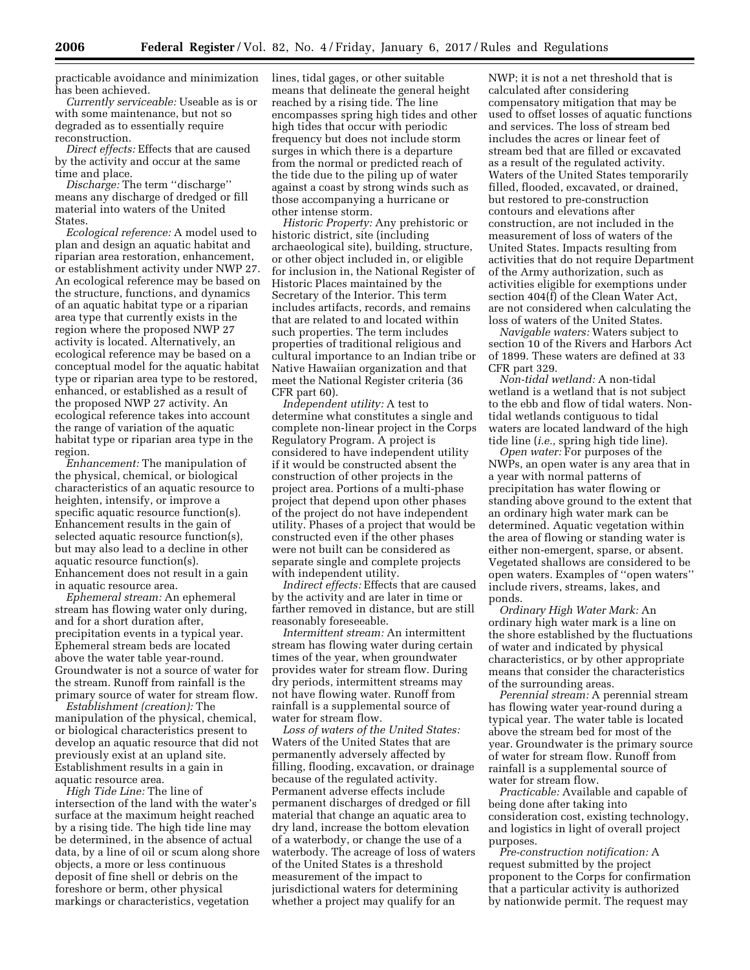practicable avoidance and minimization has been achieved.

*Currently serviceable:* Useable as is or with some maintenance, but not so degraded as to essentially require reconstruction.

*Direct effects:* Effects that are caused by the activity and occur at the same time and place.

*Discharge:* The term ''discharge'' means any discharge of dredged or fill material into waters of the United States.

*Ecological reference:* A model used to plan and design an aquatic habitat and riparian area restoration, enhancement, or establishment activity under NWP 27. An ecological reference may be based on the structure, functions, and dynamics of an aquatic habitat type or a riparian area type that currently exists in the region where the proposed NWP 27 activity is located. Alternatively, an ecological reference may be based on a conceptual model for the aquatic habitat type or riparian area type to be restored, enhanced, or established as a result of the proposed NWP 27 activity. An ecological reference takes into account the range of variation of the aquatic habitat type or riparian area type in the region.

*Enhancement:* The manipulation of the physical, chemical, or biological characteristics of an aquatic resource to heighten, intensify, or improve a specific aquatic resource function(s). Enhancement results in the gain of selected aquatic resource function(s), but may also lead to a decline in other aquatic resource function(s). Enhancement does not result in a gain in aquatic resource area.

*Ephemeral stream:* An ephemeral stream has flowing water only during, and for a short duration after, precipitation events in a typical year. Ephemeral stream beds are located above the water table year-round. Groundwater is not a source of water for the stream. Runoff from rainfall is the primary source of water for stream flow.

*Establishment (creation):* The manipulation of the physical, chemical, or biological characteristics present to develop an aquatic resource that did not previously exist at an upland site. Establishment results in a gain in aquatic resource area.

*High Tide Line:* The line of intersection of the land with the water's surface at the maximum height reached by a rising tide. The high tide line may be determined, in the absence of actual data, by a line of oil or scum along shore objects, a more or less continuous deposit of fine shell or debris on the foreshore or berm, other physical markings or characteristics, vegetation

lines, tidal gages, or other suitable means that delineate the general height reached by a rising tide. The line encompasses spring high tides and other high tides that occur with periodic frequency but does not include storm surges in which there is a departure from the normal or predicted reach of the tide due to the piling up of water against a coast by strong winds such as those accompanying a hurricane or other intense storm.

*Historic Property:* Any prehistoric or historic district, site (including archaeological site), building, structure, or other object included in, or eligible for inclusion in, the National Register of Historic Places maintained by the Secretary of the Interior. This term includes artifacts, records, and remains that are related to and located within such properties. The term includes properties of traditional religious and cultural importance to an Indian tribe or Native Hawaiian organization and that meet the National Register criteria (36 CFR part 60).

*Independent utility:* A test to determine what constitutes a single and complete non-linear project in the Corps Regulatory Program. A project is considered to have independent utility if it would be constructed absent the construction of other projects in the project area. Portions of a multi-phase project that depend upon other phases of the project do not have independent utility. Phases of a project that would be constructed even if the other phases were not built can be considered as separate single and complete projects with independent utility.

*Indirect effects:* Effects that are caused by the activity and are later in time or farther removed in distance, but are still reasonably foreseeable.

*Intermittent stream:* An intermittent stream has flowing water during certain times of the year, when groundwater provides water for stream flow. During dry periods, intermittent streams may not have flowing water. Runoff from rainfall is a supplemental source of water for stream flow.

*Loss of waters of the United States:*  Waters of the United States that are permanently adversely affected by filling, flooding, excavation, or drainage because of the regulated activity. Permanent adverse effects include permanent discharges of dredged or fill material that change an aquatic area to dry land, increase the bottom elevation of a waterbody, or change the use of a waterbody. The acreage of loss of waters of the United States is a threshold measurement of the impact to jurisdictional waters for determining whether a project may qualify for an

NWP; it is not a net threshold that is calculated after considering compensatory mitigation that may be used to offset losses of aquatic functions and services. The loss of stream bed includes the acres or linear feet of stream bed that are filled or excavated as a result of the regulated activity. Waters of the United States temporarily filled, flooded, excavated, or drained, but restored to pre-construction contours and elevations after construction, are not included in the measurement of loss of waters of the United States. Impacts resulting from activities that do not require Department of the Army authorization, such as activities eligible for exemptions under section 404(f) of the Clean Water Act, are not considered when calculating the loss of waters of the United States.

*Navigable waters:* Waters subject to section 10 of the Rivers and Harbors Act of 1899. These waters are defined at 33 CFR part 329.

*Non-tidal wetland:* A non-tidal wetland is a wetland that is not subject to the ebb and flow of tidal waters. Nontidal wetlands contiguous to tidal waters are located landward of the high tide line (*i.e.,* spring high tide line).

*Open water:* For purposes of the NWPs, an open water is any area that in a year with normal patterns of precipitation has water flowing or standing above ground to the extent that an ordinary high water mark can be determined. Aquatic vegetation within the area of flowing or standing water is either non-emergent, sparse, or absent. Vegetated shallows are considered to be open waters. Examples of ''open waters'' include rivers, streams, lakes, and ponds.

*Ordinary High Water Mark:* An ordinary high water mark is a line on the shore established by the fluctuations of water and indicated by physical characteristics, or by other appropriate means that consider the characteristics of the surrounding areas.

*Perennial stream:* A perennial stream has flowing water year-round during a typical year. The water table is located above the stream bed for most of the year. Groundwater is the primary source of water for stream flow. Runoff from rainfall is a supplemental source of water for stream flow.

*Practicable:* Available and capable of being done after taking into consideration cost, existing technology, and logistics in light of overall project purposes.

*Pre-construction notification:* A request submitted by the project proponent to the Corps for confirmation that a particular activity is authorized by nationwide permit. The request may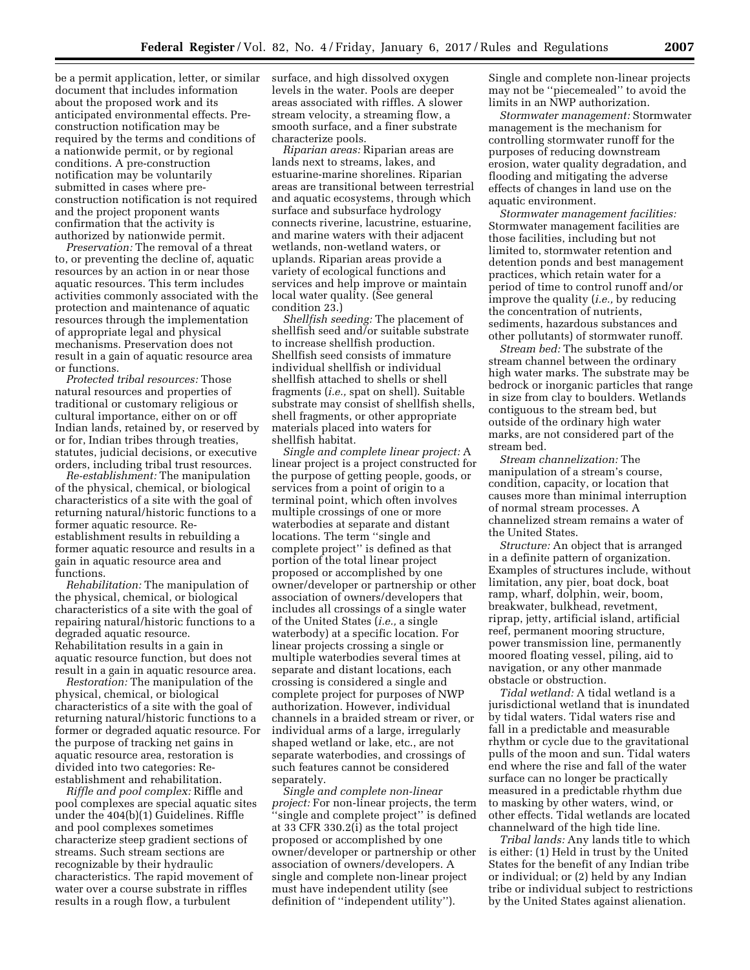be a permit application, letter, or similar document that includes information about the proposed work and its anticipated environmental effects. Preconstruction notification may be required by the terms and conditions of a nationwide permit, or by regional conditions. A pre-construction notification may be voluntarily submitted in cases where preconstruction notification is not required and the project proponent wants confirmation that the activity is authorized by nationwide permit.

*Preservation:* The removal of a threat to, or preventing the decline of, aquatic resources by an action in or near those aquatic resources. This term includes activities commonly associated with the protection and maintenance of aquatic resources through the implementation of appropriate legal and physical mechanisms. Preservation does not result in a gain of aquatic resource area or functions.

*Protected tribal resources:* Those natural resources and properties of traditional or customary religious or cultural importance, either on or off Indian lands, retained by, or reserved by or for, Indian tribes through treaties, statutes, judicial decisions, or executive orders, including tribal trust resources.

*Re-establishment:* The manipulation of the physical, chemical, or biological characteristics of a site with the goal of returning natural/historic functions to a former aquatic resource. Reestablishment results in rebuilding a former aquatic resource and results in a gain in aquatic resource area and functions.

*Rehabilitation:* The manipulation of the physical, chemical, or biological characteristics of a site with the goal of repairing natural/historic functions to a degraded aquatic resource. Rehabilitation results in a gain in aquatic resource function, but does not result in a gain in aquatic resource area.

*Restoration:* The manipulation of the physical, chemical, or biological characteristics of a site with the goal of returning natural/historic functions to a former or degraded aquatic resource. For the purpose of tracking net gains in aquatic resource area, restoration is divided into two categories: Reestablishment and rehabilitation.

*Riffle and pool complex:* Riffle and pool complexes are special aquatic sites under the 404(b)(1) Guidelines. Riffle and pool complexes sometimes characterize steep gradient sections of streams. Such stream sections are recognizable by their hydraulic characteristics. The rapid movement of water over a course substrate in riffles results in a rough flow, a turbulent

surface, and high dissolved oxygen levels in the water. Pools are deeper areas associated with riffles. A slower stream velocity, a streaming flow, a smooth surface, and a finer substrate characterize pools.

*Riparian areas:* Riparian areas are lands next to streams, lakes, and estuarine-marine shorelines. Riparian areas are transitional between terrestrial and aquatic ecosystems, through which surface and subsurface hydrology connects riverine, lacustrine, estuarine, and marine waters with their adjacent wetlands, non-wetland waters, or uplands. Riparian areas provide a variety of ecological functions and services and help improve or maintain local water quality. (See general condition 23.)

*Shellfish seeding:* The placement of shellfish seed and/or suitable substrate to increase shellfish production. Shellfish seed consists of immature individual shellfish or individual shellfish attached to shells or shell fragments (*i.e.,* spat on shell). Suitable substrate may consist of shellfish shells, shell fragments, or other appropriate materials placed into waters for shellfish habitat.

*Single and complete linear project:* A linear project is a project constructed for the purpose of getting people, goods, or services from a point of origin to a terminal point, which often involves multiple crossings of one or more waterbodies at separate and distant locations. The term ''single and complete project'' is defined as that portion of the total linear project proposed or accomplished by one owner/developer or partnership or other association of owners/developers that includes all crossings of a single water of the United States (*i.e.,* a single waterbody) at a specific location. For linear projects crossing a single or multiple waterbodies several times at separate and distant locations, each crossing is considered a single and complete project for purposes of NWP authorization. However, individual channels in a braided stream or river, or individual arms of a large, irregularly shaped wetland or lake, etc., are not separate waterbodies, and crossings of such features cannot be considered separately.

*Single and complete non-linear project:* For non-linear projects, the term 'single and complete project'' is defined at 33 CFR 330.2(i) as the total project proposed or accomplished by one owner/developer or partnership or other association of owners/developers. A single and complete non-linear project must have independent utility (see definition of ''independent utility'').

Single and complete non-linear projects may not be ''piecemealed'' to avoid the limits in an NWP authorization.

*Stormwater management:* Stormwater management is the mechanism for controlling stormwater runoff for the purposes of reducing downstream erosion, water quality degradation, and flooding and mitigating the adverse effects of changes in land use on the aquatic environment.

*Stormwater management facilities:*  Stormwater management facilities are those facilities, including but not limited to, stormwater retention and detention ponds and best management practices, which retain water for a period of time to control runoff and/or improve the quality (*i.e.,* by reducing the concentration of nutrients, sediments, hazardous substances and other pollutants) of stormwater runoff.

*Stream bed:* The substrate of the stream channel between the ordinary high water marks. The substrate may be bedrock or inorganic particles that range in size from clay to boulders. Wetlands contiguous to the stream bed, but outside of the ordinary high water marks, are not considered part of the stream bed.

*Stream channelization:* The manipulation of a stream's course, condition, capacity, or location that causes more than minimal interruption of normal stream processes. A channelized stream remains a water of the United States.

*Structure:* An object that is arranged in a definite pattern of organization. Examples of structures include, without limitation, any pier, boat dock, boat ramp, wharf, dolphin, weir, boom, breakwater, bulkhead, revetment, riprap, jetty, artificial island, artificial reef, permanent mooring structure, power transmission line, permanently moored floating vessel, piling, aid to navigation, or any other manmade obstacle or obstruction.

*Tidal wetland:* A tidal wetland is a jurisdictional wetland that is inundated by tidal waters. Tidal waters rise and fall in a predictable and measurable rhythm or cycle due to the gravitational pulls of the moon and sun. Tidal waters end where the rise and fall of the water surface can no longer be practically measured in a predictable rhythm due to masking by other waters, wind, or other effects. Tidal wetlands are located channelward of the high tide line.

*Tribal lands:* Any lands title to which is either: (1) Held in trust by the United States for the benefit of any Indian tribe or individual; or (2) held by any Indian tribe or individual subject to restrictions by the United States against alienation.